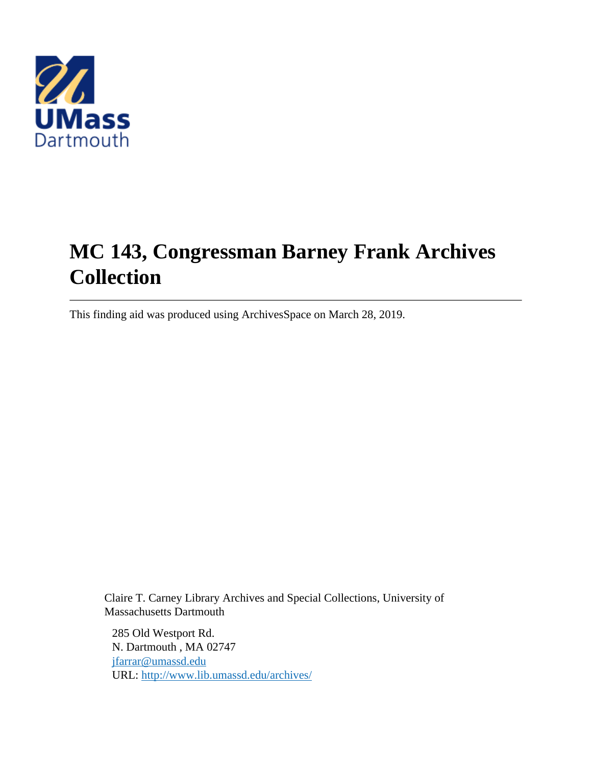

# **MC 143, Congressman Barney Frank Archives Collection**

This finding aid was produced using ArchivesSpace on March 28, 2019.

Claire T. Carney Library Archives and Special Collections, University of Massachusetts Dartmouth

285 Old Westport Rd. N. Dartmouth , MA 02747 [jfarrar@umassd.edu](mailto:jfarrar@umassd.edu) URL:<http://www.lib.umassd.edu/archives/>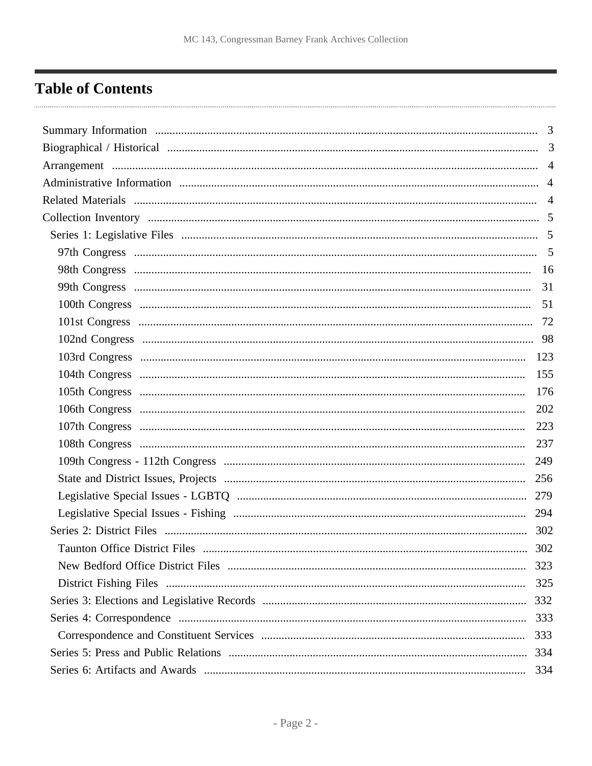## <span id="page-1-0"></span>**Table of Contents**

|                               | 123 |
|-------------------------------|-----|
|                               | 155 |
|                               | 176 |
|                               | 202 |
|                               | 223 |
|                               | 237 |
|                               | 249 |
|                               | 256 |
|                               |     |
|                               | 294 |
|                               | 302 |
| Taunton Office District Files | 302 |
|                               |     |
|                               | 325 |
|                               |     |
|                               | 333 |
|                               | 333 |
|                               | 334 |
|                               | 334 |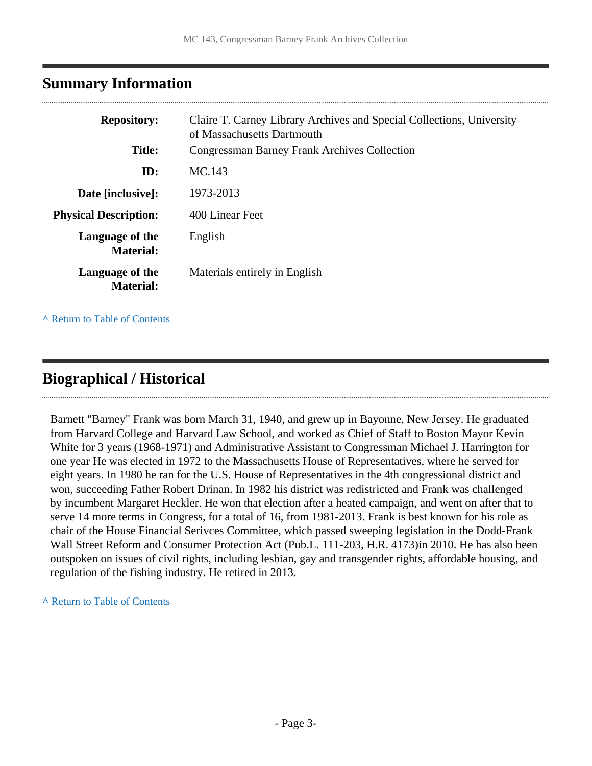## <span id="page-2-0"></span>**Summary Information**

| <b>Repository:</b>                  | Claire T. Carney Library Archives and Special Collections, University<br>of Massachusetts Dartmouth |
|-------------------------------------|-----------------------------------------------------------------------------------------------------|
| <b>Title:</b>                       | <b>Congressman Barney Frank Archives Collection</b>                                                 |
| ID:                                 | MC.143                                                                                              |
| Date [inclusive]:                   | 1973-2013                                                                                           |
| <b>Physical Description:</b>        | 400 Linear Feet                                                                                     |
| Language of the<br><b>Material:</b> | English                                                                                             |
| Language of the<br><b>Material:</b> | Materials entirely in English                                                                       |

**^** [Return to Table of Contents](#page-1-0)

### <span id="page-2-1"></span>**Biographical / Historical**

Barnett "Barney" Frank was born March 31, 1940, and grew up in Bayonne, New Jersey. He graduated from Harvard College and Harvard Law School, and worked as Chief of Staff to Boston Mayor Kevin White for 3 years (1968-1971) and Administrative Assistant to Congressman Michael J. Harrington for one year He was elected in 1972 to the Massachusetts House of Representatives, where he served for eight years. In 1980 he ran for the U.S. House of Representatives in the 4th congressional district and won, succeeding Father Robert Drinan. In 1982 his district was redistricted and Frank was challenged by incumbent Margaret Heckler. He won that election after a heated campaign, and went on after that to serve 14 more terms in Congress, for a total of 16, from 1981-2013. Frank is best known for his role as chair of the House Financial Serivces Committee, which passed sweeping legislation in the Dodd-Frank Wall Street Reform and Consumer Protection Act (Pub.L. 111-203, H.R. 4173)in 2010. He has also been outspoken on issues of civil rights, including lesbian, gay and transgender rights, affordable housing, and regulation of the fishing industry. He retired in 2013.

**^** [Return to Table of Contents](#page-1-0)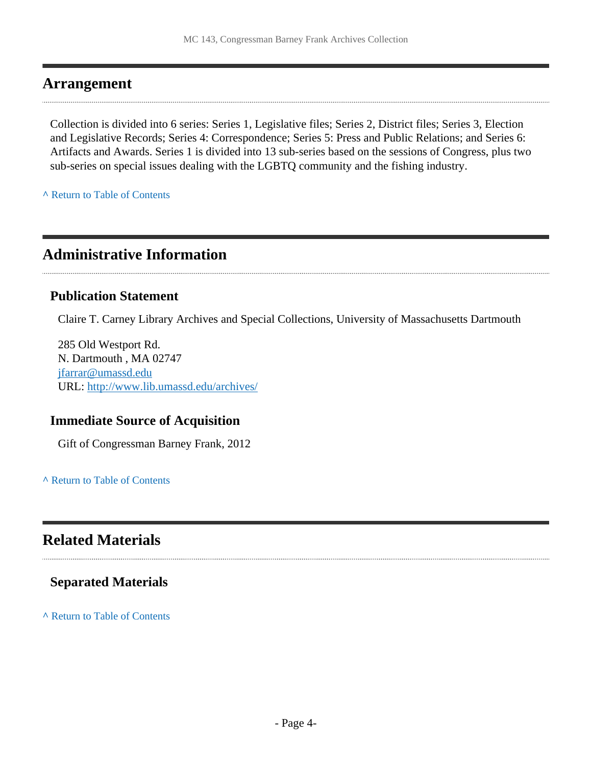#### <span id="page-3-0"></span>**Arrangement**

Collection is divided into 6 series: Series 1, Legislative files; Series 2, District files; Series 3, Election and Legislative Records; Series 4: Correspondence; Series 5: Press and Public Relations; and Series 6: Artifacts and Awards. Series 1 is divided into 13 sub-series based on the sessions of Congress, plus two sub-series on special issues dealing with the LGBTQ community and the fishing industry.

**^** [Return to Table of Contents](#page-1-0)

### <span id="page-3-1"></span>**Administrative Information**

#### **Publication Statement**

Claire T. Carney Library Archives and Special Collections, University of Massachusetts Dartmouth

285 Old Westport Rd. N. Dartmouth , MA 02747 [jfarrar@umassd.edu](mailto:jfarrar@umassd.edu) URL:<http://www.lib.umassd.edu/archives/>

#### **Immediate Source of Acquisition**

Gift of Congressman Barney Frank, 2012

**^** [Return to Table of Contents](#page-1-0)

### <span id="page-3-2"></span>**Related Materials**

#### **Separated Materials**

**^** [Return to Table of Contents](#page-1-0)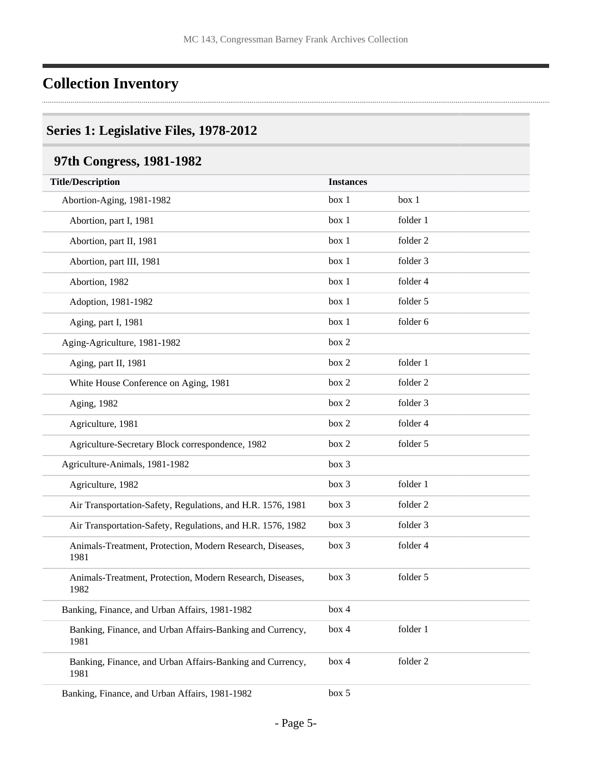## <span id="page-4-0"></span>**Collection Inventory**

#### <span id="page-4-1"></span>**Series 1: Legislative Files, 1978-2012**

## <span id="page-4-2"></span>**97th Congress, 1981-1982**

| <b>Title/Description</b>                                          | <b>Instances</b> |          |
|-------------------------------------------------------------------|------------------|----------|
| Abortion-Aging, 1981-1982                                         | box 1            | box 1    |
| Abortion, part I, 1981                                            | box 1            | folder 1 |
| Abortion, part II, 1981                                           | box 1            | folder 2 |
| Abortion, part III, 1981                                          | box 1            | folder 3 |
| Abortion, 1982                                                    | box 1            | folder 4 |
| Adoption, 1981-1982                                               | box 1            | folder 5 |
| Aging, part I, 1981                                               | box 1            | folder 6 |
| Aging-Agriculture, 1981-1982                                      | box 2            |          |
| Aging, part II, 1981                                              | box 2            | folder 1 |
| White House Conference on Aging, 1981                             | box 2            | folder 2 |
| Aging, 1982                                                       | box 2            | folder 3 |
| Agriculture, 1981                                                 | box 2            | folder 4 |
| Agriculture-Secretary Block correspondence, 1982                  | box 2            | folder 5 |
| Agriculture-Animals, 1981-1982                                    | box 3            |          |
| Agriculture, 1982                                                 | box 3            | folder 1 |
| Air Transportation-Safety, Regulations, and H.R. 1576, 1981       | box 3            | folder 2 |
| Air Transportation-Safety, Regulations, and H.R. 1576, 1982       | box 3            | folder 3 |
| Animals-Treatment, Protection, Modern Research, Diseases,<br>1981 | box 3            | folder 4 |
| Animals-Treatment, Protection, Modern Research, Diseases,<br>1982 | box 3            | folder 5 |
| Banking, Finance, and Urban Affairs, 1981-1982                    | box 4            |          |
| Banking, Finance, and Urban Affairs-Banking and Currency,<br>1981 | box 4            | folder 1 |
| Banking, Finance, and Urban Affairs-Banking and Currency,<br>1981 | box 4            | folder 2 |
| Banking, Finance, and Urban Affairs, 1981-1982                    | box 5            |          |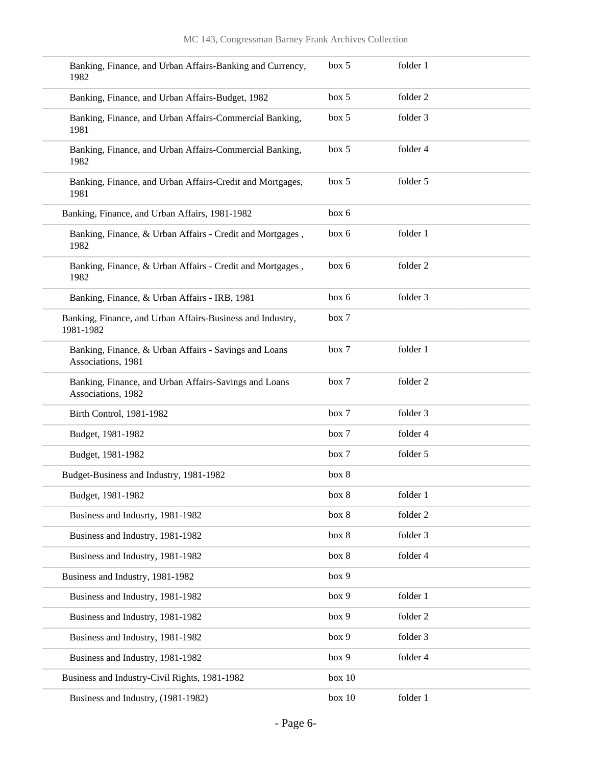| Banking, Finance, and Urban Affairs-Banking and Currency,<br>1982           | box 5  | folder 1 |
|-----------------------------------------------------------------------------|--------|----------|
| Banking, Finance, and Urban Affairs-Budget, 1982                            | box 5  | folder 2 |
| Banking, Finance, and Urban Affairs-Commercial Banking,<br>1981             | box 5  | folder 3 |
| Banking, Finance, and Urban Affairs-Commercial Banking,<br>1982             | box 5  | folder 4 |
| Banking, Finance, and Urban Affairs-Credit and Mortgages,<br>1981           | box 5  | folder 5 |
| Banking, Finance, and Urban Affairs, 1981-1982                              | box 6  |          |
| Banking, Finance, & Urban Affairs - Credit and Mortgages,<br>1982           | box 6  | folder 1 |
| Banking, Finance, & Urban Affairs - Credit and Mortgages,<br>1982           | box 6  | folder 2 |
| Banking, Finance, & Urban Affairs - IRB, 1981                               | box 6  | folder 3 |
| Banking, Finance, and Urban Affairs-Business and Industry,<br>1981-1982     | box 7  |          |
| Banking, Finance, & Urban Affairs - Savings and Loans<br>Associations, 1981 | box 7  | folder 1 |
| Banking, Finance, and Urban Affairs-Savings and Loans<br>Associations, 1982 | box 7  | folder 2 |
| Birth Control, 1981-1982                                                    | box 7  | folder 3 |
| Budget, 1981-1982                                                           | box 7  | folder 4 |
| Budget, 1981-1982                                                           | box 7  | folder 5 |
| Budget-Business and Industry, 1981-1982                                     | box 8  |          |
| Budget, 1981-1982                                                           | box 8  | folder 1 |
| Business and Indusrty, 1981-1982                                            | box 8  | folder 2 |
| Business and Industry, 1981-1982                                            | box 8  | folder 3 |
| Business and Industry, 1981-1982                                            | box 8  | folder 4 |
| Business and Industry, 1981-1982                                            | box 9  |          |
| Business and Industry, 1981-1982                                            | box 9  | folder 1 |
| Business and Industry, 1981-1982                                            | box 9  | folder 2 |
| Business and Industry, 1981-1982                                            | box 9  | folder 3 |
| Business and Industry, 1981-1982                                            | box 9  | folder 4 |
| Business and Industry-Civil Rights, 1981-1982                               | box 10 |          |
| Business and Industry, (1981-1982)                                          | box 10 | folder 1 |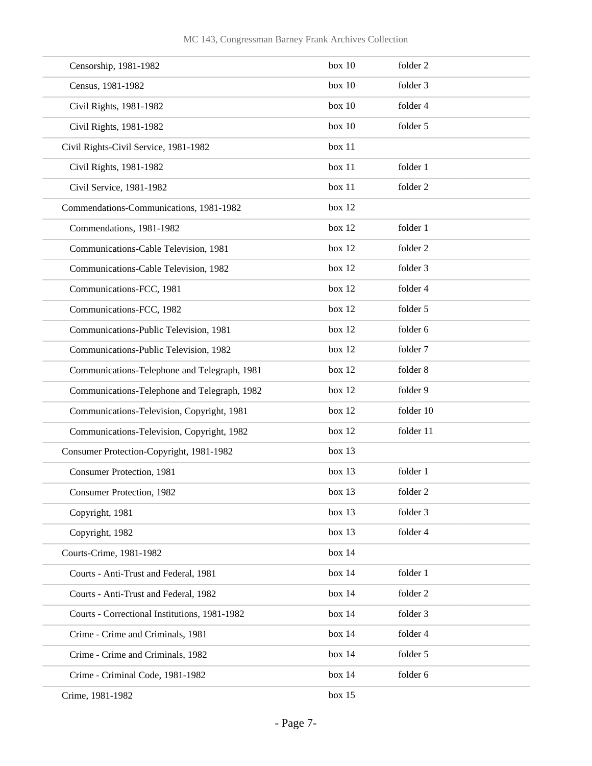| Censorship, 1981-1982                         | box 10 | folder 2  |
|-----------------------------------------------|--------|-----------|
| Census, 1981-1982                             | box 10 | folder 3  |
| Civil Rights, 1981-1982                       | box 10 | folder 4  |
| Civil Rights, 1981-1982                       | box 10 | folder 5  |
| Civil Rights-Civil Service, 1981-1982         | box 11 |           |
| Civil Rights, 1981-1982                       | box 11 | folder 1  |
| Civil Service, 1981-1982                      | box 11 | folder 2  |
| Commendations-Communications, 1981-1982       | box 12 |           |
| Commendations, 1981-1982                      | box 12 | folder 1  |
| Communications-Cable Television, 1981         | box 12 | folder 2  |
| Communications-Cable Television, 1982         | box 12 | folder 3  |
| Communications-FCC, 1981                      | box 12 | folder 4  |
| Communications-FCC, 1982                      | box 12 | folder 5  |
| Communications-Public Television, 1981        | box 12 | folder 6  |
| Communications-Public Television, 1982        | box 12 | folder 7  |
| Communications-Telephone and Telegraph, 1981  | box 12 | folder 8  |
| Communications-Telephone and Telegraph, 1982  | box 12 | folder 9  |
| Communications-Television, Copyright, 1981    | box 12 | folder 10 |
| Communications-Television, Copyright, 1982    | box 12 | folder 11 |
| Consumer Protection-Copyright, 1981-1982      | box 13 |           |
| Consumer Protection, 1981                     | box 13 | folder 1  |
| Consumer Protection, 1982                     | box 13 | folder 2  |
| Copyright, 1981                               | box 13 | folder 3  |
| Copyright, 1982                               | box 13 | folder 4  |
| Courts-Crime, 1981-1982                       | box 14 |           |
| Courts - Anti-Trust and Federal, 1981         | box 14 | folder 1  |
| Courts - Anti-Trust and Federal, 1982         | box 14 | folder 2  |
| Courts - Correctional Institutions, 1981-1982 | box 14 | folder 3  |
| Crime - Crime and Criminals, 1981             | box 14 | folder 4  |
| Crime - Crime and Criminals, 1982             | box 14 | folder 5  |
| Crime - Criminal Code, 1981-1982              | box 14 | folder 6  |
| Crime, 1981-1982                              | box 15 |           |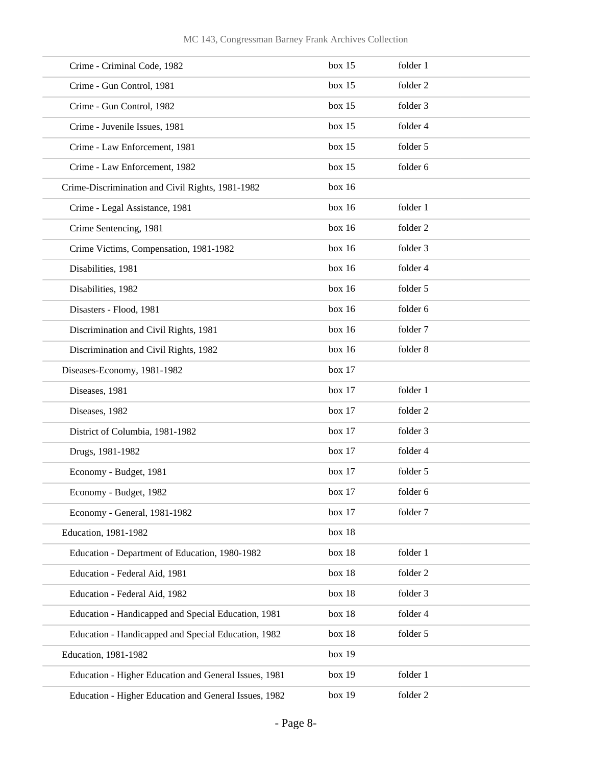| Crime - Criminal Code, 1982                           | box 15 | folder 1            |  |
|-------------------------------------------------------|--------|---------------------|--|
| Crime - Gun Control, 1981                             | box 15 | folder <sub>2</sub> |  |
| Crime - Gun Control, 1982                             | box 15 | folder 3            |  |
| Crime - Juvenile Issues, 1981                         | box 15 | folder 4            |  |
| Crime - Law Enforcement, 1981                         | box 15 | folder 5            |  |
| Crime - Law Enforcement, 1982                         | box 15 | folder 6            |  |
| Crime-Discrimination and Civil Rights, 1981-1982      | box 16 |                     |  |
| Crime - Legal Assistance, 1981                        | box 16 | folder 1            |  |
| Crime Sentencing, 1981                                | box 16 | folder 2            |  |
| Crime Victims, Compensation, 1981-1982                | box 16 | folder 3            |  |
| Disabilities, 1981                                    | box 16 | folder 4            |  |
| Disabilities, 1982                                    | box 16 | folder 5            |  |
| Disasters - Flood, 1981                               | box 16 | folder 6            |  |
| Discrimination and Civil Rights, 1981                 | box 16 | folder 7            |  |
| Discrimination and Civil Rights, 1982                 | box 16 | folder 8            |  |
| Diseases-Economy, 1981-1982                           | box 17 |                     |  |
| Diseases, 1981                                        | box 17 | folder 1            |  |
| Diseases, 1982                                        | box 17 | folder <sub>2</sub> |  |
| District of Columbia, 1981-1982                       | box 17 | folder 3            |  |
| Drugs, 1981-1982                                      | box 17 | folder 4            |  |
| Economy - Budget, 1981                                | box 17 | folder 5            |  |
| Economy - Budget, 1982                                | box 17 | folder 6            |  |
| Economy - General, 1981-1982                          | box 17 | folder 7            |  |
| Education, 1981-1982                                  | box 18 |                     |  |
| Education - Department of Education, 1980-1982        | box 18 | folder 1            |  |
| Education - Federal Aid, 1981                         | box 18 | folder 2            |  |
| Education - Federal Aid, 1982                         | box 18 | folder 3            |  |
| Education - Handicapped and Special Education, 1981   | box 18 | folder 4            |  |
| Education - Handicapped and Special Education, 1982   | box 18 | folder 5            |  |
| Education, 1981-1982                                  | box 19 |                     |  |
| Education - Higher Education and General Issues, 1981 | box 19 | folder 1            |  |
| Education - Higher Education and General Issues, 1982 | box 19 | folder 2            |  |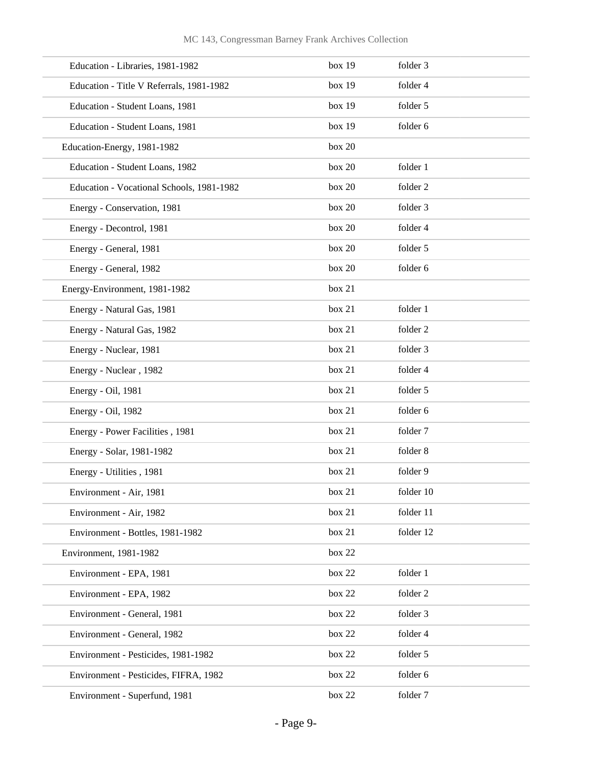| Education - Libraries, 1981-1982          | box 19 | folder 3  |
|-------------------------------------------|--------|-----------|
| Education - Title V Referrals, 1981-1982  | box 19 | folder 4  |
| Education - Student Loans, 1981           | box 19 | folder 5  |
| Education - Student Loans, 1981           | box 19 | folder 6  |
| Education-Energy, 1981-1982               | box 20 |           |
| Education - Student Loans, 1982           | box 20 | folder 1  |
| Education - Vocational Schools, 1981-1982 | box 20 | folder 2  |
| Energy - Conservation, 1981               | box 20 | folder 3  |
| Energy - Decontrol, 1981                  | box 20 | folder 4  |
| Energy - General, 1981                    | box 20 | folder 5  |
| Energy - General, 1982                    | box 20 | folder 6  |
| Energy-Environment, 1981-1982             | box 21 |           |
| Energy - Natural Gas, 1981                | box 21 | folder 1  |
| Energy - Natural Gas, 1982                | box 21 | folder 2  |
| Energy - Nuclear, 1981                    | box 21 | folder 3  |
| Energy - Nuclear, 1982                    | box 21 | folder 4  |
| Energy - Oil, 1981                        | box 21 | folder 5  |
| Energy - Oil, 1982                        | box 21 | folder 6  |
| Energy - Power Facilities, 1981           | box 21 | folder 7  |
| Energy - Solar, 1981-1982                 | box 21 | folder 8  |
| Energy - Utilities, 1981                  | box 21 | folder 9  |
| Environment - Air, 1981                   | box 21 | folder 10 |
| Environment - Air, 1982                   | box 21 | folder 11 |
| Environment - Bottles, 1981-1982          | box 21 | folder 12 |
| Environment, 1981-1982                    | box 22 |           |
| Environment - EPA, 1981                   | box 22 | folder 1  |
| Environment - EPA, 1982                   | box 22 | folder 2  |
| Environment - General, 1981               | box 22 | folder 3  |
| Environment - General, 1982               | box 22 | folder 4  |
| Environment - Pesticides, 1981-1982       | box 22 | folder 5  |
| Environment - Pesticides, FIFRA, 1982     | box 22 | folder 6  |
| Environment - Superfund, 1981             | box 22 | folder 7  |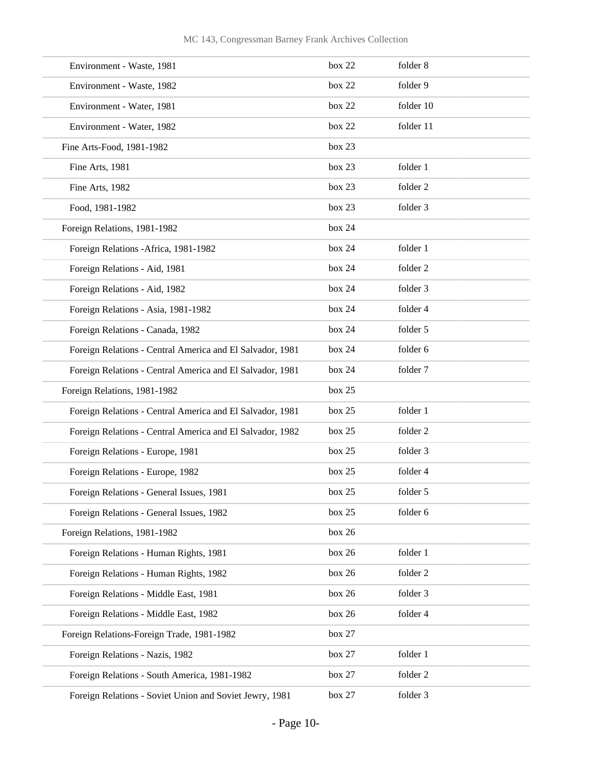| Environment - Waste, 1981                                 | box 22 | folder 8  |
|-----------------------------------------------------------|--------|-----------|
| Environment - Waste, 1982                                 | box 22 | folder 9  |
| Environment - Water, 1981                                 | box 22 | folder 10 |
| Environment - Water, 1982                                 | box 22 | folder 11 |
| Fine Arts-Food, 1981-1982                                 | box 23 |           |
| Fine Arts, 1981                                           | box 23 | folder 1  |
| Fine Arts, 1982                                           | box 23 | folder 2  |
| Food, 1981-1982                                           | box 23 | folder 3  |
| Foreign Relations, 1981-1982                              | box 24 |           |
| Foreign Relations - Africa, 1981-1982                     | box 24 | folder 1  |
| Foreign Relations - Aid, 1981                             | box 24 | folder 2  |
| Foreign Relations - Aid, 1982                             | box 24 | folder 3  |
| Foreign Relations - Asia, 1981-1982                       | box 24 | folder 4  |
| Foreign Relations - Canada, 1982                          | box 24 | folder 5  |
| Foreign Relations - Central America and El Salvador, 1981 | box 24 | folder 6  |
| Foreign Relations - Central America and El Salvador, 1981 | box 24 | folder 7  |
| Foreign Relations, 1981-1982                              | box 25 |           |
| Foreign Relations - Central America and El Salvador, 1981 | box 25 | folder 1  |
| Foreign Relations - Central America and El Salvador, 1982 | box 25 | folder 2  |
| Foreign Relations - Europe, 1981                          | box 25 | folder 3  |
| Foreign Relations - Europe, 1982                          | box 25 | folder 4  |
| Foreign Relations - General Issues, 1981                  | box 25 | folder 5  |
| Foreign Relations - General Issues, 1982                  | box 25 | folder 6  |
| Foreign Relations, 1981-1982                              | box 26 |           |
| Foreign Relations - Human Rights, 1981                    | box 26 | folder 1  |
| Foreign Relations - Human Rights, 1982                    | box 26 | folder 2  |
| Foreign Relations - Middle East, 1981                     | box 26 | folder 3  |
| Foreign Relations - Middle East, 1982                     | box 26 | folder 4  |
| Foreign Relations-Foreign Trade, 1981-1982                | box 27 |           |
| Foreign Relations - Nazis, 1982                           | box 27 | folder 1  |
| Foreign Relations - South America, 1981-1982              | box 27 | folder 2  |
| Foreign Relations - Soviet Union and Soviet Jewry, 1981   | box 27 | folder 3  |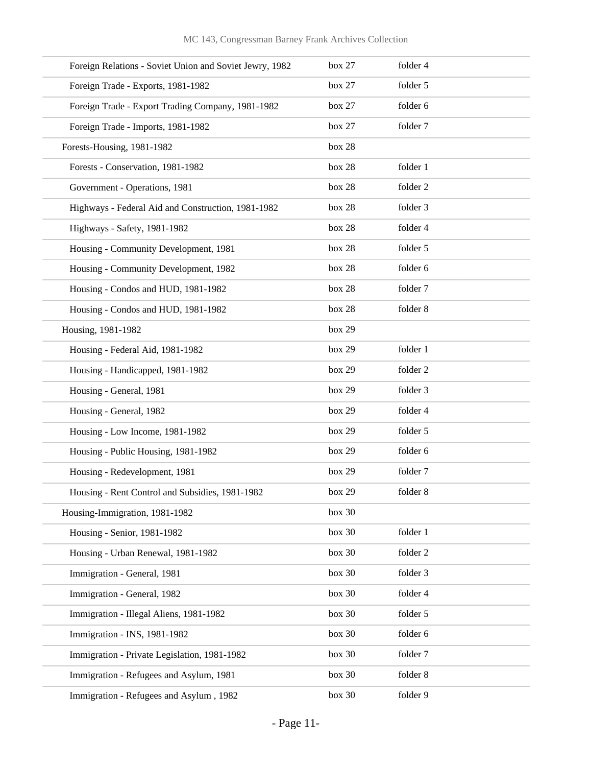| Foreign Relations - Soviet Union and Soviet Jewry, 1982 | box 27 | folder 4 |  |
|---------------------------------------------------------|--------|----------|--|
| Foreign Trade - Exports, 1981-1982                      | box 27 | folder 5 |  |
| Foreign Trade - Export Trading Company, 1981-1982       | box 27 | folder 6 |  |
| Foreign Trade - Imports, 1981-1982                      | box 27 | folder 7 |  |
| Forests-Housing, 1981-1982                              | box 28 |          |  |
| Forests - Conservation, 1981-1982                       | box 28 | folder 1 |  |
| Government - Operations, 1981                           | box 28 | folder 2 |  |
| Highways - Federal Aid and Construction, 1981-1982      | box 28 | folder 3 |  |
| Highways - Safety, 1981-1982                            | box 28 | folder 4 |  |
| Housing - Community Development, 1981                   | box 28 | folder 5 |  |
| Housing - Community Development, 1982                   | box 28 | folder 6 |  |
| Housing - Condos and HUD, 1981-1982                     | box 28 | folder 7 |  |
| Housing - Condos and HUD, 1981-1982                     | box 28 | folder 8 |  |
| Housing, 1981-1982                                      | box 29 |          |  |
| Housing - Federal Aid, 1981-1982                        | box 29 | folder 1 |  |
| Housing - Handicapped, 1981-1982                        | box 29 | folder 2 |  |
| Housing - General, 1981                                 | box 29 | folder 3 |  |
| Housing - General, 1982                                 | box 29 | folder 4 |  |
| Housing - Low Income, 1981-1982                         | box 29 | folder 5 |  |
| Housing - Public Housing, 1981-1982                     | box 29 | folder 6 |  |
| Housing - Redevelopment, 1981                           | box 29 | folder 7 |  |
| Housing - Rent Control and Subsidies, 1981-1982         | box 29 | folder 8 |  |
| Housing-Immigration, 1981-1982                          | box 30 |          |  |
| Housing - Senior, 1981-1982                             | box 30 | folder 1 |  |
| Housing - Urban Renewal, 1981-1982                      | box 30 | folder 2 |  |
| Immigration - General, 1981                             | box 30 | folder 3 |  |
| Immigration - General, 1982                             | box 30 | folder 4 |  |
| Immigration - Illegal Aliens, 1981-1982                 | box 30 | folder 5 |  |
| Immigration - INS, 1981-1982                            | box 30 | folder 6 |  |
| Immigration - Private Legislation, 1981-1982            | box 30 | folder 7 |  |
| Immigration - Refugees and Asylum, 1981                 | box 30 | folder 8 |  |
| Immigration - Refugees and Asylum, 1982                 | box 30 | folder 9 |  |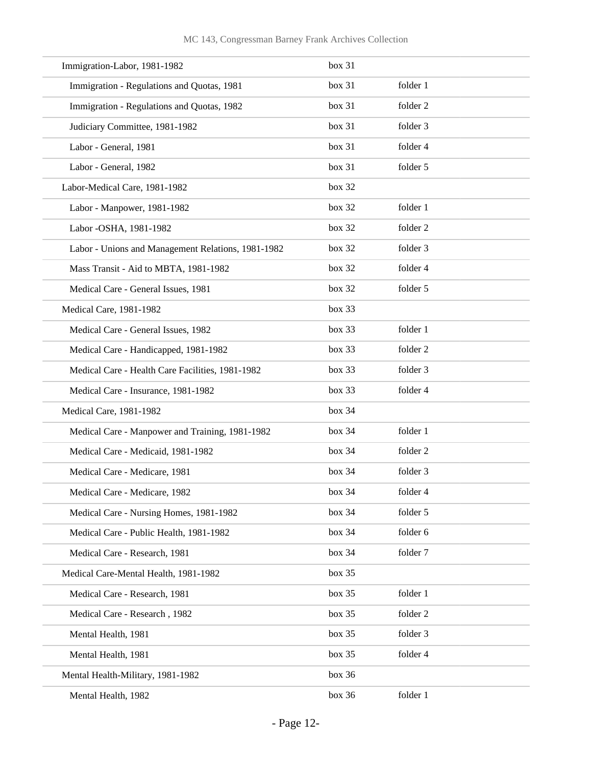| Immigration-Labor, 1981-1982                       | box 31 |          |
|----------------------------------------------------|--------|----------|
| Immigration - Regulations and Quotas, 1981         | box 31 | folder 1 |
| Immigration - Regulations and Quotas, 1982         | box 31 | folder 2 |
| Judiciary Committee, 1981-1982                     | box 31 | folder 3 |
| Labor - General, 1981                              | box 31 | folder 4 |
| Labor - General, 1982                              | box 31 | folder 5 |
| Labor-Medical Care, 1981-1982                      | box 32 |          |
| Labor - Manpower, 1981-1982                        | box 32 | folder 1 |
| Labor - OSHA, 1981-1982                            | box 32 | folder 2 |
| Labor - Unions and Management Relations, 1981-1982 | box 32 | folder 3 |
| Mass Transit - Aid to MBTA, 1981-1982              | box 32 | folder 4 |
| Medical Care - General Issues, 1981                | box 32 | folder 5 |
| Medical Care, 1981-1982                            | box 33 |          |
| Medical Care - General Issues, 1982                | box 33 | folder 1 |
| Medical Care - Handicapped, 1981-1982              | box 33 | folder 2 |
| Medical Care - Health Care Facilities, 1981-1982   | box 33 | folder 3 |
| Medical Care - Insurance, 1981-1982                | box 33 | folder 4 |
| Medical Care, 1981-1982                            | box 34 |          |
| Medical Care - Manpower and Training, 1981-1982    | box 34 | folder 1 |
| Medical Care - Medicaid, 1981-1982                 | box 34 | folder 2 |
| Medical Care - Medicare, 1981                      | box 34 | folder 3 |
| Medical Care - Medicare, 1982                      | box 34 | folder 4 |
| Medical Care - Nursing Homes, 1981-1982            | box 34 | folder 5 |
| Medical Care - Public Health, 1981-1982            | box 34 | folder 6 |
| Medical Care - Research, 1981                      | box 34 | folder 7 |
| Medical Care-Mental Health, 1981-1982              | box 35 |          |
| Medical Care - Research, 1981                      | box 35 | folder 1 |
| Medical Care - Research, 1982                      | box 35 | folder 2 |
| Mental Health, 1981                                | box 35 | folder 3 |
| Mental Health, 1981                                | box 35 | folder 4 |
| Mental Health-Military, 1981-1982                  | box 36 |          |
| Mental Health, 1982                                | box 36 | folder 1 |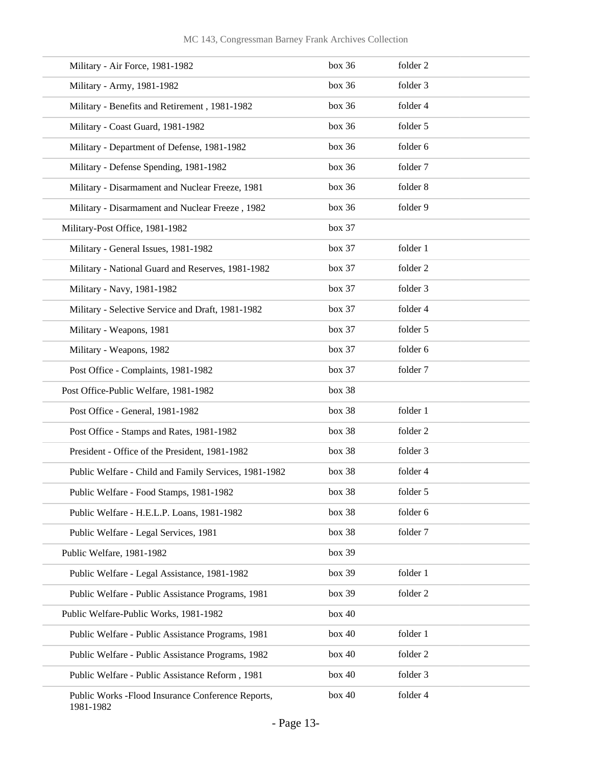| Military - Air Force, 1981-1982                                 | box 36 | folder 2 |
|-----------------------------------------------------------------|--------|----------|
| Military - Army, 1981-1982                                      | box 36 | folder 3 |
| Military - Benefits and Retirement, 1981-1982                   | box 36 | folder 4 |
| Military - Coast Guard, 1981-1982                               | box 36 | folder 5 |
| Military - Department of Defense, 1981-1982                     | box 36 | folder 6 |
| Military - Defense Spending, 1981-1982                          | box 36 | folder 7 |
| Military - Disarmament and Nuclear Freeze, 1981                 | box 36 | folder 8 |
| Military - Disarmament and Nuclear Freeze, 1982                 | box 36 | folder 9 |
| Military-Post Office, 1981-1982                                 | box 37 |          |
| Military - General Issues, 1981-1982                            | box 37 | folder 1 |
| Military - National Guard and Reserves, 1981-1982               | box 37 | folder 2 |
| Military - Navy, 1981-1982                                      | box 37 | folder 3 |
| Military - Selective Service and Draft, 1981-1982               | box 37 | folder 4 |
| Military - Weapons, 1981                                        | box 37 | folder 5 |
| Military - Weapons, 1982                                        | box 37 | folder 6 |
| Post Office - Complaints, 1981-1982                             | box 37 | folder 7 |
| Post Office-Public Welfare, 1981-1982                           | box 38 |          |
| Post Office - General, 1981-1982                                | box 38 | folder 1 |
| Post Office - Stamps and Rates, 1981-1982                       | box 38 | folder 2 |
| President - Office of the President, 1981-1982                  | box 38 | folder 3 |
| Public Welfare - Child and Family Services, 1981-1982           | box 38 | folder 4 |
| Public Welfare - Food Stamps, 1981-1982                         | box~38 | folder 5 |
| Public Welfare - H.E.L.P. Loans, 1981-1982                      | box 38 | folder 6 |
| Public Welfare - Legal Services, 1981                           | box 38 | folder 7 |
| Public Welfare, 1981-1982                                       | box 39 |          |
| Public Welfare - Legal Assistance, 1981-1982                    | box 39 | folder 1 |
| Public Welfare - Public Assistance Programs, 1981               | box 39 | folder 2 |
| Public Welfare-Public Works, 1981-1982                          | box 40 |          |
| Public Welfare - Public Assistance Programs, 1981               | box 40 | folder 1 |
| Public Welfare - Public Assistance Programs, 1982               | box 40 | folder 2 |
| Public Welfare - Public Assistance Reform, 1981                 | box 40 | folder 3 |
| Public Works - Flood Insurance Conference Reports,<br>1981-1982 | box 40 | folder 4 |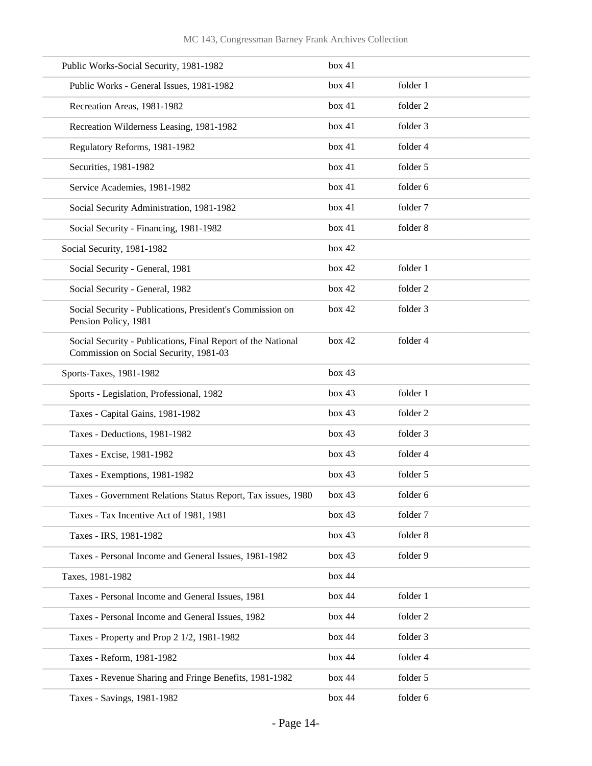| Public Works-Social Security, 1981-1982                                                                | box 41 |          |
|--------------------------------------------------------------------------------------------------------|--------|----------|
| Public Works - General Issues, 1981-1982                                                               | box 41 | folder 1 |
| Recreation Areas, 1981-1982                                                                            | box 41 | folder 2 |
| Recreation Wilderness Leasing, 1981-1982                                                               | box 41 | folder 3 |
| Regulatory Reforms, 1981-1982                                                                          | box 41 | folder 4 |
| Securities, 1981-1982                                                                                  | box 41 | folder 5 |
| Service Academies, 1981-1982                                                                           | box 41 | folder 6 |
| Social Security Administration, 1981-1982                                                              | box 41 | folder 7 |
| Social Security - Financing, 1981-1982                                                                 | box 41 | folder 8 |
| Social Security, 1981-1982                                                                             | box 42 |          |
| Social Security - General, 1981                                                                        | box 42 | folder 1 |
| Social Security - General, 1982                                                                        | box 42 | folder 2 |
| Social Security - Publications, President's Commission on<br>Pension Policy, 1981                      | box 42 | folder 3 |
| Social Security - Publications, Final Report of the National<br>Commission on Social Security, 1981-03 | box 42 | folder 4 |
| Sports-Taxes, 1981-1982                                                                                | box 43 |          |
| Sports - Legislation, Professional, 1982                                                               | box 43 | folder 1 |
| Taxes - Capital Gains, 1981-1982                                                                       | box 43 | folder 2 |
| Taxes - Deductions, 1981-1982                                                                          | box 43 | folder 3 |
| Taxes - Excise, 1981-1982                                                                              | box 43 | folder 4 |
| Taxes - Exemptions, 1981-1982                                                                          | box 43 | folder 5 |
| Taxes - Government Relations Status Report, Tax issues, 1980                                           | box 43 | folder 6 |
| Taxes - Tax Incentive Act of 1981, 1981                                                                | box 43 | folder 7 |
| Taxes - IRS, 1981-1982                                                                                 | box 43 | folder 8 |
| Taxes - Personal Income and General Issues, 1981-1982                                                  | box 43 | folder 9 |
| Taxes, 1981-1982                                                                                       | box 44 |          |
| Taxes - Personal Income and General Issues, 1981                                                       | box 44 | folder 1 |
| Taxes - Personal Income and General Issues, 1982                                                       | box 44 | folder 2 |
| Taxes - Property and Prop 2 1/2, 1981-1982                                                             | box 44 | folder 3 |
| Taxes - Reform, 1981-1982                                                                              | box 44 | folder 4 |
| Taxes - Revenue Sharing and Fringe Benefits, 1981-1982                                                 | box 44 | folder 5 |
| Taxes - Savings, 1981-1982                                                                             | box 44 | folder 6 |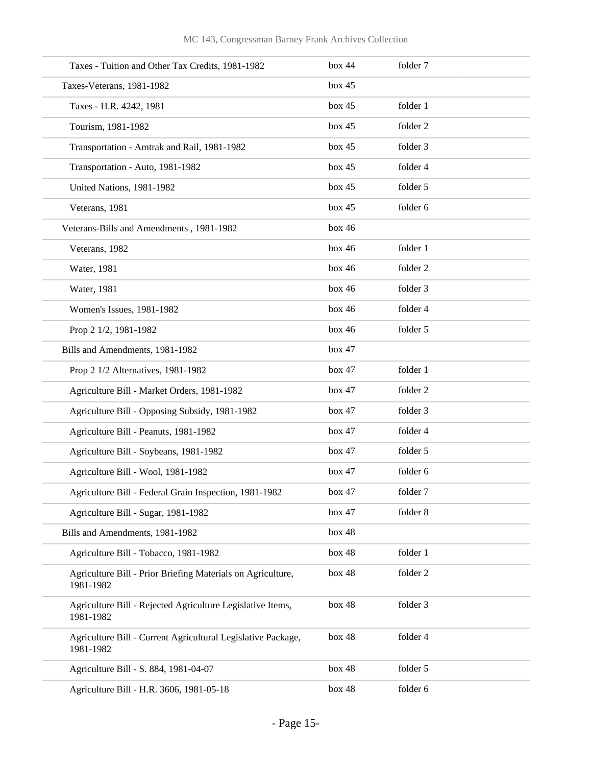| Taxes - Tuition and Other Tax Credits, 1981-1982                          | box 44 | folder 7 |  |
|---------------------------------------------------------------------------|--------|----------|--|
| Taxes-Veterans, 1981-1982                                                 | box 45 |          |  |
| Taxes - H.R. 4242, 1981                                                   | box 45 | folder 1 |  |
| Tourism, 1981-1982                                                        | box 45 | folder 2 |  |
| Transportation - Amtrak and Rail, 1981-1982                               | box 45 | folder 3 |  |
| Transportation - Auto, 1981-1982                                          | box 45 | folder 4 |  |
| United Nations, 1981-1982                                                 | box 45 | folder 5 |  |
| Veterans, 1981                                                            | box 45 | folder 6 |  |
| Veterans-Bills and Amendments, 1981-1982                                  | box 46 |          |  |
| Veterans, 1982                                                            | box 46 | folder 1 |  |
| Water, 1981                                                               | box 46 | folder 2 |  |
| Water, 1981                                                               | box 46 | folder 3 |  |
| Women's Issues, 1981-1982                                                 | box 46 | folder 4 |  |
| Prop 2 1/2, 1981-1982                                                     | box 46 | folder 5 |  |
| Bills and Amendments, 1981-1982                                           | box 47 |          |  |
| Prop 2 1/2 Alternatives, 1981-1982                                        | box 47 | folder 1 |  |
| Agriculture Bill - Market Orders, 1981-1982                               | box 47 | folder 2 |  |
| Agriculture Bill - Opposing Subsidy, 1981-1982                            | box 47 | folder 3 |  |
| Agriculture Bill - Peanuts, 1981-1982                                     | box 47 | folder 4 |  |
| Agriculture Bill - Soybeans, 1981-1982                                    | box 47 | folder 5 |  |
| Agriculture Bill - Wool, 1981-1982                                        | box 47 | folder 6 |  |
| Agriculture Bill - Federal Grain Inspection, 1981-1982                    | box 47 | folder 7 |  |
| Agriculture Bill - Sugar, 1981-1982                                       | box 47 | folder 8 |  |
| Bills and Amendments, 1981-1982                                           | box 48 |          |  |
| Agriculture Bill - Tobacco, 1981-1982                                     | box 48 | folder 1 |  |
| Agriculture Bill - Prior Briefing Materials on Agriculture,<br>1981-1982  | box 48 | folder 2 |  |
| Agriculture Bill - Rejected Agriculture Legislative Items,<br>1981-1982   | box 48 | folder 3 |  |
| Agriculture Bill - Current Agricultural Legislative Package,<br>1981-1982 | box 48 | folder 4 |  |
| Agriculture Bill - S. 884, 1981-04-07                                     | box 48 | folder 5 |  |
| Agriculture Bill - H.R. 3606, 1981-05-18                                  | box 48 | folder 6 |  |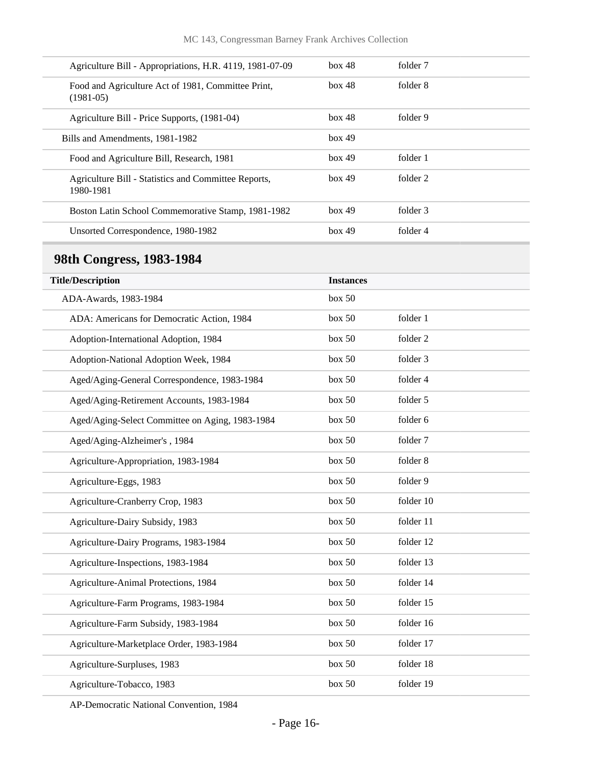|             | Agriculture Bill - Appropriations, H.R. 4119, 1981-07-09 | box 48 | folder 7 |  |
|-------------|----------------------------------------------------------|--------|----------|--|
| $(1981-05)$ | Food and Agriculture Act of 1981, Committee Print,       | box 48 | folder 8 |  |
|             | Agriculture Bill - Price Supports, (1981-04)             | box 48 | folder 9 |  |
|             | Bills and Amendments, 1981-1982                          | box 49 |          |  |
|             | Food and Agriculture Bill, Research, 1981                | box 49 | folder 1 |  |
| 1980-1981   | Agriculture Bill - Statistics and Committee Reports,     | box 49 | folder 2 |  |
|             | Boston Latin School Commemorative Stamp, 1981-1982       | box 49 | folder 3 |  |
|             | Unsorted Correspondence, 1980-1982                       | box 49 | folder 4 |  |

## <span id="page-15-0"></span>**98th Congress, 1983-1984**

| <b>Title/Description</b>                        | <b>Instances</b> |           |
|-------------------------------------------------|------------------|-----------|
|                                                 |                  |           |
| ADA-Awards, 1983-1984                           | box 50           |           |
| ADA: Americans for Democratic Action, 1984      | box 50           | folder 1  |
| Adoption-International Adoption, 1984           | box 50           | folder 2  |
| Adoption-National Adoption Week, 1984           | box 50           | folder 3  |
| Aged/Aging-General Correspondence, 1983-1984    | box 50           | folder 4  |
| Aged/Aging-Retirement Accounts, 1983-1984       | box 50           | folder 5  |
| Aged/Aging-Select Committee on Aging, 1983-1984 | box 50           | folder 6  |
| Aged/Aging-Alzheimer's, 1984                    | box 50           | folder 7  |
| Agriculture-Appropriation, 1983-1984            | box 50           | folder 8  |
| Agriculture-Eggs, 1983                          | box 50           | folder 9  |
| Agriculture-Cranberry Crop, 1983                | box 50           | folder 10 |
| Agriculture-Dairy Subsidy, 1983                 | box 50           | folder 11 |
| Agriculture-Dairy Programs, 1983-1984           | box 50           | folder 12 |
| Agriculture-Inspections, 1983-1984              | box 50           | folder 13 |
| Agriculture-Animal Protections, 1984            | box 50           | folder 14 |
| Agriculture-Farm Programs, 1983-1984            | box 50           | folder 15 |
| Agriculture-Farm Subsidy, 1983-1984             | box 50           | folder 16 |
| Agriculture-Marketplace Order, 1983-1984        | box 50           | folder 17 |
| Agriculture-Surpluses, 1983                     | box 50           | folder 18 |
| Agriculture-Tobacco, 1983                       | box 50           | folder 19 |

AP-Democratic National Convention, 1984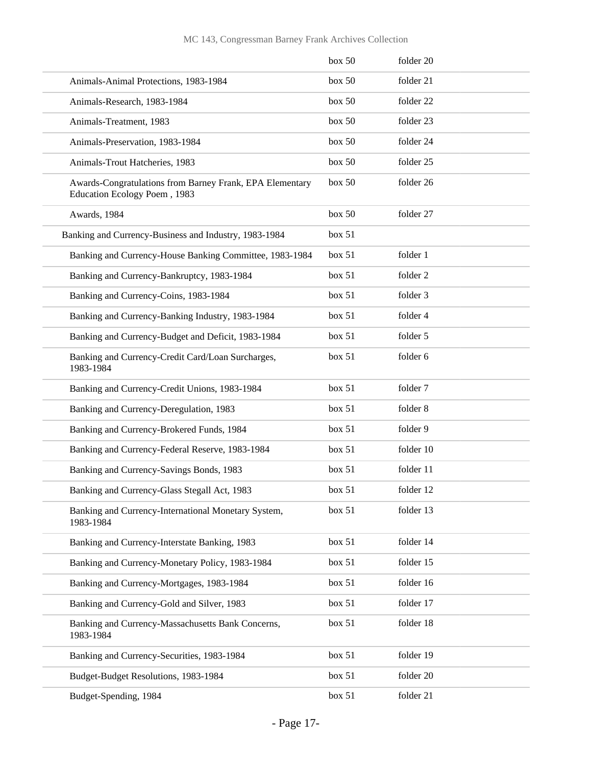|                                                                                          | box 50 | folder 20 |
|------------------------------------------------------------------------------------------|--------|-----------|
| Animals-Animal Protections, 1983-1984                                                    | box 50 | folder 21 |
| Animals-Research, 1983-1984                                                              | box 50 | folder 22 |
| Animals-Treatment, 1983                                                                  | box 50 | folder 23 |
| Animals-Preservation, 1983-1984                                                          | box 50 | folder 24 |
| Animals-Trout Hatcheries, 1983                                                           | box 50 | folder 25 |
| Awards-Congratulations from Barney Frank, EPA Elementary<br>Education Ecology Poem, 1983 | box 50 | folder 26 |
| Awards, 1984                                                                             | box 50 | folder 27 |
| Banking and Currency-Business and Industry, 1983-1984                                    | box~51 |           |
| Banking and Currency-House Banking Committee, 1983-1984                                  | box~51 | folder 1  |
| Banking and Currency-Bankruptcy, 1983-1984                                               | box~51 | folder 2  |
| Banking and Currency-Coins, 1983-1984                                                    | box~51 | folder 3  |
| Banking and Currency-Banking Industry, 1983-1984                                         | box~51 | folder 4  |
| Banking and Currency-Budget and Deficit, 1983-1984                                       | box 51 | folder 5  |
| Banking and Currency-Credit Card/Loan Surcharges,<br>1983-1984                           | box~51 | folder 6  |
| Banking and Currency-Credit Unions, 1983-1984                                            | box 51 | folder 7  |
| Banking and Currency-Deregulation, 1983                                                  | box~51 | folder 8  |
| Banking and Currency-Brokered Funds, 1984                                                | box 51 | folder 9  |
| Banking and Currency-Federal Reserve, 1983-1984                                          | box~51 | folder 10 |
| Banking and Currency-Savings Bonds, 1983                                                 | box~51 | folder 11 |
| Banking and Currency-Glass Stegall Act, 1983                                             | box~51 | folder 12 |
| Banking and Currency-International Monetary System,<br>1983-1984                         | box 51 | folder 13 |
| Banking and Currency-Interstate Banking, 1983                                            | box 51 | folder 14 |
| Banking and Currency-Monetary Policy, 1983-1984                                          | box 51 | folder 15 |
| Banking and Currency-Mortgages, 1983-1984                                                | box 51 | folder 16 |
| Banking and Currency-Gold and Silver, 1983                                               | box 51 | folder 17 |
| Banking and Currency-Massachusetts Bank Concerns,<br>1983-1984                           | box 51 | folder 18 |
| Banking and Currency-Securities, 1983-1984                                               | box 51 | folder 19 |
| Budget-Budget Resolutions, 1983-1984                                                     | box 51 | folder 20 |
| Budget-Spending, 1984                                                                    | box 51 | folder 21 |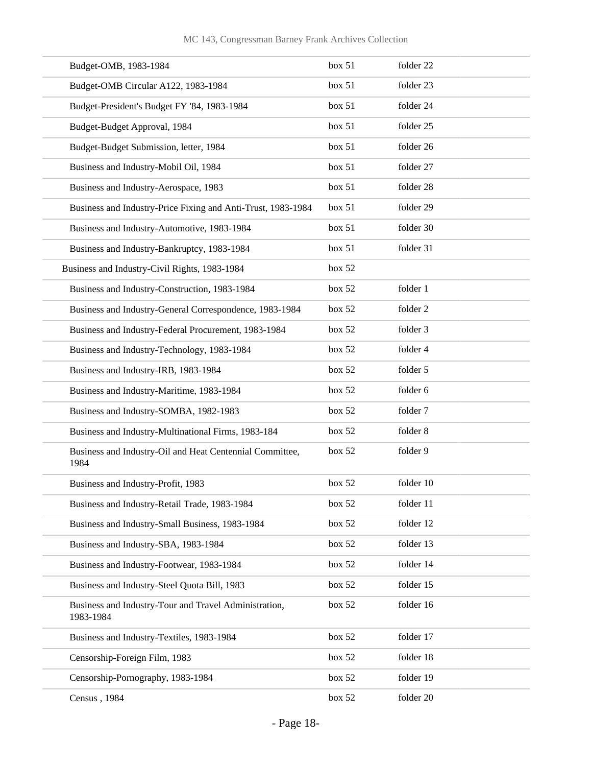#### MC 143, Congressman Barney Frank Archives Collection

| Budget-OMB, 1983-1984                                              | box 51 | folder 22 |
|--------------------------------------------------------------------|--------|-----------|
| Budget-OMB Circular A122, 1983-1984                                | box 51 | folder 23 |
| Budget-President's Budget FY '84, 1983-1984                        | box 51 | folder 24 |
| Budget-Budget Approval, 1984                                       | box 51 | folder 25 |
| Budget-Budget Submission, letter, 1984                             | box 51 | folder 26 |
| Business and Industry-Mobil Oil, 1984                              | box 51 | folder 27 |
| Business and Industry-Aerospace, 1983                              | box 51 | folder 28 |
| Business and Industry-Price Fixing and Anti-Trust, 1983-1984       | box 51 | folder 29 |
| Business and Industry-Automotive, 1983-1984                        | box 51 | folder 30 |
| Business and Industry-Bankruptcy, 1983-1984                        | box 51 | folder 31 |
| Business and Industry-Civil Rights, 1983-1984                      | box 52 |           |
| Business and Industry-Construction, 1983-1984                      | box 52 | folder 1  |
| Business and Industry-General Correspondence, 1983-1984            | box 52 | folder 2  |
| Business and Industry-Federal Procurement, 1983-1984               | box 52 | folder 3  |
| Business and Industry-Technology, 1983-1984                        | box 52 | folder 4  |
| Business and Industry-IRB, 1983-1984                               | box 52 | folder 5  |
| Business and Industry-Maritime, 1983-1984                          | box 52 | folder 6  |
| Business and Industry-SOMBA, 1982-1983                             | box 52 | folder 7  |
| Business and Industry-Multinational Firms, 1983-184                | box 52 | folder 8  |
| Business and Industry-Oil and Heat Centennial Committee,<br>1984   | box 52 | folder 9  |
| Business and Industry-Profit, 1983                                 | box 52 | folder 10 |
| Business and Industry-Retail Trade, 1983-1984                      | box 52 | folder 11 |
| Business and Industry-Small Business, 1983-1984                    | box 52 | folder 12 |
| Business and Industry-SBA, 1983-1984                               | box 52 | folder 13 |
| Business and Industry-Footwear, 1983-1984                          | box 52 | folder 14 |
| Business and Industry-Steel Quota Bill, 1983                       | box 52 | folder 15 |
| Business and Industry-Tour and Travel Administration,<br>1983-1984 | box 52 | folder 16 |
| Business and Industry-Textiles, 1983-1984                          | box 52 | folder 17 |
| Censorship-Foreign Film, 1983                                      | box 52 | folder 18 |
| Censorship-Pornography, 1983-1984                                  | box 52 | folder 19 |
| Census, 1984                                                       | box 52 | folder 20 |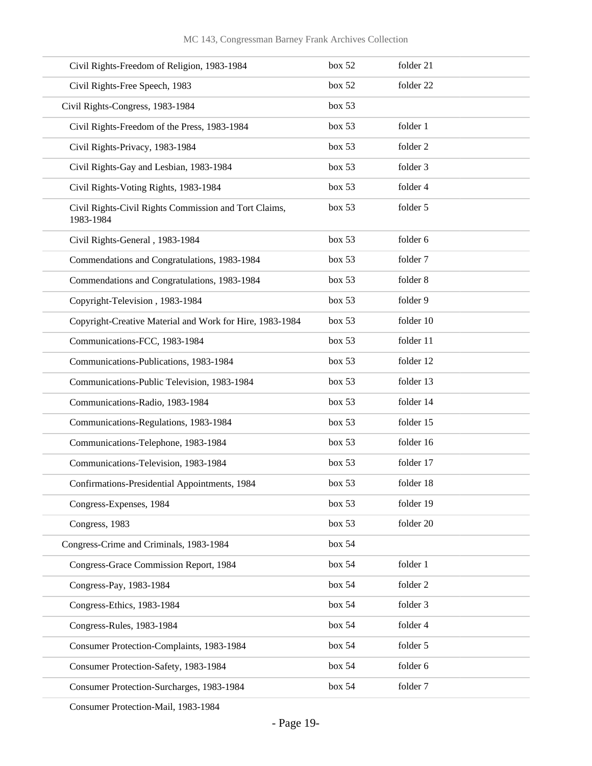| Civil Rights-Freedom of Religion, 1983-1984                        | box 52 | folder 21 |
|--------------------------------------------------------------------|--------|-----------|
| Civil Rights-Free Speech, 1983                                     | box 52 | folder 22 |
| Civil Rights-Congress, 1983-1984                                   | box 53 |           |
| Civil Rights-Freedom of the Press, 1983-1984                       | box 53 | folder 1  |
| Civil Rights-Privacy, 1983-1984                                    | box 53 | folder 2  |
| Civil Rights-Gay and Lesbian, 1983-1984                            | box 53 | folder 3  |
| Civil Rights-Voting Rights, 1983-1984                              | box 53 | folder 4  |
| Civil Rights-Civil Rights Commission and Tort Claims,<br>1983-1984 | box 53 | folder 5  |
| Civil Rights-General, 1983-1984                                    | box 53 | folder 6  |
| Commendations and Congratulations, 1983-1984                       | box 53 | folder 7  |
| Commendations and Congratulations, 1983-1984                       | box 53 | folder 8  |
| Copyright-Television, 1983-1984                                    | box 53 | folder 9  |
| Copyright-Creative Material and Work for Hire, 1983-1984           | box 53 | folder 10 |
| Communications-FCC, 1983-1984                                      | box 53 | folder 11 |
| Communications-Publications, 1983-1984                             | box 53 | folder 12 |
| Communications-Public Television, 1983-1984                        | box 53 | folder 13 |
| Communications-Radio, 1983-1984                                    | box 53 | folder 14 |
| Communications-Regulations, 1983-1984                              | box 53 | folder 15 |
| Communications-Telephone, 1983-1984                                | box 53 | folder 16 |
| Communications-Television, 1983-1984                               | box 53 | folder 17 |
| Confirmations-Presidential Appointments, 1984                      | box 53 | folder 18 |
| Congress-Expenses, 1984                                            | box 53 | folder 19 |
| Congress, 1983                                                     | box 53 | folder 20 |
| Congress-Crime and Criminals, 1983-1984                            | box~54 |           |
| Congress-Grace Commission Report, 1984                             | box~54 | folder 1  |
| Congress-Pay, 1983-1984                                            | box~54 | folder 2  |
| Congress-Ethics, 1983-1984                                         | box~54 | folder 3  |
| Congress-Rules, 1983-1984                                          | box~54 | folder 4  |
| Consumer Protection-Complaints, 1983-1984                          | box~54 | folder 5  |
| Consumer Protection-Safety, 1983-1984                              | box~54 | folder 6  |
| Consumer Protection-Surcharges, 1983-1984                          | box~54 | folder 7  |
|                                                                    |        |           |

Consumer Protection-Mail, 1983-1984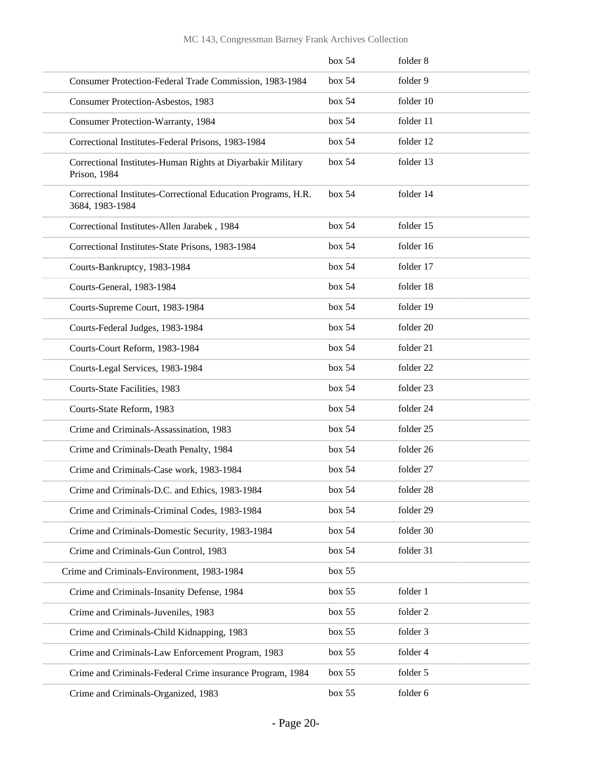|                                                                                  | box 54 | folder 8  |
|----------------------------------------------------------------------------------|--------|-----------|
| Consumer Protection-Federal Trade Commission, 1983-1984                          | box~54 | folder 9  |
| Consumer Protection-Asbestos, 1983                                               | box 54 | folder 10 |
| <b>Consumer Protection-Warranty, 1984</b>                                        | box~54 | folder 11 |
| Correctional Institutes-Federal Prisons, 1983-1984                               | box~54 | folder 12 |
| Correctional Institutes-Human Rights at Diyarbakir Military<br>Prison, 1984      | box 54 | folder 13 |
| Correctional Institutes-Correctional Education Programs, H.R.<br>3684, 1983-1984 | box 54 | folder 14 |
| Correctional Institutes-Allen Jarabek, 1984                                      | box 54 | folder 15 |
| Correctional Institutes-State Prisons, 1983-1984                                 | box~54 | folder 16 |
| Courts-Bankruptcy, 1983-1984                                                     | box 54 | folder 17 |
| Courts-General, 1983-1984                                                        | box 54 | folder 18 |
| Courts-Supreme Court, 1983-1984                                                  | box 54 | folder 19 |
| Courts-Federal Judges, 1983-1984                                                 | box 54 | folder 20 |
| Courts-Court Reform, 1983-1984                                                   | box 54 | folder 21 |
| Courts-Legal Services, 1983-1984                                                 | box 54 | folder 22 |
| Courts-State Facilities, 1983                                                    | box~54 | folder 23 |
| Courts-State Reform, 1983                                                        | box 54 | folder 24 |
| Crime and Criminals-Assassination, 1983                                          | box 54 | folder 25 |
| Crime and Criminals-Death Penalty, 1984                                          | box 54 | folder 26 |
| Crime and Criminals-Case work, 1983-1984                                         | box~54 | folder 27 |
| Crime and Criminals-D.C. and Ethics, 1983-1984                                   | box 54 | folder 28 |
| Crime and Criminals-Criminal Codes, 1983-1984                                    | box 54 | folder 29 |
| Crime and Criminals-Domestic Security, 1983-1984                                 | box~54 | folder 30 |
| Crime and Criminals-Gun Control, 1983                                            | box~54 | folder 31 |
| Crime and Criminals-Environment, 1983-1984                                       | box 55 |           |
| Crime and Criminals-Insanity Defense, 1984                                       | box 55 | folder 1  |
| Crime and Criminals-Juveniles, 1983                                              | box 55 | folder 2  |
| Crime and Criminals-Child Kidnapping, 1983                                       | box 55 | folder 3  |
| Crime and Criminals-Law Enforcement Program, 1983                                | box 55 | folder 4  |
| Crime and Criminals-Federal Crime insurance Program, 1984                        | box 55 | folder 5  |
| Crime and Criminals-Organized, 1983                                              | box 55 | folder 6  |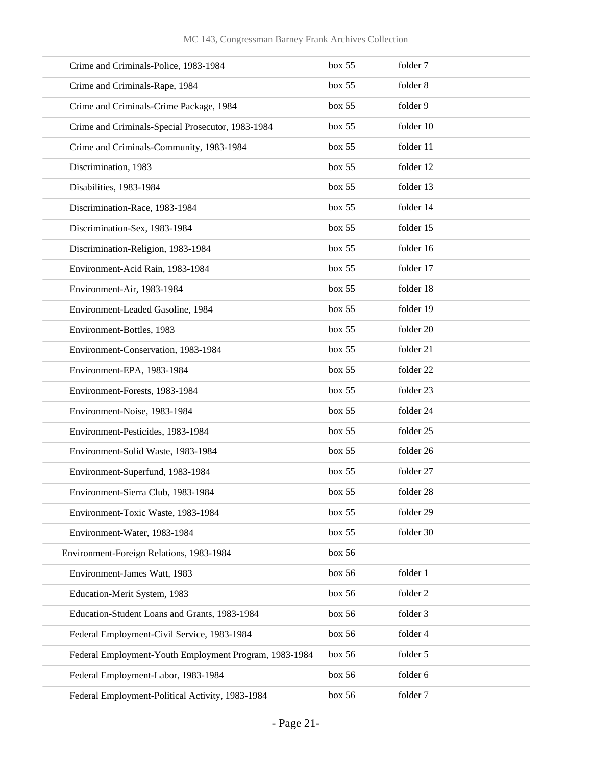| Crime and Criminals-Police, 1983-1984                  | box 55 | folder 7  |
|--------------------------------------------------------|--------|-----------|
| Crime and Criminals-Rape, 1984                         | box 55 | folder 8  |
| Crime and Criminals-Crime Package, 1984                | box~55 | folder 9  |
| Crime and Criminals-Special Prosecutor, 1983-1984      | box 55 | folder 10 |
| Crime and Criminals-Community, 1983-1984               | box 55 | folder 11 |
| Discrimination, 1983                                   | box 55 | folder 12 |
| Disabilities, 1983-1984                                | box 55 | folder 13 |
| Discrimination-Race, 1983-1984                         | box 55 | folder 14 |
| Discrimination-Sex, 1983-1984                          | box 55 | folder 15 |
| Discrimination-Religion, 1983-1984                     | box 55 | folder 16 |
| Environment-Acid Rain, 1983-1984                       | box 55 | folder 17 |
| Environment-Air, 1983-1984                             | box 55 | folder 18 |
| Environment-Leaded Gasoline, 1984                      | box 55 | folder 19 |
| Environment-Bottles, 1983                              | box 55 | folder 20 |
| Environment-Conservation, 1983-1984                    | box 55 | folder 21 |
| Environment-EPA, 1983-1984                             | box 55 | folder 22 |
| Environment-Forests, 1983-1984                         | box 55 | folder 23 |
| Environment-Noise, 1983-1984                           | box 55 | folder 24 |
| Environment-Pesticides, 1983-1984                      | box~55 | folder 25 |
| Environment-Solid Waste, 1983-1984                     | box 55 | folder 26 |
| Environment-Superfund, 1983-1984                       | box 55 | folder 27 |
| Environment-Sierra Club, 1983-1984                     | box 55 | folder 28 |
| Environment-Toxic Waste, 1983-1984                     | box 55 | folder 29 |
| Environment-Water, 1983-1984                           | box 55 | folder 30 |
| Environment-Foreign Relations, 1983-1984               | box 56 |           |
| Environment-James Watt, 1983                           | box 56 | folder 1  |
| Education-Merit System, 1983                           | box 56 | folder 2  |
| Education-Student Loans and Grants, 1983-1984          | box 56 | folder 3  |
| Federal Employment-Civil Service, 1983-1984            | box 56 | folder 4  |
| Federal Employment-Youth Employment Program, 1983-1984 | box 56 | folder 5  |
| Federal Employment-Labor, 1983-1984                    | box 56 | folder 6  |
| Federal Employment-Political Activity, 1983-1984       | box 56 | folder 7  |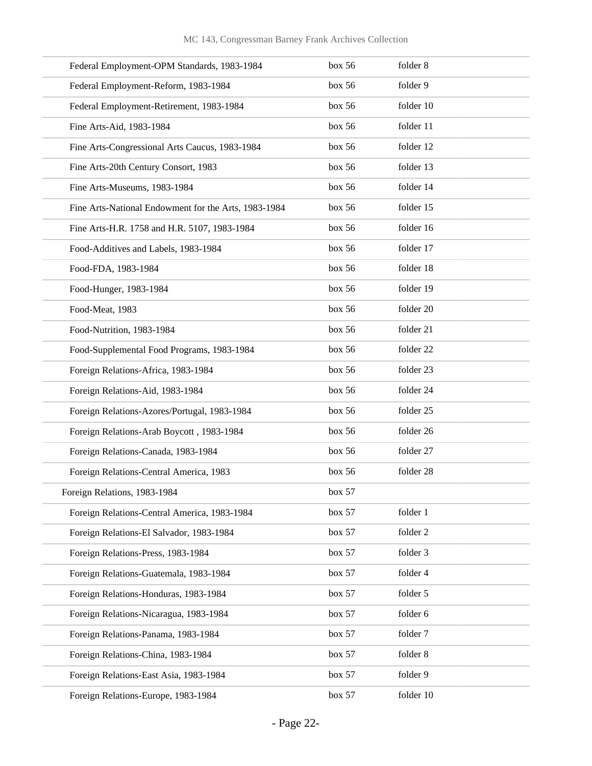| Federal Employment-OPM Standards, 1983-1984          | box 56 | folder 8  |
|------------------------------------------------------|--------|-----------|
| Federal Employment-Reform, 1983-1984                 | box 56 | folder 9  |
| Federal Employment-Retirement, 1983-1984             | box~56 | folder 10 |
| Fine Arts-Aid, 1983-1984                             | box 56 | folder 11 |
| Fine Arts-Congressional Arts Caucus, 1983-1984       | box 56 | folder 12 |
| Fine Arts-20th Century Consort, 1983                 | box 56 | folder 13 |
| Fine Arts-Museums, 1983-1984                         | box~56 | folder 14 |
| Fine Arts-National Endowment for the Arts, 1983-1984 | box 56 | folder 15 |
| Fine Arts-H.R. 1758 and H.R. 5107, 1983-1984         | box 56 | folder 16 |
| Food-Additives and Labels, 1983-1984                 | box 56 | folder 17 |
| Food-FDA, 1983-1984                                  | box 56 | folder 18 |
| Food-Hunger, 1983-1984                               | box 56 | folder 19 |
| Food-Meat, 1983                                      | box 56 | folder 20 |
| Food-Nutrition, 1983-1984                            | box 56 | folder 21 |
| Food-Supplemental Food Programs, 1983-1984           | box 56 | folder 22 |
| Foreign Relations-Africa, 1983-1984                  | box 56 | folder 23 |
| Foreign Relations-Aid, 1983-1984                     | box 56 | folder 24 |
| Foreign Relations-Azores/Portugal, 1983-1984         | box~56 | folder 25 |
| Foreign Relations-Arab Boycott, 1983-1984            | box 56 | folder 26 |
| Foreign Relations-Canada, 1983-1984                  | box 56 | folder 27 |
| Foreign Relations-Central America, 1983              | box 56 | folder 28 |
| Foreign Relations, 1983-1984                         | box 57 |           |
| Foreign Relations-Central America, 1983-1984         | box 57 | folder 1  |
| Foreign Relations-El Salvador, 1983-1984             | box 57 | folder 2  |
| Foreign Relations-Press, 1983-1984                   | box 57 | folder 3  |
| Foreign Relations-Guatemala, 1983-1984               | box 57 | folder 4  |
| Foreign Relations-Honduras, 1983-1984                | box 57 | folder 5  |
| Foreign Relations-Nicaragua, 1983-1984               | box 57 | folder 6  |
| Foreign Relations-Panama, 1983-1984                  | box 57 | folder 7  |
| Foreign Relations-China, 1983-1984                   | box 57 | folder 8  |
| Foreign Relations-East Asia, 1983-1984               | box 57 | folder 9  |
| Foreign Relations-Europe, 1983-1984                  | box 57 | folder 10 |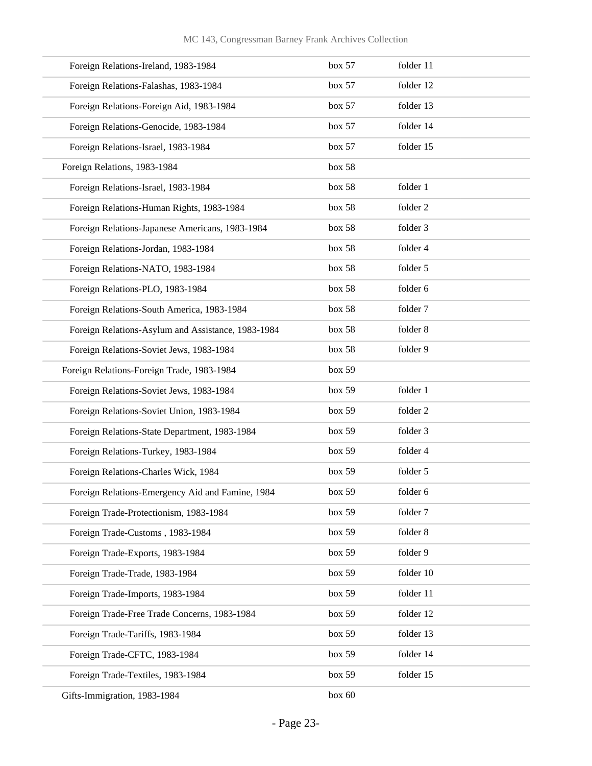| Foreign Relations-Ireland, 1983-1984               | box 57 | folder 11 |
|----------------------------------------------------|--------|-----------|
| Foreign Relations-Falashas, 1983-1984              | box 57 | folder 12 |
| Foreign Relations-Foreign Aid, 1983-1984           | box 57 | folder 13 |
| Foreign Relations-Genocide, 1983-1984              | box 57 | folder 14 |
| Foreign Relations-Israel, 1983-1984                | box 57 | folder 15 |
| Foreign Relations, 1983-1984                       | box 58 |           |
| Foreign Relations-Israel, 1983-1984                | box 58 | folder 1  |
| Foreign Relations-Human Rights, 1983-1984          | box 58 | folder 2  |
| Foreign Relations-Japanese Americans, 1983-1984    | box 58 | folder 3  |
| Foreign Relations-Jordan, 1983-1984                | box 58 | folder 4  |
| Foreign Relations-NATO, 1983-1984                  | box 58 | folder 5  |
| Foreign Relations-PLO, 1983-1984                   | box 58 | folder 6  |
| Foreign Relations-South America, 1983-1984         | box 58 | folder 7  |
| Foreign Relations-Asylum and Assistance, 1983-1984 | box 58 | folder 8  |
| Foreign Relations-Soviet Jews, 1983-1984           | box 58 | folder 9  |
| Foreign Relations-Foreign Trade, 1983-1984         | box 59 |           |
| Foreign Relations-Soviet Jews, 1983-1984           | box 59 | folder 1  |
| Foreign Relations-Soviet Union, 1983-1984          | box 59 | folder 2  |
| Foreign Relations-State Department, 1983-1984      | box 59 | folder 3  |
| Foreign Relations-Turkey, 1983-1984                | box 59 | folder 4  |
| Foreign Relations-Charles Wick, 1984               | box 59 | folder 5  |
| Foreign Relations-Emergency Aid and Famine, 1984   | box 59 | folder 6  |
| Foreign Trade-Protectionism, 1983-1984             | box 59 | folder 7  |
| Foreign Trade-Customs, 1983-1984                   | box 59 | folder 8  |
| Foreign Trade-Exports, 1983-1984                   | box 59 | folder 9  |
| Foreign Trade-Trade, 1983-1984                     | box 59 | folder 10 |
| Foreign Trade-Imports, 1983-1984                   | box 59 | folder 11 |
| Foreign Trade-Free Trade Concerns, 1983-1984       | box 59 | folder 12 |
| Foreign Trade-Tariffs, 1983-1984                   | box 59 | folder 13 |
| Foreign Trade-CFTC, 1983-1984                      | box 59 | folder 14 |
| Foreign Trade-Textiles, 1983-1984                  | box 59 | folder 15 |
| Gifts-Immigration, 1983-1984                       | box 60 |           |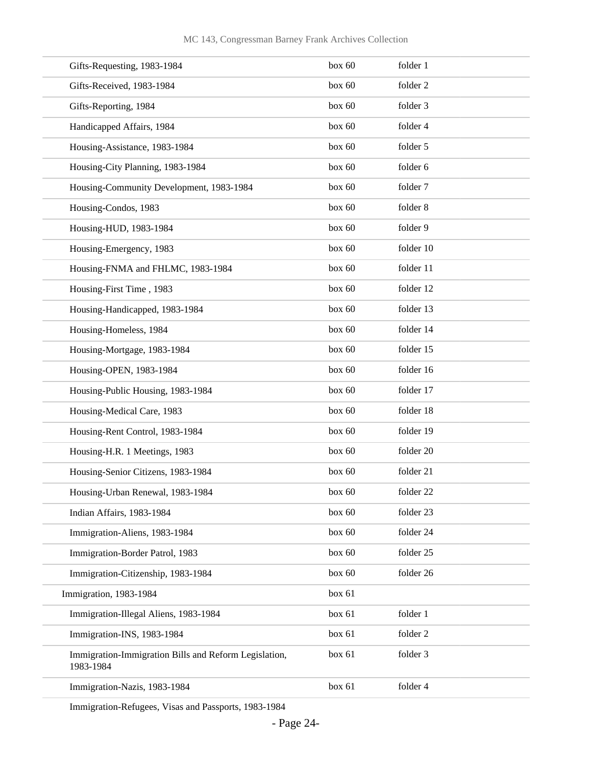| Gifts-Requesting, 1983-1984                                        | box 60 | folder 1            |
|--------------------------------------------------------------------|--------|---------------------|
| Gifts-Received, 1983-1984                                          | box 60 | folder <sub>2</sub> |
| Gifts-Reporting, 1984                                              | box 60 | folder 3            |
| Handicapped Affairs, 1984                                          | box 60 | folder 4            |
| Housing-Assistance, 1983-1984                                      | box 60 | folder 5            |
| Housing-City Planning, 1983-1984                                   | box 60 | folder 6            |
| Housing-Community Development, 1983-1984                           | box 60 | folder 7            |
| Housing-Condos, 1983                                               | box 60 | folder 8            |
| Housing-HUD, 1983-1984                                             | box 60 | folder 9            |
| Housing-Emergency, 1983                                            | box 60 | folder 10           |
| Housing-FNMA and FHLMC, 1983-1984                                  | box 60 | folder 11           |
| Housing-First Time, 1983                                           | box 60 | folder 12           |
| Housing-Handicapped, 1983-1984                                     | box 60 | folder 13           |
| Housing-Homeless, 1984                                             | box 60 | folder 14           |
| Housing-Mortgage, 1983-1984                                        | box 60 | folder 15           |
| Housing-OPEN, 1983-1984                                            | box 60 | folder 16           |
| Housing-Public Housing, 1983-1984                                  | box 60 | folder 17           |
| Housing-Medical Care, 1983                                         | box 60 | folder 18           |
| Housing-Rent Control, 1983-1984                                    | box 60 | folder 19           |
| Housing-H.R. 1 Meetings, 1983                                      | box 60 | folder 20           |
| Housing-Senior Citizens, 1983-1984                                 | box 60 | folder 21           |
| Housing-Urban Renewal, 1983-1984                                   | box 60 | folder 22           |
| Indian Affairs, 1983-1984                                          | box 60 | folder 23           |
| Immigration-Aliens, 1983-1984                                      | box 60 | folder 24           |
| Immigration-Border Patrol, 1983                                    | box 60 | folder 25           |
| Immigration-Citizenship, 1983-1984                                 | box 60 | folder 26           |
| Immigration, 1983-1984                                             | box 61 |                     |
| Immigration-Illegal Aliens, 1983-1984                              | box 61 | folder 1            |
| Immigration-INS, 1983-1984                                         | box 61 | folder 2            |
| Immigration-Immigration Bills and Reform Legislation,<br>1983-1984 | box 61 | folder 3            |
| Immigration-Nazis, 1983-1984                                       | box 61 | folder 4            |
|                                                                    |        |                     |

Immigration-Refugees, Visas and Passports, 1983-1984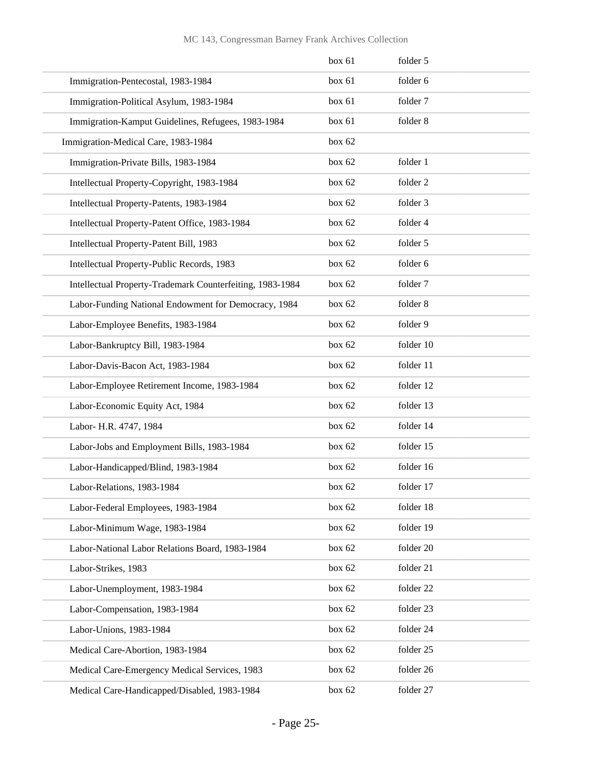|                                                           | box 61   | folder 5  |
|-----------------------------------------------------------|----------|-----------|
| Immigration-Pentecostal, 1983-1984                        | box 61   | folder 6  |
| Immigration-Political Asylum, 1983-1984                   | box 61   | folder 7  |
| Immigration-Kamput Guidelines, Refugees, 1983-1984        | box 61   | folder 8  |
| Immigration-Medical Care, 1983-1984                       | box $62$ |           |
| Immigration-Private Bills, 1983-1984                      | box 62   | folder 1  |
| Intellectual Property-Copyright, 1983-1984                | box 62   | folder 2  |
| Intellectual Property-Patents, 1983-1984                  | box $62$ | folder 3  |
| Intellectual Property-Patent Office, 1983-1984            | box $62$ | folder 4  |
| Intellectual Property-Patent Bill, 1983                   | box 62   | folder 5  |
| Intellectual Property-Public Records, 1983                | box 62   | folder 6  |
| Intellectual Property-Trademark Counterfeiting, 1983-1984 | box 62   | folder 7  |
| Labor-Funding National Endowment for Democracy, 1984      | box $62$ | folder 8  |
| Labor-Employee Benefits, 1983-1984                        | box 62   | folder 9  |
| Labor-Bankruptcy Bill, 1983-1984                          | box 62   | folder 10 |
| Labor-Davis-Bacon Act, 1983-1984                          | box 62   | folder 11 |
| Labor-Employee Retirement Income, 1983-1984               | box $62$ | folder 12 |
| Labor-Economic Equity Act, 1984                           | box 62   | folder 13 |
| Labor- H.R. 4747, 1984                                    | box 62   | folder 14 |
| Labor-Jobs and Employment Bills, 1983-1984                | box 62   | folder 15 |
| Labor-Handicapped/Blind, 1983-1984                        | box $62$ | folder 16 |
| Labor-Relations, 1983-1984                                | box 62   | folder 17 |
| Labor-Federal Employees, 1983-1984                        | box 62   | folder 18 |
| Labor-Minimum Wage, 1983-1984                             | box 62   | folder 19 |
| Labor-National Labor Relations Board, 1983-1984           | box 62   | folder 20 |
| Labor-Strikes, 1983                                       | box 62   | folder 21 |
| Labor-Unemployment, 1983-1984                             | box 62   | folder 22 |
| Labor-Compensation, 1983-1984                             | box 62   | folder 23 |
| Labor-Unions, 1983-1984                                   | box 62   | folder 24 |
| Medical Care-Abortion, 1983-1984                          | box 62   | folder 25 |
| Medical Care-Emergency Medical Services, 1983             | box 62   | folder 26 |
| Medical Care-Handicapped/Disabled, 1983-1984              | box 62   | folder 27 |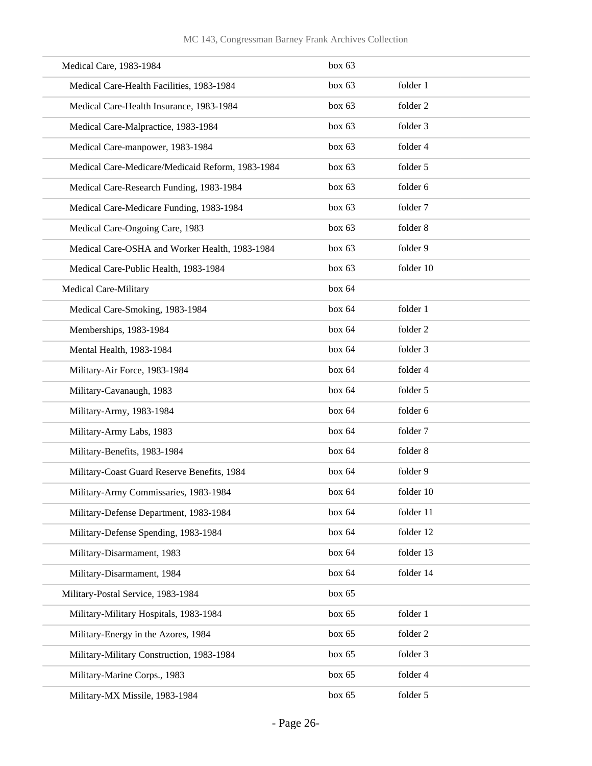| Medical Care, 1983-1984                          | box 63   |           |
|--------------------------------------------------|----------|-----------|
| Medical Care-Health Facilities, 1983-1984        | box 63   | folder 1  |
| Medical Care-Health Insurance, 1983-1984         | box $63$ | folder 2  |
| Medical Care-Malpractice, 1983-1984              | box 63   | folder 3  |
| Medical Care-manpower, 1983-1984                 | box 63   | folder 4  |
| Medical Care-Medicare/Medicaid Reform, 1983-1984 | box 63   | folder 5  |
| Medical Care-Research Funding, 1983-1984         | box $63$ | folder 6  |
| Medical Care-Medicare Funding, 1983-1984         | box $63$ | folder 7  |
| Medical Care-Ongoing Care, 1983                  | box 63   | folder 8  |
| Medical Care-OSHA and Worker Health, 1983-1984   | box 63   | folder 9  |
| Medical Care-Public Health, 1983-1984            | box 63   | folder 10 |
| Medical Care-Military                            | box 64   |           |
| Medical Care-Smoking, 1983-1984                  | box 64   | folder 1  |
| Memberships, 1983-1984                           | box 64   | folder 2  |
| Mental Health, 1983-1984                         | box 64   | folder 3  |
| Military-Air Force, 1983-1984                    | box 64   | folder 4  |
| Military-Cavanaugh, 1983                         | box 64   | folder 5  |
| Military-Army, 1983-1984                         | box 64   | folder 6  |
| Military-Army Labs, 1983                         | box 64   | folder 7  |
| Military-Benefits, 1983-1984                     | box 64   | folder 8  |
| Military-Coast Guard Reserve Benefits, 1984      | box 64   | folder 9  |
| Military-Army Commissaries, 1983-1984            | box 64   | folder 10 |
| Military-Defense Department, 1983-1984           | box 64   | folder 11 |
| Military-Defense Spending, 1983-1984             | box 64   | folder 12 |
| Military-Disarmament, 1983                       | box 64   | folder 13 |
| Military-Disarmament, 1984                       | box 64   | folder 14 |
| Military-Postal Service, 1983-1984               | box $65$ |           |
| Military-Military Hospitals, 1983-1984           | box 65   | folder 1  |
| Military-Energy in the Azores, 1984              | box $65$ | folder 2  |
| Military-Military Construction, 1983-1984        | box $65$ | folder 3  |
| Military-Marine Corps., 1983                     | box $65$ | folder 4  |
| Military-MX Missile, 1983-1984                   | box $65$ | folder 5  |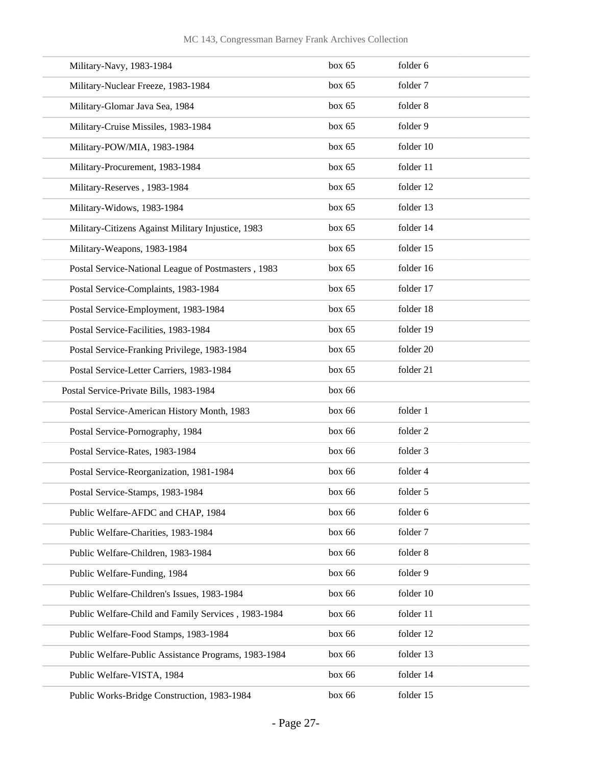| Military-Navy, 1983-1984                             | box 65 | folder 6  |
|------------------------------------------------------|--------|-----------|
| Military-Nuclear Freeze, 1983-1984                   | box 65 | folder 7  |
| Military-Glomar Java Sea, 1984                       | box 65 | folder 8  |
| Military-Cruise Missiles, 1983-1984                  | box 65 | folder 9  |
| Military-POW/MIA, 1983-1984                          | box 65 | folder 10 |
| Military-Procurement, 1983-1984                      | box 65 | folder 11 |
| Military-Reserves, 1983-1984                         | box 65 | folder 12 |
| Military-Widows, 1983-1984                           | box 65 | folder 13 |
| Military-Citizens Against Military Injustice, 1983   | box 65 | folder 14 |
| Military-Weapons, 1983-1984                          | box 65 | folder 15 |
| Postal Service-National League of Postmasters, 1983  | box 65 | folder 16 |
| Postal Service-Complaints, 1983-1984                 | box 65 | folder 17 |
| Postal Service-Employment, 1983-1984                 | box 65 | folder 18 |
| Postal Service-Facilities, 1983-1984                 | box 65 | folder 19 |
| Postal Service-Franking Privilege, 1983-1984         | box 65 | folder 20 |
| Postal Service-Letter Carriers, 1983-1984            | box 65 | folder 21 |
| Postal Service-Private Bills, 1983-1984              | box 66 |           |
| Postal Service-American History Month, 1983          | box 66 | folder 1  |
| Postal Service-Pornography, 1984                     | box 66 | folder 2  |
| Postal Service-Rates, 1983-1984                      | box 66 | folder 3  |
| Postal Service-Reorganization, 1981-1984             | box 66 | folder 4  |
| Postal Service-Stamps, 1983-1984                     | box 66 | folder 5  |
| Public Welfare-AFDC and CHAP, 1984                   | box 66 | folder 6  |
| Public Welfare-Charities, 1983-1984                  | box 66 | folder 7  |
| Public Welfare-Children, 1983-1984                   | box 66 | folder 8  |
| Public Welfare-Funding, 1984                         | box 66 | folder 9  |
| Public Welfare-Children's Issues, 1983-1984          | box 66 | folder 10 |
| Public Welfare-Child and Family Services, 1983-1984  | box 66 | folder 11 |
| Public Welfare-Food Stamps, 1983-1984                | box 66 | folder 12 |
| Public Welfare-Public Assistance Programs, 1983-1984 | box 66 | folder 13 |
| Public Welfare-VISTA, 1984                           | box 66 | folder 14 |
| Public Works-Bridge Construction, 1983-1984          | box 66 | folder 15 |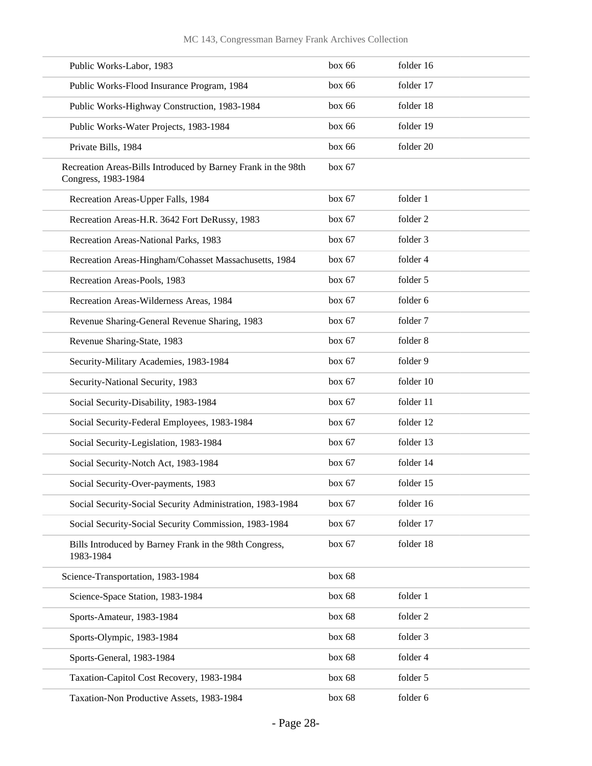| Public Works-Labor, 1983                                                             | box 66 | folder 16 |
|--------------------------------------------------------------------------------------|--------|-----------|
| Public Works-Flood Insurance Program, 1984                                           | box 66 | folder 17 |
| Public Works-Highway Construction, 1983-1984                                         | box 66 | folder 18 |
| Public Works-Water Projects, 1983-1984                                               | box 66 | folder 19 |
| Private Bills, 1984                                                                  | box 66 | folder 20 |
| Recreation Areas-Bills Introduced by Barney Frank in the 98th<br>Congress, 1983-1984 | box 67 |           |
| Recreation Areas-Upper Falls, 1984                                                   | box 67 | folder 1  |
| Recreation Areas-H.R. 3642 Fort DeRussy, 1983                                        | box 67 | folder 2  |
| Recreation Areas-National Parks, 1983                                                | box 67 | folder 3  |
| Recreation Areas-Hingham/Cohasset Massachusetts, 1984                                | box 67 | folder 4  |
| Recreation Areas-Pools, 1983                                                         | box 67 | folder 5  |
| Recreation Areas-Wilderness Areas, 1984                                              | box 67 | folder 6  |
| Revenue Sharing-General Revenue Sharing, 1983                                        | box 67 | folder 7  |
| Revenue Sharing-State, 1983                                                          | box 67 | folder 8  |
| Security-Military Academies, 1983-1984                                               | box 67 | folder 9  |
| Security-National Security, 1983                                                     | box 67 | folder 10 |
| Social Security-Disability, 1983-1984                                                | box 67 | folder 11 |
| Social Security-Federal Employees, 1983-1984                                         | box 67 | folder 12 |
| Social Security-Legislation, 1983-1984                                               | box 67 | folder 13 |
| Social Security-Notch Act, 1983-1984                                                 | box 67 | folder 14 |
| Social Security-Over-payments, 1983                                                  | box 67 | folder 15 |
| Social Security-Social Security Administration, 1983-1984                            | box 67 | folder 16 |
| Social Security-Social Security Commission, 1983-1984                                | box 67 | folder 17 |
| Bills Introduced by Barney Frank in the 98th Congress,<br>1983-1984                  | box 67 | folder 18 |
| Science-Transportation, 1983-1984                                                    | box 68 |           |
| Science-Space Station, 1983-1984                                                     | box 68 | folder 1  |
| Sports-Amateur, 1983-1984                                                            | box 68 | folder 2  |
| Sports-Olympic, 1983-1984                                                            | box 68 | folder 3  |
| Sports-General, 1983-1984                                                            | box 68 | folder 4  |
| Taxation-Capitol Cost Recovery, 1983-1984                                            | box 68 | folder 5  |
| Taxation-Non Productive Assets, 1983-1984                                            | box 68 | folder 6  |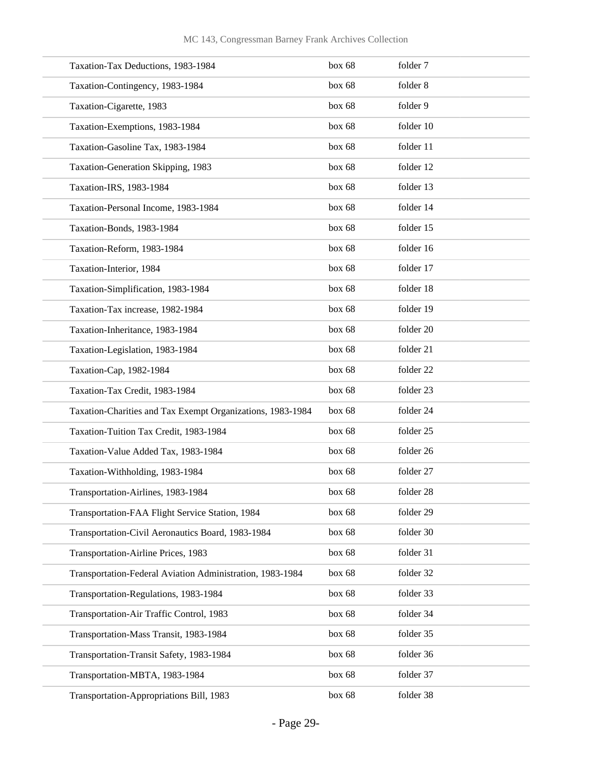| Taxation-Tax Deductions, 1983-1984                         | box 68 | folder 7  |
|------------------------------------------------------------|--------|-----------|
| Taxation-Contingency, 1983-1984                            | box 68 | folder 8  |
| Taxation-Cigarette, 1983                                   | box 68 | folder 9  |
| Taxation-Exemptions, 1983-1984                             | box 68 | folder 10 |
| Taxation-Gasoline Tax, 1983-1984                           | box 68 | folder 11 |
| Taxation-Generation Skipping, 1983                         | box 68 | folder 12 |
| Taxation-IRS, 1983-1984                                    | box 68 | folder 13 |
| Taxation-Personal Income, 1983-1984                        | box 68 | folder 14 |
| Taxation-Bonds, 1983-1984                                  | box 68 | folder 15 |
| Taxation-Reform, 1983-1984                                 | box 68 | folder 16 |
| Taxation-Interior, 1984                                    | box 68 | folder 17 |
| Taxation-Simplification, 1983-1984                         | box 68 | folder 18 |
| Taxation-Tax increase, 1982-1984                           | box 68 | folder 19 |
| Taxation-Inheritance, 1983-1984                            | box 68 | folder 20 |
| Taxation-Legislation, 1983-1984                            | box 68 | folder 21 |
| Taxation-Cap, 1982-1984                                    | box 68 | folder 22 |
| Taxation-Tax Credit, 1983-1984                             | box 68 | folder 23 |
| Taxation-Charities and Tax Exempt Organizations, 1983-1984 | box 68 | folder 24 |
| Taxation-Tuition Tax Credit, 1983-1984                     | box 68 | folder 25 |
| Taxation-Value Added Tax, 1983-1984                        | box 68 | folder 26 |
| Taxation-Withholding, 1983-1984                            | box 68 | folder 27 |
| Transportation-Airlines, 1983-1984                         | box 68 | folder 28 |
| Transportation-FAA Flight Service Station, 1984            | box 68 | folder 29 |
| Transportation-Civil Aeronautics Board, 1983-1984          | box 68 | folder 30 |
| Transportation-Airline Prices, 1983                        | box 68 | folder 31 |
| Transportation-Federal Aviation Administration, 1983-1984  | box 68 | folder 32 |
| Transportation-Regulations, 1983-1984                      | box 68 | folder 33 |
| Transportation-Air Traffic Control, 1983                   | box 68 | folder 34 |
| Transportation-Mass Transit, 1983-1984                     | box 68 | folder 35 |
| Transportation-Transit Safety, 1983-1984                   | box 68 | folder 36 |
| Transportation-MBTA, 1983-1984                             | box 68 | folder 37 |
| Transportation-Appropriations Bill, 1983                   | box 68 | folder 38 |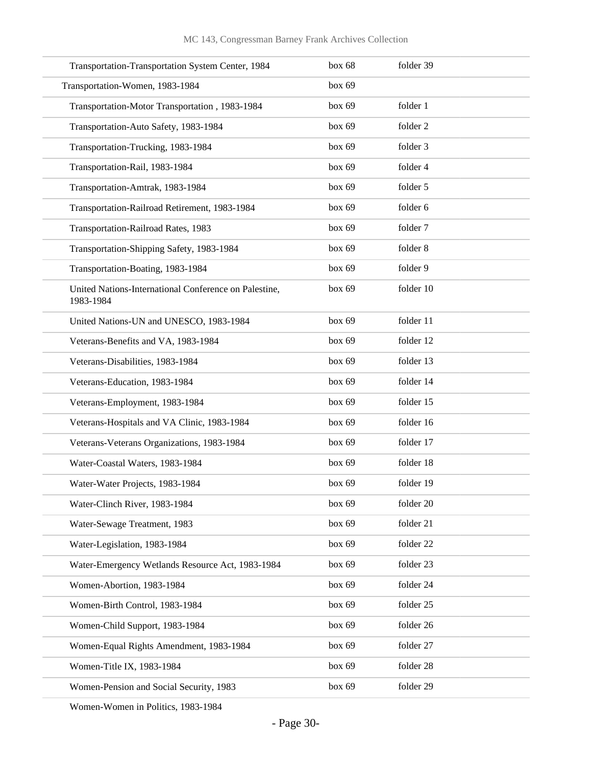| Transportation-Transportation System Center, 1984                  | box 68   | folder 39 |
|--------------------------------------------------------------------|----------|-----------|
| Transportation-Women, 1983-1984                                    | box 69   |           |
| Transportation-Motor Transportation, 1983-1984                     | box 69   | folder 1  |
| Transportation-Auto Safety, 1983-1984                              | box 69   | folder 2  |
| Transportation-Trucking, 1983-1984                                 | box 69   | folder 3  |
| Transportation-Rail, 1983-1984                                     | box 69   | folder 4  |
| Transportation-Amtrak, 1983-1984                                   | box 69   | folder 5  |
| Transportation-Railroad Retirement, 1983-1984                      | box 69   | folder 6  |
| Transportation-Railroad Rates, 1983                                | box 69   | folder 7  |
| Transportation-Shipping Safety, 1983-1984                          | box 69   | folder 8  |
| Transportation-Boating, 1983-1984                                  | box 69   | folder 9  |
| United Nations-International Conference on Palestine,<br>1983-1984 | box 69   | folder 10 |
| United Nations-UN and UNESCO, 1983-1984                            | box 69   | folder 11 |
| Veterans-Benefits and VA, 1983-1984                                | box 69   | folder 12 |
| Veterans-Disabilities, 1983-1984                                   | box 69   | folder 13 |
| Veterans-Education, 1983-1984                                      | box $69$ | folder 14 |
| Veterans-Employment, 1983-1984                                     | box 69   | folder 15 |
| Veterans-Hospitals and VA Clinic, 1983-1984                        | box 69   | folder 16 |
| Veterans-Veterans Organizations, 1983-1984                         | box 69   | folder 17 |
| Water-Coastal Waters, 1983-1984                                    | box $69$ | folder 18 |
| Water-Water Projects, 1983-1984                                    | box 69   | folder 19 |
| Water-Clinch River, 1983-1984                                      | box 69   | folder 20 |
| Water-Sewage Treatment, 1983                                       | box 69   | folder 21 |
| Water-Legislation, 1983-1984                                       | box 69   | folder 22 |
| Water-Emergency Wetlands Resource Act, 1983-1984                   | box 69   | folder 23 |
| Women-Abortion, 1983-1984                                          | box 69   | folder 24 |
| Women-Birth Control, 1983-1984                                     | box 69   | folder 25 |
| Women-Child Support, 1983-1984                                     | box 69   | folder 26 |
| Women-Equal Rights Amendment, 1983-1984                            | box 69   | folder 27 |
| Women-Title IX, 1983-1984                                          | box 69   | folder 28 |
| Women-Pension and Social Security, 1983                            | box 69   | folder 29 |

Women-Women in Politics, 1983-1984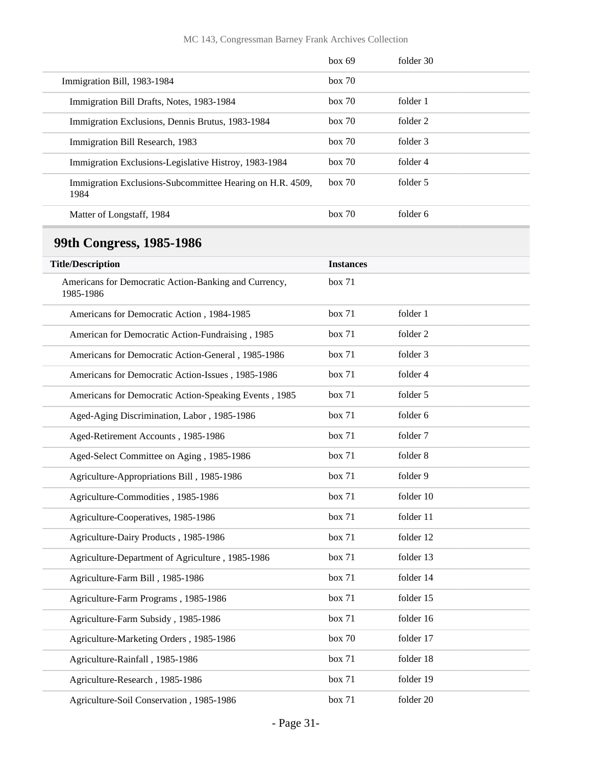#### MC 143, Congressman Barney Frank Archives Collection

|                                                                   | box 69 | folder 30 |
|-------------------------------------------------------------------|--------|-----------|
| Immigration Bill, 1983-1984                                       | box 70 |           |
| Immigration Bill Drafts, Notes, 1983-1984                         | box~70 | folder 1  |
| Immigration Exclusions, Dennis Brutus, 1983-1984                  | box 70 | folder 2  |
| Immigration Bill Research, 1983                                   | box~70 | folder 3  |
| Immigration Exclusions-Legislative Histroy, 1983-1984             | box 70 | folder 4  |
| Immigration Exclusions-Subcommittee Hearing on H.R. 4509,<br>1984 | box 70 | folder 5  |
| Matter of Longstaff, 1984                                         | box 70 | folder 6  |

## <span id="page-30-0"></span>**99th Congress, 1985-1986**

| <b>Title/Description</b>                                           | <b>Instances</b> |           |
|--------------------------------------------------------------------|------------------|-----------|
| Americans for Democratic Action-Banking and Currency,<br>1985-1986 | box 71           |           |
| Americans for Democratic Action, 1984-1985                         | box 71           | folder 1  |
| American for Democratic Action-Fundraising, 1985                   | box 71           | folder 2  |
| Americans for Democratic Action-General, 1985-1986                 | box 71           | folder 3  |
| Americans for Democratic Action-Issues, 1985-1986                  | box 71           | folder 4  |
| Americans for Democratic Action-Speaking Events, 1985              | box 71           | folder 5  |
| Aged-Aging Discrimination, Labor, 1985-1986                        | box 71           | folder 6  |
| Aged-Retirement Accounts, 1985-1986                                | box 71           | folder 7  |
| Aged-Select Committee on Aging, 1985-1986                          | box 71           | folder 8  |
| Agriculture-Appropriations Bill, 1985-1986                         | box 71           | folder 9  |
| Agriculture-Commodities, 1985-1986                                 | box 71           | folder 10 |
| Agriculture-Cooperatives, 1985-1986                                | box 71           | folder 11 |
| Agriculture-Dairy Products, 1985-1986                              | box 71           | folder 12 |
| Agriculture-Department of Agriculture, 1985-1986                   | box 71           | folder 13 |
| Agriculture-Farm Bill, 1985-1986                                   | box 71           | folder 14 |
| Agriculture-Farm Programs, 1985-1986                               | box 71           | folder 15 |
| Agriculture-Farm Subsidy, 1985-1986                                | box 71           | folder 16 |
| Agriculture-Marketing Orders, 1985-1986                            | box 70           | folder 17 |
| Agriculture-Rainfall, 1985-1986                                    | box 71           | folder 18 |
| Agriculture-Research, 1985-1986                                    | box 71           | folder 19 |
| Agriculture-Soil Conservation, 1985-1986                           | box 71           | folder 20 |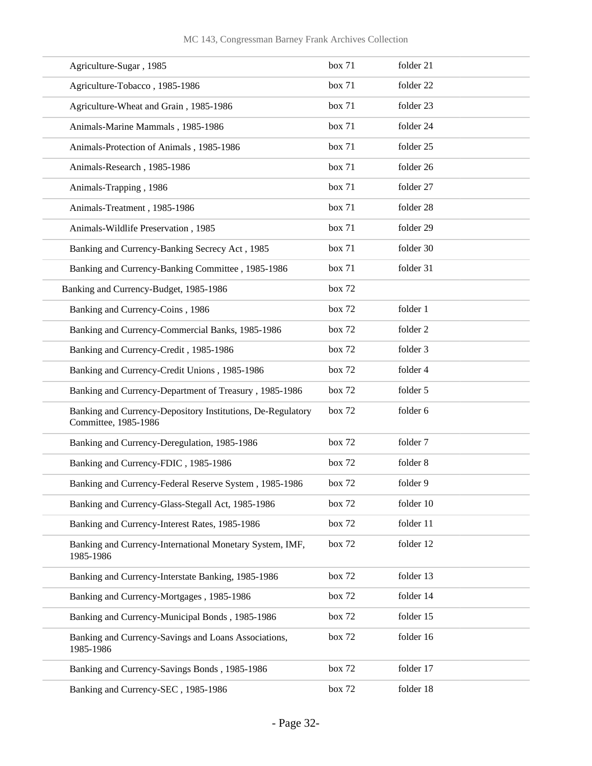| Agriculture-Sugar, 1985                                                             | box 71 | folder 21 |
|-------------------------------------------------------------------------------------|--------|-----------|
| Agriculture-Tobacco, 1985-1986                                                      | box 71 | folder 22 |
| Agriculture-Wheat and Grain, 1985-1986                                              | box 71 | folder 23 |
| Animals-Marine Mammals, 1985-1986                                                   | box 71 | folder 24 |
| Animals-Protection of Animals, 1985-1986                                            | box 71 | folder 25 |
| Animals-Research, 1985-1986                                                         | box 71 | folder 26 |
| Animals-Trapping, 1986                                                              | box 71 | folder 27 |
| Animals-Treatment, 1985-1986                                                        | box 71 | folder 28 |
| Animals-Wildlife Preservation, 1985                                                 | box 71 | folder 29 |
| Banking and Currency-Banking Secrecy Act, 1985                                      | box 71 | folder 30 |
| Banking and Currency-Banking Committee, 1985-1986                                   | box 71 | folder 31 |
| Banking and Currency-Budget, 1985-1986                                              | box 72 |           |
| Banking and Currency-Coins, 1986                                                    | box 72 | folder 1  |
| Banking and Currency-Commercial Banks, 1985-1986                                    | box 72 | folder 2  |
| Banking and Currency-Credit, 1985-1986                                              | box 72 | folder 3  |
| Banking and Currency-Credit Unions, 1985-1986                                       | box 72 | folder 4  |
| Banking and Currency-Department of Treasury, 1985-1986                              | box 72 | folder 5  |
| Banking and Currency-Depository Institutions, De-Regulatory<br>Committee, 1985-1986 | box 72 | folder 6  |
| Banking and Currency-Deregulation, 1985-1986                                        | box 72 | folder 7  |
| Banking and Currency-FDIC, 1985-1986                                                | box 72 | folder 8  |
| Banking and Currency-Federal Reserve System, 1985-1986                              | box 72 | folder 9  |
| Banking and Currency-Glass-Stegall Act, 1985-1986                                   | box 72 | folder 10 |
| Banking and Currency-Interest Rates, 1985-1986                                      | box 72 | folder 11 |
| Banking and Currency-International Monetary System, IMF,<br>1985-1986               | box 72 | folder 12 |
| Banking and Currency-Interstate Banking, 1985-1986                                  | box 72 | folder 13 |
| Banking and Currency-Mortgages, 1985-1986                                           | box 72 | folder 14 |
| Banking and Currency-Municipal Bonds, 1985-1986                                     | box 72 | folder 15 |
| Banking and Currency-Savings and Loans Associations,<br>1985-1986                   | box 72 | folder 16 |
| Banking and Currency-Savings Bonds, 1985-1986                                       | box 72 | folder 17 |
| Banking and Currency-SEC, 1985-1986                                                 | box 72 | folder 18 |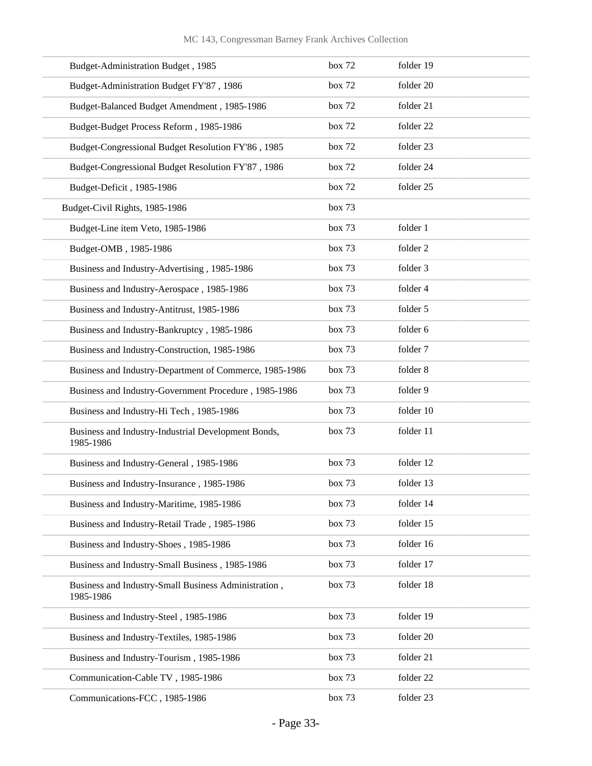| Budget-Administration Budget, 1985                                | box 72 | folder 19 |
|-------------------------------------------------------------------|--------|-----------|
| Budget-Administration Budget FY'87, 1986                          | box 72 | folder 20 |
| Budget-Balanced Budget Amendment, 1985-1986                       | box 72 | folder 21 |
| Budget-Budget Process Reform, 1985-1986                           | box 72 | folder 22 |
| Budget-Congressional Budget Resolution FY'86, 1985                | box 72 | folder 23 |
| Budget-Congressional Budget Resolution FY'87, 1986                | box 72 | folder 24 |
| Budget-Deficit, 1985-1986                                         | box 72 | folder 25 |
| Budget-Civil Rights, 1985-1986                                    | box 73 |           |
| Budget-Line item Veto, 1985-1986                                  | box 73 | folder 1  |
| Budget-OMB, 1985-1986                                             | box 73 | folder 2  |
| Business and Industry-Advertising, 1985-1986                      | box 73 | folder 3  |
| Business and Industry-Aerospace, 1985-1986                        | box 73 | folder 4  |
| Business and Industry-Antitrust, 1985-1986                        | box 73 | folder 5  |
| Business and Industry-Bankruptcy, 1985-1986                       | box 73 | folder 6  |
| Business and Industry-Construction, 1985-1986                     | box 73 | folder 7  |
| Business and Industry-Department of Commerce, 1985-1986           | box 73 | folder 8  |
| Business and Industry-Government Procedure, 1985-1986             | box 73 | folder 9  |
| Business and Industry-Hi Tech, 1985-1986                          | box 73 | folder 10 |
| Business and Industry-Industrial Development Bonds,<br>1985-1986  | box 73 | folder 11 |
| Business and Industry-General, 1985-1986                          | box 73 | folder 12 |
| Business and Industry-Insurance, 1985-1986                        | box 73 | folder 13 |
| Business and Industry-Maritime, 1985-1986                         | box 73 | folder 14 |
| Business and Industry-Retail Trade, 1985-1986                     | box 73 | folder 15 |
| Business and Industry-Shoes, 1985-1986                            | box 73 | folder 16 |
| Business and Industry-Small Business, 1985-1986                   | box 73 | folder 17 |
| Business and Industry-Small Business Administration,<br>1985-1986 | box 73 | folder 18 |
| Business and Industry-Steel, 1985-1986                            | box 73 | folder 19 |
| Business and Industry-Textiles, 1985-1986                         | box 73 | folder 20 |
| Business and Industry-Tourism, 1985-1986                          | box 73 | folder 21 |
| Communication-Cable TV, 1985-1986                                 | box 73 | folder 22 |
| Communications-FCC, 1985-1986                                     | box 73 | folder 23 |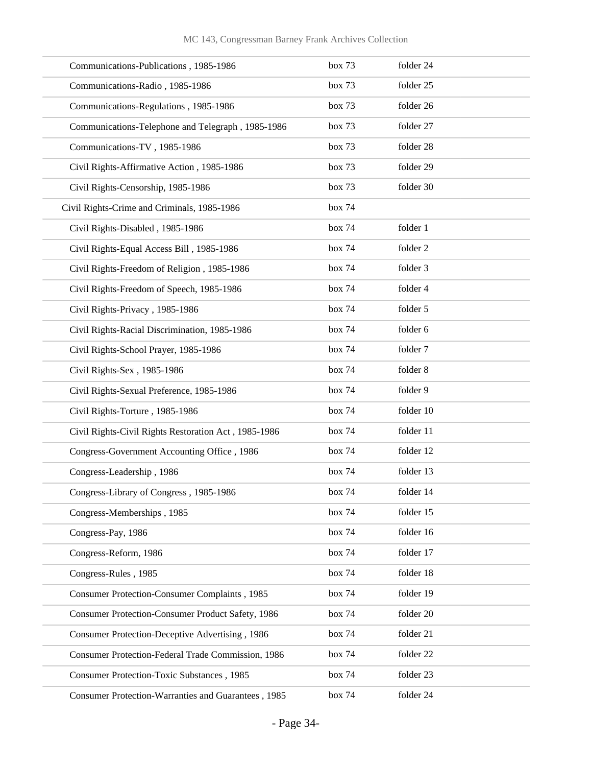| Communications-Publications, 1985-1986                | box 73 | folder 24 |
|-------------------------------------------------------|--------|-----------|
| Communications-Radio, 1985-1986                       | box 73 | folder 25 |
| Communications-Regulations, 1985-1986                 | box 73 | folder 26 |
| Communications-Telephone and Telegraph, 1985-1986     | box 73 | folder 27 |
| Communications-TV, 1985-1986                          | box 73 | folder 28 |
| Civil Rights-Affirmative Action, 1985-1986            | box 73 | folder 29 |
| Civil Rights-Censorship, 1985-1986                    | box 73 | folder 30 |
| Civil Rights-Crime and Criminals, 1985-1986           | box 74 |           |
| Civil Rights-Disabled, 1985-1986                      | box 74 | folder 1  |
| Civil Rights-Equal Access Bill, 1985-1986             | box 74 | folder 2  |
| Civil Rights-Freedom of Religion, 1985-1986           | box 74 | folder 3  |
| Civil Rights-Freedom of Speech, 1985-1986             | box 74 | folder 4  |
| Civil Rights-Privacy, 1985-1986                       | box 74 | folder 5  |
| Civil Rights-Racial Discrimination, 1985-1986         | box 74 | folder 6  |
| Civil Rights-School Prayer, 1985-1986                 | box 74 | folder 7  |
| Civil Rights-Sex, 1985-1986                           | box 74 | folder 8  |
| Civil Rights-Sexual Preference, 1985-1986             | box 74 | folder 9  |
| Civil Rights-Torture, 1985-1986                       | box 74 | folder 10 |
| Civil Rights-Civil Rights Restoration Act, 1985-1986  | box 74 | folder 11 |
| Congress-Government Accounting Office, 1986           | box 74 | folder 12 |
| Congress-Leadership, 1986                             | box 74 | folder 13 |
| Congress-Library of Congress, 1985-1986               | box 74 | folder 14 |
| Congress-Memberships, 1985                            | box 74 | folder 15 |
| Congress-Pay, 1986                                    | box 74 | folder 16 |
| Congress-Reform, 1986                                 | box 74 | folder 17 |
| Congress-Rules, 1985                                  | box 74 | folder 18 |
| <b>Consumer Protection-Consumer Complaints</b> , 1985 | box 74 | folder 19 |
| Consumer Protection-Consumer Product Safety, 1986     | box 74 | folder 20 |
| Consumer Protection-Deceptive Advertising, 1986       | box 74 | folder 21 |
| Consumer Protection-Federal Trade Commission, 1986    | box 74 | folder 22 |
| <b>Consumer Protection-Toxic Substances</b> , 1985    | box 74 | folder 23 |
| Consumer Protection-Warranties and Guarantees, 1985   | box 74 | folder 24 |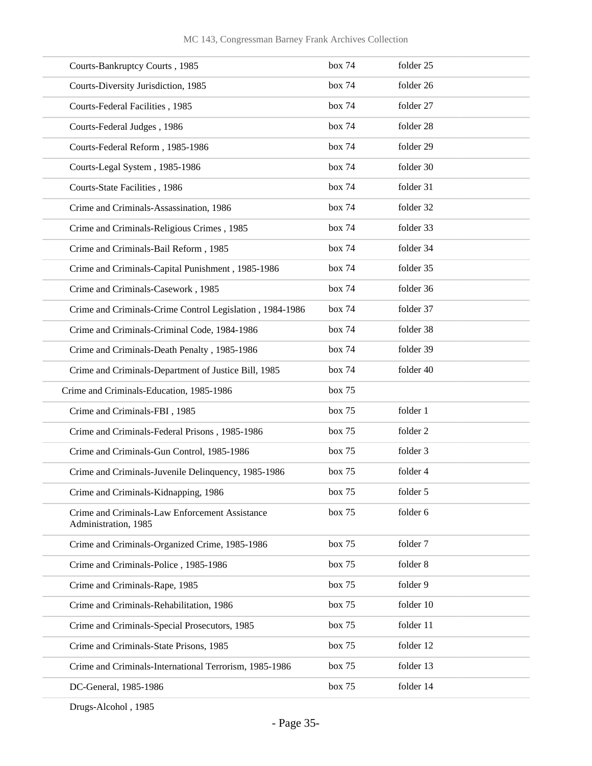| Courts-Bankruptcy Courts, 1985                                         | box 74 | folder 25 |
|------------------------------------------------------------------------|--------|-----------|
| Courts-Diversity Jurisdiction, 1985                                    | box 74 | folder 26 |
| Courts-Federal Facilities, 1985                                        | box 74 | folder 27 |
| Courts-Federal Judges, 1986                                            | box 74 | folder 28 |
| Courts-Federal Reform, 1985-1986                                       | box 74 | folder 29 |
| Courts-Legal System, 1985-1986                                         | box 74 | folder 30 |
| Courts-State Facilities, 1986                                          | box 74 | folder 31 |
| Crime and Criminals-Assassination, 1986                                | box 74 | folder 32 |
| Crime and Criminals-Religious Crimes, 1985                             | box 74 | folder 33 |
| Crime and Criminals-Bail Reform, 1985                                  | box 74 | folder 34 |
| Crime and Criminals-Capital Punishment, 1985-1986                      | box 74 | folder 35 |
| Crime and Criminals-Casework, 1985                                     | box 74 | folder 36 |
| Crime and Criminals-Crime Control Legislation, 1984-1986               | box 74 | folder 37 |
| Crime and Criminals-Criminal Code, 1984-1986                           | box 74 | folder 38 |
| Crime and Criminals-Death Penalty, 1985-1986                           | box 74 | folder 39 |
| Crime and Criminals-Department of Justice Bill, 1985                   | box 74 | folder 40 |
| Crime and Criminals-Education, 1985-1986                               | box 75 |           |
| Crime and Criminals-FBI, 1985                                          | box 75 | folder 1  |
| Crime and Criminals-Federal Prisons, 1985-1986                         | box 75 | folder 2  |
| Crime and Criminals-Gun Control, 1985-1986                             | box 75 | folder 3  |
| Crime and Criminals-Juvenile Delinquency, 1985-1986                    | box 75 | folder 4  |
| Crime and Criminals-Kidnapping, 1986                                   | box 75 | folder 5  |
| Crime and Criminals-Law Enforcement Assistance<br>Administration, 1985 | box 75 | folder 6  |
| Crime and Criminals-Organized Crime, 1985-1986                         | box 75 | folder 7  |
| Crime and Criminals-Police, 1985-1986                                  | box 75 | folder 8  |
| Crime and Criminals-Rape, 1985                                         | box 75 | folder 9  |
| Crime and Criminals-Rehabilitation, 1986                               | box 75 | folder 10 |
| Crime and Criminals-Special Prosecutors, 1985                          | box 75 | folder 11 |
| Crime and Criminals-State Prisons, 1985                                | box 75 | folder 12 |
| Crime and Criminals-International Terrorism, 1985-1986                 | box 75 | folder 13 |
| DC-General, 1985-1986                                                  | box 75 | folder 14 |
|                                                                        |        |           |

Drugs-Alcohol , 1985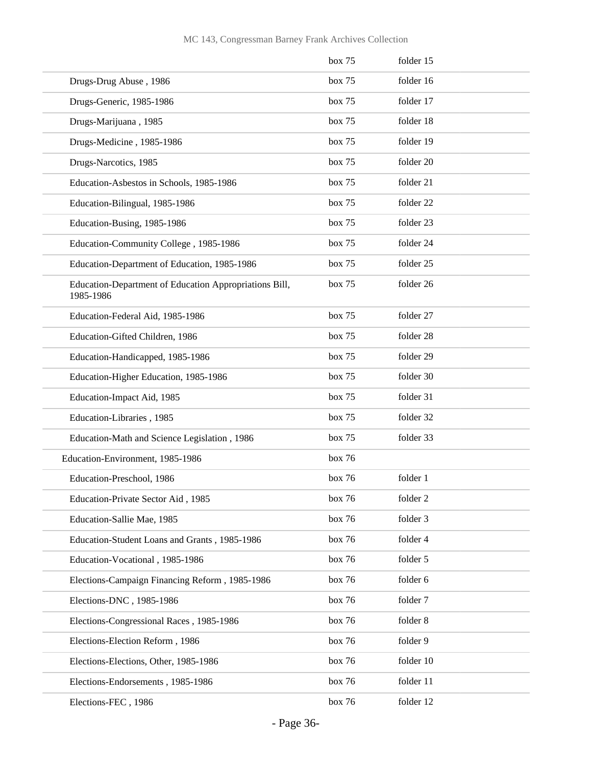|                                                                     | box 75 | folder 15 |
|---------------------------------------------------------------------|--------|-----------|
| Drugs-Drug Abuse, 1986                                              | box 75 | folder 16 |
| Drugs-Generic, 1985-1986                                            | box 75 | folder 17 |
| Drugs-Marijuana, 1985                                               | box 75 | folder 18 |
| Drugs-Medicine, 1985-1986                                           | box 75 | folder 19 |
| Drugs-Narcotics, 1985                                               | box 75 | folder 20 |
| Education-Asbestos in Schools, 1985-1986                            | box 75 | folder 21 |
| Education-Bilingual, 1985-1986                                      | box 75 | folder 22 |
| Education-Busing, 1985-1986                                         | box 75 | folder 23 |
| Education-Community College, 1985-1986                              | box 75 | folder 24 |
| Education-Department of Education, 1985-1986                        | box 75 | folder 25 |
| Education-Department of Education Appropriations Bill,<br>1985-1986 | box 75 | folder 26 |
| Education-Federal Aid, 1985-1986                                    | box 75 | folder 27 |
| Education-Gifted Children, 1986                                     | box 75 | folder 28 |
| Education-Handicapped, 1985-1986                                    | box 75 | folder 29 |
| Education-Higher Education, 1985-1986                               | box 75 | folder 30 |
| Education-Impact Aid, 1985                                          | box 75 | folder 31 |
| Education-Libraries, 1985                                           | box 75 | folder 32 |
| Education-Math and Science Legislation, 1986                        | box 75 | folder 33 |
| Education-Environment, 1985-1986                                    | box 76 |           |
| Education-Preschool, 1986                                           | box 76 | folder 1  |
| Education-Private Sector Aid, 1985                                  | box 76 | folder 2  |
| Education-Sallie Mae, 1985                                          | box 76 | folder 3  |
| Education-Student Loans and Grants, 1985-1986                       | box 76 | folder 4  |
| Education-Vocational, 1985-1986                                     | box 76 | folder 5  |
| Elections-Campaign Financing Reform, 1985-1986                      | box 76 | folder 6  |
| Elections-DNC, 1985-1986                                            | box 76 | folder 7  |
| Elections-Congressional Races, 1985-1986                            | box 76 | folder 8  |
| Elections-Election Reform, 1986                                     | box 76 | folder 9  |
| Elections-Elections, Other, 1985-1986                               | box 76 | folder 10 |
| Elections-Endorsements, 1985-1986                                   | box 76 | folder 11 |
| Elections-FEC, 1986                                                 | box 76 | folder 12 |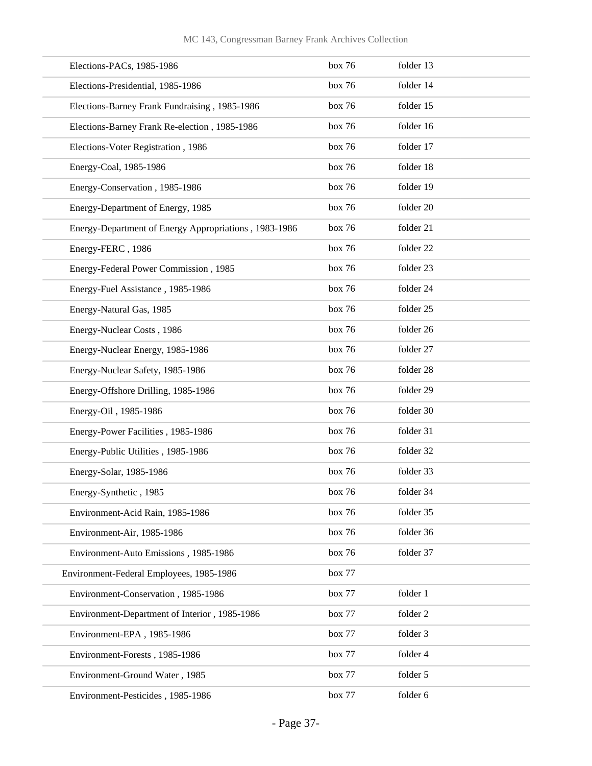|                   | Elections-PACs, 1985-1986                             | box 76 | folder 13 |
|-------------------|-------------------------------------------------------|--------|-----------|
|                   | Elections-Presidential, 1985-1986                     | box 76 | folder 14 |
|                   | Elections-Barney Frank Fundraising, 1985-1986         | box 76 | folder 15 |
|                   | Elections-Barney Frank Re-election, 1985-1986         | box 76 | folder 16 |
|                   | Elections-Voter Registration, 1986                    | box 76 | folder 17 |
|                   | Energy-Coal, 1985-1986                                | box 76 | folder 18 |
|                   | Energy-Conservation, 1985-1986                        | box 76 | folder 19 |
|                   | Energy-Department of Energy, 1985                     | box 76 | folder 20 |
|                   | Energy-Department of Energy Appropriations, 1983-1986 | box 76 | folder 21 |
| Energy-FERC, 1986 |                                                       | box 76 | folder 22 |
|                   | Energy-Federal Power Commission, 1985                 | box 76 | folder 23 |
|                   | Energy-Fuel Assistance, 1985-1986                     | box 76 | folder 24 |
|                   | Energy-Natural Gas, 1985                              | box 76 | folder 25 |
|                   | Energy-Nuclear Costs, 1986                            | box 76 | folder 26 |
|                   | Energy-Nuclear Energy, 1985-1986                      | box 76 | folder 27 |
|                   | Energy-Nuclear Safety, 1985-1986                      | box 76 | folder 28 |
|                   | Energy-Offshore Drilling, 1985-1986                   | box 76 | folder 29 |
|                   | Energy-Oil, 1985-1986                                 | box 76 | folder 30 |
|                   | Energy-Power Facilities, 1985-1986                    | box 76 | folder 31 |
|                   | Energy-Public Utilities, 1985-1986                    | box 76 | folder 32 |
|                   | Energy-Solar, 1985-1986                               | box 76 | folder 33 |
|                   | Energy-Synthetic, 1985                                | box 76 | folder 34 |
|                   | Environment-Acid Rain, 1985-1986                      | box 76 | folder 35 |
|                   | Environment-Air, 1985-1986                            | box 76 | folder 36 |
|                   | Environment-Auto Emissions, 1985-1986                 | box 76 | folder 37 |
|                   | Environment-Federal Employees, 1985-1986              | box 77 |           |
|                   | Environment-Conservation, 1985-1986                   | box 77 | folder 1  |
|                   | Environment-Department of Interior, 1985-1986         | box 77 | folder 2  |
|                   | Environment-EPA, 1985-1986                            | box 77 | folder 3  |
|                   | Environment-Forests, 1985-1986                        | box 77 | folder 4  |
|                   | Environment-Ground Water, 1985                        | box 77 | folder 5  |
|                   | Environment-Pesticides, 1985-1986                     | box 77 | folder 6  |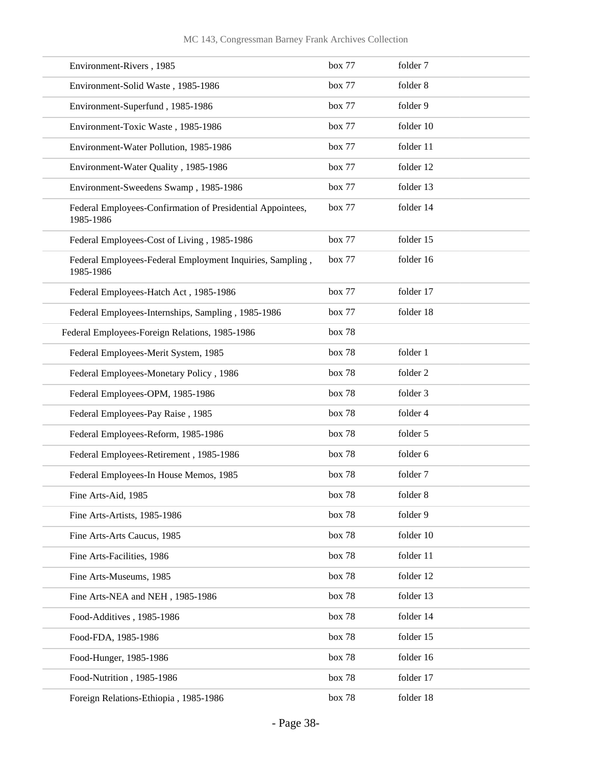| Environment-Rivers, 1985                                                | box 77        | folder 7  |
|-------------------------------------------------------------------------|---------------|-----------|
| Environment-Solid Waste, 1985-1986                                      | box 77        | folder 8  |
| Environment-Superfund, 1985-1986                                        | box 77        | folder 9  |
| Environment-Toxic Waste, 1985-1986                                      | box 77        | folder 10 |
| Environment-Water Pollution, 1985-1986                                  | box 77        | folder 11 |
| Environment-Water Quality, 1985-1986                                    | box 77        | folder 12 |
| Environment-Sweedens Swamp, 1985-1986                                   | box 77        | folder 13 |
| Federal Employees-Confirmation of Presidential Appointees,<br>1985-1986 | box 77        | folder 14 |
| Federal Employees-Cost of Living, 1985-1986                             | box 77        | folder 15 |
| Federal Employees-Federal Employment Inquiries, Sampling,<br>1985-1986  | box 77        | folder 16 |
| Federal Employees-Hatch Act, 1985-1986                                  | box 77        | folder 17 |
| Federal Employees-Internships, Sampling, 1985-1986                      | box 77        | folder 18 |
| Federal Employees-Foreign Relations, 1985-1986                          | box 78        |           |
| Federal Employees-Merit System, 1985                                    | box 78        | folder 1  |
| Federal Employees-Monetary Policy, 1986                                 | box 78        | folder 2  |
| Federal Employees-OPM, 1985-1986                                        | box 78        | folder 3  |
| Federal Employees-Pay Raise, 1985                                       | box 78        | folder 4  |
| Federal Employees-Reform, 1985-1986                                     | box 78        | folder 5  |
| Federal Employees-Retirement, 1985-1986                                 | <b>box 78</b> | folder 6  |
| Federal Employees-In House Memos, 1985                                  | box 78        | folder 7  |
| Fine Arts-Aid, 1985                                                     | box 78        | folder 8  |
| Fine Arts-Artists, 1985-1986                                            | box 78        | folder 9  |
| Fine Arts-Arts Caucus, 1985                                             | box 78        | folder 10 |
| Fine Arts-Facilities, 1986                                              | box 78        | folder 11 |
| Fine Arts-Museums, 1985                                                 | box 78        | folder 12 |
| Fine Arts-NEA and NEH, 1985-1986                                        | box 78        | folder 13 |
| Food-Additives, 1985-1986                                               | box 78        | folder 14 |
| Food-FDA, 1985-1986                                                     | box 78        | folder 15 |
| Food-Hunger, 1985-1986                                                  | box 78        | folder 16 |
| Food-Nutrition, 1985-1986                                               | box 78        | folder 17 |
| Foreign Relations-Ethiopia, 1985-1986                                   | box 78        | folder 18 |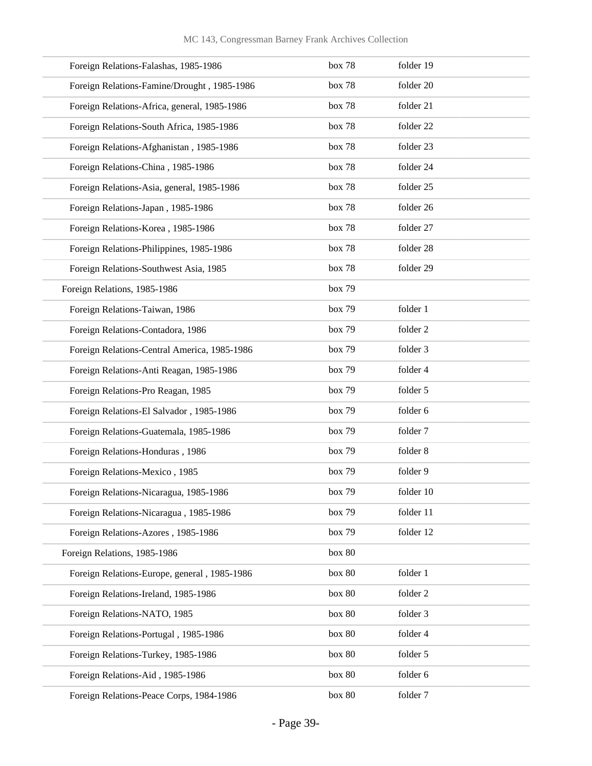| Foreign Relations-Falashas, 1985-1986        | box 78 | folder 19 |
|----------------------------------------------|--------|-----------|
| Foreign Relations-Famine/Drought, 1985-1986  | box 78 | folder 20 |
| Foreign Relations-Africa, general, 1985-1986 | box 78 | folder 21 |
| Foreign Relations-South Africa, 1985-1986    | box 78 | folder 22 |
| Foreign Relations-Afghanistan, 1985-1986     | box 78 | folder 23 |
| Foreign Relations-China, 1985-1986           | box 78 | folder 24 |
| Foreign Relations-Asia, general, 1985-1986   | box 78 | folder 25 |
| Foreign Relations-Japan, 1985-1986           | box 78 | folder 26 |
| Foreign Relations-Korea, 1985-1986           | box 78 | folder 27 |
| Foreign Relations-Philippines, 1985-1986     | box 78 | folder 28 |
| Foreign Relations-Southwest Asia, 1985       | box 78 | folder 29 |
| Foreign Relations, 1985-1986                 | box 79 |           |
| Foreign Relations-Taiwan, 1986               | box 79 | folder 1  |
| Foreign Relations-Contadora, 1986            | box 79 | folder 2  |
| Foreign Relations-Central America, 1985-1986 | box 79 | folder 3  |
| Foreign Relations-Anti Reagan, 1985-1986     | box 79 | folder 4  |
| Foreign Relations-Pro Reagan, 1985           | box 79 | folder 5  |
| Foreign Relations-El Salvador, 1985-1986     | box 79 | folder 6  |
| Foreign Relations-Guatemala, 1985-1986       | box 79 | folder 7  |
| Foreign Relations-Honduras, 1986             | box 79 | folder 8  |
| Foreign Relations-Mexico, 1985               | box 79 | folder 9  |
| Foreign Relations-Nicaragua, 1985-1986       | box 79 | folder 10 |
| Foreign Relations-Nicaragua, 1985-1986       | box 79 | folder 11 |
| Foreign Relations-Azores, 1985-1986          | box 79 | folder 12 |
| Foreign Relations, 1985-1986                 | box 80 |           |
| Foreign Relations-Europe, general, 1985-1986 | box 80 | folder 1  |
| Foreign Relations-Ireland, 1985-1986         | box 80 | folder 2  |
| Foreign Relations-NATO, 1985                 | box 80 | folder 3  |
| Foreign Relations-Portugal, 1985-1986        | box 80 | folder 4  |
| Foreign Relations-Turkey, 1985-1986          | box 80 | folder 5  |
| Foreign Relations-Aid, 1985-1986             | box 80 | folder 6  |
| Foreign Relations-Peace Corps, 1984-1986     | box 80 | folder 7  |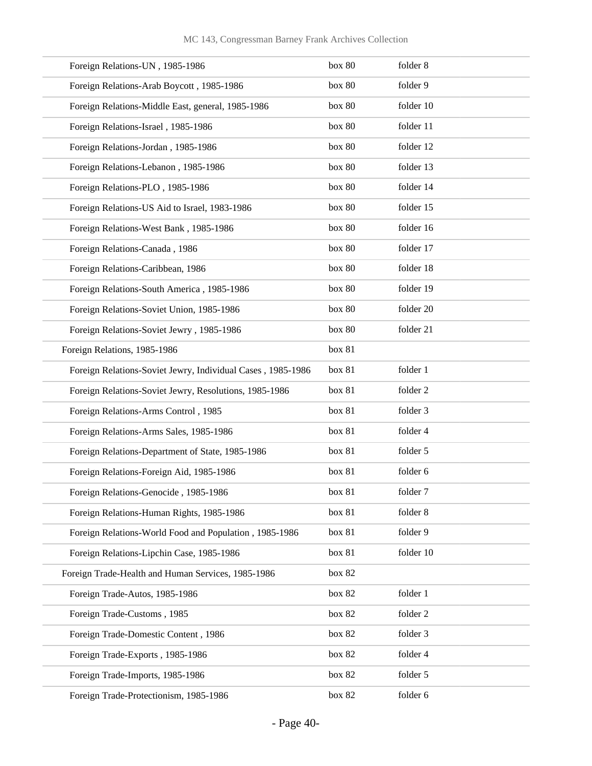| Foreign Relations-UN, 1985-1986                             | box 80 | folder 8  |
|-------------------------------------------------------------|--------|-----------|
| Foreign Relations-Arab Boycott, 1985-1986                   | box 80 | folder 9  |
| Foreign Relations-Middle East, general, 1985-1986           | box 80 | folder 10 |
| Foreign Relations-Israel, 1985-1986                         | box 80 | folder 11 |
| Foreign Relations-Jordan, 1985-1986                         | box 80 | folder 12 |
| Foreign Relations-Lebanon, 1985-1986                        | box 80 | folder 13 |
| Foreign Relations-PLO, 1985-1986                            | box 80 | folder 14 |
| Foreign Relations-US Aid to Israel, 1983-1986               | box 80 | folder 15 |
| Foreign Relations-West Bank, 1985-1986                      | box 80 | folder 16 |
| Foreign Relations-Canada, 1986                              | box 80 | folder 17 |
| Foreign Relations-Caribbean, 1986                           | box 80 | folder 18 |
| Foreign Relations-South America, 1985-1986                  | box 80 | folder 19 |
| Foreign Relations-Soviet Union, 1985-1986                   | box 80 | folder 20 |
| Foreign Relations-Soviet Jewry, 1985-1986                   | box 80 | folder 21 |
| Foreign Relations, 1985-1986                                | box 81 |           |
| Foreign Relations-Soviet Jewry, Individual Cases, 1985-1986 | box 81 | folder 1  |
| Foreign Relations-Soviet Jewry, Resolutions, 1985-1986      | box 81 | folder 2  |
| Foreign Relations-Arms Control, 1985                        | box 81 | folder 3  |
| Foreign Relations-Arms Sales, 1985-1986                     | box 81 | folder 4  |
| Foreign Relations-Department of State, 1985-1986            | box 81 | folder 5  |
| Foreign Relations-Foreign Aid, 1985-1986                    | box 81 | folder 6  |
| Foreign Relations-Genocide, 1985-1986                       | box 81 | folder 7  |
| Foreign Relations-Human Rights, 1985-1986                   | box 81 | folder 8  |
| Foreign Relations-World Food and Population, 1985-1986      | box 81 | folder 9  |
| Foreign Relations-Lipchin Case, 1985-1986                   | box 81 | folder 10 |
| Foreign Trade-Health and Human Services, 1985-1986          | box 82 |           |
| Foreign Trade-Autos, 1985-1986                              | box 82 | folder 1  |
| Foreign Trade-Customs, 1985                                 | box 82 | folder 2  |
| Foreign Trade-Domestic Content, 1986                        | box 82 | folder 3  |
| Foreign Trade-Exports, 1985-1986                            | box 82 | folder 4  |
| Foreign Trade-Imports, 1985-1986                            | box 82 | folder 5  |
| Foreign Trade-Protectionism, 1985-1986                      | box 82 | folder 6  |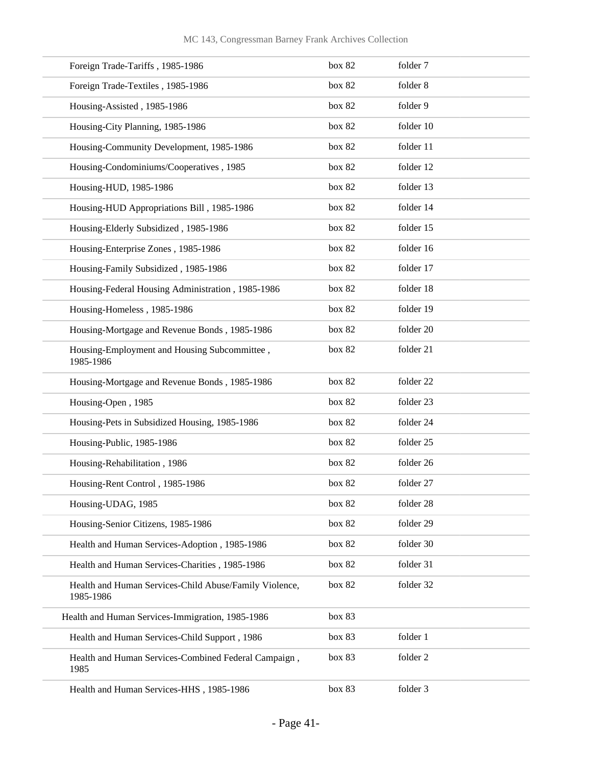| Foreign Trade-Tariffs, 1985-1986                                    | box 82 | folder 7  |
|---------------------------------------------------------------------|--------|-----------|
| Foreign Trade-Textiles, 1985-1986                                   | box 82 | folder 8  |
| Housing-Assisted, 1985-1986                                         | box 82 | folder 9  |
| Housing-City Planning, 1985-1986                                    | box 82 | folder 10 |
| Housing-Community Development, 1985-1986                            | box 82 | folder 11 |
| Housing-Condominiums/Cooperatives, 1985                             | box 82 | folder 12 |
| Housing-HUD, 1985-1986                                              | box 82 | folder 13 |
| Housing-HUD Appropriations Bill, 1985-1986                          | box 82 | folder 14 |
| Housing-Elderly Subsidized, 1985-1986                               | box 82 | folder 15 |
| Housing-Enterprise Zones, 1985-1986                                 | box 82 | folder 16 |
| Housing-Family Subsidized, 1985-1986                                | box 82 | folder 17 |
| Housing-Federal Housing Administration, 1985-1986                   | box 82 | folder 18 |
| Housing-Homeless, 1985-1986                                         | box 82 | folder 19 |
| Housing-Mortgage and Revenue Bonds, 1985-1986                       | box 82 | folder 20 |
| Housing-Employment and Housing Subcommittee,<br>1985-1986           | box 82 | folder 21 |
| Housing-Mortgage and Revenue Bonds, 1985-1986                       | box 82 | folder 22 |
| Housing-Open, 1985                                                  | box 82 | folder 23 |
| Housing-Pets in Subsidized Housing, 1985-1986                       | box 82 | folder 24 |
| Housing-Public, 1985-1986                                           | box 82 | folder 25 |
| Housing-Rehabilitation, 1986                                        | box 82 | folder 26 |
| Housing-Rent Control, 1985-1986                                     | box 82 | folder 27 |
| Housing-UDAG, 1985                                                  | box 82 | folder 28 |
| Housing-Senior Citizens, 1985-1986                                  | box 82 | folder 29 |
| Health and Human Services-Adoption, 1985-1986                       | box 82 | folder 30 |
| Health and Human Services-Charities, 1985-1986                      | box 82 | folder 31 |
| Health and Human Services-Child Abuse/Family Violence,<br>1985-1986 | box 82 | folder 32 |
| Health and Human Services-Immigration, 1985-1986                    | box 83 |           |
| Health and Human Services-Child Support, 1986                       | box 83 | folder 1  |
| Health and Human Services-Combined Federal Campaign,<br>1985        | box 83 | folder 2  |
| Health and Human Services-HHS, 1985-1986                            | box 83 | folder 3  |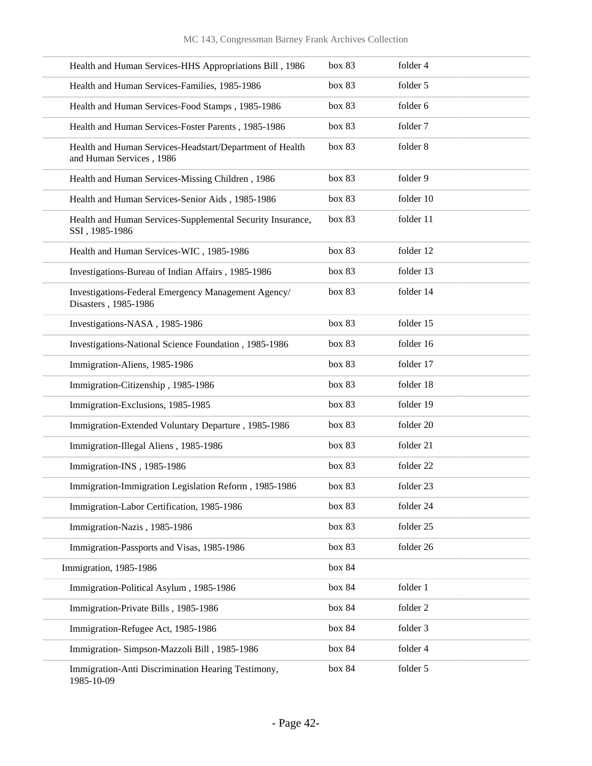| Health and Human Services-HHS Appropriations Bill, 1986                              | box 83 | folder 4             |
|--------------------------------------------------------------------------------------|--------|----------------------|
| Health and Human Services-Families, 1985-1986                                        | box 83 | folder 5             |
| Health and Human Services-Food Stamps, 1985-1986                                     | box 83 | folder 6             |
| Health and Human Services-Foster Parents, 1985-1986                                  | box 83 | folder 7             |
| Health and Human Services-Headstart/Department of Health<br>and Human Services, 1986 | box 83 | folder 8             |
| Health and Human Services-Missing Children, 1986                                     | box 83 | folder 9             |
| Health and Human Services-Senior Aids, 1985-1986                                     | box 83 | folder 10            |
| Health and Human Services-Supplemental Security Insurance,<br>SSI, 1985-1986         | box 83 | folder 11            |
| Health and Human Services-WIC, 1985-1986                                             | box 83 | folder 12            |
| Investigations-Bureau of Indian Affairs, 1985-1986                                   | box 83 | folder 13            |
| Investigations-Federal Emergency Management Agency/<br>Disasters, 1985-1986          | box 83 | folder 14            |
| Investigations-NASA, 1985-1986                                                       | box 83 | folder 15            |
| Investigations-National Science Foundation, 1985-1986                                | box 83 | folder 16            |
| Immigration-Aliens, 1985-1986                                                        | box 83 | folder 17            |
| Immigration-Citizenship, 1985-1986                                                   | box 83 | folder 18            |
| Immigration-Exclusions, 1985-1985                                                    | box 83 | folder 19            |
| Immigration-Extended Voluntary Departure, 1985-1986                                  | box 83 | folder 20            |
| Immigration-Illegal Aliens, 1985-1986                                                | box 83 | folder 21            |
| Immigration-INS, 1985-1986                                                           | box 83 | folder <sub>22</sub> |
| Immigration-Immigration Legislation Reform, 1985-1986                                | box 83 | folder 23            |
| Immigration-Labor Certification, 1985-1986                                           | box 83 | folder 24            |
| Immigration-Nazis, 1985-1986                                                         | box 83 | folder 25            |
| Immigration-Passports and Visas, 1985-1986                                           | box 83 | folder 26            |
| Immigration, 1985-1986                                                               | box 84 |                      |
| Immigration-Political Asylum, 1985-1986                                              | box 84 | folder 1             |
| Immigration-Private Bills, 1985-1986                                                 | box 84 | folder 2             |
| Immigration-Refugee Act, 1985-1986                                                   | box 84 | folder 3             |
| Immigration-Simpson-Mazzoli Bill, 1985-1986                                          | box 84 | folder 4             |
| Immigration-Anti Discrimination Hearing Testimony,<br>1985-10-09                     | box 84 | folder 5             |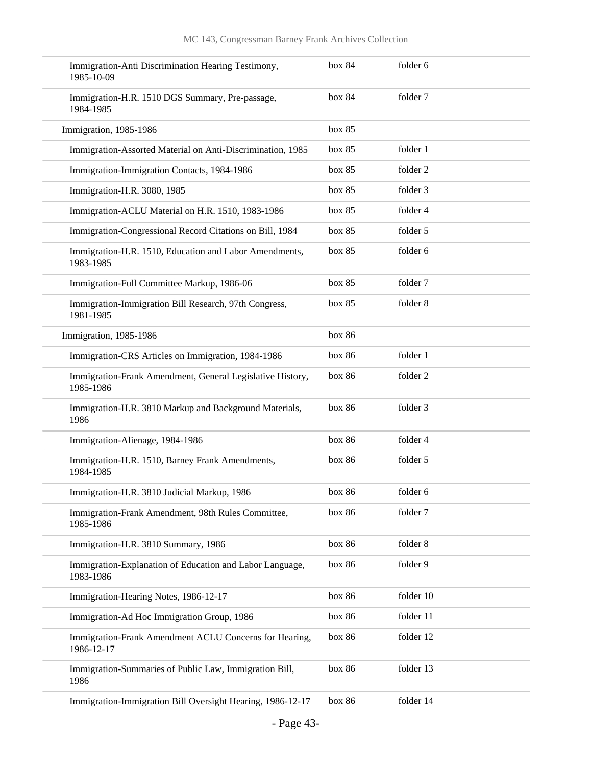| Immigration-Anti Discrimination Hearing Testimony,<br>1985-10-09       | box 84 | folder 6  |
|------------------------------------------------------------------------|--------|-----------|
| Immigration-H.R. 1510 DGS Summary, Pre-passage,<br>1984-1985           | box 84 | folder 7  |
| Immigration, 1985-1986                                                 | box 85 |           |
| Immigration-Assorted Material on Anti-Discrimination, 1985             | box 85 | folder 1  |
| Immigration-Immigration Contacts, 1984-1986                            | box 85 | folder 2  |
| Immigration-H.R. 3080, 1985                                            | box 85 | folder 3  |
| Immigration-ACLU Material on H.R. 1510, 1983-1986                      | box 85 | folder 4  |
| Immigration-Congressional Record Citations on Bill, 1984               | box 85 | folder 5  |
| Immigration-H.R. 1510, Education and Labor Amendments,<br>1983-1985    | box 85 | folder 6  |
| Immigration-Full Committee Markup, 1986-06                             | box 85 | folder 7  |
| Immigration-Immigration Bill Research, 97th Congress,<br>1981-1985     | box 85 | folder 8  |
| Immigration, 1985-1986                                                 | box 86 |           |
| Immigration-CRS Articles on Immigration, 1984-1986                     | box 86 | folder 1  |
| Immigration-Frank Amendment, General Legislative History,<br>1985-1986 | box 86 | folder 2  |
| Immigration-H.R. 3810 Markup and Background Materials,<br>1986         | box 86 | folder 3  |
| Immigration-Alienage, 1984-1986                                        | box 86 | folder 4  |
| Immigration-H.R. 1510, Barney Frank Amendments,<br>1984-1985           | box 86 | folder 5  |
| Immigration-H.R. 3810 Judicial Markup, 1986                            | box 86 | folder 6  |
| Immigration-Frank Amendment, 98th Rules Committee,<br>1985-1986        | box 86 | folder 7  |
| Immigration-H.R. 3810 Summary, 1986                                    | box 86 | folder 8  |
| Immigration-Explanation of Education and Labor Language,<br>1983-1986  | box 86 | folder 9  |
| Immigration-Hearing Notes, 1986-12-17                                  | box 86 | folder 10 |
| Immigration-Ad Hoc Immigration Group, 1986                             | box 86 | folder 11 |
| Immigration-Frank Amendment ACLU Concerns for Hearing,<br>1986-12-17   | box 86 | folder 12 |
| Immigration-Summaries of Public Law, Immigration Bill,<br>1986         | box 86 | folder 13 |
| Immigration-Immigration Bill Oversight Hearing, 1986-12-17             | box 86 | folder 14 |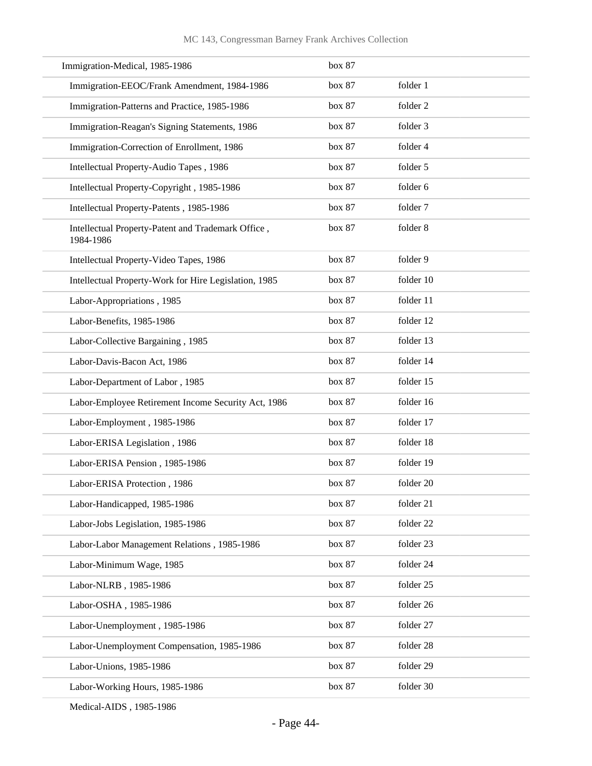| Immigration-Medical, 1985-1986                                  | box 87 |           |
|-----------------------------------------------------------------|--------|-----------|
| Immigration-EEOC/Frank Amendment, 1984-1986                     | box 87 | folder 1  |
| Immigration-Patterns and Practice, 1985-1986                    | box 87 | folder 2  |
| Immigration-Reagan's Signing Statements, 1986                   | box 87 | folder 3  |
| Immigration-Correction of Enrollment, 1986                      | box 87 | folder 4  |
| Intellectual Property-Audio Tapes, 1986                         | box 87 | folder 5  |
| Intellectual Property-Copyright, 1985-1986                      | box 87 | folder 6  |
| Intellectual Property-Patents, 1985-1986                        | box 87 | folder 7  |
| Intellectual Property-Patent and Trademark Office,<br>1984-1986 | box 87 | folder 8  |
| Intellectual Property-Video Tapes, 1986                         | box 87 | folder 9  |
| Intellectual Property-Work for Hire Legislation, 1985           | box 87 | folder 10 |
| Labor-Appropriations, 1985                                      | box 87 | folder 11 |
| Labor-Benefits, 1985-1986                                       | box 87 | folder 12 |
| Labor-Collective Bargaining, 1985                               | box 87 | folder 13 |
| Labor-Davis-Bacon Act, 1986                                     | box 87 | folder 14 |
| Labor-Department of Labor, 1985                                 | box 87 | folder 15 |
| Labor-Employee Retirement Income Security Act, 1986             | box 87 | folder 16 |
| Labor-Employment, 1985-1986                                     | box 87 | folder 17 |
| Labor-ERISA Legislation, 1986                                   | box 87 | folder 18 |
| Labor-ERISA Pension, 1985-1986                                  | box 87 | folder 19 |
| Labor-ERISA Protection, 1986                                    | box 87 | folder 20 |
| Labor-Handicapped, 1985-1986                                    | box 87 | folder 21 |
| Labor-Jobs Legislation, 1985-1986                               | box 87 | folder 22 |
| Labor-Labor Management Relations, 1985-1986                     | box 87 | folder 23 |
| Labor-Minimum Wage, 1985                                        | box 87 | folder 24 |
| Labor-NLRB, 1985-1986                                           | box 87 | folder 25 |
| Labor-OSHA, 1985-1986                                           | box 87 | folder 26 |
| Labor-Unemployment, 1985-1986                                   | box 87 | folder 27 |
| Labor-Unemployment Compensation, 1985-1986                      | box 87 | folder 28 |
| Labor-Unions, 1985-1986                                         | box 87 | folder 29 |
| Labor-Working Hours, 1985-1986                                  | box 87 | folder 30 |

Medical-AIDS , 1985-1986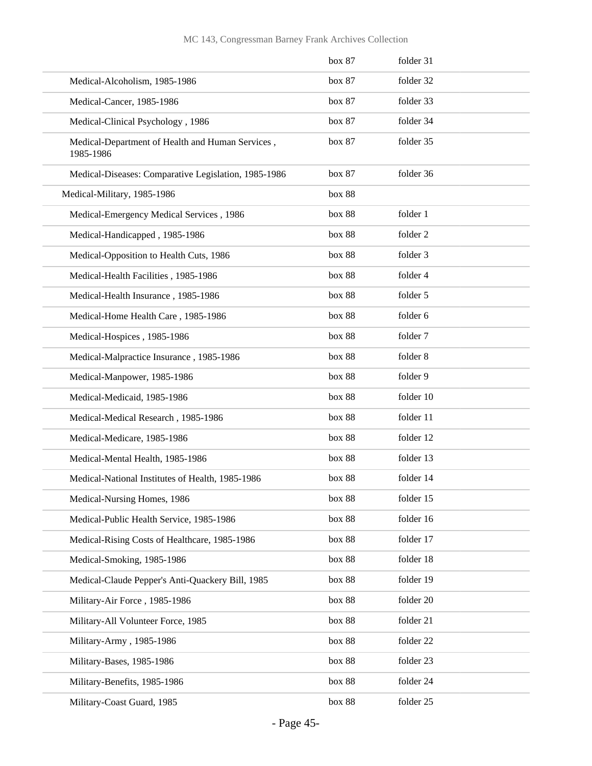### MC 143, Congressman Barney Frank Archives Collection

|                                                               | box 87 | folder 31 |
|---------------------------------------------------------------|--------|-----------|
| Medical-Alcoholism, 1985-1986                                 | box 87 | folder 32 |
| Medical-Cancer, 1985-1986                                     | box 87 | folder 33 |
| Medical-Clinical Psychology, 1986                             | box 87 | folder 34 |
| Medical-Department of Health and Human Services,<br>1985-1986 | box 87 | folder 35 |
| Medical-Diseases: Comparative Legislation, 1985-1986          | box 87 | folder 36 |
| Medical-Military, 1985-1986                                   | box 88 |           |
| Medical-Emergency Medical Services, 1986                      | box 88 | folder 1  |
| Medical-Handicapped, 1985-1986                                | box 88 | folder 2  |
| Medical-Opposition to Health Cuts, 1986                       | box 88 | folder 3  |
| Medical-Health Facilities, 1985-1986                          | box 88 | folder 4  |
| Medical-Health Insurance, 1985-1986                           | box 88 | folder 5  |
| Medical-Home Health Care, 1985-1986                           | box 88 | folder 6  |
| Medical-Hospices, 1985-1986                                   | box 88 | folder 7  |
| Medical-Malpractice Insurance, 1985-1986                      | box 88 | folder 8  |
| Medical-Manpower, 1985-1986                                   | box 88 | folder 9  |
| Medical-Medicaid, 1985-1986                                   | box 88 | folder 10 |
| Medical-Medical Research, 1985-1986                           | box 88 | folder 11 |
| Medical-Medicare, 1985-1986                                   | box 88 | folder 12 |
| Medical-Mental Health, 1985-1986                              | box 88 | folder 13 |
| Medical-National Institutes of Health, 1985-1986              | box 88 | folder 14 |
| Medical-Nursing Homes, 1986                                   | box 88 | folder 15 |
| Medical-Public Health Service, 1985-1986                      | box 88 | folder 16 |
| Medical-Rising Costs of Healthcare, 1985-1986                 | box 88 | folder 17 |
| Medical-Smoking, 1985-1986                                    | box 88 | folder 18 |
| Medical-Claude Pepper's Anti-Quackery Bill, 1985              | box 88 | folder 19 |
| Military-Air Force, 1985-1986                                 | box 88 | folder 20 |
| Military-All Volunteer Force, 1985                            | box 88 | folder 21 |
| Military-Army, 1985-1986                                      | box 88 | folder 22 |
| Military-Bases, 1985-1986                                     | box 88 | folder 23 |
| Military-Benefits, 1985-1986                                  | box 88 | folder 24 |
| Military-Coast Guard, 1985                                    | box 88 | folder 25 |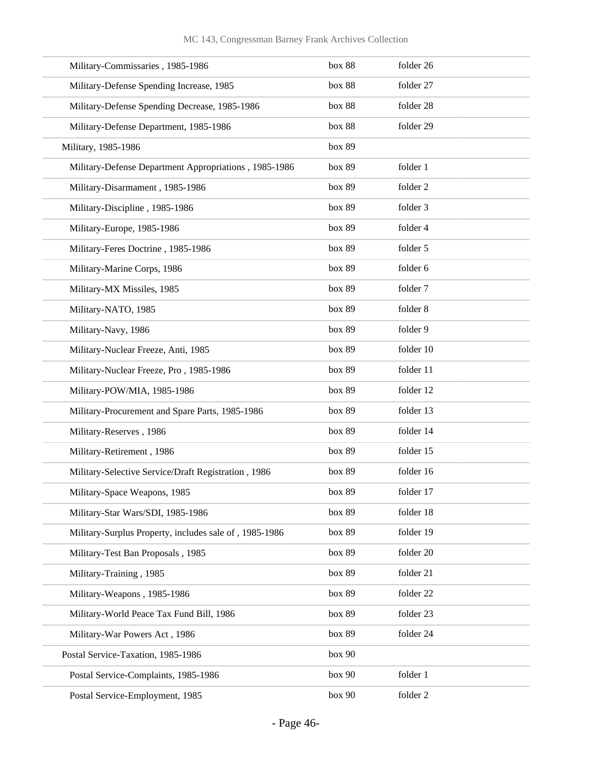| Military-Commissaries, 1985-1986                       | box 88 | folder 26 |
|--------------------------------------------------------|--------|-----------|
| Military-Defense Spending Increase, 1985               | box 88 | folder 27 |
| Military-Defense Spending Decrease, 1985-1986          | box 88 | folder 28 |
| Military-Defense Department, 1985-1986                 | box 88 | folder 29 |
| Military, 1985-1986                                    | box 89 |           |
| Military-Defense Department Appropriations, 1985-1986  | box 89 | folder 1  |
| Military-Disarmament, 1985-1986                        | box 89 | folder 2  |
| Military-Discipline, 1985-1986                         | box 89 | folder 3  |
| Military-Europe, 1985-1986                             | box 89 | folder 4  |
| Military-Feres Doctrine, 1985-1986                     | box 89 | folder 5  |
| Military-Marine Corps, 1986                            | box 89 | folder 6  |
| Military-MX Missiles, 1985                             | box 89 | folder 7  |
| Military-NATO, 1985                                    | box 89 | folder 8  |
| Military-Navy, 1986                                    | box 89 | folder 9  |
| Military-Nuclear Freeze, Anti, 1985                    | box 89 | folder 10 |
| Military-Nuclear Freeze, Pro, 1985-1986                | box 89 | folder 11 |
| Military-POW/MIA, 1985-1986                            | box 89 | folder 12 |
| Military-Procurement and Spare Parts, 1985-1986        | box 89 | folder 13 |
| Military-Reserves, 1986                                | box 89 | folder 14 |
| Military-Retirement, 1986                              | box 89 | folder 15 |
| Military-Selective Service/Draft Registration, 1986    | box 89 | folder 16 |
| Military-Space Weapons, 1985                           | box 89 | folder 17 |
| Military-Star Wars/SDI, 1985-1986                      | box 89 | folder 18 |
| Military-Surplus Property, includes sale of, 1985-1986 | box 89 | folder 19 |
| Military-Test Ban Proposals, 1985                      | box 89 | folder 20 |
| Military-Training, 1985                                | box 89 | folder 21 |
| Military-Weapons, 1985-1986                            | box 89 | folder 22 |
| Military-World Peace Tax Fund Bill, 1986               | box 89 | folder 23 |
| Military-War Powers Act, 1986                          | box 89 | folder 24 |
| Postal Service-Taxation, 1985-1986                     | box 90 |           |
| Postal Service-Complaints, 1985-1986                   | box 90 | folder 1  |
| Postal Service-Employment, 1985                        | box 90 | folder 2  |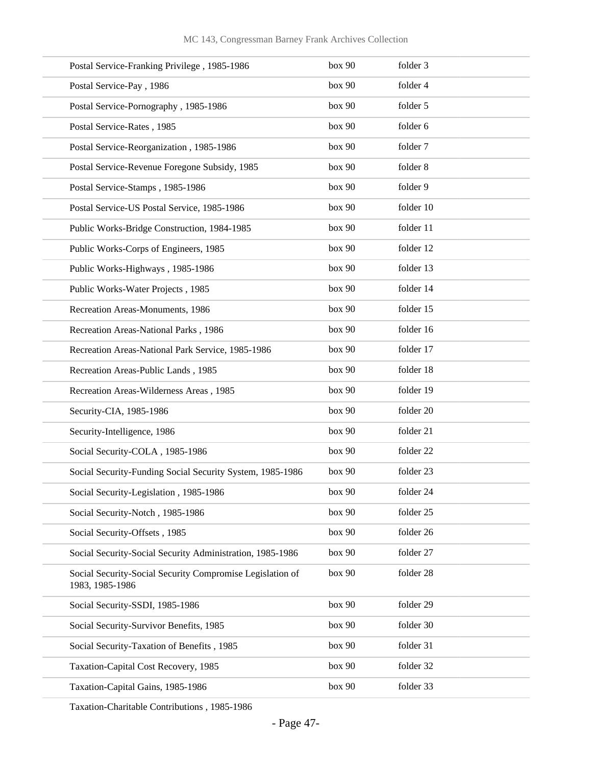| Postal Service-Franking Privilege, 1985-1986                                 | box 90 | folder 3  |
|------------------------------------------------------------------------------|--------|-----------|
| Postal Service-Pay, 1986                                                     | box 90 | folder 4  |
| Postal Service-Pornography, 1985-1986                                        | box 90 | folder 5  |
| Postal Service-Rates, 1985                                                   | box 90 | folder 6  |
| Postal Service-Reorganization, 1985-1986                                     | box 90 | folder 7  |
| Postal Service-Revenue Foregone Subsidy, 1985                                | box 90 | folder 8  |
| Postal Service-Stamps, 1985-1986                                             | box 90 | folder 9  |
| Postal Service-US Postal Service, 1985-1986                                  | box 90 | folder 10 |
| Public Works-Bridge Construction, 1984-1985                                  | box 90 | folder 11 |
| Public Works-Corps of Engineers, 1985                                        | box 90 | folder 12 |
| Public Works-Highways, 1985-1986                                             | box 90 | folder 13 |
| Public Works-Water Projects, 1985                                            | box 90 | folder 14 |
| Recreation Areas-Monuments, 1986                                             | box 90 | folder 15 |
| Recreation Areas-National Parks, 1986                                        | box 90 | folder 16 |
| Recreation Areas-National Park Service, 1985-1986                            | box 90 | folder 17 |
| Recreation Areas-Public Lands, 1985                                          | box 90 | folder 18 |
| Recreation Areas-Wilderness Areas, 1985                                      | box 90 | folder 19 |
| Security-CIA, 1985-1986                                                      | box 90 | folder 20 |
| Security-Intelligence, 1986                                                  | box 90 | folder 21 |
| Social Security-COLA, 1985-1986                                              | box 90 | folder 22 |
| Social Security-Funding Social Security System, 1985-1986                    | box 90 | folder 23 |
| Social Security-Legislation, 1985-1986                                       | box 90 | folder 24 |
| Social Security-Notch, 1985-1986                                             | box 90 | folder 25 |
| Social Security-Offsets, 1985                                                | box 90 | folder 26 |
| Social Security-Social Security Administration, 1985-1986                    | box 90 | folder 27 |
| Social Security-Social Security Compromise Legislation of<br>1983, 1985-1986 | box 90 | folder 28 |
| Social Security-SSDI, 1985-1986                                              | box 90 | folder 29 |
| Social Security-Survivor Benefits, 1985                                      | box 90 | folder 30 |
| Social Security-Taxation of Benefits, 1985                                   | box 90 | folder 31 |
| Taxation-Capital Cost Recovery, 1985                                         | box 90 | folder 32 |
| Taxation-Capital Gains, 1985-1986                                            | box 90 | folder 33 |

Taxation-Charitable Contributions , 1985-1986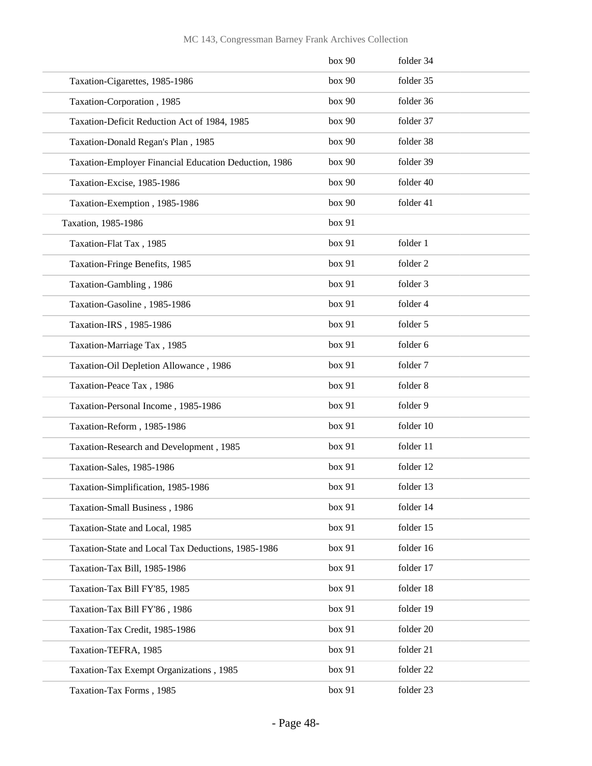|                                                       | box 90 | folder 34 |
|-------------------------------------------------------|--------|-----------|
| Taxation-Cigarettes, 1985-1986                        | box 90 | folder 35 |
| Taxation-Corporation, 1985                            | box 90 | folder 36 |
| Taxation-Deficit Reduction Act of 1984, 1985          | box 90 | folder 37 |
| Taxation-Donald Regan's Plan, 1985                    | box 90 | folder 38 |
| Taxation-Employer Financial Education Deduction, 1986 | box 90 | folder 39 |
| Taxation-Excise, 1985-1986                            | box 90 | folder 40 |
| Taxation-Exemption, 1985-1986                         | box 90 | folder 41 |
| Taxation, 1985-1986                                   | box 91 |           |
| Taxation-Flat Tax, 1985                               | box 91 | folder 1  |
| Taxation-Fringe Benefits, 1985                        | box 91 | folder 2  |
| Taxation-Gambling, 1986                               | box 91 | folder 3  |
| Taxation-Gasoline, 1985-1986                          | box 91 | folder 4  |
| Taxation-IRS, 1985-1986                               | box 91 | folder 5  |
| Taxation-Marriage Tax, 1985                           | box 91 | folder 6  |
| Taxation-Oil Depletion Allowance, 1986                | box 91 | folder 7  |
| Taxation-Peace Tax, 1986                              | box 91 | folder 8  |
| Taxation-Personal Income, 1985-1986                   | box 91 | folder 9  |
| Taxation-Reform, 1985-1986                            | box 91 | folder 10 |
| Taxation-Research and Development, 1985               | box 91 | folder 11 |
| Taxation-Sales, 1985-1986                             | box 91 | folder 12 |
| Taxation-Simplification, 1985-1986                    | box 91 | folder 13 |
| Taxation-Small Business, 1986                         | box 91 | folder 14 |
| Taxation-State and Local, 1985                        | box 91 | folder 15 |
| Taxation-State and Local Tax Deductions, 1985-1986    | box 91 | folder 16 |
| Taxation-Tax Bill, 1985-1986                          | box 91 | folder 17 |
| Taxation-Tax Bill FY'85, 1985                         | box 91 | folder 18 |
| Taxation-Tax Bill FY'86, 1986                         | box 91 | folder 19 |
| Taxation-Tax Credit, 1985-1986                        | box 91 | folder 20 |
| Taxation-TEFRA, 1985                                  | box 91 | folder 21 |
| Taxation-Tax Exempt Organizations, 1985               | box 91 | folder 22 |
| Taxation-Tax Forms, 1985                              | box 91 | folder 23 |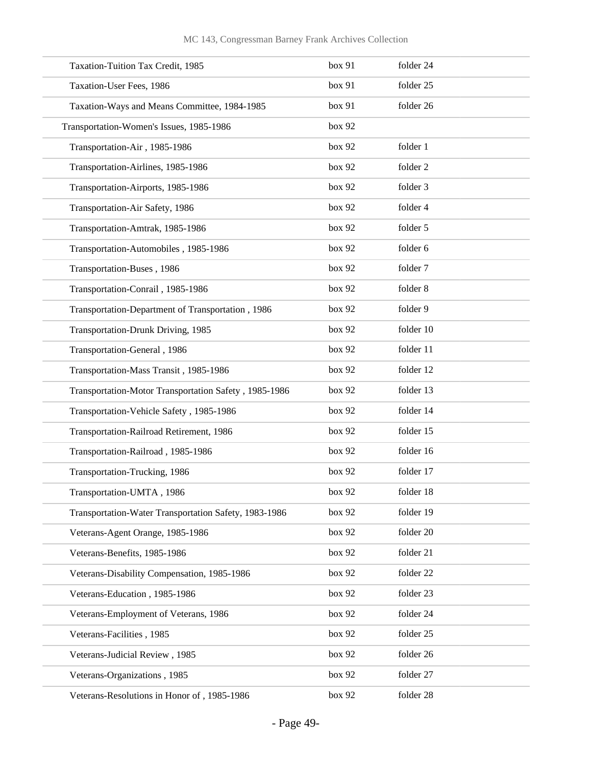| Taxation-Tuition Tax Credit, 1985                     | box 91 | folder 24 |
|-------------------------------------------------------|--------|-----------|
| Taxation-User Fees, 1986                              | box 91 | folder 25 |
| Taxation-Ways and Means Committee, 1984-1985          | box 91 | folder 26 |
| Transportation-Women's Issues, 1985-1986              | box 92 |           |
| Transportation-Air, 1985-1986                         | box 92 | folder 1  |
| Transportation-Airlines, 1985-1986                    | box 92 | folder 2  |
| Transportation-Airports, 1985-1986                    | box 92 | folder 3  |
| Transportation-Air Safety, 1986                       | box 92 | folder 4  |
| Transportation-Amtrak, 1985-1986                      | box 92 | folder 5  |
| Transportation-Automobiles, 1985-1986                 | box 92 | folder 6  |
| Transportation-Buses, 1986                            | box 92 | folder 7  |
| Transportation-Conrail, 1985-1986                     | box 92 | folder 8  |
| Transportation-Department of Transportation, 1986     | box 92 | folder 9  |
| Transportation-Drunk Driving, 1985                    | box 92 | folder 10 |
| Transportation-General, 1986                          | box 92 | folder 11 |
| Transportation-Mass Transit, 1985-1986                | box 92 | folder 12 |
| Transportation-Motor Transportation Safety, 1985-1986 | box 92 | folder 13 |
| Transportation-Vehicle Safety, 1985-1986              | box 92 | folder 14 |
| Transportation-Railroad Retirement, 1986              | box 92 | folder 15 |
| Transportation-Railroad, 1985-1986                    | box 92 | folder 16 |
| Transportation-Trucking, 1986                         | box 92 | folder 17 |
| Transportation-UMTA, 1986                             | box 92 | folder 18 |
| Transportation-Water Transportation Safety, 1983-1986 | box 92 | folder 19 |
| Veterans-Agent Orange, 1985-1986                      | box 92 | folder 20 |
| Veterans-Benefits, 1985-1986                          | box 92 | folder 21 |
| Veterans-Disability Compensation, 1985-1986           | box 92 | folder 22 |
| Veterans-Education, 1985-1986                         | box 92 | folder 23 |
| Veterans-Employment of Veterans, 1986                 | box 92 | folder 24 |
| Veterans-Facilities, 1985                             | box 92 | folder 25 |
| Veterans-Judicial Review, 1985                        | box 92 | folder 26 |
| Veterans-Organizations, 1985                          | box 92 | folder 27 |
| Veterans-Resolutions in Honor of, 1985-1986           | box 92 | folder 28 |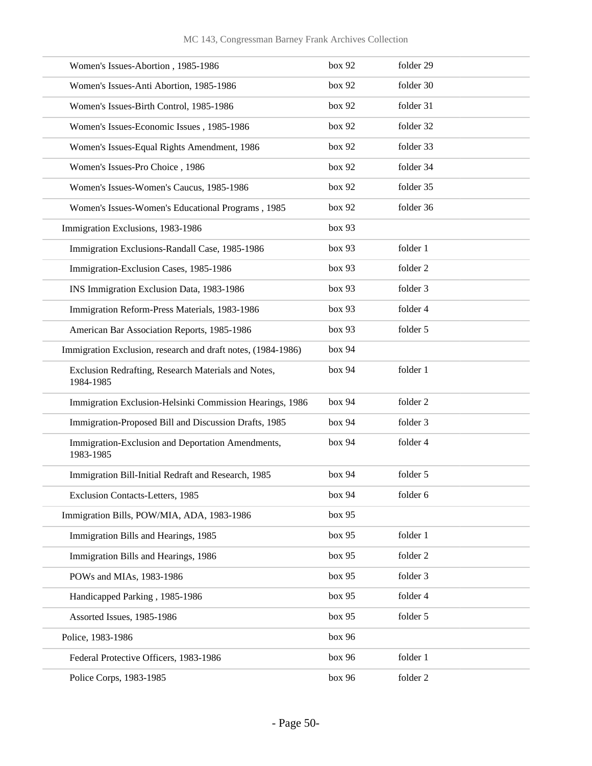| Women's Issues-Abortion, 1985-1986                               | box 92 | folder 29 |
|------------------------------------------------------------------|--------|-----------|
| Women's Issues-Anti Abortion, 1985-1986                          | box 92 | folder 30 |
| Women's Issues-Birth Control, 1985-1986                          | box 92 | folder 31 |
| Women's Issues-Economic Issues, 1985-1986                        | box 92 | folder 32 |
| Women's Issues-Equal Rights Amendment, 1986                      | box 92 | folder 33 |
| Women's Issues-Pro Choice, 1986                                  | box 92 | folder 34 |
| Women's Issues-Women's Caucus, 1985-1986                         | box 92 | folder 35 |
| Women's Issues-Women's Educational Programs, 1985                | box 92 | folder 36 |
| Immigration Exclusions, 1983-1986                                | box 93 |           |
| Immigration Exclusions-Randall Case, 1985-1986                   | box 93 | folder 1  |
| Immigration-Exclusion Cases, 1985-1986                           | box 93 | folder 2  |
| INS Immigration Exclusion Data, 1983-1986                        | box 93 | folder 3  |
| Immigration Reform-Press Materials, 1983-1986                    | box 93 | folder 4  |
| American Bar Association Reports, 1985-1986                      | box 93 | folder 5  |
| Immigration Exclusion, research and draft notes, (1984-1986)     | box 94 |           |
| Exclusion Redrafting, Research Materials and Notes,<br>1984-1985 | box 94 | folder 1  |
| Immigration Exclusion-Helsinki Commission Hearings, 1986         | box 94 | folder 2  |
| Immigration-Proposed Bill and Discussion Drafts, 1985            | box 94 | folder 3  |
| Immigration-Exclusion and Deportation Amendments,<br>1983-1985   | box 94 | folder 4  |
| Immigration Bill-Initial Redraft and Research, 1985              | box 94 | folder 5  |
| Exclusion Contacts-Letters, 1985                                 | box 94 | folder 6  |
| Immigration Bills, POW/MIA, ADA, 1983-1986                       | box 95 |           |
| Immigration Bills and Hearings, 1985                             | box 95 | folder 1  |
| Immigration Bills and Hearings, 1986                             | box 95 | folder 2  |
| POWs and MIAs, 1983-1986                                         | box 95 | folder 3  |
| Handicapped Parking, 1985-1986                                   | box 95 | folder 4  |
| Assorted Issues, 1985-1986                                       | box 95 | folder 5  |
| Police, 1983-1986                                                | box 96 |           |
| Federal Protective Officers, 1983-1986                           | box 96 | folder 1  |
| Police Corps, 1983-1985                                          | box 96 | folder 2  |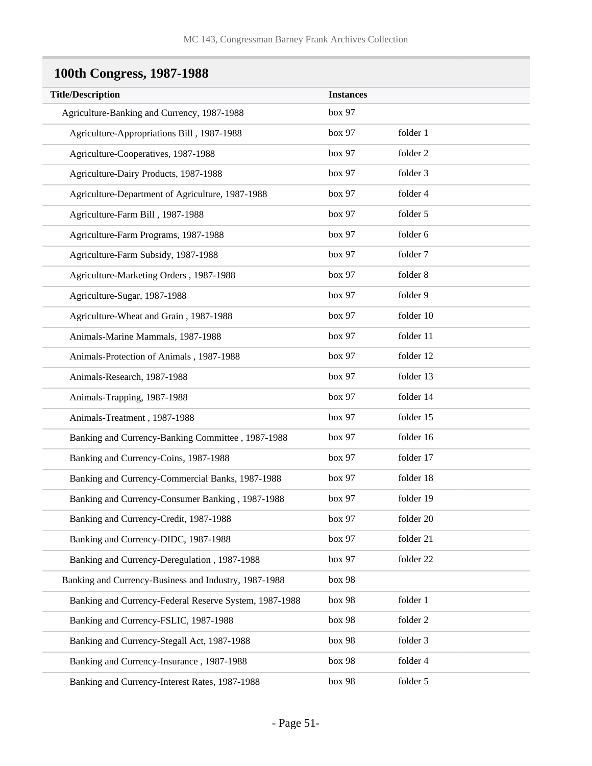# **100th Congress, 1987-1988**

| <b>Title/Description</b>                               | <b>Instances</b> |           |
|--------------------------------------------------------|------------------|-----------|
| Agriculture-Banking and Currency, 1987-1988            | box 97           |           |
| Agriculture-Appropriations Bill, 1987-1988             | box 97           | folder 1  |
| Agriculture-Cooperatives, 1987-1988                    | box 97           | folder 2  |
| Agriculture-Dairy Products, 1987-1988                  | box 97           | folder 3  |
| Agriculture-Department of Agriculture, 1987-1988       | box 97           | folder 4  |
| Agriculture-Farm Bill, 1987-1988                       | box 97           | folder 5  |
| Agriculture-Farm Programs, 1987-1988                   | box 97           | folder 6  |
| Agriculture-Farm Subsidy, 1987-1988                    | box 97           | folder 7  |
| Agriculture-Marketing Orders, 1987-1988                | box 97           | folder 8  |
| Agriculture-Sugar, 1987-1988                           | box 97           | folder 9  |
| Agriculture-Wheat and Grain, 1987-1988                 | box 97           | folder 10 |
| Animals-Marine Mammals, 1987-1988                      | box 97           | folder 11 |
| Animals-Protection of Animals, 1987-1988               | box 97           | folder 12 |
| Animals-Research, 1987-1988                            | box 97           | folder 13 |
| Animals-Trapping, 1987-1988                            | box 97           | folder 14 |
| Animals-Treatment, 1987-1988                           | box 97           | folder 15 |
| Banking and Currency-Banking Committee, 1987-1988      | box 97           | folder 16 |
| Banking and Currency-Coins, 1987-1988                  | box 97           | folder 17 |
| Banking and Currency-Commercial Banks, 1987-1988       | box 97           | folder 18 |
| Banking and Currency-Consumer Banking, 1987-1988       | box 97           | folder 19 |
| Banking and Currency-Credit, 1987-1988                 | box 97           | folder 20 |
| Banking and Currency-DIDC, 1987-1988                   | box 97           | folder 21 |
| Banking and Currency-Deregulation, 1987-1988           | box 97           | folder 22 |
| Banking and Currency-Business and Industry, 1987-1988  | box 98           |           |
| Banking and Currency-Federal Reserve System, 1987-1988 | box 98           | folder 1  |
| Banking and Currency-FSLIC, 1987-1988                  | box 98           | folder 2  |
| Banking and Currency-Stegall Act, 1987-1988            | box 98           | folder 3  |
| Banking and Currency-Insurance, 1987-1988              | box 98           | folder 4  |
| Banking and Currency-Interest Rates, 1987-1988         | box 98           | folder 5  |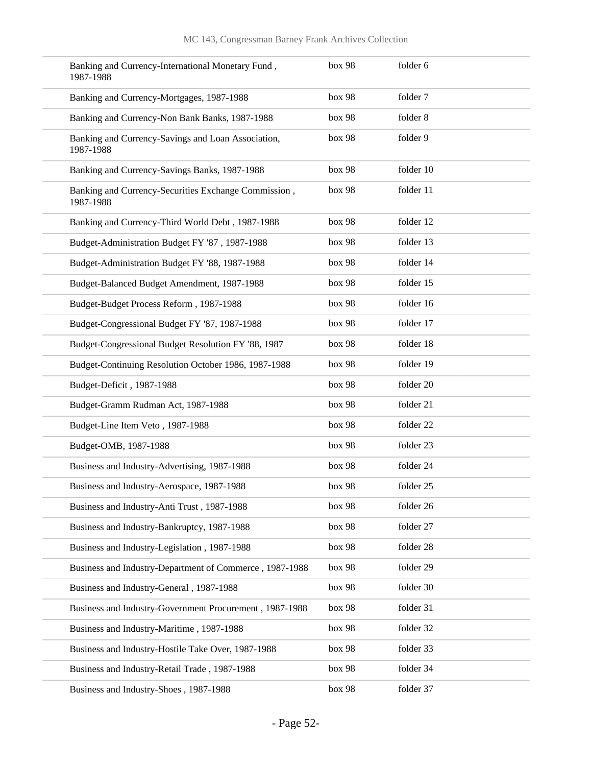| Banking and Currency-International Monetary Fund,<br>1987-1988    | box 98 | folder 6  |
|-------------------------------------------------------------------|--------|-----------|
| Banking and Currency-Mortgages, 1987-1988                         | box 98 | folder 7  |
| Banking and Currency-Non Bank Banks, 1987-1988                    | box 98 | folder 8  |
| Banking and Currency-Savings and Loan Association,<br>1987-1988   | box 98 | folder 9  |
| Banking and Currency-Savings Banks, 1987-1988                     | box 98 | folder 10 |
| Banking and Currency-Securities Exchange Commission,<br>1987-1988 | box 98 | folder 11 |
| Banking and Currency-Third World Debt, 1987-1988                  | box 98 | folder 12 |
| Budget-Administration Budget FY '87, 1987-1988                    | box 98 | folder 13 |
| Budget-Administration Budget FY '88, 1987-1988                    | box 98 | folder 14 |
| Budget-Balanced Budget Amendment, 1987-1988                       | box 98 | folder 15 |
| Budget-Budget Process Reform, 1987-1988                           | box 98 | folder 16 |
| Budget-Congressional Budget FY '87, 1987-1988                     | box 98 | folder 17 |
| Budget-Congressional Budget Resolution FY '88, 1987               | box 98 | folder 18 |
| Budget-Continuing Resolution October 1986, 1987-1988              | box 98 | folder 19 |
| Budget-Deficit, 1987-1988                                         | box 98 | folder 20 |
| Budget-Gramm Rudman Act, 1987-1988                                | box 98 | folder 21 |
| Budget-Line Item Veto, 1987-1988                                  | box 98 | folder 22 |
| Budget-OMB, 1987-1988                                             | box 98 | folder 23 |
| Business and Industry-Advertising, 1987-1988                      | box 98 | folder 24 |
| Business and Industry-Aerospace, 1987-1988                        | box 98 | folder 25 |
| Business and Industry-Anti Trust, 1987-1988                       | box 98 | folder 26 |
| Business and Industry-Bankruptcy, 1987-1988                       | box 98 | folder 27 |
| Business and Industry-Legislation, 1987-1988                      | box 98 | folder 28 |
| Business and Industry-Department of Commerce, 1987-1988           | box 98 | folder 29 |
| Business and Industry-General, 1987-1988                          | box 98 | folder 30 |
| Business and Industry-Government Procurement, 1987-1988           | box 98 | folder 31 |
| Business and Industry-Maritime, 1987-1988                         | box 98 | folder 32 |
| Business and Industry-Hostile Take Over, 1987-1988                | box 98 | folder 33 |
| Business and Industry-Retail Trade, 1987-1988                     | box 98 | folder 34 |
| Business and Industry-Shoes, 1987-1988                            | box 98 | folder 37 |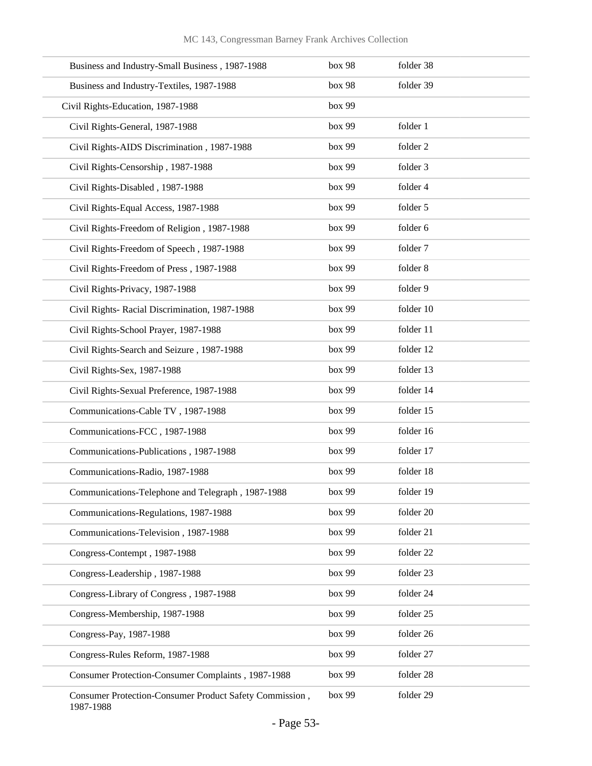| Business and Industry-Small Business, 1987-1988                      | box 98 | folder 38 |
|----------------------------------------------------------------------|--------|-----------|
| Business and Industry-Textiles, 1987-1988                            | box 98 | folder 39 |
| Civil Rights-Education, 1987-1988                                    | box 99 |           |
| Civil Rights-General, 1987-1988                                      | box 99 | folder 1  |
| Civil Rights-AIDS Discrimination, 1987-1988                          | box 99 | folder 2  |
| Civil Rights-Censorship, 1987-1988                                   | box 99 | folder 3  |
| Civil Rights-Disabled, 1987-1988                                     | box 99 | folder 4  |
| Civil Rights-Equal Access, 1987-1988                                 | box 99 | folder 5  |
| Civil Rights-Freedom of Religion, 1987-1988                          | box 99 | folder 6  |
| Civil Rights-Freedom of Speech, 1987-1988                            | box 99 | folder 7  |
| Civil Rights-Freedom of Press, 1987-1988                             | box 99 | folder 8  |
| Civil Rights-Privacy, 1987-1988                                      | box 99 | folder 9  |
| Civil Rights- Racial Discrimination, 1987-1988                       | box 99 | folder 10 |
| Civil Rights-School Prayer, 1987-1988                                | box 99 | folder 11 |
| Civil Rights-Search and Seizure, 1987-1988                           | box 99 | folder 12 |
| Civil Rights-Sex, 1987-1988                                          | box 99 | folder 13 |
| Civil Rights-Sexual Preference, 1987-1988                            | box 99 | folder 14 |
| Communications-Cable TV, 1987-1988                                   | box 99 | folder 15 |
| Communications-FCC, 1987-1988                                        | box 99 | folder 16 |
| Communications-Publications, 1987-1988                               | box 99 | folder 17 |
| Communications-Radio, 1987-1988                                      | box 99 | folder 18 |
| Communications-Telephone and Telegraph, 1987-1988                    | box 99 | folder 19 |
| Communications-Regulations, 1987-1988                                | box 99 | folder 20 |
| Communications-Television, 1987-1988                                 | box 99 | folder 21 |
| Congress-Contempt, 1987-1988                                         | box 99 | folder 22 |
| Congress-Leadership, 1987-1988                                       | box 99 | folder 23 |
| Congress-Library of Congress, 1987-1988                              | box 99 | folder 24 |
| Congress-Membership, 1987-1988                                       | box 99 | folder 25 |
| Congress-Pay, 1987-1988                                              | box 99 | folder 26 |
| Congress-Rules Reform, 1987-1988                                     | box 99 | folder 27 |
| Consumer Protection-Consumer Complaints, 1987-1988                   | box 99 | folder 28 |
| Consumer Protection-Consumer Product Safety Commission,<br>1987-1988 | box 99 | folder 29 |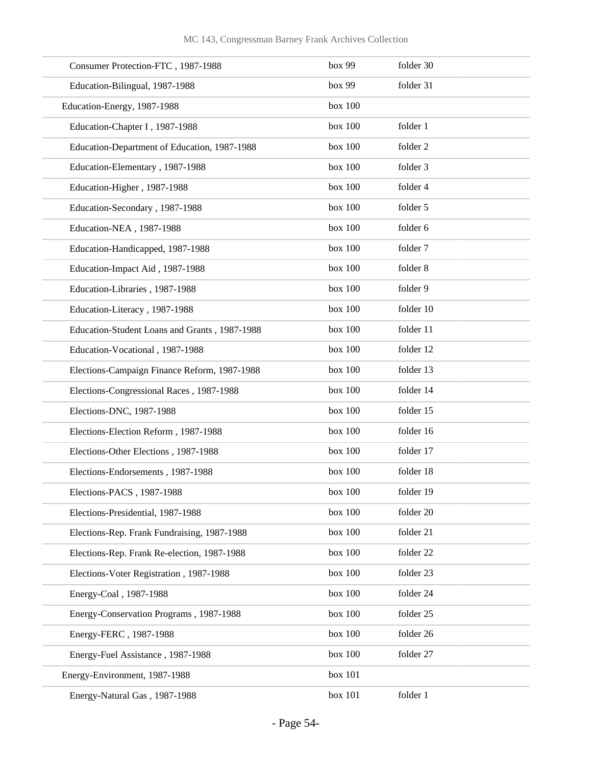| Consumer Protection-FTC, 1987-1988            | box 99  | folder 30 |
|-----------------------------------------------|---------|-----------|
| Education-Bilingual, 1987-1988                | box 99  | folder 31 |
| Education-Energy, 1987-1988                   | box 100 |           |
| Education-Chapter I, 1987-1988                | box 100 | folder 1  |
| Education-Department of Education, 1987-1988  | box 100 | folder 2  |
| Education-Elementary, 1987-1988               | box 100 | folder 3  |
| Education-Higher, 1987-1988                   | box 100 | folder 4  |
| Education-Secondary, 1987-1988                | box 100 | folder 5  |
| Education-NEA, 1987-1988                      | box 100 | folder 6  |
| Education-Handicapped, 1987-1988              | box 100 | folder 7  |
| Education-Impact Aid, 1987-1988               | box 100 | folder 8  |
| Education-Libraries, 1987-1988                | box 100 | folder 9  |
| Education-Literacy, 1987-1988                 | box 100 | folder 10 |
| Education-Student Loans and Grants, 1987-1988 | box 100 | folder 11 |
| Education-Vocational, 1987-1988               | box 100 | folder 12 |
| Elections-Campaign Finance Reform, 1987-1988  | box 100 | folder 13 |
| Elections-Congressional Races, 1987-1988      | box 100 | folder 14 |
| Elections-DNC, 1987-1988                      | box 100 | folder 15 |
| Elections-Election Reform, 1987-1988          | box 100 | folder 16 |
| Elections-Other Elections, 1987-1988          | box 100 | folder 17 |
| Elections-Endorsements, 1987-1988             | box 100 | folder 18 |
| Elections-PACS, 1987-1988                     | box 100 | folder 19 |
| Elections-Presidential, 1987-1988             | box 100 | folder 20 |
| Elections-Rep. Frank Fundraising, 1987-1988   | box 100 | folder 21 |
| Elections-Rep. Frank Re-election, 1987-1988   | box 100 | folder 22 |
| Elections-Voter Registration, 1987-1988       | box 100 | folder 23 |
| Energy-Coal, 1987-1988                        | box 100 | folder 24 |
| Energy-Conservation Programs, 1987-1988       | box 100 | folder 25 |
| Energy-FERC, 1987-1988                        | box 100 | folder 26 |
| Energy-Fuel Assistance, 1987-1988             | box 100 | folder 27 |
| Energy-Environment, 1987-1988                 | box 101 |           |
| Energy-Natural Gas, 1987-1988                 | box 101 | folder 1  |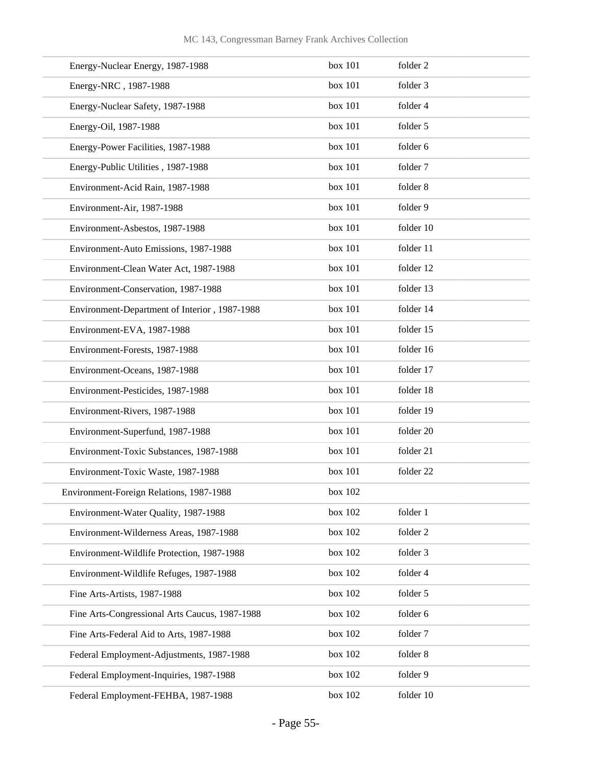| Energy-Nuclear Energy, 1987-1988               | box 101 | folder 2    |
|------------------------------------------------|---------|-------------|
| Energy-NRC, 1987-1988                          | box 101 | folder 3    |
| Energy-Nuclear Safety, 1987-1988               | box 101 | folder 4    |
| Energy-Oil, 1987-1988                          | box 101 | folder 5    |
| Energy-Power Facilities, 1987-1988             | box 101 | folder 6    |
| Energy-Public Utilities, 1987-1988             | box 101 | folder 7    |
| Environment-Acid Rain, 1987-1988               | box 101 | folder 8    |
| Environment-Air, 1987-1988                     | box 101 | folder 9    |
| Environment-Asbestos, 1987-1988                | box 101 | folder 10   |
| Environment-Auto Emissions, 1987-1988          | box 101 | folder 11   |
| Environment-Clean Water Act, 1987-1988         | box 101 | folder 12   |
| Environment-Conservation, 1987-1988            | box 101 | folder 13   |
| Environment-Department of Interior, 1987-1988  | box 101 | folder 14   |
| Environment-EVA, 1987-1988                     | box 101 | folder 15   |
| Environment-Forests, 1987-1988                 | box 101 | folder 16   |
| Environment-Oceans, 1987-1988                  | box 101 | folder 17   |
| Environment-Pesticides, 1987-1988              | box 101 | folder 18   |
| Environment-Rivers, 1987-1988                  | box 101 | folder 19   |
| Environment-Superfund, 1987-1988               | box 101 | folder 20   |
| Environment-Toxic Substances, 1987-1988        | box 101 | folder 21   |
| Environment-Toxic Waste, 1987-1988             | box 101 | folder 22   |
| Environment-Foreign Relations, 1987-1988       | box 102 |             |
| Environment-Water Quality, 1987-1988           | box 102 | folder 1    |
| Environment-Wilderness Areas, 1987-1988        | box 102 | folder 2    |
| Environment-Wildlife Protection, 1987-1988     | box 102 | folder 3    |
| Environment-Wildlife Refuges, 1987-1988        | box 102 | folder 4    |
| Fine Arts-Artists, 1987-1988                   | box 102 | folder 5    |
| Fine Arts-Congressional Arts Caucus, 1987-1988 | box 102 | folder 6    |
| Fine Arts-Federal Aid to Arts, 1987-1988       | box 102 | folder 7    |
| Federal Employment-Adjustments, 1987-1988      | box 102 | folder 8    |
| Federal Employment-Inquiries, 1987-1988        | box 102 | folder 9    |
| Federal Employment-FEHBA, 1987-1988            | box 102 | folder $10$ |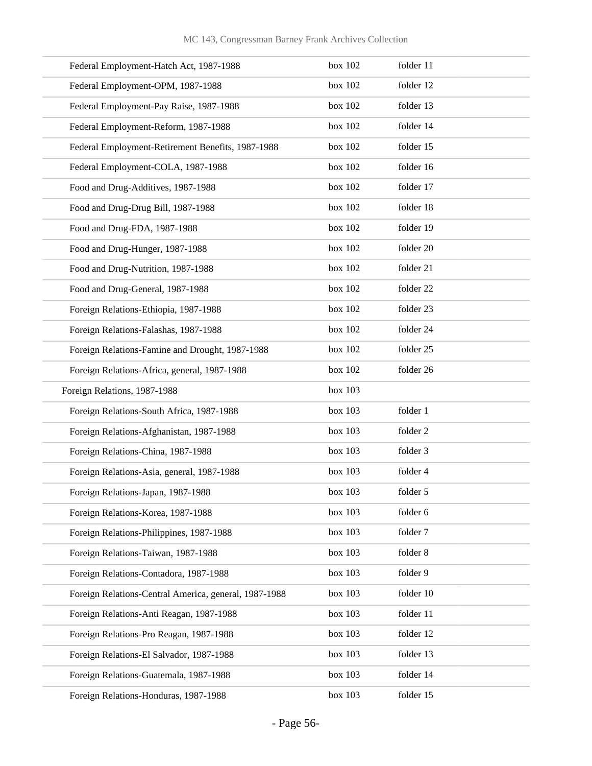| Federal Employment-Hatch Act, 1987-1988               | box 102 | folder 11 |
|-------------------------------------------------------|---------|-----------|
| Federal Employment-OPM, 1987-1988                     | box 102 | folder 12 |
| Federal Employment-Pay Raise, 1987-1988               | box 102 | folder 13 |
| Federal Employment-Reform, 1987-1988                  | box 102 | folder 14 |
| Federal Employment-Retirement Benefits, 1987-1988     | box 102 | folder 15 |
| Federal Employment-COLA, 1987-1988                    | box 102 | folder 16 |
| Food and Drug-Additives, 1987-1988                    | box 102 | folder 17 |
| Food and Drug-Drug Bill, 1987-1988                    | box 102 | folder 18 |
| Food and Drug-FDA, 1987-1988                          | box 102 | folder 19 |
| Food and Drug-Hunger, 1987-1988                       | box 102 | folder 20 |
| Food and Drug-Nutrition, 1987-1988                    | box 102 | folder 21 |
| Food and Drug-General, 1987-1988                      | box 102 | folder 22 |
| Foreign Relations-Ethiopia, 1987-1988                 | box 102 | folder 23 |
| Foreign Relations-Falashas, 1987-1988                 | box 102 | folder 24 |
| Foreign Relations-Famine and Drought, 1987-1988       | box 102 | folder 25 |
| Foreign Relations-Africa, general, 1987-1988          | box 102 | folder 26 |
| Foreign Relations, 1987-1988                          | box 103 |           |
| Foreign Relations-South Africa, 1987-1988             | box 103 | folder 1  |
| Foreign Relations-Afghanistan, 1987-1988              | box 103 | folder 2  |
| Foreign Relations-China, 1987-1988                    | box 103 | folder 3  |
| Foreign Relations-Asia, general, 1987-1988            | box 103 | folder 4  |
| Foreign Relations-Japan, 1987-1988                    | box 103 | folder 5  |
| Foreign Relations-Korea, 1987-1988                    | box 103 | folder 6  |
| Foreign Relations-Philippines, 1987-1988              | box 103 | folder 7  |
| Foreign Relations-Taiwan, 1987-1988                   | box 103 | folder 8  |
| Foreign Relations-Contadora, 1987-1988                | box 103 | folder 9  |
| Foreign Relations-Central America, general, 1987-1988 | box 103 | folder 10 |
| Foreign Relations-Anti Reagan, 1987-1988              | box 103 | folder 11 |
| Foreign Relations-Pro Reagan, 1987-1988               | box 103 | folder 12 |
| Foreign Relations-El Salvador, 1987-1988              | box 103 | folder 13 |
| Foreign Relations-Guatemala, 1987-1988                | box 103 | folder 14 |
| Foreign Relations-Honduras, 1987-1988                 | box 103 | folder 15 |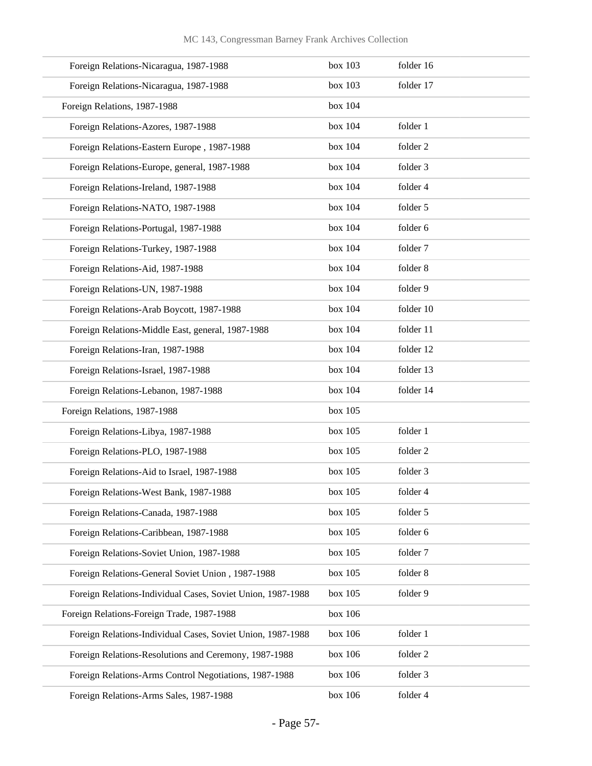| Foreign Relations-Nicaragua, 1987-1988                      | box 103 | folder 16 |
|-------------------------------------------------------------|---------|-----------|
| Foreign Relations-Nicaragua, 1987-1988                      | box 103 | folder 17 |
| Foreign Relations, 1987-1988                                | box 104 |           |
| Foreign Relations-Azores, 1987-1988                         | box 104 | folder 1  |
| Foreign Relations-Eastern Europe, 1987-1988                 | box 104 | folder 2  |
| Foreign Relations-Europe, general, 1987-1988                | box 104 | folder 3  |
| Foreign Relations-Ireland, 1987-1988                        | box 104 | folder 4  |
| Foreign Relations-NATO, 1987-1988                           | box 104 | folder 5  |
| Foreign Relations-Portugal, 1987-1988                       | box 104 | folder 6  |
| Foreign Relations-Turkey, 1987-1988                         | box 104 | folder 7  |
| Foreign Relations-Aid, 1987-1988                            | box 104 | folder 8  |
| Foreign Relations-UN, 1987-1988                             | box 104 | folder 9  |
| Foreign Relations-Arab Boycott, 1987-1988                   | box 104 | folder 10 |
| Foreign Relations-Middle East, general, 1987-1988           | box 104 | folder 11 |
| Foreign Relations-Iran, 1987-1988                           | box 104 | folder 12 |
| Foreign Relations-Israel, 1987-1988                         | box 104 | folder 13 |
| Foreign Relations-Lebanon, 1987-1988                        | box 104 | folder 14 |
| Foreign Relations, 1987-1988                                | box 105 |           |
| Foreign Relations-Libya, 1987-1988                          | box 105 | folder 1  |
| Foreign Relations-PLO, 1987-1988                            | box 105 | folder 2  |
| Foreign Relations-Aid to Israel, 1987-1988                  | box 105 | folder 3  |
| Foreign Relations-West Bank, 1987-1988                      | box 105 | folder 4  |
| Foreign Relations-Canada, 1987-1988                         | box 105 | folder 5  |
| Foreign Relations-Caribbean, 1987-1988                      | box 105 | folder 6  |
| Foreign Relations-Soviet Union, 1987-1988                   | box 105 | folder 7  |
| Foreign Relations-General Soviet Union, 1987-1988           | box 105 | folder 8  |
| Foreign Relations-Individual Cases, Soviet Union, 1987-1988 | box 105 | folder 9  |
| Foreign Relations-Foreign Trade, 1987-1988                  | box 106 |           |
| Foreign Relations-Individual Cases, Soviet Union, 1987-1988 | box 106 | folder 1  |
| Foreign Relations-Resolutions and Ceremony, 1987-1988       | box 106 | folder 2  |
| Foreign Relations-Arms Control Negotiations, 1987-1988      | box 106 | folder 3  |
| Foreign Relations-Arms Sales, 1987-1988                     | box 106 | folder 4  |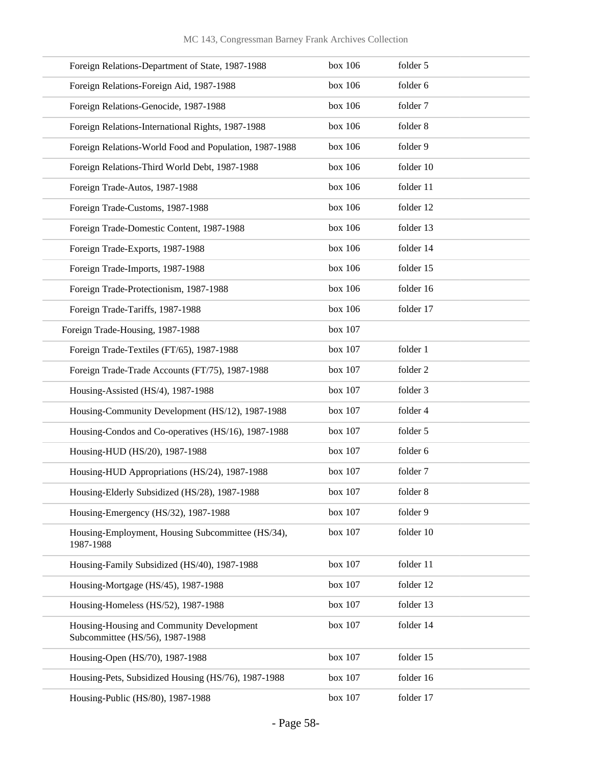| Foreign Relations-Department of State, 1987-1988                             | box 106 | folder 5  |
|------------------------------------------------------------------------------|---------|-----------|
| Foreign Relations-Foreign Aid, 1987-1988                                     | box 106 | folder 6  |
| Foreign Relations-Genocide, 1987-1988                                        | box 106 | folder 7  |
| Foreign Relations-International Rights, 1987-1988                            | box 106 | folder 8  |
| Foreign Relations-World Food and Population, 1987-1988                       | box 106 | folder 9  |
| Foreign Relations-Third World Debt, 1987-1988                                | box 106 | folder 10 |
| Foreign Trade-Autos, 1987-1988                                               | box 106 | folder 11 |
| Foreign Trade-Customs, 1987-1988                                             | box 106 | folder 12 |
| Foreign Trade-Domestic Content, 1987-1988                                    | box 106 | folder 13 |
| Foreign Trade-Exports, 1987-1988                                             | box 106 | folder 14 |
| Foreign Trade-Imports, 1987-1988                                             | box 106 | folder 15 |
| Foreign Trade-Protectionism, 1987-1988                                       | box 106 | folder 16 |
| Foreign Trade-Tariffs, 1987-1988                                             | box 106 | folder 17 |
| Foreign Trade-Housing, 1987-1988                                             | box 107 |           |
| Foreign Trade-Textiles (FT/65), 1987-1988                                    | box 107 | folder 1  |
| Foreign Trade-Trade Accounts (FT/75), 1987-1988                              | box 107 | folder 2  |
| Housing-Assisted (HS/4), 1987-1988                                           | box 107 | folder 3  |
| Housing-Community Development (HS/12), 1987-1988                             | box 107 | folder 4  |
| Housing-Condos and Co-operatives (HS/16), 1987-1988                          | box 107 | folder 5  |
| Housing-HUD (HS/20), 1987-1988                                               | box 107 | folder 6  |
| Housing-HUD Appropriations (HS/24), 1987-1988                                | box 107 | folder 7  |
| Housing-Elderly Subsidized (HS/28), 1987-1988                                | box 107 | folder 8  |
| Housing-Emergency (HS/32), 1987-1988                                         | box 107 | folder 9  |
| Housing-Employment, Housing Subcommittee (HS/34),<br>1987-1988               | box 107 | folder 10 |
| Housing-Family Subsidized (HS/40), 1987-1988                                 | box 107 | folder 11 |
| Housing-Mortgage (HS/45), 1987-1988                                          | box 107 | folder 12 |
| Housing-Homeless (HS/52), 1987-1988                                          | box 107 | folder 13 |
| Housing-Housing and Community Development<br>Subcommittee (HS/56), 1987-1988 | box 107 | folder 14 |
| Housing-Open (HS/70), 1987-1988                                              | box 107 | folder 15 |
| Housing-Pets, Subsidized Housing (HS/76), 1987-1988                          | box 107 | folder 16 |
| Housing-Public (HS/80), 1987-1988                                            | box 107 | folder 17 |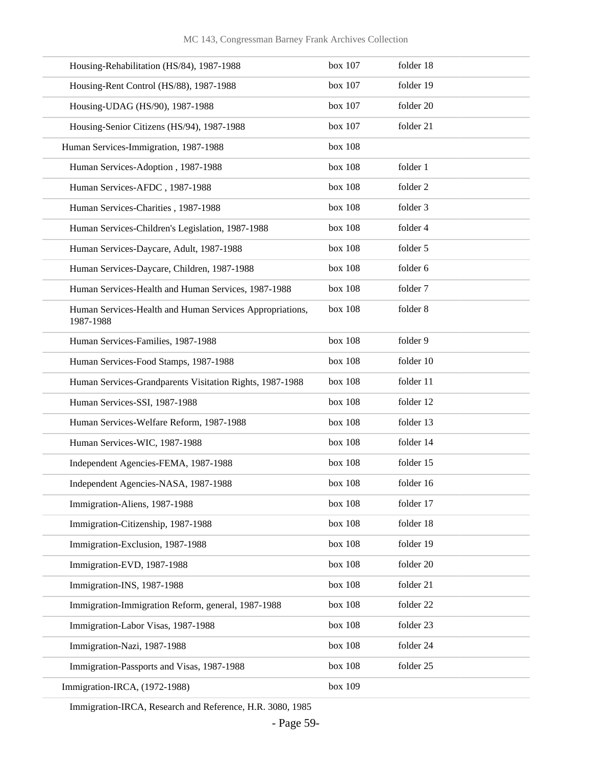| Housing-Rehabilitation (HS/84), 1987-1988                             | box 107 | folder 18 |
|-----------------------------------------------------------------------|---------|-----------|
| Housing-Rent Control (HS/88), 1987-1988                               | box 107 | folder 19 |
| Housing-UDAG (HS/90), 1987-1988                                       | box 107 | folder 20 |
| Housing-Senior Citizens (HS/94), 1987-1988                            | box 107 | folder 21 |
| Human Services-Immigration, 1987-1988                                 | box 108 |           |
| Human Services-Adoption, 1987-1988                                    | box 108 | folder 1  |
| Human Services-AFDC, 1987-1988                                        | box 108 | folder 2  |
| Human Services-Charities, 1987-1988                                   | box 108 | folder 3  |
| Human Services-Children's Legislation, 1987-1988                      | box 108 | folder 4  |
| Human Services-Daycare, Adult, 1987-1988                              | box 108 | folder 5  |
| Human Services-Daycare, Children, 1987-1988                           | box 108 | folder 6  |
| Human Services-Health and Human Services, 1987-1988                   | box 108 | folder 7  |
| Human Services-Health and Human Services Appropriations,<br>1987-1988 | box 108 | folder 8  |
| Human Services-Families, 1987-1988                                    | box 108 | folder 9  |
| Human Services-Food Stamps, 1987-1988                                 | box 108 | folder 10 |
| Human Services-Grandparents Visitation Rights, 1987-1988              | box 108 | folder 11 |
| Human Services-SSI, 1987-1988                                         | box 108 | folder 12 |
| Human Services-Welfare Reform, 1987-1988                              | box 108 | folder 13 |
| Human Services-WIC, 1987-1988                                         | box 108 | folder 14 |
| Independent Agencies-FEMA, 1987-1988                                  | box 108 | folder 15 |
| Independent Agencies-NASA, 1987-1988                                  | box 108 | folder 16 |
| Immigration-Aliens, 1987-1988                                         | box 108 | folder 17 |
| Immigration-Citizenship, 1987-1988                                    | box 108 | folder 18 |
| Immigration-Exclusion, 1987-1988                                      | box 108 | folder 19 |
| Immigration-EVD, 1987-1988                                            | box 108 | folder 20 |
| Immigration-INS, 1987-1988                                            | box 108 | folder 21 |
| Immigration-Immigration Reform, general, 1987-1988                    | box 108 | folder 22 |
| Immigration-Labor Visas, 1987-1988                                    | box 108 | folder 23 |
| Immigration-Nazi, 1987-1988                                           | box 108 | folder 24 |
| Immigration-Passports and Visas, 1987-1988                            | box 108 | folder 25 |
| Immigration-IRCA, (1972-1988)                                         | box 109 |           |

Immigration-IRCA, Research and Reference, H.R. 3080, 1985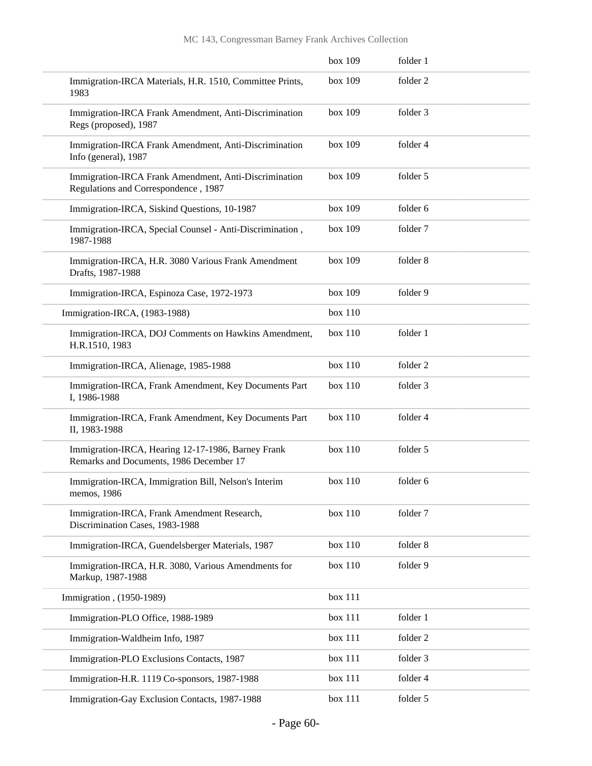|                                                                                               | box 109 | folder 1 |  |
|-----------------------------------------------------------------------------------------------|---------|----------|--|
| Immigration-IRCA Materials, H.R. 1510, Committee Prints,<br>1983                              | box 109 | folder 2 |  |
| Immigration-IRCA Frank Amendment, Anti-Discrimination<br>Regs (proposed), 1987                | box 109 | folder 3 |  |
| Immigration-IRCA Frank Amendment, Anti-Discrimination<br>Info (general), 1987                 | box 109 | folder 4 |  |
| Immigration-IRCA Frank Amendment, Anti-Discrimination<br>Regulations and Correspondence, 1987 | box 109 | folder 5 |  |
| Immigration-IRCA, Siskind Questions, 10-1987                                                  | box 109 | folder 6 |  |
| Immigration-IRCA, Special Counsel - Anti-Discrimination,<br>1987-1988                         | box 109 | folder 7 |  |
| Immigration-IRCA, H.R. 3080 Various Frank Amendment<br>Drafts, 1987-1988                      | box 109 | folder 8 |  |
| Immigration-IRCA, Espinoza Case, 1972-1973                                                    | box 109 | folder 9 |  |
| Immigration-IRCA, (1983-1988)                                                                 | box 110 |          |  |
| Immigration-IRCA, DOJ Comments on Hawkins Amendment,<br>H.R.1510, 1983                        | box 110 | folder 1 |  |
| Immigration-IRCA, Alienage, 1985-1988                                                         | box 110 | folder 2 |  |
| Immigration-IRCA, Frank Amendment, Key Documents Part<br>I, 1986-1988                         | box 110 | folder 3 |  |
| Immigration-IRCA, Frank Amendment, Key Documents Part<br>II, 1983-1988                        | box 110 | folder 4 |  |
| Immigration-IRCA, Hearing 12-17-1986, Barney Frank<br>Remarks and Documents, 1986 December 17 | box 110 | folder 5 |  |
| Immigration-IRCA, Immigration Bill, Nelson's Interim<br>memos, 1986                           | box 110 | folder 6 |  |
| Immigration-IRCA, Frank Amendment Research,<br>Discrimination Cases, 1983-1988                | box 110 | folder 7 |  |
| Immigration-IRCA, Guendelsberger Materials, 1987                                              | box 110 | folder 8 |  |
| Immigration-IRCA, H.R. 3080, Various Amendments for<br>Markup, 1987-1988                      | box 110 | folder 9 |  |
| Immigration, (1950-1989)                                                                      | box 111 |          |  |
| Immigration-PLO Office, 1988-1989                                                             | box 111 | folder 1 |  |
| Immigration-Waldheim Info, 1987                                                               | box 111 | folder 2 |  |
| Immigration-PLO Exclusions Contacts, 1987                                                     | box 111 | folder 3 |  |
| Immigration-H.R. 1119 Co-sponsors, 1987-1988                                                  | box 111 | folder 4 |  |
| Immigration-Gay Exclusion Contacts, 1987-1988                                                 | box 111 | folder 5 |  |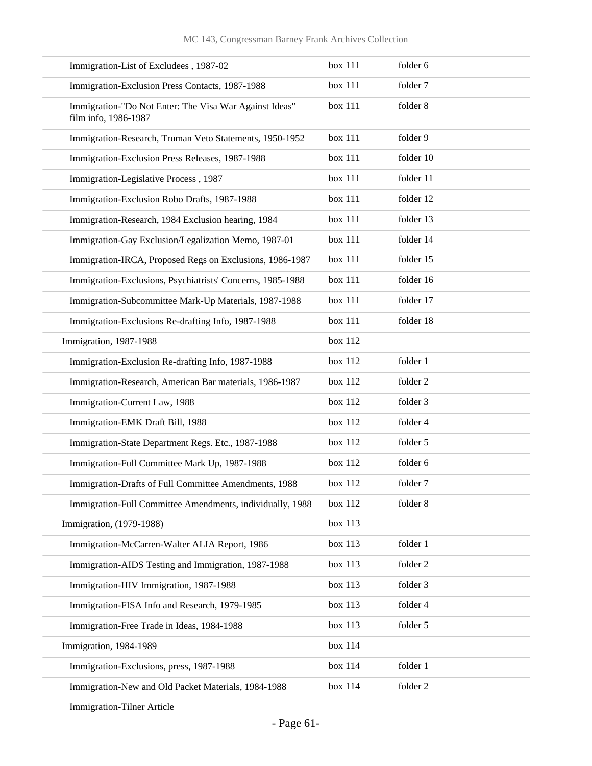| Immigration-List of Excludees, 1987-02                                         | box 111 | folder 6  |
|--------------------------------------------------------------------------------|---------|-----------|
| Immigration-Exclusion Press Contacts, 1987-1988                                | box 111 | folder 7  |
| Immigration-"Do Not Enter: The Visa War Against Ideas"<br>film info, 1986-1987 | box 111 | folder 8  |
| Immigration-Research, Truman Veto Statements, 1950-1952                        | box 111 | folder 9  |
| Immigration-Exclusion Press Releases, 1987-1988                                | box 111 | folder 10 |
| Immigration-Legislative Process, 1987                                          | box 111 | folder 11 |
| Immigration-Exclusion Robo Drafts, 1987-1988                                   | box 111 | folder 12 |
| Immigration-Research, 1984 Exclusion hearing, 1984                             | box 111 | folder 13 |
| Immigration-Gay Exclusion/Legalization Memo, 1987-01                           | box 111 | folder 14 |
| Immigration-IRCA, Proposed Regs on Exclusions, 1986-1987                       | box 111 | folder 15 |
| Immigration-Exclusions, Psychiatrists' Concerns, 1985-1988                     | box 111 | folder 16 |
| Immigration-Subcommittee Mark-Up Materials, 1987-1988                          | box 111 | folder 17 |
| Immigration-Exclusions Re-drafting Info, 1987-1988                             | box 111 | folder 18 |
| Immigration, 1987-1988                                                         | box 112 |           |
| Immigration-Exclusion Re-drafting Info, 1987-1988                              | box 112 | folder 1  |
| Immigration-Research, American Bar materials, 1986-1987                        | box 112 | folder 2  |
| Immigration-Current Law, 1988                                                  | box 112 | folder 3  |
| Immigration-EMK Draft Bill, 1988                                               | box 112 | folder 4  |
| Immigration-State Department Regs. Etc., 1987-1988                             | box 112 | folder 5  |
| Immigration-Full Committee Mark Up, 1987-1988                                  | box 112 | folder 6  |
| Immigration-Drafts of Full Committee Amendments, 1988                          | box 112 | folder 7  |
| Immigration-Full Committee Amendments, individually, 1988                      | box 112 | folder 8  |
| Immigration, (1979-1988)                                                       | box 113 |           |
| Immigration-McCarren-Walter ALIA Report, 1986                                  | box 113 | folder 1  |
| Immigration-AIDS Testing and Immigration, 1987-1988                            | box 113 | folder 2  |
| Immigration-HIV Immigration, 1987-1988                                         | box 113 | folder 3  |
| Immigration-FISA Info and Research, 1979-1985                                  | box 113 | folder 4  |
| Immigration-Free Trade in Ideas, 1984-1988                                     | box 113 | folder 5  |
| Immigration, 1984-1989                                                         | box 114 |           |
| Immigration-Exclusions, press, 1987-1988                                       | box 114 | folder 1  |
| Immigration-New and Old Packet Materials, 1984-1988                            | box 114 | folder 2  |

Immigration-Tilner Article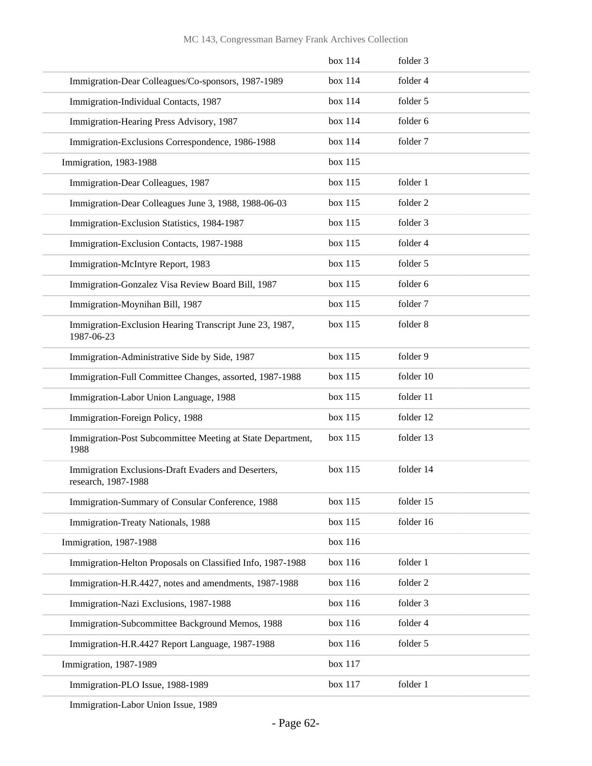|                                                                            | box 114 | folder 3  |
|----------------------------------------------------------------------------|---------|-----------|
| Immigration-Dear Colleagues/Co-sponsors, 1987-1989                         | box 114 | folder 4  |
| Immigration-Individual Contacts, 1987                                      | box 114 | folder 5  |
| Immigration-Hearing Press Advisory, 1987                                   | box 114 | folder 6  |
| Immigration-Exclusions Correspondence, 1986-1988                           | box 114 | folder 7  |
| Immigration, 1983-1988                                                     | box 115 |           |
| Immigration-Dear Colleagues, 1987                                          | box 115 | folder 1  |
| Immigration-Dear Colleagues June 3, 1988, 1988-06-03                       | box 115 | folder 2  |
| Immigration-Exclusion Statistics, 1984-1987                                | box 115 | folder 3  |
| Immigration-Exclusion Contacts, 1987-1988                                  | box 115 | folder 4  |
| Immigration-McIntyre Report, 1983                                          | box 115 | folder 5  |
| Immigration-Gonzalez Visa Review Board Bill, 1987                          | box 115 | folder 6  |
| Immigration-Moynihan Bill, 1987                                            | box 115 | folder 7  |
| Immigration-Exclusion Hearing Transcript June 23, 1987,<br>1987-06-23      | box 115 | folder 8  |
| Immigration-Administrative Side by Side, 1987                              | box 115 | folder 9  |
| Immigration-Full Committee Changes, assorted, 1987-1988                    | box 115 | folder 10 |
| Immigration-Labor Union Language, 1988                                     | box 115 | folder 11 |
| Immigration-Foreign Policy, 1988                                           | box 115 | folder 12 |
| Immigration-Post Subcommittee Meeting at State Department,<br>1988         | box 115 | folder 13 |
| Immigration Exclusions-Draft Evaders and Deserters,<br>research, 1987-1988 | box 115 | folder 14 |
| Immigration-Summary of Consular Conference, 1988                           | box 115 | folder 15 |
| Immigration-Treaty Nationals, 1988                                         | box 115 | folder 16 |
| Immigration, 1987-1988                                                     | box 116 |           |
| Immigration-Helton Proposals on Classified Info, 1987-1988                 | box 116 | folder 1  |
| Immigration-H.R.4427, notes and amendments, 1987-1988                      | box 116 | folder 2  |
| Immigration-Nazi Exclusions, 1987-1988                                     | box 116 | folder 3  |
| Immigration-Subcommittee Background Memos, 1988                            | box 116 | folder 4  |
| Immigration-H.R.4427 Report Language, 1987-1988                            | box 116 | folder 5  |
| Immigration, 1987-1989                                                     | box 117 |           |
| Immigration-PLO Issue, 1988-1989                                           | box 117 | folder 1  |
|                                                                            |         |           |

Immigration-Labor Union Issue, 1989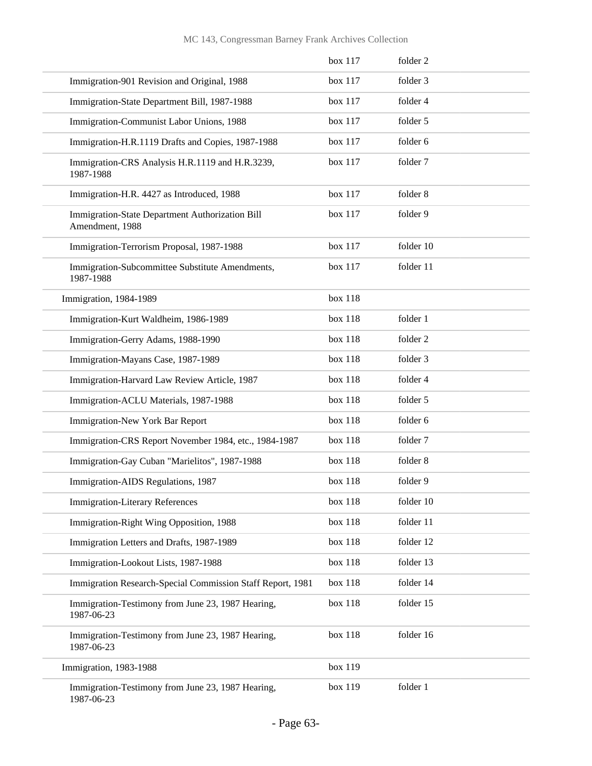### MC 143, Congressman Barney Frank Archives Collection

|                                                                    | box 117 | folder 2  |
|--------------------------------------------------------------------|---------|-----------|
| Immigration-901 Revision and Original, 1988                        | box 117 | folder 3  |
| Immigration-State Department Bill, 1987-1988                       | box 117 | folder 4  |
| Immigration-Communist Labor Unions, 1988                           | box 117 | folder 5  |
| Immigration-H.R.1119 Drafts and Copies, 1987-1988                  | box 117 | folder 6  |
| Immigration-CRS Analysis H.R.1119 and H.R.3239,<br>1987-1988       | box 117 | folder 7  |
| Immigration-H.R. 4427 as Introduced, 1988                          | box 117 | folder 8  |
| Immigration-State Department Authorization Bill<br>Amendment, 1988 | box 117 | folder 9  |
| Immigration-Terrorism Proposal, 1987-1988                          | box 117 | folder 10 |
| Immigration-Subcommittee Substitute Amendments,<br>1987-1988       | box 117 | folder 11 |
| Immigration, 1984-1989                                             | box 118 |           |
| Immigration-Kurt Waldheim, 1986-1989                               | box 118 | folder 1  |
| Immigration-Gerry Adams, 1988-1990                                 | box 118 | folder 2  |
| Immigration-Mayans Case, 1987-1989                                 | box 118 | folder 3  |
| Immigration-Harvard Law Review Article, 1987                       | box 118 | folder 4  |
| Immigration-ACLU Materials, 1987-1988                              | box 118 | folder 5  |
| Immigration-New York Bar Report                                    | box 118 | folder 6  |
| Immigration-CRS Report November 1984, etc., 1984-1987              | box 118 | folder 7  |
| Immigration-Gay Cuban "Marielitos", 1987-1988                      | box 118 | folder 8  |
| Immigration-AIDS Regulations, 1987                                 | box 118 | folder 9  |
| <b>Immigration-Literary References</b>                             | box 118 | folder 10 |
| Immigration-Right Wing Opposition, 1988                            | box 118 | folder 11 |
| Immigration Letters and Drafts, 1987-1989                          | box 118 | folder 12 |
| Immigration-Lookout Lists, 1987-1988                               | box 118 | folder 13 |
| Immigration Research-Special Commission Staff Report, 1981         | box 118 | folder 14 |
| Immigration-Testimony from June 23, 1987 Hearing,<br>1987-06-23    | box 118 | folder 15 |
| Immigration-Testimony from June 23, 1987 Hearing,<br>1987-06-23    | box 118 | folder 16 |
| Immigration, 1983-1988                                             | box 119 |           |
| Immigration-Testimony from June 23, 1987 Hearing,<br>1987-06-23    | box 119 | folder 1  |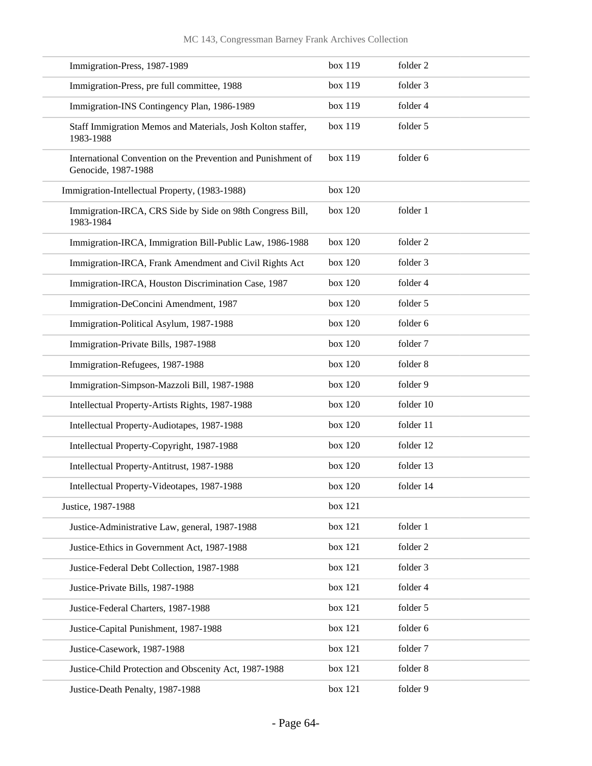| Immigration-Press, 1987-1989                                                        | box 119 | folder 2  |
|-------------------------------------------------------------------------------------|---------|-----------|
| Immigration-Press, pre full committee, 1988                                         | box 119 | folder 3  |
| Immigration-INS Contingency Plan, 1986-1989                                         | box 119 | folder 4  |
| Staff Immigration Memos and Materials, Josh Kolton staffer,<br>1983-1988            | box 119 | folder 5  |
| International Convention on the Prevention and Punishment of<br>Genocide, 1987-1988 | box 119 | folder 6  |
| Immigration-Intellectual Property, (1983-1988)                                      | box 120 |           |
| Immigration-IRCA, CRS Side by Side on 98th Congress Bill,<br>1983-1984              | box 120 | folder 1  |
| Immigration-IRCA, Immigration Bill-Public Law, 1986-1988                            | box 120 | folder 2  |
| Immigration-IRCA, Frank Amendment and Civil Rights Act                              | box 120 | folder 3  |
| Immigration-IRCA, Houston Discrimination Case, 1987                                 | box 120 | folder 4  |
| Immigration-DeConcini Amendment, 1987                                               | box 120 | folder 5  |
| Immigration-Political Asylum, 1987-1988                                             | box 120 | folder 6  |
| Immigration-Private Bills, 1987-1988                                                | box 120 | folder 7  |
| Immigration-Refugees, 1987-1988                                                     | box 120 | folder 8  |
| Immigration-Simpson-Mazzoli Bill, 1987-1988                                         | box 120 | folder 9  |
| Intellectual Property-Artists Rights, 1987-1988                                     | box 120 | folder 10 |
| Intellectual Property-Audiotapes, 1987-1988                                         | box 120 | folder 11 |
| Intellectual Property-Copyright, 1987-1988                                          | box 120 | folder 12 |
| Intellectual Property-Antitrust, 1987-1988                                          | box 120 | folder 13 |
| Intellectual Property-Videotapes, 1987-1988                                         | box 120 | folder 14 |
| Justice, 1987-1988                                                                  | box 121 |           |
| Justice-Administrative Law, general, 1987-1988                                      | box 121 | folder 1  |
| Justice-Ethics in Government Act, 1987-1988                                         | box 121 | folder 2  |
| Justice-Federal Debt Collection, 1987-1988                                          | box 121 | folder 3  |
| Justice-Private Bills, 1987-1988                                                    | box 121 | folder 4  |
| Justice-Federal Charters, 1987-1988                                                 | box 121 | folder 5  |
| Justice-Capital Punishment, 1987-1988                                               | box 121 | folder 6  |
| Justice-Casework, 1987-1988                                                         | box 121 | folder 7  |
| Justice-Child Protection and Obscenity Act, 1987-1988                               | box 121 | folder 8  |
| Justice-Death Penalty, 1987-1988                                                    | box 121 | folder 9  |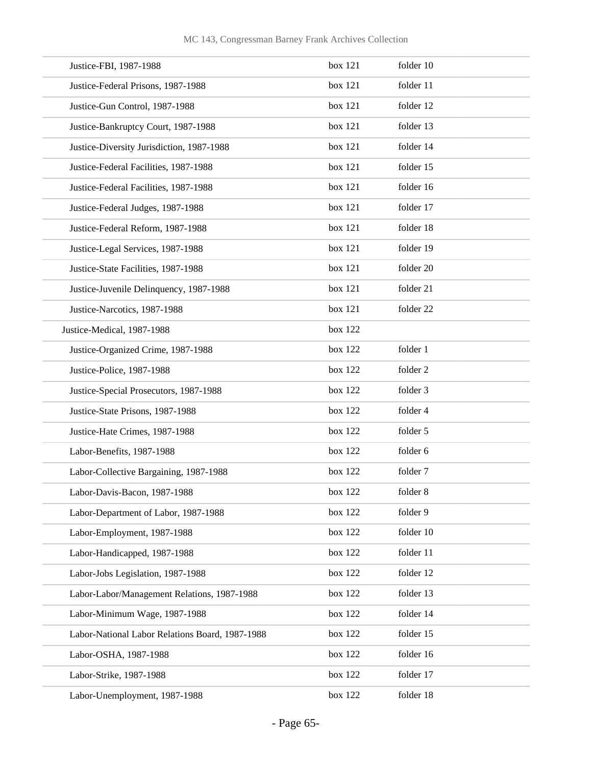| Justice-FBI, 1987-1988                          | box 121 | folder 10 |
|-------------------------------------------------|---------|-----------|
| Justice-Federal Prisons, 1987-1988              | box 121 | folder 11 |
| Justice-Gun Control, 1987-1988                  | box 121 | folder 12 |
| Justice-Bankruptcy Court, 1987-1988             | box 121 | folder 13 |
| Justice-Diversity Jurisdiction, 1987-1988       | box 121 | folder 14 |
| Justice-Federal Facilities, 1987-1988           | box 121 | folder 15 |
| Justice-Federal Facilities, 1987-1988           | box 121 | folder 16 |
| Justice-Federal Judges, 1987-1988               | box 121 | folder 17 |
| Justice-Federal Reform, 1987-1988               | box 121 | folder 18 |
| Justice-Legal Services, 1987-1988               | box 121 | folder 19 |
| Justice-State Facilities, 1987-1988             | box 121 | folder 20 |
| Justice-Juvenile Delinquency, 1987-1988         | box 121 | folder 21 |
| Justice-Narcotics, 1987-1988                    | box 121 | folder 22 |
| Justice-Medical, 1987-1988                      | box 122 |           |
| Justice-Organized Crime, 1987-1988              | box 122 | folder 1  |
| Justice-Police, 1987-1988                       | box 122 | folder 2  |
| Justice-Special Prosecutors, 1987-1988          | box 122 | folder 3  |
| Justice-State Prisons, 1987-1988                | box 122 | folder 4  |
| Justice-Hate Crimes, 1987-1988                  | box 122 | folder 5  |
| Labor-Benefits, 1987-1988                       | box 122 | folder 6  |
| Labor-Collective Bargaining, 1987-1988          | box 122 | folder 7  |
| Labor-Davis-Bacon, 1987-1988                    | box 122 | folder 8  |
| Labor-Department of Labor, 1987-1988            | box 122 | folder 9  |
| Labor-Employment, 1987-1988                     | box 122 | folder 10 |
| Labor-Handicapped, 1987-1988                    | box 122 | folder 11 |
| Labor-Jobs Legislation, 1987-1988               | box 122 | folder 12 |
| Labor-Labor/Management Relations, 1987-1988     | box 122 | folder 13 |
| Labor-Minimum Wage, 1987-1988                   | box 122 | folder 14 |
| Labor-National Labor Relations Board, 1987-1988 | box 122 | folder 15 |
| Labor-OSHA, 1987-1988                           | box 122 | folder 16 |
| Labor-Strike, 1987-1988                         | box 122 | folder 17 |
| Labor-Unemployment, 1987-1988                   | box 122 | folder 18 |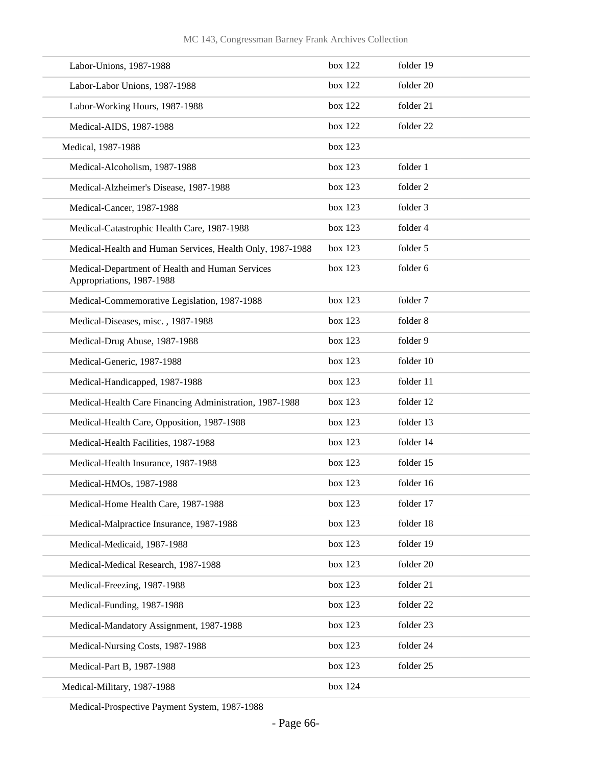| Labor-Unions, 1987-1988                                                      | box 122   | folder 19 |
|------------------------------------------------------------------------------|-----------|-----------|
| Labor-Labor Unions, 1987-1988                                                | box 122   | folder 20 |
| Labor-Working Hours, 1987-1988                                               | box 122   | folder 21 |
| Medical-AIDS, 1987-1988                                                      | box 122   | folder 22 |
| Medical, 1987-1988                                                           | box 123   |           |
| Medical-Alcoholism, 1987-1988                                                | box 123   | folder 1  |
| Medical-Alzheimer's Disease, 1987-1988                                       | box 123   | folder 2  |
| Medical-Cancer, 1987-1988                                                    | box 123   | folder 3  |
| Medical-Catastrophic Health Care, 1987-1988                                  | box 123   | folder 4  |
| Medical-Health and Human Services, Health Only, 1987-1988                    | box $123$ | folder 5  |
| Medical-Department of Health and Human Services<br>Appropriations, 1987-1988 | box 123   | folder 6  |
| Medical-Commemorative Legislation, 1987-1988                                 | box 123   | folder 7  |
| Medical-Diseases, misc., 1987-1988                                           | box 123   | folder 8  |
| Medical-Drug Abuse, 1987-1988                                                | box 123   | folder 9  |
| Medical-Generic, 1987-1988                                                   | box 123   | folder 10 |
| Medical-Handicapped, 1987-1988                                               | box 123   | folder 11 |
| Medical-Health Care Financing Administration, 1987-1988                      | box 123   | folder 12 |
| Medical-Health Care, Opposition, 1987-1988                                   | box 123   | folder 13 |
| Medical-Health Facilities, 1987-1988                                         | box 123   | folder 14 |
| Medical-Health Insurance, 1987-1988                                          | box 123   | folder 15 |
| Medical-HMOs, 1987-1988                                                      | box $123$ | folder 16 |
| Medical-Home Health Care, 1987-1988                                          | box 123   | folder 17 |
| Medical-Malpractice Insurance, 1987-1988                                     | box 123   | folder 18 |
| Medical-Medicaid, 1987-1988                                                  | box 123   | folder 19 |
| Medical-Medical Research, 1987-1988                                          | box 123   | folder 20 |
| Medical-Freezing, 1987-1988                                                  | box 123   | folder 21 |
| Medical-Funding, 1987-1988                                                   | box 123   | folder 22 |
| Medical-Mandatory Assignment, 1987-1988                                      | box 123   | folder 23 |
| Medical-Nursing Costs, 1987-1988                                             | box 123   | folder 24 |
| Medical-Part B, 1987-1988                                                    | box 123   | folder 25 |
| Medical-Military, 1987-1988                                                  | box 124   |           |

Medical-Prospective Payment System, 1987-1988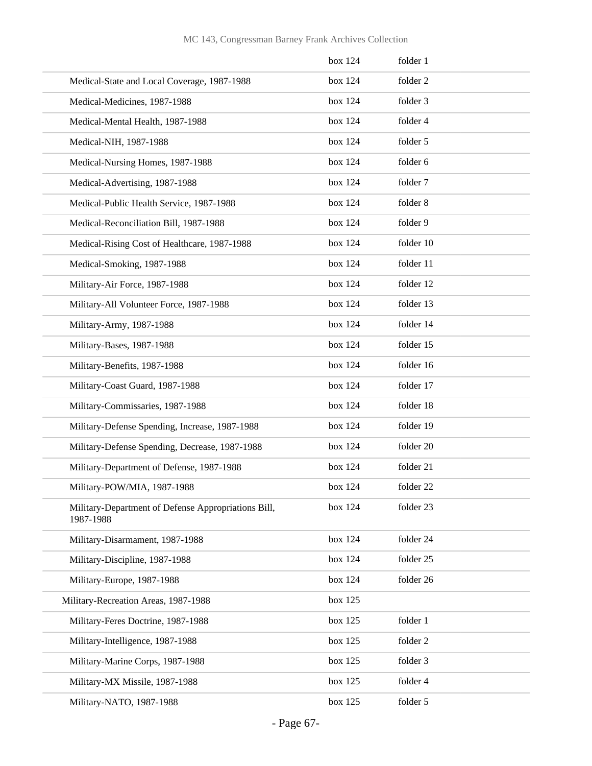|                                                                  | box 124 | folder 1  |
|------------------------------------------------------------------|---------|-----------|
| Medical-State and Local Coverage, 1987-1988                      | box 124 | folder 2  |
| Medical-Medicines, 1987-1988                                     | box 124 | folder 3  |
| Medical-Mental Health, 1987-1988                                 | box 124 | folder 4  |
| Medical-NIH, 1987-1988                                           | box 124 | folder 5  |
| Medical-Nursing Homes, 1987-1988                                 | box 124 | folder 6  |
| Medical-Advertising, 1987-1988                                   | box 124 | folder 7  |
| Medical-Public Health Service, 1987-1988                         | box 124 | folder 8  |
| Medical-Reconciliation Bill, 1987-1988                           | box 124 | folder 9  |
| Medical-Rising Cost of Healthcare, 1987-1988                     | box 124 | folder 10 |
| Medical-Smoking, 1987-1988                                       | box 124 | folder 11 |
| Military-Air Force, 1987-1988                                    | box 124 | folder 12 |
| Military-All Volunteer Force, 1987-1988                          | box 124 | folder 13 |
| Military-Army, 1987-1988                                         | box 124 | folder 14 |
| Military-Bases, 1987-1988                                        | box 124 | folder 15 |
| Military-Benefits, 1987-1988                                     | box 124 | folder 16 |
| Military-Coast Guard, 1987-1988                                  | box 124 | folder 17 |
| Military-Commissaries, 1987-1988                                 | box 124 | folder 18 |
| Military-Defense Spending, Increase, 1987-1988                   | box 124 | folder 19 |
| Military-Defense Spending, Decrease, 1987-1988                   | box 124 | folder 20 |
| Military-Department of Defense, 1987-1988                        | box 124 | folder 21 |
| Military-POW/MIA, 1987-1988                                      | box 124 | folder 22 |
| Military-Department of Defense Appropriations Bill,<br>1987-1988 | box 124 | folder 23 |
| Military-Disarmament, 1987-1988                                  | box 124 | folder 24 |
| Military-Discipline, 1987-1988                                   | box 124 | folder 25 |
| Military-Europe, 1987-1988                                       | box 124 | folder 26 |
| Military-Recreation Areas, 1987-1988                             | box 125 |           |
| Military-Feres Doctrine, 1987-1988                               | box 125 | folder 1  |
| Military-Intelligence, 1987-1988                                 | box 125 | folder 2  |
| Military-Marine Corps, 1987-1988                                 | box 125 | folder 3  |
| Military-MX Missile, 1987-1988                                   | box 125 | folder 4  |
| Military-NATO, 1987-1988                                         | box 125 | folder 5  |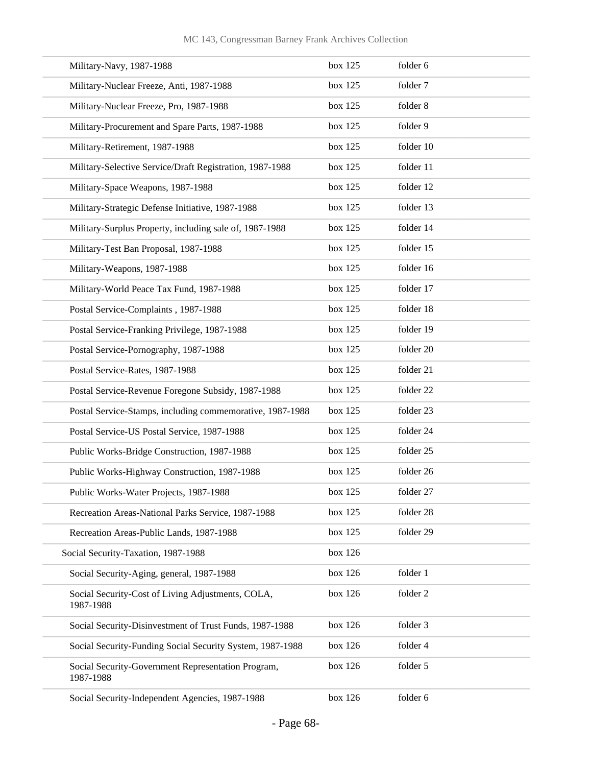### MC 143, Congressman Barney Frank Archives Collection

| Military-Navy, 1987-1988                                        | box 125 | folder 6  |
|-----------------------------------------------------------------|---------|-----------|
| Military-Nuclear Freeze, Anti, 1987-1988                        | box 125 | folder 7  |
| Military-Nuclear Freeze, Pro, 1987-1988                         | box 125 | folder 8  |
| Military-Procurement and Spare Parts, 1987-1988                 | box 125 | folder 9  |
| Military-Retirement, 1987-1988                                  | box 125 | folder 10 |
| Military-Selective Service/Draft Registration, 1987-1988        | box 125 | folder 11 |
| Military-Space Weapons, 1987-1988                               | box 125 | folder 12 |
| Military-Strategic Defense Initiative, 1987-1988                | box 125 | folder 13 |
| Military-Surplus Property, including sale of, 1987-1988         | box 125 | folder 14 |
| Military-Test Ban Proposal, 1987-1988                           | box 125 | folder 15 |
| Military-Weapons, 1987-1988                                     | box 125 | folder 16 |
| Military-World Peace Tax Fund, 1987-1988                        | box 125 | folder 17 |
| Postal Service-Complaints, 1987-1988                            | box 125 | folder 18 |
| Postal Service-Franking Privilege, 1987-1988                    | box 125 | folder 19 |
| Postal Service-Pornography, 1987-1988                           | box 125 | folder 20 |
| Postal Service-Rates, 1987-1988                                 | box 125 | folder 21 |
| Postal Service-Revenue Foregone Subsidy, 1987-1988              | box 125 | folder 22 |
| Postal Service-Stamps, including commemorative, 1987-1988       | box 125 | folder 23 |
| Postal Service-US Postal Service, 1987-1988                     | box 125 | folder 24 |
| Public Works-Bridge Construction, 1987-1988                     | box 125 | folder 25 |
| Public Works-Highway Construction, 1987-1988                    | box 125 | folder 26 |
| Public Works-Water Projects, 1987-1988                          | box 125 | folder 27 |
| Recreation Areas-National Parks Service, 1987-1988              | box 125 | folder 28 |
| Recreation Areas-Public Lands, 1987-1988                        | box 125 | folder 29 |
| Social Security-Taxation, 1987-1988                             | box 126 |           |
| Social Security-Aging, general, 1987-1988                       | box 126 | folder 1  |
| Social Security-Cost of Living Adjustments, COLA,<br>1987-1988  | box 126 | folder 2  |
| Social Security-Disinvestment of Trust Funds, 1987-1988         | box 126 | folder 3  |
| Social Security-Funding Social Security System, 1987-1988       | box 126 | folder 4  |
| Social Security-Government Representation Program,<br>1987-1988 | box 126 | folder 5  |
| Social Security-Independent Agencies, 1987-1988                 | box 126 | folder 6  |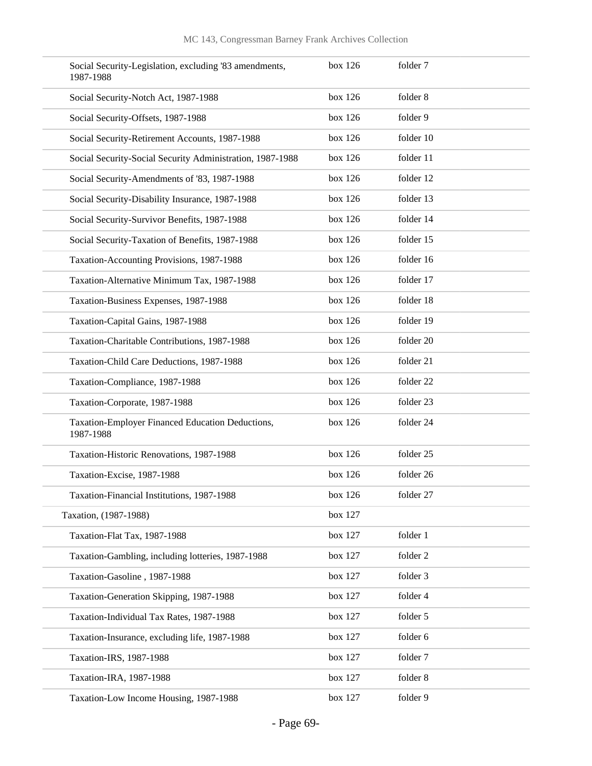| Social Security-Legislation, excluding '83 amendments,<br>1987-1988 | box 126 | folder 7  |
|---------------------------------------------------------------------|---------|-----------|
| Social Security-Notch Act, 1987-1988                                | box 126 | folder 8  |
| Social Security-Offsets, 1987-1988                                  | box 126 | folder 9  |
| Social Security-Retirement Accounts, 1987-1988                      | box 126 | folder 10 |
| Social Security-Social Security Administration, 1987-1988           | box 126 | folder 11 |
| Social Security-Amendments of '83, 1987-1988                        | box 126 | folder 12 |
| Social Security-Disability Insurance, 1987-1988                     | box 126 | folder 13 |
| Social Security-Survivor Benefits, 1987-1988                        | box 126 | folder 14 |
| Social Security-Taxation of Benefits, 1987-1988                     | box 126 | folder 15 |
| Taxation-Accounting Provisions, 1987-1988                           | box 126 | folder 16 |
| Taxation-Alternative Minimum Tax, 1987-1988                         | box 126 | folder 17 |
| Taxation-Business Expenses, 1987-1988                               | box 126 | folder 18 |
| Taxation-Capital Gains, 1987-1988                                   | box 126 | folder 19 |
| Taxation-Charitable Contributions, 1987-1988                        | box 126 | folder 20 |
| Taxation-Child Care Deductions, 1987-1988                           | box 126 | folder 21 |
| Taxation-Compliance, 1987-1988                                      | box 126 | folder 22 |
| Taxation-Corporate, 1987-1988                                       | box 126 | folder 23 |
| Taxation-Employer Financed Education Deductions,<br>1987-1988       | box 126 | folder 24 |
| Taxation-Historic Renovations, 1987-1988                            | box 126 | folder 25 |
| Taxation-Excise, 1987-1988                                          | box 126 | folder 26 |
| Taxation-Financial Institutions, 1987-1988                          | box 126 | folder 27 |
| Taxation, (1987-1988)                                               | box 127 |           |
| Taxation-Flat Tax, 1987-1988                                        | box 127 | folder 1  |
| Taxation-Gambling, including lotteries, 1987-1988                   | box 127 | folder 2  |
| Taxation-Gasoline, 1987-1988                                        | box 127 | folder 3  |
| Taxation-Generation Skipping, 1987-1988                             | box 127 | folder 4  |
| Taxation-Individual Tax Rates, 1987-1988                            | box 127 | folder 5  |
| Taxation-Insurance, excluding life, 1987-1988                       | box 127 | folder 6  |
| Taxation-IRS, 1987-1988                                             | box 127 | folder 7  |
| Taxation-IRA, 1987-1988                                             | box 127 | folder 8  |
| Taxation-Low Income Housing, 1987-1988                              | box 127 | folder 9  |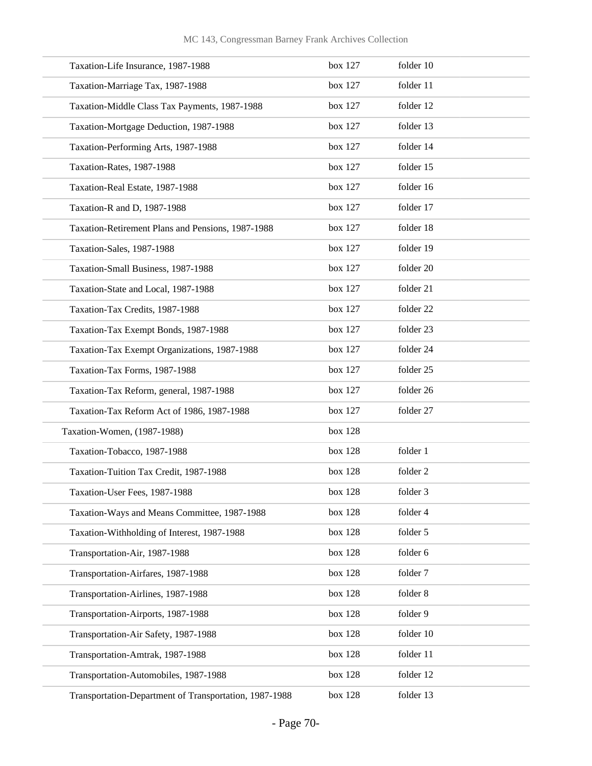| Taxation-Life Insurance, 1987-1988                     | box 127 | folder 10 |
|--------------------------------------------------------|---------|-----------|
| Taxation-Marriage Tax, 1987-1988                       | box 127 | folder 11 |
| Taxation-Middle Class Tax Payments, 1987-1988          | box 127 | folder 12 |
| Taxation-Mortgage Deduction, 1987-1988                 | box 127 | folder 13 |
| Taxation-Performing Arts, 1987-1988                    | box 127 | folder 14 |
| Taxation-Rates, 1987-1988                              | box 127 | folder 15 |
| Taxation-Real Estate, 1987-1988                        | box 127 | folder 16 |
| Taxation-R and D, 1987-1988                            | box 127 | folder 17 |
| Taxation-Retirement Plans and Pensions, 1987-1988      | box 127 | folder 18 |
| Taxation-Sales, 1987-1988                              | box 127 | folder 19 |
| Taxation-Small Business, 1987-1988                     | box 127 | folder 20 |
| Taxation-State and Local, 1987-1988                    | box 127 | folder 21 |
| Taxation-Tax Credits, 1987-1988                        | box 127 | folder 22 |
| Taxation-Tax Exempt Bonds, 1987-1988                   | box 127 | folder 23 |
| Taxation-Tax Exempt Organizations, 1987-1988           | box 127 | folder 24 |
| Taxation-Tax Forms, 1987-1988                          | box 127 | folder 25 |
| Taxation-Tax Reform, general, 1987-1988                | box 127 | folder 26 |
| Taxation-Tax Reform Act of 1986, 1987-1988             | box 127 | folder 27 |
| Taxation-Women, (1987-1988)                            | box 128 |           |
| Taxation-Tobacco, 1987-1988                            | box 128 | folder 1  |
| Taxation-Tuition Tax Credit, 1987-1988                 | box 128 | folder 2  |
| Taxation-User Fees, 1987-1988                          | box 128 | folder 3  |
| Taxation-Ways and Means Committee, 1987-1988           | box 128 | folder 4  |
| Taxation-Withholding of Interest, 1987-1988            | box 128 | folder 5  |
| Transportation-Air, 1987-1988                          | box 128 | folder 6  |
| Transportation-Airfares, 1987-1988                     | box 128 | folder 7  |
| Transportation-Airlines, 1987-1988                     | box 128 | folder 8  |
| Transportation-Airports, 1987-1988                     | box 128 | folder 9  |
| Transportation-Air Safety, 1987-1988                   | box 128 | folder 10 |
| Transportation-Amtrak, 1987-1988                       | box 128 | folder 11 |
| Transportation-Automobiles, 1987-1988                  | box 128 | folder 12 |
| Transportation-Department of Transportation, 1987-1988 | box 128 | folder 13 |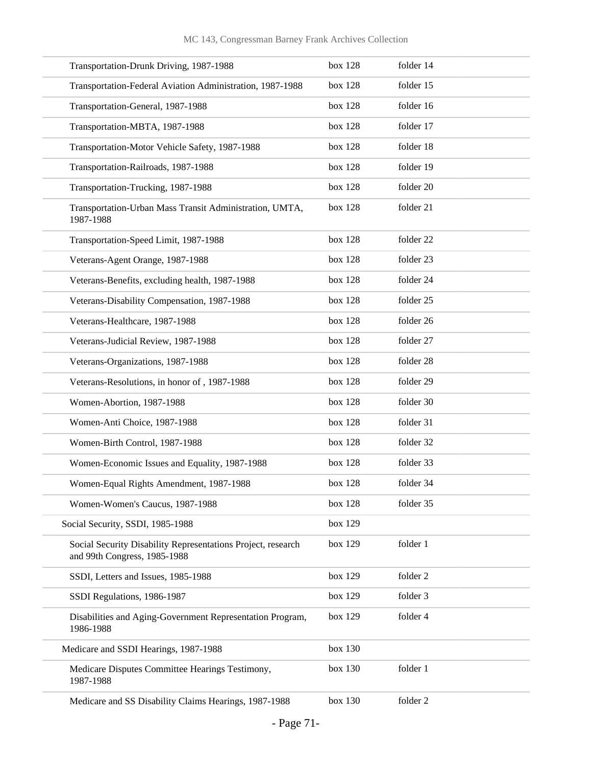| Transportation-Drunk Driving, 1987-1988                                                      | box 128 | folder 14 |
|----------------------------------------------------------------------------------------------|---------|-----------|
| Transportation-Federal Aviation Administration, 1987-1988                                    | box 128 | folder 15 |
| Transportation-General, 1987-1988                                                            | box 128 | folder 16 |
| Transportation-MBTA, 1987-1988                                                               | box 128 | folder 17 |
| Transportation-Motor Vehicle Safety, 1987-1988                                               | box 128 | folder 18 |
| Transportation-Railroads, 1987-1988                                                          | box 128 | folder 19 |
| Transportation-Trucking, 1987-1988                                                           | box 128 | folder 20 |
| Transportation-Urban Mass Transit Administration, UMTA,<br>1987-1988                         | box 128 | folder 21 |
| Transportation-Speed Limit, 1987-1988                                                        | box 128 | folder 22 |
| Veterans-Agent Orange, 1987-1988                                                             | box 128 | folder 23 |
| Veterans-Benefits, excluding health, 1987-1988                                               | box 128 | folder 24 |
| Veterans-Disability Compensation, 1987-1988                                                  | box 128 | folder 25 |
| Veterans-Healthcare, 1987-1988                                                               | box 128 | folder 26 |
| Veterans-Judicial Review, 1987-1988                                                          | box 128 | folder 27 |
| Veterans-Organizations, 1987-1988                                                            | box 128 | folder 28 |
| Veterans-Resolutions, in honor of, 1987-1988                                                 | box 128 | folder 29 |
| Women-Abortion, 1987-1988                                                                    | box 128 | folder 30 |
| Women-Anti Choice, 1987-1988                                                                 | box 128 | folder 31 |
| Women-Birth Control, 1987-1988                                                               | box 128 | folder 32 |
| Women-Economic Issues and Equality, 1987-1988                                                | box 128 | folder 33 |
| Women-Equal Rights Amendment, 1987-1988                                                      | box 128 | folder 34 |
| Women-Women's Caucus, 1987-1988                                                              | box 128 | folder 35 |
| Social Security, SSDI, 1985-1988                                                             | box 129 |           |
| Social Security Disability Representations Project, research<br>and 99th Congress, 1985-1988 | box 129 | folder 1  |
| SSDI, Letters and Issues, 1985-1988                                                          | box 129 | folder 2  |
| SSDI Regulations, 1986-1987                                                                  | box 129 | folder 3  |
| Disabilities and Aging-Government Representation Program,<br>1986-1988                       | box 129 | folder 4  |
| Medicare and SSDI Hearings, 1987-1988                                                        | box 130 |           |
| Medicare Disputes Committee Hearings Testimony,<br>1987-1988                                 | box 130 | folder 1  |
| Medicare and SS Disability Claims Hearings, 1987-1988                                        | box 130 | folder 2  |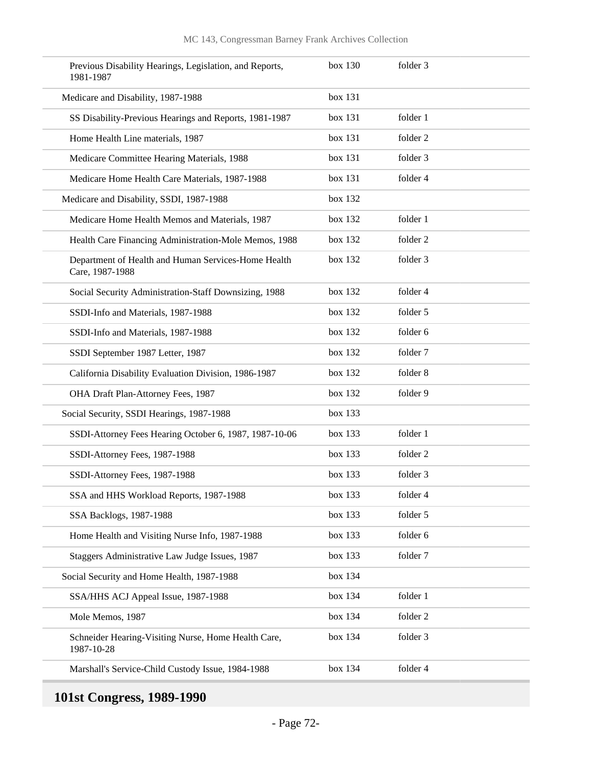| Previous Disability Hearings, Legislation, and Reports,<br>1981-1987   | box 130 | folder 3 |  |
|------------------------------------------------------------------------|---------|----------|--|
| Medicare and Disability, 1987-1988                                     | box 131 |          |  |
| SS Disability-Previous Hearings and Reports, 1981-1987                 | box 131 | folder 1 |  |
| Home Health Line materials, 1987                                       | box 131 | folder 2 |  |
| Medicare Committee Hearing Materials, 1988                             | box 131 | folder 3 |  |
| Medicare Home Health Care Materials, 1987-1988                         | box 131 | folder 4 |  |
| Medicare and Disability, SSDI, 1987-1988                               | box 132 |          |  |
| Medicare Home Health Memos and Materials, 1987                         | box 132 | folder 1 |  |
| Health Care Financing Administration-Mole Memos, 1988                  | box 132 | folder 2 |  |
| Department of Health and Human Services-Home Health<br>Care, 1987-1988 | box 132 | folder 3 |  |
| Social Security Administration-Staff Downsizing, 1988                  | box 132 | folder 4 |  |
| SSDI-Info and Materials, 1987-1988                                     | box 132 | folder 5 |  |
| SSDI-Info and Materials, 1987-1988                                     | box 132 | folder 6 |  |
| SSDI September 1987 Letter, 1987                                       | box 132 | folder 7 |  |
| California Disability Evaluation Division, 1986-1987                   | box 132 | folder 8 |  |
| OHA Draft Plan-Attorney Fees, 1987                                     | box 132 | folder 9 |  |
| Social Security, SSDI Hearings, 1987-1988                              | box 133 |          |  |
| SSDI-Attorney Fees Hearing October 6, 1987, 1987-10-06                 | box 133 | folder 1 |  |
| SSDI-Attorney Fees, 1987-1988                                          | box 133 | folder 2 |  |
| SSDI-Attorney Fees, 1987-1988                                          | box 133 | folder 3 |  |
| SSA and HHS Workload Reports, 1987-1988                                | box 133 | folder 4 |  |
| SSA Backlogs, 1987-1988                                                | box 133 | folder 5 |  |
| Home Health and Visiting Nurse Info, 1987-1988                         | box 133 | folder 6 |  |
| Staggers Administrative Law Judge Issues, 1987                         | box 133 | folder 7 |  |
| Social Security and Home Health, 1987-1988                             | box 134 |          |  |
| SSA/HHS ACJ Appeal Issue, 1987-1988                                    | box 134 | folder 1 |  |
| Mole Memos, 1987                                                       | box 134 | folder 2 |  |
| Schneider Hearing-Visiting Nurse, Home Health Care,<br>1987-10-28      | box 134 | folder 3 |  |
| Marshall's Service-Child Custody Issue, 1984-1988                      | box 134 | folder 4 |  |

## **101st Congress, 1989-1990**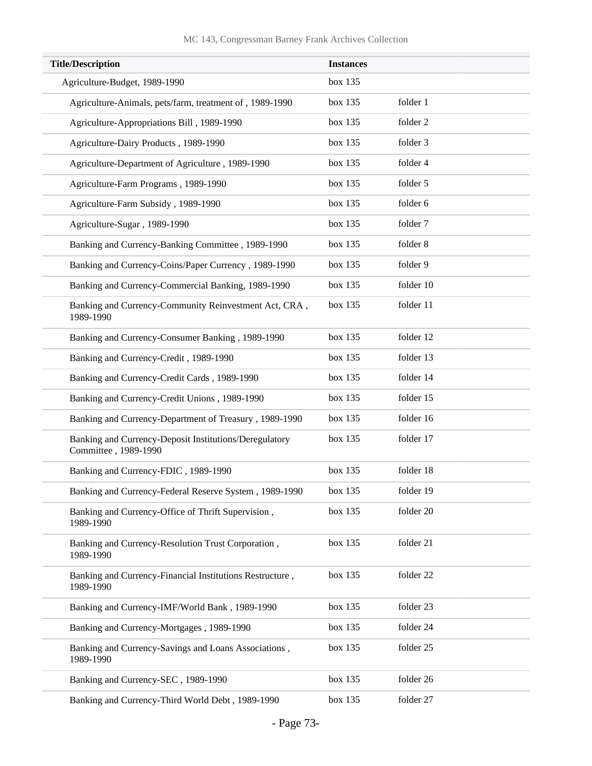| <b>Title/Description</b>                                                       | <b>Instances</b> |           |
|--------------------------------------------------------------------------------|------------------|-----------|
| Agriculture-Budget, 1989-1990                                                  | box 135          |           |
| Agriculture-Animals, pets/farm, treatment of, 1989-1990                        | box 135          | folder 1  |
| Agriculture-Appropriations Bill, 1989-1990                                     | box 135          | folder 2  |
| Agriculture-Dairy Products, 1989-1990                                          | box 135          | folder 3  |
| Agriculture-Department of Agriculture, 1989-1990                               | box 135          | folder 4  |
| Agriculture-Farm Programs, 1989-1990                                           | box 135          | folder 5  |
| Agriculture-Farm Subsidy, 1989-1990                                            | box 135          | folder 6  |
| Agriculture-Sugar, 1989-1990                                                   | box 135          | folder 7  |
| Banking and Currency-Banking Committee, 1989-1990                              | box 135          | folder 8  |
| Banking and Currency-Coins/Paper Currency, 1989-1990                           | box 135          | folder 9  |
| Banking and Currency-Commercial Banking, 1989-1990                             | box 135          | folder 10 |
| Banking and Currency-Community Reinvestment Act, CRA,<br>1989-1990             | box 135          | folder 11 |
| Banking and Currency-Consumer Banking, 1989-1990                               | box 135          | folder 12 |
| Banking and Currency-Credit, 1989-1990                                         | box 135          | folder 13 |
| Banking and Currency-Credit Cards, 1989-1990                                   | box 135          | folder 14 |
| Banking and Currency-Credit Unions, 1989-1990                                  | box 135          | folder 15 |
| Banking and Currency-Department of Treasury, 1989-1990                         | box 135          | folder 16 |
| Banking and Currency-Deposit Institutions/Deregulatory<br>Committee, 1989-1990 | box 135          | folder 17 |
| Banking and Currency-FDIC, 1989-1990                                           | box 135          | folder 18 |
| Banking and Currency-Federal Reserve System, 1989-1990                         | box 135          | folder 19 |
| Banking and Currency-Office of Thrift Supervision,<br>1989-1990                | box 135          | folder 20 |
| Banking and Currency-Resolution Trust Corporation,<br>1989-1990                | box 135          | folder 21 |
| Banking and Currency-Financial Institutions Restructure,<br>1989-1990          | box 135          | folder 22 |
| Banking and Currency-IMF/World Bank, 1989-1990                                 | box 135          | folder 23 |
| Banking and Currency-Mortgages, 1989-1990                                      | box 135          | folder 24 |
| Banking and Currency-Savings and Loans Associations,<br>1989-1990              | box 135          | folder 25 |
| Banking and Currency-SEC, 1989-1990                                            | box 135          | folder 26 |
| Banking and Currency-Third World Debt, 1989-1990                               | box 135          | folder 27 |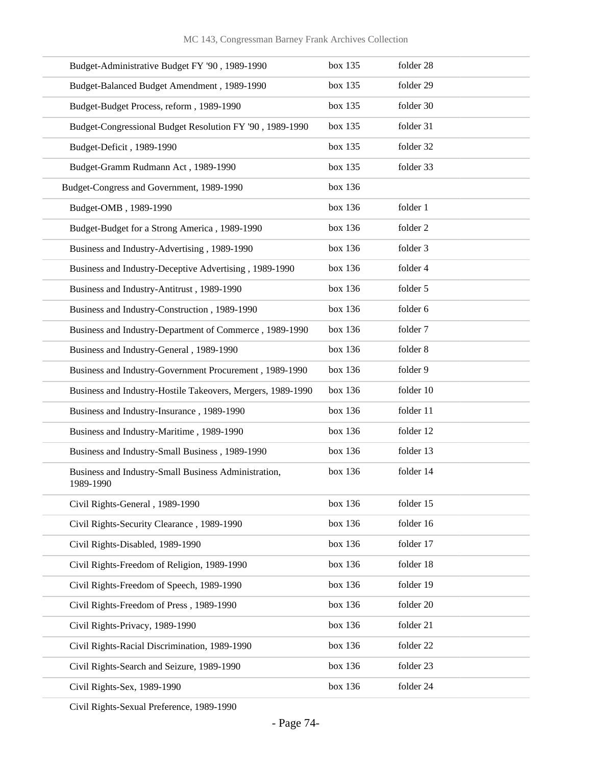| Budget-Administrative Budget FY '90, 1989-1990                    | box 135 | folder 28 |
|-------------------------------------------------------------------|---------|-----------|
| Budget-Balanced Budget Amendment, 1989-1990                       | box 135 | folder 29 |
| Budget-Budget Process, reform, 1989-1990                          | box 135 | folder 30 |
| Budget-Congressional Budget Resolution FY '90, 1989-1990          | box 135 | folder 31 |
| Budget-Deficit, 1989-1990                                         | box 135 | folder 32 |
| Budget-Gramm Rudmann Act, 1989-1990                               | box 135 | folder 33 |
| Budget-Congress and Government, 1989-1990                         | box 136 |           |
| Budget-OMB, 1989-1990                                             | box 136 | folder 1  |
| Budget-Budget for a Strong America, 1989-1990                     | box 136 | folder 2  |
| Business and Industry-Advertising, 1989-1990                      | box 136 | folder 3  |
| Business and Industry-Deceptive Advertising, 1989-1990            | box 136 | folder 4  |
| Business and Industry-Antitrust, 1989-1990                        | box 136 | folder 5  |
| Business and Industry-Construction, 1989-1990                     | box 136 | folder 6  |
| Business and Industry-Department of Commerce, 1989-1990           | box 136 | folder 7  |
| Business and Industry-General, 1989-1990                          | box 136 | folder 8  |
| Business and Industry-Government Procurement, 1989-1990           | box 136 | folder 9  |
| Business and Industry-Hostile Takeovers, Mergers, 1989-1990       | box 136 | folder 10 |
| Business and Industry-Insurance, 1989-1990                        | box 136 | folder 11 |
| Business and Industry-Maritime, 1989-1990                         | box 136 | folder 12 |
| Business and Industry-Small Business, 1989-1990                   | box 136 | folder 13 |
| Business and Industry-Small Business Administration,<br>1989-1990 | box 136 | folder 14 |
| Civil Rights-General, 1989-1990                                   | box 136 | folder 15 |
| Civil Rights-Security Clearance, 1989-1990                        | box 136 | folder 16 |
| Civil Rights-Disabled, 1989-1990                                  | box 136 | folder 17 |
| Civil Rights-Freedom of Religion, 1989-1990                       | box 136 | folder 18 |
| Civil Rights-Freedom of Speech, 1989-1990                         | box 136 | folder 19 |
| Civil Rights-Freedom of Press, 1989-1990                          | box 136 | folder 20 |
| Civil Rights-Privacy, 1989-1990                                   | box 136 | folder 21 |
| Civil Rights-Racial Discrimination, 1989-1990                     | box 136 | folder 22 |
| Civil Rights-Search and Seizure, 1989-1990                        | box 136 | folder 23 |
| Civil Rights-Sex, 1989-1990                                       | box 136 | folder 24 |

Civil Rights-Sexual Preference, 1989-1990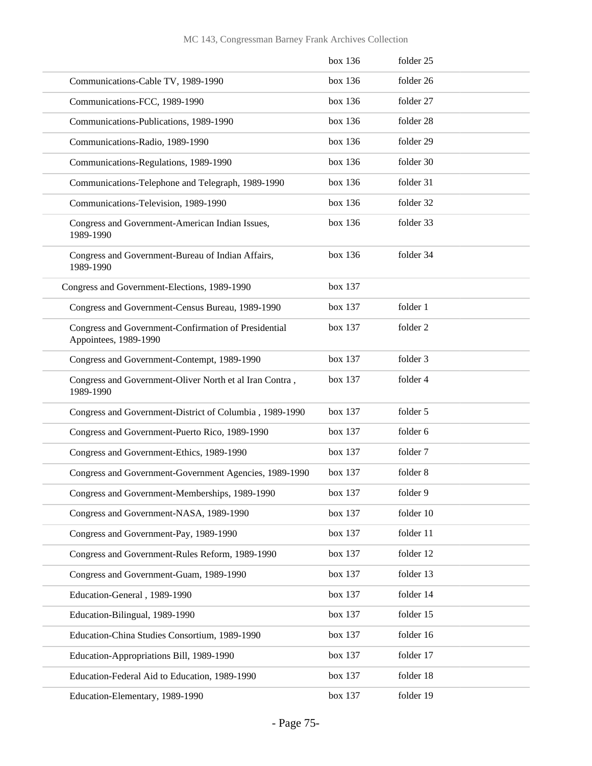|                                                                               | box 136 | folder 25 |
|-------------------------------------------------------------------------------|---------|-----------|
| Communications-Cable TV, 1989-1990                                            | box 136 | folder 26 |
| Communications-FCC, 1989-1990                                                 | box 136 | folder 27 |
| Communications-Publications, 1989-1990                                        | box 136 | folder 28 |
| Communications-Radio, 1989-1990                                               | box 136 | folder 29 |
| Communications-Regulations, 1989-1990                                         | box 136 | folder 30 |
| Communications-Telephone and Telegraph, 1989-1990                             | box 136 | folder 31 |
| Communications-Television, 1989-1990                                          | box 136 | folder 32 |
| Congress and Government-American Indian Issues,<br>1989-1990                  | box 136 | folder 33 |
| Congress and Government-Bureau of Indian Affairs,<br>1989-1990                | box 136 | folder 34 |
| Congress and Government-Elections, 1989-1990                                  | box 137 |           |
| Congress and Government-Census Bureau, 1989-1990                              | box 137 | folder 1  |
| Congress and Government-Confirmation of Presidential<br>Appointees, 1989-1990 | box 137 | folder 2  |
| Congress and Government-Contempt, 1989-1990                                   | box 137 | folder 3  |
| Congress and Government-Oliver North et al Iran Contra,<br>1989-1990          | box 137 | folder 4  |
| Congress and Government-District of Columbia, 1989-1990                       | box 137 | folder 5  |
| Congress and Government-Puerto Rico, 1989-1990                                | box 137 | folder 6  |
| Congress and Government-Ethics, 1989-1990                                     | box 137 | folder 7  |
| Congress and Government-Government Agencies, 1989-1990                        | box 137 | folder 8  |
| Congress and Government-Memberships, 1989-1990                                | box 137 | folder 9  |
| Congress and Government-NASA, 1989-1990                                       | box 137 | folder 10 |
| Congress and Government-Pay, 1989-1990                                        | box 137 | folder 11 |
| Congress and Government-Rules Reform, 1989-1990                               | box 137 | folder 12 |
| Congress and Government-Guam, 1989-1990                                       | box 137 | folder 13 |
| Education-General, 1989-1990                                                  | box 137 | folder 14 |
| Education-Bilingual, 1989-1990                                                | box 137 | folder 15 |
| Education-China Studies Consortium, 1989-1990                                 | box 137 | folder 16 |
| Education-Appropriations Bill, 1989-1990                                      | box 137 | folder 17 |
| Education-Federal Aid to Education, 1989-1990                                 | box 137 | folder 18 |
| Education-Elementary, 1989-1990                                               | box 137 | folder 19 |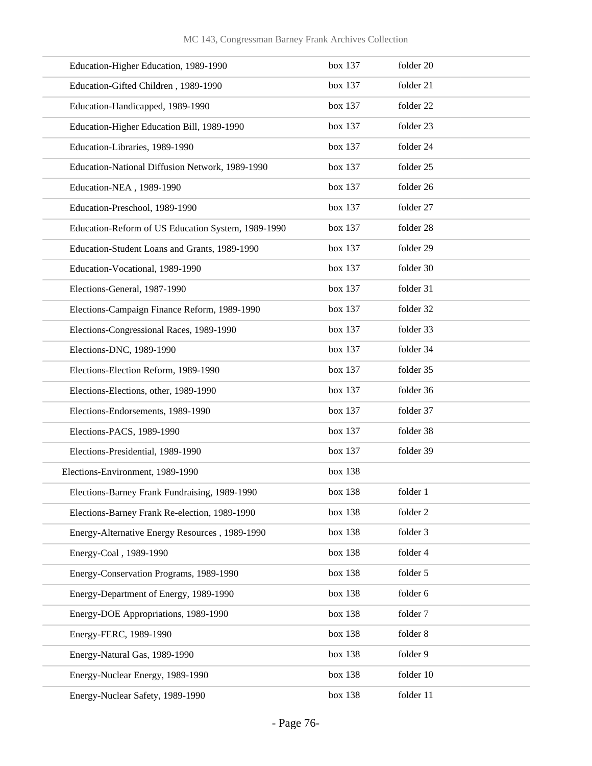| Education-Higher Education, 1989-1990              | box 137 | folder 20 |
|----------------------------------------------------|---------|-----------|
| Education-Gifted Children, 1989-1990               | box 137 | folder 21 |
| Education-Handicapped, 1989-1990                   | box 137 | folder 22 |
| Education-Higher Education Bill, 1989-1990         | box 137 | folder 23 |
| Education-Libraries, 1989-1990                     | box 137 | folder 24 |
| Education-National Diffusion Network, 1989-1990    | box 137 | folder 25 |
| Education-NEA, 1989-1990                           | box 137 | folder 26 |
| Education-Preschool, 1989-1990                     | box 137 | folder 27 |
| Education-Reform of US Education System, 1989-1990 | box 137 | folder 28 |
| Education-Student Loans and Grants, 1989-1990      | box 137 | folder 29 |
| Education-Vocational, 1989-1990                    | box 137 | folder 30 |
| Elections-General, 1987-1990                       | box 137 | folder 31 |
| Elections-Campaign Finance Reform, 1989-1990       | box 137 | folder 32 |
| Elections-Congressional Races, 1989-1990           | box 137 | folder 33 |
| Elections-DNC, 1989-1990                           | box 137 | folder 34 |
| Elections-Election Reform, 1989-1990               | box 137 | folder 35 |
| Elections-Elections, other, 1989-1990              | box 137 | folder 36 |
| Elections-Endorsements, 1989-1990                  | box 137 | folder 37 |
| Elections-PACS, 1989-1990                          | box 137 | folder 38 |
| Elections-Presidential, 1989-1990                  | box 137 | folder 39 |
| Elections-Environment, 1989-1990                   | box 138 |           |
| Elections-Barney Frank Fundraising, 1989-1990      | box 138 | folder 1  |
| Elections-Barney Frank Re-election, 1989-1990      | box 138 | folder 2  |
| Energy-Alternative Energy Resources, 1989-1990     | box 138 | folder 3  |
| Energy-Coal, 1989-1990                             | box 138 | folder 4  |
| Energy-Conservation Programs, 1989-1990            | box 138 | folder 5  |
| Energy-Department of Energy, 1989-1990             | box 138 | folder 6  |
| Energy-DOE Appropriations, 1989-1990               | box 138 | folder 7  |
| Energy-FERC, 1989-1990                             | box 138 | folder 8  |
| Energy-Natural Gas, 1989-1990                      | box 138 | folder 9  |
| Energy-Nuclear Energy, 1989-1990                   | box 138 | folder 10 |
| Energy-Nuclear Safety, 1989-1990                   | box 138 | folder 11 |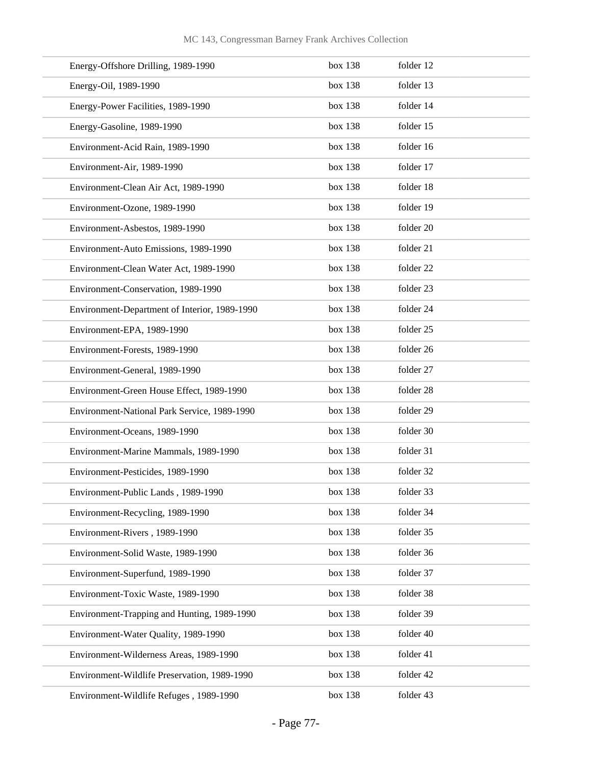| Energy-Offshore Drilling, 1989-1990           | box 138 | folder 12            |
|-----------------------------------------------|---------|----------------------|
| Energy-Oil, 1989-1990                         | box 138 | folder 13            |
| Energy-Power Facilities, 1989-1990            | box 138 | folder 14            |
| Energy-Gasoline, 1989-1990                    | box 138 | folder 15            |
| Environment-Acid Rain, 1989-1990              | box 138 | folder 16            |
| Environment-Air, 1989-1990                    | box 138 | folder 17            |
| Environment-Clean Air Act, 1989-1990          | box 138 | folder 18            |
| Environment-Ozone, 1989-1990                  | box 138 | folder 19            |
| Environment-Asbestos, 1989-1990               | box 138 | folder 20            |
| Environment-Auto Emissions, 1989-1990         | box 138 | folder 21            |
| Environment-Clean Water Act, 1989-1990        | box 138 | folder <sub>22</sub> |
| Environment-Conservation, 1989-1990           | box 138 | folder 23            |
| Environment-Department of Interior, 1989-1990 | box 138 | folder 24            |
| Environment-EPA, 1989-1990                    | box 138 | folder 25            |
| Environment-Forests, 1989-1990                | box 138 | folder 26            |
| Environment-General, 1989-1990                | box 138 | folder 27            |
| Environment-Green House Effect, 1989-1990     | box 138 | folder 28            |
| Environment-National Park Service, 1989-1990  | box 138 | folder 29            |
| Environment-Oceans, 1989-1990                 | box 138 | folder 30            |
| Environment-Marine Mammals, 1989-1990         | box 138 | folder 31            |
| Environment-Pesticides, 1989-1990             | box 138 | folder 32            |
| Environment-Public Lands, 1989-1990           | box 138 | folder 33            |
| Environment-Recycling, 1989-1990              | box 138 | folder 34            |
| Environment-Rivers, 1989-1990                 | box 138 | folder 35            |
| Environment-Solid Waste, 1989-1990            | box 138 | folder 36            |
| Environment-Superfund, 1989-1990              | box 138 | folder 37            |
| Environment-Toxic Waste, 1989-1990            | box 138 | folder 38            |
| Environment-Trapping and Hunting, 1989-1990   | box 138 | folder 39            |
| Environment-Water Quality, 1989-1990          | box 138 | folder 40            |
| Environment-Wilderness Areas, 1989-1990       | box 138 | folder 41            |
| Environment-Wildlife Preservation, 1989-1990  | box 138 | folder 42            |
| Environment-Wildlife Refuges, 1989-1990       | box 138 | folder 43            |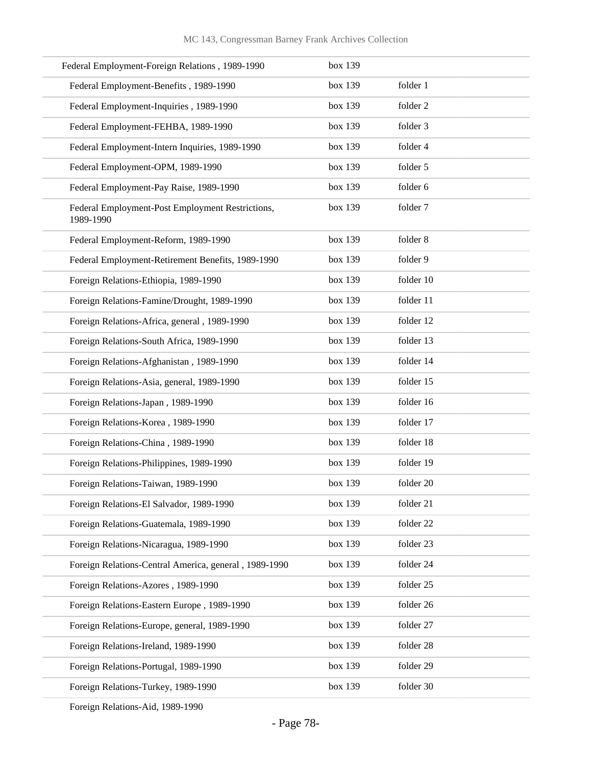| Federal Employment-Foreign Relations, 1989-1990               | box 139 |           |
|---------------------------------------------------------------|---------|-----------|
| Federal Employment-Benefits, 1989-1990                        | box 139 | folder 1  |
| Federal Employment-Inquiries, 1989-1990                       | box 139 | folder 2  |
| Federal Employment-FEHBA, 1989-1990                           | box 139 | folder 3  |
| Federal Employment-Intern Inquiries, 1989-1990                | box 139 | folder 4  |
| Federal Employment-OPM, 1989-1990                             | box 139 | folder 5  |
| Federal Employment-Pay Raise, 1989-1990                       | box 139 | folder 6  |
| Federal Employment-Post Employment Restrictions,<br>1989-1990 | box 139 | folder 7  |
| Federal Employment-Reform, 1989-1990                          | box 139 | folder 8  |
| Federal Employment-Retirement Benefits, 1989-1990             | box 139 | folder 9  |
| Foreign Relations-Ethiopia, 1989-1990                         | box 139 | folder 10 |
| Foreign Relations-Famine/Drought, 1989-1990                   | box 139 | folder 11 |
| Foreign Relations-Africa, general, 1989-1990                  | box 139 | folder 12 |
| Foreign Relations-South Africa, 1989-1990                     | box 139 | folder 13 |
| Foreign Relations-Afghanistan, 1989-1990                      | box 139 | folder 14 |
| Foreign Relations-Asia, general, 1989-1990                    | box 139 | folder 15 |
| Foreign Relations-Japan, 1989-1990                            | box 139 | folder 16 |
| Foreign Relations-Korea, 1989-1990                            | box 139 | folder 17 |
| Foreign Relations-China, 1989-1990                            | box 139 | folder 18 |
| Foreign Relations-Philippines, 1989-1990                      | box 139 | folder 19 |
| Foreign Relations-Taiwan, 1989-1990                           | box 139 | folder 20 |
| Foreign Relations-El Salvador, 1989-1990                      | box 139 | folder 21 |
| Foreign Relations-Guatemala, 1989-1990                        | box 139 | folder 22 |
| Foreign Relations-Nicaragua, 1989-1990                        | box 139 | folder 23 |
| Foreign Relations-Central America, general, 1989-1990         | box 139 | folder 24 |
| Foreign Relations-Azores, 1989-1990                           | box 139 | folder 25 |
| Foreign Relations-Eastern Europe, 1989-1990                   | box 139 | folder 26 |
| Foreign Relations-Europe, general, 1989-1990                  | box 139 | folder 27 |
| Foreign Relations-Ireland, 1989-1990                          | box 139 | folder 28 |
| Foreign Relations-Portugal, 1989-1990                         | box 139 | folder 29 |
| Foreign Relations-Turkey, 1989-1990                           | box 139 | folder 30 |

Foreign Relations-Aid, 1989-1990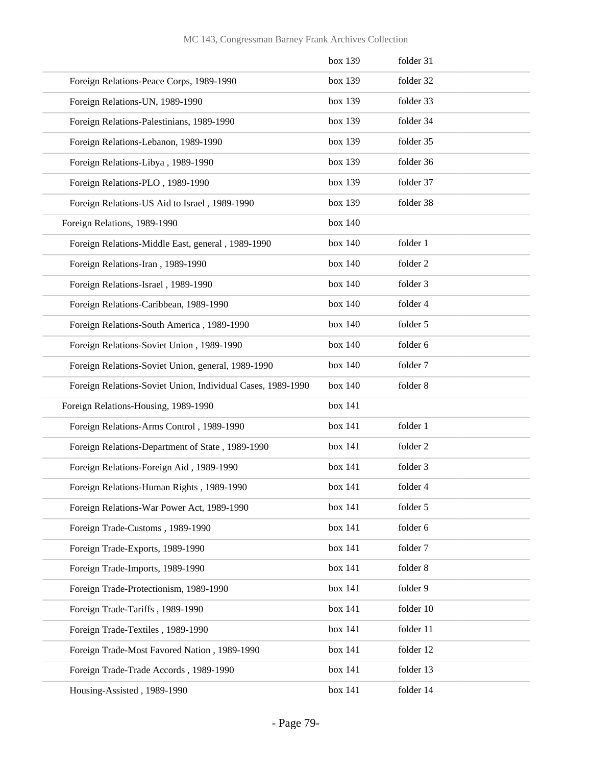|                                                             | box 139 | folder 31 |
|-------------------------------------------------------------|---------|-----------|
| Foreign Relations-Peace Corps, 1989-1990                    | box 139 | folder 32 |
| Foreign Relations-UN, 1989-1990                             | box 139 | folder 33 |
| Foreign Relations-Palestinians, 1989-1990                   | box 139 | folder 34 |
| Foreign Relations-Lebanon, 1989-1990                        | box 139 | folder 35 |
| Foreign Relations-Libya, 1989-1990                          | box 139 | folder 36 |
| Foreign Relations-PLO, 1989-1990                            | box 139 | folder 37 |
| Foreign Relations-US Aid to Israel, 1989-1990               | box 139 | folder 38 |
| Foreign Relations, 1989-1990                                | box 140 |           |
| Foreign Relations-Middle East, general, 1989-1990           | box 140 | folder 1  |
| Foreign Relations-Iran, 1989-1990                           | box 140 | folder 2  |
| Foreign Relations-Israel, 1989-1990                         | box 140 | folder 3  |
| Foreign Relations-Caribbean, 1989-1990                      | box 140 | folder 4  |
| Foreign Relations-South America, 1989-1990                  | box 140 | folder 5  |
| Foreign Relations-Soviet Union, 1989-1990                   | box 140 | folder 6  |
| Foreign Relations-Soviet Union, general, 1989-1990          | box 140 | folder 7  |
| Foreign Relations-Soviet Union, Individual Cases, 1989-1990 | box 140 | folder 8  |
| Foreign Relations-Housing, 1989-1990                        | box 141 |           |
| Foreign Relations-Arms Control, 1989-1990                   | box 141 | folder 1  |
| Foreign Relations-Department of State, 1989-1990            | box 141 | folder 2  |
| Foreign Relations-Foreign Aid, 1989-1990                    | box 141 | folder 3  |
| Foreign Relations-Human Rights, 1989-1990                   | box 141 | folder 4  |
| Foreign Relations-War Power Act, 1989-1990                  | box 141 | folder 5  |
| Foreign Trade-Customs, 1989-1990                            | box 141 | folder 6  |
| Foreign Trade-Exports, 1989-1990                            | box 141 | folder 7  |
| Foreign Trade-Imports, 1989-1990                            | box 141 | folder 8  |
| Foreign Trade-Protectionism, 1989-1990                      | box 141 | folder 9  |
| Foreign Trade-Tariffs, 1989-1990                            | box 141 | folder 10 |
| Foreign Trade-Textiles, 1989-1990                           | box 141 | folder 11 |
| Foreign Trade-Most Favored Nation, 1989-1990                | box 141 | folder 12 |
| Foreign Trade-Trade Accords, 1989-1990                      | box 141 | folder 13 |
| Housing-Assisted, 1989-1990                                 | box 141 | folder 14 |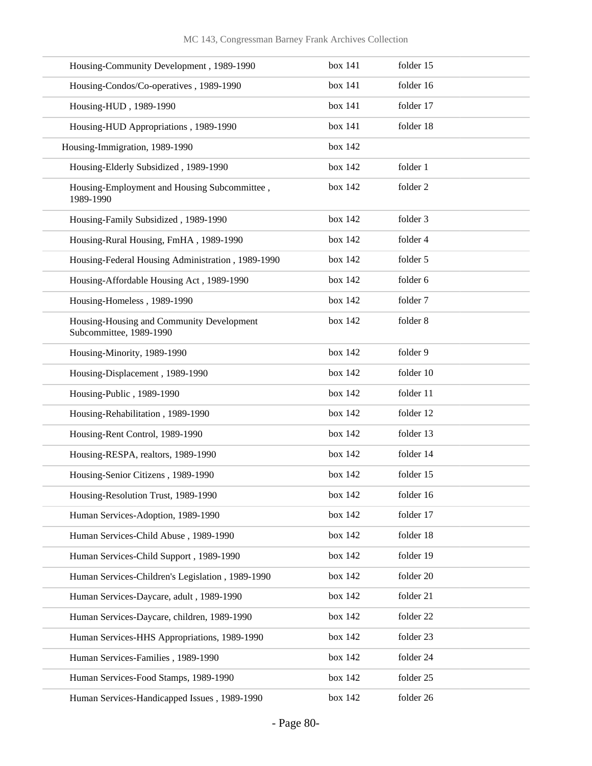| Housing-Community Development, 1989-1990                             | box 141 | folder 15 |
|----------------------------------------------------------------------|---------|-----------|
| Housing-Condos/Co-operatives, 1989-1990                              | box 141 | folder 16 |
| Housing-HUD, 1989-1990                                               | box 141 | folder 17 |
| Housing-HUD Appropriations, 1989-1990                                | box 141 | folder 18 |
| Housing-Immigration, 1989-1990                                       | box 142 |           |
| Housing-Elderly Subsidized, 1989-1990                                | box 142 | folder 1  |
| Housing-Employment and Housing Subcommittee,<br>1989-1990            | box 142 | folder 2  |
| Housing-Family Subsidized, 1989-1990                                 | box 142 | folder 3  |
| Housing-Rural Housing, FmHA, 1989-1990                               | box 142 | folder 4  |
| Housing-Federal Housing Administration, 1989-1990                    | box 142 | folder 5  |
| Housing-Affordable Housing Act, 1989-1990                            | box 142 | folder 6  |
| Housing-Homeless, 1989-1990                                          | box 142 | folder 7  |
| Housing-Housing and Community Development<br>Subcommittee, 1989-1990 | box 142 | folder 8  |
| Housing-Minority, 1989-1990                                          | box 142 | folder 9  |
| Housing-Displacement, 1989-1990                                      | box 142 | folder 10 |
| Housing-Public, 1989-1990                                            | box 142 | folder 11 |
| Housing-Rehabilitation, 1989-1990                                    | box 142 | folder 12 |
| Housing-Rent Control, 1989-1990                                      | box 142 | folder 13 |
| Housing-RESPA, realtors, 1989-1990                                   | box 142 | folder 14 |
| Housing-Senior Citizens, 1989-1990                                   | box 142 | folder 15 |
| Housing-Resolution Trust, 1989-1990                                  | box 142 | folder 16 |
| Human Services-Adoption, 1989-1990                                   | box 142 | folder 17 |
| Human Services-Child Abuse, 1989-1990                                | box 142 | folder 18 |
| Human Services-Child Support, 1989-1990                              | box 142 | folder 19 |
| Human Services-Children's Legislation, 1989-1990                     | box 142 | folder 20 |
| Human Services-Daycare, adult, 1989-1990                             | box 142 | folder 21 |
| Human Services-Daycare, children, 1989-1990                          | box 142 | folder 22 |
| Human Services-HHS Appropriations, 1989-1990                         | box 142 | folder 23 |
| Human Services-Families, 1989-1990                                   | box 142 | folder 24 |
| Human Services-Food Stamps, 1989-1990                                | box 142 | folder 25 |
| Human Services-Handicapped Issues, 1989-1990                         | box 142 | folder 26 |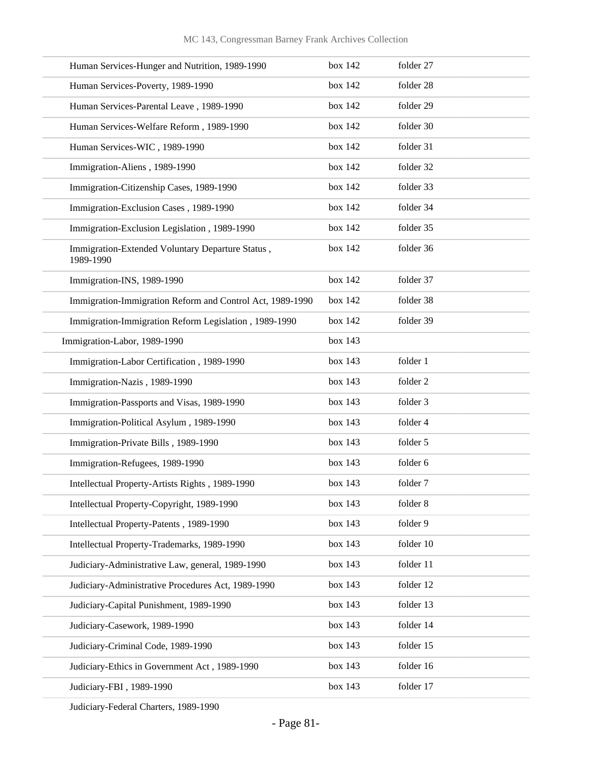| Human Services-Hunger and Nutrition, 1989-1990                | box 142 | folder 27 |
|---------------------------------------------------------------|---------|-----------|
| Human Services-Poverty, 1989-1990                             | box 142 | folder 28 |
| Human Services-Parental Leave, 1989-1990                      | box 142 | folder 29 |
| Human Services-Welfare Reform, 1989-1990                      | box 142 | folder 30 |
| Human Services-WIC, 1989-1990                                 | box 142 | folder 31 |
| Immigration-Aliens, 1989-1990                                 | box 142 | folder 32 |
| Immigration-Citizenship Cases, 1989-1990                      | box 142 | folder 33 |
| Immigration-Exclusion Cases, 1989-1990                        | box 142 | folder 34 |
| Immigration-Exclusion Legislation, 1989-1990                  | box 142 | folder 35 |
| Immigration-Extended Voluntary Departure Status,<br>1989-1990 | box 142 | folder 36 |
| Immigration-INS, 1989-1990                                    | box 142 | folder 37 |
| Immigration-Immigration Reform and Control Act, 1989-1990     | box 142 | folder 38 |
| Immigration-Immigration Reform Legislation, 1989-1990         | box 142 | folder 39 |
| Immigration-Labor, 1989-1990                                  | box 143 |           |
| Immigration-Labor Certification, 1989-1990                    | box 143 | folder 1  |
| Immigration-Nazis, 1989-1990                                  | box 143 | folder 2  |
| Immigration-Passports and Visas, 1989-1990                    | box 143 | folder 3  |
| Immigration-Political Asylum, 1989-1990                       | box 143 | folder 4  |
| Immigration-Private Bills, 1989-1990                          | box 143 | folder 5  |
| Immigration-Refugees, 1989-1990                               | box 143 | folder 6  |
| Intellectual Property-Artists Rights, 1989-1990               | box 143 | folder 7  |
| Intellectual Property-Copyright, 1989-1990                    | box 143 | folder 8  |
| Intellectual Property-Patents, 1989-1990                      | box 143 | folder 9  |
| Intellectual Property-Trademarks, 1989-1990                   | box 143 | folder 10 |
| Judiciary-Administrative Law, general, 1989-1990              | box 143 | folder 11 |
| Judiciary-Administrative Procedures Act, 1989-1990            | box 143 | folder 12 |
| Judiciary-Capital Punishment, 1989-1990                       | box 143 | folder 13 |
| Judiciary-Casework, 1989-1990                                 | box 143 | folder 14 |
| Judiciary-Criminal Code, 1989-1990                            | box 143 | folder 15 |
| Judiciary-Ethics in Government Act, 1989-1990                 | box 143 | folder 16 |
| Judiciary-FBI, 1989-1990                                      | box 143 | folder 17 |

Judiciary-Federal Charters, 1989-1990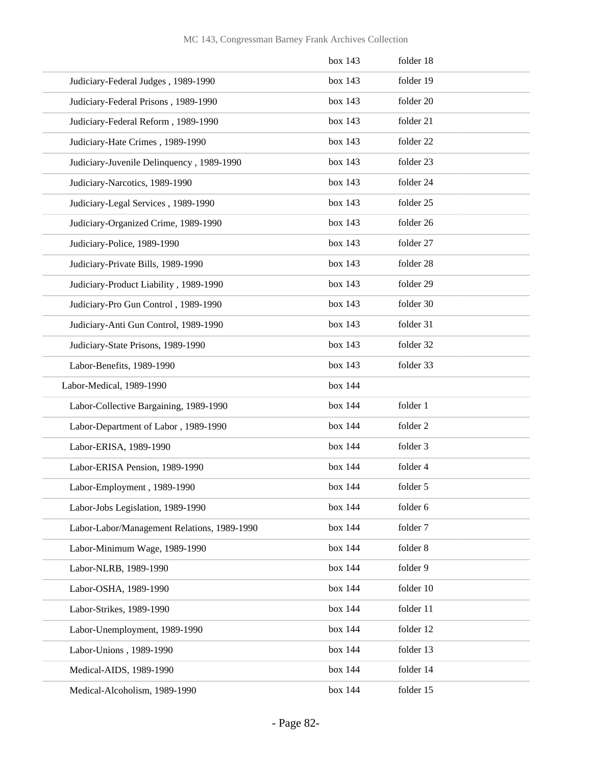|                                             | box 143 | folder 18 |
|---------------------------------------------|---------|-----------|
| Judiciary-Federal Judges, 1989-1990         | box 143 | folder 19 |
| Judiciary-Federal Prisons, 1989-1990        | box 143 | folder 20 |
| Judiciary-Federal Reform, 1989-1990         | box 143 | folder 21 |
| Judiciary-Hate Crimes, 1989-1990            | box 143 | folder 22 |
| Judiciary-Juvenile Delinquency, 1989-1990   | box 143 | folder 23 |
| Judiciary-Narcotics, 1989-1990              | box 143 | folder 24 |
| Judiciary-Legal Services, 1989-1990         | box 143 | folder 25 |
| Judiciary-Organized Crime, 1989-1990        | box 143 | folder 26 |
| Judiciary-Police, 1989-1990                 | box 143 | folder 27 |
| Judiciary-Private Bills, 1989-1990          | box 143 | folder 28 |
| Judiciary-Product Liability, 1989-1990      | box 143 | folder 29 |
| Judiciary-Pro Gun Control, 1989-1990        | box 143 | folder 30 |
| Judiciary-Anti Gun Control, 1989-1990       | box 143 | folder 31 |
| Judiciary-State Prisons, 1989-1990          | box 143 | folder 32 |
| Labor-Benefits, 1989-1990                   | box 143 | folder 33 |
| Labor-Medical, 1989-1990                    | box 144 |           |
| Labor-Collective Bargaining, 1989-1990      | box 144 | folder 1  |
| Labor-Department of Labor, 1989-1990        | box 144 | folder 2  |
| Labor-ERISA, 1989-1990                      | box 144 | folder 3  |
| Labor-ERISA Pension, 1989-1990              | box 144 | folder 4  |
| Labor-Employment, 1989-1990                 | box 144 | folder 5  |
| Labor-Jobs Legislation, 1989-1990           | box 144 | folder 6  |
| Labor-Labor/Management Relations, 1989-1990 | box 144 | folder 7  |
| Labor-Minimum Wage, 1989-1990               | box 144 | folder 8  |
| Labor-NLRB, 1989-1990                       | box 144 | folder 9  |
| Labor-OSHA, 1989-1990                       | box 144 | folder 10 |
| Labor-Strikes, 1989-1990                    | box 144 | folder 11 |
| Labor-Unemployment, 1989-1990               | box 144 | folder 12 |
| Labor-Unions, 1989-1990                     | box 144 | folder 13 |
| Medical-AIDS, 1989-1990                     | box 144 | folder 14 |
| Medical-Alcoholism, 1989-1990               | box 144 | folder 15 |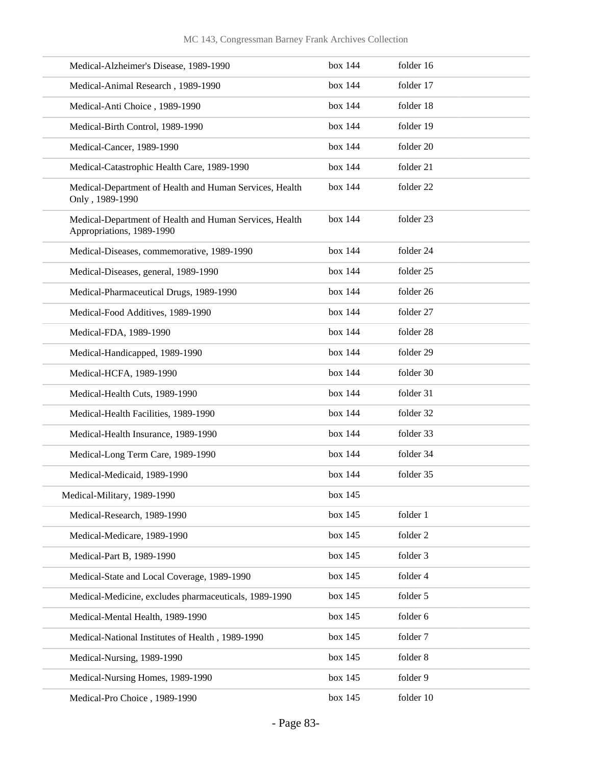| Medical-Alzheimer's Disease, 1989-1990                                               | box 144 | folder 16 |
|--------------------------------------------------------------------------------------|---------|-----------|
| Medical-Animal Research, 1989-1990                                                   | box 144 | folder 17 |
| Medical-Anti Choice, 1989-1990                                                       | box 144 | folder 18 |
| Medical-Birth Control, 1989-1990                                                     | box 144 | folder 19 |
| Medical-Cancer, 1989-1990                                                            | box 144 | folder 20 |
| Medical-Catastrophic Health Care, 1989-1990                                          | box 144 | folder 21 |
| Medical-Department of Health and Human Services, Health<br>Only, 1989-1990           | box 144 | folder 22 |
| Medical-Department of Health and Human Services, Health<br>Appropriations, 1989-1990 | box 144 | folder 23 |
| Medical-Diseases, commemorative, 1989-1990                                           | box 144 | folder 24 |
| Medical-Diseases, general, 1989-1990                                                 | box 144 | folder 25 |
| Medical-Pharmaceutical Drugs, 1989-1990                                              | box 144 | folder 26 |
| Medical-Food Additives, 1989-1990                                                    | box 144 | folder 27 |
| Medical-FDA, 1989-1990                                                               | box 144 | folder 28 |
| Medical-Handicapped, 1989-1990                                                       | box 144 | folder 29 |
| Medical-HCFA, 1989-1990                                                              | box 144 | folder 30 |
| Medical-Health Cuts, 1989-1990                                                       | box 144 | folder 31 |
| Medical-Health Facilities, 1989-1990                                                 | box 144 | folder 32 |
| Medical-Health Insurance, 1989-1990                                                  | box 144 | folder 33 |
| Medical-Long Term Care, 1989-1990                                                    | box 144 | folder 34 |
| Medical-Medicaid, 1989-1990                                                          | box 144 | folder 35 |
| Medical-Military, 1989-1990                                                          | box 145 |           |
| Medical-Research, 1989-1990                                                          | box 145 | folder 1  |
| Medical-Medicare, 1989-1990                                                          | box 145 | folder 2  |
| Medical-Part B, 1989-1990                                                            | box 145 | folder 3  |
| Medical-State and Local Coverage, 1989-1990                                          | box 145 | folder 4  |
| Medical-Medicine, excludes pharmaceuticals, 1989-1990                                | box 145 | folder 5  |
| Medical-Mental Health, 1989-1990                                                     | box 145 | folder 6  |
| Medical-National Institutes of Health, 1989-1990                                     | box 145 | folder 7  |
| Medical-Nursing, 1989-1990                                                           | box 145 | folder 8  |
| Medical-Nursing Homes, 1989-1990                                                     | box 145 | folder 9  |
| Medical-Pro Choice, 1989-1990                                                        | box 145 | folder 10 |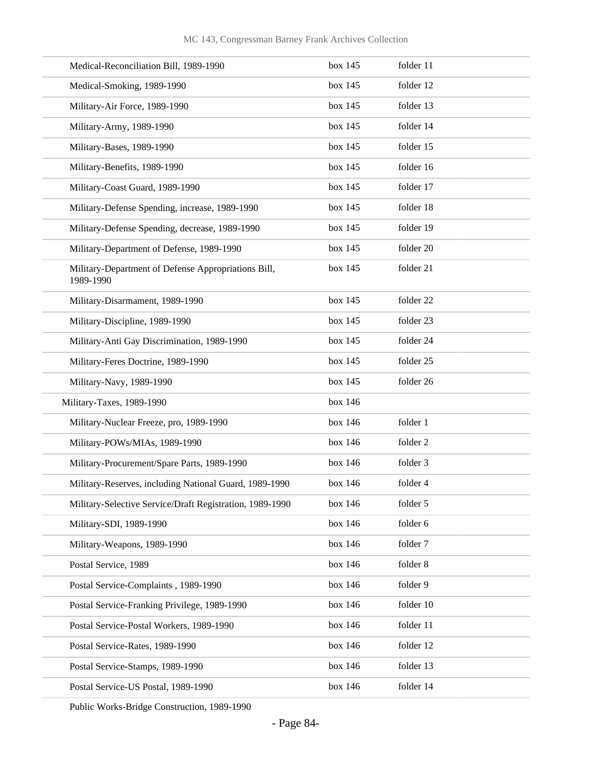| Medical-Reconciliation Bill, 1989-1990                           | box 145 | folder 11 |
|------------------------------------------------------------------|---------|-----------|
| Medical-Smoking, 1989-1990                                       | box 145 | folder 12 |
| Military-Air Force, 1989-1990                                    | box 145 | folder 13 |
| Military-Army, 1989-1990                                         | box 145 | folder 14 |
| Military-Bases, 1989-1990                                        | box 145 | folder 15 |
| Military-Benefits, 1989-1990                                     | box 145 | folder 16 |
| Military-Coast Guard, 1989-1990                                  | box 145 | folder 17 |
| Military-Defense Spending, increase, 1989-1990                   | box 145 | folder 18 |
| Military-Defense Spending, decrease, 1989-1990                   | box 145 | folder 19 |
| Military-Department of Defense, 1989-1990                        | box 145 | folder 20 |
| Military-Department of Defense Appropriations Bill,<br>1989-1990 | box 145 | folder 21 |
| Military-Disarmament, 1989-1990                                  | box 145 | folder 22 |
| Military-Discipline, 1989-1990                                   | box 145 | folder 23 |
| Military-Anti Gay Discrimination, 1989-1990                      | box 145 | folder 24 |
| Military-Feres Doctrine, 1989-1990                               | box 145 | folder 25 |
| Military-Navy, 1989-1990                                         | box 145 | folder 26 |
| Military-Taxes, 1989-1990                                        | box 146 |           |
| Military-Nuclear Freeze, pro, 1989-1990                          | box 146 | folder 1  |
| Military-POWs/MIAs, 1989-1990                                    | box 146 | folder 2  |
| Military-Procurement/Spare Parts, 1989-1990                      | box 146 | folder 3  |
| Military-Reserves, including National Guard, 1989-1990           | box 146 | folder 4  |
| Military-Selective Service/Draft Registration, 1989-1990         | box 146 | folder 5  |
| Military-SDI, 1989-1990                                          | box 146 | folder 6  |
| Military-Weapons, 1989-1990                                      | box 146 | folder 7  |
| Postal Service, 1989                                             | box 146 | folder 8  |
| Postal Service-Complaints, 1989-1990                             | box 146 | folder 9  |
| Postal Service-Franking Privilege, 1989-1990                     | box 146 | folder 10 |
| Postal Service-Postal Workers, 1989-1990                         | box 146 | folder 11 |
| Postal Service-Rates, 1989-1990                                  | box 146 | folder 12 |
| Postal Service-Stamps, 1989-1990                                 | box 146 | folder 13 |
| Postal Service-US Postal, 1989-1990                              | box 146 | folder 14 |

Public Works-Bridge Construction, 1989-1990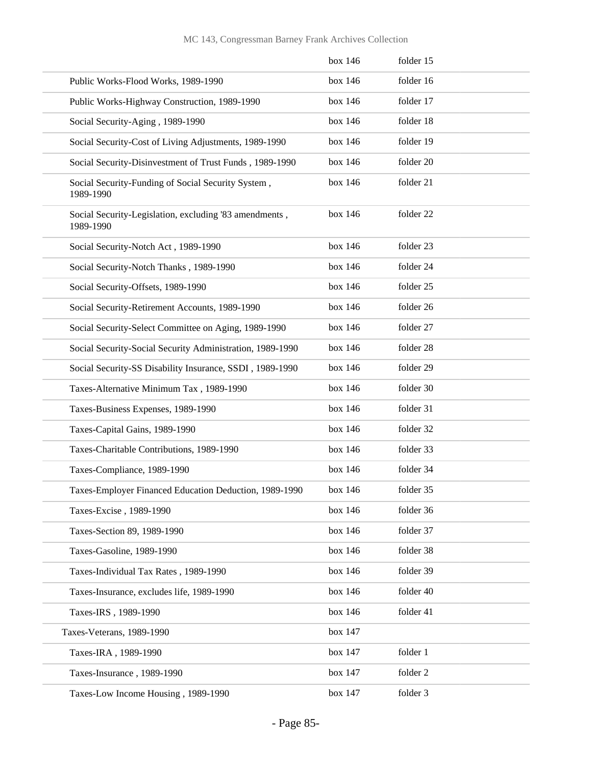## MC 143, Congressman Barney Frank Archives Collection

|                                                                     | box 146 | folder 15 |
|---------------------------------------------------------------------|---------|-----------|
| Public Works-Flood Works, 1989-1990                                 | box 146 | folder 16 |
| Public Works-Highway Construction, 1989-1990                        | box 146 | folder 17 |
| Social Security-Aging, 1989-1990                                    | box 146 | folder 18 |
| Social Security-Cost of Living Adjustments, 1989-1990               | box 146 | folder 19 |
| Social Security-Disinvestment of Trust Funds, 1989-1990             | box 146 | folder 20 |
| Social Security-Funding of Social Security System,<br>1989-1990     | box 146 | folder 21 |
| Social Security-Legislation, excluding '83 amendments,<br>1989-1990 | box 146 | folder 22 |
| Social Security-Notch Act, 1989-1990                                | box 146 | folder 23 |
| Social Security-Notch Thanks, 1989-1990                             | box 146 | folder 24 |
| Social Security-Offsets, 1989-1990                                  | box 146 | folder 25 |
| Social Security-Retirement Accounts, 1989-1990                      | box 146 | folder 26 |
| Social Security-Select Committee on Aging, 1989-1990                | box 146 | folder 27 |
| Social Security-Social Security Administration, 1989-1990           | box 146 | folder 28 |
| Social Security-SS Disability Insurance, SSDI, 1989-1990            | box 146 | folder 29 |
| Taxes-Alternative Minimum Tax, 1989-1990                            | box 146 | folder 30 |
| Taxes-Business Expenses, 1989-1990                                  | box 146 | folder 31 |
| Taxes-Capital Gains, 1989-1990                                      | box 146 | folder 32 |
| Taxes-Charitable Contributions, 1989-1990                           | box 146 | folder 33 |
| Taxes-Compliance, 1989-1990                                         | box 146 | folder 34 |
| Taxes-Employer Financed Education Deduction, 1989-1990              | box 146 | folder 35 |
| Taxes-Excise, 1989-1990                                             | box 146 | folder 36 |
| Taxes-Section 89, 1989-1990                                         | box 146 | folder 37 |
| Taxes-Gasoline, 1989-1990                                           | box 146 | folder 38 |
| Taxes-Individual Tax Rates, 1989-1990                               | box 146 | folder 39 |
| Taxes-Insurance, excludes life, 1989-1990                           | box 146 | folder 40 |
| Taxes-IRS, 1989-1990                                                | box 146 | folder 41 |
| Taxes-Veterans, 1989-1990                                           | box 147 |           |
| Taxes-IRA, 1989-1990                                                | box 147 | folder 1  |
| Taxes-Insurance, 1989-1990                                          | box 147 | folder 2  |
| Taxes-Low Income Housing, 1989-1990                                 | box 147 | folder 3  |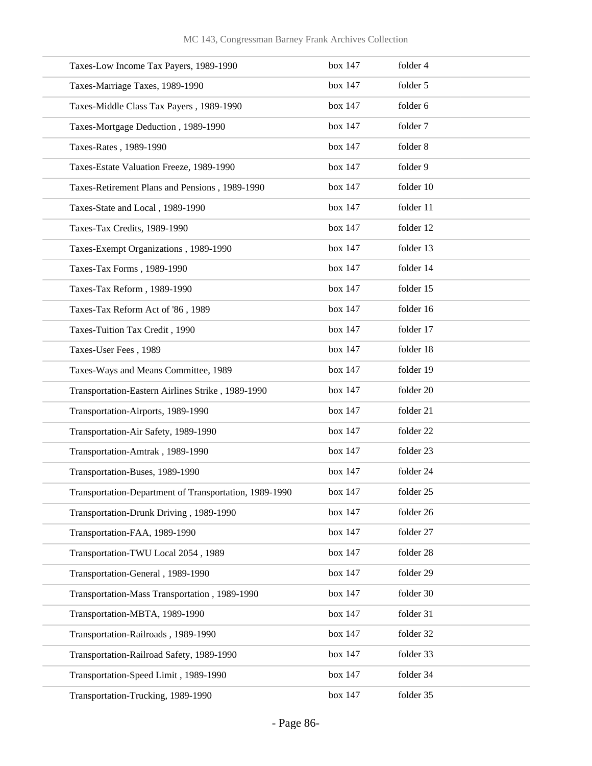| Taxes-Low Income Tax Payers, 1989-1990                 | box 147 | folder 4  |
|--------------------------------------------------------|---------|-----------|
| Taxes-Marriage Taxes, 1989-1990                        | box 147 | folder 5  |
| Taxes-Middle Class Tax Payers, 1989-1990               | box 147 | folder 6  |
| Taxes-Mortgage Deduction, 1989-1990                    | box 147 | folder 7  |
| Taxes-Rates, 1989-1990                                 | box 147 | folder 8  |
| Taxes-Estate Valuation Freeze, 1989-1990               | box 147 | folder 9  |
| Taxes-Retirement Plans and Pensions, 1989-1990         | box 147 | folder 10 |
| Taxes-State and Local, 1989-1990                       | box 147 | folder 11 |
| Taxes-Tax Credits, 1989-1990                           | box 147 | folder 12 |
| Taxes-Exempt Organizations, 1989-1990                  | box 147 | folder 13 |
| Taxes-Tax Forms, 1989-1990                             | box 147 | folder 14 |
| Taxes-Tax Reform, 1989-1990                            | box 147 | folder 15 |
| Taxes-Tax Reform Act of '86, 1989                      | box 147 | folder 16 |
| Taxes-Tuition Tax Credit, 1990                         | box 147 | folder 17 |
| Taxes-User Fees, 1989                                  | box 147 | folder 18 |
| Taxes-Ways and Means Committee, 1989                   | box 147 | folder 19 |
| Transportation-Eastern Airlines Strike, 1989-1990      | box 147 | folder 20 |
| Transportation-Airports, 1989-1990                     | box 147 | folder 21 |
| Transportation-Air Safety, 1989-1990                   | box 147 | folder 22 |
| Transportation-Amtrak, 1989-1990                       | box 147 | folder 23 |
| Transportation-Buses, 1989-1990                        | box 147 | folder 24 |
| Transportation-Department of Transportation, 1989-1990 | box 147 | folder 25 |
| Transportation-Drunk Driving, 1989-1990                | box 147 | folder 26 |
| Transportation-FAA, 1989-1990                          | box 147 | folder 27 |
| Transportation-TWU Local 2054, 1989                    | box 147 | folder 28 |
| Transportation-General, 1989-1990                      | box 147 | folder 29 |
| Transportation-Mass Transportation, 1989-1990          | box 147 | folder 30 |
| Transportation-MBTA, 1989-1990                         | box 147 | folder 31 |
| Transportation-Railroads, 1989-1990                    | box 147 | folder 32 |
| Transportation-Railroad Safety, 1989-1990              | box 147 | folder 33 |
| Transportation-Speed Limit, 1989-1990                  | box 147 | folder 34 |
| Transportation-Trucking, 1989-1990                     | box 147 | folder 35 |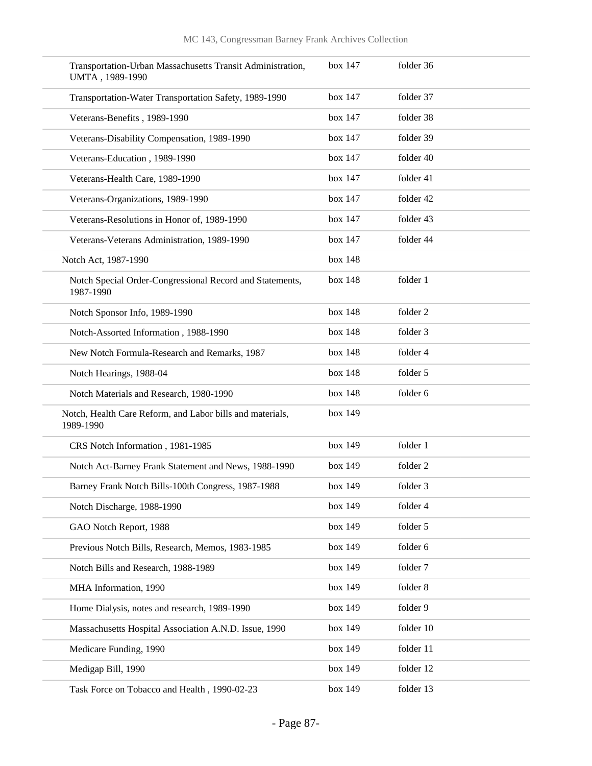| Transportation-Urban Massachusetts Transit Administration,<br>UMTA, 1989-1990 | box 147 | folder 36 |
|-------------------------------------------------------------------------------|---------|-----------|
| Transportation-Water Transportation Safety, 1989-1990                         | box 147 | folder 37 |
| Veterans-Benefits, 1989-1990                                                  | box 147 | folder 38 |
| Veterans-Disability Compensation, 1989-1990                                   | box 147 | folder 39 |
| Veterans-Education, 1989-1990                                                 | box 147 | folder 40 |
| Veterans-Health Care, 1989-1990                                               | box 147 | folder 41 |
| Veterans-Organizations, 1989-1990                                             | box 147 | folder 42 |
| Veterans-Resolutions in Honor of, 1989-1990                                   | box 147 | folder 43 |
| Veterans-Veterans Administration, 1989-1990                                   | box 147 | folder 44 |
| Notch Act, 1987-1990                                                          | box 148 |           |
| Notch Special Order-Congressional Record and Statements,<br>1987-1990         | box 148 | folder 1  |
| Notch Sponsor Info, 1989-1990                                                 | box 148 | folder 2  |
| Notch-Assorted Information, 1988-1990                                         | box 148 | folder 3  |
| New Notch Formula-Research and Remarks, 1987                                  | box 148 | folder 4  |
| Notch Hearings, 1988-04                                                       | box 148 | folder 5  |
| Notch Materials and Research, 1980-1990                                       | box 148 | folder 6  |
| Notch, Health Care Reform, and Labor bills and materials,<br>1989-1990        | box 149 |           |
| CRS Notch Information, 1981-1985                                              | box 149 | folder 1  |
| Notch Act-Barney Frank Statement and News, 1988-1990                          | box 149 | folder 2  |
| Barney Frank Notch Bills-100th Congress, 1987-1988                            | box 149 | folder 3  |
| Notch Discharge, 1988-1990                                                    | box 149 | folder 4  |
| GAO Notch Report, 1988                                                        | box 149 | folder 5  |
| Previous Notch Bills, Research, Memos, 1983-1985                              | box 149 | folder 6  |
| Notch Bills and Research, 1988-1989                                           | box 149 | folder 7  |
| MHA Information, 1990                                                         | box 149 | folder 8  |
| Home Dialysis, notes and research, 1989-1990                                  | box 149 | folder 9  |
| Massachusetts Hospital Association A.N.D. Issue, 1990                         | box 149 | folder 10 |
| Medicare Funding, 1990                                                        | box 149 | folder 11 |
| Medigap Bill, 1990                                                            | box 149 | folder 12 |
| Task Force on Tobacco and Health, 1990-02-23                                  | box 149 | folder 13 |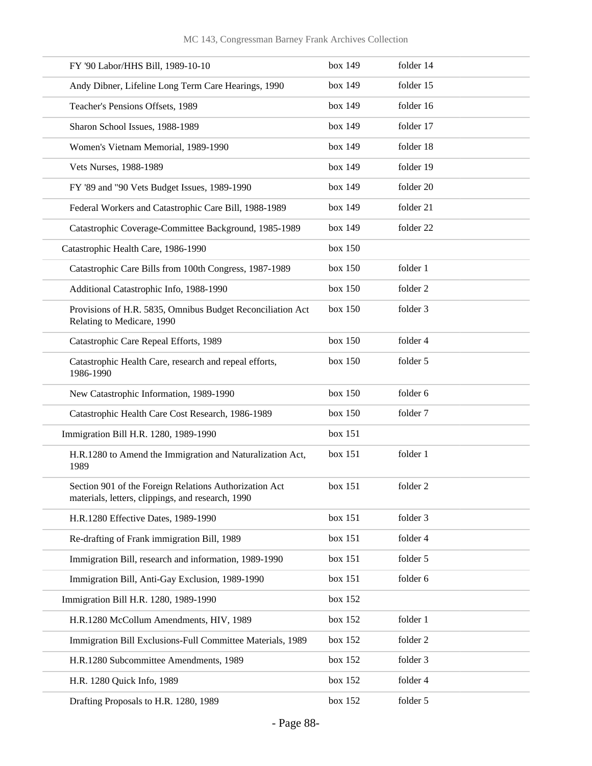| FY '90 Labor/HHS Bill, 1989-10-10                                                                           | box 149 | folder 14           |
|-------------------------------------------------------------------------------------------------------------|---------|---------------------|
| Andy Dibner, Lifeline Long Term Care Hearings, 1990                                                         | box 149 | folder 15           |
| Teacher's Pensions Offsets, 1989                                                                            | box 149 | folder 16           |
| Sharon School Issues, 1988-1989                                                                             | box 149 | folder 17           |
| Women's Vietnam Memorial, 1989-1990                                                                         | box 149 | folder 18           |
| Vets Nurses, 1988-1989                                                                                      | box 149 | folder 19           |
| FY '89 and "90 Vets Budget Issues, 1989-1990                                                                | box 149 | folder 20           |
| Federal Workers and Catastrophic Care Bill, 1988-1989                                                       | box 149 | folder 21           |
| Catastrophic Coverage-Committee Background, 1985-1989                                                       | box 149 | folder 22           |
| Catastrophic Health Care, 1986-1990                                                                         | box 150 |                     |
| Catastrophic Care Bills from 100th Congress, 1987-1989                                                      | box 150 | folder 1            |
| Additional Catastrophic Info, 1988-1990                                                                     | box 150 | folder 2            |
| Provisions of H.R. 5835, Omnibus Budget Reconciliation Act<br>Relating to Medicare, 1990                    | box 150 | folder 3            |
| Catastrophic Care Repeal Efforts, 1989                                                                      | box 150 | folder 4            |
| Catastrophic Health Care, research and repeal efforts,<br>1986-1990                                         | box 150 | folder 5            |
| New Catastrophic Information, 1989-1990                                                                     | box 150 | folder 6            |
| Catastrophic Health Care Cost Research, 1986-1989                                                           | box 150 | folder 7            |
| Immigration Bill H.R. 1280, 1989-1990                                                                       | box 151 |                     |
| H.R.1280 to Amend the Immigration and Naturalization Act,<br>1989                                           | box 151 | folder 1            |
| Section 901 of the Foreign Relations Authorization Act<br>materials, letters, clippings, and research, 1990 | box 151 | folder <sub>2</sub> |
| H.R.1280 Effective Dates, 1989-1990                                                                         | box 151 | folder 3            |
| Re-drafting of Frank immigration Bill, 1989                                                                 | box 151 | folder 4            |
| Immigration Bill, research and information, 1989-1990                                                       | box 151 | folder 5            |
| Immigration Bill, Anti-Gay Exclusion, 1989-1990                                                             | box 151 | folder 6            |
| Immigration Bill H.R. 1280, 1989-1990                                                                       | box 152 |                     |
| H.R.1280 McCollum Amendments, HIV, 1989                                                                     | box 152 | folder 1            |
| Immigration Bill Exclusions-Full Committee Materials, 1989                                                  | box 152 | folder 2            |
| H.R.1280 Subcommittee Amendments, 1989                                                                      | box 152 | folder 3            |
| H.R. 1280 Quick Info, 1989                                                                                  | box 152 | folder 4            |
| Drafting Proposals to H.R. 1280, 1989                                                                       | box 152 | folder 5            |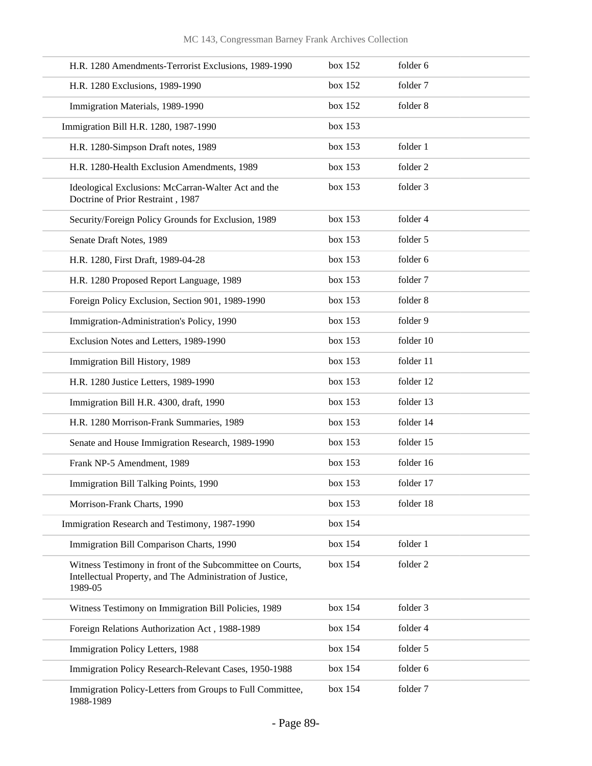| H.R. 1280 Amendments-Terrorist Exclusions, 1989-1990                                                                              | box 152 | folder 6  |
|-----------------------------------------------------------------------------------------------------------------------------------|---------|-----------|
| H.R. 1280 Exclusions, 1989-1990                                                                                                   | box 152 | folder 7  |
| Immigration Materials, 1989-1990                                                                                                  | box 152 | folder 8  |
| Immigration Bill H.R. 1280, 1987-1990                                                                                             | box 153 |           |
| H.R. 1280-Simpson Draft notes, 1989                                                                                               | box 153 | folder 1  |
| H.R. 1280-Health Exclusion Amendments, 1989                                                                                       | box 153 | folder 2  |
| Ideological Exclusions: McCarran-Walter Act and the<br>Doctrine of Prior Restraint, 1987                                          | box 153 | folder 3  |
| Security/Foreign Policy Grounds for Exclusion, 1989                                                                               | box 153 | folder 4  |
| Senate Draft Notes, 1989                                                                                                          | box 153 | folder 5  |
| H.R. 1280, First Draft, 1989-04-28                                                                                                | box 153 | folder 6  |
| H.R. 1280 Proposed Report Language, 1989                                                                                          | box 153 | folder 7  |
| Foreign Policy Exclusion, Section 901, 1989-1990                                                                                  | box 153 | folder 8  |
| Immigration-Administration's Policy, 1990                                                                                         | box 153 | folder 9  |
| Exclusion Notes and Letters, 1989-1990                                                                                            | box 153 | folder 10 |
| Immigration Bill History, 1989                                                                                                    | box 153 | folder 11 |
| H.R. 1280 Justice Letters, 1989-1990                                                                                              | box 153 | folder 12 |
| Immigration Bill H.R. 4300, draft, 1990                                                                                           | box 153 | folder 13 |
| H.R. 1280 Morrison-Frank Summaries, 1989                                                                                          | box 153 | folder 14 |
| Senate and House Immigration Research, 1989-1990                                                                                  | box 153 | folder 15 |
| Frank NP-5 Amendment, 1989                                                                                                        | box 153 | folder 16 |
| Immigration Bill Talking Points, 1990                                                                                             | box 153 | folder 17 |
| Morrison-Frank Charts, 1990                                                                                                       | box 153 | folder 18 |
| Immigration Research and Testimony, 1987-1990                                                                                     | box 154 |           |
| Immigration Bill Comparison Charts, 1990                                                                                          | box 154 | folder 1  |
| Witness Testimony in front of the Subcommittee on Courts,<br>Intellectual Property, and The Administration of Justice,<br>1989-05 | box 154 | folder 2  |
| Witness Testimony on Immigration Bill Policies, 1989                                                                              | box 154 | folder 3  |
| Foreign Relations Authorization Act, 1988-1989                                                                                    | box 154 | folder 4  |
| Immigration Policy Letters, 1988                                                                                                  | box 154 | folder 5  |
| Immigration Policy Research-Relevant Cases, 1950-1988                                                                             | box 154 | folder 6  |
| Immigration Policy-Letters from Groups to Full Committee,<br>1988-1989                                                            | box 154 | folder 7  |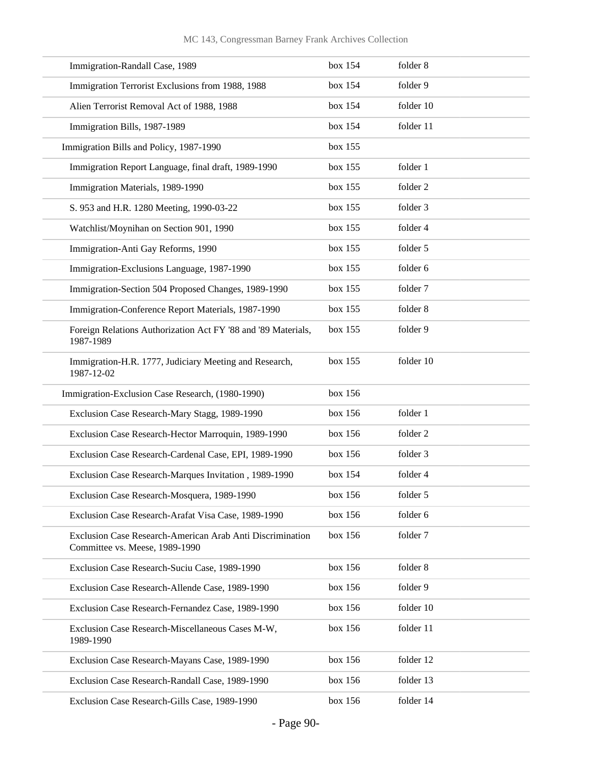| Immigration-Randall Case, 1989                                                              | box 154 | folder 8  |
|---------------------------------------------------------------------------------------------|---------|-----------|
| Immigration Terrorist Exclusions from 1988, 1988                                            | box 154 | folder 9  |
| Alien Terrorist Removal Act of 1988, 1988                                                   | box 154 | folder 10 |
| Immigration Bills, 1987-1989                                                                | box 154 | folder 11 |
| Immigration Bills and Policy, 1987-1990                                                     | box 155 |           |
| Immigration Report Language, final draft, 1989-1990                                         | box 155 | folder 1  |
| Immigration Materials, 1989-1990                                                            | box 155 | folder 2  |
| S. 953 and H.R. 1280 Meeting, 1990-03-22                                                    | box 155 | folder 3  |
| Watchlist/Moynihan on Section 901, 1990                                                     | box 155 | folder 4  |
| Immigration-Anti Gay Reforms, 1990                                                          | box 155 | folder 5  |
| Immigration-Exclusions Language, 1987-1990                                                  | box 155 | folder 6  |
| Immigration-Section 504 Proposed Changes, 1989-1990                                         | box 155 | folder 7  |
| Immigration-Conference Report Materials, 1987-1990                                          | box 155 | folder 8  |
| Foreign Relations Authorization Act FY '88 and '89 Materials,<br>1987-1989                  | box 155 | folder 9  |
| Immigration-H.R. 1777, Judiciary Meeting and Research,<br>1987-12-02                        | box 155 | folder 10 |
| Immigration-Exclusion Case Research, (1980-1990)                                            | box 156 |           |
| Exclusion Case Research-Mary Stagg, 1989-1990                                               | box 156 | folder 1  |
| Exclusion Case Research-Hector Marroquin, 1989-1990                                         | box 156 | folder 2  |
| Exclusion Case Research-Cardenal Case, EPI, 1989-1990                                       | box 156 | folder 3  |
| Exclusion Case Research-Marques Invitation, 1989-1990                                       | box 154 | folder 4  |
| Exclusion Case Research-Mosquera, 1989-1990                                                 | box 156 | folder 5  |
| Exclusion Case Research-Arafat Visa Case, 1989-1990                                         | box 156 | folder 6  |
| Exclusion Case Research-American Arab Anti Discrimination<br>Committee vs. Meese, 1989-1990 | box 156 | folder 7  |
| Exclusion Case Research-Suciu Case, 1989-1990                                               | box 156 | folder 8  |
| Exclusion Case Research-Allende Case, 1989-1990                                             | box 156 | folder 9  |
| Exclusion Case Research-Fernandez Case, 1989-1990                                           | box 156 | folder 10 |
| Exclusion Case Research-Miscellaneous Cases M-W,<br>1989-1990                               | box 156 | folder 11 |
| Exclusion Case Research-Mayans Case, 1989-1990                                              | box 156 | folder 12 |
| Exclusion Case Research-Randall Case, 1989-1990                                             | box 156 | folder 13 |
| Exclusion Case Research-Gills Case, 1989-1990                                               | box 156 | folder 14 |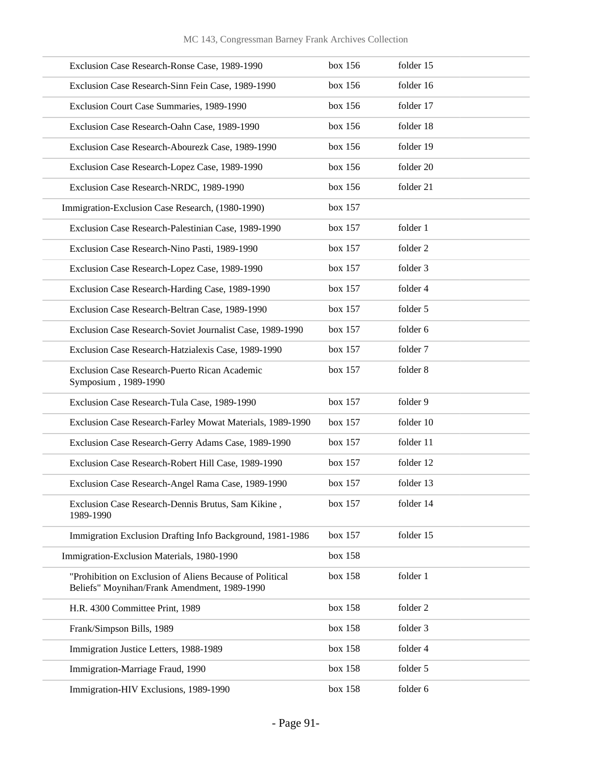| Exclusion Case Research-Ronse Case, 1989-1990                                                            | box 156 | folder 15 |
|----------------------------------------------------------------------------------------------------------|---------|-----------|
| Exclusion Case Research-Sinn Fein Case, 1989-1990                                                        | box 156 | folder 16 |
| Exclusion Court Case Summaries, 1989-1990                                                                | box 156 | folder 17 |
| Exclusion Case Research-Oahn Case, 1989-1990                                                             | box 156 | folder 18 |
| Exclusion Case Research-Abourezk Case, 1989-1990                                                         | box 156 | folder 19 |
| Exclusion Case Research-Lopez Case, 1989-1990                                                            | box 156 | folder 20 |
| Exclusion Case Research-NRDC, 1989-1990                                                                  | box 156 | folder 21 |
| Immigration-Exclusion Case Research, (1980-1990)                                                         | box 157 |           |
| Exclusion Case Research-Palestinian Case, 1989-1990                                                      | box 157 | folder 1  |
| Exclusion Case Research-Nino Pasti, 1989-1990                                                            | box 157 | folder 2  |
| Exclusion Case Research-Lopez Case, 1989-1990                                                            | box 157 | folder 3  |
| Exclusion Case Research-Harding Case, 1989-1990                                                          | box 157 | folder 4  |
| Exclusion Case Research-Beltran Case, 1989-1990                                                          | box 157 | folder 5  |
| Exclusion Case Research-Soviet Journalist Case, 1989-1990                                                | box 157 | folder 6  |
| Exclusion Case Research-Hatzialexis Case, 1989-1990                                                      | box 157 | folder 7  |
| Exclusion Case Research-Puerto Rican Academic<br>Symposium, 1989-1990                                    | box 157 | folder 8  |
| Exclusion Case Research-Tula Case, 1989-1990                                                             | box 157 | folder 9  |
| Exclusion Case Research-Farley Mowat Materials, 1989-1990                                                | box 157 | folder 10 |
| Exclusion Case Research-Gerry Adams Case, 1989-1990                                                      | box 157 | folder 11 |
| Exclusion Case Research-Robert Hill Case, 1989-1990                                                      | box 157 | folder 12 |
| Exclusion Case Research-Angel Rama Case, 1989-1990                                                       | box 157 | folder 13 |
| Exclusion Case Research-Dennis Brutus, Sam Kikine,<br>1989-1990                                          | box 157 | folder 14 |
| Immigration Exclusion Drafting Info Background, 1981-1986                                                | box 157 | folder 15 |
| Immigration-Exclusion Materials, 1980-1990                                                               | box 158 |           |
| "Prohibition on Exclusion of Aliens Because of Political<br>Beliefs" Moynihan/Frank Amendment, 1989-1990 | box 158 | folder 1  |
| H.R. 4300 Committee Print, 1989                                                                          | box 158 | folder 2  |
| Frank/Simpson Bills, 1989                                                                                | box 158 | folder 3  |
| Immigration Justice Letters, 1988-1989                                                                   | box 158 | folder 4  |
| Immigration-Marriage Fraud, 1990                                                                         | box 158 | folder 5  |
| Immigration-HIV Exclusions, 1989-1990                                                                    | box 158 | folder 6  |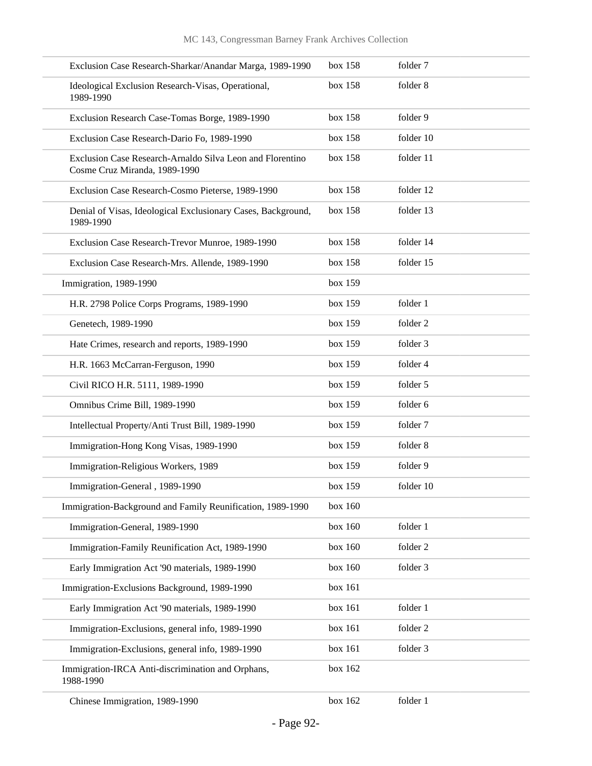| Exclusion Case Research-Sharkar/Anandar Marga, 1989-1990                                   | box 158 | folder 7  |
|--------------------------------------------------------------------------------------------|---------|-----------|
| Ideological Exclusion Research-Visas, Operational,<br>1989-1990                            | box 158 | folder 8  |
| Exclusion Research Case-Tomas Borge, 1989-1990                                             | box 158 | folder 9  |
| Exclusion Case Research-Dario Fo, 1989-1990                                                | box 158 | folder 10 |
| Exclusion Case Research-Arnaldo Silva Leon and Florentino<br>Cosme Cruz Miranda, 1989-1990 | box 158 | folder 11 |
| Exclusion Case Research-Cosmo Pieterse, 1989-1990                                          | box 158 | folder 12 |
| Denial of Visas, Ideological Exclusionary Cases, Background,<br>1989-1990                  | box 158 | folder 13 |
| Exclusion Case Research-Trevor Munroe, 1989-1990                                           | box 158 | folder 14 |
| Exclusion Case Research-Mrs. Allende, 1989-1990                                            | box 158 | folder 15 |
| Immigration, 1989-1990                                                                     | box 159 |           |
| H.R. 2798 Police Corps Programs, 1989-1990                                                 | box 159 | folder 1  |
| Genetech, 1989-1990                                                                        | box 159 | folder 2  |
| Hate Crimes, research and reports, 1989-1990                                               | box 159 | folder 3  |
| H.R. 1663 McCarran-Ferguson, 1990                                                          | box 159 | folder 4  |
| Civil RICO H.R. 5111, 1989-1990                                                            | box 159 | folder 5  |
| Omnibus Crime Bill, 1989-1990                                                              | box 159 | folder 6  |
| Intellectual Property/Anti Trust Bill, 1989-1990                                           | box 159 | folder 7  |
| Immigration-Hong Kong Visas, 1989-1990                                                     | box 159 | folder 8  |
| Immigration-Religious Workers, 1989                                                        | box 159 | folder 9  |
| Immigration-General, 1989-1990                                                             | box 159 | folder 10 |
| Immigration-Background and Family Reunification, 1989-1990                                 | box 160 |           |
| Immigration-General, 1989-1990                                                             | box 160 | folder 1  |
| Immigration-Family Reunification Act, 1989-1990                                            | box 160 | folder 2  |
| Early Immigration Act '90 materials, 1989-1990                                             | box 160 | folder 3  |
| Immigration-Exclusions Background, 1989-1990                                               | box 161 |           |
| Early Immigration Act '90 materials, 1989-1990                                             | box 161 | folder 1  |
| Immigration-Exclusions, general info, 1989-1990                                            | box 161 | folder 2  |
| Immigration-Exclusions, general info, 1989-1990                                            | box 161 | folder 3  |
| Immigration-IRCA Anti-discrimination and Orphans,<br>1988-1990                             | box 162 |           |
| Chinese Immigration, 1989-1990                                                             | box 162 | folder 1  |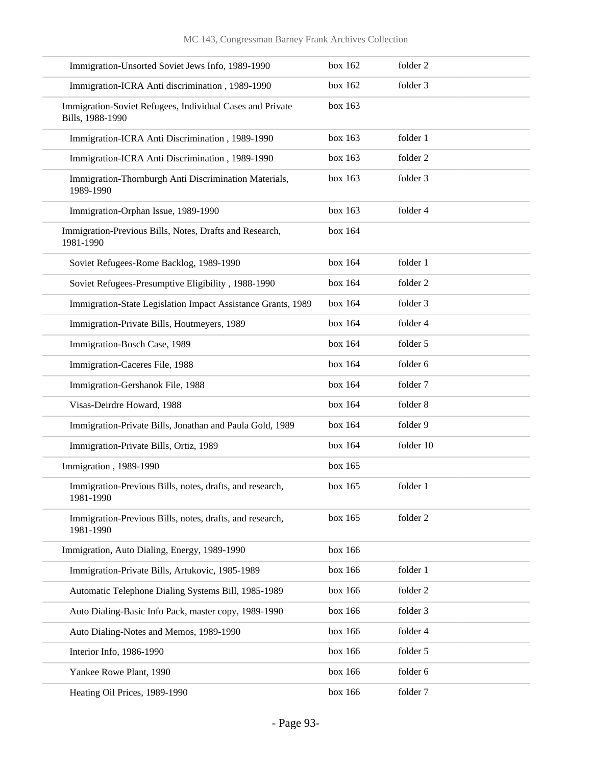| Immigration-Unsorted Soviet Jews Info, 1989-1990                              | box 162 | folder 2  |
|-------------------------------------------------------------------------------|---------|-----------|
| Immigration-ICRA Anti discrimination, 1989-1990                               | box 162 | folder 3  |
| Immigration-Soviet Refugees, Individual Cases and Private<br>Bills, 1988-1990 | box 163 |           |
| Immigration-ICRA Anti Discrimination, 1989-1990                               | box 163 | folder 1  |
| Immigration-ICRA Anti Discrimination, 1989-1990                               | box 163 | folder 2  |
| Immigration-Thornburgh Anti Discrimination Materials,<br>1989-1990            | box 163 | folder 3  |
| Immigration-Orphan Issue, 1989-1990                                           | box 163 | folder 4  |
| Immigration-Previous Bills, Notes, Drafts and Research,<br>1981-1990          | box 164 |           |
| Soviet Refugees-Rome Backlog, 1989-1990                                       | box 164 | folder 1  |
| Soviet Refugees-Presumptive Eligibility, 1988-1990                            | box 164 | folder 2  |
| Immigration-State Legislation Impact Assistance Grants, 1989                  | box 164 | folder 3  |
| Immigration-Private Bills, Houtmeyers, 1989                                   | box 164 | folder 4  |
| Immigration-Bosch Case, 1989                                                  | box 164 | folder 5  |
| Immigration-Caceres File, 1988                                                | box 164 | folder 6  |
| Immigration-Gershanok File, 1988                                              | box 164 | folder 7  |
| Visas-Deirdre Howard, 1988                                                    | box 164 | folder 8  |
| Immigration-Private Bills, Jonathan and Paula Gold, 1989                      | box 164 | folder 9  |
| Immigration-Private Bills, Ortiz, 1989                                        | box 164 | folder 10 |
| Immigration, 1989-1990                                                        | box 165 |           |
| Immigration-Previous Bills, notes, drafts, and research,<br>1981-1990         | box 165 | folder 1  |
| Immigration-Previous Bills, notes, drafts, and research,<br>1981-1990         | box 165 | folder 2  |
| Immigration, Auto Dialing, Energy, 1989-1990                                  | box 166 |           |
| Immigration-Private Bills, Artukovic, 1985-1989                               | box 166 | folder 1  |
| Automatic Telephone Dialing Systems Bill, 1985-1989                           | box 166 | folder 2  |
| Auto Dialing-Basic Info Pack, master copy, 1989-1990                          | box 166 | folder 3  |
| Auto Dialing-Notes and Memos, 1989-1990                                       | box 166 | folder 4  |
| Interior Info, 1986-1990                                                      | box 166 | folder 5  |
| Yankee Rowe Plant, 1990                                                       | box 166 | folder 6  |
| Heating Oil Prices, 1989-1990                                                 | box 166 | folder 7  |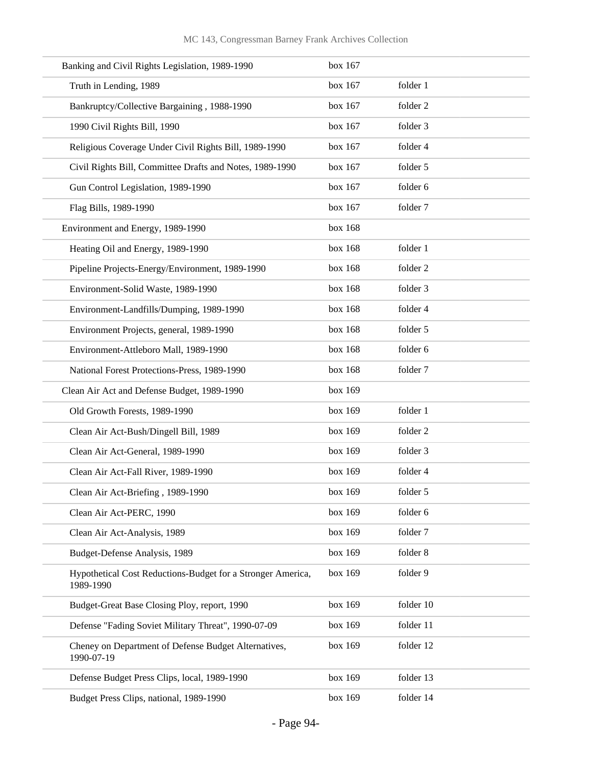| Banking and Civil Rights Legislation, 1989-1990                          | box 167 |           |
|--------------------------------------------------------------------------|---------|-----------|
| Truth in Lending, 1989                                                   | box 167 | folder 1  |
| Bankruptcy/Collective Bargaining, 1988-1990                              | box 167 | folder 2  |
| 1990 Civil Rights Bill, 1990                                             | box 167 | folder 3  |
| Religious Coverage Under Civil Rights Bill, 1989-1990                    | box 167 | folder 4  |
| Civil Rights Bill, Committee Drafts and Notes, 1989-1990                 | box 167 | folder 5  |
| Gun Control Legislation, 1989-1990                                       | box 167 | folder 6  |
| Flag Bills, 1989-1990                                                    | box 167 | folder 7  |
| Environment and Energy, 1989-1990                                        | box 168 |           |
| Heating Oil and Energy, 1989-1990                                        | box 168 | folder 1  |
| Pipeline Projects-Energy/Environment, 1989-1990                          | box 168 | folder 2  |
| Environment-Solid Waste, 1989-1990                                       | box 168 | folder 3  |
| Environment-Landfills/Dumping, 1989-1990                                 | box 168 | folder 4  |
| Environment Projects, general, 1989-1990                                 | box 168 | folder 5  |
| Environment-Attleboro Mall, 1989-1990                                    | box 168 | folder 6  |
| National Forest Protections-Press, 1989-1990                             | box 168 | folder 7  |
| Clean Air Act and Defense Budget, 1989-1990                              | box 169 |           |
| Old Growth Forests, 1989-1990                                            | box 169 | folder 1  |
| Clean Air Act-Bush/Dingell Bill, 1989                                    | box 169 | folder 2  |
| Clean Air Act-General, 1989-1990                                         | box 169 | folder 3  |
| Clean Air Act-Fall River, 1989-1990                                      | box 169 | folder 4  |
| Clean Air Act-Briefing, 1989-1990                                        | box 169 | folder 5  |
| Clean Air Act-PERC, 1990                                                 | box 169 | folder 6  |
| Clean Air Act-Analysis, 1989                                             | box 169 | folder 7  |
| Budget-Defense Analysis, 1989                                            | box 169 | folder 8  |
| Hypothetical Cost Reductions-Budget for a Stronger America,<br>1989-1990 | box 169 | folder 9  |
| Budget-Great Base Closing Ploy, report, 1990                             | box 169 | folder 10 |
| Defense "Fading Soviet Military Threat", 1990-07-09                      | box 169 | folder 11 |
| Cheney on Department of Defense Budget Alternatives,<br>1990-07-19       | box 169 | folder 12 |
| Defense Budget Press Clips, local, 1989-1990                             | box 169 | folder 13 |
| Budget Press Clips, national, 1989-1990                                  | box 169 | folder 14 |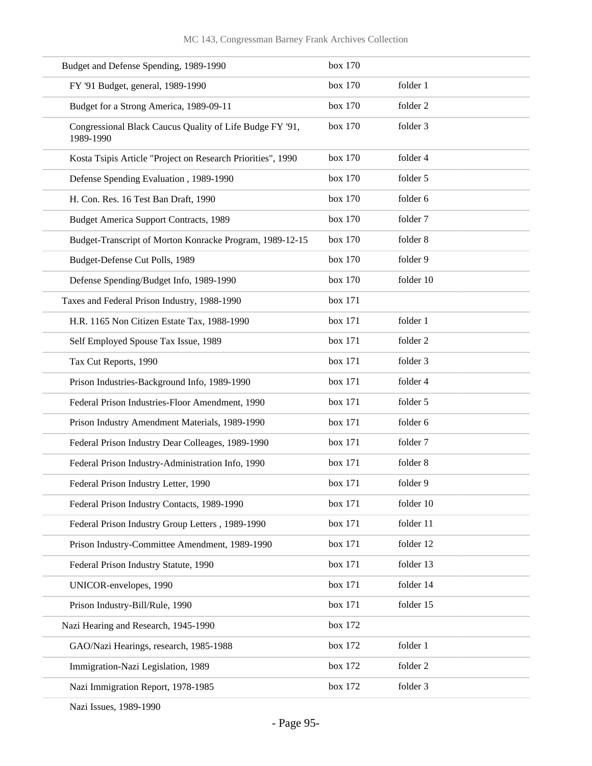| Budget and Defense Spending, 1989-1990                                | box 170 |           |
|-----------------------------------------------------------------------|---------|-----------|
| FY '91 Budget, general, 1989-1990                                     | box 170 | folder 1  |
| Budget for a Strong America, 1989-09-11                               | box 170 | folder 2  |
| Congressional Black Caucus Quality of Life Budge FY '91,<br>1989-1990 | box 170 | folder 3  |
| Kosta Tsipis Article "Project on Research Priorities", 1990           | box 170 | folder 4  |
| Defense Spending Evaluation, 1989-1990                                | box 170 | folder 5  |
| H. Con. Res. 16 Test Ban Draft, 1990                                  | box 170 | folder 6  |
| <b>Budget America Support Contracts, 1989</b>                         | box 170 | folder 7  |
| Budget-Transcript of Morton Konracke Program, 1989-12-15              | box 170 | folder 8  |
| Budget-Defense Cut Polls, 1989                                        | box 170 | folder 9  |
| Defense Spending/Budget Info, 1989-1990                               | box 170 | folder 10 |
| Taxes and Federal Prison Industry, 1988-1990                          | box 171 |           |
| H.R. 1165 Non Citizen Estate Tax, 1988-1990                           | box 171 | folder 1  |
| Self Employed Spouse Tax Issue, 1989                                  | box 171 | folder 2  |
| Tax Cut Reports, 1990                                                 | box 171 | folder 3  |
| Prison Industries-Background Info, 1989-1990                          | box 171 | folder 4  |
| Federal Prison Industries-Floor Amendment, 1990                       | box 171 | folder 5  |
| Prison Industry Amendment Materials, 1989-1990                        | box 171 | folder 6  |
| Federal Prison Industry Dear Colleages, 1989-1990                     | box 171 | folder 7  |
| Federal Prison Industry-Administration Info, 1990                     | box 171 | folder 8  |
| Federal Prison Industry Letter, 1990                                  | box 171 | folder 9  |
| Federal Prison Industry Contacts, 1989-1990                           | box 171 | folder 10 |
| Federal Prison Industry Group Letters, 1989-1990                      | box 171 | folder 11 |
| Prison Industry-Committee Amendment, 1989-1990                        | box 171 | folder 12 |
| Federal Prison Industry Statute, 1990                                 | box 171 | folder 13 |
| UNICOR-envelopes, 1990                                                | box 171 | folder 14 |
| Prison Industry-Bill/Rule, 1990                                       | box 171 | folder 15 |
| Nazi Hearing and Research, 1945-1990                                  | box 172 |           |
| GAO/Nazi Hearings, research, 1985-1988                                | box 172 | folder 1  |
| Immigration-Nazi Legislation, 1989                                    | box 172 | folder 2  |
| Nazi Immigration Report, 1978-1985                                    | box 172 | folder 3  |

Nazi Issues, 1989-1990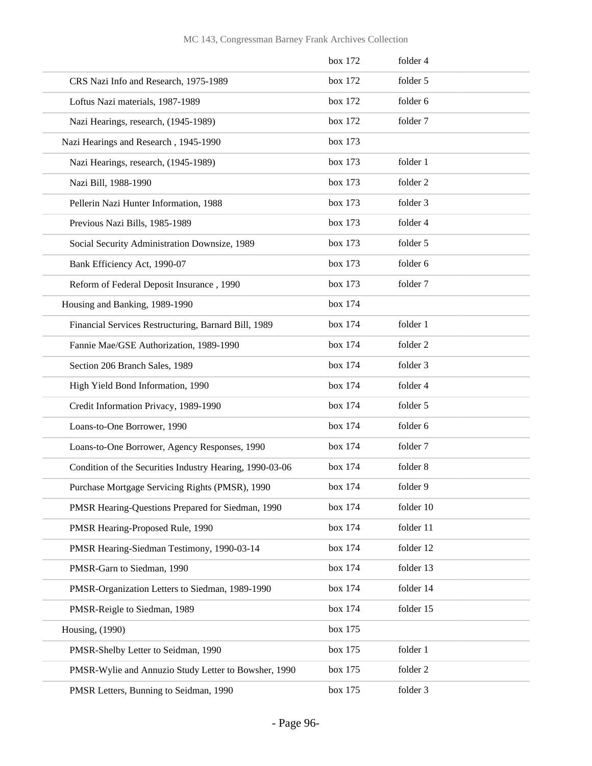|                                                          | box 172 | folder 4  |
|----------------------------------------------------------|---------|-----------|
| CRS Nazi Info and Research, 1975-1989                    | box 172 | folder 5  |
| Loftus Nazi materials, 1987-1989                         | box 172 | folder 6  |
| Nazi Hearings, research, (1945-1989)                     | box 172 | folder 7  |
| Nazi Hearings and Research, 1945-1990                    | box 173 |           |
| Nazi Hearings, research, (1945-1989)                     | box 173 | folder 1  |
| Nazi Bill, 1988-1990                                     | box 173 | folder 2  |
| Pellerin Nazi Hunter Information, 1988                   | box 173 | folder 3  |
| Previous Nazi Bills, 1985-1989                           | box 173 | folder 4  |
| Social Security Administration Downsize, 1989            | box 173 | folder 5  |
| Bank Efficiency Act, 1990-07                             | box 173 | folder 6  |
| Reform of Federal Deposit Insurance, 1990                | box 173 | folder 7  |
| Housing and Banking, 1989-1990                           | box 174 |           |
| Financial Services Restructuring, Barnard Bill, 1989     | box 174 | folder 1  |
| Fannie Mae/GSE Authorization, 1989-1990                  | box 174 | folder 2  |
| Section 206 Branch Sales, 1989                           | box 174 | folder 3  |
| High Yield Bond Information, 1990                        | box 174 | folder 4  |
| Credit Information Privacy, 1989-1990                    | box 174 | folder 5  |
| Loans-to-One Borrower, 1990                              | box 174 | folder 6  |
| Loans-to-One Borrower, Agency Responses, 1990            | box 174 | folder 7  |
| Condition of the Securities Industry Hearing, 1990-03-06 | box 174 | folder 8  |
| Purchase Mortgage Servicing Rights (PMSR), 1990          | box 174 | folder 9  |
| PMSR Hearing-Questions Prepared for Siedman, 1990        | box 174 | folder 10 |
| PMSR Hearing-Proposed Rule, 1990                         | box 174 | folder 11 |
| PMSR Hearing-Siedman Testimony, 1990-03-14               | box 174 | folder 12 |
| PMSR-Garn to Siedman, 1990                               | box 174 | folder 13 |
| PMSR-Organization Letters to Siedman, 1989-1990          | box 174 | folder 14 |
| PMSR-Reigle to Siedman, 1989                             | box 174 | folder 15 |
| Housing, (1990)                                          | box 175 |           |
| PMSR-Shelby Letter to Seidman, 1990                      | box 175 | folder 1  |
| PMSR-Wylie and Annuzio Study Letter to Bowsher, 1990     | box 175 | folder 2  |
| PMSR Letters, Bunning to Seidman, 1990                   | box 175 | folder 3  |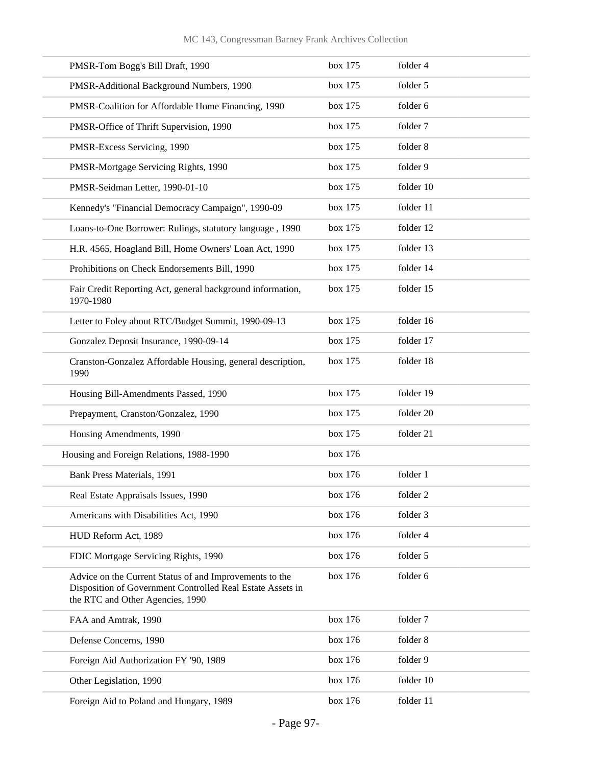| PMSR-Tom Bogg's Bill Draft, 1990                                                                                                                          | box 175 | folder 4  |
|-----------------------------------------------------------------------------------------------------------------------------------------------------------|---------|-----------|
| PMSR-Additional Background Numbers, 1990                                                                                                                  | box 175 | folder 5  |
| PMSR-Coalition for Affordable Home Financing, 1990                                                                                                        | box 175 | folder 6  |
| PMSR-Office of Thrift Supervision, 1990                                                                                                                   | box 175 | folder 7  |
| PMSR-Excess Servicing, 1990                                                                                                                               | box 175 | folder 8  |
| PMSR-Mortgage Servicing Rights, 1990                                                                                                                      | box 175 | folder 9  |
| PMSR-Seidman Letter, 1990-01-10                                                                                                                           | box 175 | folder 10 |
| Kennedy's "Financial Democracy Campaign", 1990-09                                                                                                         | box 175 | folder 11 |
| Loans-to-One Borrower: Rulings, statutory language, 1990                                                                                                  | box 175 | folder 12 |
| H.R. 4565, Hoagland Bill, Home Owners' Loan Act, 1990                                                                                                     | box 175 | folder 13 |
| Prohibitions on Check Endorsements Bill, 1990                                                                                                             | box 175 | folder 14 |
| Fair Credit Reporting Act, general background information,<br>1970-1980                                                                                   | box 175 | folder 15 |
| Letter to Foley about RTC/Budget Summit, 1990-09-13                                                                                                       | box 175 | folder 16 |
| Gonzalez Deposit Insurance, 1990-09-14                                                                                                                    | box 175 | folder 17 |
| Cranston-Gonzalez Affordable Housing, general description,<br>1990                                                                                        | box 175 | folder 18 |
| Housing Bill-Amendments Passed, 1990                                                                                                                      | box 175 | folder 19 |
| Prepayment, Cranston/Gonzalez, 1990                                                                                                                       | box 175 | folder 20 |
| Housing Amendments, 1990                                                                                                                                  | box 175 | folder 21 |
| Housing and Foreign Relations, 1988-1990                                                                                                                  | box 176 |           |
| Bank Press Materials, 1991                                                                                                                                | box 176 | folder 1  |
| Real Estate Appraisals Issues, 1990                                                                                                                       | box 176 | folder 2  |
| Americans with Disabilities Act, 1990                                                                                                                     | box 176 | folder 3  |
| HUD Reform Act, 1989                                                                                                                                      | box 176 | folder 4  |
| FDIC Mortgage Servicing Rights, 1990                                                                                                                      | box 176 | folder 5  |
| Advice on the Current Status of and Improvements to the<br>Disposition of Government Controlled Real Estate Assets in<br>the RTC and Other Agencies, 1990 | box 176 | folder 6  |
| FAA and Amtrak, 1990                                                                                                                                      | box 176 | folder 7  |
| Defense Concerns, 1990                                                                                                                                    | box 176 | folder 8  |
| Foreign Aid Authorization FY '90, 1989                                                                                                                    | box 176 | folder 9  |
| Other Legislation, 1990                                                                                                                                   | box 176 | folder 10 |
| Foreign Aid to Poland and Hungary, 1989                                                                                                                   | box 176 | folder 11 |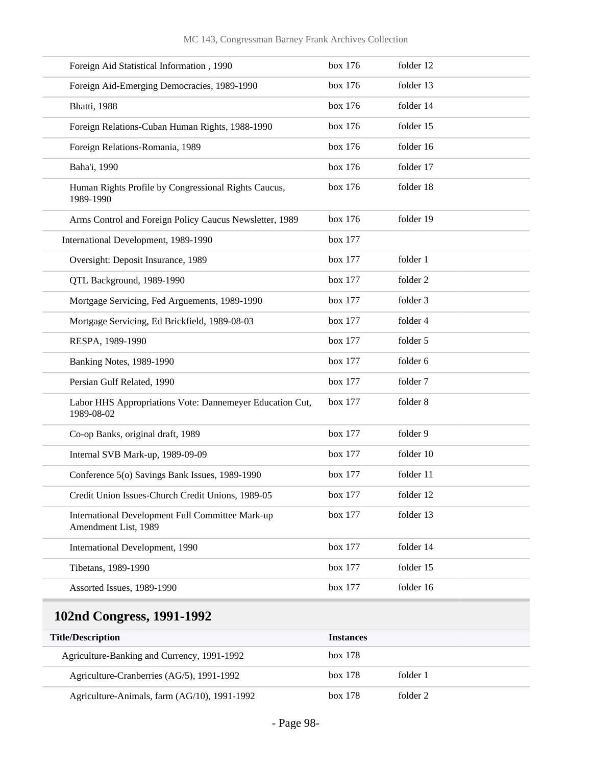| Foreign Aid Statistical Information, 1990                                | box 176 | folder 12 |
|--------------------------------------------------------------------------|---------|-----------|
| Foreign Aid-Emerging Democracies, 1989-1990                              | box 176 | folder 13 |
| <b>Bhatti</b> , 1988                                                     | box 176 | folder 14 |
| Foreign Relations-Cuban Human Rights, 1988-1990                          | box 176 | folder 15 |
| Foreign Relations-Romania, 1989                                          | box 176 | folder 16 |
| Baha'i, 1990                                                             | box 176 | folder 17 |
| Human Rights Profile by Congressional Rights Caucus,<br>1989-1990        | box 176 | folder 18 |
| Arms Control and Foreign Policy Caucus Newsletter, 1989                  | box 176 | folder 19 |
| International Development, 1989-1990                                     | box 177 |           |
| Oversight: Deposit Insurance, 1989                                       | box 177 | folder 1  |
| QTL Background, 1989-1990                                                | box 177 | folder 2  |
| Mortgage Servicing, Fed Arguements, 1989-1990                            | box 177 | folder 3  |
| Mortgage Servicing, Ed Brickfield, 1989-08-03                            | box 177 | folder 4  |
| RESPA, 1989-1990                                                         | box 177 | folder 5  |
| Banking Notes, 1989-1990                                                 | box 177 | folder 6  |
| Persian Gulf Related, 1990                                               | box 177 | folder 7  |
| Labor HHS Appropriations Vote: Dannemeyer Education Cut,<br>1989-08-02   | box 177 | folder 8  |
| Co-op Banks, original draft, 1989                                        | box 177 | folder 9  |
| Internal SVB Mark-up, 1989-09-09                                         | box 177 | folder 10 |
| Conference 5(o) Savings Bank Issues, 1989-1990                           | box 177 | folder 11 |
| Credit Union Issues-Church Credit Unions, 1989-05                        | box 177 | folder 12 |
| International Development Full Committee Mark-up<br>Amendment List, 1989 | box 177 | folder 13 |
| International Development, 1990                                          | box 177 | folder 14 |
| Tibetans, 1989-1990                                                      | box 177 | folder 15 |
| Assorted Issues, 1989-1990                                               | box 177 | folder 16 |
|                                                                          |         |           |

## **102nd Congress, 1991-1992**

| <b>Title/Description</b>                     | <b>Instances</b>    |
|----------------------------------------------|---------------------|
| Agriculture-Banking and Currency, 1991-1992  | box 178             |
| Agriculture-Cranberries (AG/5), 1991-1992    | box 178<br>folder 1 |
| Agriculture-Animals, farm (AG/10), 1991-1992 | box 178<br>folder 2 |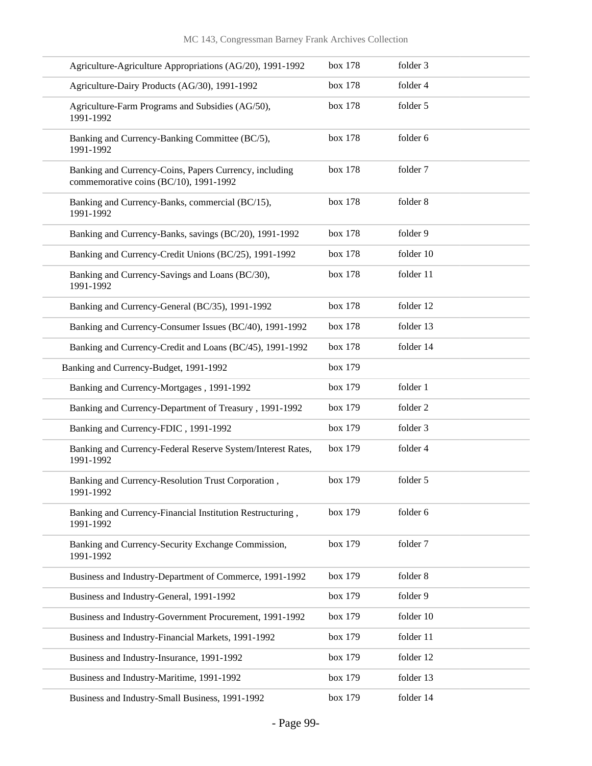| Agriculture-Agriculture Appropriations (AG/20), 1991-1992                                        | box 178 | folder 3  |
|--------------------------------------------------------------------------------------------------|---------|-----------|
| Agriculture-Dairy Products (AG/30), 1991-1992                                                    | box 178 | folder 4  |
| Agriculture-Farm Programs and Subsidies (AG/50),<br>1991-1992                                    | box 178 | folder 5  |
| Banking and Currency-Banking Committee (BC/5),<br>1991-1992                                      | box 178 | folder 6  |
| Banking and Currency-Coins, Papers Currency, including<br>commemorative coins (BC/10), 1991-1992 | box 178 | folder 7  |
| Banking and Currency-Banks, commercial (BC/15),<br>1991-1992                                     | box 178 | folder 8  |
| Banking and Currency-Banks, savings (BC/20), 1991-1992                                           | box 178 | folder 9  |
| Banking and Currency-Credit Unions (BC/25), 1991-1992                                            | box 178 | folder 10 |
| Banking and Currency-Savings and Loans (BC/30),<br>1991-1992                                     | box 178 | folder 11 |
| Banking and Currency-General (BC/35), 1991-1992                                                  | box 178 | folder 12 |
| Banking and Currency-Consumer Issues (BC/40), 1991-1992                                          | box 178 | folder 13 |
| Banking and Currency-Credit and Loans (BC/45), 1991-1992                                         | box 178 | folder 14 |
| Banking and Currency-Budget, 1991-1992                                                           | box 179 |           |
| Banking and Currency-Mortgages, 1991-1992                                                        | box 179 | folder 1  |
| Banking and Currency-Department of Treasury, 1991-1992                                           | box 179 | folder 2  |
| Banking and Currency-FDIC, 1991-1992                                                             | box 179 | folder 3  |
| Banking and Currency-Federal Reserve System/Interest Rates,<br>1991-1992                         | box 179 | folder 4  |
| Banking and Currency-Resolution Trust Corporation,<br>1991-1992                                  | box 179 | folder 5  |
| Banking and Currency-Financial Institution Restructuring,<br>1991-1992                           | box 179 | folder 6  |
| Banking and Currency-Security Exchange Commission,<br>1991-1992                                  | box 179 | folder 7  |
| Business and Industry-Department of Commerce, 1991-1992                                          | box 179 | folder 8  |
| Business and Industry-General, 1991-1992                                                         | box 179 | folder 9  |
| Business and Industry-Government Procurement, 1991-1992                                          | box 179 | folder 10 |
| Business and Industry-Financial Markets, 1991-1992                                               | box 179 | folder 11 |
| Business and Industry-Insurance, 1991-1992                                                       | box 179 | folder 12 |
| Business and Industry-Maritime, 1991-1992                                                        | box 179 | folder 13 |
| Business and Industry-Small Business, 1991-1992                                                  | box 179 | folder 14 |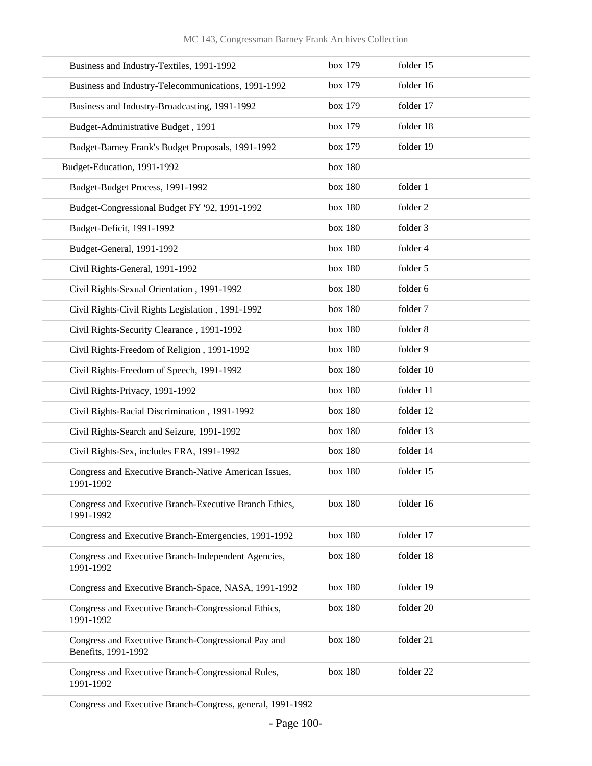|  |  |  | MC 143, Congressman Barney Frank Archives Collection |  |
|--|--|--|------------------------------------------------------|--|
|--|--|--|------------------------------------------------------|--|

| Business and Industry-Textiles, 1991-1992                                  | box 179 | folder 15 |
|----------------------------------------------------------------------------|---------|-----------|
| Business and Industry-Telecommunications, 1991-1992                        | box 179 | folder 16 |
| Business and Industry-Broadcasting, 1991-1992                              | box 179 | folder 17 |
| Budget-Administrative Budget, 1991                                         | box 179 | folder 18 |
| Budget-Barney Frank's Budget Proposals, 1991-1992                          | box 179 | folder 19 |
| Budget-Education, 1991-1992                                                | box 180 |           |
| Budget-Budget Process, 1991-1992                                           | box 180 | folder 1  |
| Budget-Congressional Budget FY '92, 1991-1992                              | box 180 | folder 2  |
| Budget-Deficit, 1991-1992                                                  | box 180 | folder 3  |
| Budget-General, 1991-1992                                                  | box 180 | folder 4  |
| Civil Rights-General, 1991-1992                                            | box 180 | folder 5  |
| Civil Rights-Sexual Orientation, 1991-1992                                 | box 180 | folder 6  |
| Civil Rights-Civil Rights Legislation, 1991-1992                           | box 180 | folder 7  |
| Civil Rights-Security Clearance, 1991-1992                                 | box 180 | folder 8  |
| Civil Rights-Freedom of Religion, 1991-1992                                | box 180 | folder 9  |
| Civil Rights-Freedom of Speech, 1991-1992                                  | box 180 | folder 10 |
| Civil Rights-Privacy, 1991-1992                                            | box 180 | folder 11 |
| Civil Rights-Racial Discrimination, 1991-1992                              | box 180 | folder 12 |
| Civil Rights-Search and Seizure, 1991-1992                                 | box 180 | folder 13 |
| Civil Rights-Sex, includes ERA, 1991-1992                                  | box 180 | folder 14 |
| Congress and Executive Branch-Native American Issues,<br>1991-1992         | box 180 | folder 15 |
| Congress and Executive Branch-Executive Branch Ethics,<br>1991-1992        | box 180 | folder 16 |
| Congress and Executive Branch-Emergencies, 1991-1992                       | box 180 | folder 17 |
| Congress and Executive Branch-Independent Agencies,<br>1991-1992           | box 180 | folder 18 |
| Congress and Executive Branch-Space, NASA, 1991-1992                       | box 180 | folder 19 |
| Congress and Executive Branch-Congressional Ethics,<br>1991-1992           | box 180 | folder 20 |
| Congress and Executive Branch-Congressional Pay and<br>Benefits, 1991-1992 | box 180 | folder 21 |
| Congress and Executive Branch-Congressional Rules,<br>1991-1992            | box 180 | folder 22 |

Congress and Executive Branch-Congress, general, 1991-1992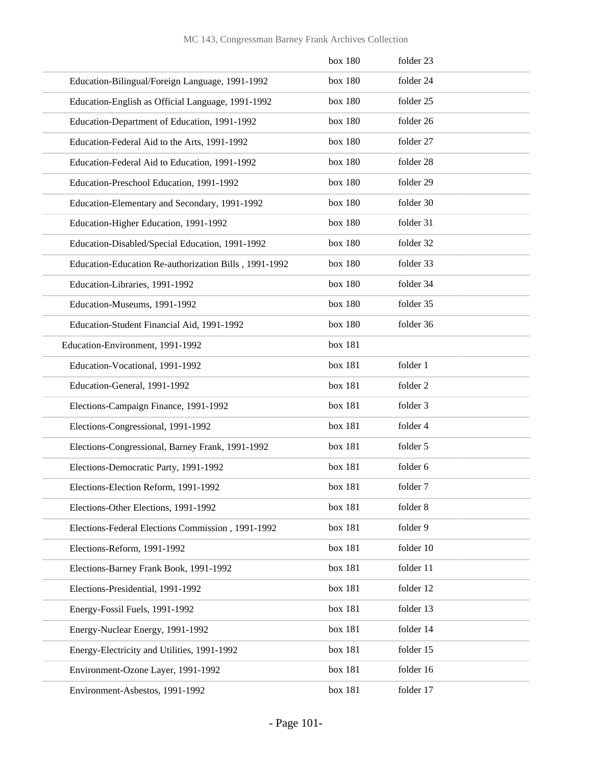|  |  |  | MC 143, Congressman Barney Frank Archives Collection |  |
|--|--|--|------------------------------------------------------|--|
|--|--|--|------------------------------------------------------|--|

|                                                       | box 180 | folder 23 |
|-------------------------------------------------------|---------|-----------|
| Education-Bilingual/Foreign Language, 1991-1992       | box 180 | folder 24 |
| Education-English as Official Language, 1991-1992     | box 180 | folder 25 |
| Education-Department of Education, 1991-1992          | box 180 | folder 26 |
| Education-Federal Aid to the Arts, 1991-1992          | box 180 | folder 27 |
| Education-Federal Aid to Education, 1991-1992         | box 180 | folder 28 |
| Education-Preschool Education, 1991-1992              | box 180 | folder 29 |
| Education-Elementary and Secondary, 1991-1992         | box 180 | folder 30 |
| Education-Higher Education, 1991-1992                 | box 180 | folder 31 |
| Education-Disabled/Special Education, 1991-1992       | box 180 | folder 32 |
| Education-Education Re-authorization Bills, 1991-1992 | box 180 | folder 33 |
| Education-Libraries, 1991-1992                        | box 180 | folder 34 |
| Education-Museums, 1991-1992                          | box 180 | folder 35 |
| Education-Student Financial Aid, 1991-1992            | box 180 | folder 36 |
| Education-Environment, 1991-1992                      | box 181 |           |
| Education-Vocational, 1991-1992                       | box 181 | folder 1  |
| Education-General, 1991-1992                          | box 181 | folder 2  |
| Elections-Campaign Finance, 1991-1992                 | box 181 | folder 3  |
| Elections-Congressional, 1991-1992                    | box 181 | folder 4  |
| Elections-Congressional, Barney Frank, 1991-1992      | box 181 | folder 5  |
| Elections-Democratic Party, 1991-1992                 | box 181 | folder 6  |
| Elections-Election Reform, 1991-1992                  | box 181 | folder 7  |
| Elections-Other Elections, 1991-1992                  | box 181 | folder 8  |
| Elections-Federal Elections Commission, 1991-1992     | box 181 | folder 9  |
| Elections-Reform, 1991-1992                           | box 181 | folder 10 |
| Elections-Barney Frank Book, 1991-1992                | box 181 | folder 11 |
| Elections-Presidential, 1991-1992                     | box 181 | folder 12 |
| Energy-Fossil Fuels, 1991-1992                        | box 181 | folder 13 |
| Energy-Nuclear Energy, 1991-1992                      | box 181 | folder 14 |
| Energy-Electricity and Utilities, 1991-1992           | box 181 | folder 15 |
| Environment-Ozone Layer, 1991-1992                    | box 181 | folder 16 |
| Environment-Asbestos, 1991-1992                       | box 181 | folder 17 |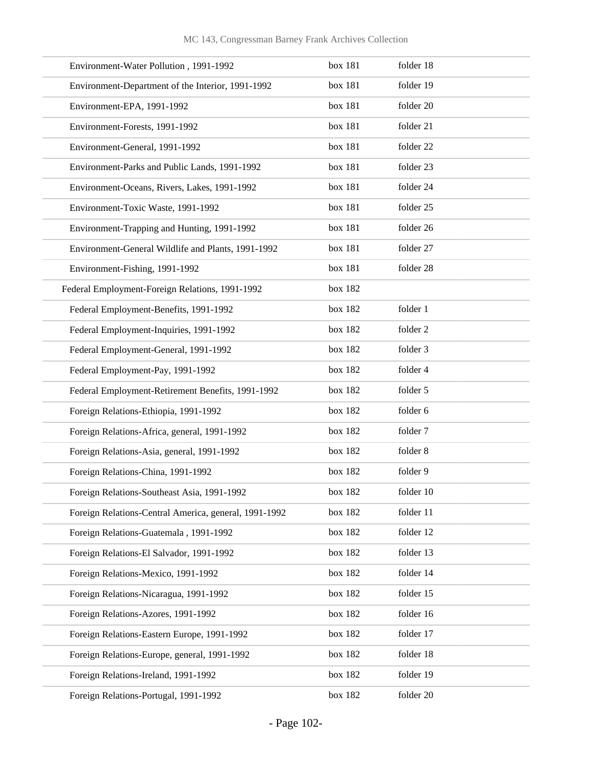| Environment-Water Pollution, 1991-1992                | box 181 | folder 18 |
|-------------------------------------------------------|---------|-----------|
| Environment-Department of the Interior, 1991-1992     | box 181 | folder 19 |
| Environment-EPA, 1991-1992                            | box 181 | folder 20 |
| Environment-Forests, 1991-1992                        | box 181 | folder 21 |
| Environment-General, 1991-1992                        | box 181 | folder 22 |
| Environment-Parks and Public Lands, 1991-1992         | box 181 | folder 23 |
| Environment-Oceans, Rivers, Lakes, 1991-1992          | box 181 | folder 24 |
| Environment-Toxic Waste, 1991-1992                    | box 181 | folder 25 |
| Environment-Trapping and Hunting, 1991-1992           | box 181 | folder 26 |
| Environment-General Wildlife and Plants, 1991-1992    | box 181 | folder 27 |
| Environment-Fishing, 1991-1992                        | box 181 | folder 28 |
| Federal Employment-Foreign Relations, 1991-1992       | box 182 |           |
| Federal Employment-Benefits, 1991-1992                | box 182 | folder 1  |
| Federal Employment-Inquiries, 1991-1992               | box 182 | folder 2  |
| Federal Employment-General, 1991-1992                 | box 182 | folder 3  |
| Federal Employment-Pay, 1991-1992                     | box 182 | folder 4  |
| Federal Employment-Retirement Benefits, 1991-1992     | box 182 | folder 5  |
| Foreign Relations-Ethiopia, 1991-1992                 | box 182 | folder 6  |
| Foreign Relations-Africa, general, 1991-1992          | box 182 | folder 7  |
| Foreign Relations-Asia, general, 1991-1992            | box 182 | folder 8  |
| Foreign Relations-China, 1991-1992                    | box 182 | folder 9  |
| Foreign Relations-Southeast Asia, 1991-1992           | box 182 | folder 10 |
| Foreign Relations-Central America, general, 1991-1992 | box 182 | folder 11 |
| Foreign Relations-Guatemala, 1991-1992                | box 182 | folder 12 |
| Foreign Relations-El Salvador, 1991-1992              | box 182 | folder 13 |
| Foreign Relations-Mexico, 1991-1992                   | box 182 | folder 14 |
| Foreign Relations-Nicaragua, 1991-1992                | box 182 | folder 15 |
| Foreign Relations-Azores, 1991-1992                   | box 182 | folder 16 |
| Foreign Relations-Eastern Europe, 1991-1992           | box 182 | folder 17 |
| Foreign Relations-Europe, general, 1991-1992          | box 182 | folder 18 |
| Foreign Relations-Ireland, 1991-1992                  | box 182 | folder 19 |
| Foreign Relations-Portugal, 1991-1992                 | box 182 | folder 20 |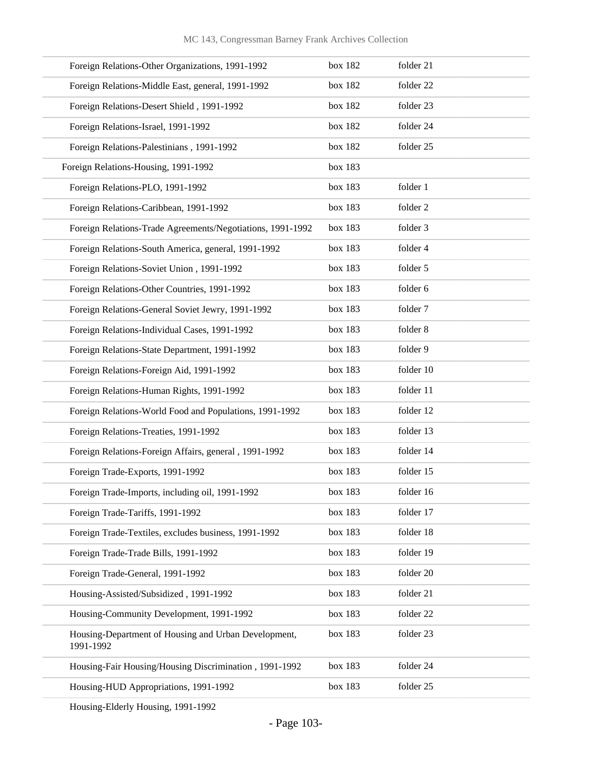| Foreign Relations-Other Organizations, 1991-1992                  | box 182 | folder 21 |
|-------------------------------------------------------------------|---------|-----------|
| Foreign Relations-Middle East, general, 1991-1992                 | box 182 | folder 22 |
| Foreign Relations-Desert Shield, 1991-1992                        | box 182 | folder 23 |
| Foreign Relations-Israel, 1991-1992                               | box 182 | folder 24 |
| Foreign Relations-Palestinians, 1991-1992                         | box 182 | folder 25 |
| Foreign Relations-Housing, 1991-1992                              | box 183 |           |
| Foreign Relations-PLO, 1991-1992                                  | box 183 | folder 1  |
| Foreign Relations-Caribbean, 1991-1992                            | box 183 | folder 2  |
| Foreign Relations-Trade Agreements/Negotiations, 1991-1992        | box 183 | folder 3  |
| Foreign Relations-South America, general, 1991-1992               | box 183 | folder 4  |
| Foreign Relations-Soviet Union, 1991-1992                         | box 183 | folder 5  |
| Foreign Relations-Other Countries, 1991-1992                      | box 183 | folder 6  |
| Foreign Relations-General Soviet Jewry, 1991-1992                 | box 183 | folder 7  |
| Foreign Relations-Individual Cases, 1991-1992                     | box 183 | folder 8  |
| Foreign Relations-State Department, 1991-1992                     | box 183 | folder 9  |
| Foreign Relations-Foreign Aid, 1991-1992                          | box 183 | folder 10 |
| Foreign Relations-Human Rights, 1991-1992                         | box 183 | folder 11 |
| Foreign Relations-World Food and Populations, 1991-1992           | box 183 | folder 12 |
| Foreign Relations-Treaties, 1991-1992                             | box 183 | folder 13 |
| Foreign Relations-Foreign Affairs, general, 1991-1992             | box 183 | folder 14 |
| Foreign Trade-Exports, 1991-1992                                  | box 183 | folder 15 |
| Foreign Trade-Imports, including oil, 1991-1992                   | box 183 | folder 16 |
| Foreign Trade-Tariffs, 1991-1992                                  | box 183 | folder 17 |
| Foreign Trade-Textiles, excludes business, 1991-1992              | box 183 | folder 18 |
| Foreign Trade-Trade Bills, 1991-1992                              | box 183 | folder 19 |
| Foreign Trade-General, 1991-1992                                  | box 183 | folder 20 |
| Housing-Assisted/Subsidized, 1991-1992                            | box 183 | folder 21 |
| Housing-Community Development, 1991-1992                          | box 183 | folder 22 |
| Housing-Department of Housing and Urban Development,<br>1991-1992 | box 183 | folder 23 |
| Housing-Fair Housing/Housing Discrimination, 1991-1992            | box 183 | folder 24 |
| Housing-HUD Appropriations, 1991-1992                             | box 183 | folder 25 |
|                                                                   |         |           |

Housing-Elderly Housing, 1991-1992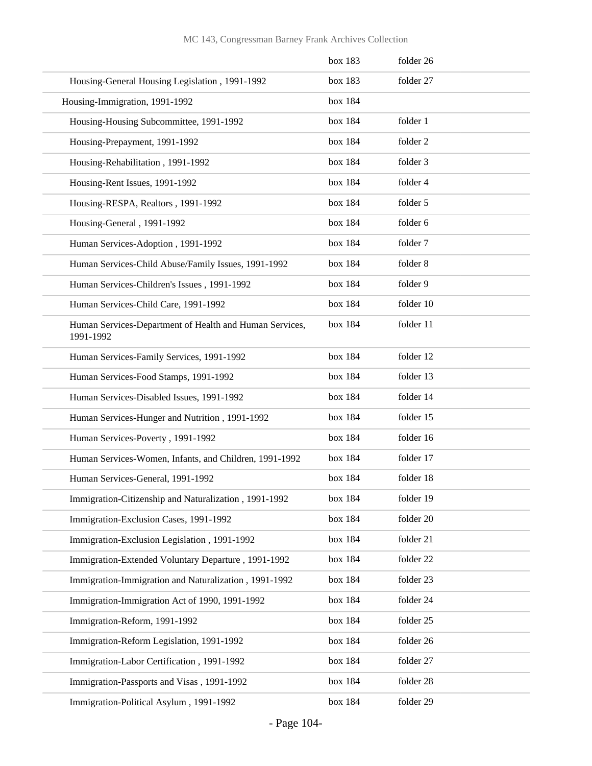|                                                                      | box 183 | folder 26 |
|----------------------------------------------------------------------|---------|-----------|
| Housing-General Housing Legislation, 1991-1992                       | box 183 | folder 27 |
| Housing-Immigration, 1991-1992                                       | box 184 |           |
| Housing-Housing Subcommittee, 1991-1992                              | box 184 | folder 1  |
| Housing-Prepayment, 1991-1992                                        | box 184 | folder 2  |
| Housing-Rehabilitation, 1991-1992                                    | box 184 | folder 3  |
| Housing-Rent Issues, 1991-1992                                       | box 184 | folder 4  |
| Housing-RESPA, Realtors, 1991-1992                                   | box 184 | folder 5  |
| Housing-General, 1991-1992                                           | box 184 | folder 6  |
| Human Services-Adoption, 1991-1992                                   | box 184 | folder 7  |
| Human Services-Child Abuse/Family Issues, 1991-1992                  | box 184 | folder 8  |
| Human Services-Children's Issues, 1991-1992                          | box 184 | folder 9  |
| Human Services-Child Care, 1991-1992                                 | box 184 | folder 10 |
| Human Services-Department of Health and Human Services,<br>1991-1992 | box 184 | folder 11 |
| Human Services-Family Services, 1991-1992                            | box 184 | folder 12 |
| Human Services-Food Stamps, 1991-1992                                | box 184 | folder 13 |
| Human Services-Disabled Issues, 1991-1992                            | box 184 | folder 14 |
| Human Services-Hunger and Nutrition, 1991-1992                       | box 184 | folder 15 |
| Human Services-Poverty, 1991-1992                                    | box 184 | folder 16 |
| Human Services-Women, Infants, and Children, 1991-1992               | box 184 | folder 17 |
| Human Services-General, 1991-1992                                    | box 184 | folder 18 |
| Immigration-Citizenship and Naturalization, 1991-1992                | box 184 | folder 19 |
| Immigration-Exclusion Cases, 1991-1992                               | box 184 | folder 20 |
| Immigration-Exclusion Legislation, 1991-1992                         | box 184 | folder 21 |
| Immigration-Extended Voluntary Departure, 1991-1992                  | box 184 | folder 22 |
| Immigration-Immigration and Naturalization, 1991-1992                | box 184 | folder 23 |
| Immigration-Immigration Act of 1990, 1991-1992                       | box 184 | folder 24 |
| Immigration-Reform, 1991-1992                                        | box 184 | folder 25 |
| Immigration-Reform Legislation, 1991-1992                            | box 184 | folder 26 |
| Immigration-Labor Certification, 1991-1992                           | box 184 | folder 27 |
| Immigration-Passports and Visas, 1991-1992                           | box 184 | folder 28 |
| Immigration-Political Asylum, 1991-1992                              | box 184 | folder 29 |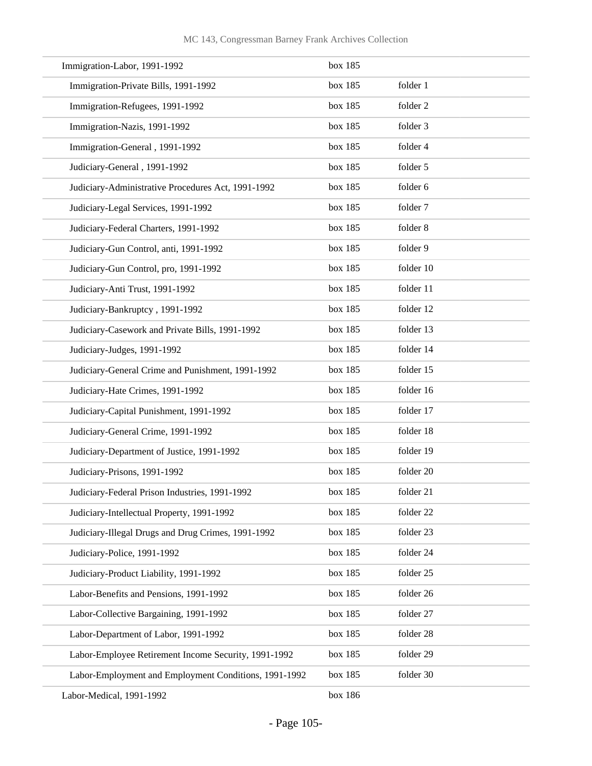| Immigration-Labor, 1991-1992                          | box 185 |           |
|-------------------------------------------------------|---------|-----------|
| Immigration-Private Bills, 1991-1992                  | box 185 | folder 1  |
| Immigration-Refugees, 1991-1992                       | box 185 | folder 2  |
| Immigration-Nazis, 1991-1992                          | box 185 | folder 3  |
| Immigration-General, 1991-1992                        | box 185 | folder 4  |
| Judiciary-General, 1991-1992                          | box 185 | folder 5  |
| Judiciary-Administrative Procedures Act, 1991-1992    | box 185 | folder 6  |
| Judiciary-Legal Services, 1991-1992                   | box 185 | folder 7  |
| Judiciary-Federal Charters, 1991-1992                 | box 185 | folder 8  |
| Judiciary-Gun Control, anti, 1991-1992                | box 185 | folder 9  |
| Judiciary-Gun Control, pro, 1991-1992                 | box 185 | folder 10 |
| Judiciary-Anti Trust, 1991-1992                       | box 185 | folder 11 |
| Judiciary-Bankruptcy, 1991-1992                       | box 185 | folder 12 |
| Judiciary-Casework and Private Bills, 1991-1992       | box 185 | folder 13 |
| Judiciary-Judges, 1991-1992                           | box 185 | folder 14 |
| Judiciary-General Crime and Punishment, 1991-1992     | box 185 | folder 15 |
| Judiciary-Hate Crimes, 1991-1992                      | box 185 | folder 16 |
| Judiciary-Capital Punishment, 1991-1992               | box 185 | folder 17 |
| Judiciary-General Crime, 1991-1992                    | box 185 | folder 18 |
| Judiciary-Department of Justice, 1991-1992            | box 185 | folder 19 |
| Judiciary-Prisons, 1991-1992                          | box 185 | folder 20 |
| Judiciary-Federal Prison Industries, 1991-1992        | box 185 | folder 21 |
| Judiciary-Intellectual Property, 1991-1992            | box 185 | folder 22 |
| Judiciary-Illegal Drugs and Drug Crimes, 1991-1992    | box 185 | folder 23 |
| Judiciary-Police, 1991-1992                           | box 185 | folder 24 |
| Judiciary-Product Liability, 1991-1992                | box 185 | folder 25 |
| Labor-Benefits and Pensions, 1991-1992                | box 185 | folder 26 |
| Labor-Collective Bargaining, 1991-1992                | box 185 | folder 27 |
| Labor-Department of Labor, 1991-1992                  | box 185 | folder 28 |
| Labor-Employee Retirement Income Security, 1991-1992  | box 185 | folder 29 |
| Labor-Employment and Employment Conditions, 1991-1992 | box 185 | folder 30 |
| Labor-Medical, 1991-1992                              | box 186 |           |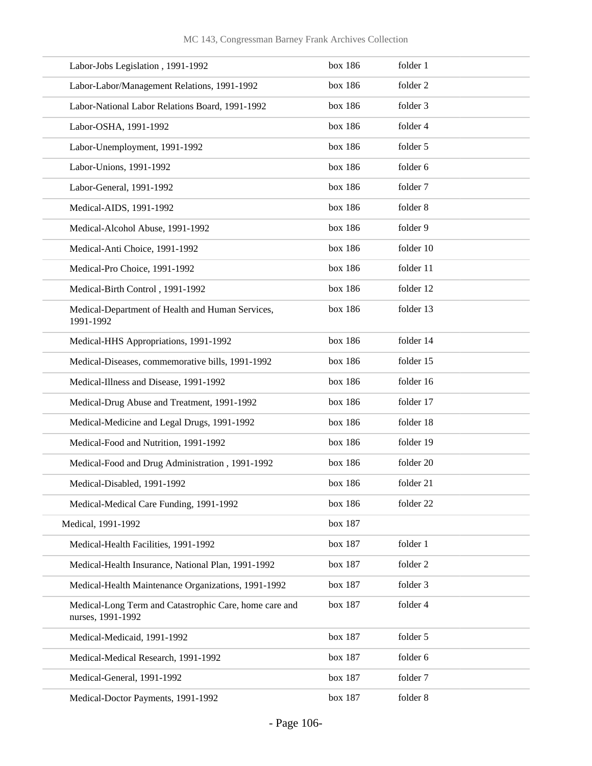| Labor-Jobs Legislation, 1991-1992                                           | box 186 | folder 1  |
|-----------------------------------------------------------------------------|---------|-----------|
| Labor-Labor/Management Relations, 1991-1992                                 | box 186 | folder 2  |
| Labor-National Labor Relations Board, 1991-1992                             | box 186 | folder 3  |
| Labor-OSHA, 1991-1992                                                       | box 186 | folder 4  |
| Labor-Unemployment, 1991-1992                                               | box 186 | folder 5  |
| Labor-Unions, 1991-1992                                                     | box 186 | folder 6  |
| Labor-General, 1991-1992                                                    | box 186 | folder 7  |
| Medical-AIDS, 1991-1992                                                     | box 186 | folder 8  |
| Medical-Alcohol Abuse, 1991-1992                                            | box 186 | folder 9  |
| Medical-Anti Choice, 1991-1992                                              | box 186 | folder 10 |
| Medical-Pro Choice, 1991-1992                                               | box 186 | folder 11 |
| Medical-Birth Control, 1991-1992                                            | box 186 | folder 12 |
| Medical-Department of Health and Human Services,<br>1991-1992               | box 186 | folder 13 |
| Medical-HHS Appropriations, 1991-1992                                       | box 186 | folder 14 |
| Medical-Diseases, commemorative bills, 1991-1992                            | box 186 | folder 15 |
| Medical-Illness and Disease, 1991-1992                                      | box 186 | folder 16 |
| Medical-Drug Abuse and Treatment, 1991-1992                                 | box 186 | folder 17 |
| Medical-Medicine and Legal Drugs, 1991-1992                                 | box 186 | folder 18 |
| Medical-Food and Nutrition, 1991-1992                                       | box 186 | folder 19 |
| Medical-Food and Drug Administration, 1991-1992                             | box 186 | folder 20 |
| Medical-Disabled, 1991-1992                                                 | box 186 | folder 21 |
| Medical-Medical Care Funding, 1991-1992                                     | box 186 | folder 22 |
| Medical, 1991-1992                                                          | box 187 |           |
| Medical-Health Facilities, 1991-1992                                        | box 187 | folder 1  |
| Medical-Health Insurance, National Plan, 1991-1992                          | box 187 | folder 2  |
| Medical-Health Maintenance Organizations, 1991-1992                         | box 187 | folder 3  |
| Medical-Long Term and Catastrophic Care, home care and<br>nurses, 1991-1992 | box 187 | folder 4  |
| Medical-Medicaid, 1991-1992                                                 | box 187 | folder 5  |
| Medical-Medical Research, 1991-1992                                         | box 187 | folder 6  |
| Medical-General, 1991-1992                                                  | box 187 | folder 7  |
| Medical-Doctor Payments, 1991-1992                                          | box 187 | folder 8  |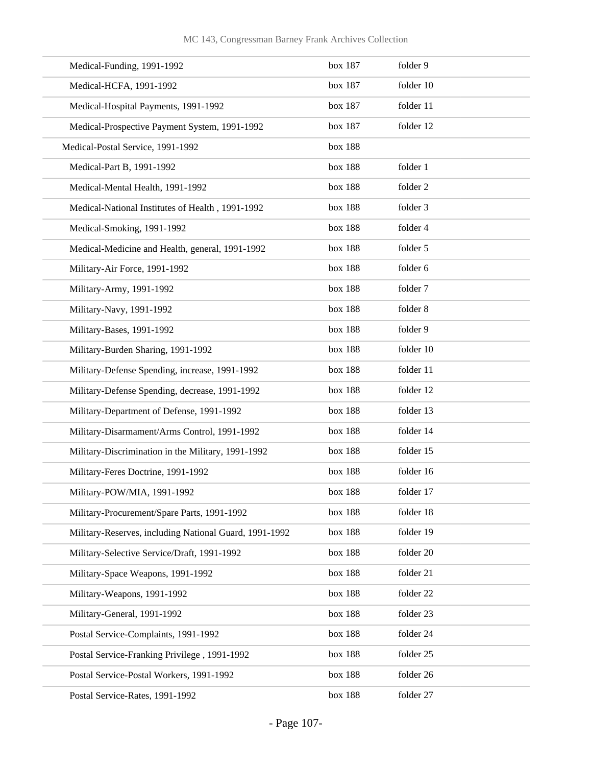| Medical-Funding, 1991-1992                             | box 187 | folder 9  |
|--------------------------------------------------------|---------|-----------|
| Medical-HCFA, 1991-1992                                | box 187 | folder 10 |
| Medical-Hospital Payments, 1991-1992                   | box 187 | folder 11 |
| Medical-Prospective Payment System, 1991-1992          | box 187 | folder 12 |
| Medical-Postal Service, 1991-1992                      | box 188 |           |
| Medical-Part B, 1991-1992                              | box 188 | folder 1  |
| Medical-Mental Health, 1991-1992                       | box 188 | folder 2  |
| Medical-National Institutes of Health, 1991-1992       | box 188 | folder 3  |
| Medical-Smoking, 1991-1992                             | box 188 | folder 4  |
| Medical-Medicine and Health, general, 1991-1992        | box 188 | folder 5  |
| Military-Air Force, 1991-1992                          | box 188 | folder 6  |
| Military-Army, 1991-1992                               | box 188 | folder 7  |
| Military-Navy, 1991-1992                               | box 188 | folder 8  |
| Military-Bases, 1991-1992                              | box 188 | folder 9  |
| Military-Burden Sharing, 1991-1992                     | box 188 | folder 10 |
| Military-Defense Spending, increase, 1991-1992         | box 188 | folder 11 |
| Military-Defense Spending, decrease, 1991-1992         | box 188 | folder 12 |
| Military-Department of Defense, 1991-1992              | box 188 | folder 13 |
| Military-Disarmament/Arms Control, 1991-1992           | box 188 | folder 14 |
| Military-Discrimination in the Military, 1991-1992     | box 188 | folder 15 |
| Military-Feres Doctrine, 1991-1992                     | box 188 | folder 16 |
| Military-POW/MIA, 1991-1992                            | box 188 | folder 17 |
| Military-Procurement/Spare Parts, 1991-1992            | box 188 | folder 18 |
| Military-Reserves, including National Guard, 1991-1992 | box 188 | folder 19 |
| Military-Selective Service/Draft, 1991-1992            | box 188 | folder 20 |
| Military-Space Weapons, 1991-1992                      | box 188 | folder 21 |
| Military-Weapons, 1991-1992                            | box 188 | folder 22 |
| Military-General, 1991-1992                            | box 188 | folder 23 |
| Postal Service-Complaints, 1991-1992                   | box 188 | folder 24 |
| Postal Service-Franking Privilege, 1991-1992           | box 188 | folder 25 |
| Postal Service-Postal Workers, 1991-1992               | box 188 | folder 26 |
| Postal Service-Rates, 1991-1992                        | box 188 | folder 27 |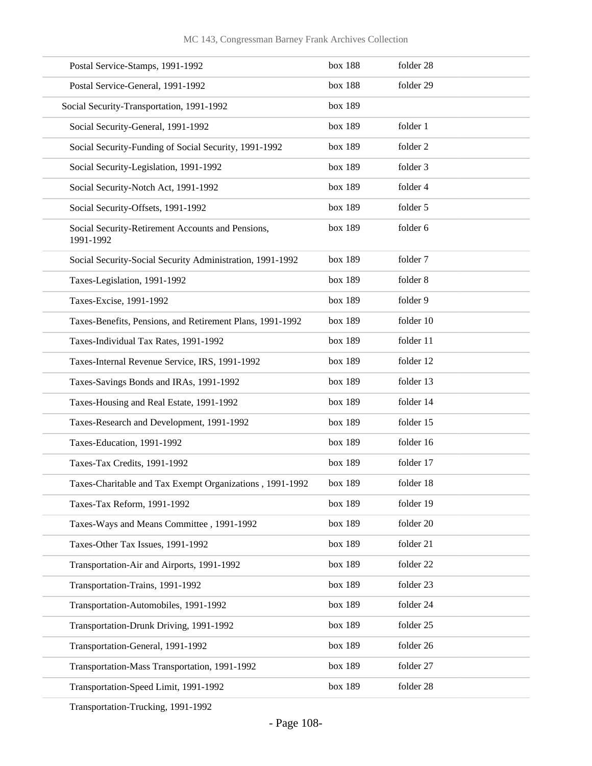| Postal Service-Stamps, 1991-1992                               | box 188 | folder 28 |
|----------------------------------------------------------------|---------|-----------|
| Postal Service-General, 1991-1992                              | box 188 | folder 29 |
| Social Security-Transportation, 1991-1992                      | box 189 |           |
| Social Security-General, 1991-1992                             | box 189 | folder 1  |
| Social Security-Funding of Social Security, 1991-1992          | box 189 | folder 2  |
| Social Security-Legislation, 1991-1992                         | box 189 | folder 3  |
| Social Security-Notch Act, 1991-1992                           | box 189 | folder 4  |
| Social Security-Offsets, 1991-1992                             | box 189 | folder 5  |
| Social Security-Retirement Accounts and Pensions,<br>1991-1992 | box 189 | folder 6  |
| Social Security-Social Security Administration, 1991-1992      | box 189 | folder 7  |
| Taxes-Legislation, 1991-1992                                   | box 189 | folder 8  |
| Taxes-Excise, 1991-1992                                        | box 189 | folder 9  |
| Taxes-Benefits, Pensions, and Retirement Plans, 1991-1992      | box 189 | folder 10 |
| Taxes-Individual Tax Rates, 1991-1992                          | box 189 | folder 11 |
| Taxes-Internal Revenue Service, IRS, 1991-1992                 | box 189 | folder 12 |
| Taxes-Savings Bonds and IRAs, 1991-1992                        | box 189 | folder 13 |
| Taxes-Housing and Real Estate, 1991-1992                       | box 189 | folder 14 |
| Taxes-Research and Development, 1991-1992                      | box 189 | folder 15 |
| Taxes-Education, 1991-1992                                     | box 189 | folder 16 |
| Taxes-Tax Credits, 1991-1992                                   | box 189 | folder 17 |
| Taxes-Charitable and Tax Exempt Organizations, 1991-1992       | box 189 | folder 18 |
| Taxes-Tax Reform, 1991-1992                                    | box 189 | folder 19 |
| Taxes-Ways and Means Committee, 1991-1992                      | box 189 | folder 20 |
| Taxes-Other Tax Issues, 1991-1992                              | box 189 | folder 21 |
| Transportation-Air and Airports, 1991-1992                     | box 189 | folder 22 |
| Transportation-Trains, 1991-1992                               | box 189 | folder 23 |
| Transportation-Automobiles, 1991-1992                          | box 189 | folder 24 |
| Transportation-Drunk Driving, 1991-1992                        | box 189 | folder 25 |
| Transportation-General, 1991-1992                              | box 189 | folder 26 |
| Transportation-Mass Transportation, 1991-1992                  | box 189 | folder 27 |
| Transportation-Speed Limit, 1991-1992                          | box 189 | folder 28 |

Transportation-Trucking, 1991-1992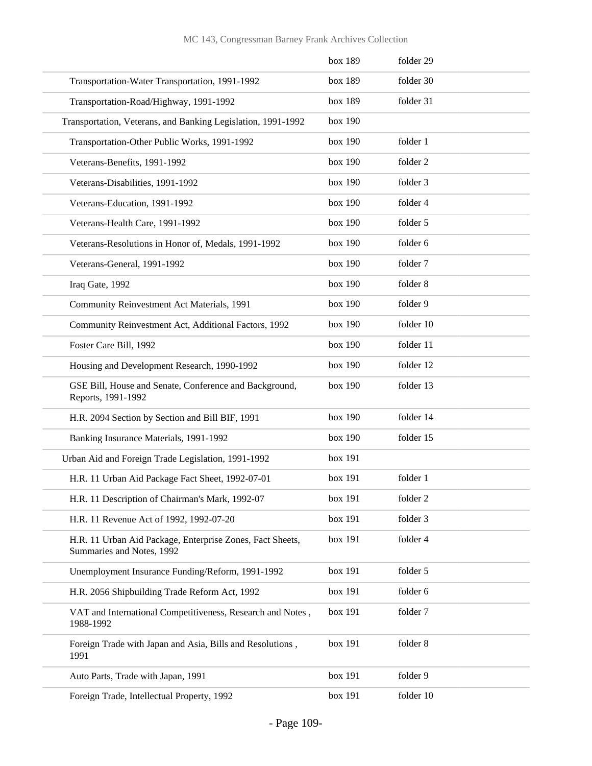|                                                                                        | box 189 | folder 29 |
|----------------------------------------------------------------------------------------|---------|-----------|
| Transportation-Water Transportation, 1991-1992                                         | box 189 | folder 30 |
| Transportation-Road/Highway, 1991-1992                                                 | box 189 | folder 31 |
| Transportation, Veterans, and Banking Legislation, 1991-1992                           | box 190 |           |
| Transportation-Other Public Works, 1991-1992                                           | box 190 | folder 1  |
| Veterans-Benefits, 1991-1992                                                           | box 190 | folder 2  |
| Veterans-Disabilities, 1991-1992                                                       | box 190 | folder 3  |
| Veterans-Education, 1991-1992                                                          | box 190 | folder 4  |
| Veterans-Health Care, 1991-1992                                                        | box 190 | folder 5  |
| Veterans-Resolutions in Honor of, Medals, 1991-1992                                    | box 190 | folder 6  |
| Veterans-General, 1991-1992                                                            | box 190 | folder 7  |
| Iraq Gate, 1992                                                                        | box 190 | folder 8  |
| Community Reinvestment Act Materials, 1991                                             | box 190 | folder 9  |
| Community Reinvestment Act, Additional Factors, 1992                                   | box 190 | folder 10 |
| Foster Care Bill, 1992                                                                 | box 190 | folder 11 |
| Housing and Development Research, 1990-1992                                            | box 190 | folder 12 |
| GSE Bill, House and Senate, Conference and Background,<br>Reports, 1991-1992           | box 190 | folder 13 |
| H.R. 2094 Section by Section and Bill BIF, 1991                                        | box 190 | folder 14 |
| Banking Insurance Materials, 1991-1992                                                 | box 190 | folder 15 |
| Urban Aid and Foreign Trade Legislation, 1991-1992                                     | box 191 |           |
| H.R. 11 Urban Aid Package Fact Sheet, 1992-07-01                                       | box 191 | folder 1  |
| H.R. 11 Description of Chairman's Mark, 1992-07                                        | box 191 | folder 2  |
| H.R. 11 Revenue Act of 1992, 1992-07-20                                                | box 191 | folder 3  |
| H.R. 11 Urban Aid Package, Enterprise Zones, Fact Sheets,<br>Summaries and Notes, 1992 | box 191 | folder 4  |
| Unemployment Insurance Funding/Reform, 1991-1992                                       | box 191 | folder 5  |
| H.R. 2056 Shipbuilding Trade Reform Act, 1992                                          | box 191 | folder 6  |
| VAT and International Competitiveness, Research and Notes,<br>1988-1992                | box 191 | folder 7  |
| Foreign Trade with Japan and Asia, Bills and Resolutions,<br>1991                      | box 191 | folder 8  |
| Auto Parts, Trade with Japan, 1991                                                     | box 191 | folder 9  |
| Foreign Trade, Intellectual Property, 1992                                             | box 191 | folder 10 |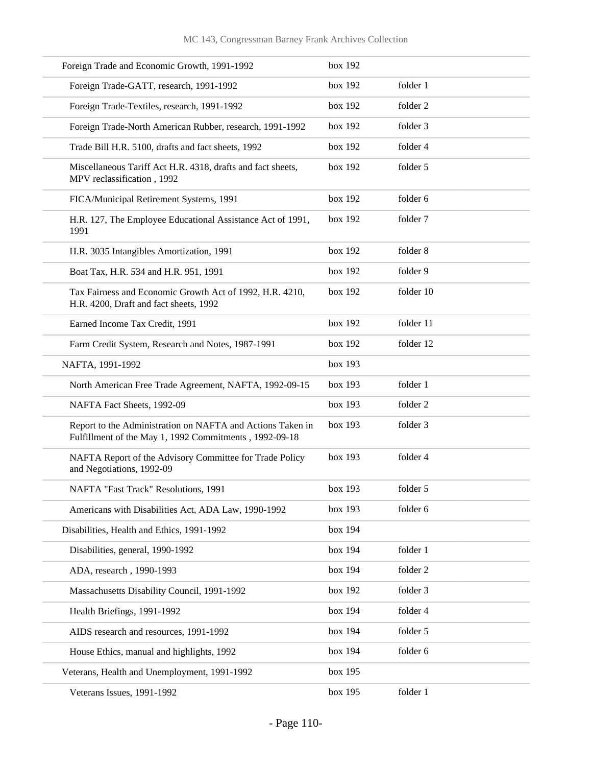| Foreign Trade and Economic Growth, 1991-1992                                                                         | box 192 |           |
|----------------------------------------------------------------------------------------------------------------------|---------|-----------|
| Foreign Trade-GATT, research, 1991-1992                                                                              | box 192 | folder 1  |
| Foreign Trade-Textiles, research, 1991-1992                                                                          | box 192 | folder 2  |
| Foreign Trade-North American Rubber, research, 1991-1992                                                             | box 192 | folder 3  |
| Trade Bill H.R. 5100, drafts and fact sheets, 1992                                                                   | box 192 | folder 4  |
| Miscellaneous Tariff Act H.R. 4318, drafts and fact sheets,<br>MPV reclassification, 1992                            | box 192 | folder 5  |
| FICA/Municipal Retirement Systems, 1991                                                                              | box 192 | folder 6  |
| H.R. 127, The Employee Educational Assistance Act of 1991,<br>1991                                                   | box 192 | folder 7  |
| H.R. 3035 Intangibles Amortization, 1991                                                                             | box 192 | folder 8  |
| Boat Tax, H.R. 534 and H.R. 951, 1991                                                                                | box 192 | folder 9  |
| Tax Fairness and Economic Growth Act of 1992, H.R. 4210,<br>H.R. 4200, Draft and fact sheets, 1992                   | box 192 | folder 10 |
| Earned Income Tax Credit, 1991                                                                                       | box 192 | folder 11 |
| Farm Credit System, Research and Notes, 1987-1991                                                                    | box 192 | folder 12 |
| NAFTA, 1991-1992                                                                                                     | box 193 |           |
| North American Free Trade Agreement, NAFTA, 1992-09-15                                                               | box 193 | folder 1  |
| NAFTA Fact Sheets, 1992-09                                                                                           | box 193 | folder 2  |
| Report to the Administration on NAFTA and Actions Taken in<br>Fulfillment of the May 1, 1992 Commitments, 1992-09-18 | box 193 | folder 3  |
| NAFTA Report of the Advisory Committee for Trade Policy<br>and Negotiations, 1992-09                                 | box 193 | folder 4  |
| NAFTA "Fast Track" Resolutions, 1991                                                                                 | box 193 | folder 5  |
| Americans with Disabilities Act, ADA Law, 1990-1992                                                                  | box 193 | folder 6  |
| Disabilities, Health and Ethics, 1991-1992                                                                           | box 194 |           |
| Disabilities, general, 1990-1992                                                                                     | box 194 | folder 1  |
| ADA, research, 1990-1993                                                                                             | box 194 | folder 2  |
| Massachusetts Disability Council, 1991-1992                                                                          | box 192 | folder 3  |
| Health Briefings, 1991-1992                                                                                          | box 194 | folder 4  |
| AIDS research and resources, 1991-1992                                                                               | box 194 | folder 5  |
| House Ethics, manual and highlights, 1992                                                                            | box 194 | folder 6  |
| Veterans, Health and Unemployment, 1991-1992                                                                         | box 195 |           |
| Veterans Issues, 1991-1992                                                                                           | box 195 | folder 1  |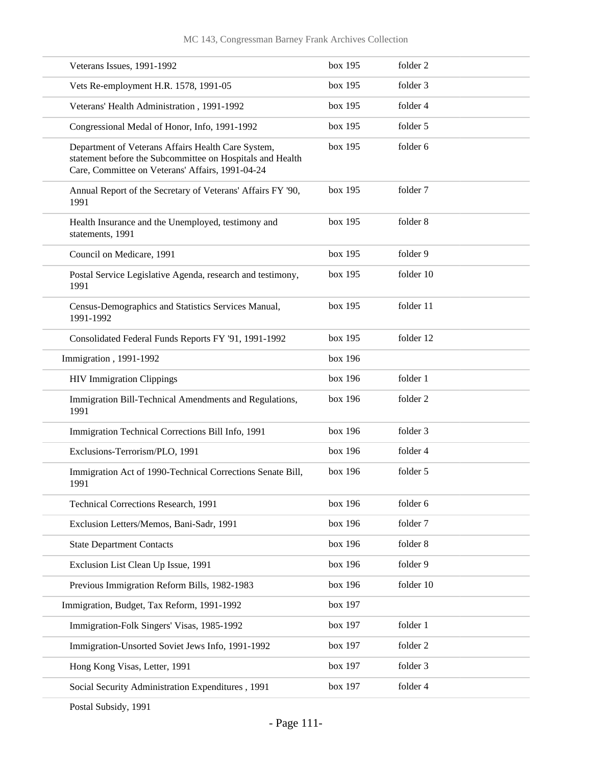| Veterans Issues, 1991-1992                                                                                                                                          | box 195 | folder 2  |
|---------------------------------------------------------------------------------------------------------------------------------------------------------------------|---------|-----------|
| Vets Re-employment H.R. 1578, 1991-05                                                                                                                               | box 195 | folder 3  |
| Veterans' Health Administration, 1991-1992                                                                                                                          | box 195 | folder 4  |
| Congressional Medal of Honor, Info, 1991-1992                                                                                                                       | box 195 | folder 5  |
| Department of Veterans Affairs Health Care System,<br>statement before the Subcommittee on Hospitals and Health<br>Care, Committee on Veterans' Affairs, 1991-04-24 | box 195 | folder 6  |
| Annual Report of the Secretary of Veterans' Affairs FY '90,<br>1991                                                                                                 | box 195 | folder 7  |
| Health Insurance and the Unemployed, testimony and<br>statements, 1991                                                                                              | box 195 | folder 8  |
| Council on Medicare, 1991                                                                                                                                           | box 195 | folder 9  |
| Postal Service Legislative Agenda, research and testimony,<br>1991                                                                                                  | box 195 | folder 10 |
| Census-Demographics and Statistics Services Manual,<br>1991-1992                                                                                                    | box 195 | folder 11 |
| Consolidated Federal Funds Reports FY '91, 1991-1992                                                                                                                | box 195 | folder 12 |
| Immigration, 1991-1992                                                                                                                                              | box 196 |           |
| <b>HIV Immigration Clippings</b>                                                                                                                                    | box 196 | folder 1  |
| Immigration Bill-Technical Amendments and Regulations,<br>1991                                                                                                      | box 196 | folder 2  |
| Immigration Technical Corrections Bill Info, 1991                                                                                                                   | box 196 | folder 3  |
| Exclusions-Terrorism/PLO, 1991                                                                                                                                      | box 196 | folder 4  |
| Immigration Act of 1990-Technical Corrections Senate Bill,<br>1991                                                                                                  | box 196 | folder 5  |
| Technical Corrections Research, 1991                                                                                                                                | box 196 | folder 6  |
| Exclusion Letters/Memos, Bani-Sadr, 1991                                                                                                                            | box 196 | folder 7  |
| <b>State Department Contacts</b>                                                                                                                                    | box 196 | folder 8  |
| Exclusion List Clean Up Issue, 1991                                                                                                                                 | box 196 | folder 9  |
| Previous Immigration Reform Bills, 1982-1983                                                                                                                        | box 196 | folder 10 |
| Immigration, Budget, Tax Reform, 1991-1992                                                                                                                          | box 197 |           |
| Immigration-Folk Singers' Visas, 1985-1992                                                                                                                          | box 197 | folder 1  |
| Immigration-Unsorted Soviet Jews Info, 1991-1992                                                                                                                    | box 197 | folder 2  |
| Hong Kong Visas, Letter, 1991                                                                                                                                       | box 197 | folder 3  |
| Social Security Administration Expenditures, 1991                                                                                                                   | box 197 | folder 4  |
|                                                                                                                                                                     |         |           |

Postal Subsidy, 1991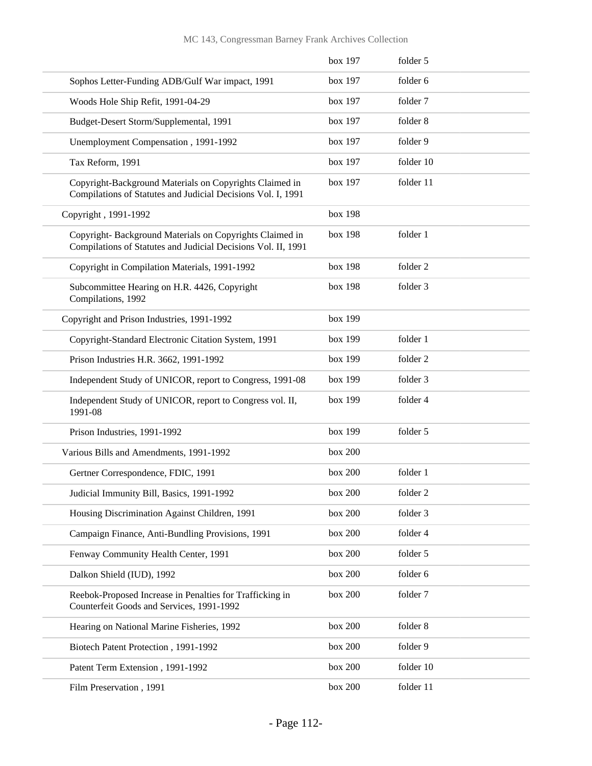|                                                                                                                           | box 197 | folder 5  |
|---------------------------------------------------------------------------------------------------------------------------|---------|-----------|
| Sophos Letter-Funding ADB/Gulf War impact, 1991                                                                           | box 197 | folder 6  |
| Woods Hole Ship Refit, 1991-04-29                                                                                         | box 197 | folder 7  |
| Budget-Desert Storm/Supplemental, 1991                                                                                    | box 197 | folder 8  |
| Unemployment Compensation, 1991-1992                                                                                      | box 197 | folder 9  |
| Tax Reform, 1991                                                                                                          | box 197 | folder 10 |
| Copyright-Background Materials on Copyrights Claimed in<br>Compilations of Statutes and Judicial Decisions Vol. I, 1991   | box 197 | folder 11 |
| Copyright, 1991-1992                                                                                                      | box 198 |           |
| Copyright- Background Materials on Copyrights Claimed in<br>Compilations of Statutes and Judicial Decisions Vol. II, 1991 | box 198 | folder 1  |
| Copyright in Compilation Materials, 1991-1992                                                                             | box 198 | folder 2  |
| Subcommittee Hearing on H.R. 4426, Copyright<br>Compilations, 1992                                                        | box 198 | folder 3  |
| Copyright and Prison Industries, 1991-1992                                                                                | box 199 |           |
| Copyright-Standard Electronic Citation System, 1991                                                                       | box 199 | folder 1  |
| Prison Industries H.R. 3662, 1991-1992                                                                                    | box 199 | folder 2  |
| Independent Study of UNICOR, report to Congress, 1991-08                                                                  | box 199 | folder 3  |
| Independent Study of UNICOR, report to Congress vol. II,<br>1991-08                                                       | box 199 | folder 4  |
| Prison Industries, 1991-1992                                                                                              | box 199 | folder 5  |
| Various Bills and Amendments, 1991-1992                                                                                   | box 200 |           |
| Gertner Correspondence, FDIC, 1991                                                                                        | box 200 | folder 1  |
| Judicial Immunity Bill, Basics, 1991-1992                                                                                 | box 200 | folder 2  |
| Housing Discrimination Against Children, 1991                                                                             | box 200 | folder 3  |
| Campaign Finance, Anti-Bundling Provisions, 1991                                                                          | box 200 | folder 4  |
| Fenway Community Health Center, 1991                                                                                      | box 200 | folder 5  |
| Dalkon Shield (IUD), 1992                                                                                                 | box 200 | folder 6  |
| Reebok-Proposed Increase in Penalties for Trafficking in<br>Counterfeit Goods and Services, 1991-1992                     | box 200 | folder 7  |
| Hearing on National Marine Fisheries, 1992                                                                                | box 200 | folder 8  |
| Biotech Patent Protection, 1991-1992                                                                                      | box 200 | folder 9  |
| Patent Term Extension, 1991-1992                                                                                          | box 200 | folder 10 |
| Film Preservation, 1991                                                                                                   | box 200 | folder 11 |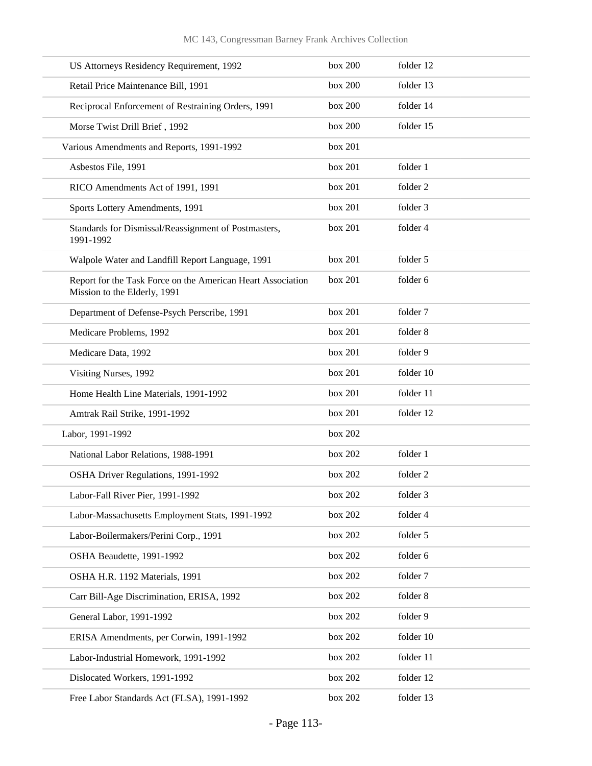| US Attorneys Residency Requirement, 1992                                                    | box 200 | folder 12 |
|---------------------------------------------------------------------------------------------|---------|-----------|
| Retail Price Maintenance Bill, 1991                                                         | box 200 | folder 13 |
| Reciprocal Enforcement of Restraining Orders, 1991                                          | box 200 | folder 14 |
| Morse Twist Drill Brief, 1992                                                               | box 200 | folder 15 |
| Various Amendments and Reports, 1991-1992                                                   | box 201 |           |
| Asbestos File, 1991                                                                         | box 201 | folder 1  |
| RICO Amendments Act of 1991, 1991                                                           | box 201 | folder 2  |
| Sports Lottery Amendments, 1991                                                             | box 201 | folder 3  |
| Standards for Dismissal/Reassignment of Postmasters,<br>1991-1992                           | box 201 | folder 4  |
| Walpole Water and Landfill Report Language, 1991                                            | box 201 | folder 5  |
| Report for the Task Force on the American Heart Association<br>Mission to the Elderly, 1991 | box 201 | folder 6  |
| Department of Defense-Psych Perscribe, 1991                                                 | box 201 | folder 7  |
| Medicare Problems, 1992                                                                     | box 201 | folder 8  |
| Medicare Data, 1992                                                                         | box 201 | folder 9  |
| Visiting Nurses, 1992                                                                       | box 201 | folder 10 |
| Home Health Line Materials, 1991-1992                                                       | box 201 | folder 11 |
| Amtrak Rail Strike, 1991-1992                                                               | box 201 | folder 12 |
| Labor, 1991-1992                                                                            | box 202 |           |
| National Labor Relations, 1988-1991                                                         | box 202 | folder 1  |
| OSHA Driver Regulations, 1991-1992                                                          | box 202 | folder 2  |
| Labor-Fall River Pier, 1991-1992                                                            | box 202 | folder 3  |
| Labor-Massachusetts Employment Stats, 1991-1992                                             | box 202 | folder 4  |
| Labor-Boilermakers/Perini Corp., 1991                                                       | box 202 | folder 5  |
| OSHA Beaudette, 1991-1992                                                                   | box 202 | folder 6  |
| OSHA H.R. 1192 Materials, 1991                                                              | box 202 | folder 7  |
| Carr Bill-Age Discrimination, ERISA, 1992                                                   | box 202 | folder 8  |
| General Labor, 1991-1992                                                                    | box 202 | folder 9  |
| ERISA Amendments, per Corwin, 1991-1992                                                     | box 202 | folder 10 |
| Labor-Industrial Homework, 1991-1992                                                        | box 202 | folder 11 |
| Dislocated Workers, 1991-1992                                                               | box 202 | folder 12 |
| Free Labor Standards Act (FLSA), 1991-1992                                                  | box 202 | folder 13 |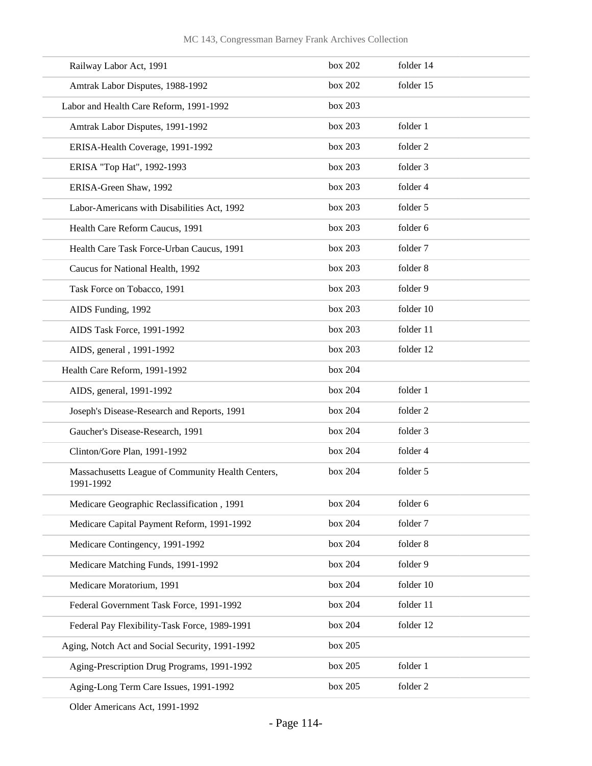| Railway Labor Act, 1991                                        | box 202 | folder 14 |
|----------------------------------------------------------------|---------|-----------|
| Amtrak Labor Disputes, 1988-1992                               | box 202 | folder 15 |
| Labor and Health Care Reform, 1991-1992                        | box 203 |           |
| Amtrak Labor Disputes, 1991-1992                               | box 203 | folder 1  |
| ERISA-Health Coverage, 1991-1992                               | box 203 | folder 2  |
| ERISA "Top Hat", 1992-1993                                     | box 203 | folder 3  |
| ERISA-Green Shaw, 1992                                         | box 203 | folder 4  |
| Labor-Americans with Disabilities Act, 1992                    | box 203 | folder 5  |
| Health Care Reform Caucus, 1991                                | box 203 | folder 6  |
| Health Care Task Force-Urban Caucus, 1991                      | box 203 | folder 7  |
| Caucus for National Health, 1992                               | box 203 | folder 8  |
| Task Force on Tobacco, 1991                                    | box 203 | folder 9  |
| AIDS Funding, 1992                                             | box 203 | folder 10 |
| AIDS Task Force, 1991-1992                                     | box 203 | folder 11 |
| AIDS, general, 1991-1992                                       | box 203 | folder 12 |
| Health Care Reform, 1991-1992                                  | box 204 |           |
| AIDS, general, 1991-1992                                       | box 204 | folder 1  |
| Joseph's Disease-Research and Reports, 1991                    | box 204 | folder 2  |
| Gaucher's Disease-Research, 1991                               | box 204 | folder 3  |
| Clinton/Gore Plan, 1991-1992                                   | box 204 | folder 4  |
| Massachusetts League of Community Health Centers,<br>1991-1992 | box 204 | folder 5  |
| Medicare Geographic Reclassification, 1991                     | box 204 | folder 6  |
| Medicare Capital Payment Reform, 1991-1992                     | box 204 | folder 7  |
| Medicare Contingency, 1991-1992                                | box 204 | folder 8  |
| Medicare Matching Funds, 1991-1992                             | box 204 | folder 9  |
| Medicare Moratorium, 1991                                      | box 204 | folder 10 |
| Federal Government Task Force, 1991-1992                       | box 204 | folder 11 |
| Federal Pay Flexibility-Task Force, 1989-1991                  | box 204 | folder 12 |
| Aging, Notch Act and Social Security, 1991-1992                | box 205 |           |
| Aging-Prescription Drug Programs, 1991-1992                    | box 205 | folder 1  |
| Aging-Long Term Care Issues, 1991-1992                         | box 205 | folder 2  |

Older Americans Act, 1991-1992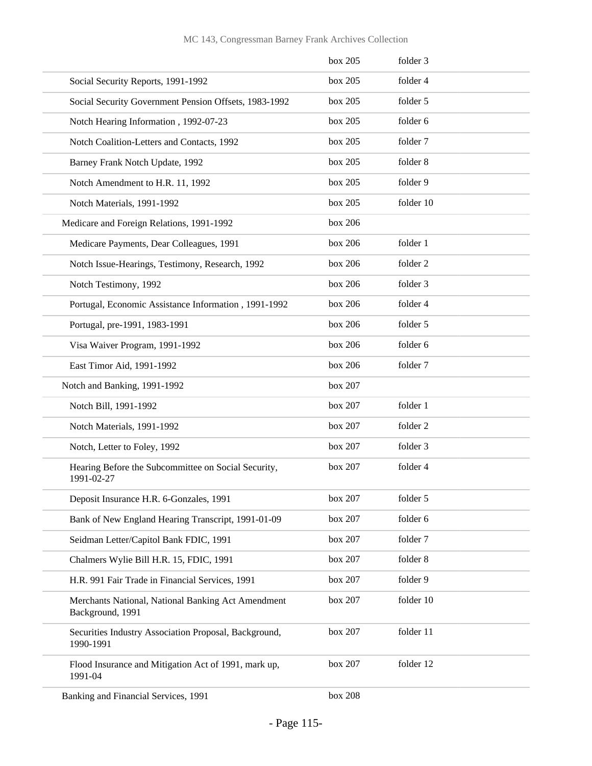|                                                                        | box 205 | folder 3  |  |
|------------------------------------------------------------------------|---------|-----------|--|
| Social Security Reports, 1991-1992                                     | box 205 | folder 4  |  |
| Social Security Government Pension Offsets, 1983-1992                  | box 205 | folder 5  |  |
| Notch Hearing Information, 1992-07-23                                  | box 205 | folder 6  |  |
| Notch Coalition-Letters and Contacts, 1992                             | box 205 | folder 7  |  |
| Barney Frank Notch Update, 1992                                        | box 205 | folder 8  |  |
| Notch Amendment to H.R. 11, 1992                                       | box 205 | folder 9  |  |
| Notch Materials, 1991-1992                                             | box 205 | folder 10 |  |
| Medicare and Foreign Relations, 1991-1992                              | box 206 |           |  |
| Medicare Payments, Dear Colleagues, 1991                               | box 206 | folder 1  |  |
| Notch Issue-Hearings, Testimony, Research, 1992                        | box 206 | folder 2  |  |
| Notch Testimony, 1992                                                  | box 206 | folder 3  |  |
| Portugal, Economic Assistance Information, 1991-1992                   | box 206 | folder 4  |  |
| Portugal, pre-1991, 1983-1991                                          | box 206 | folder 5  |  |
| Visa Waiver Program, 1991-1992                                         | box 206 | folder 6  |  |
| East Timor Aid, 1991-1992                                              | box 206 | folder 7  |  |
| Notch and Banking, 1991-1992                                           | box 207 |           |  |
| Notch Bill, 1991-1992                                                  | box 207 | folder 1  |  |
| Notch Materials, 1991-1992                                             | box 207 | folder 2  |  |
| Notch, Letter to Foley, 1992                                           | box 207 | folder 3  |  |
| Hearing Before the Subcommittee on Social Security,<br>1991-02-27      | box 207 | folder 4  |  |
| Deposit Insurance H.R. 6-Gonzales, 1991                                | box 207 | folder 5  |  |
| Bank of New England Hearing Transcript, 1991-01-09                     | box 207 | folder 6  |  |
| Seidman Letter/Capitol Bank FDIC, 1991                                 | box 207 | folder 7  |  |
| Chalmers Wylie Bill H.R. 15, FDIC, 1991                                | box 207 | folder 8  |  |
| H.R. 991 Fair Trade in Financial Services, 1991                        | box 207 | folder 9  |  |
| Merchants National, National Banking Act Amendment<br>Background, 1991 | box 207 | folder 10 |  |
| Securities Industry Association Proposal, Background,<br>1990-1991     | box 207 | folder 11 |  |
| Flood Insurance and Mitigation Act of 1991, mark up,<br>1991-04        | box 207 | folder 12 |  |
| Banking and Financial Services, 1991                                   | box 208 |           |  |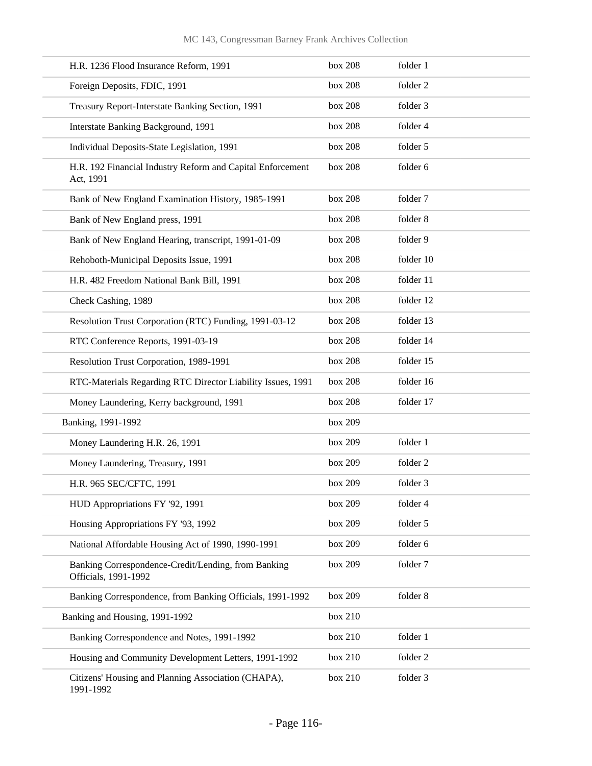| H.R. 1236 Flood Insurance Reform, 1991                                      | box 208   | folder 1  |
|-----------------------------------------------------------------------------|-----------|-----------|
| Foreign Deposits, FDIC, 1991                                                | box 208   | folder 2  |
| Treasury Report-Interstate Banking Section, 1991                            | box 208   | folder 3  |
| Interstate Banking Background, 1991                                         | box 208   | folder 4  |
| Individual Deposits-State Legislation, 1991                                 | box 208   | folder 5  |
| H.R. 192 Financial Industry Reform and Capital Enforcement<br>Act, 1991     | box 208   | folder 6  |
| Bank of New England Examination History, 1985-1991                          | box $208$ | folder 7  |
| Bank of New England press, 1991                                             | box 208   | folder 8  |
| Bank of New England Hearing, transcript, 1991-01-09                         | box 208   | folder 9  |
| Rehoboth-Municipal Deposits Issue, 1991                                     | box 208   | folder 10 |
| H.R. 482 Freedom National Bank Bill, 1991                                   | box 208   | folder 11 |
| Check Cashing, 1989                                                         | box 208   | folder 12 |
| Resolution Trust Corporation (RTC) Funding, 1991-03-12                      | box 208   | folder 13 |
| RTC Conference Reports, 1991-03-19                                          | box 208   | folder 14 |
| Resolution Trust Corporation, 1989-1991                                     | box 208   | folder 15 |
| RTC-Materials Regarding RTC Director Liability Issues, 1991                 | box 208   | folder 16 |
| Money Laundering, Kerry background, 1991                                    | box 208   | folder 17 |
| Banking, 1991-1992                                                          | box 209   |           |
| Money Laundering H.R. 26, 1991                                              | box 209   | folder 1  |
| Money Laundering, Treasury, 1991                                            | box 209   | folder 2  |
| H.R. 965 SEC/CFTC, 1991                                                     | box 209   | folder 3  |
| HUD Appropriations FY '92, 1991                                             | box 209   | folder 4  |
| Housing Appropriations FY '93, 1992                                         | box 209   | folder 5  |
| National Affordable Housing Act of 1990, 1990-1991                          | box 209   | folder 6  |
| Banking Correspondence-Credit/Lending, from Banking<br>Officials, 1991-1992 | box 209   | folder 7  |
| Banking Correspondence, from Banking Officials, 1991-1992                   | box 209   | folder 8  |
| Banking and Housing, 1991-1992                                              | box 210   |           |
| Banking Correspondence and Notes, 1991-1992                                 | box 210   | folder 1  |
| Housing and Community Development Letters, 1991-1992                        | box 210   | folder 2  |
| Citizens' Housing and Planning Association (CHAPA),<br>1991-1992            | box 210   | folder 3  |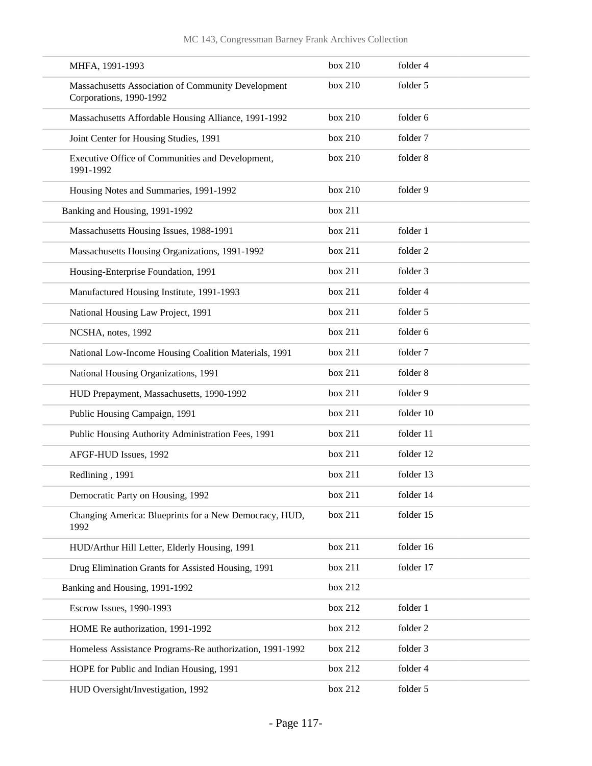| MHFA, 1991-1993                                                               | box 210 | folder 4  |
|-------------------------------------------------------------------------------|---------|-----------|
| Massachusetts Association of Community Development<br>Corporations, 1990-1992 | box 210 | folder 5  |
| Massachusetts Affordable Housing Alliance, 1991-1992                          | box 210 | folder 6  |
| Joint Center for Housing Studies, 1991                                        | box 210 | folder 7  |
| Executive Office of Communities and Development,<br>1991-1992                 | box 210 | folder 8  |
| Housing Notes and Summaries, 1991-1992                                        | box 210 | folder 9  |
| Banking and Housing, 1991-1992                                                | box 211 |           |
| Massachusetts Housing Issues, 1988-1991                                       | box 211 | folder 1  |
| Massachusetts Housing Organizations, 1991-1992                                | box 211 | folder 2  |
| Housing-Enterprise Foundation, 1991                                           | box 211 | folder 3  |
| Manufactured Housing Institute, 1991-1993                                     | box 211 | folder 4  |
| National Housing Law Project, 1991                                            | box 211 | folder 5  |
| NCSHA, notes, 1992                                                            | box 211 | folder 6  |
| National Low-Income Housing Coalition Materials, 1991                         | box 211 | folder 7  |
| National Housing Organizations, 1991                                          | box 211 | folder 8  |
| HUD Prepayment, Massachusetts, 1990-1992                                      | box 211 | folder 9  |
| Public Housing Campaign, 1991                                                 | box 211 | folder 10 |
| Public Housing Authority Administration Fees, 1991                            | box 211 | folder 11 |
| AFGF-HUD Issues, 1992                                                         | box 211 | folder 12 |
| Redlining, 1991                                                               | box 211 | folder 13 |
| Democratic Party on Housing, 1992                                             | box 211 | folder 14 |
| Changing America: Blueprints for a New Democracy, HUD,<br>1992                | box 211 | folder 15 |
| HUD/Arthur Hill Letter, Elderly Housing, 1991                                 | box 211 | folder 16 |
| Drug Elimination Grants for Assisted Housing, 1991                            | box 211 | folder 17 |
| Banking and Housing, 1991-1992                                                | box 212 |           |
| Escrow Issues, 1990-1993                                                      | box 212 | folder 1  |
| HOME Re authorization, 1991-1992                                              | box 212 | folder 2  |
| Homeless Assistance Programs-Re authorization, 1991-1992                      | box 212 | folder 3  |
| HOPE for Public and Indian Housing, 1991                                      | box 212 | folder 4  |
| HUD Oversight/Investigation, 1992                                             | box 212 | folder 5  |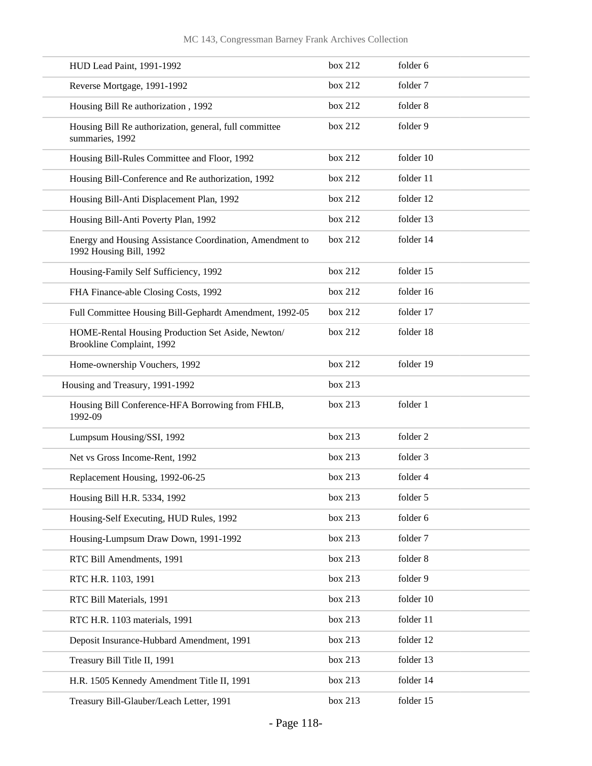| HUD Lead Paint, 1991-1992                                                           | box 212 | folder 6  |
|-------------------------------------------------------------------------------------|---------|-----------|
| Reverse Mortgage, 1991-1992                                                         | box 212 | folder 7  |
| Housing Bill Re authorization, 1992                                                 | box 212 | folder 8  |
| Housing Bill Re authorization, general, full committee<br>summaries, 1992           | box 212 | folder 9  |
| Housing Bill-Rules Committee and Floor, 1992                                        | box 212 | folder 10 |
| Housing Bill-Conference and Re authorization, 1992                                  | box 212 | folder 11 |
| Housing Bill-Anti Displacement Plan, 1992                                           | box 212 | folder 12 |
| Housing Bill-Anti Poverty Plan, 1992                                                | box 212 | folder 13 |
| Energy and Housing Assistance Coordination, Amendment to<br>1992 Housing Bill, 1992 | box 212 | folder 14 |
| Housing-Family Self Sufficiency, 1992                                               | box 212 | folder 15 |
| FHA Finance-able Closing Costs, 1992                                                | box 212 | folder 16 |
| Full Committee Housing Bill-Gephardt Amendment, 1992-05                             | box 212 | folder 17 |
| HOME-Rental Housing Production Set Aside, Newton/<br>Brookline Complaint, 1992      | box 212 | folder 18 |
| Home-ownership Vouchers, 1992                                                       | box 212 | folder 19 |
| Housing and Treasury, 1991-1992                                                     | box 213 |           |
| Housing Bill Conference-HFA Borrowing from FHLB,<br>1992-09                         | box 213 | folder 1  |
| Lumpsum Housing/SSI, 1992                                                           | box 213 | folder 2  |
| Net vs Gross Income-Rent, 1992                                                      | box 213 | folder 3  |
| Replacement Housing, 1992-06-25                                                     | box 213 | folder 4  |
| Housing Bill H.R. 5334, 1992                                                        | box 213 | folder 5  |
| Housing-Self Executing, HUD Rules, 1992                                             | box 213 | folder 6  |
| Housing-Lumpsum Draw Down, 1991-1992                                                | box 213 | folder 7  |
| RTC Bill Amendments, 1991                                                           | box 213 | folder 8  |
| RTC H.R. 1103, 1991                                                                 | box 213 | folder 9  |
| RTC Bill Materials, 1991                                                            | box 213 | folder 10 |
| RTC H.R. 1103 materials, 1991                                                       | box 213 | folder 11 |
| Deposit Insurance-Hubbard Amendment, 1991                                           | box 213 | folder 12 |
| Treasury Bill Title II, 1991                                                        | box 213 | folder 13 |
| H.R. 1505 Kennedy Amendment Title II, 1991                                          | box 213 | folder 14 |
| Treasury Bill-Glauber/Leach Letter, 1991                                            | box 213 | folder 15 |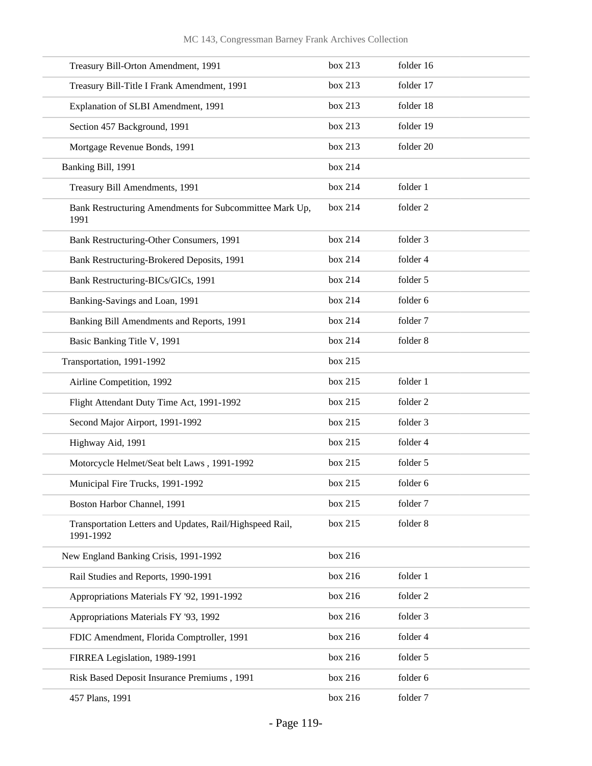| Treasury Bill-Orton Amendment, 1991                                   | box 213 | folder 16 |
|-----------------------------------------------------------------------|---------|-----------|
| Treasury Bill-Title I Frank Amendment, 1991                           | box 213 | folder 17 |
| Explanation of SLBI Amendment, 1991                                   | box 213 | folder 18 |
| Section 457 Background, 1991                                          | box 213 | folder 19 |
| Mortgage Revenue Bonds, 1991                                          | box 213 | folder 20 |
| Banking Bill, 1991                                                    | box 214 |           |
| Treasury Bill Amendments, 1991                                        | box 214 | folder 1  |
| Bank Restructuring Amendments for Subcommittee Mark Up,<br>1991       | box 214 | folder 2  |
| Bank Restructuring-Other Consumers, 1991                              | box 214 | folder 3  |
| Bank Restructuring-Brokered Deposits, 1991                            | box 214 | folder 4  |
| Bank Restructuring-BICs/GICs, 1991                                    | box 214 | folder 5  |
| Banking-Savings and Loan, 1991                                        | box 214 | folder 6  |
| Banking Bill Amendments and Reports, 1991                             | box 214 | folder 7  |
| Basic Banking Title V, 1991                                           | box 214 | folder 8  |
| Transportation, 1991-1992                                             | box 215 |           |
| Airline Competition, 1992                                             | box 215 | folder 1  |
| Flight Attendant Duty Time Act, 1991-1992                             | box 215 | folder 2  |
| Second Major Airport, 1991-1992                                       | box 215 | folder 3  |
| Highway Aid, 1991                                                     | box 215 | folder 4  |
| Motorcycle Helmet/Seat belt Laws, 1991-1992                           | box 215 | folder 5  |
| Municipal Fire Trucks, 1991-1992                                      | box 215 | folder 6  |
| Boston Harbor Channel, 1991                                           | box 215 | folder 7  |
| Transportation Letters and Updates, Rail/Highspeed Rail,<br>1991-1992 | box 215 | folder 8  |
| New England Banking Crisis, 1991-1992                                 | box 216 |           |
| Rail Studies and Reports, 1990-1991                                   | box 216 | folder 1  |
| Appropriations Materials FY '92, 1991-1992                            | box 216 | folder 2  |
| Appropriations Materials FY '93, 1992                                 | box 216 | folder 3  |
| FDIC Amendment, Florida Comptroller, 1991                             | box 216 | folder 4  |
| FIRREA Legislation, 1989-1991                                         | box 216 | folder 5  |
| Risk Based Deposit Insurance Premiums, 1991                           | box 216 | folder 6  |
| 457 Plans, 1991                                                       | box 216 | folder 7  |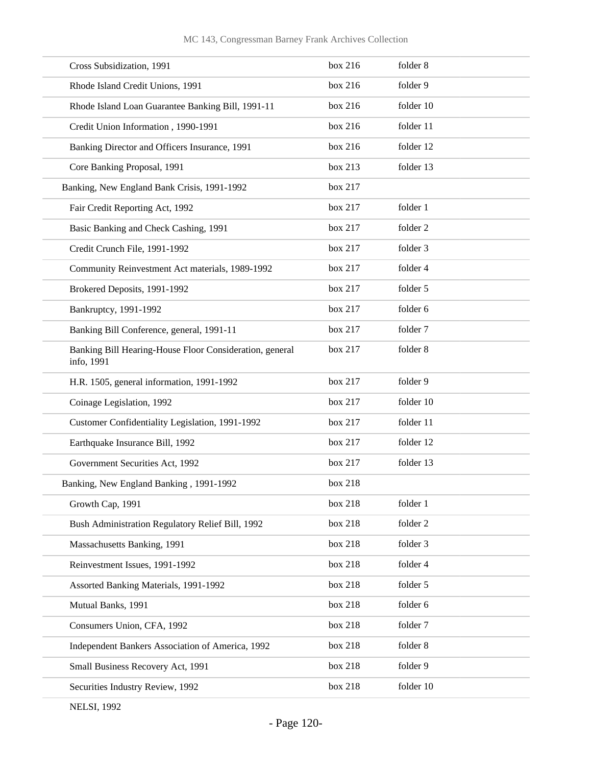| box 216 | folder 8  |
|---------|-----------|
| box 216 | folder 9  |
| box 216 | folder 10 |
| box 216 | folder 11 |
| box 216 | folder 12 |
| box 213 | folder 13 |
| box 217 |           |
| box 217 | folder 1  |
| box 217 | folder 2  |
| box 217 | folder 3  |
| box 217 | folder 4  |
| box 217 | folder 5  |
| box 217 | folder 6  |
| box 217 | folder 7  |
| box 217 | folder 8  |
| box 217 | folder 9  |
| box 217 | folder 10 |
| box 217 | folder 11 |
| box 217 | folder 12 |
| box 217 | folder 13 |
| box 218 |           |
| box 218 | folder 1  |
| box 218 | folder 2  |
| box 218 | folder 3  |
| box 218 | folder 4  |
| box 218 | folder 5  |
| box 218 | folder 6  |
| box 218 | folder 7  |
| box 218 | folder 8  |
| box 218 | folder 9  |
|         |           |
|         |           |

NELSI, 1992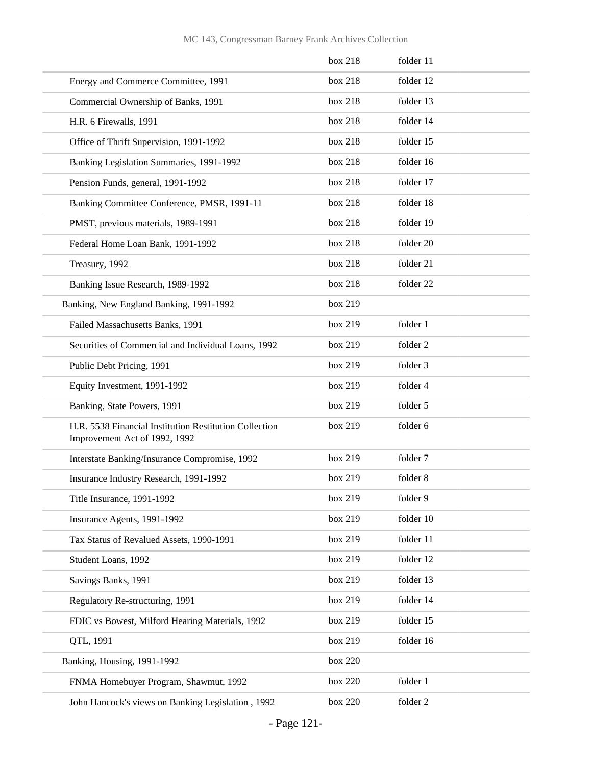|                                                                                         | box 218 | folder 11 |
|-----------------------------------------------------------------------------------------|---------|-----------|
| Energy and Commerce Committee, 1991                                                     | box 218 | folder 12 |
| Commercial Ownership of Banks, 1991                                                     | box 218 | folder 13 |
| H.R. 6 Firewalls, 1991                                                                  | box 218 | folder 14 |
| Office of Thrift Supervision, 1991-1992                                                 | box 218 | folder 15 |
| Banking Legislation Summaries, 1991-1992                                                | box 218 | folder 16 |
| Pension Funds, general, 1991-1992                                                       | box 218 | folder 17 |
| Banking Committee Conference, PMSR, 1991-11                                             | box 218 | folder 18 |
| PMST, previous materials, 1989-1991                                                     | box 218 | folder 19 |
| Federal Home Loan Bank, 1991-1992                                                       | box 218 | folder 20 |
| Treasury, 1992                                                                          | box 218 | folder 21 |
| Banking Issue Research, 1989-1992                                                       | box 218 | folder 22 |
| Banking, New England Banking, 1991-1992                                                 | box 219 |           |
| Failed Massachusetts Banks, 1991                                                        | box 219 | folder 1  |
| Securities of Commercial and Individual Loans, 1992                                     | box 219 | folder 2  |
| Public Debt Pricing, 1991                                                               | box 219 | folder 3  |
| Equity Investment, 1991-1992                                                            | box 219 | folder 4  |
| Banking, State Powers, 1991                                                             | box 219 | folder 5  |
| H.R. 5538 Financial Institution Restitution Collection<br>Improvement Act of 1992, 1992 | box 219 | folder 6  |
| Interstate Banking/Insurance Compromise, 1992                                           | box 219 | folder 7  |
| Insurance Industry Research, 1991-1992                                                  | box 219 | folder 8  |
| Title Insurance, 1991-1992                                                              | box 219 | folder 9  |
| Insurance Agents, 1991-1992                                                             | box 219 | folder 10 |
| Tax Status of Revalued Assets, 1990-1991                                                | box 219 | folder 11 |
| Student Loans, 1992                                                                     | box 219 | folder 12 |
| Savings Banks, 1991                                                                     | box 219 | folder 13 |
| Regulatory Re-structuring, 1991                                                         | box 219 | folder 14 |
| FDIC vs Bowest, Milford Hearing Materials, 1992                                         | box 219 | folder 15 |
| QTL, 1991                                                                               | box 219 | folder 16 |
| Banking, Housing, 1991-1992                                                             | box 220 |           |
| FNMA Homebuyer Program, Shawmut, 1992                                                   | box 220 | folder 1  |
| John Hancock's views on Banking Legislation, 1992                                       | box 220 | folder 2  |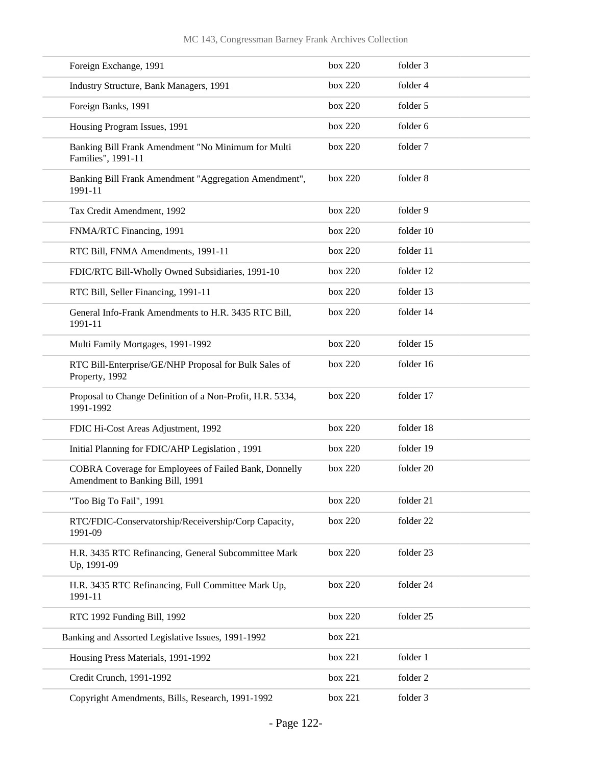| Foreign Exchange, 1991                                                                   | box 220 | folder 3  |
|------------------------------------------------------------------------------------------|---------|-----------|
| Industry Structure, Bank Managers, 1991                                                  | box 220 | folder 4  |
| Foreign Banks, 1991                                                                      | box 220 | folder 5  |
| Housing Program Issues, 1991                                                             | box 220 | folder 6  |
| Banking Bill Frank Amendment "No Minimum for Multi<br>Families", 1991-11                 | box 220 | folder 7  |
| Banking Bill Frank Amendment "Aggregation Amendment",<br>1991-11                         | box 220 | folder 8  |
| Tax Credit Amendment, 1992                                                               | box 220 | folder 9  |
| FNMA/RTC Financing, 1991                                                                 | box 220 | folder 10 |
| RTC Bill, FNMA Amendments, 1991-11                                                       | box 220 | folder 11 |
| FDIC/RTC Bill-Wholly Owned Subsidiaries, 1991-10                                         | box 220 | folder 12 |
| RTC Bill, Seller Financing, 1991-11                                                      | box 220 | folder 13 |
| General Info-Frank Amendments to H.R. 3435 RTC Bill,<br>1991-11                          | box 220 | folder 14 |
| Multi Family Mortgages, 1991-1992                                                        | box 220 | folder 15 |
| RTC Bill-Enterprise/GE/NHP Proposal for Bulk Sales of<br>Property, 1992                  | box 220 | folder 16 |
| Proposal to Change Definition of a Non-Profit, H.R. 5334,<br>1991-1992                   | box 220 | folder 17 |
| FDIC Hi-Cost Areas Adjustment, 1992                                                      | box 220 | folder 18 |
| Initial Planning for FDIC/AHP Legislation, 1991                                          | box 220 | folder 19 |
| COBRA Coverage for Employees of Failed Bank, Donnelly<br>Amendment to Banking Bill, 1991 | box 220 | folder 20 |
| "Too Big To Fail", 1991                                                                  | box 220 | folder 21 |
| RTC/FDIC-Conservatorship/Receivership/Corp Capacity,<br>1991-09                          | box 220 | folder 22 |
| H.R. 3435 RTC Refinancing, General Subcommittee Mark<br>Up, 1991-09                      | box 220 | folder 23 |
| H.R. 3435 RTC Refinancing, Full Committee Mark Up,<br>1991-11                            | box 220 | folder 24 |
| RTC 1992 Funding Bill, 1992                                                              | box 220 | folder 25 |
| Banking and Assorted Legislative Issues, 1991-1992                                       | box 221 |           |
| Housing Press Materials, 1991-1992                                                       | box 221 | folder 1  |
| Credit Crunch, 1991-1992                                                                 | box 221 | folder 2  |
| Copyright Amendments, Bills, Research, 1991-1992                                         | box 221 | folder 3  |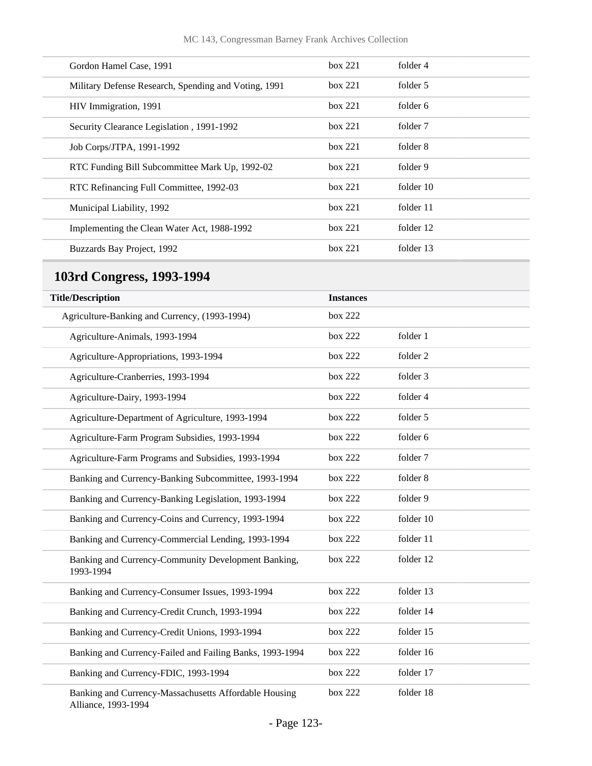| Gordon Hamel Case, 1991                              | box 221 | folder 4  |
|------------------------------------------------------|---------|-----------|
| Military Defense Research, Spending and Voting, 1991 | box 221 | folder 5  |
| HIV Immigration, 1991                                | box 221 | folder 6  |
| Security Clearance Legislation, 1991-1992            | box 221 | folder 7  |
| Job Corps/JTPA, 1991-1992                            | box 221 | folder 8  |
| RTC Funding Bill Subcommittee Mark Up, 1992-02       | box 221 | folder 9  |
| RTC Refinancing Full Committee, 1992-03              | box 221 | folder 10 |
| Municipal Liability, 1992                            | box 221 | folder 11 |
| Implementing the Clean Water Act, 1988-1992          | box 221 | folder 12 |
| Buzzards Bay Project, 1992                           | box 221 | folder 13 |
|                                                      |         |           |

# **103rd Congress, 1993-1994**

| <b>Title/Description</b>                                                     | <b>Instances</b> |           |  |
|------------------------------------------------------------------------------|------------------|-----------|--|
| Agriculture-Banking and Currency, (1993-1994)                                | box 222          |           |  |
| Agriculture-Animals, 1993-1994                                               | box 222          | folder 1  |  |
| Agriculture-Appropriations, 1993-1994                                        | box 222          | folder 2  |  |
| Agriculture-Cranberries, 1993-1994                                           | box 222          | folder 3  |  |
| Agriculture-Dairy, 1993-1994                                                 | box 222          | folder 4  |  |
| Agriculture-Department of Agriculture, 1993-1994                             | box 222          | folder 5  |  |
| Agriculture-Farm Program Subsidies, 1993-1994                                | box 222          | folder 6  |  |
| Agriculture-Farm Programs and Subsidies, 1993-1994                           | box 222          | folder 7  |  |
| Banking and Currency-Banking Subcommittee, 1993-1994                         | box 222          | folder 8  |  |
| Banking and Currency-Banking Legislation, 1993-1994                          | box 222          | folder 9  |  |
| Banking and Currency-Coins and Currency, 1993-1994                           | box 222          | folder 10 |  |
| Banking and Currency-Commercial Lending, 1993-1994                           | box 222          | folder 11 |  |
| Banking and Currency-Community Development Banking,<br>1993-1994             | box 222          | folder 12 |  |
| Banking and Currency-Consumer Issues, 1993-1994                              | box 222          | folder 13 |  |
| Banking and Currency-Credit Crunch, 1993-1994                                | box 222          | folder 14 |  |
| Banking and Currency-Credit Unions, 1993-1994                                | box 222          | folder 15 |  |
| Banking and Currency-Failed and Failing Banks, 1993-1994                     | box 222          | folder 16 |  |
| Banking and Currency-FDIC, 1993-1994                                         | box 222          | folder 17 |  |
| Banking and Currency-Massachusetts Affordable Housing<br>Alliance, 1993-1994 | box 222          | folder 18 |  |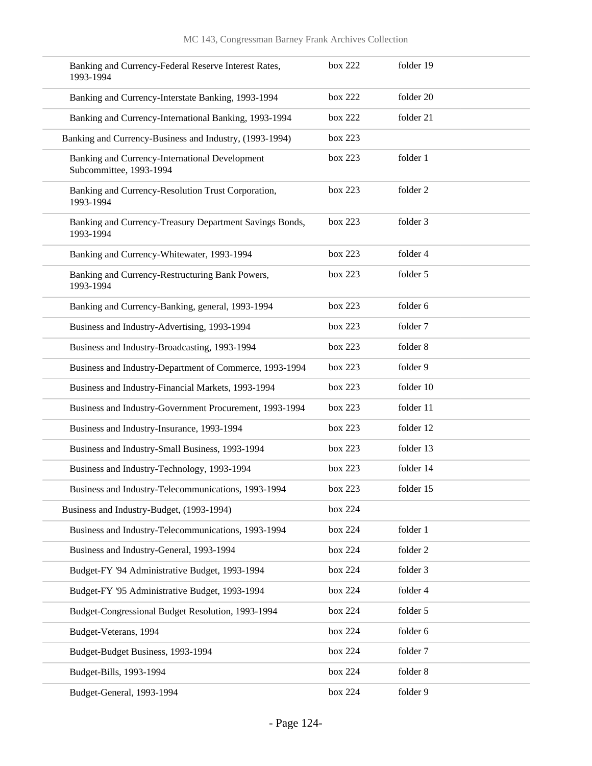| Banking and Currency-Federal Reserve Interest Rates,<br>1993-1994         | box 222 | folder 19 |
|---------------------------------------------------------------------------|---------|-----------|
| Banking and Currency-Interstate Banking, 1993-1994                        | box 222 | folder 20 |
| Banking and Currency-International Banking, 1993-1994                     | box 222 | folder 21 |
| Banking and Currency-Business and Industry, (1993-1994)                   | box 223 |           |
| Banking and Currency-International Development<br>Subcommittee, 1993-1994 | box 223 | folder 1  |
| Banking and Currency-Resolution Trust Corporation,<br>1993-1994           | box 223 | folder 2  |
| Banking and Currency-Treasury Department Savings Bonds,<br>1993-1994      | box 223 | folder 3  |
| Banking and Currency-Whitewater, 1993-1994                                | box 223 | folder 4  |
| Banking and Currency-Restructuring Bank Powers,<br>1993-1994              | box 223 | folder 5  |
| Banking and Currency-Banking, general, 1993-1994                          | box 223 | folder 6  |
| Business and Industry-Advertising, 1993-1994                              | box 223 | folder 7  |
| Business and Industry-Broadcasting, 1993-1994                             | box 223 | folder 8  |
| Business and Industry-Department of Commerce, 1993-1994                   | box 223 | folder 9  |
| Business and Industry-Financial Markets, 1993-1994                        | box 223 | folder 10 |
| Business and Industry-Government Procurement, 1993-1994                   | box 223 | folder 11 |
| Business and Industry-Insurance, 1993-1994                                | box 223 | folder 12 |
| Business and Industry-Small Business, 1993-1994                           | box 223 | folder 13 |
| Business and Industry-Technology, 1993-1994                               | box 223 | folder 14 |
| Business and Industry-Telecommunications, 1993-1994                       | box 223 | folder 15 |
| Business and Industry-Budget, (1993-1994)                                 | box 224 |           |
| Business and Industry-Telecommunications, 1993-1994                       | box 224 | folder 1  |
| Business and Industry-General, 1993-1994                                  | box 224 | folder 2  |
| Budget-FY '94 Administrative Budget, 1993-1994                            | box 224 | folder 3  |
| Budget-FY '95 Administrative Budget, 1993-1994                            | box 224 | folder 4  |
| Budget-Congressional Budget Resolution, 1993-1994                         | box 224 | folder 5  |
| Budget-Veterans, 1994                                                     | box 224 | folder 6  |
| Budget-Budget Business, 1993-1994                                         | box 224 | folder 7  |
| Budget-Bills, 1993-1994                                                   | box 224 | folder 8  |
| Budget-General, 1993-1994                                                 | box 224 | folder 9  |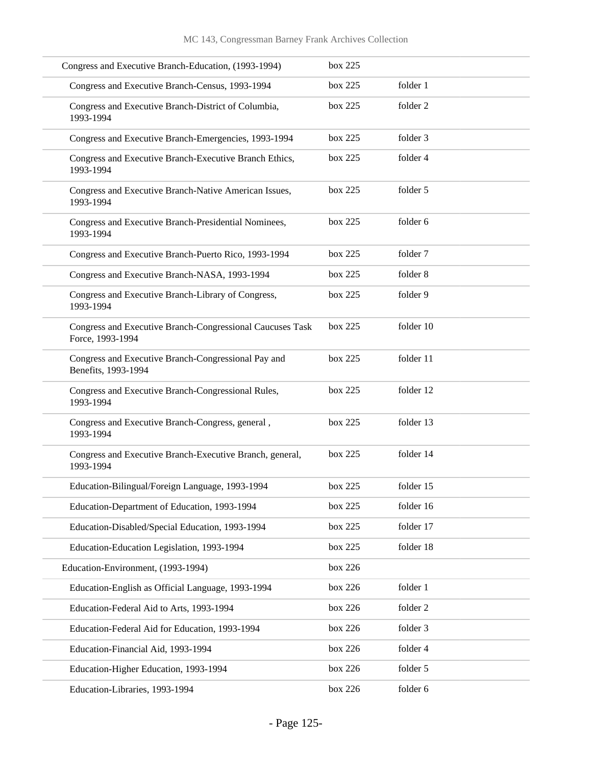| Congress and Executive Branch-Education, (1993-1994)                          | box 225 |           |
|-------------------------------------------------------------------------------|---------|-----------|
| Congress and Executive Branch-Census, 1993-1994                               | box 225 | folder 1  |
| Congress and Executive Branch-District of Columbia,<br>1993-1994              | box 225 | folder 2  |
| Congress and Executive Branch-Emergencies, 1993-1994                          | box 225 | folder 3  |
| Congress and Executive Branch-Executive Branch Ethics,<br>1993-1994           | box 225 | folder 4  |
| Congress and Executive Branch-Native American Issues,<br>1993-1994            | box 225 | folder 5  |
| Congress and Executive Branch-Presidential Nominees,<br>1993-1994             | box 225 | folder 6  |
| Congress and Executive Branch-Puerto Rico, 1993-1994                          | box 225 | folder 7  |
| Congress and Executive Branch-NASA, 1993-1994                                 | box 225 | folder 8  |
| Congress and Executive Branch-Library of Congress,<br>1993-1994               | box 225 | folder 9  |
| Congress and Executive Branch-Congressional Caucuses Task<br>Force, 1993-1994 | box 225 | folder 10 |
| Congress and Executive Branch-Congressional Pay and<br>Benefits, 1993-1994    | box 225 | folder 11 |
| Congress and Executive Branch-Congressional Rules,<br>1993-1994               | box 225 | folder 12 |
| Congress and Executive Branch-Congress, general,<br>1993-1994                 | box 225 | folder 13 |
| Congress and Executive Branch-Executive Branch, general,<br>1993-1994         | box 225 | folder 14 |
| Education-Bilingual/Foreign Language, 1993-1994                               | box 225 | folder 15 |
| Education-Department of Education, 1993-1994                                  | box 225 | folder 16 |
| Education-Disabled/Special Education, 1993-1994                               | box 225 | folder 17 |
| Education-Education Legislation, 1993-1994                                    | box 225 | folder 18 |
| Education-Environment, (1993-1994)                                            | box 226 |           |
| Education-English as Official Language, 1993-1994                             | box 226 | folder 1  |
| Education-Federal Aid to Arts, 1993-1994                                      | box 226 | folder 2  |
| Education-Federal Aid for Education, 1993-1994                                | box 226 | folder 3  |
| Education-Financial Aid, 1993-1994                                            | box 226 | folder 4  |
| Education-Higher Education, 1993-1994                                         | box 226 | folder 5  |
| Education-Libraries, 1993-1994                                                | box 226 | folder 6  |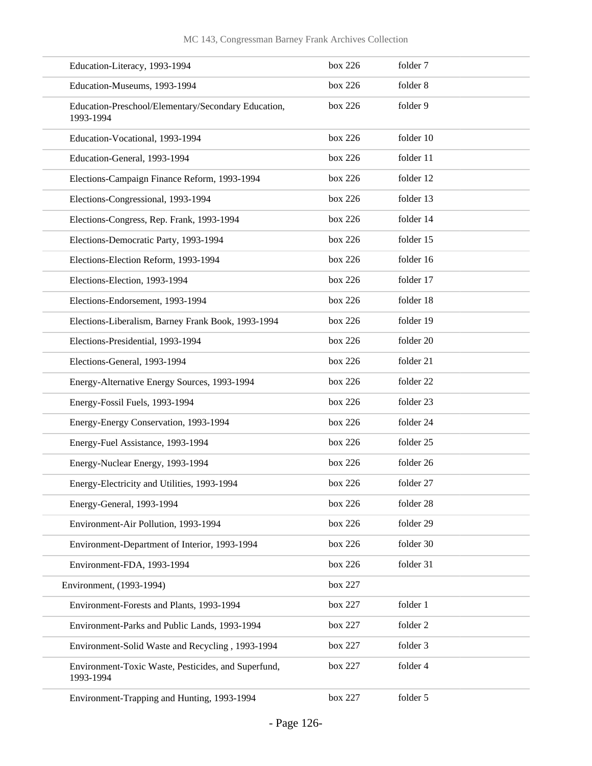| Education-Literacy, 1993-1994                                    | box 226 | folder 7  |
|------------------------------------------------------------------|---------|-----------|
| Education-Museums, 1993-1994                                     | box 226 | folder 8  |
| Education-Preschool/Elementary/Secondary Education,<br>1993-1994 | box 226 | folder 9  |
| Education-Vocational, 1993-1994                                  | box 226 | folder 10 |
| Education-General, 1993-1994                                     | box 226 | folder 11 |
| Elections-Campaign Finance Reform, 1993-1994                     | box 226 | folder 12 |
| Elections-Congressional, 1993-1994                               | box 226 | folder 13 |
| Elections-Congress, Rep. Frank, 1993-1994                        | box 226 | folder 14 |
| Elections-Democratic Party, 1993-1994                            | box 226 | folder 15 |
| Elections-Election Reform, 1993-1994                             | box 226 | folder 16 |
| Elections-Election, 1993-1994                                    | box 226 | folder 17 |
| Elections-Endorsement, 1993-1994                                 | box 226 | folder 18 |
| Elections-Liberalism, Barney Frank Book, 1993-1994               | box 226 | folder 19 |
| Elections-Presidential, 1993-1994                                | box 226 | folder 20 |
| Elections-General, 1993-1994                                     | box 226 | folder 21 |
| Energy-Alternative Energy Sources, 1993-1994                     | box 226 | folder 22 |
| Energy-Fossil Fuels, 1993-1994                                   | box 226 | folder 23 |
| Energy-Energy Conservation, 1993-1994                            | box 226 | folder 24 |
| Energy-Fuel Assistance, 1993-1994                                | box 226 | folder 25 |
| Energy-Nuclear Energy, 1993-1994                                 | box 226 | folder 26 |
| Energy-Electricity and Utilities, 1993-1994                      | box 226 | folder 27 |
| Energy-General, 1993-1994                                        | box 226 | folder 28 |
| Environment-Air Pollution, 1993-1994                             | box 226 | folder 29 |
| Environment-Department of Interior, 1993-1994                    | box 226 | folder 30 |
| Environment-FDA, 1993-1994                                       | box 226 | folder 31 |
| Environment, (1993-1994)                                         | box 227 |           |
| Environment-Forests and Plants, 1993-1994                        | box 227 | folder 1  |
| Environment-Parks and Public Lands, 1993-1994                    | box 227 | folder 2  |
| Environment-Solid Waste and Recycling, 1993-1994                 | box 227 | folder 3  |
| Environment-Toxic Waste, Pesticides, and Superfund,<br>1993-1994 | box 227 | folder 4  |
| Environment-Trapping and Hunting, 1993-1994                      | box 227 | folder 5  |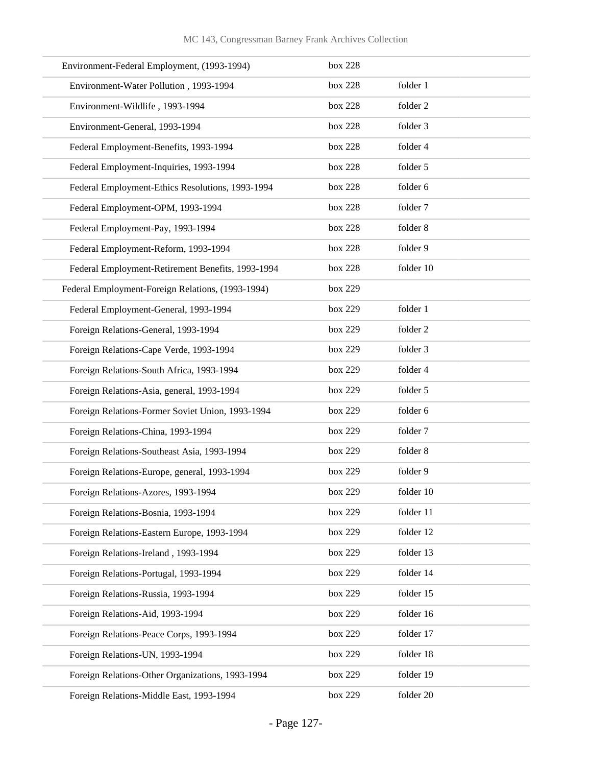| Environment-Federal Employment, (1993-1994)       | box 228 |           |
|---------------------------------------------------|---------|-----------|
| Environment-Water Pollution, 1993-1994            | box 228 | folder 1  |
| Environment-Wildlife, 1993-1994                   | box 228 | folder 2  |
| Environment-General, 1993-1994                    | box 228 | folder 3  |
| Federal Employment-Benefits, 1993-1994            | box 228 | folder 4  |
| Federal Employment-Inquiries, 1993-1994           | box 228 | folder 5  |
| Federal Employment-Ethics Resolutions, 1993-1994  | box 228 | folder 6  |
| Federal Employment-OPM, 1993-1994                 | box 228 | folder 7  |
| Federal Employment-Pay, 1993-1994                 | box 228 | folder 8  |
| Federal Employment-Reform, 1993-1994              | box 228 | folder 9  |
| Federal Employment-Retirement Benefits, 1993-1994 | box 228 | folder 10 |
| Federal Employment-Foreign Relations, (1993-1994) | box 229 |           |
| Federal Employment-General, 1993-1994             | box 229 | folder 1  |
| Foreign Relations-General, 1993-1994              | box 229 | folder 2  |
| Foreign Relations-Cape Verde, 1993-1994           | box 229 | folder 3  |
| Foreign Relations-South Africa, 1993-1994         | box 229 | folder 4  |
| Foreign Relations-Asia, general, 1993-1994        | box 229 | folder 5  |
| Foreign Relations-Former Soviet Union, 1993-1994  | box 229 | folder 6  |
| Foreign Relations-China, 1993-1994                | box 229 | folder 7  |
| Foreign Relations-Southeast Asia, 1993-1994       | box 229 | folder 8  |
| Foreign Relations-Europe, general, 1993-1994      | box 229 | folder 9  |
| Foreign Relations-Azores, 1993-1994               | box 229 | folder 10 |
| Foreign Relations-Bosnia, 1993-1994               | box 229 | folder 11 |
| Foreign Relations-Eastern Europe, 1993-1994       | box 229 | folder 12 |
| Foreign Relations-Ireland, 1993-1994              | box 229 | folder 13 |
| Foreign Relations-Portugal, 1993-1994             | box 229 | folder 14 |
| Foreign Relations-Russia, 1993-1994               | box 229 | folder 15 |
| Foreign Relations-Aid, 1993-1994                  | box 229 | folder 16 |
| Foreign Relations-Peace Corps, 1993-1994          | box 229 | folder 17 |
| Foreign Relations-UN, 1993-1994                   | box 229 | folder 18 |
| Foreign Relations-Other Organizations, 1993-1994  | box 229 | folder 19 |
| Foreign Relations-Middle East, 1993-1994          | box 229 | folder 20 |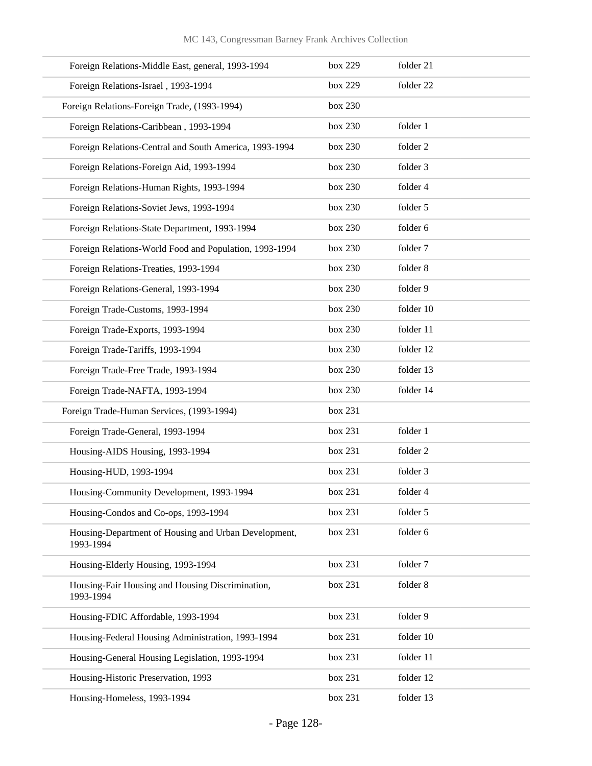| Foreign Relations-Middle East, general, 1993-1994                 | box 229 | folder 21 |
|-------------------------------------------------------------------|---------|-----------|
| Foreign Relations-Israel, 1993-1994                               | box 229 | folder 22 |
| Foreign Relations-Foreign Trade, (1993-1994)                      | box 230 |           |
| Foreign Relations-Caribbean, 1993-1994                            | box 230 | folder 1  |
| Foreign Relations-Central and South America, 1993-1994            | box 230 | folder 2  |
| Foreign Relations-Foreign Aid, 1993-1994                          | box 230 | folder 3  |
| Foreign Relations-Human Rights, 1993-1994                         | box 230 | folder 4  |
| Foreign Relations-Soviet Jews, 1993-1994                          | box 230 | folder 5  |
| Foreign Relations-State Department, 1993-1994                     | box 230 | folder 6  |
| Foreign Relations-World Food and Population, 1993-1994            | box 230 | folder 7  |
| Foreign Relations-Treaties, 1993-1994                             | box 230 | folder 8  |
| Foreign Relations-General, 1993-1994                              | box 230 | folder 9  |
| Foreign Trade-Customs, 1993-1994                                  | box 230 | folder 10 |
| Foreign Trade-Exports, 1993-1994                                  | box 230 | folder 11 |
| Foreign Trade-Tariffs, 1993-1994                                  | box 230 | folder 12 |
| Foreign Trade-Free Trade, 1993-1994                               | box 230 | folder 13 |
| Foreign Trade-NAFTA, 1993-1994                                    | box 230 | folder 14 |
| Foreign Trade-Human Services, (1993-1994)                         | box 231 |           |
| Foreign Trade-General, 1993-1994                                  | box 231 | folder 1  |
| Housing-AIDS Housing, 1993-1994                                   | box 231 | folder 2  |
| Housing-HUD, 1993-1994                                            | box 231 | folder 3  |
| Housing-Community Development, 1993-1994                          | box 231 | folder 4  |
| Housing-Condos and Co-ops, 1993-1994                              | box 231 | folder 5  |
| Housing-Department of Housing and Urban Development,<br>1993-1994 | box 231 | folder 6  |
| Housing-Elderly Housing, 1993-1994                                | box 231 | folder 7  |
| Housing-Fair Housing and Housing Discrimination,<br>1993-1994     | box 231 | folder 8  |
| Housing-FDIC Affordable, 1993-1994                                | box 231 | folder 9  |
| Housing-Federal Housing Administration, 1993-1994                 | box 231 | folder 10 |
| Housing-General Housing Legislation, 1993-1994                    | box 231 | folder 11 |
| Housing-Historic Preservation, 1993                               | box 231 | folder 12 |
| Housing-Homeless, 1993-1994                                       | box 231 | folder 13 |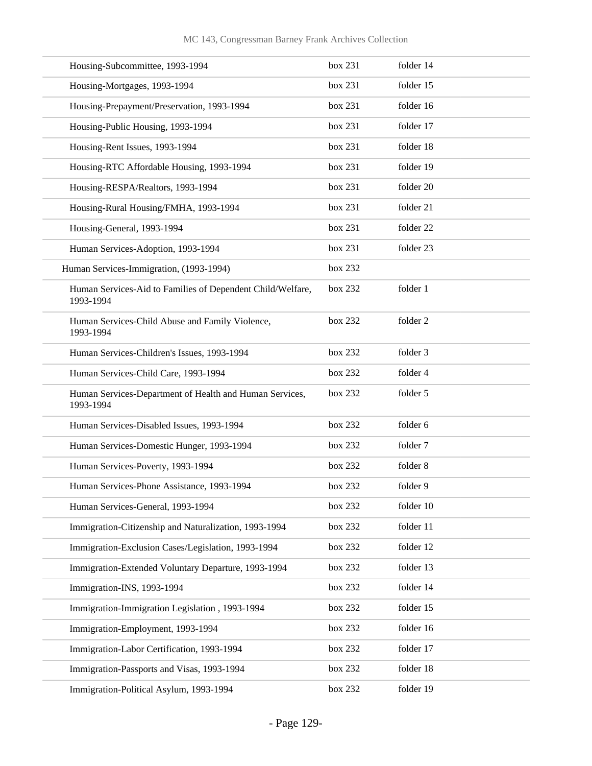| Housing-Subcommittee, 1993-1994                                         | box 231 | folder 14 |
|-------------------------------------------------------------------------|---------|-----------|
| Housing-Mortgages, 1993-1994                                            | box 231 | folder 15 |
| Housing-Prepayment/Preservation, 1993-1994                              | box 231 | folder 16 |
| Housing-Public Housing, 1993-1994                                       | box 231 | folder 17 |
| Housing-Rent Issues, 1993-1994                                          | box 231 | folder 18 |
| Housing-RTC Affordable Housing, 1993-1994                               | box 231 | folder 19 |
| Housing-RESPA/Realtors, 1993-1994                                       | box 231 | folder 20 |
| Housing-Rural Housing/FMHA, 1993-1994                                   | box 231 | folder 21 |
| Housing-General, 1993-1994                                              | box 231 | folder 22 |
| Human Services-Adoption, 1993-1994                                      | box 231 | folder 23 |
| Human Services-Immigration, (1993-1994)                                 | box 232 |           |
| Human Services-Aid to Families of Dependent Child/Welfare,<br>1993-1994 | box 232 | folder 1  |
| Human Services-Child Abuse and Family Violence,<br>1993-1994            | box 232 | folder 2  |
| Human Services-Children's Issues, 1993-1994                             | box 232 | folder 3  |
| Human Services-Child Care, 1993-1994                                    | box 232 | folder 4  |
| Human Services-Department of Health and Human Services,<br>1993-1994    | box 232 | folder 5  |
| Human Services-Disabled Issues, 1993-1994                               | box 232 | folder 6  |
| Human Services-Domestic Hunger, 1993-1994                               | box 232 | folder 7  |
| Human Services-Poverty, 1993-1994                                       | box 232 | folder 8  |
| Human Services-Phone Assistance, 1993-1994                              | box 232 | folder 9  |
| Human Services-General, 1993-1994                                       | box 232 | folder 10 |
| Immigration-Citizenship and Naturalization, 1993-1994                   | box 232 | folder 11 |
| Immigration-Exclusion Cases/Legislation, 1993-1994                      | box 232 | folder 12 |
| Immigration-Extended Voluntary Departure, 1993-1994                     | box 232 | folder 13 |
| Immigration-INS, 1993-1994                                              | box 232 | folder 14 |
| Immigration-Immigration Legislation, 1993-1994                          | box 232 | folder 15 |
| Immigration-Employment, 1993-1994                                       | box 232 | folder 16 |
| Immigration-Labor Certification, 1993-1994                              | box 232 | folder 17 |
| Immigration-Passports and Visas, 1993-1994                              | box 232 | folder 18 |
| Immigration-Political Asylum, 1993-1994                                 | box 232 | folder 19 |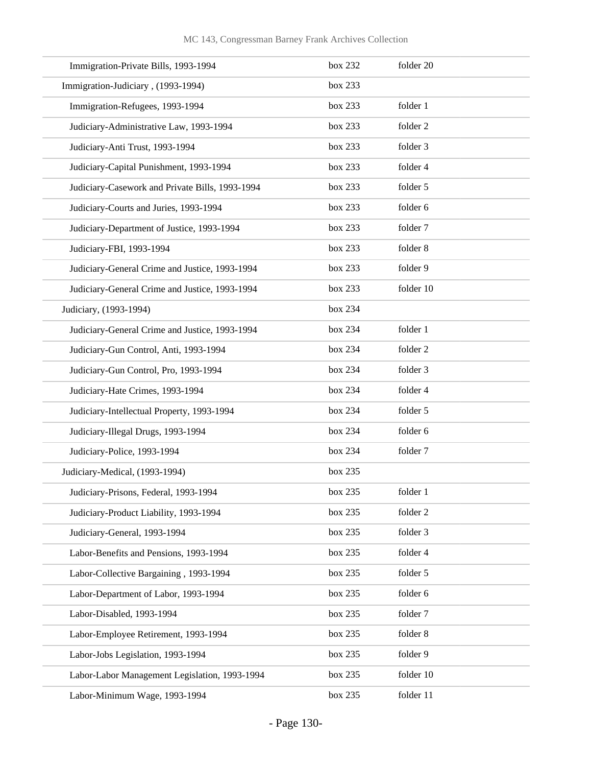| Immigration-Private Bills, 1993-1994            | box 232 | folder 20 |
|-------------------------------------------------|---------|-----------|
| Immigration-Judiciary, (1993-1994)              | box 233 |           |
| Immigration-Refugees, 1993-1994                 | box 233 | folder 1  |
| Judiciary-Administrative Law, 1993-1994         | box 233 | folder 2  |
| Judiciary-Anti Trust, 1993-1994                 | box 233 | folder 3  |
| Judiciary-Capital Punishment, 1993-1994         | box 233 | folder 4  |
| Judiciary-Casework and Private Bills, 1993-1994 | box 233 | folder 5  |
| Judiciary-Courts and Juries, 1993-1994          | box 233 | folder 6  |
| Judiciary-Department of Justice, 1993-1994      | box 233 | folder 7  |
| Judiciary-FBI, 1993-1994                        | box 233 | folder 8  |
| Judiciary-General Crime and Justice, 1993-1994  | box 233 | folder 9  |
| Judiciary-General Crime and Justice, 1993-1994  | box 233 | folder 10 |
| Judiciary, (1993-1994)                          | box 234 |           |
| Judiciary-General Crime and Justice, 1993-1994  | box 234 | folder 1  |
| Judiciary-Gun Control, Anti, 1993-1994          | box 234 | folder 2  |
| Judiciary-Gun Control, Pro, 1993-1994           | box 234 | folder 3  |
| Judiciary-Hate Crimes, 1993-1994                | box 234 | folder 4  |
| Judiciary-Intellectual Property, 1993-1994      | box 234 | folder 5  |
| Judiciary-Illegal Drugs, 1993-1994              | box 234 | folder 6  |
| Judiciary-Police, 1993-1994                     | box 234 | folder 7  |
| Judiciary-Medical, (1993-1994)                  | box 235 |           |
| Judiciary-Prisons, Federal, 1993-1994           | box 235 | folder 1  |
| Judiciary-Product Liability, 1993-1994          | box 235 | folder 2  |
| Judiciary-General, 1993-1994                    | box 235 | folder 3  |
| Labor-Benefits and Pensions, 1993-1994          | box 235 | folder 4  |
| Labor-Collective Bargaining, 1993-1994          | box 235 | folder 5  |
| Labor-Department of Labor, 1993-1994            | box 235 | folder 6  |
| Labor-Disabled, 1993-1994                       | box 235 | folder 7  |
| Labor-Employee Retirement, 1993-1994            | box 235 | folder 8  |
| Labor-Jobs Legislation, 1993-1994               | box 235 | folder 9  |
| Labor-Labor Management Legislation, 1993-1994   | box 235 | folder 10 |
| Labor-Minimum Wage, 1993-1994                   | box 235 | folder 11 |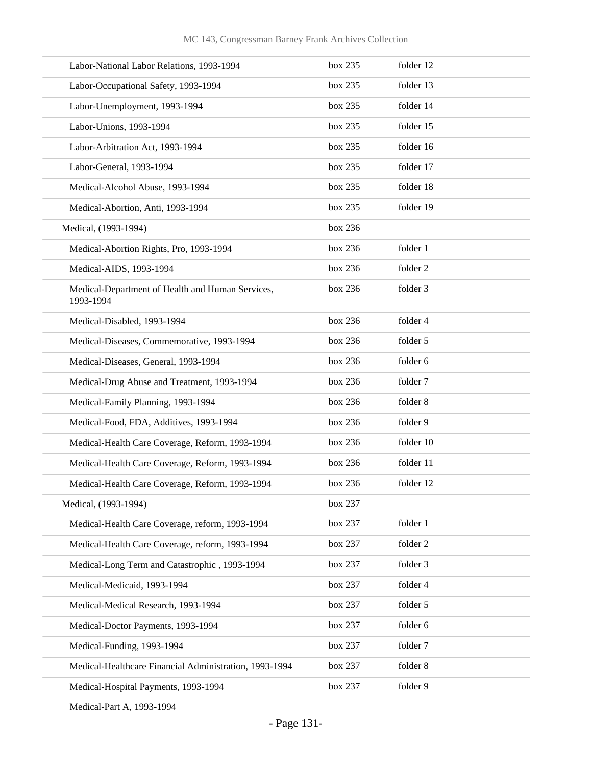| Labor-National Labor Relations, 1993-1994                     | box 235 | folder 12 |
|---------------------------------------------------------------|---------|-----------|
| Labor-Occupational Safety, 1993-1994                          | box 235 | folder 13 |
| Labor-Unemployment, 1993-1994                                 | box 235 | folder 14 |
| Labor-Unions, 1993-1994                                       | box 235 | folder 15 |
| Labor-Arbitration Act, 1993-1994                              | box 235 | folder 16 |
| Labor-General, 1993-1994                                      | box 235 | folder 17 |
| Medical-Alcohol Abuse, 1993-1994                              | box 235 | folder 18 |
| Medical-Abortion, Anti, 1993-1994                             | box 235 | folder 19 |
| Medical, (1993-1994)                                          | box 236 |           |
| Medical-Abortion Rights, Pro, 1993-1994                       | box 236 | folder 1  |
| Medical-AIDS, 1993-1994                                       | box 236 | folder 2  |
| Medical-Department of Health and Human Services,<br>1993-1994 | box 236 | folder 3  |
| Medical-Disabled, 1993-1994                                   | box 236 | folder 4  |
| Medical-Diseases, Commemorative, 1993-1994                    | box 236 | folder 5  |
| Medical-Diseases, General, 1993-1994                          | box 236 | folder 6  |
| Medical-Drug Abuse and Treatment, 1993-1994                   | box 236 | folder 7  |
| Medical-Family Planning, 1993-1994                            | box 236 | folder 8  |
| Medical-Food, FDA, Additives, 1993-1994                       | box 236 | folder 9  |
| Medical-Health Care Coverage, Reform, 1993-1994               | box 236 | folder 10 |
| Medical-Health Care Coverage, Reform, 1993-1994               | box 236 | folder 11 |
| Medical-Health Care Coverage, Reform, 1993-1994               | box 236 | folder 12 |
| Medical, (1993-1994)                                          | box 237 |           |
| Medical-Health Care Coverage, reform, 1993-1994               | box 237 | folder 1  |
| Medical-Health Care Coverage, reform, 1993-1994               | box 237 | folder 2  |
| Medical-Long Term and Catastrophic, 1993-1994                 | box 237 | folder 3  |
| Medical-Medicaid, 1993-1994                                   | box 237 | folder 4  |
| Medical-Medical Research, 1993-1994                           | box 237 | folder 5  |
| Medical-Doctor Payments, 1993-1994                            | box 237 | folder 6  |
| Medical-Funding, 1993-1994                                    | box 237 | folder 7  |
| Medical-Healthcare Financial Administration, 1993-1994        | box 237 | folder 8  |
| Medical-Hospital Payments, 1993-1994                          | box 237 | folder 9  |

Medical-Part A, 1993-1994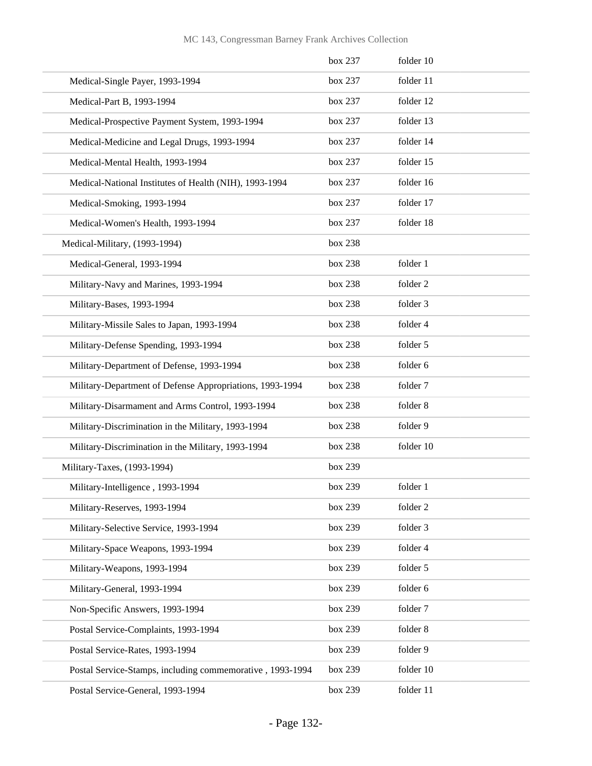|                                                           | box 237 | folder 10           |
|-----------------------------------------------------------|---------|---------------------|
| Medical-Single Payer, 1993-1994                           | box 237 | folder 11           |
| Medical-Part B, 1993-1994                                 | box 237 | folder 12           |
| Medical-Prospective Payment System, 1993-1994             | box 237 | folder 13           |
| Medical-Medicine and Legal Drugs, 1993-1994               | box 237 | folder 14           |
| Medical-Mental Health, 1993-1994                          | box 237 | folder 15           |
| Medical-National Institutes of Health (NIH), 1993-1994    | box 237 | folder 16           |
| Medical-Smoking, 1993-1994                                | box 237 | folder 17           |
| Medical-Women's Health, 1993-1994                         | box 237 | folder 18           |
| Medical-Military, (1993-1994)                             | box 238 |                     |
| Medical-General, 1993-1994                                | box 238 | folder 1            |
| Military-Navy and Marines, 1993-1994                      | box 238 | folder <sub>2</sub> |
| Military-Bases, 1993-1994                                 | box 238 | folder 3            |
| Military-Missile Sales to Japan, 1993-1994                | box 238 | folder 4            |
| Military-Defense Spending, 1993-1994                      | box 238 | folder 5            |
| Military-Department of Defense, 1993-1994                 | box 238 | folder 6            |
| Military-Department of Defense Appropriations, 1993-1994  | box 238 | folder 7            |
| Military-Disarmament and Arms Control, 1993-1994          | box 238 | folder 8            |
| Military-Discrimination in the Military, 1993-1994        | box 238 | folder 9            |
| Military-Discrimination in the Military, 1993-1994        | box 238 | folder 10           |
| Military-Taxes, (1993-1994)                               | box 239 |                     |
| Military-Intelligence, 1993-1994                          | box 239 | folder 1            |
| Military-Reserves, 1993-1994                              | box 239 | folder 2            |
| Military-Selective Service, 1993-1994                     | box 239 | folder 3            |
| Military-Space Weapons, 1993-1994                         | box 239 | folder 4            |
| Military-Weapons, 1993-1994                               | box 239 | folder 5            |
| Military-General, 1993-1994                               | box 239 | folder 6            |
| Non-Specific Answers, 1993-1994                           | box 239 | folder 7            |
| Postal Service-Complaints, 1993-1994                      | box 239 | folder 8            |
| Postal Service-Rates, 1993-1994                           | box 239 | folder 9            |
| Postal Service-Stamps, including commemorative, 1993-1994 | box 239 | folder 10           |
| Postal Service-General, 1993-1994                         | box 239 | folder 11           |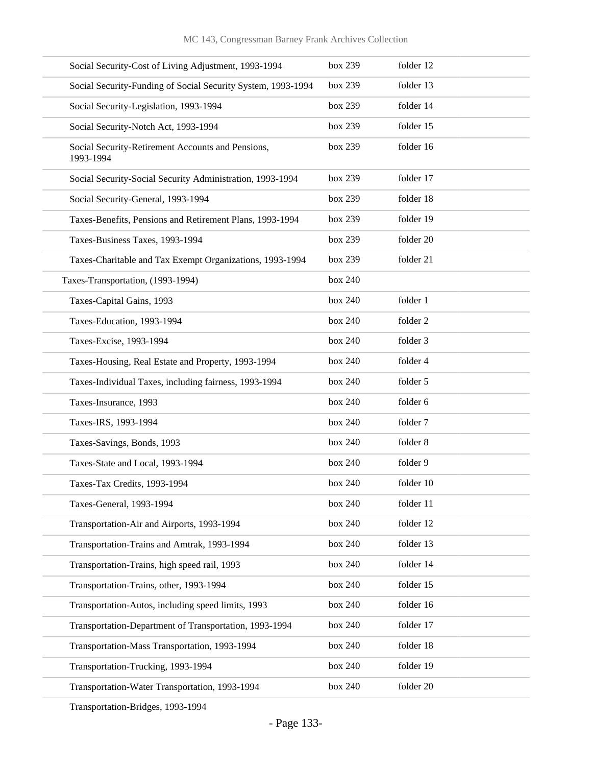| Social Security-Cost of Living Adjustment, 1993-1994           | box 239 | folder 12 |
|----------------------------------------------------------------|---------|-----------|
| Social Security-Funding of Social Security System, 1993-1994   | box 239 | folder 13 |
| Social Security-Legislation, 1993-1994                         | box 239 | folder 14 |
| Social Security-Notch Act, 1993-1994                           | box 239 | folder 15 |
| Social Security-Retirement Accounts and Pensions,<br>1993-1994 | box 239 | folder 16 |
| Social Security-Social Security Administration, 1993-1994      | box 239 | folder 17 |
| Social Security-General, 1993-1994                             | box 239 | folder 18 |
| Taxes-Benefits, Pensions and Retirement Plans, 1993-1994       | box 239 | folder 19 |
| Taxes-Business Taxes, 1993-1994                                | box 239 | folder 20 |
| Taxes-Charitable and Tax Exempt Organizations, 1993-1994       | box 239 | folder 21 |
| Taxes-Transportation, (1993-1994)                              | box 240 |           |
| Taxes-Capital Gains, 1993                                      | box 240 | folder 1  |
| Taxes-Education, 1993-1994                                     | box 240 | folder 2  |
| Taxes-Excise, 1993-1994                                        | box 240 | folder 3  |
| Taxes-Housing, Real Estate and Property, 1993-1994             | box 240 | folder 4  |
| Taxes-Individual Taxes, including fairness, 1993-1994          | box 240 | folder 5  |
| Taxes-Insurance, 1993                                          | box 240 | folder 6  |
| Taxes-IRS, 1993-1994                                           | box 240 | folder 7  |
| Taxes-Savings, Bonds, 1993                                     | box 240 | folder 8  |
| Taxes-State and Local, 1993-1994                               | box 240 | folder 9  |
| Taxes-Tax Credits, 1993-1994                                   | box 240 | folder 10 |
| Taxes-General, 1993-1994                                       | box 240 | folder 11 |
| Transportation-Air and Airports, 1993-1994                     | box 240 | folder 12 |
| Transportation-Trains and Amtrak, 1993-1994                    | box 240 | folder 13 |
| Transportation-Trains, high speed rail, 1993                   | box 240 | folder 14 |
| Transportation-Trains, other, 1993-1994                        | box 240 | folder 15 |
| Transportation-Autos, including speed limits, 1993             | box 240 | folder 16 |
| Transportation-Department of Transportation, 1993-1994         | box 240 | folder 17 |
| Transportation-Mass Transportation, 1993-1994                  | box 240 | folder 18 |
| Transportation-Trucking, 1993-1994                             | box 240 | folder 19 |
| Transportation-Water Transportation, 1993-1994                 | box 240 | folder 20 |
|                                                                |         |           |

Transportation-Bridges, 1993-1994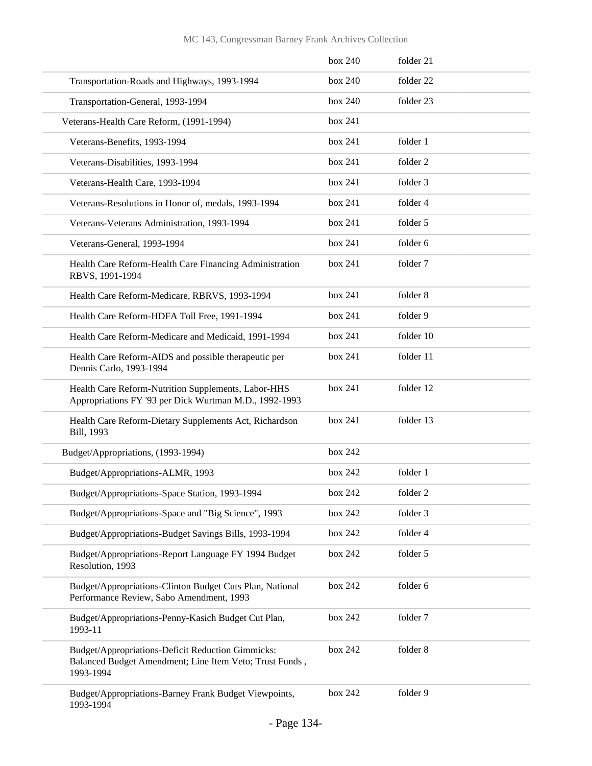|                                                                                                                           | box 240 | folder 21 |
|---------------------------------------------------------------------------------------------------------------------------|---------|-----------|
| Transportation-Roads and Highways, 1993-1994                                                                              | box 240 | folder 22 |
| Transportation-General, 1993-1994                                                                                         | box 240 | folder 23 |
| Veterans-Health Care Reform, (1991-1994)                                                                                  | box 241 |           |
| Veterans-Benefits, 1993-1994                                                                                              | box 241 | folder 1  |
| Veterans-Disabilities, 1993-1994                                                                                          | box 241 | folder 2  |
| Veterans-Health Care, 1993-1994                                                                                           | box 241 | folder 3  |
| Veterans-Resolutions in Honor of, medals, 1993-1994                                                                       | box 241 | folder 4  |
| Veterans-Veterans Administration, 1993-1994                                                                               | box 241 | folder 5  |
| Veterans-General, 1993-1994                                                                                               | box 241 | folder 6  |
| Health Care Reform-Health Care Financing Administration<br>RBVS, 1991-1994                                                | box 241 | folder 7  |
| Health Care Reform-Medicare, RBRVS, 1993-1994                                                                             | box 241 | folder 8  |
| Health Care Reform-HDFA Toll Free, 1991-1994                                                                              | box 241 | folder 9  |
| Health Care Reform-Medicare and Medicaid, 1991-1994                                                                       | box 241 | folder 10 |
| Health Care Reform-AIDS and possible therapeutic per<br>Dennis Carlo, 1993-1994                                           | box 241 | folder 11 |
| Health Care Reform-Nutrition Supplements, Labor-HHS<br>Appropriations FY '93 per Dick Wurtman M.D., 1992-1993             | box 241 | folder 12 |
| Health Care Reform-Dietary Supplements Act, Richardson<br>Bill, 1993                                                      | box 241 | folder 13 |
| Budget/Appropriations, (1993-1994)                                                                                        | box 242 |           |
| Budget/Appropriations-ALMR, 1993                                                                                          | box 242 | folder 1  |
| Budget/Appropriations-Space Station, 1993-1994                                                                            | box 242 | folder 2  |
| Budget/Appropriations-Space and "Big Science", 1993                                                                       | box 242 | folder 3  |
| Budget/Appropriations-Budget Savings Bills, 1993-1994                                                                     | box 242 | folder 4  |
| Budget/Appropriations-Report Language FY 1994 Budget<br>Resolution, 1993                                                  | box 242 | folder 5  |
| Budget/Appropriations-Clinton Budget Cuts Plan, National<br>Performance Review, Sabo Amendment, 1993                      | box 242 | folder 6  |
| Budget/Appropriations-Penny-Kasich Budget Cut Plan,<br>1993-11                                                            | box 242 | folder 7  |
| Budget/Appropriations-Deficit Reduction Gimmicks:<br>Balanced Budget Amendment; Line Item Veto; Trust Funds,<br>1993-1994 | box 242 | folder 8  |
| Budget/Appropriations-Barney Frank Budget Viewpoints,<br>1993-1994                                                        | box 242 | folder 9  |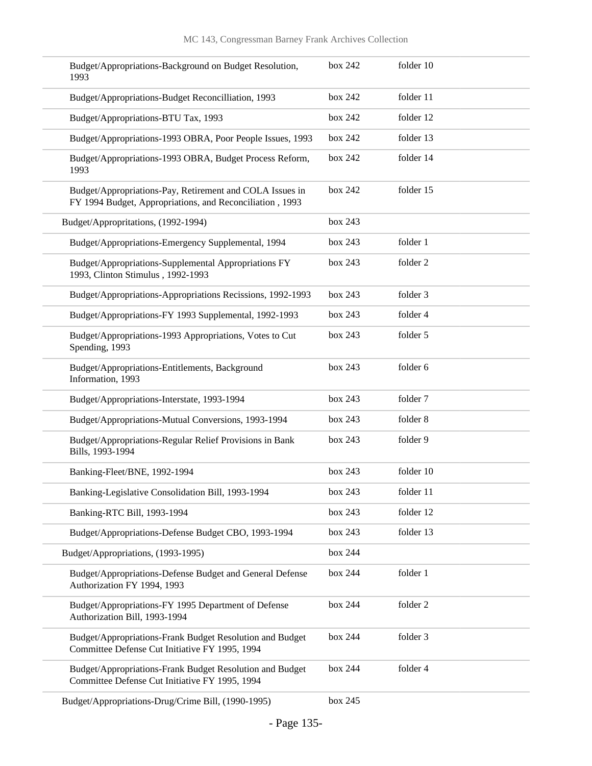| Budget/Appropriations-Background on Budget Resolution,<br>1993                                                       | box 242 | folder 10 |
|----------------------------------------------------------------------------------------------------------------------|---------|-----------|
| Budget/Appropriations-Budget Reconcilliation, 1993                                                                   | box 242 | folder 11 |
| Budget/Appropriations-BTU Tax, 1993                                                                                  | box 242 | folder 12 |
| Budget/Appropriations-1993 OBRA, Poor People Issues, 1993                                                            | box 242 | folder 13 |
| Budget/Appropriations-1993 OBRA, Budget Process Reform,<br>1993                                                      | box 242 | folder 14 |
| Budget/Appropriations-Pay, Retirement and COLA Issues in<br>FY 1994 Budget, Appropriations, and Reconciliation, 1993 | box 242 | folder 15 |
| Budget/Appropritations, (1992-1994)                                                                                  | box 243 |           |
| Budget/Appropriations-Emergency Supplemental, 1994                                                                   | box 243 | folder 1  |
| Budget/Appropriations-Supplemental Appropriations FY<br>1993, Clinton Stimulus, 1992-1993                            | box 243 | folder 2  |
| Budget/Appropriations-Appropriations Recissions, 1992-1993                                                           | box 243 | folder 3  |
| Budget/Appropriations-FY 1993 Supplemental, 1992-1993                                                                | box 243 | folder 4  |
| Budget/Appropriations-1993 Appropriations, Votes to Cut<br>Spending, 1993                                            | box 243 | folder 5  |
| Budget/Appropriations-Entitlements, Background<br>Information, 1993                                                  | box 243 | folder 6  |
| Budget/Appropriations-Interstate, 1993-1994                                                                          | box 243 | folder 7  |
| Budget/Appropriations-Mutual Conversions, 1993-1994                                                                  | box 243 | folder 8  |
| Budget/Appropriations-Regular Relief Provisions in Bank<br>Bills, 1993-1994                                          | box 243 | folder 9  |
| Banking-Fleet/BNE, 1992-1994                                                                                         | box 243 | folder 10 |
| Banking-Legislative Consolidation Bill, 1993-1994                                                                    | box 243 | folder 11 |
| Banking-RTC Bill, 1993-1994                                                                                          | box 243 | folder 12 |
| Budget/Appropriations-Defense Budget CBO, 1993-1994                                                                  | box 243 | folder 13 |
| Budget/Appropriations, (1993-1995)                                                                                   | box 244 |           |
| Budget/Appropriations-Defense Budget and General Defense<br>Authorization FY 1994, 1993                              | box 244 | folder 1  |
| Budget/Appropriations-FY 1995 Department of Defense<br>Authorization Bill, 1993-1994                                 | box 244 | folder 2  |
| Budget/Appropriations-Frank Budget Resolution and Budget<br>Committee Defense Cut Initiative FY 1995, 1994           | box 244 | folder 3  |
| Budget/Appropriations-Frank Budget Resolution and Budget<br>Committee Defense Cut Initiative FY 1995, 1994           | box 244 | folder 4  |
| Budget/Appropriations-Drug/Crime Bill, (1990-1995)                                                                   | box 245 |           |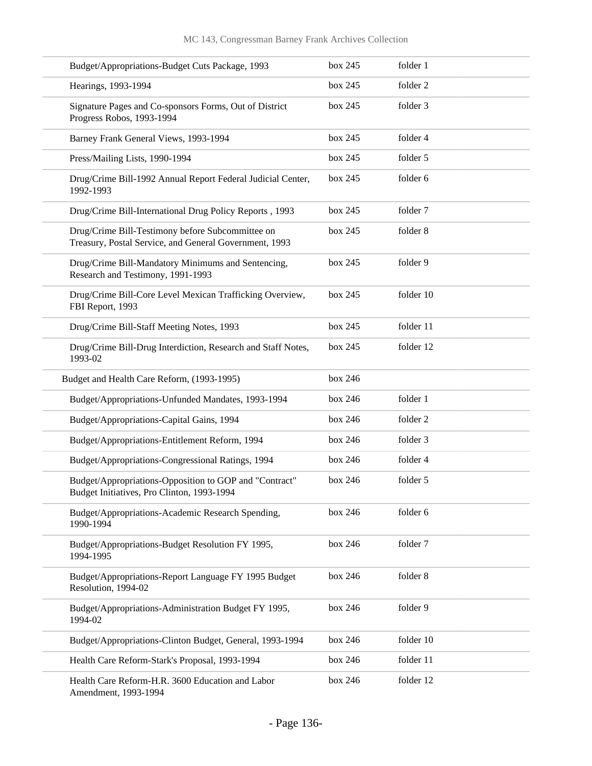| Budget/Appropriations-Budget Cuts Package, 1993                                                            | box 245 | folder 1  |
|------------------------------------------------------------------------------------------------------------|---------|-----------|
| Hearings, 1993-1994                                                                                        | box 245 | folder 2  |
| Signature Pages and Co-sponsors Forms, Out of District<br>Progress Robos, 1993-1994                        | box 245 | folder 3  |
| Barney Frank General Views, 1993-1994                                                                      | box 245 | folder 4  |
| Press/Mailing Lists, 1990-1994                                                                             | box 245 | folder 5  |
| Drug/Crime Bill-1992 Annual Report Federal Judicial Center,<br>1992-1993                                   | box 245 | folder 6  |
| Drug/Crime Bill-International Drug Policy Reports, 1993                                                    | box 245 | folder 7  |
| Drug/Crime Bill-Testimony before Subcommittee on<br>Treasury, Postal Service, and General Government, 1993 | box 245 | folder 8  |
| Drug/Crime Bill-Mandatory Minimums and Sentencing,<br>Research and Testimony, 1991-1993                    | box 245 | folder 9  |
| Drug/Crime Bill-Core Level Mexican Trafficking Overview,<br>FBI Report, 1993                               | box 245 | folder 10 |
| Drug/Crime Bill-Staff Meeting Notes, 1993                                                                  | box 245 | folder 11 |
| Drug/Crime Bill-Drug Interdiction, Research and Staff Notes,<br>1993-02                                    | box 245 | folder 12 |
| Budget and Health Care Reform, (1993-1995)                                                                 | box 246 |           |
| Budget/Appropriations-Unfunded Mandates, 1993-1994                                                         | box 246 | folder 1  |
| Budget/Appropriations-Capital Gains, 1994                                                                  | box 246 | folder 2  |
| Budget/Appropriations-Entitlement Reform, 1994                                                             | box 246 | folder 3  |
| Budget/Appropriations-Congressional Ratings, 1994                                                          | box 246 | folder 4  |
| Budget/Appropriations-Opposition to GOP and "Contract"<br>Budget Initiatives, Pro Clinton, 1993-1994       | box 246 | folder 5  |
| Budget/Appropriations-Academic Research Spending,<br>1990-1994                                             | box 246 | folder 6  |
| Budget/Appropriations-Budget Resolution FY 1995,<br>1994-1995                                              | box 246 | folder 7  |
| Budget/Appropriations-Report Language FY 1995 Budget<br>Resolution, 1994-02                                | box 246 | folder 8  |
| Budget/Appropriations-Administration Budget FY 1995,<br>1994-02                                            | box 246 | folder 9  |
| Budget/Appropriations-Clinton Budget, General, 1993-1994                                                   | box 246 | folder 10 |
| Health Care Reform-Stark's Proposal, 1993-1994                                                             | box 246 | folder 11 |
| Health Care Reform-H.R. 3600 Education and Labor<br>Amendment, 1993-1994                                   | box 246 | folder 12 |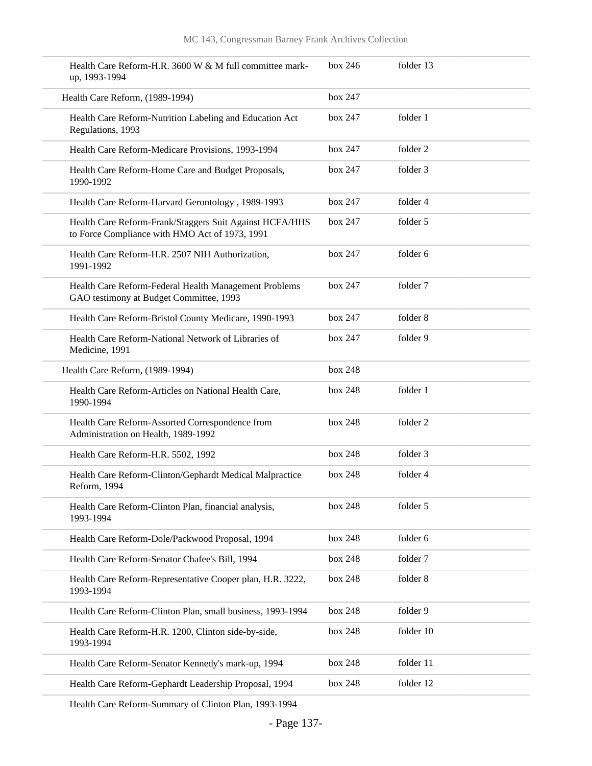| Health Care Reform-H.R. 3600 W & M full committee mark-<br>up, 1993-1994                                  | box 246 | folder 13 |
|-----------------------------------------------------------------------------------------------------------|---------|-----------|
| Health Care Reform, (1989-1994)                                                                           | box 247 |           |
| Health Care Reform-Nutrition Labeling and Education Act<br>Regulations, 1993                              | box 247 | folder 1  |
| Health Care Reform-Medicare Provisions, 1993-1994                                                         | box 247 | folder 2  |
| Health Care Reform-Home Care and Budget Proposals,<br>1990-1992                                           | box 247 | folder 3  |
| Health Care Reform-Harvard Gerontology, 1989-1993                                                         | box 247 | folder 4  |
| Health Care Reform-Frank/Staggers Suit Against HCFA/HHS<br>to Force Compliance with HMO Act of 1973, 1991 | box 247 | folder 5  |
| Health Care Reform-H.R. 2507 NIH Authorization,<br>1991-1992                                              | box 247 | folder 6  |
| Health Care Reform-Federal Health Management Problems<br>GAO testimony at Budget Committee, 1993          | box 247 | folder 7  |
| Health Care Reform-Bristol County Medicare, 1990-1993                                                     | box 247 | folder 8  |
| Health Care Reform-National Network of Libraries of<br>Medicine, 1991                                     | box 247 | folder 9  |
| Health Care Reform, (1989-1994)                                                                           | box 248 |           |
| Health Care Reform-Articles on National Health Care,<br>1990-1994                                         | box 248 | folder 1  |
| Health Care Reform-Assorted Correspondence from<br>Administration on Health, 1989-1992                    | box 248 | folder 2  |
| Health Care Reform-H.R. 5502, 1992                                                                        | box 248 | folder 3  |
| Health Care Reform-Clinton/Gephardt Medical Malpractice<br>Reform, 1994                                   | box 248 | folder 4  |
| Health Care Reform-Clinton Plan, financial analysis,<br>1993-1994                                         | box 248 | folder 5  |
| Health Care Reform-Dole/Packwood Proposal, 1994                                                           | box 248 | folder 6  |
| Health Care Reform-Senator Chafee's Bill, 1994                                                            | box 248 | folder 7  |
| Health Care Reform-Representative Cooper plan, H.R. 3222,<br>1993-1994                                    | box 248 | folder 8  |
| Health Care Reform-Clinton Plan, small business, 1993-1994                                                | box 248 | folder 9  |
| Health Care Reform-H.R. 1200, Clinton side-by-side,<br>1993-1994                                          | box 248 | folder 10 |
| Health Care Reform-Senator Kennedy's mark-up, 1994                                                        | box 248 | folder 11 |
| Health Care Reform-Gephardt Leadership Proposal, 1994                                                     | box 248 | folder 12 |

Health Care Reform-Summary of Clinton Plan, 1993-1994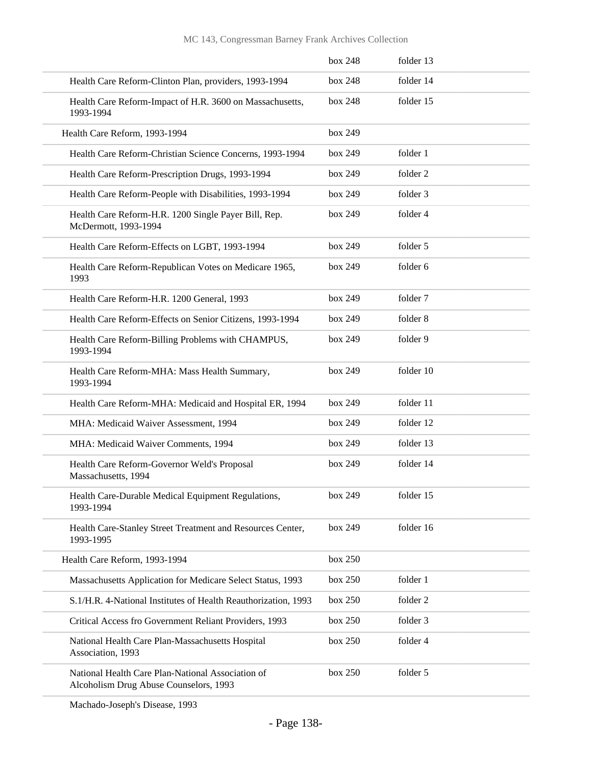|                                                                                             | box 248 | folder 13 |
|---------------------------------------------------------------------------------------------|---------|-----------|
| Health Care Reform-Clinton Plan, providers, 1993-1994                                       | box 248 | folder 14 |
| Health Care Reform-Impact of H.R. 3600 on Massachusetts,<br>1993-1994                       | box 248 | folder 15 |
| Health Care Reform, 1993-1994                                                               | box 249 |           |
| Health Care Reform-Christian Science Concerns, 1993-1994                                    | box 249 | folder 1  |
| Health Care Reform-Prescription Drugs, 1993-1994                                            | box 249 | folder 2  |
| Health Care Reform-People with Disabilities, 1993-1994                                      | box 249 | folder 3  |
| Health Care Reform-H.R. 1200 Single Payer Bill, Rep.<br>McDermott, 1993-1994                | box 249 | folder 4  |
| Health Care Reform-Effects on LGBT, 1993-1994                                               | box 249 | folder 5  |
| Health Care Reform-Republican Votes on Medicare 1965,<br>1993                               | box 249 | folder 6  |
| Health Care Reform-H.R. 1200 General, 1993                                                  | box 249 | folder 7  |
| Health Care Reform-Effects on Senior Citizens, 1993-1994                                    | box 249 | folder 8  |
| Health Care Reform-Billing Problems with CHAMPUS,<br>1993-1994                              | box 249 | folder 9  |
| Health Care Reform-MHA: Mass Health Summary,<br>1993-1994                                   | box 249 | folder 10 |
| Health Care Reform-MHA: Medicaid and Hospital ER, 1994                                      | box 249 | folder 11 |
| MHA: Medicaid Waiver Assessment, 1994                                                       | box 249 | folder 12 |
| MHA: Medicaid Waiver Comments, 1994                                                         | box 249 | folder 13 |
| Health Care Reform-Governor Weld's Proposal<br>Massachusetts, 1994                          | box 249 | folder 14 |
| Health Care-Durable Medical Equipment Regulations,<br>1993-1994                             | box 249 | folder 15 |
| Health Care-Stanley Street Treatment and Resources Center,<br>1993-1995                     | box 249 | folder 16 |
| Health Care Reform, 1993-1994                                                               | box 250 |           |
| Massachusetts Application for Medicare Select Status, 1993                                  | box 250 | folder 1  |
| S.1/H.R. 4-National Institutes of Health Reauthorization, 1993                              | box 250 | folder 2  |
| Critical Access fro Government Reliant Providers, 1993                                      | box 250 | folder 3  |
| National Health Care Plan-Massachusetts Hospital<br>Association, 1993                       | box 250 | folder 4  |
| National Health Care Plan-National Association of<br>Alcoholism Drug Abuse Counselors, 1993 | box 250 | folder 5  |

Machado-Joseph's Disease, 1993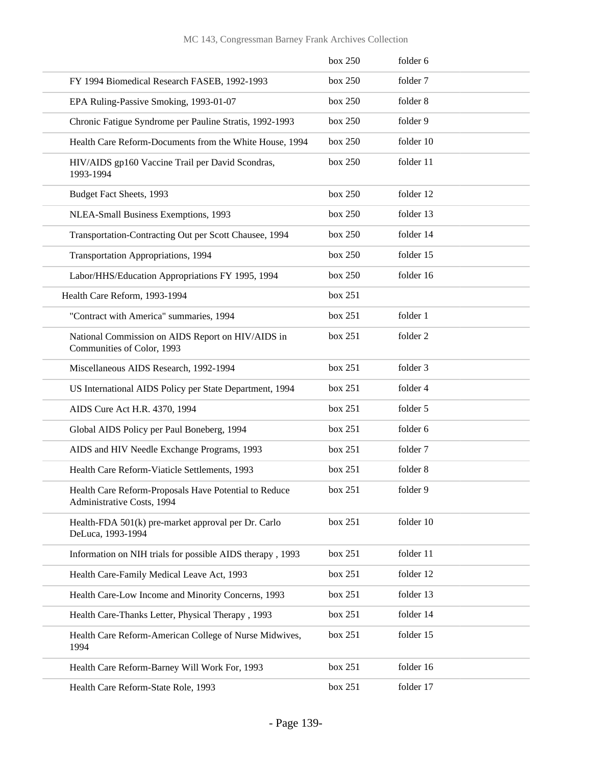|                                                                                     | box 250 | folder 6  |
|-------------------------------------------------------------------------------------|---------|-----------|
| FY 1994 Biomedical Research FASEB, 1992-1993                                        | box 250 | folder 7  |
| EPA Ruling-Passive Smoking, 1993-01-07                                              | box 250 | folder 8  |
| Chronic Fatigue Syndrome per Pauline Stratis, 1992-1993                             | box 250 | folder 9  |
| Health Care Reform-Documents from the White House, 1994                             | box 250 | folder 10 |
| HIV/AIDS gp160 Vaccine Trail per David Scondras,<br>1993-1994                       | box 250 | folder 11 |
| Budget Fact Sheets, 1993                                                            | box 250 | folder 12 |
| NLEA-Small Business Exemptions, 1993                                                | box 250 | folder 13 |
| Transportation-Contracting Out per Scott Chausee, 1994                              | box 250 | folder 14 |
| Transportation Appropriations, 1994                                                 | box 250 | folder 15 |
| Labor/HHS/Education Appropriations FY 1995, 1994                                    | box 250 | folder 16 |
| Health Care Reform, 1993-1994                                                       | box 251 |           |
| "Contract with America" summaries, 1994                                             | box 251 | folder 1  |
| National Commission on AIDS Report on HIV/AIDS in<br>Communities of Color, 1993     | box 251 | folder 2  |
| Miscellaneous AIDS Research, 1992-1994                                              | box 251 | folder 3  |
| US International AIDS Policy per State Department, 1994                             | box 251 | folder 4  |
| AIDS Cure Act H.R. 4370, 1994                                                       | box 251 | folder 5  |
| Global AIDS Policy per Paul Boneberg, 1994                                          | box 251 | folder 6  |
| AIDS and HIV Needle Exchange Programs, 1993                                         | box 251 | folder 7  |
| Health Care Reform-Viaticle Settlements, 1993                                       | box 251 | folder 8  |
| Health Care Reform-Proposals Have Potential to Reduce<br>Administrative Costs, 1994 | box 251 | folder 9  |
| Health-FDA 501(k) pre-market approval per Dr. Carlo<br>DeLuca, 1993-1994            | box 251 | folder 10 |
| Information on NIH trials for possible AIDS therapy, 1993                           | box 251 | folder 11 |
| Health Care-Family Medical Leave Act, 1993                                          | box 251 | folder 12 |
| Health Care-Low Income and Minority Concerns, 1993                                  | box 251 | folder 13 |
| Health Care-Thanks Letter, Physical Therapy, 1993                                   | box 251 | folder 14 |
| Health Care Reform-American College of Nurse Midwives,<br>1994                      | box 251 | folder 15 |
| Health Care Reform-Barney Will Work For, 1993                                       | box 251 | folder 16 |
| Health Care Reform-State Role, 1993                                                 | box 251 | folder 17 |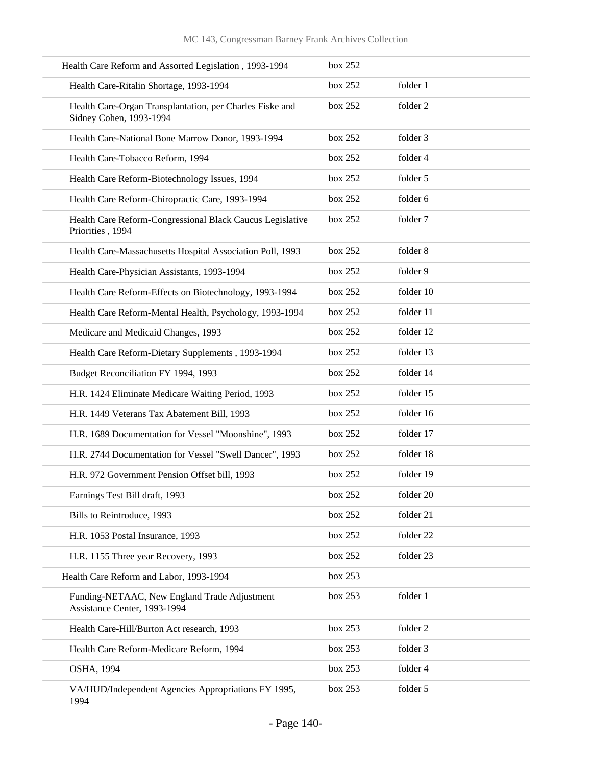| Health Care Reform and Assorted Legislation, 1993-1994                              | box 252 |           |
|-------------------------------------------------------------------------------------|---------|-----------|
| Health Care-Ritalin Shortage, 1993-1994                                             | box 252 | folder 1  |
| Health Care-Organ Transplantation, per Charles Fiske and<br>Sidney Cohen, 1993-1994 | box 252 | folder 2  |
| Health Care-National Bone Marrow Donor, 1993-1994                                   | box 252 | folder 3  |
| Health Care-Tobacco Reform, 1994                                                    | box 252 | folder 4  |
| Health Care Reform-Biotechnology Issues, 1994                                       | box 252 | folder 5  |
| Health Care Reform-Chiropractic Care, 1993-1994                                     | box 252 | folder 6  |
| Health Care Reform-Congressional Black Caucus Legislative<br>Priorities, 1994       | box 252 | folder 7  |
| Health Care-Massachusetts Hospital Association Poll, 1993                           | box 252 | folder 8  |
| Health Care-Physician Assistants, 1993-1994                                         | box 252 | folder 9  |
| Health Care Reform-Effects on Biotechnology, 1993-1994                              | box 252 | folder 10 |
| Health Care Reform-Mental Health, Psychology, 1993-1994                             | box 252 | folder 11 |
| Medicare and Medicaid Changes, 1993                                                 | box 252 | folder 12 |
| Health Care Reform-Dietary Supplements, 1993-1994                                   | box 252 | folder 13 |
| Budget Reconciliation FY 1994, 1993                                                 | box 252 | folder 14 |
| H.R. 1424 Eliminate Medicare Waiting Period, 1993                                   | box 252 | folder 15 |
| H.R. 1449 Veterans Tax Abatement Bill, 1993                                         | box 252 | folder 16 |
| H.R. 1689 Documentation for Vessel "Moonshine", 1993                                | box 252 | folder 17 |
| H.R. 2744 Documentation for Vessel "Swell Dancer", 1993                             | box 252 | folder 18 |
| H.R. 972 Government Pension Offset bill, 1993                                       | box 252 | folder 19 |
| Earnings Test Bill draft, 1993                                                      | box 252 | folder 20 |
| Bills to Reintroduce, 1993                                                          | box 252 | folder 21 |
| H.R. 1053 Postal Insurance, 1993                                                    | box 252 | folder 22 |
| H.R. 1155 Three year Recovery, 1993                                                 | box 252 | folder 23 |
| Health Care Reform and Labor, 1993-1994                                             | box 253 |           |
| Funding-NETAAC, New England Trade Adjustment<br>Assistance Center, 1993-1994        | box 253 | folder 1  |
| Health Care-Hill/Burton Act research, 1993                                          | box 253 | folder 2  |
| Health Care Reform-Medicare Reform, 1994                                            | box 253 | folder 3  |
| <b>OSHA, 1994</b>                                                                   | box 253 | folder 4  |
| VA/HUD/Independent Agencies Appropriations FY 1995,<br>1994                         | box 253 | folder 5  |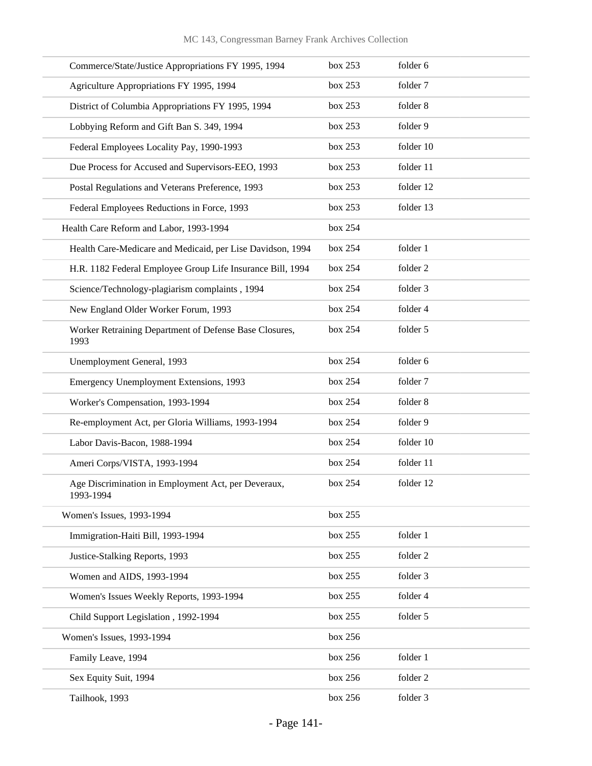| Commerce/State/Justice Appropriations FY 1995, 1994              | box 253 | folder 6  |
|------------------------------------------------------------------|---------|-----------|
| Agriculture Appropriations FY 1995, 1994                         | box 253 | folder 7  |
| District of Columbia Appropriations FY 1995, 1994                | box 253 | folder 8  |
| Lobbying Reform and Gift Ban S. 349, 1994                        | box 253 | folder 9  |
| Federal Employees Locality Pay, 1990-1993                        | box 253 | folder 10 |
| Due Process for Accused and Supervisors-EEO, 1993                | box 253 | folder 11 |
| Postal Regulations and Veterans Preference, 1993                 | box 253 | folder 12 |
| Federal Employees Reductions in Force, 1993                      | box 253 | folder 13 |
| Health Care Reform and Labor, 1993-1994                          | box 254 |           |
| Health Care-Medicare and Medicaid, per Lise Davidson, 1994       | box 254 | folder 1  |
| H.R. 1182 Federal Employee Group Life Insurance Bill, 1994       | box 254 | folder 2  |
| Science/Technology-plagiarism complaints, 1994                   | box 254 | folder 3  |
| New England Older Worker Forum, 1993                             | box 254 | folder 4  |
| Worker Retraining Department of Defense Base Closures,<br>1993   | box 254 | folder 5  |
| Unemployment General, 1993                                       | box 254 | folder 6  |
| Emergency Unemployment Extensions, 1993                          | box 254 | folder 7  |
| Worker's Compensation, 1993-1994                                 | box 254 | folder 8  |
| Re-employment Act, per Gloria Williams, 1993-1994                | box 254 | folder 9  |
| Labor Davis-Bacon, 1988-1994                                     | box 254 | folder 10 |
| Ameri Corps/VISTA, 1993-1994                                     | box 254 | folder 11 |
| Age Discrimination in Employment Act, per Deveraux,<br>1993-1994 | box 254 | folder 12 |
| Women's Issues, 1993-1994                                        | box 255 |           |
| Immigration-Haiti Bill, 1993-1994                                | box 255 | folder 1  |
| Justice-Stalking Reports, 1993                                   | box 255 | folder 2  |
| Women and AIDS, 1993-1994                                        | box 255 | folder 3  |
| Women's Issues Weekly Reports, 1993-1994                         | box 255 | folder 4  |
| Child Support Legislation, 1992-1994                             | box 255 | folder 5  |
| Women's Issues, 1993-1994                                        | box 256 |           |
| Family Leave, 1994                                               | box 256 | folder 1  |
| Sex Equity Suit, 1994                                            | box 256 | folder 2  |
| Tailhook, 1993                                                   | box 256 | folder 3  |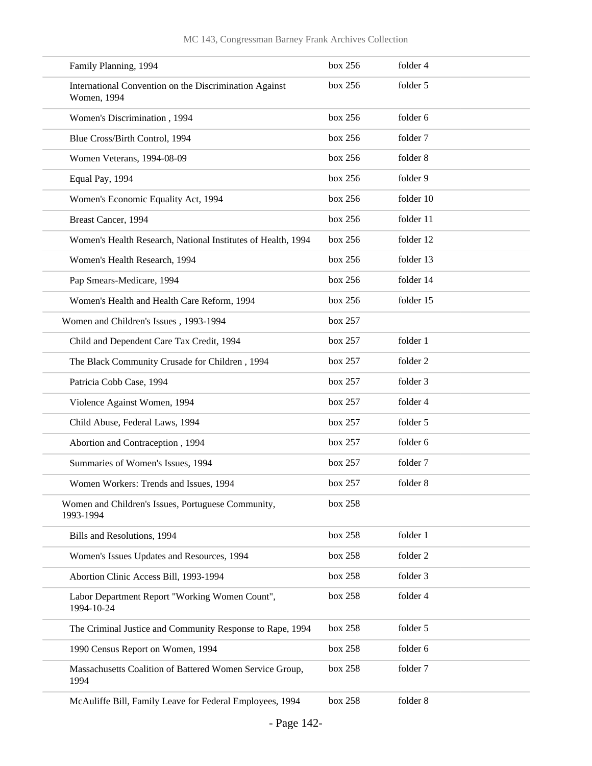| Family Planning, 1994                                                 | box 256 | folder 4  |
|-----------------------------------------------------------------------|---------|-----------|
| International Convention on the Discrimination Against<br>Women, 1994 | box 256 | folder 5  |
| Women's Discrimination, 1994                                          | box 256 | folder 6  |
| Blue Cross/Birth Control, 1994                                        | box 256 | folder 7  |
| Women Veterans, 1994-08-09                                            | box 256 | folder 8  |
| Equal Pay, 1994                                                       | box 256 | folder 9  |
| Women's Economic Equality Act, 1994                                   | box 256 | folder 10 |
| Breast Cancer, 1994                                                   | box 256 | folder 11 |
| Women's Health Research, National Institutes of Health, 1994          | box 256 | folder 12 |
| Women's Health Research, 1994                                         | box 256 | folder 13 |
| Pap Smears-Medicare, 1994                                             | box 256 | folder 14 |
| Women's Health and Health Care Reform, 1994                           | box 256 | folder 15 |
| Women and Children's Issues, 1993-1994                                | box 257 |           |
| Child and Dependent Care Tax Credit, 1994                             | box 257 | folder 1  |
| The Black Community Crusade for Children, 1994                        | box 257 | folder 2  |
| Patricia Cobb Case, 1994                                              | box 257 | folder 3  |
| Violence Against Women, 1994                                          | box 257 | folder 4  |
| Child Abuse, Federal Laws, 1994                                       | box 257 | folder 5  |
| Abortion and Contraception, 1994                                      | box 257 | folder 6  |
| Summaries of Women's Issues, 1994                                     | box 257 | folder 7  |
| Women Workers: Trends and Issues, 1994                                | box 257 | folder 8  |
| Women and Children's Issues, Portuguese Community,<br>1993-1994       | box 258 |           |
| Bills and Resolutions, 1994                                           | box 258 | folder 1  |
| Women's Issues Updates and Resources, 1994                            | box 258 | folder 2  |
| Abortion Clinic Access Bill, 1993-1994                                | box 258 | folder 3  |
| Labor Department Report "Working Women Count",<br>1994-10-24          | box 258 | folder 4  |
| The Criminal Justice and Community Response to Rape, 1994             | box 258 | folder 5  |
| 1990 Census Report on Women, 1994                                     | box 258 | folder 6  |
| Massachusetts Coalition of Battered Women Service Group,<br>1994      | box 258 | folder 7  |
| McAuliffe Bill, Family Leave for Federal Employees, 1994              | box 258 | folder 8  |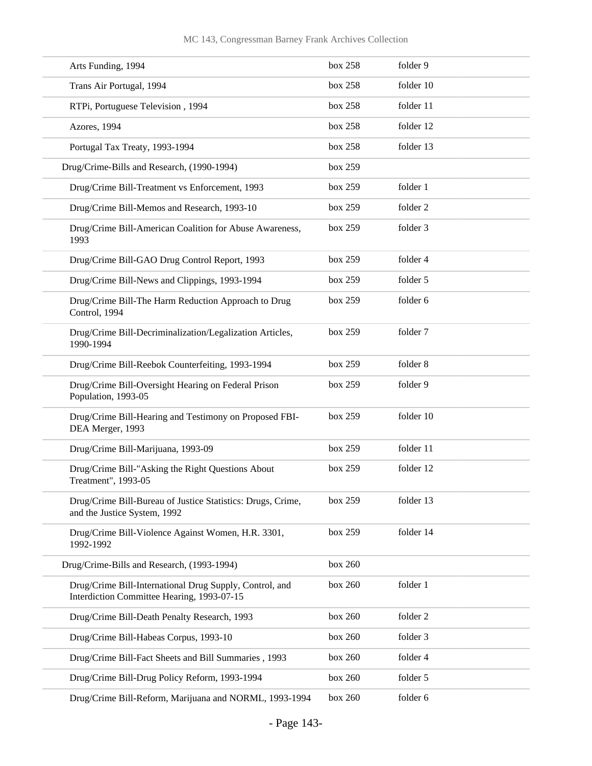| Arts Funding, 1994                                                                                    | box 258 | folder 9  |
|-------------------------------------------------------------------------------------------------------|---------|-----------|
| Trans Air Portugal, 1994                                                                              | box 258 | folder 10 |
| RTPi, Portuguese Television, 1994                                                                     | box 258 | folder 11 |
| Azores, 1994                                                                                          | box 258 | folder 12 |
| Portugal Tax Treaty, 1993-1994                                                                        | box 258 | folder 13 |
| Drug/Crime-Bills and Research, (1990-1994)                                                            | box 259 |           |
| Drug/Crime Bill-Treatment vs Enforcement, 1993                                                        | box 259 | folder 1  |
| Drug/Crime Bill-Memos and Research, 1993-10                                                           | box 259 | folder 2  |
| Drug/Crime Bill-American Coalition for Abuse Awareness,<br>1993                                       | box 259 | folder 3  |
| Drug/Crime Bill-GAO Drug Control Report, 1993                                                         | box 259 | folder 4  |
| Drug/Crime Bill-News and Clippings, 1993-1994                                                         | box 259 | folder 5  |
| Drug/Crime Bill-The Harm Reduction Approach to Drug<br>Control, 1994                                  | box 259 | folder 6  |
| Drug/Crime Bill-Decriminalization/Legalization Articles,<br>1990-1994                                 | box 259 | folder 7  |
| Drug/Crime Bill-Reebok Counterfeiting, 1993-1994                                                      | box 259 | folder 8  |
| Drug/Crime Bill-Oversight Hearing on Federal Prison<br>Population, 1993-05                            | box 259 | folder 9  |
| Drug/Crime Bill-Hearing and Testimony on Proposed FBI-<br>DEA Merger, 1993                            | box 259 | folder 10 |
| Drug/Crime Bill-Marijuana, 1993-09                                                                    | box 259 | folder 11 |
| Drug/Crime Bill-"Asking the Right Questions About<br>Treatment", 1993-05                              | box 259 | folder 12 |
| Drug/Crime Bill-Bureau of Justice Statistics: Drugs, Crime,<br>and the Justice System, 1992           | box 259 | folder 13 |
| Drug/Crime Bill-Violence Against Women, H.R. 3301,<br>1992-1992                                       | box 259 | folder 14 |
| Drug/Crime-Bills and Research, (1993-1994)                                                            | box 260 |           |
| Drug/Crime Bill-International Drug Supply, Control, and<br>Interdiction Committee Hearing, 1993-07-15 | box 260 | folder 1  |
| Drug/Crime Bill-Death Penalty Research, 1993                                                          | box 260 | folder 2  |
| Drug/Crime Bill-Habeas Corpus, 1993-10                                                                | box 260 | folder 3  |
| Drug/Crime Bill-Fact Sheets and Bill Summaries, 1993                                                  | box 260 | folder 4  |
| Drug/Crime Bill-Drug Policy Reform, 1993-1994                                                         | box 260 | folder 5  |
| Drug/Crime Bill-Reform, Marijuana and NORML, 1993-1994                                                | box 260 | folder 6  |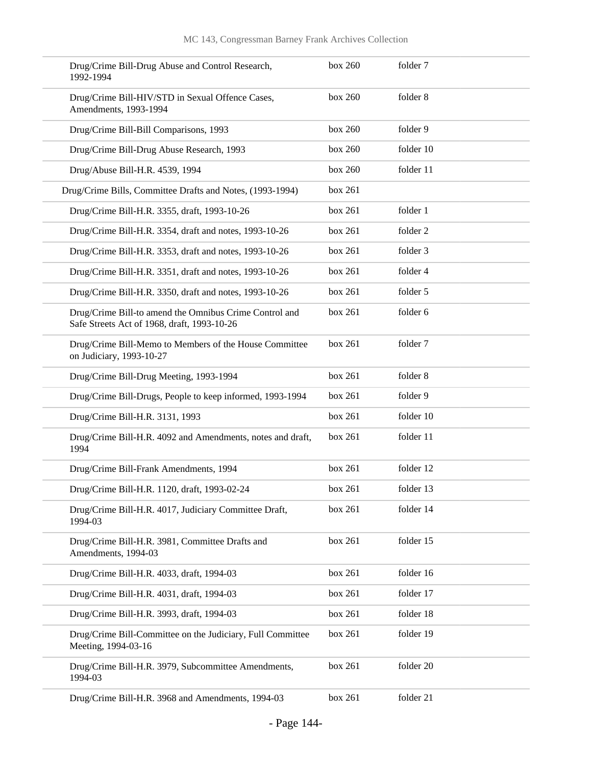| Drug/Crime Bill-Drug Abuse and Control Research,<br>1992-1994                                         | box 260 | folder 7  |
|-------------------------------------------------------------------------------------------------------|---------|-----------|
| Drug/Crime Bill-HIV/STD in Sexual Offence Cases,<br>Amendments, 1993-1994                             | box 260 | folder 8  |
| Drug/Crime Bill-Bill Comparisons, 1993                                                                | box 260 | folder 9  |
| Drug/Crime Bill-Drug Abuse Research, 1993                                                             | box 260 | folder 10 |
| Drug/Abuse Bill-H.R. 4539, 1994                                                                       | box 260 | folder 11 |
| Drug/Crime Bills, Committee Drafts and Notes, (1993-1994)                                             | box 261 |           |
| Drug/Crime Bill-H.R. 3355, draft, 1993-10-26                                                          | box 261 | folder 1  |
| Drug/Crime Bill-H.R. 3354, draft and notes, 1993-10-26                                                | box 261 | folder 2  |
| Drug/Crime Bill-H.R. 3353, draft and notes, 1993-10-26                                                | box 261 | folder 3  |
| Drug/Crime Bill-H.R. 3351, draft and notes, 1993-10-26                                                | box 261 | folder 4  |
| Drug/Crime Bill-H.R. 3350, draft and notes, 1993-10-26                                                | box 261 | folder 5  |
| Drug/Crime Bill-to amend the Omnibus Crime Control and<br>Safe Streets Act of 1968, draft, 1993-10-26 | box 261 | folder 6  |
| Drug/Crime Bill-Memo to Members of the House Committee<br>on Judiciary, 1993-10-27                    | box 261 | folder 7  |
| Drug/Crime Bill-Drug Meeting, 1993-1994                                                               | box 261 | folder 8  |
| Drug/Crime Bill-Drugs, People to keep informed, 1993-1994                                             | box 261 | folder 9  |
| Drug/Crime Bill-H.R. 3131, 1993                                                                       | box 261 | folder 10 |
| Drug/Crime Bill-H.R. 4092 and Amendments, notes and draft,<br>1994                                    | box 261 | folder 11 |
| Drug/Crime Bill-Frank Amendments, 1994                                                                | box 261 | folder 12 |
| Drug/Crime Bill-H.R. 1120, draft, 1993-02-24                                                          | box 261 | folder 13 |
| Drug/Crime Bill-H.R. 4017, Judiciary Committee Draft,<br>1994-03                                      | box 261 | folder 14 |
| Drug/Crime Bill-H.R. 3981, Committee Drafts and<br>Amendments, 1994-03                                | box 261 | folder 15 |
| Drug/Crime Bill-H.R. 4033, draft, 1994-03                                                             | box 261 | folder 16 |
| Drug/Crime Bill-H.R. 4031, draft, 1994-03                                                             | box 261 | folder 17 |
| Drug/Crime Bill-H.R. 3993, draft, 1994-03                                                             | box 261 | folder 18 |
| Drug/Crime Bill-Committee on the Judiciary, Full Committee<br>Meeting, 1994-03-16                     | box 261 | folder 19 |
| Drug/Crime Bill-H.R. 3979, Subcommittee Amendments,<br>1994-03                                        | box 261 | folder 20 |
| Drug/Crime Bill-H.R. 3968 and Amendments, 1994-03                                                     | box 261 | folder 21 |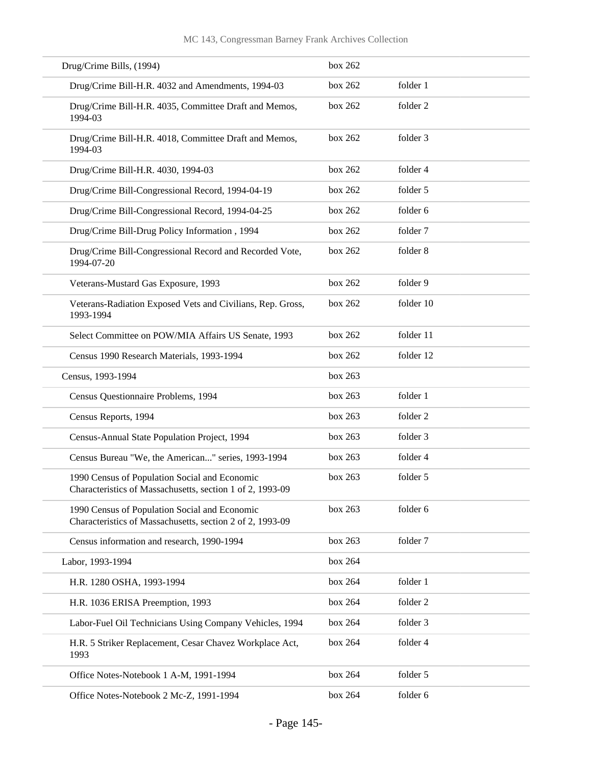| Drug/Crime Bills, (1994)                                                                                   | box 262 |           |
|------------------------------------------------------------------------------------------------------------|---------|-----------|
| Drug/Crime Bill-H.R. 4032 and Amendments, 1994-03                                                          | box 262 | folder 1  |
| Drug/Crime Bill-H.R. 4035, Committee Draft and Memos,<br>1994-03                                           | box 262 | folder 2  |
| Drug/Crime Bill-H.R. 4018, Committee Draft and Memos,<br>1994-03                                           | box 262 | folder 3  |
| Drug/Crime Bill-H.R. 4030, 1994-03                                                                         | box 262 | folder 4  |
| Drug/Crime Bill-Congressional Record, 1994-04-19                                                           | box 262 | folder 5  |
| Drug/Crime Bill-Congressional Record, 1994-04-25                                                           | box 262 | folder 6  |
| Drug/Crime Bill-Drug Policy Information, 1994                                                              | box 262 | folder 7  |
| Drug/Crime Bill-Congressional Record and Recorded Vote,<br>1994-07-20                                      | box 262 | folder 8  |
| Veterans-Mustard Gas Exposure, 1993                                                                        | box 262 | folder 9  |
| Veterans-Radiation Exposed Vets and Civilians, Rep. Gross,<br>1993-1994                                    | box 262 | folder 10 |
| Select Committee on POW/MIA Affairs US Senate, 1993                                                        | box 262 | folder 11 |
| Census 1990 Research Materials, 1993-1994                                                                  | box 262 | folder 12 |
| Census, 1993-1994                                                                                          | box 263 |           |
| Census Questionnaire Problems, 1994                                                                        | box 263 | folder 1  |
| Census Reports, 1994                                                                                       | box 263 | folder 2  |
| Census-Annual State Population Project, 1994                                                               | box 263 | folder 3  |
| Census Bureau "We, the American" series, 1993-1994                                                         | box 263 | folder 4  |
| 1990 Census of Population Social and Economic<br>Characteristics of Massachusetts, section 1 of 2, 1993-09 | box 263 | folder 5  |
| 1990 Census of Population Social and Economic<br>Characteristics of Massachusetts, section 2 of 2, 1993-09 | box 263 | folder 6  |
| Census information and research, 1990-1994                                                                 | box 263 | folder 7  |
| Labor, 1993-1994                                                                                           | box 264 |           |
| H.R. 1280 OSHA, 1993-1994                                                                                  | box 264 | folder 1  |
| H.R. 1036 ERISA Preemption, 1993                                                                           | box 264 | folder 2  |
| Labor-Fuel Oil Technicians Using Company Vehicles, 1994                                                    | box 264 | folder 3  |
| H.R. 5 Striker Replacement, Cesar Chavez Workplace Act,<br>1993                                            | box 264 | folder 4  |
| Office Notes-Notebook 1 A-M, 1991-1994                                                                     | box 264 | folder 5  |
| Office Notes-Notebook 2 Mc-Z, 1991-1994                                                                    | box 264 | folder 6  |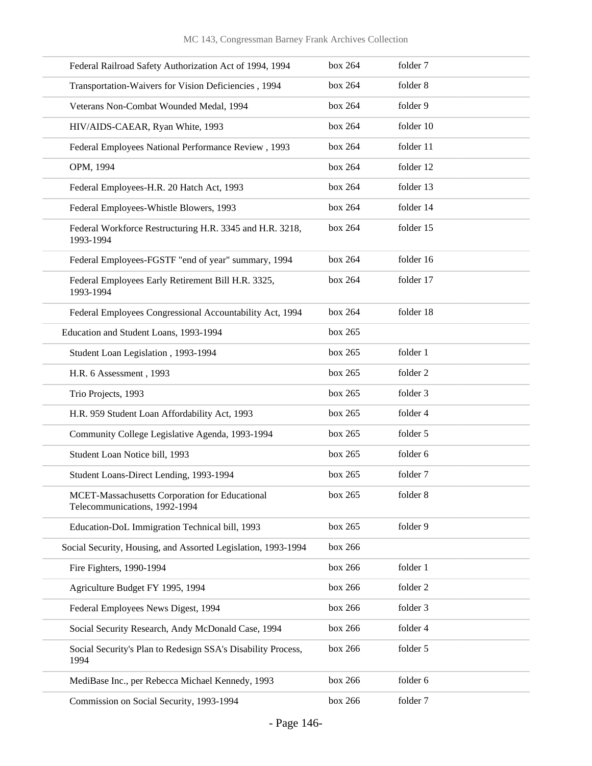| Federal Railroad Safety Authorization Act of 1994, 1994                         | box 264 | folder 7  |
|---------------------------------------------------------------------------------|---------|-----------|
| Transportation-Waivers for Vision Deficiencies, 1994                            | box 264 | folder 8  |
| Veterans Non-Combat Wounded Medal, 1994                                         | box 264 | folder 9  |
| HIV/AIDS-CAEAR, Ryan White, 1993                                                | box 264 | folder 10 |
| Federal Employees National Performance Review, 1993                             | box 264 | folder 11 |
| OPM, 1994                                                                       | box 264 | folder 12 |
| Federal Employees-H.R. 20 Hatch Act, 1993                                       | box 264 | folder 13 |
| Federal Employees-Whistle Blowers, 1993                                         | box 264 | folder 14 |
| Federal Workforce Restructuring H.R. 3345 and H.R. 3218,<br>1993-1994           | box 264 | folder 15 |
| Federal Employees-FGSTF "end of year" summary, 1994                             | box 264 | folder 16 |
| Federal Employees Early Retirement Bill H.R. 3325,<br>1993-1994                 | box 264 | folder 17 |
| Federal Employees Congressional Accountability Act, 1994                        | box 264 | folder 18 |
| Education and Student Loans, 1993-1994                                          | box 265 |           |
| Student Loan Legislation, 1993-1994                                             | box 265 | folder 1  |
| H.R. 6 Assessment, 1993                                                         | box 265 | folder 2  |
| Trio Projects, 1993                                                             | box 265 | folder 3  |
| H.R. 959 Student Loan Affordability Act, 1993                                   | box 265 | folder 4  |
| Community College Legislative Agenda, 1993-1994                                 | box 265 | folder 5  |
| Student Loan Notice bill, 1993                                                  | box 265 | folder 6  |
| Student Loans-Direct Lending, 1993-1994                                         | box 265 | folder 7  |
| MCET-Massachusetts Corporation for Educational<br>Telecommunications, 1992-1994 | box 265 | folder 8  |
| Education-DoL Immigration Technical bill, 1993                                  | box 265 | folder 9  |
| Social Security, Housing, and Assorted Legislation, 1993-1994                   | box 266 |           |
| Fire Fighters, 1990-1994                                                        | box 266 | folder 1  |
| Agriculture Budget FY 1995, 1994                                                | box 266 | folder 2  |
| Federal Employees News Digest, 1994                                             | box 266 | folder 3  |
| Social Security Research, Andy McDonald Case, 1994                              | box 266 | folder 4  |
| Social Security's Plan to Redesign SSA's Disability Process,<br>1994            | box 266 | folder 5  |
| MediBase Inc., per Rebecca Michael Kennedy, 1993                                | box 266 | folder 6  |
| Commission on Social Security, 1993-1994                                        | box 266 | folder 7  |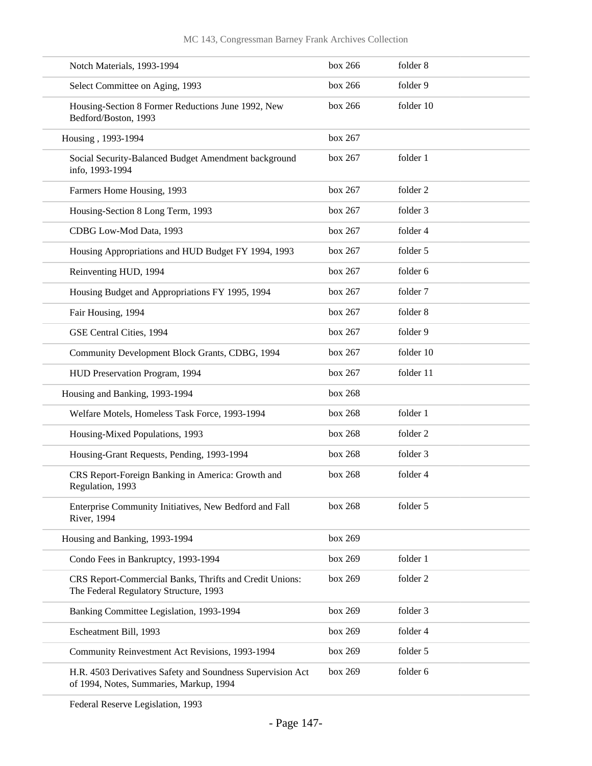| Notch Materials, 1993-1994                                                                            | box 266 | folder 8  |
|-------------------------------------------------------------------------------------------------------|---------|-----------|
| Select Committee on Aging, 1993                                                                       | box 266 | folder 9  |
| Housing-Section 8 Former Reductions June 1992, New<br>Bedford/Boston, 1993                            | box 266 | folder 10 |
| Housing, 1993-1994                                                                                    | box 267 |           |
| Social Security-Balanced Budget Amendment background<br>info, 1993-1994                               | box 267 | folder 1  |
| Farmers Home Housing, 1993                                                                            | box 267 | folder 2  |
| Housing-Section 8 Long Term, 1993                                                                     | box 267 | folder 3  |
| CDBG Low-Mod Data, 1993                                                                               | box 267 | folder 4  |
| Housing Appropriations and HUD Budget FY 1994, 1993                                                   | box 267 | folder 5  |
| Reinventing HUD, 1994                                                                                 | box 267 | folder 6  |
| Housing Budget and Appropriations FY 1995, 1994                                                       | box 267 | folder 7  |
| Fair Housing, 1994                                                                                    | box 267 | folder 8  |
| GSE Central Cities, 1994                                                                              | box 267 | folder 9  |
| Community Development Block Grants, CDBG, 1994                                                        | box 267 | folder 10 |
| HUD Preservation Program, 1994                                                                        | box 267 | folder 11 |
| Housing and Banking, 1993-1994                                                                        | box 268 |           |
| Welfare Motels, Homeless Task Force, 1993-1994                                                        | box 268 | folder 1  |
| Housing-Mixed Populations, 1993                                                                       | box 268 | folder 2  |
| Housing-Grant Requests, Pending, 1993-1994                                                            | box 268 | folder 3  |
| CRS Report-Foreign Banking in America: Growth and<br>Regulation, 1993                                 | box 268 | folder 4  |
| Enterprise Community Initiatives, New Bedford and Fall<br><b>River</b> , 1994                         | box 268 | folder 5  |
| Housing and Banking, 1993-1994                                                                        | box 269 |           |
| Condo Fees in Bankruptcy, 1993-1994                                                                   | box 269 | folder 1  |
| CRS Report-Commercial Banks, Thrifts and Credit Unions:<br>The Federal Regulatory Structure, 1993     | box 269 | folder 2  |
| Banking Committee Legislation, 1993-1994                                                              | box 269 | folder 3  |
| Escheatment Bill, 1993                                                                                | box 269 | folder 4  |
| Community Reinvestment Act Revisions, 1993-1994                                                       | box 269 | folder 5  |
| H.R. 4503 Derivatives Safety and Soundness Supervision Act<br>of 1994, Notes, Summaries, Markup, 1994 | box 269 | folder 6  |

Federal Reserve Legislation, 1993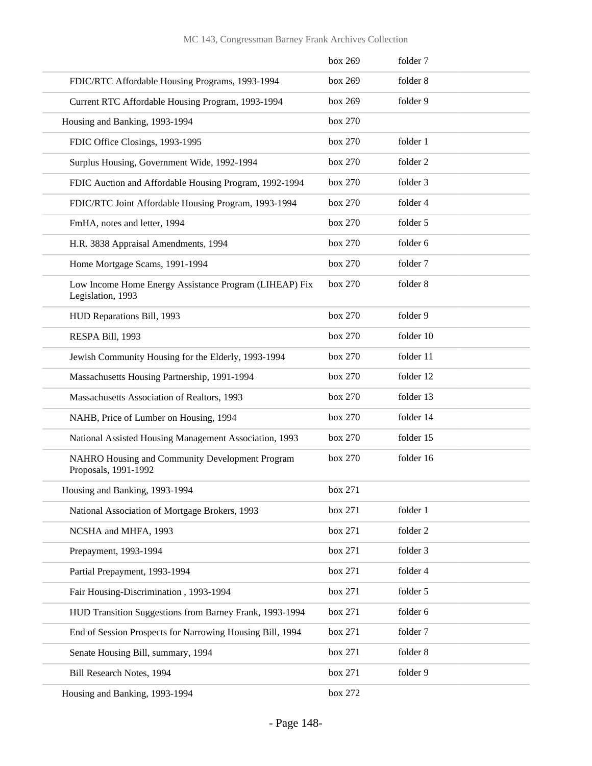|                                        |                                                           | box 269 | folder 7  |
|----------------------------------------|-----------------------------------------------------------|---------|-----------|
|                                        | FDIC/RTC Affordable Housing Programs, 1993-1994           | box 269 | folder 8  |
|                                        | Current RTC Affordable Housing Program, 1993-1994         | box 269 | folder 9  |
| Housing and Banking, 1993-1994         |                                                           | box 270 |           |
| FDIC Office Closings, 1993-1995        |                                                           | box 270 | folder 1  |
|                                        | Surplus Housing, Government Wide, 1992-1994               | box 270 | folder 2  |
|                                        | FDIC Auction and Affordable Housing Program, 1992-1994    | box 270 | folder 3  |
|                                        | FDIC/RTC Joint Affordable Housing Program, 1993-1994      | box 270 | folder 4  |
| FmHA, notes and letter, 1994           |                                                           | box 270 | folder 5  |
| H.R. 3838 Appraisal Amendments, 1994   |                                                           | box 270 | folder 6  |
| Home Mortgage Scams, 1991-1994         |                                                           | box 270 | folder 7  |
| Legislation, 1993                      | Low Income Home Energy Assistance Program (LIHEAP) Fix    | box 270 | folder 8  |
| HUD Reparations Bill, 1993             |                                                           | box 270 | folder 9  |
| RESPA Bill, 1993                       |                                                           | box 270 | folder 10 |
|                                        | Jewish Community Housing for the Elderly, 1993-1994       | box 270 | folder 11 |
|                                        | Massachusetts Housing Partnership, 1991-1994              | box 270 | folder 12 |
|                                        | Massachusetts Association of Realtors, 1993               | box 270 | folder 13 |
|                                        | NAHB, Price of Lumber on Housing, 1994                    | box 270 | folder 14 |
|                                        | National Assisted Housing Management Association, 1993    | box 270 | folder 15 |
| Proposals, 1991-1992                   | NAHRO Housing and Community Development Program           | box 270 | folder 16 |
| Housing and Banking, 1993-1994         |                                                           | box 271 |           |
|                                        | National Association of Mortgage Brokers, 1993            | box 271 | folder 1  |
| NCSHA and MHFA, 1993                   |                                                           | box 271 | folder 2  |
| Prepayment, 1993-1994                  |                                                           | box 271 | folder 3  |
| Partial Prepayment, 1993-1994          |                                                           | box 271 | folder 4  |
| Fair Housing-Discrimination, 1993-1994 |                                                           | box 271 | folder 5  |
|                                        | HUD Transition Suggestions from Barney Frank, 1993-1994   | box 271 | folder 6  |
|                                        | End of Session Prospects for Narrowing Housing Bill, 1994 | box 271 | folder 7  |
| Senate Housing Bill, summary, 1994     |                                                           | box 271 | folder 8  |
| Bill Research Notes, 1994              |                                                           | box 271 | folder 9  |
| Housing and Banking, 1993-1994         |                                                           | box 272 |           |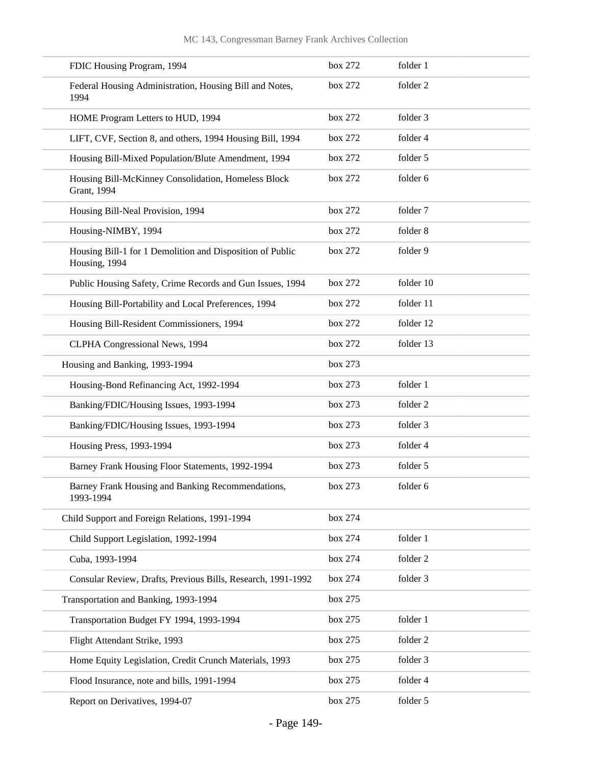| FDIC Housing Program, 1994                                                 | box 272 | folder 1  |
|----------------------------------------------------------------------------|---------|-----------|
| Federal Housing Administration, Housing Bill and Notes,<br>1994            | box 272 | folder 2  |
| HOME Program Letters to HUD, 1994                                          | box 272 | folder 3  |
| LIFT, CVF, Section 8, and others, 1994 Housing Bill, 1994                  | box 272 | folder 4  |
| Housing Bill-Mixed Population/Blute Amendment, 1994                        | box 272 | folder 5  |
| Housing Bill-McKinney Consolidation, Homeless Block<br>Grant, 1994         | box 272 | folder 6  |
| Housing Bill-Neal Provision, 1994                                          | box 272 | folder 7  |
| Housing-NIMBY, 1994                                                        | box 272 | folder 8  |
| Housing Bill-1 for 1 Demolition and Disposition of Public<br>Housing, 1994 | box 272 | folder 9  |
| Public Housing Safety, Crime Records and Gun Issues, 1994                  | box 272 | folder 10 |
| Housing Bill-Portability and Local Preferences, 1994                       | box 272 | folder 11 |
| Housing Bill-Resident Commissioners, 1994                                  | box 272 | folder 12 |
| CLPHA Congressional News, 1994                                             | box 272 | folder 13 |
| Housing and Banking, 1993-1994                                             | box 273 |           |
| Housing-Bond Refinancing Act, 1992-1994                                    | box 273 | folder 1  |
| Banking/FDIC/Housing Issues, 1993-1994                                     | box 273 | folder 2  |
| Banking/FDIC/Housing Issues, 1993-1994                                     | box 273 | folder 3  |
| Housing Press, 1993-1994                                                   | box 273 | folder 4  |
| Barney Frank Housing Floor Statements, 1992-1994                           | box 273 | folder 5  |
| Barney Frank Housing and Banking Recommendations,<br>1993-1994             | box 273 | folder 6  |
| Child Support and Foreign Relations, 1991-1994                             | box 274 |           |
| Child Support Legislation, 1992-1994                                       | box 274 | folder 1  |
| Cuba, 1993-1994                                                            | box 274 | folder 2  |
| Consular Review, Drafts, Previous Bills, Research, 1991-1992               | box 274 | folder 3  |
| Transportation and Banking, 1993-1994                                      | box 275 |           |
| Transportation Budget FY 1994, 1993-1994                                   | box 275 | folder 1  |
| Flight Attendant Strike, 1993                                              | box 275 | folder 2  |
| Home Equity Legislation, Credit Crunch Materials, 1993                     | box 275 | folder 3  |
| Flood Insurance, note and bills, 1991-1994                                 | box 275 | folder 4  |
| Report on Derivatives, 1994-07                                             | box 275 | folder 5  |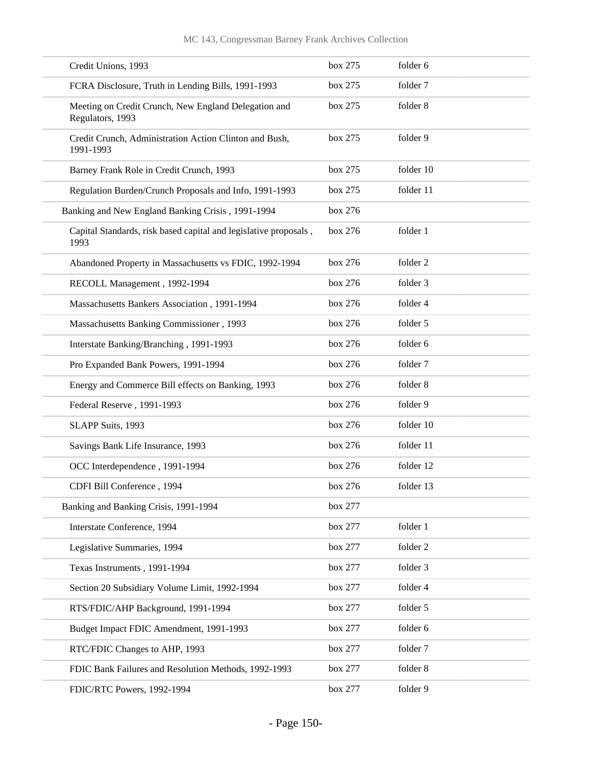| Credit Unions, 1993                                                      | box 275 | folder 6  |
|--------------------------------------------------------------------------|---------|-----------|
| FCRA Disclosure, Truth in Lending Bills, 1991-1993                       | box 275 | folder 7  |
| Meeting on Credit Crunch, New England Delegation and<br>Regulators, 1993 | box 275 | folder 8  |
| Credit Crunch, Administration Action Clinton and Bush,<br>1991-1993      | box 275 | folder 9  |
| Barney Frank Role in Credit Crunch, 1993                                 | box 275 | folder 10 |
| Regulation Burden/Crunch Proposals and Info, 1991-1993                   | box 275 | folder 11 |
| Banking and New England Banking Crisis, 1991-1994                        | box 276 |           |
| Capital Standards, risk based capital and legislative proposals,<br>1993 | box 276 | folder 1  |
| Abandoned Property in Massachusetts vs FDIC, 1992-1994                   | box 276 | folder 2  |
| RECOLL Management, 1992-1994                                             | box 276 | folder 3  |
| Massachusetts Bankers Association, 1991-1994                             | box 276 | folder 4  |
| Massachusetts Banking Commissioner, 1993                                 | box 276 | folder 5  |
| Interstate Banking/Branching, 1991-1993                                  | box 276 | folder 6  |
| Pro Expanded Bank Powers, 1991-1994                                      | box 276 | folder 7  |
| Energy and Commerce Bill effects on Banking, 1993                        | box 276 | folder 8  |
| Federal Reserve, 1991-1993                                               | box 276 | folder 9  |
| SLAPP Suits, 1993                                                        | box 276 | folder 10 |
| Savings Bank Life Insurance, 1993                                        | box 276 | folder 11 |
| OCC Interdependence, 1991-1994                                           | box 276 | folder 12 |
| CDFI Bill Conference, 1994                                               | box 276 | folder 13 |
| Banking and Banking Crisis, 1991-1994                                    | box 277 |           |
| Interstate Conference, 1994                                              | box 277 | folder 1  |
| Legislative Summaries, 1994                                              | box 277 | folder 2  |
| Texas Instruments, 1991-1994                                             | box 277 | folder 3  |
| Section 20 Subsidiary Volume Limit, 1992-1994                            | box 277 | folder 4  |
| RTS/FDIC/AHP Background, 1991-1994                                       | box 277 | folder 5  |
| Budget Impact FDIC Amendment, 1991-1993                                  | box 277 | folder 6  |
| RTC/FDIC Changes to AHP, 1993                                            | box 277 | folder 7  |
| FDIC Bank Failures and Resolution Methods, 1992-1993                     | box 277 | folder 8  |
| FDIC/RTC Powers, 1992-1994                                               | box 277 | folder 9  |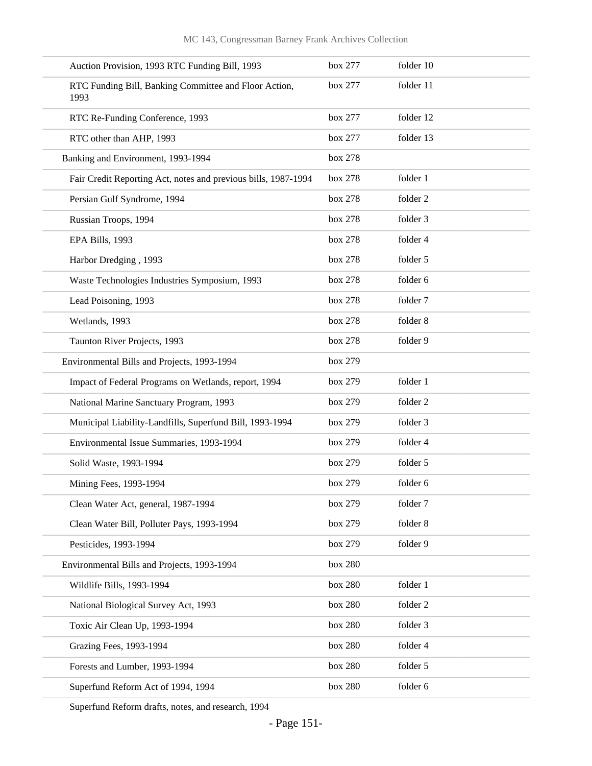| Auction Provision, 1993 RTC Funding Bill, 1993                 | box 277 | folder 10 |
|----------------------------------------------------------------|---------|-----------|
| RTC Funding Bill, Banking Committee and Floor Action,<br>1993  | box 277 | folder 11 |
| RTC Re-Funding Conference, 1993                                | box 277 | folder 12 |
| RTC other than AHP, 1993                                       | box 277 | folder 13 |
| Banking and Environment, 1993-1994                             | box 278 |           |
| Fair Credit Reporting Act, notes and previous bills, 1987-1994 | box 278 | folder 1  |
| Persian Gulf Syndrome, 1994                                    | box 278 | folder 2  |
| Russian Troops, 1994                                           | box 278 | folder 3  |
| EPA Bills, 1993                                                | box 278 | folder 4  |
| Harbor Dredging, 1993                                          | box 278 | folder 5  |
| Waste Technologies Industries Symposium, 1993                  | box 278 | folder 6  |
| Lead Poisoning, 1993                                           | box 278 | folder 7  |
| Wetlands, 1993                                                 | box 278 | folder 8  |
| Taunton River Projects, 1993                                   | box 278 | folder 9  |
| Environmental Bills and Projects, 1993-1994                    | box 279 |           |
| Impact of Federal Programs on Wetlands, report, 1994           | box 279 | folder 1  |
| National Marine Sanctuary Program, 1993                        | box 279 | folder 2  |
| Municipal Liability-Landfills, Superfund Bill, 1993-1994       | box 279 | folder 3  |
| Environmental Issue Summaries, 1993-1994                       | box 279 | folder 4  |
| Solid Waste, 1993-1994                                         | box 279 | folder 5  |
| Mining Fees, 1993-1994                                         | box 279 | folder 6  |
| Clean Water Act, general, 1987-1994                            | box 279 | folder 7  |
| Clean Water Bill, Polluter Pays, 1993-1994                     | box 279 | folder 8  |
| Pesticides, 1993-1994                                          | box 279 | folder 9  |
| Environmental Bills and Projects, 1993-1994                    | box 280 |           |
| Wildlife Bills, 1993-1994                                      | box 280 | folder 1  |
| National Biological Survey Act, 1993                           | box 280 | folder 2  |
| Toxic Air Clean Up, 1993-1994                                  | box 280 | folder 3  |
| Grazing Fees, 1993-1994                                        | box 280 | folder 4  |
| Forests and Lumber, 1993-1994                                  | box 280 | folder 5  |
| Superfund Reform Act of 1994, 1994                             | box 280 | folder 6  |

Superfund Reform drafts, notes, and research, 1994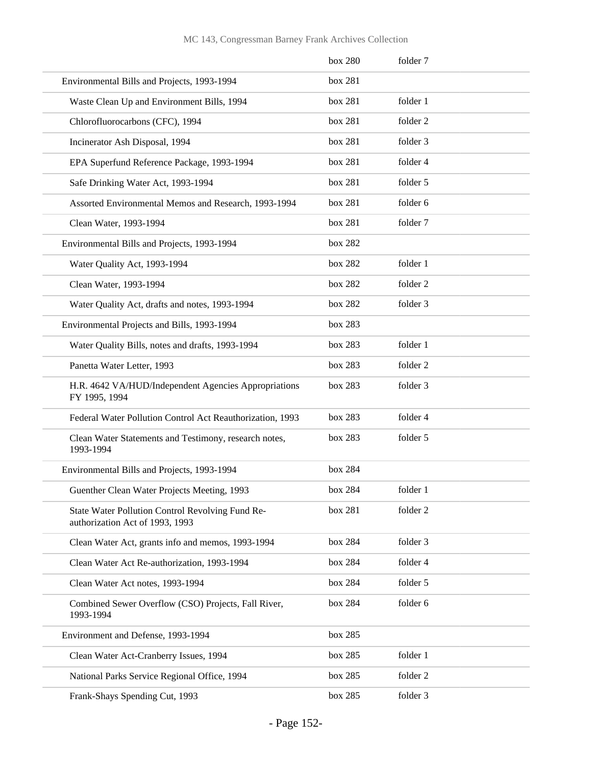|                                                                                     | box 280 | folder 7 |
|-------------------------------------------------------------------------------------|---------|----------|
| Environmental Bills and Projects, 1993-1994                                         | box 281 |          |
| Waste Clean Up and Environment Bills, 1994                                          | box 281 | folder 1 |
| Chlorofluorocarbons (CFC), 1994                                                     | box 281 | folder 2 |
| Incinerator Ash Disposal, 1994                                                      | box 281 | folder 3 |
| EPA Superfund Reference Package, 1993-1994                                          | box 281 | folder 4 |
| Safe Drinking Water Act, 1993-1994                                                  | box 281 | folder 5 |
| Assorted Environmental Memos and Research, 1993-1994                                | box 281 | folder 6 |
| Clean Water, 1993-1994                                                              | box 281 | folder 7 |
| Environmental Bills and Projects, 1993-1994                                         | box 282 |          |
| Water Quality Act, 1993-1994                                                        | box 282 | folder 1 |
| Clean Water, 1993-1994                                                              | box 282 | folder 2 |
| Water Quality Act, drafts and notes, 1993-1994                                      | box 282 | folder 3 |
| Environmental Projects and Bills, 1993-1994                                         | box 283 |          |
| Water Quality Bills, notes and drafts, 1993-1994                                    | box 283 | folder 1 |
| Panetta Water Letter, 1993                                                          | box 283 | folder 2 |
| H.R. 4642 VA/HUD/Independent Agencies Appropriations<br>FY 1995, 1994               | box 283 | folder 3 |
| Federal Water Pollution Control Act Reauthorization, 1993                           | box 283 | folder 4 |
| Clean Water Statements and Testimony, research notes,<br>1993-1994                  | box 283 | folder 5 |
| Environmental Bills and Projects, 1993-1994                                         | box 284 |          |
| Guenther Clean Water Projects Meeting, 1993                                         | box 284 | folder 1 |
| State Water Pollution Control Revolving Fund Re-<br>authorization Act of 1993, 1993 | box 281 | folder 2 |
| Clean Water Act, grants info and memos, 1993-1994                                   | box 284 | folder 3 |
| Clean Water Act Re-authorization, 1993-1994                                         | box 284 | folder 4 |
| Clean Water Act notes, 1993-1994                                                    | box 284 | folder 5 |
| Combined Sewer Overflow (CSO) Projects, Fall River,<br>1993-1994                    | box 284 | folder 6 |
| Environment and Defense, 1993-1994                                                  | box 285 |          |
| Clean Water Act-Cranberry Issues, 1994                                              | box 285 | folder 1 |
| National Parks Service Regional Office, 1994                                        | box 285 | folder 2 |
| Frank-Shays Spending Cut, 1993                                                      | box 285 | folder 3 |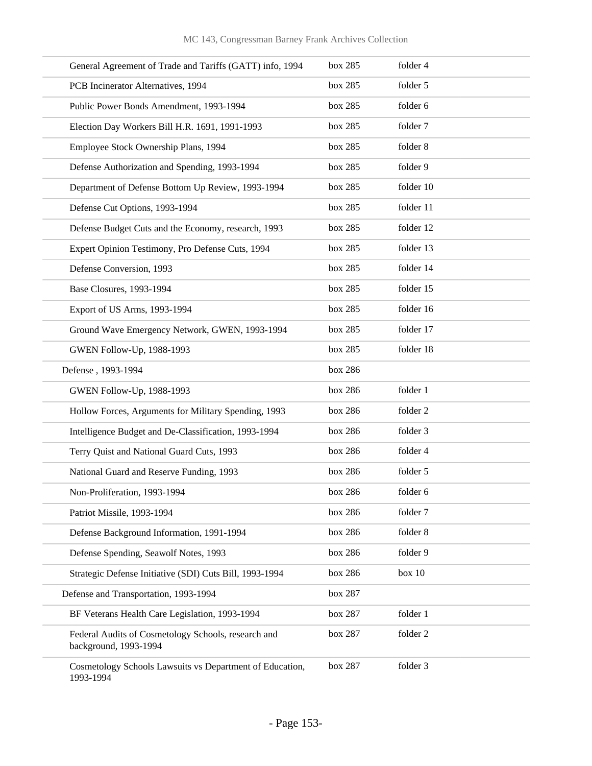| General Agreement of Trade and Tariffs (GATT) info, 1994                     | box 285 | folder 4  |
|------------------------------------------------------------------------------|---------|-----------|
| PCB Incinerator Alternatives, 1994                                           | box 285 | folder 5  |
| Public Power Bonds Amendment, 1993-1994                                      | box 285 | folder 6  |
| Election Day Workers Bill H.R. 1691, 1991-1993                               | box 285 | folder 7  |
| Employee Stock Ownership Plans, 1994                                         | box 285 | folder 8  |
| Defense Authorization and Spending, 1993-1994                                | box 285 | folder 9  |
| Department of Defense Bottom Up Review, 1993-1994                            | box 285 | folder 10 |
| Defense Cut Options, 1993-1994                                               | box 285 | folder 11 |
| Defense Budget Cuts and the Economy, research, 1993                          | box 285 | folder 12 |
| Expert Opinion Testimony, Pro Defense Cuts, 1994                             | box 285 | folder 13 |
| Defense Conversion, 1993                                                     | box 285 | folder 14 |
| Base Closures, 1993-1994                                                     | box 285 | folder 15 |
| Export of US Arms, 1993-1994                                                 | box 285 | folder 16 |
| Ground Wave Emergency Network, GWEN, 1993-1994                               | box 285 | folder 17 |
| GWEN Follow-Up, 1988-1993                                                    | box 285 | folder 18 |
| Defense, 1993-1994                                                           | box 286 |           |
| GWEN Follow-Up, 1988-1993                                                    | box 286 | folder 1  |
| Hollow Forces, Arguments for Military Spending, 1993                         | box 286 | folder 2  |
| Intelligence Budget and De-Classification, 1993-1994                         | box 286 | folder 3  |
| Terry Quist and National Guard Cuts, 1993                                    | box 286 | folder 4  |
| National Guard and Reserve Funding, 1993                                     | box 286 | folder 5  |
| Non-Proliferation, 1993-1994                                                 | box 286 | folder 6  |
| Patriot Missile, 1993-1994                                                   | box 286 | folder 7  |
| Defense Background Information, 1991-1994                                    | box 286 | folder 8  |
| Defense Spending, Seawolf Notes, 1993                                        | box 286 | folder 9  |
| Strategic Defense Initiative (SDI) Cuts Bill, 1993-1994                      | box 286 | box 10    |
| Defense and Transportation, 1993-1994                                        | box 287 |           |
| BF Veterans Health Care Legislation, 1993-1994                               | box 287 | folder 1  |
| Federal Audits of Cosmetology Schools, research and<br>background, 1993-1994 | box 287 | folder 2  |
| Cosmetology Schools Lawsuits vs Department of Education,<br>1993-1994        | box 287 | folder 3  |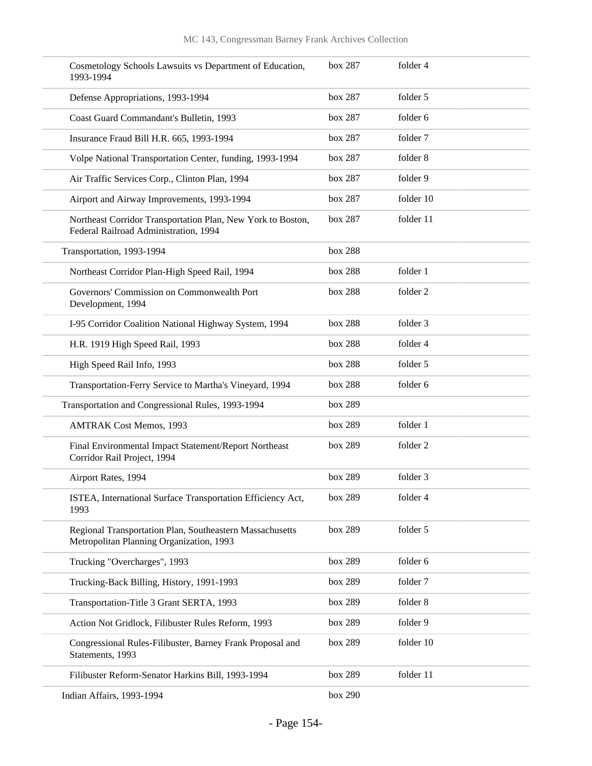| Cosmetology Schools Lawsuits vs Department of Education,<br>1993-1994                                | box 287 | folder 4  |
|------------------------------------------------------------------------------------------------------|---------|-----------|
| Defense Appropriations, 1993-1994                                                                    | box 287 | folder 5  |
| Coast Guard Commandant's Bulletin, 1993                                                              | box 287 | folder 6  |
| Insurance Fraud Bill H.R. 665, 1993-1994                                                             | box 287 | folder 7  |
| Volpe National Transportation Center, funding, 1993-1994                                             | box 287 | folder 8  |
| Air Traffic Services Corp., Clinton Plan, 1994                                                       | box 287 | folder 9  |
| Airport and Airway Improvements, 1993-1994                                                           | box 287 | folder 10 |
| Northeast Corridor Transportation Plan, New York to Boston,<br>Federal Railroad Administration, 1994 | box 287 | folder 11 |
| Transportation, 1993-1994                                                                            | box 288 |           |
| Northeast Corridor Plan-High Speed Rail, 1994                                                        | box 288 | folder 1  |
| Governors' Commission on Commonwealth Port<br>Development, 1994                                      | box 288 | folder 2  |
| I-95 Corridor Coalition National Highway System, 1994                                                | box 288 | folder 3  |
| H.R. 1919 High Speed Rail, 1993                                                                      | box 288 | folder 4  |
| High Speed Rail Info, 1993                                                                           | box 288 | folder 5  |
| Transportation-Ferry Service to Martha's Vineyard, 1994                                              | box 288 | folder 6  |
| Transportation and Congressional Rules, 1993-1994                                                    | box 289 |           |
| <b>AMTRAK Cost Memos, 1993</b>                                                                       | box 289 | folder 1  |
| Final Environmental Impact Statement/Report Northeast<br>Corridor Rail Project, 1994                 | box 289 | folder 2  |
| Airport Rates, 1994                                                                                  | box 289 | folder 3  |
| ISTEA, International Surface Transportation Efficiency Act,<br>1993                                  | box 289 | folder 4  |
| Regional Transportation Plan, Southeastern Massachusetts<br>Metropolitan Planning Organization, 1993 | box 289 | folder 5  |
| Trucking "Overcharges", 1993                                                                         | box 289 | folder 6  |
| Trucking-Back Billing, History, 1991-1993                                                            | box 289 | folder 7  |
| Transportation-Title 3 Grant SERTA, 1993                                                             | box 289 | folder 8  |
| Action Not Gridlock, Filibuster Rules Reform, 1993                                                   | box 289 | folder 9  |
| Congressional Rules-Filibuster, Barney Frank Proposal and<br>Statements, 1993                        | box 289 | folder 10 |
| Filibuster Reform-Senator Harkins Bill, 1993-1994                                                    | box 289 | folder 11 |
| Indian Affairs, 1993-1994                                                                            | box 290 |           |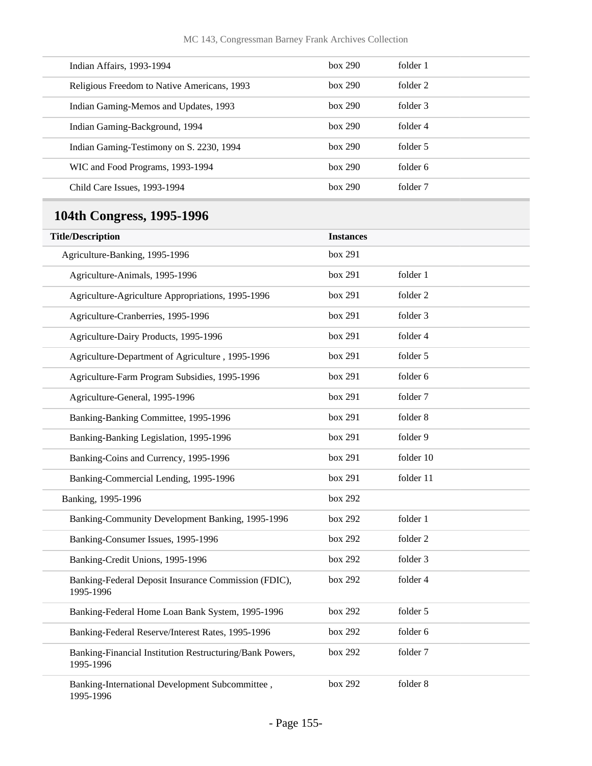| Indian Affairs, 1993-1994                                             | box 290          | folder 1  |
|-----------------------------------------------------------------------|------------------|-----------|
| Religious Freedom to Native Americans, 1993                           | box 290          | folder 2  |
| Indian Gaming-Memos and Updates, 1993                                 | box 290          | folder 3  |
| Indian Gaming-Background, 1994                                        | box 290          | folder 4  |
| Indian Gaming-Testimony on S. 2230, 1994                              | box 290          | folder 5  |
| WIC and Food Programs, 1993-1994                                      | box 290          | folder 6  |
| Child Care Issues, 1993-1994                                          | box 290          | folder 7  |
| 104th Congress, 1995-1996                                             |                  |           |
| <b>Title/Description</b>                                              | <b>Instances</b> |           |
| Agriculture-Banking, 1995-1996                                        | box 291          |           |
| Agriculture-Animals, 1995-1996                                        | box 291          | folder 1  |
| Agriculture-Agriculture Appropriations, 1995-1996                     | box 291          | folder 2  |
| Agriculture-Cranberries, 1995-1996                                    | box 291          | folder 3  |
| Agriculture-Dairy Products, 1995-1996                                 | box 291          | folder 4  |
| Agriculture-Department of Agriculture, 1995-1996                      | box 291          | folder 5  |
| Agriculture-Farm Program Subsidies, 1995-1996                         | box 291          | folder 6  |
| Agriculture-General, 1995-1996                                        | box 291          | folder 7  |
| Banking-Banking Committee, 1995-1996                                  | box 291          | folder 8  |
| Banking-Banking Legislation, 1995-1996                                | box 291          | folder 9  |
| Banking-Coins and Currency, 1995-1996                                 | box 291          | folder 10 |
| Banking-Commercial Lending, 1995-1996                                 | box 291          | folder 11 |
| Banking, 1995-1996                                                    | box 292          |           |
| Banking-Community Development Banking, 1995-1996                      | box 292          | folder 1  |
| Banking-Consumer Issues, 1995-1996                                    | box 292          | folder 2  |
| Banking-Credit Unions, 1995-1996                                      | box 292          | folder 3  |
| Banking-Federal Deposit Insurance Commission (FDIC),<br>1995-1996     | box 292          | folder 4  |
| Banking-Federal Home Loan Bank System, 1995-1996                      | box 292          | folder 5  |
| Banking-Federal Reserve/Interest Rates, 1995-1996                     | box 292          | folder 6  |
| Banking-Financial Institution Restructuring/Bank Powers,<br>1995-1996 | box 292          | folder 7  |
| Banking-International Development Subcommittee,<br>1995-1996          | box 292          | folder 8  |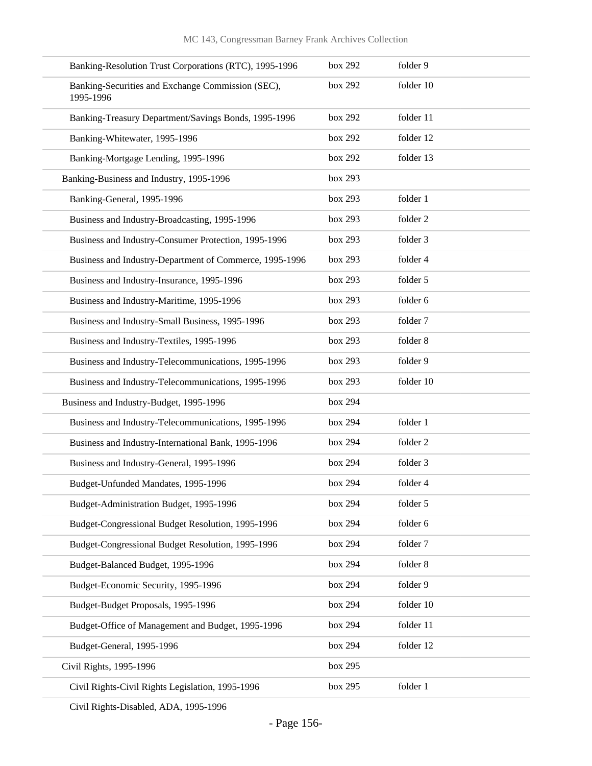| Banking-Resolution Trust Corporations (RTC), 1995-1996         | box 292 | folder 9  |
|----------------------------------------------------------------|---------|-----------|
| Banking-Securities and Exchange Commission (SEC),<br>1995-1996 | box 292 | folder 10 |
| Banking-Treasury Department/Savings Bonds, 1995-1996           | box 292 | folder 11 |
| Banking-Whitewater, 1995-1996                                  | box 292 | folder 12 |
| Banking-Mortgage Lending, 1995-1996                            | box 292 | folder 13 |
| Banking-Business and Industry, 1995-1996                       | box 293 |           |
| Banking-General, 1995-1996                                     | box 293 | folder 1  |
| Business and Industry-Broadcasting, 1995-1996                  | box 293 | folder 2  |
| Business and Industry-Consumer Protection, 1995-1996           | box 293 | folder 3  |
| Business and Industry-Department of Commerce, 1995-1996        | box 293 | folder 4  |
| Business and Industry-Insurance, 1995-1996                     | box 293 | folder 5  |
| Business and Industry-Maritime, 1995-1996                      | box 293 | folder 6  |
| Business and Industry-Small Business, 1995-1996                | box 293 | folder 7  |
| Business and Industry-Textiles, 1995-1996                      | box 293 | folder 8  |
| Business and Industry-Telecommunications, 1995-1996            | box 293 | folder 9  |
| Business and Industry-Telecommunications, 1995-1996            | box 293 | folder 10 |
| Business and Industry-Budget, 1995-1996                        | box 294 |           |
| Business and Industry-Telecommunications, 1995-1996            | box 294 | folder 1  |
| Business and Industry-International Bank, 1995-1996            | box 294 | folder 2  |
| Business and Industry-General, 1995-1996                       | box 294 | folder 3  |
| Budget-Unfunded Mandates, 1995-1996                            | box 294 | folder 4  |
| Budget-Administration Budget, 1995-1996                        | box 294 | folder 5  |
| Budget-Congressional Budget Resolution, 1995-1996              | box 294 | folder 6  |
| Budget-Congressional Budget Resolution, 1995-1996              | box 294 | folder 7  |
| Budget-Balanced Budget, 1995-1996                              | box 294 | folder 8  |
| Budget-Economic Security, 1995-1996                            | box 294 | folder 9  |
| Budget-Budget Proposals, 1995-1996                             | box 294 | folder 10 |
| Budget-Office of Management and Budget, 1995-1996              | box 294 | folder 11 |
| Budget-General, 1995-1996                                      | box 294 | folder 12 |
| Civil Rights, 1995-1996                                        | box 295 |           |
| Civil Rights-Civil Rights Legislation, 1995-1996               | box 295 | folder 1  |

Civil Rights-Disabled, ADA, 1995-1996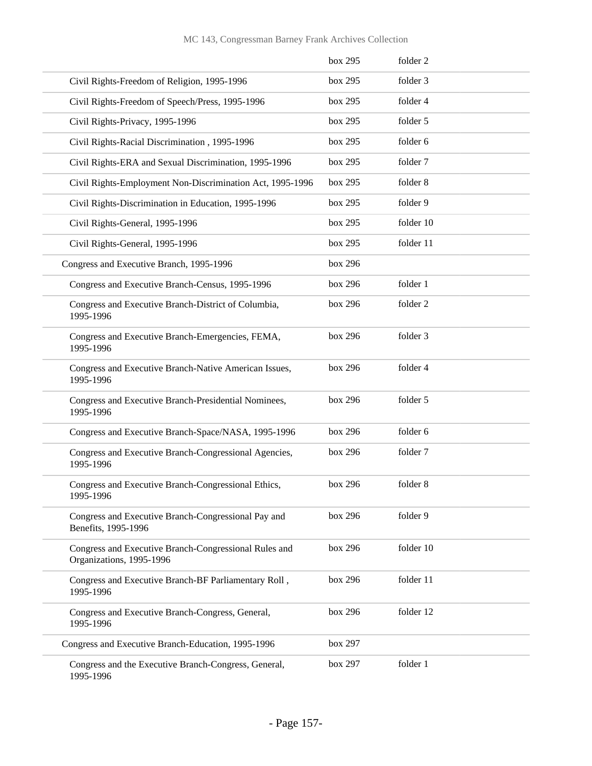|                                                                                   | box 295 | folder 2  |
|-----------------------------------------------------------------------------------|---------|-----------|
| Civil Rights-Freedom of Religion, 1995-1996                                       | box 295 | folder 3  |
| Civil Rights-Freedom of Speech/Press, 1995-1996                                   | box 295 | folder 4  |
| Civil Rights-Privacy, 1995-1996                                                   | box 295 | folder 5  |
| Civil Rights-Racial Discrimination, 1995-1996                                     | box 295 | folder 6  |
| Civil Rights-ERA and Sexual Discrimination, 1995-1996                             | box 295 | folder 7  |
| Civil Rights-Employment Non-Discrimination Act, 1995-1996                         | box 295 | folder 8  |
| Civil Rights-Discrimination in Education, 1995-1996                               | box 295 | folder 9  |
| Civil Rights-General, 1995-1996                                                   | box 295 | folder 10 |
| Civil Rights-General, 1995-1996                                                   | box 295 | folder 11 |
| Congress and Executive Branch, 1995-1996                                          | box 296 |           |
| Congress and Executive Branch-Census, 1995-1996                                   | box 296 | folder 1  |
| Congress and Executive Branch-District of Columbia,<br>1995-1996                  | box 296 | folder 2  |
| Congress and Executive Branch-Emergencies, FEMA,<br>1995-1996                     | box 296 | folder 3  |
| Congress and Executive Branch-Native American Issues,<br>1995-1996                | box 296 | folder 4  |
| Congress and Executive Branch-Presidential Nominees,<br>1995-1996                 | box 296 | folder 5  |
| Congress and Executive Branch-Space/NASA, 1995-1996                               | box 296 | folder 6  |
| Congress and Executive Branch-Congressional Agencies,<br>1995-1996                | box 296 | folder 7  |
| Congress and Executive Branch-Congressional Ethics,<br>1995-1996                  | box 296 | folder 8  |
| Congress and Executive Branch-Congressional Pay and<br>Benefits, 1995-1996        | box 296 | folder 9  |
| Congress and Executive Branch-Congressional Rules and<br>Organizations, 1995-1996 | box 296 | folder 10 |
| Congress and Executive Branch-BF Parliamentary Roll,<br>1995-1996                 | box 296 | folder 11 |
| Congress and Executive Branch-Congress, General,<br>1995-1996                     | box 296 | folder 12 |
| Congress and Executive Branch-Education, 1995-1996                                | box 297 |           |
| Congress and the Executive Branch-Congress, General,<br>1995-1996                 | box 297 | folder 1  |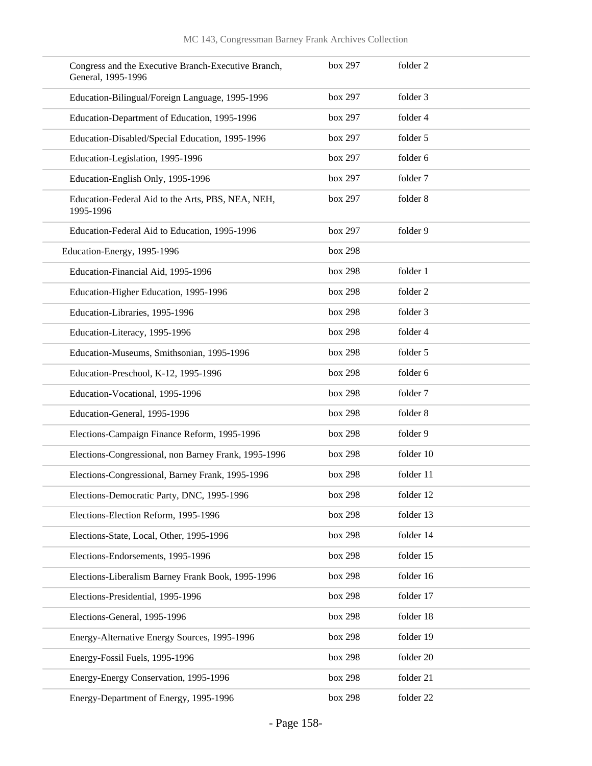| Congress and the Executive Branch-Executive Branch,<br>General, 1995-1996 | box 297 | folder 2  |
|---------------------------------------------------------------------------|---------|-----------|
| Education-Bilingual/Foreign Language, 1995-1996                           | box 297 | folder 3  |
| Education-Department of Education, 1995-1996                              | box 297 | folder 4  |
| Education-Disabled/Special Education, 1995-1996                           | box 297 | folder 5  |
| Education-Legislation, 1995-1996                                          | box 297 | folder 6  |
| Education-English Only, 1995-1996                                         | box 297 | folder 7  |
| Education-Federal Aid to the Arts, PBS, NEA, NEH,<br>1995-1996            | box 297 | folder 8  |
| Education-Federal Aid to Education, 1995-1996                             | box 297 | folder 9  |
| Education-Energy, 1995-1996                                               | box 298 |           |
| Education-Financial Aid, 1995-1996                                        | box 298 | folder 1  |
| Education-Higher Education, 1995-1996                                     | box 298 | folder 2  |
| Education-Libraries, 1995-1996                                            | box 298 | folder 3  |
| Education-Literacy, 1995-1996                                             | box 298 | folder 4  |
| Education-Museums, Smithsonian, 1995-1996                                 | box 298 | folder 5  |
| Education-Preschool, K-12, 1995-1996                                      | box 298 | folder 6  |
| Education-Vocational, 1995-1996                                           | box 298 | folder 7  |
| Education-General, 1995-1996                                              | box 298 | folder 8  |
| Elections-Campaign Finance Reform, 1995-1996                              | box 298 | folder 9  |
| Elections-Congressional, non Barney Frank, 1995-1996                      | box 298 | folder 10 |
| Elections-Congressional, Barney Frank, 1995-1996                          | box 298 | folder 11 |
| Elections-Democratic Party, DNC, 1995-1996                                | box 298 | folder 12 |
| Elections-Election Reform, 1995-1996                                      | box 298 | folder 13 |
| Elections-State, Local, Other, 1995-1996                                  | box 298 | folder 14 |
| Elections-Endorsements, 1995-1996                                         | box 298 | folder 15 |
| Elections-Liberalism Barney Frank Book, 1995-1996                         | box 298 | folder 16 |
| Elections-Presidential, 1995-1996                                         | box 298 | folder 17 |
| Elections-General, 1995-1996                                              | box 298 | folder 18 |
| Energy-Alternative Energy Sources, 1995-1996                              | box 298 | folder 19 |
| Energy-Fossil Fuels, 1995-1996                                            | box 298 | folder 20 |
| Energy-Energy Conservation, 1995-1996                                     | box 298 | folder 21 |
| Energy-Department of Energy, 1995-1996                                    | box 298 | folder 22 |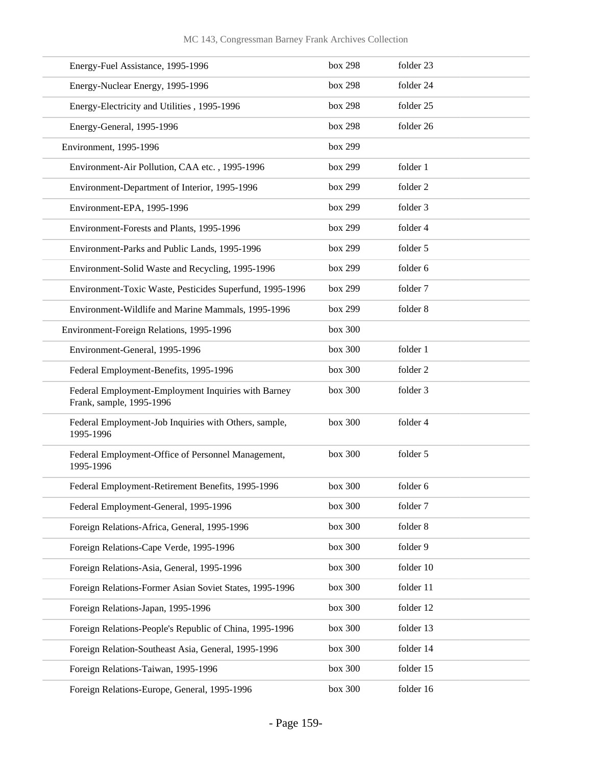| Energy-Fuel Assistance, 1995-1996                                               | box 298 | folder 23 |
|---------------------------------------------------------------------------------|---------|-----------|
| Energy-Nuclear Energy, 1995-1996                                                | box 298 | folder 24 |
| Energy-Electricity and Utilities, 1995-1996                                     | box 298 | folder 25 |
| Energy-General, 1995-1996                                                       | box 298 | folder 26 |
| Environment, 1995-1996                                                          | box 299 |           |
| Environment-Air Pollution, CAA etc., 1995-1996                                  | box 299 | folder 1  |
| Environment-Department of Interior, 1995-1996                                   | box 299 | folder 2  |
| Environment-EPA, 1995-1996                                                      | box 299 | folder 3  |
| Environment-Forests and Plants, 1995-1996                                       | box 299 | folder 4  |
| Environment-Parks and Public Lands, 1995-1996                                   | box 299 | folder 5  |
| Environment-Solid Waste and Recycling, 1995-1996                                | box 299 | folder 6  |
| Environment-Toxic Waste, Pesticides Superfund, 1995-1996                        | box 299 | folder 7  |
| Environment-Wildlife and Marine Mammals, 1995-1996                              | box 299 | folder 8  |
| Environment-Foreign Relations, 1995-1996                                        | box 300 |           |
| Environment-General, 1995-1996                                                  | box 300 | folder 1  |
| Federal Employment-Benefits, 1995-1996                                          | box 300 | folder 2  |
| Federal Employment-Employment Inquiries with Barney<br>Frank, sample, 1995-1996 | box 300 | folder 3  |
| Federal Employment-Job Inquiries with Others, sample,<br>1995-1996              | box 300 | folder 4  |
| Federal Employment-Office of Personnel Management,<br>1995-1996                 | box 300 | folder 5  |
| Federal Employment-Retirement Benefits, 1995-1996                               | box 300 | folder 6  |
| Federal Employment-General, 1995-1996                                           | box 300 | folder 7  |
| Foreign Relations-Africa, General, 1995-1996                                    | box 300 | folder 8  |
| Foreign Relations-Cape Verde, 1995-1996                                         | box 300 | folder 9  |
| Foreign Relations-Asia, General, 1995-1996                                      | box 300 | folder 10 |
| Foreign Relations-Former Asian Soviet States, 1995-1996                         | box 300 | folder 11 |
| Foreign Relations-Japan, 1995-1996                                              | box 300 | folder 12 |
| Foreign Relations-People's Republic of China, 1995-1996                         | box 300 | folder 13 |
| Foreign Relation-Southeast Asia, General, 1995-1996                             | box 300 | folder 14 |
| Foreign Relations-Taiwan, 1995-1996                                             | box 300 | folder 15 |
| Foreign Relations-Europe, General, 1995-1996                                    | box 300 | folder 16 |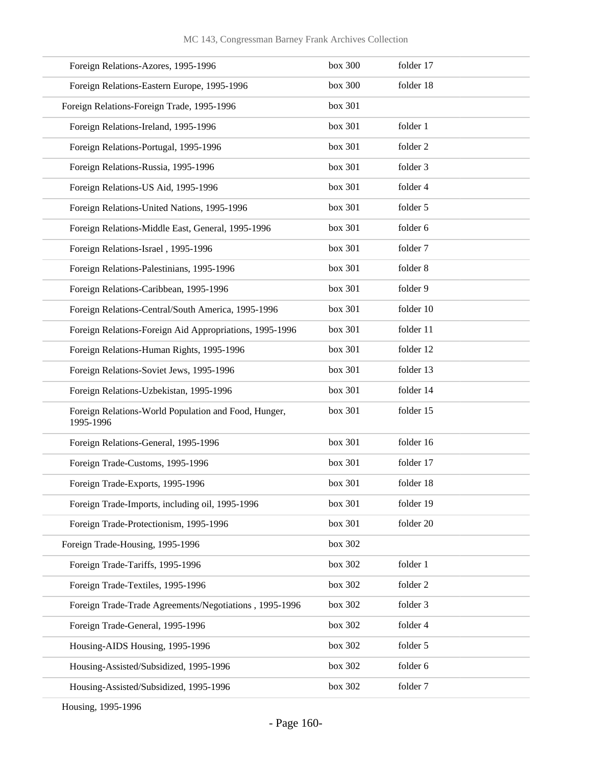| Foreign Relations-Azores, 1995-1996                               | box 300 | folder 17 |
|-------------------------------------------------------------------|---------|-----------|
| Foreign Relations-Eastern Europe, 1995-1996                       | box 300 | folder 18 |
| Foreign Relations-Foreign Trade, 1995-1996                        | box 301 |           |
| Foreign Relations-Ireland, 1995-1996                              | box 301 | folder 1  |
| Foreign Relations-Portugal, 1995-1996                             | box 301 | folder 2  |
| Foreign Relations-Russia, 1995-1996                               | box 301 | folder 3  |
| Foreign Relations-US Aid, 1995-1996                               | box 301 | folder 4  |
| Foreign Relations-United Nations, 1995-1996                       | box 301 | folder 5  |
| Foreign Relations-Middle East, General, 1995-1996                 | box 301 | folder 6  |
| Foreign Relations-Israel, 1995-1996                               | box 301 | folder 7  |
| Foreign Relations-Palestinians, 1995-1996                         | box 301 | folder 8  |
| Foreign Relations-Caribbean, 1995-1996                            | box 301 | folder 9  |
| Foreign Relations-Central/South America, 1995-1996                | box 301 | folder 10 |
| Foreign Relations-Foreign Aid Appropriations, 1995-1996           | box 301 | folder 11 |
| Foreign Relations-Human Rights, 1995-1996                         | box 301 | folder 12 |
| Foreign Relations-Soviet Jews, 1995-1996                          | box 301 | folder 13 |
| Foreign Relations-Uzbekistan, 1995-1996                           | box 301 | folder 14 |
| Foreign Relations-World Population and Food, Hunger,<br>1995-1996 | box 301 | folder 15 |
| Foreign Relations-General, 1995-1996                              | box 301 | folder 16 |
| Foreign Trade-Customs, 1995-1996                                  | box 301 | folder 17 |
| Foreign Trade-Exports, 1995-1996                                  | box 301 | folder 18 |
| Foreign Trade-Imports, including oil, 1995-1996                   | box 301 | folder 19 |
| Foreign Trade-Protectionism, 1995-1996                            | box 301 | folder 20 |
| Foreign Trade-Housing, 1995-1996                                  | box 302 |           |
| Foreign Trade-Tariffs, 1995-1996                                  | box 302 | folder 1  |
| Foreign Trade-Textiles, 1995-1996                                 | box 302 | folder 2  |
| Foreign Trade-Trade Agreements/Negotiations, 1995-1996            | box 302 | folder 3  |
| Foreign Trade-General, 1995-1996                                  | box 302 | folder 4  |
| Housing-AIDS Housing, 1995-1996                                   | box 302 | folder 5  |
| Housing-Assisted/Subsidized, 1995-1996                            | box 302 | folder 6  |
| Housing-Assisted/Subsidized, 1995-1996                            | box 302 | folder 7  |

Housing, 1995-1996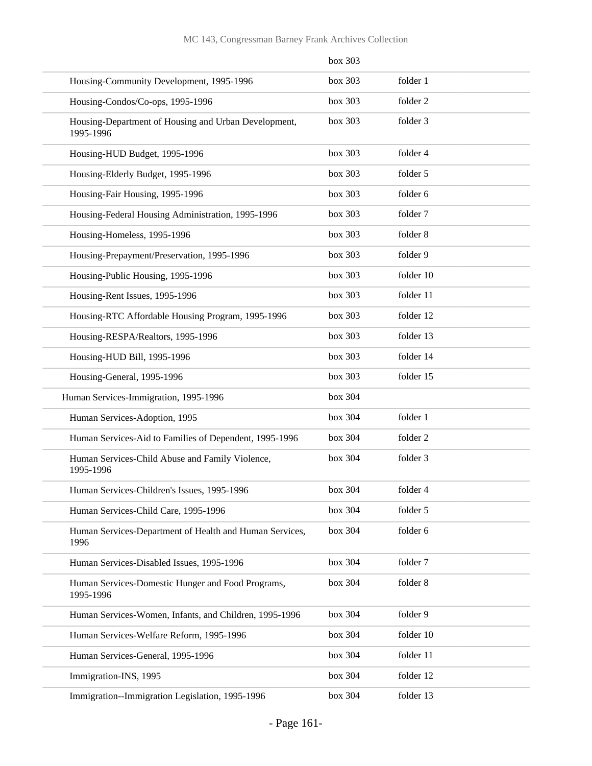|                                                                   | box 303 |           |
|-------------------------------------------------------------------|---------|-----------|
| Housing-Community Development, 1995-1996                          | box 303 | folder 1  |
| Housing-Condos/Co-ops, 1995-1996                                  | box 303 | folder 2  |
| Housing-Department of Housing and Urban Development,<br>1995-1996 | box 303 | folder 3  |
| Housing-HUD Budget, 1995-1996                                     | box 303 | folder 4  |
| Housing-Elderly Budget, 1995-1996                                 | box 303 | folder 5  |
| Housing-Fair Housing, 1995-1996                                   | box 303 | folder 6  |
| Housing-Federal Housing Administration, 1995-1996                 | box 303 | folder 7  |
| Housing-Homeless, 1995-1996                                       | box 303 | folder 8  |
| Housing-Prepayment/Preservation, 1995-1996                        | box 303 | folder 9  |
| Housing-Public Housing, 1995-1996                                 | box 303 | folder 10 |
| Housing-Rent Issues, 1995-1996                                    | box 303 | folder 11 |
| Housing-RTC Affordable Housing Program, 1995-1996                 | box 303 | folder 12 |
| Housing-RESPA/Realtors, 1995-1996                                 | box 303 | folder 13 |
| Housing-HUD Bill, 1995-1996                                       | box 303 | folder 14 |
| Housing-General, 1995-1996                                        | box 303 | folder 15 |
| Human Services-Immigration, 1995-1996                             | box 304 |           |
| Human Services-Adoption, 1995                                     | box 304 | folder 1  |
| Human Services-Aid to Families of Dependent, 1995-1996            | box 304 | folder 2  |
| Human Services-Child Abuse and Family Violence,<br>1995-1996      | box 304 | folder 3  |
| Human Services-Children's Issues, 1995-1996                       | box 304 | folder 4  |
| Human Services-Child Care, 1995-1996                              | box 304 | folder 5  |
| Human Services-Department of Health and Human Services,<br>1996   | box 304 | folder 6  |
| Human Services-Disabled Issues, 1995-1996                         | box 304 | folder 7  |
| Human Services-Domestic Hunger and Food Programs,<br>1995-1996    | box 304 | folder 8  |
| Human Services-Women, Infants, and Children, 1995-1996            | box 304 | folder 9  |
| Human Services-Welfare Reform, 1995-1996                          | box 304 | folder 10 |
| Human Services-General, 1995-1996                                 | box 304 | folder 11 |
| Immigration-INS, 1995                                             | box 304 | folder 12 |
| Immigration--Immigration Legislation, 1995-1996                   | box 304 | folder 13 |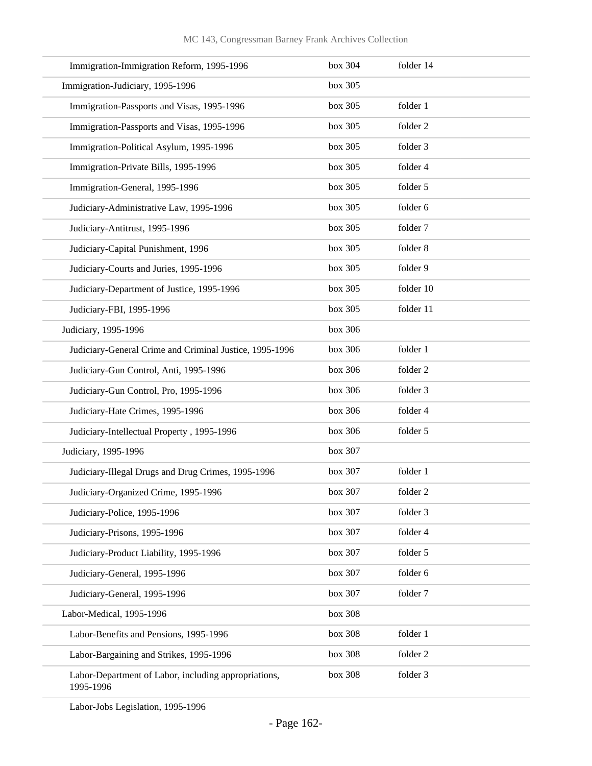| Immigration-Immigration Reform, 1995-1996                         | box 304 | folder 14 |
|-------------------------------------------------------------------|---------|-----------|
| Immigration-Judiciary, 1995-1996                                  | box 305 |           |
| Immigration-Passports and Visas, 1995-1996                        | box 305 | folder 1  |
| Immigration-Passports and Visas, 1995-1996                        | box 305 | folder 2  |
| Immigration-Political Asylum, 1995-1996                           | box 305 | folder 3  |
| Immigration-Private Bills, 1995-1996                              | box 305 | folder 4  |
| Immigration-General, 1995-1996                                    | box 305 | folder 5  |
| Judiciary-Administrative Law, 1995-1996                           | box 305 | folder 6  |
| Judiciary-Antitrust, 1995-1996                                    | box 305 | folder 7  |
| Judiciary-Capital Punishment, 1996                                | box 305 | folder 8  |
| Judiciary-Courts and Juries, 1995-1996                            | box 305 | folder 9  |
| Judiciary-Department of Justice, 1995-1996                        | box 305 | folder 10 |
| Judiciary-FBI, 1995-1996                                          | box 305 | folder 11 |
| Judiciary, 1995-1996                                              | box 306 |           |
| Judiciary-General Crime and Criminal Justice, 1995-1996           | box 306 | folder 1  |
| Judiciary-Gun Control, Anti, 1995-1996                            | box 306 | folder 2  |
| Judiciary-Gun Control, Pro, 1995-1996                             | box 306 | folder 3  |
| Judiciary-Hate Crimes, 1995-1996                                  | box 306 | folder 4  |
| Judiciary-Intellectual Property, 1995-1996                        | box 306 | folder 5  |
| Judiciary, 1995-1996                                              | box 307 |           |
| Judiciary-Illegal Drugs and Drug Crimes, 1995-1996                | box 307 | folder 1  |
| Judiciary-Organized Crime, 1995-1996                              | box 307 | folder 2  |
| Judiciary-Police, 1995-1996                                       | box 307 | folder 3  |
| Judiciary-Prisons, 1995-1996                                      | box 307 | folder 4  |
| Judiciary-Product Liability, 1995-1996                            | box 307 | folder 5  |
| Judiciary-General, 1995-1996                                      | box 307 | folder 6  |
| Judiciary-General, 1995-1996                                      | box 307 | folder 7  |
| Labor-Medical, 1995-1996                                          | box 308 |           |
| Labor-Benefits and Pensions, 1995-1996                            | box 308 | folder 1  |
| Labor-Bargaining and Strikes, 1995-1996                           | box 308 | folder 2  |
| Labor-Department of Labor, including appropriations,<br>1995-1996 | box 308 | folder 3  |

Labor-Jobs Legislation, 1995-1996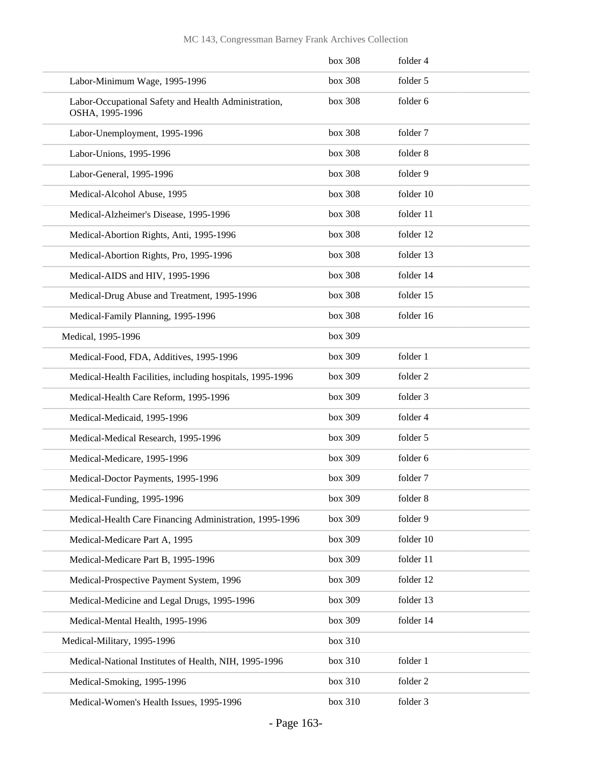|                                                                         | box 308 | folder 4  |
|-------------------------------------------------------------------------|---------|-----------|
| Labor-Minimum Wage, 1995-1996                                           | box 308 | folder 5  |
| Labor-Occupational Safety and Health Administration,<br>OSHA, 1995-1996 | box 308 | folder 6  |
| Labor-Unemployment, 1995-1996                                           | box 308 | folder 7  |
| Labor-Unions, 1995-1996                                                 | box 308 | folder 8  |
| Labor-General, 1995-1996                                                | box 308 | folder 9  |
| Medical-Alcohol Abuse, 1995                                             | box 308 | folder 10 |
| Medical-Alzheimer's Disease, 1995-1996                                  | box 308 | folder 11 |
| Medical-Abortion Rights, Anti, 1995-1996                                | box 308 | folder 12 |
| Medical-Abortion Rights, Pro, 1995-1996                                 | box 308 | folder 13 |
| Medical-AIDS and HIV, 1995-1996                                         | box 308 | folder 14 |
| Medical-Drug Abuse and Treatment, 1995-1996                             | box 308 | folder 15 |
| Medical-Family Planning, 1995-1996                                      | box 308 | folder 16 |
| Medical, 1995-1996                                                      | box 309 |           |
| Medical-Food, FDA, Additives, 1995-1996                                 | box 309 | folder 1  |
| Medical-Health Facilities, including hospitals, 1995-1996               | box 309 | folder 2  |
| Medical-Health Care Reform, 1995-1996                                   | box 309 | folder 3  |
| Medical-Medicaid, 1995-1996                                             | box 309 | folder 4  |
| Medical-Medical Research, 1995-1996                                     | box 309 | folder 5  |
| Medical-Medicare, 1995-1996                                             | box 309 | folder 6  |
| Medical-Doctor Payments, 1995-1996                                      | box 309 | folder 7  |
| Medical-Funding, 1995-1996                                              | box 309 | folder 8  |
| Medical-Health Care Financing Administration, 1995-1996                 | box 309 | folder 9  |
| Medical-Medicare Part A, 1995                                           | box 309 | folder 10 |
| Medical-Medicare Part B, 1995-1996                                      | box 309 | folder 11 |
| Medical-Prospective Payment System, 1996                                | box 309 | folder 12 |
| Medical-Medicine and Legal Drugs, 1995-1996                             | box 309 | folder 13 |
| Medical-Mental Health, 1995-1996                                        | box 309 | folder 14 |
| Medical-Military, 1995-1996                                             | box 310 |           |
| Medical-National Institutes of Health, NIH, 1995-1996                   | box 310 | folder 1  |
| Medical-Smoking, 1995-1996                                              | box 310 | folder 2  |
| Medical-Women's Health Issues, 1995-1996                                | box 310 | folder 3  |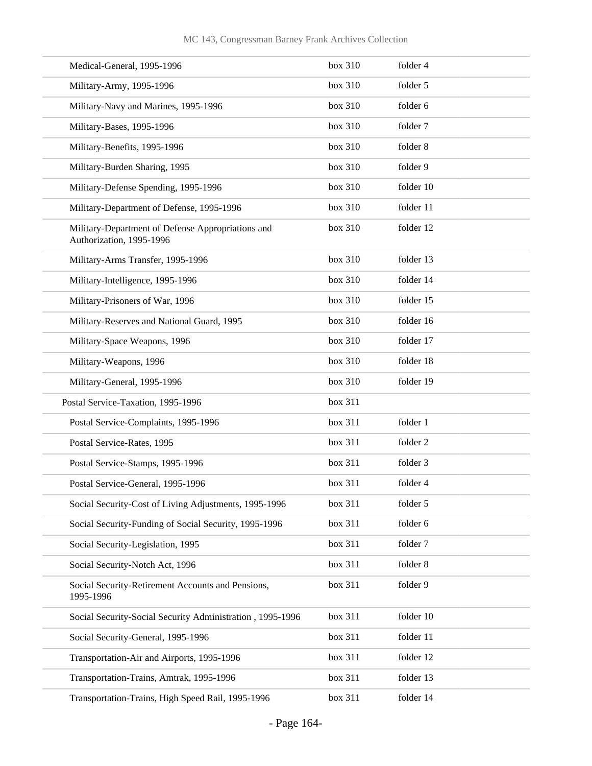| Medical-General, 1995-1996                                                    | box 310 | folder 4  |
|-------------------------------------------------------------------------------|---------|-----------|
| Military-Army, 1995-1996                                                      | box 310 | folder 5  |
| Military-Navy and Marines, 1995-1996                                          | box 310 | folder 6  |
| Military-Bases, 1995-1996                                                     | box 310 | folder 7  |
| Military-Benefits, 1995-1996                                                  | box 310 | folder 8  |
| Military-Burden Sharing, 1995                                                 | box 310 | folder 9  |
| Military-Defense Spending, 1995-1996                                          | box 310 | folder 10 |
| Military-Department of Defense, 1995-1996                                     | box 310 | folder 11 |
| Military-Department of Defense Appropriations and<br>Authorization, 1995-1996 | box 310 | folder 12 |
| Military-Arms Transfer, 1995-1996                                             | box 310 | folder 13 |
| Military-Intelligence, 1995-1996                                              | box 310 | folder 14 |
| Military-Prisoners of War, 1996                                               | box 310 | folder 15 |
| Military-Reserves and National Guard, 1995                                    | box 310 | folder 16 |
| Military-Space Weapons, 1996                                                  | box 310 | folder 17 |
| Military-Weapons, 1996                                                        | box 310 | folder 18 |
| Military-General, 1995-1996                                                   | box 310 | folder 19 |
| Postal Service-Taxation, 1995-1996                                            | box 311 |           |
| Postal Service-Complaints, 1995-1996                                          | box 311 | folder 1  |
| Postal Service-Rates, 1995                                                    | box 311 | folder 2  |
| Postal Service-Stamps, 1995-1996                                              | box 311 | folder 3  |
| Postal Service-General, 1995-1996                                             | box 311 | folder 4  |
| Social Security-Cost of Living Adjustments, 1995-1996                         | box 311 | folder 5  |
| Social Security-Funding of Social Security, 1995-1996                         | box 311 | folder 6  |
| Social Security-Legislation, 1995                                             | box 311 | folder 7  |
| Social Security-Notch Act, 1996                                               | box 311 | folder 8  |
| Social Security-Retirement Accounts and Pensions,<br>1995-1996                | box 311 | folder 9  |
| Social Security-Social Security Administration, 1995-1996                     | box 311 | folder 10 |
| Social Security-General, 1995-1996                                            | box 311 | folder 11 |
| Transportation-Air and Airports, 1995-1996                                    | box 311 | folder 12 |
| Transportation-Trains, Amtrak, 1995-1996                                      | box 311 | folder 13 |
| Transportation-Trains, High Speed Rail, 1995-1996                             | box 311 | folder 14 |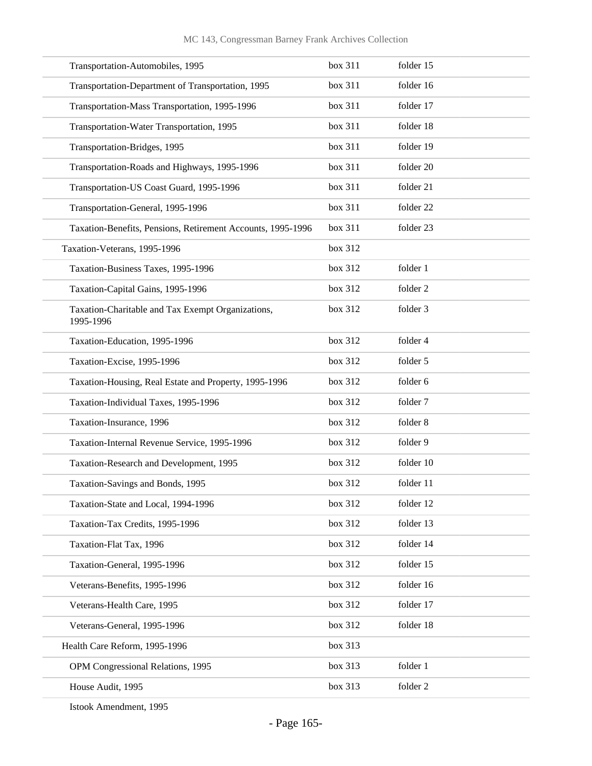| box 311 | folder 15 |
|---------|-----------|
| box 311 | folder 16 |
| box 311 | folder 17 |
| box 311 | folder 18 |
| box 311 | folder 19 |
| box 311 | folder 20 |
| box 311 | folder 21 |
| box 311 | folder 22 |
| box 311 | folder 23 |
| box 312 |           |
| box 312 | folder 1  |
| box 312 | folder 2  |
| box 312 | folder 3  |
| box 312 | folder 4  |
| box 312 | folder 5  |
| box 312 | folder 6  |
| box 312 | folder 7  |
| box 312 | folder 8  |
| box 312 | folder 9  |
| box 312 | folder 10 |
| box 312 | folder 11 |
| box 312 | folder 12 |
| box 312 | folder 13 |
| box 312 | folder 14 |
| box 312 | folder 15 |
| box 312 | folder 16 |
| box 312 | folder 17 |
| box 312 | folder 18 |
| box 313 |           |
| box 313 | folder 1  |
| box 313 | folder 2  |
|         |           |

Istook Amendment, 1995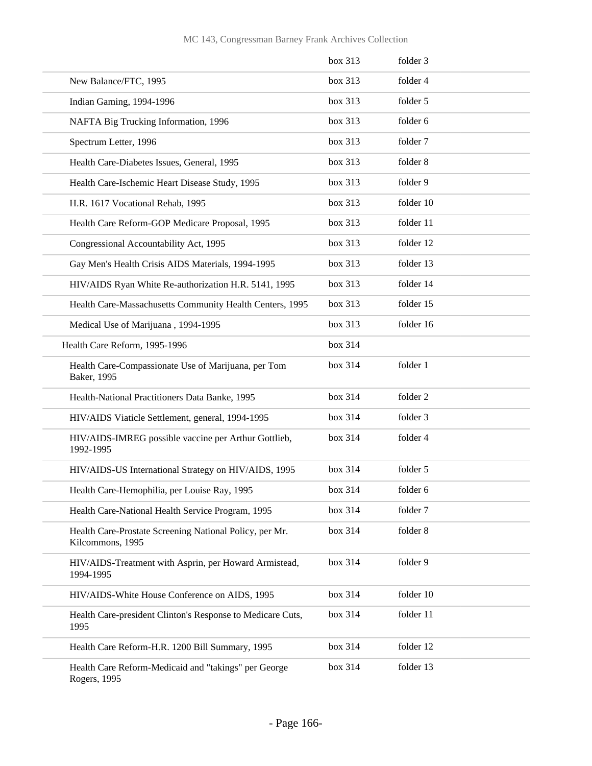|                                                                             | box 313 | folder 3  |
|-----------------------------------------------------------------------------|---------|-----------|
| New Balance/FTC, 1995                                                       | box 313 | folder 4  |
| Indian Gaming, 1994-1996                                                    | box 313 | folder 5  |
| NAFTA Big Trucking Information, 1996                                        | box 313 | folder 6  |
| Spectrum Letter, 1996                                                       | box 313 | folder 7  |
| Health Care-Diabetes Issues, General, 1995                                  | box 313 | folder 8  |
| Health Care-Ischemic Heart Disease Study, 1995                              | box 313 | folder 9  |
| H.R. 1617 Vocational Rehab, 1995                                            | box 313 | folder 10 |
| Health Care Reform-GOP Medicare Proposal, 1995                              | box 313 | folder 11 |
| Congressional Accountability Act, 1995                                      | box 313 | folder 12 |
| Gay Men's Health Crisis AIDS Materials, 1994-1995                           | box 313 | folder 13 |
| HIV/AIDS Ryan White Re-authorization H.R. 5141, 1995                        | box 313 | folder 14 |
| Health Care-Massachusetts Community Health Centers, 1995                    | box 313 | folder 15 |
| Medical Use of Marijuana, 1994-1995                                         | box 313 | folder 16 |
| Health Care Reform, 1995-1996                                               | box 314 |           |
| Health Care-Compassionate Use of Marijuana, per Tom<br>Baker, 1995          | box 314 | folder 1  |
| Health-National Practitioners Data Banke, 1995                              | box 314 | folder 2  |
| HIV/AIDS Viaticle Settlement, general, 1994-1995                            | box 314 | folder 3  |
| HIV/AIDS-IMREG possible vaccine per Arthur Gottlieb,<br>1992-1995           | box 314 | folder 4  |
| HIV/AIDS-US International Strategy on HIV/AIDS, 1995                        | box 314 | folder 5  |
| Health Care-Hemophilia, per Louise Ray, 1995                                | box 314 | folder 6  |
| Health Care-National Health Service Program, 1995                           | box 314 | folder 7  |
| Health Care-Prostate Screening National Policy, per Mr.<br>Kilcommons, 1995 | box 314 | folder 8  |
| HIV/AIDS-Treatment with Asprin, per Howard Armistead,<br>1994-1995          | box 314 | folder 9  |
| HIV/AIDS-White House Conference on AIDS, 1995                               | box 314 | folder 10 |
| Health Care-president Clinton's Response to Medicare Cuts,<br>1995          | box 314 | folder 11 |
| Health Care Reform-H.R. 1200 Bill Summary, 1995                             | box 314 | folder 12 |
| Health Care Reform-Medicaid and "takings" per George<br>Rogers, 1995        | box 314 | folder 13 |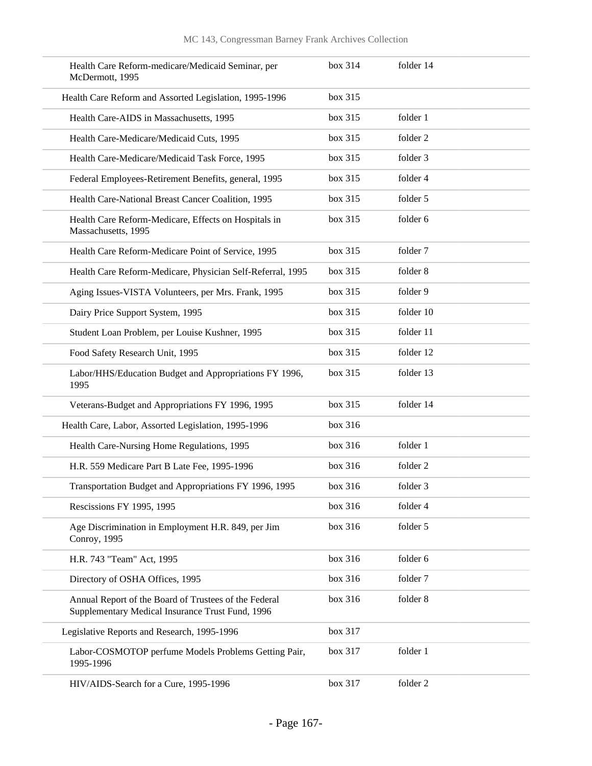| Health Care Reform-medicare/Medicaid Seminar, per<br>McDermott, 1995                                      | box 314 | folder 14 |
|-----------------------------------------------------------------------------------------------------------|---------|-----------|
| Health Care Reform and Assorted Legislation, 1995-1996                                                    | box 315 |           |
| Health Care-AIDS in Massachusetts, 1995                                                                   | box 315 | folder 1  |
| Health Care-Medicare/Medicaid Cuts, 1995                                                                  | box 315 | folder 2  |
| Health Care-Medicare/Medicaid Task Force, 1995                                                            | box 315 | folder 3  |
| Federal Employees-Retirement Benefits, general, 1995                                                      | box 315 | folder 4  |
| Health Care-National Breast Cancer Coalition, 1995                                                        | box 315 | folder 5  |
| Health Care Reform-Medicare, Effects on Hospitals in<br>Massachusetts, 1995                               | box 315 | folder 6  |
| Health Care Reform-Medicare Point of Service, 1995                                                        | box 315 | folder 7  |
| Health Care Reform-Medicare, Physician Self-Referral, 1995                                                | box 315 | folder 8  |
| Aging Issues-VISTA Volunteers, per Mrs. Frank, 1995                                                       | box 315 | folder 9  |
| Dairy Price Support System, 1995                                                                          | box 315 | folder 10 |
| Student Loan Problem, per Louise Kushner, 1995                                                            | box 315 | folder 11 |
| Food Safety Research Unit, 1995                                                                           | box 315 | folder 12 |
| Labor/HHS/Education Budget and Appropriations FY 1996,<br>1995                                            | box 315 | folder 13 |
| Veterans-Budget and Appropriations FY 1996, 1995                                                          | box 315 | folder 14 |
| Health Care, Labor, Assorted Legislation, 1995-1996                                                       | box 316 |           |
| Health Care-Nursing Home Regulations, 1995                                                                | box 316 | folder 1  |
| H.R. 559 Medicare Part B Late Fee, 1995-1996                                                              | box 316 | folder 2  |
| Transportation Budget and Appropriations FY 1996, 1995                                                    | box 316 | folder 3  |
| Rescissions FY 1995, 1995                                                                                 | box 316 | folder 4  |
| Age Discrimination in Employment H.R. 849, per Jim<br>Conroy, 1995                                        | box 316 | folder 5  |
| H.R. 743 "Team" Act, 1995                                                                                 | box 316 | folder 6  |
| Directory of OSHA Offices, 1995                                                                           | box 316 | folder 7  |
| Annual Report of the Board of Trustees of the Federal<br>Supplementary Medical Insurance Trust Fund, 1996 | box 316 | folder 8  |
| Legislative Reports and Research, 1995-1996                                                               | box 317 |           |
| Labor-COSMOTOP perfume Models Problems Getting Pair,<br>1995-1996                                         | box 317 | folder 1  |
| HIV/AIDS-Search for a Cure, 1995-1996                                                                     | box 317 | folder 2  |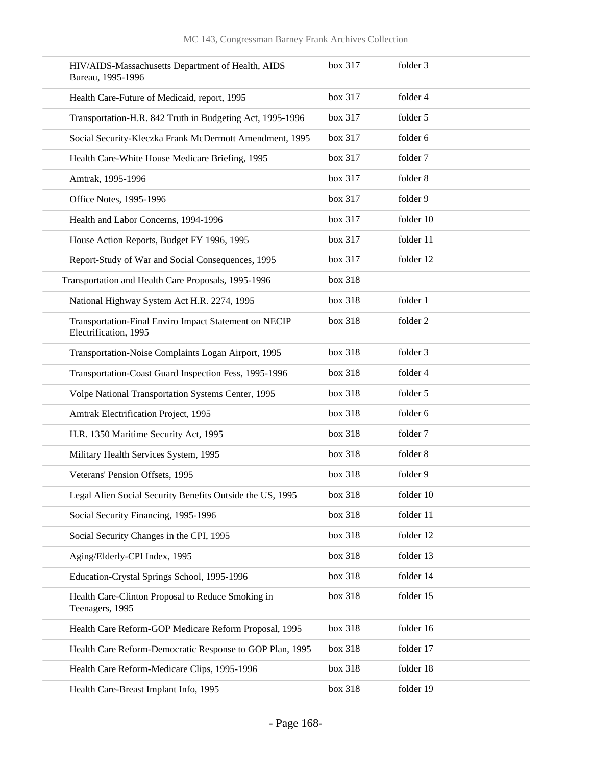| HIV/AIDS-Massachusetts Department of Health, AIDS<br>Bureau, 1995-1996         | box 317 | folder 3  |
|--------------------------------------------------------------------------------|---------|-----------|
| Health Care-Future of Medicaid, report, 1995                                   | box 317 | folder 4  |
| Transportation-H.R. 842 Truth in Budgeting Act, 1995-1996                      | box 317 | folder 5  |
| Social Security-Kleczka Frank McDermott Amendment, 1995                        | box 317 | folder 6  |
| Health Care-White House Medicare Briefing, 1995                                | box 317 | folder 7  |
| Amtrak, 1995-1996                                                              | box 317 | folder 8  |
| Office Notes, 1995-1996                                                        | box 317 | folder 9  |
| Health and Labor Concerns, 1994-1996                                           | box 317 | folder 10 |
| House Action Reports, Budget FY 1996, 1995                                     | box 317 | folder 11 |
| Report-Study of War and Social Consequences, 1995                              | box 317 | folder 12 |
| Transportation and Health Care Proposals, 1995-1996                            | box 318 |           |
| National Highway System Act H.R. 2274, 1995                                    | box 318 | folder 1  |
| Transportation-Final Enviro Impact Statement on NECIP<br>Electrification, 1995 | box 318 | folder 2  |
| Transportation-Noise Complaints Logan Airport, 1995                            | box 318 | folder 3  |
| Transportation-Coast Guard Inspection Fess, 1995-1996                          | box 318 | folder 4  |
| Volpe National Transportation Systems Center, 1995                             | box 318 | folder 5  |
| Amtrak Electrification Project, 1995                                           | box 318 | folder 6  |
| H.R. 1350 Maritime Security Act, 1995                                          | box 318 | folder 7  |
| Military Health Services System, 1995                                          | box 318 | folder 8  |
| Veterans' Pension Offsets, 1995                                                | box 318 | folder 9  |
| Legal Alien Social Security Benefits Outside the US, 1995                      | box 318 | folder 10 |
| Social Security Financing, 1995-1996                                           | box 318 | folder 11 |
| Social Security Changes in the CPI, 1995                                       | box 318 | folder 12 |
| Aging/Elderly-CPI Index, 1995                                                  | box 318 | folder 13 |
| Education-Crystal Springs School, 1995-1996                                    | box 318 | folder 14 |
| Health Care-Clinton Proposal to Reduce Smoking in<br>Teenagers, 1995           | box 318 | folder 15 |
| Health Care Reform-GOP Medicare Reform Proposal, 1995                          | box 318 | folder 16 |
| Health Care Reform-Democratic Response to GOP Plan, 1995                       | box 318 | folder 17 |
| Health Care Reform-Medicare Clips, 1995-1996                                   | box 318 | folder 18 |
| Health Care-Breast Implant Info, 1995                                          | box 318 | folder 19 |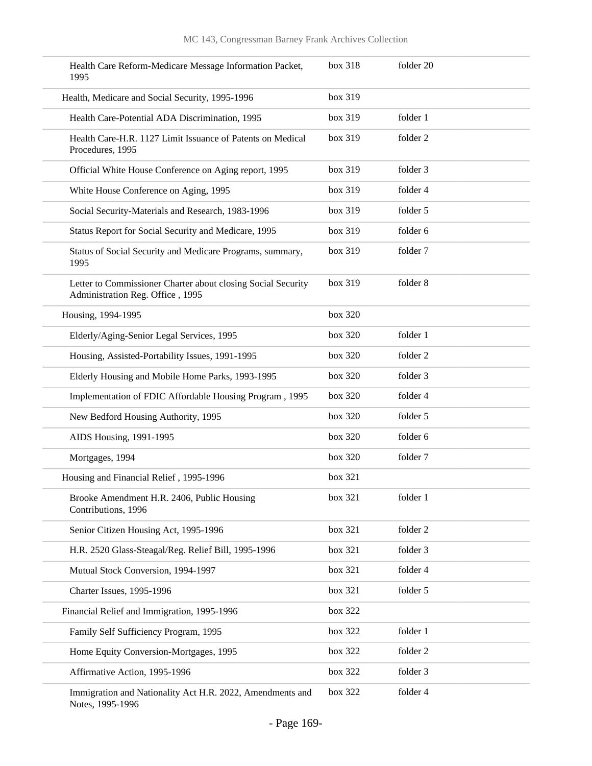| Health Care Reform-Medicare Message Information Packet,<br>1995                                  | box 318 | folder 20           |
|--------------------------------------------------------------------------------------------------|---------|---------------------|
| Health, Medicare and Social Security, 1995-1996                                                  | box 319 |                     |
| Health Care-Potential ADA Discrimination, 1995                                                   | box 319 | folder 1            |
| Health Care-H.R. 1127 Limit Issuance of Patents on Medical<br>Procedures, 1995                   | box 319 | folder 2            |
| Official White House Conference on Aging report, 1995                                            | box 319 | folder 3            |
| White House Conference on Aging, 1995                                                            | box 319 | folder 4            |
| Social Security-Materials and Research, 1983-1996                                                | box 319 | folder 5            |
| Status Report for Social Security and Medicare, 1995                                             | box 319 | folder 6            |
| Status of Social Security and Medicare Programs, summary,<br>1995                                | box 319 | folder 7            |
| Letter to Commissioner Charter about closing Social Security<br>Administration Reg. Office, 1995 | box 319 | folder 8            |
| Housing, 1994-1995                                                                               | box 320 |                     |
| Elderly/Aging-Senior Legal Services, 1995                                                        | box 320 | folder 1            |
| Housing, Assisted-Portability Issues, 1991-1995                                                  | box 320 | folder <sub>2</sub> |
| Elderly Housing and Mobile Home Parks, 1993-1995                                                 | box 320 | folder 3            |
| Implementation of FDIC Affordable Housing Program, 1995                                          | box 320 | folder 4            |
| New Bedford Housing Authority, 1995                                                              | box 320 | folder 5            |
| AIDS Housing, 1991-1995                                                                          | box 320 | folder 6            |
| Mortgages, 1994                                                                                  | box 320 | folder 7            |
| Housing and Financial Relief, 1995-1996                                                          | box 321 |                     |
| Brooke Amendment H.R. 2406, Public Housing<br>Contributions, 1996                                | box 321 | folder 1            |
| Senior Citizen Housing Act, 1995-1996                                                            | box 321 | folder 2            |
| H.R. 2520 Glass-Steagal/Reg. Relief Bill, 1995-1996                                              | box 321 | folder 3            |
| Mutual Stock Conversion, 1994-1997                                                               | box 321 | folder 4            |
| Charter Issues, 1995-1996                                                                        | box 321 | folder 5            |
| Financial Relief and Immigration, 1995-1996                                                      | box 322 |                     |
| Family Self Sufficiency Program, 1995                                                            | box 322 | folder 1            |
| Home Equity Conversion-Mortgages, 1995                                                           | box 322 | folder 2            |
| Affirmative Action, 1995-1996                                                                    | box 322 | folder 3            |
| Immigration and Nationality Act H.R. 2022, Amendments and<br>Notes, 1995-1996                    | box 322 | folder 4            |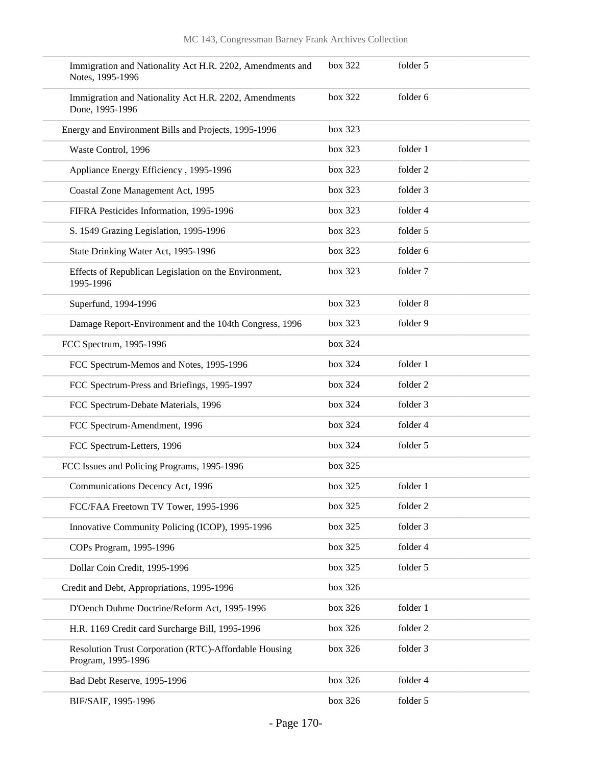| Immigration and Nationality Act H.R. 2202, Amendments and<br>Notes, 1995-1996 | box 322 | folder 5 |
|-------------------------------------------------------------------------------|---------|----------|
| Immigration and Nationality Act H.R. 2202, Amendments<br>Done, 1995-1996      | box 322 | folder 6 |
| Energy and Environment Bills and Projects, 1995-1996                          | box 323 |          |
| Waste Control, 1996                                                           | box 323 | folder 1 |
| Appliance Energy Efficiency, 1995-1996                                        | box 323 | folder 2 |
| Coastal Zone Management Act, 1995                                             | box 323 | folder 3 |
| FIFRA Pesticides Information, 1995-1996                                       | box 323 | folder 4 |
| S. 1549 Grazing Legislation, 1995-1996                                        | box 323 | folder 5 |
| State Drinking Water Act, 1995-1996                                           | box 323 | folder 6 |
| Effects of Republican Legislation on the Environment,<br>1995-1996            | box 323 | folder 7 |
| Superfund, 1994-1996                                                          | box 323 | folder 8 |
| Damage Report-Environment and the 104th Congress, 1996                        | box 323 | folder 9 |
| FCC Spectrum, 1995-1996                                                       | box 324 |          |
| FCC Spectrum-Memos and Notes, 1995-1996                                       | box 324 | folder 1 |
| FCC Spectrum-Press and Briefings, 1995-1997                                   | box 324 | folder 2 |
| FCC Spectrum-Debate Materials, 1996                                           | box 324 | folder 3 |
| FCC Spectrum-Amendment, 1996                                                  | box 324 | folder 4 |
| FCC Spectrum-Letters, 1996                                                    | box 324 | folder 5 |
| FCC Issues and Policing Programs, 1995-1996                                   | box 325 |          |
| Communications Decency Act, 1996                                              | box 325 | folder 1 |
| FCC/FAA Freetown TV Tower, 1995-1996                                          | box 325 | folder 2 |
| Innovative Community Policing (ICOP), 1995-1996                               | box 325 | folder 3 |
| COPs Program, 1995-1996                                                       | box 325 | folder 4 |
| Dollar Coin Credit, 1995-1996                                                 | box 325 | folder 5 |
| Credit and Debt, Appropriations, 1995-1996                                    | box 326 |          |
| D'Oench Duhme Doctrine/Reform Act, 1995-1996                                  | box 326 | folder 1 |
| H.R. 1169 Credit card Surcharge Bill, 1995-1996                               | box 326 | folder 2 |
| Resolution Trust Corporation (RTC)-Affordable Housing<br>Program, 1995-1996   | box 326 | folder 3 |
| Bad Debt Reserve, 1995-1996                                                   | box 326 | folder 4 |
| BIF/SAIF, 1995-1996                                                           | box 326 | folder 5 |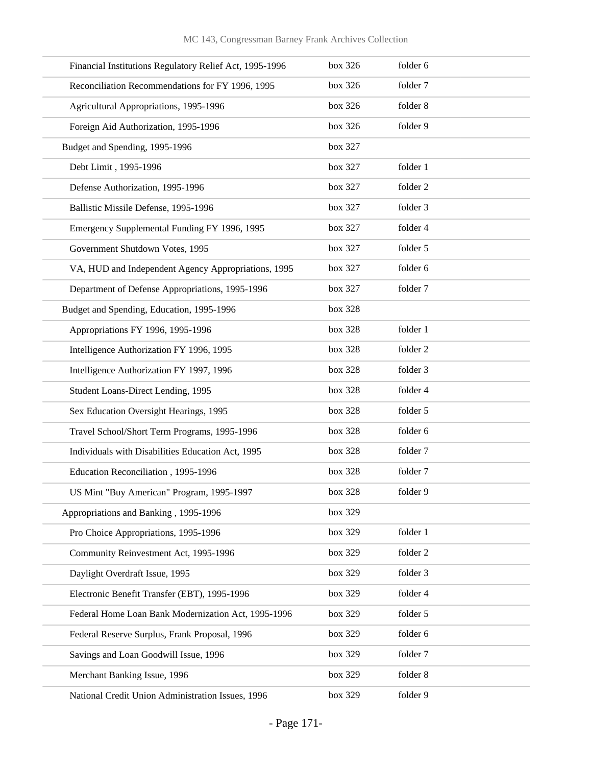| Financial Institutions Regulatory Relief Act, 1995-1996 | box 326 | folder 6 |
|---------------------------------------------------------|---------|----------|
| Reconciliation Recommendations for FY 1996, 1995        | box 326 | folder 7 |
| Agricultural Appropriations, 1995-1996                  | box 326 | folder 8 |
| Foreign Aid Authorization, 1995-1996                    | box 326 | folder 9 |
| Budget and Spending, 1995-1996                          | box 327 |          |
| Debt Limit, 1995-1996                                   | box 327 | folder 1 |
| Defense Authorization, 1995-1996                        | box 327 | folder 2 |
| Ballistic Missile Defense, 1995-1996                    | box 327 | folder 3 |
| Emergency Supplemental Funding FY 1996, 1995            | box 327 | folder 4 |
| Government Shutdown Votes, 1995                         | box 327 | folder 5 |
| VA, HUD and Independent Agency Appropriations, 1995     | box 327 | folder 6 |
| Department of Defense Appropriations, 1995-1996         | box 327 | folder 7 |
| Budget and Spending, Education, 1995-1996               | box 328 |          |
| Appropriations FY 1996, 1995-1996                       | box 328 | folder 1 |
| Intelligence Authorization FY 1996, 1995                | box 328 | folder 2 |
| Intelligence Authorization FY 1997, 1996                | box 328 | folder 3 |
| Student Loans-Direct Lending, 1995                      | box 328 | folder 4 |
| Sex Education Oversight Hearings, 1995                  | box 328 | folder 5 |
| Travel School/Short Term Programs, 1995-1996            | box 328 | folder 6 |
| Individuals with Disabilities Education Act, 1995       | box 328 | folder 7 |
| Education Reconciliation, 1995-1996                     | box 328 | folder 7 |
| US Mint "Buy American" Program, 1995-1997               | box 328 | folder 9 |
| Appropriations and Banking, 1995-1996                   | box 329 |          |
| Pro Choice Appropriations, 1995-1996                    | box 329 | folder 1 |
| Community Reinvestment Act, 1995-1996                   | box 329 | folder 2 |
| Daylight Overdraft Issue, 1995                          | box 329 | folder 3 |
| Electronic Benefit Transfer (EBT), 1995-1996            | box 329 | folder 4 |
| Federal Home Loan Bank Modernization Act, 1995-1996     | box 329 | folder 5 |
| Federal Reserve Surplus, Frank Proposal, 1996           | box 329 | folder 6 |
| Savings and Loan Goodwill Issue, 1996                   | box 329 | folder 7 |
| Merchant Banking Issue, 1996                            | box 329 | folder 8 |
| National Credit Union Administration Issues, 1996       | box 329 | folder 9 |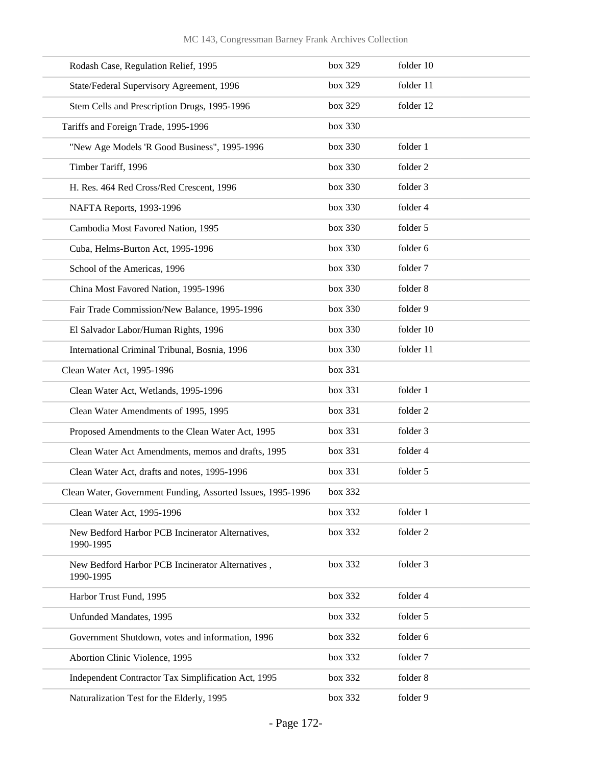| Rodash Case, Regulation Relief, 1995                          | box 329 | folder 10 |
|---------------------------------------------------------------|---------|-----------|
| State/Federal Supervisory Agreement, 1996                     | box 329 | folder 11 |
| Stem Cells and Prescription Drugs, 1995-1996                  | box 329 | folder 12 |
| Tariffs and Foreign Trade, 1995-1996                          | box 330 |           |
| "New Age Models 'R Good Business", 1995-1996                  | box 330 | folder 1  |
| Timber Tariff, 1996                                           | box 330 | folder 2  |
| H. Res. 464 Red Cross/Red Crescent, 1996                      | box 330 | folder 3  |
| NAFTA Reports, 1993-1996                                      | box 330 | folder 4  |
| Cambodia Most Favored Nation, 1995                            | box 330 | folder 5  |
| Cuba, Helms-Burton Act, 1995-1996                             | box 330 | folder 6  |
| School of the Americas, 1996                                  | box 330 | folder 7  |
| China Most Favored Nation, 1995-1996                          | box 330 | folder 8  |
| Fair Trade Commission/New Balance, 1995-1996                  | box 330 | folder 9  |
| El Salvador Labor/Human Rights, 1996                          | box 330 | folder 10 |
| International Criminal Tribunal, Bosnia, 1996                 | box 330 | folder 11 |
| Clean Water Act, 1995-1996                                    | box 331 |           |
| Clean Water Act, Wetlands, 1995-1996                          | box 331 | folder 1  |
| Clean Water Amendments of 1995, 1995                          | box 331 | folder 2  |
| Proposed Amendments to the Clean Water Act, 1995              | box 331 | folder 3  |
| Clean Water Act Amendments, memos and drafts, 1995            | box 331 | folder 4  |
| Clean Water Act, drafts and notes, 1995-1996                  | box 331 | folder 5  |
| Clean Water, Government Funding, Assorted Issues, 1995-1996   | box 332 |           |
| Clean Water Act, 1995-1996                                    | box 332 | folder 1  |
| New Bedford Harbor PCB Incinerator Alternatives,<br>1990-1995 | box 332 | folder 2  |
| New Bedford Harbor PCB Incinerator Alternatives,<br>1990-1995 | box 332 | folder 3  |
| Harbor Trust Fund, 1995                                       | box 332 | folder 4  |
| Unfunded Mandates, 1995                                       | box 332 | folder 5  |
| Government Shutdown, votes and information, 1996              | box 332 | folder 6  |
| Abortion Clinic Violence, 1995                                | box 332 | folder 7  |
| Independent Contractor Tax Simplification Act, 1995           | box 332 | folder 8  |
| Naturalization Test for the Elderly, 1995                     | box 332 | folder 9  |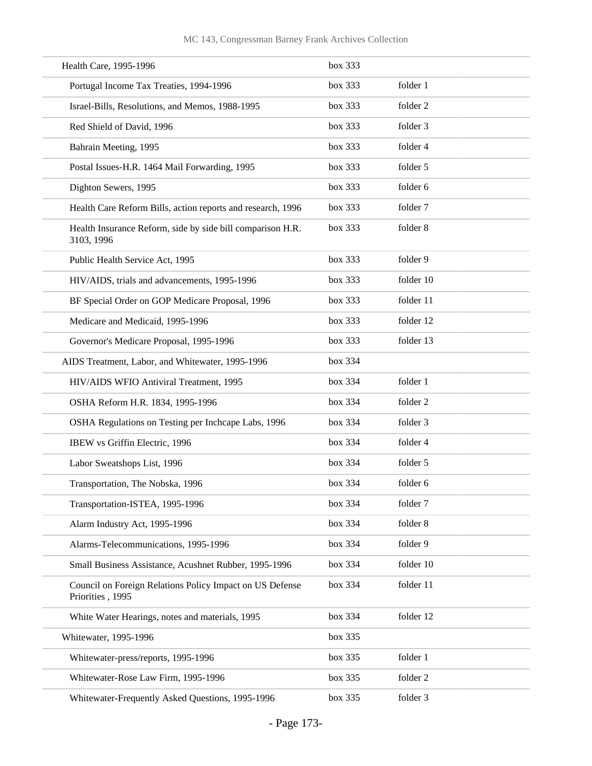| Health Care, 1995-1996                                                       | box 333 |           |
|------------------------------------------------------------------------------|---------|-----------|
| Portugal Income Tax Treaties, 1994-1996                                      | box 333 | folder 1  |
| Israel-Bills, Resolutions, and Memos, 1988-1995                              | box 333 | folder 2  |
| Red Shield of David, 1996                                                    | box 333 | folder 3  |
| Bahrain Meeting, 1995                                                        | box 333 | folder 4  |
| Postal Issues-H.R. 1464 Mail Forwarding, 1995                                | box 333 | folder 5  |
| Dighton Sewers, 1995                                                         | box 333 | folder 6  |
| Health Care Reform Bills, action reports and research, 1996                  | box 333 | folder 7  |
| Health Insurance Reform, side by side bill comparison H.R.<br>3103, 1996     | box 333 | folder 8  |
| Public Health Service Act, 1995                                              | box 333 | folder 9  |
| HIV/AIDS, trials and advancements, 1995-1996                                 | box 333 | folder 10 |
| BF Special Order on GOP Medicare Proposal, 1996                              | box 333 | folder 11 |
| Medicare and Medicaid, 1995-1996                                             | box 333 | folder 12 |
| Governor's Medicare Proposal, 1995-1996                                      | box 333 | folder 13 |
| AIDS Treatment, Labor, and Whitewater, 1995-1996                             | box 334 |           |
| HIV/AIDS WFIO Antiviral Treatment, 1995                                      | box 334 | folder 1  |
| OSHA Reform H.R. 1834, 1995-1996                                             | box 334 | folder 2  |
| OSHA Regulations on Testing per Inchcape Labs, 1996                          | box 334 | folder 3  |
| IBEW vs Griffin Electric, 1996                                               | box 334 | folder 4  |
| Labor Sweatshops List, 1996                                                  | box 334 | folder 5  |
| Transportation, The Nobska, 1996                                             | box 334 | folder 6  |
| Transportation-ISTEA, 1995-1996                                              | box 334 | folder 7  |
| Alarm Industry Act, 1995-1996                                                | box 334 | folder 8  |
| Alarms-Telecommunications, 1995-1996                                         | box 334 | folder 9  |
| Small Business Assistance, Acushnet Rubber, 1995-1996                        | box 334 | folder 10 |
| Council on Foreign Relations Policy Impact on US Defense<br>Priorities, 1995 | box 334 | folder 11 |
| White Water Hearings, notes and materials, 1995                              | box 334 | folder 12 |
| Whitewater, 1995-1996                                                        | box 335 |           |
| Whitewater-press/reports, 1995-1996                                          | box 335 | folder 1  |
| Whitewater-Rose Law Firm, 1995-1996                                          | box 335 | folder 2  |
| Whitewater-Frequently Asked Questions, 1995-1996                             | box 335 | folder 3  |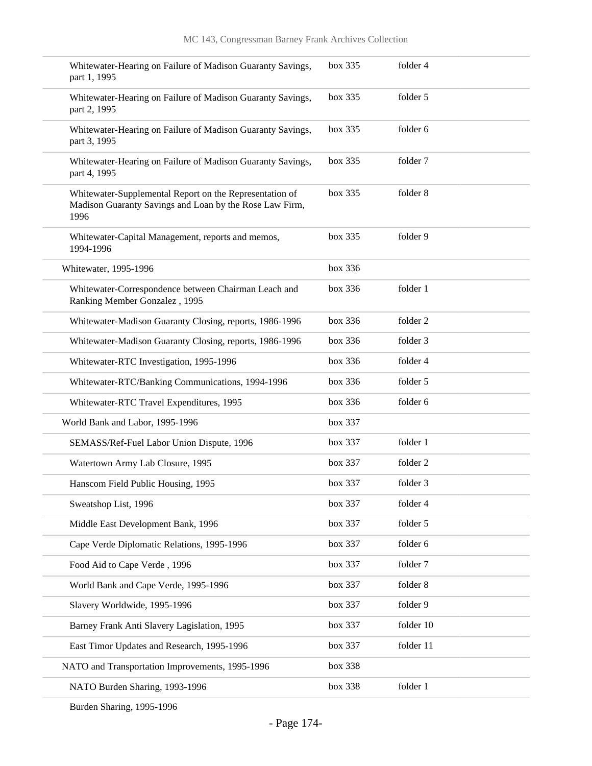| Whitewater-Hearing on Failure of Madison Guaranty Savings,<br>part 1, 1995                                                 | box 335 | folder 4  |
|----------------------------------------------------------------------------------------------------------------------------|---------|-----------|
| Whitewater-Hearing on Failure of Madison Guaranty Savings,<br>part 2, 1995                                                 | box~335 | folder 5  |
| Whitewater-Hearing on Failure of Madison Guaranty Savings,<br>part 3, 1995                                                 | box~335 | folder 6  |
| Whitewater-Hearing on Failure of Madison Guaranty Savings,<br>part 4, 1995                                                 | box 335 | folder 7  |
| Whitewater-Supplemental Report on the Representation of<br>Madison Guaranty Savings and Loan by the Rose Law Firm,<br>1996 | box 335 | folder 8  |
| Whitewater-Capital Management, reports and memos,<br>1994-1996                                                             | box 335 | folder 9  |
| Whitewater, 1995-1996                                                                                                      | box 336 |           |
| Whitewater-Correspondence between Chairman Leach and<br>Ranking Member Gonzalez, 1995                                      | box 336 | folder 1  |
| Whitewater-Madison Guaranty Closing, reports, 1986-1996                                                                    | box 336 | folder 2  |
| Whitewater-Madison Guaranty Closing, reports, 1986-1996                                                                    | box 336 | folder 3  |
| Whitewater-RTC Investigation, 1995-1996                                                                                    | box 336 | folder 4  |
| Whitewater-RTC/Banking Communications, 1994-1996                                                                           | box 336 | folder 5  |
| Whitewater-RTC Travel Expenditures, 1995                                                                                   | box 336 | folder 6  |
| World Bank and Labor, 1995-1996                                                                                            | box 337 |           |
| SEMASS/Ref-Fuel Labor Union Dispute, 1996                                                                                  | box 337 | folder 1  |
| Watertown Army Lab Closure, 1995                                                                                           | box 337 | folder 2  |
| Hanscom Field Public Housing, 1995                                                                                         | box 337 | folder 3  |
| Sweatshop List, 1996                                                                                                       | box 337 | folder 4  |
| Middle East Development Bank, 1996                                                                                         | box 337 | folder 5  |
| Cape Verde Diplomatic Relations, 1995-1996                                                                                 | box 337 | folder 6  |
| Food Aid to Cape Verde, 1996                                                                                               | box 337 | folder 7  |
| World Bank and Cape Verde, 1995-1996                                                                                       | box 337 | folder 8  |
| Slavery Worldwide, 1995-1996                                                                                               | box 337 | folder 9  |
| Barney Frank Anti Slavery Lagislation, 1995                                                                                | box 337 | folder 10 |
| East Timor Updates and Research, 1995-1996                                                                                 | box 337 | folder 11 |
| NATO and Transportation Improvements, 1995-1996                                                                            | box 338 |           |
| NATO Burden Sharing, 1993-1996                                                                                             | box 338 | folder 1  |
|                                                                                                                            |         |           |

Burden Sharing, 1995-1996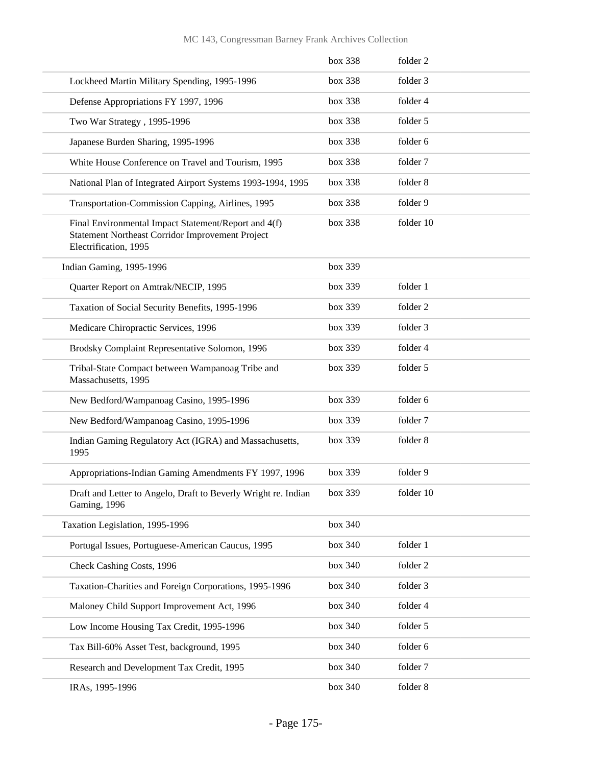## MC 143, Congressman Barney Frank Archives Collection

|                                                                                                                                   | box 338 | folder 2  |
|-----------------------------------------------------------------------------------------------------------------------------------|---------|-----------|
| Lockheed Martin Military Spending, 1995-1996                                                                                      | box 338 | folder 3  |
| Defense Appropriations FY 1997, 1996                                                                                              | box 338 | folder 4  |
| Two War Strategy, 1995-1996                                                                                                       | box 338 | folder 5  |
| Japanese Burden Sharing, 1995-1996                                                                                                | box 338 | folder 6  |
| White House Conference on Travel and Tourism, 1995                                                                                | box 338 | folder 7  |
| National Plan of Integrated Airport Systems 1993-1994, 1995                                                                       | box 338 | folder 8  |
| Transportation-Commission Capping, Airlines, 1995                                                                                 | box 338 | folder 9  |
| Final Environmental Impact Statement/Report and 4(f)<br>Statement Northeast Corridor Improvement Project<br>Electrification, 1995 | box 338 | folder 10 |
| Indian Gaming, 1995-1996                                                                                                          | box 339 |           |
| Quarter Report on Amtrak/NECIP, 1995                                                                                              | box 339 | folder 1  |
| Taxation of Social Security Benefits, 1995-1996                                                                                   | box 339 | folder 2  |
| Medicare Chiropractic Services, 1996                                                                                              | box 339 | folder 3  |
| Brodsky Complaint Representative Solomon, 1996                                                                                    | box 339 | folder 4  |
| Tribal-State Compact between Wampanoag Tribe and<br>Massachusetts, 1995                                                           | box 339 | folder 5  |
| New Bedford/Wampanoag Casino, 1995-1996                                                                                           | box 339 | folder 6  |
| New Bedford/Wampanoag Casino, 1995-1996                                                                                           | box 339 | folder 7  |
| Indian Gaming Regulatory Act (IGRA) and Massachusetts,<br>1995                                                                    | box 339 | folder 8  |
| Appropriations-Indian Gaming Amendments FY 1997, 1996                                                                             | box 339 | folder 9  |
| Draft and Letter to Angelo, Draft to Beverly Wright re. Indian<br>Gaming, 1996                                                    | box 339 | folder 10 |
| Taxation Legislation, 1995-1996                                                                                                   | box 340 |           |
| Portugal Issues, Portuguese-American Caucus, 1995                                                                                 | box 340 | folder 1  |
| Check Cashing Costs, 1996                                                                                                         | box 340 | folder 2  |
| Taxation-Charities and Foreign Corporations, 1995-1996                                                                            | box 340 | folder 3  |
| Maloney Child Support Improvement Act, 1996                                                                                       | box 340 | folder 4  |
| Low Income Housing Tax Credit, 1995-1996                                                                                          | box 340 | folder 5  |
| Tax Bill-60% Asset Test, background, 1995                                                                                         | box 340 | folder 6  |
| Research and Development Tax Credit, 1995                                                                                         | box 340 | folder 7  |
| IRAs, 1995-1996                                                                                                                   | box 340 | folder 8  |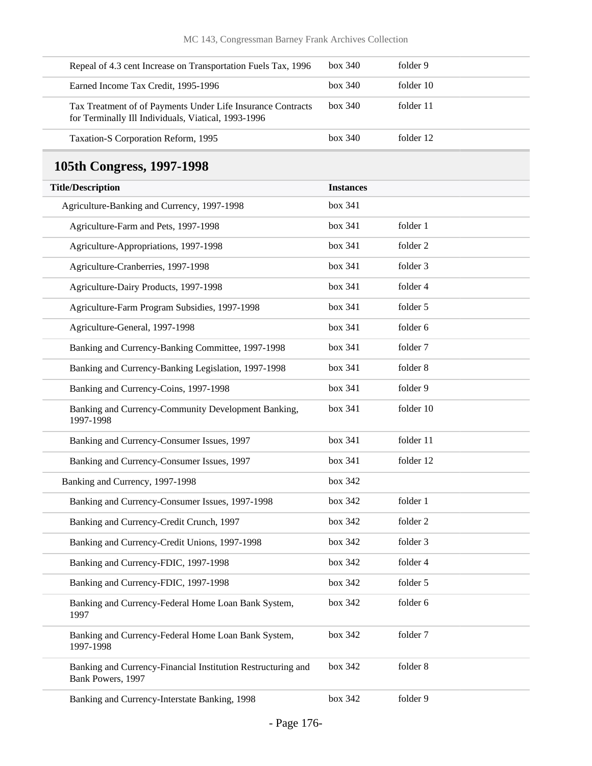| Repeal of 4.3 cent Increase on Transportation Fuels Tax, 1996                                                      | box 340          | folder 9  |
|--------------------------------------------------------------------------------------------------------------------|------------------|-----------|
| Earned Income Tax Credit, 1995-1996                                                                                | box 340          | folder 10 |
| Tax Treatment of of Payments Under Life Insurance Contracts<br>for Terminally Ill Individuals, Viatical, 1993-1996 | box 340          | folder 11 |
| Taxation-S Corporation Reform, 1995                                                                                | box 340          | folder 12 |
| 105th Congress, 1997-1998                                                                                          |                  |           |
| <b>Title/Description</b>                                                                                           | <b>Instances</b> |           |
| Agriculture-Banking and Currency, 1997-1998                                                                        | box 341          |           |
| Agriculture-Farm and Pets, 1997-1998                                                                               | box 341          | folder 1  |
| Agriculture-Appropriations, 1997-1998                                                                              | box 341          | folder 2  |
| Agriculture-Cranberries, 1997-1998                                                                                 | box 341          | folder 3  |
| Agriculture-Dairy Products, 1997-1998                                                                              | box 341          | folder 4  |
| Agriculture-Farm Program Subsidies, 1997-1998                                                                      | box 341          | folder 5  |
| Agriculture-General, 1997-1998                                                                                     | box 341          | folder 6  |
| Banking and Currency-Banking Committee, 1997-1998                                                                  | box 341          | folder 7  |
| Banking and Currency-Banking Legislation, 1997-1998                                                                | box 341          | folder 8  |
| Banking and Currency-Coins, 1997-1998                                                                              | box 341          | folder 9  |
| Banking and Currency-Community Development Banking,<br>1997-1998                                                   | box 341          | folder 10 |
| Banking and Currency-Consumer Issues, 1997                                                                         | box 341          | folder 11 |
| Banking and Currency-Consumer Issues, 1997                                                                         | box 341          | folder 12 |
| Banking and Currency, 1997-1998                                                                                    | box 342          |           |
| Banking and Currency-Consumer Issues, 1997-1998                                                                    | box 342          | folder 1  |
| Banking and Currency-Credit Crunch, 1997                                                                           | box 342          | folder 2  |
| Banking and Currency-Credit Unions, 1997-1998                                                                      | box 342          | folder 3  |
| Banking and Currency-FDIC, 1997-1998                                                                               | box 342          | folder 4  |
| Banking and Currency-FDIC, 1997-1998                                                                               | box 342          | folder 5  |
| Banking and Currency-Federal Home Loan Bank System,<br>1997                                                        | box 342          | folder 6  |
| Banking and Currency-Federal Home Loan Bank System,<br>1997-1998                                                   | box 342          | folder 7  |
| Banking and Currency-Financial Institution Restructuring and<br>Bank Powers, 1997                                  | box 342          | folder 8  |
| Banking and Currency-Interstate Banking, 1998                                                                      | box 342          | folder 9  |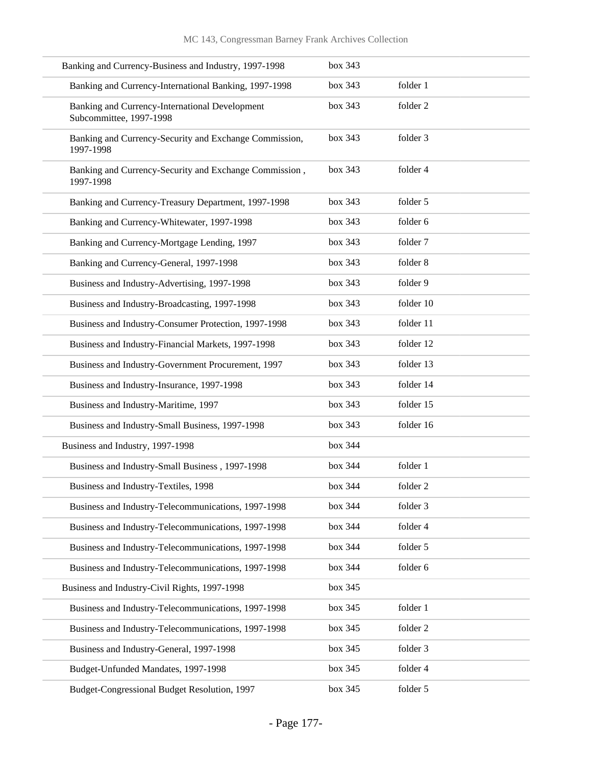| Banking and Currency-Business and Industry, 1997-1998                     | box 343 |           |
|---------------------------------------------------------------------------|---------|-----------|
| Banking and Currency-International Banking, 1997-1998                     | box 343 | folder 1  |
| Banking and Currency-International Development<br>Subcommittee, 1997-1998 | box 343 | folder 2  |
| Banking and Currency-Security and Exchange Commission,<br>1997-1998       | box 343 | folder 3  |
| Banking and Currency-Security and Exchange Commission,<br>1997-1998       | box 343 | folder 4  |
| Banking and Currency-Treasury Department, 1997-1998                       | box 343 | folder 5  |
| Banking and Currency-Whitewater, 1997-1998                                | box 343 | folder 6  |
| Banking and Currency-Mortgage Lending, 1997                               | box 343 | folder 7  |
| Banking and Currency-General, 1997-1998                                   | box 343 | folder 8  |
| Business and Industry-Advertising, 1997-1998                              | box 343 | folder 9  |
| Business and Industry-Broadcasting, 1997-1998                             | box 343 | folder 10 |
| Business and Industry-Consumer Protection, 1997-1998                      | box 343 | folder 11 |
| Business and Industry-Financial Markets, 1997-1998                        | box 343 | folder 12 |
| Business and Industry-Government Procurement, 1997                        | box 343 | folder 13 |
| Business and Industry-Insurance, 1997-1998                                | box 343 | folder 14 |
| Business and Industry-Maritime, 1997                                      | box 343 | folder 15 |
| Business and Industry-Small Business, 1997-1998                           | box 343 | folder 16 |
| Business and Industry, 1997-1998                                          | box 344 |           |
| Business and Industry-Small Business, 1997-1998                           | box 344 | folder 1  |
| Business and Industry-Textiles, 1998                                      | box~344 | folder 2  |
| Business and Industry-Telecommunications, 1997-1998                       | box 344 | folder 3  |
| Business and Industry-Telecommunications, 1997-1998                       | box 344 | folder 4  |
| Business and Industry-Telecommunications, 1997-1998                       | box 344 | folder 5  |
| Business and Industry-Telecommunications, 1997-1998                       | box 344 | folder 6  |
| Business and Industry-Civil Rights, 1997-1998                             | box 345 |           |
| Business and Industry-Telecommunications, 1997-1998                       | box 345 | folder 1  |
| Business and Industry-Telecommunications, 1997-1998                       | box 345 | folder 2  |
| Business and Industry-General, 1997-1998                                  | box 345 | folder 3  |
| Budget-Unfunded Mandates, 1997-1998                                       | box 345 | folder 4  |
| Budget-Congressional Budget Resolution, 1997                              | box 345 | folder 5  |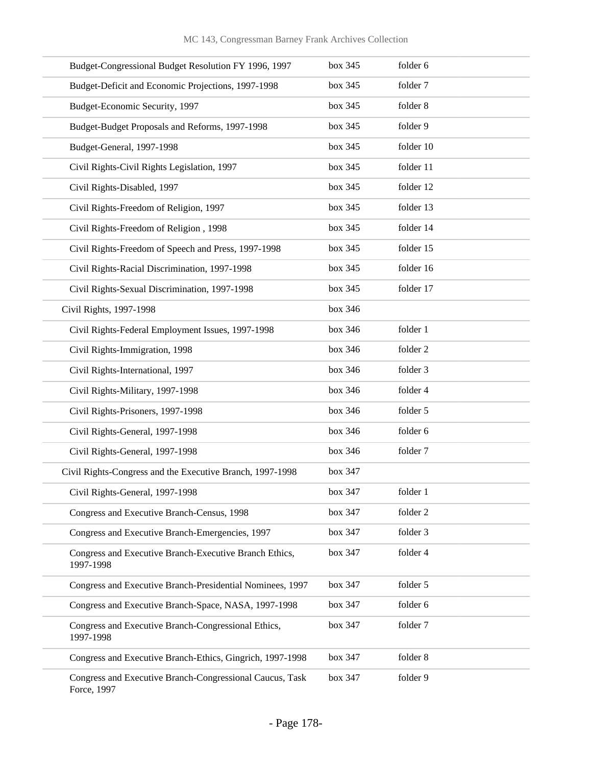| Budget-Congressional Budget Resolution FY 1996, 1997                    | box 345 | folder 6  |
|-------------------------------------------------------------------------|---------|-----------|
| Budget-Deficit and Economic Projections, 1997-1998                      | box 345 | folder 7  |
| Budget-Economic Security, 1997                                          | box 345 | folder 8  |
| Budget-Budget Proposals and Reforms, 1997-1998                          | box 345 | folder 9  |
| Budget-General, 1997-1998                                               | box 345 | folder 10 |
| Civil Rights-Civil Rights Legislation, 1997                             | box 345 | folder 11 |
| Civil Rights-Disabled, 1997                                             | box 345 | folder 12 |
| Civil Rights-Freedom of Religion, 1997                                  | box 345 | folder 13 |
| Civil Rights-Freedom of Religion, 1998                                  | box 345 | folder 14 |
| Civil Rights-Freedom of Speech and Press, 1997-1998                     | box 345 | folder 15 |
| Civil Rights-Racial Discrimination, 1997-1998                           | box 345 | folder 16 |
| Civil Rights-Sexual Discrimination, 1997-1998                           | box 345 | folder 17 |
| Civil Rights, 1997-1998                                                 | box 346 |           |
| Civil Rights-Federal Employment Issues, 1997-1998                       | box 346 | folder 1  |
| Civil Rights-Immigration, 1998                                          | box 346 | folder 2  |
| Civil Rights-International, 1997                                        | box 346 | folder 3  |
| Civil Rights-Military, 1997-1998                                        | box 346 | folder 4  |
| Civil Rights-Prisoners, 1997-1998                                       | box 346 | folder 5  |
| Civil Rights-General, 1997-1998                                         | box 346 | folder 6  |
| Civil Rights-General, 1997-1998                                         | box 346 | folder 7  |
| Civil Rights-Congress and the Executive Branch, 1997-1998               | box 347 |           |
| Civil Rights-General, 1997-1998                                         | box 347 | folder 1  |
| Congress and Executive Branch-Census, 1998                              | box 347 | folder 2  |
| Congress and Executive Branch-Emergencies, 1997                         | box 347 | folder 3  |
| Congress and Executive Branch-Executive Branch Ethics,<br>1997-1998     | box 347 | folder 4  |
| Congress and Executive Branch-Presidential Nominees, 1997               | box 347 | folder 5  |
| Congress and Executive Branch-Space, NASA, 1997-1998                    | box 347 | folder 6  |
| Congress and Executive Branch-Congressional Ethics,<br>1997-1998        | box 347 | folder 7  |
| Congress and Executive Branch-Ethics, Gingrich, 1997-1998               | box 347 | folder 8  |
| Congress and Executive Branch-Congressional Caucus, Task<br>Force, 1997 | box 347 | folder 9  |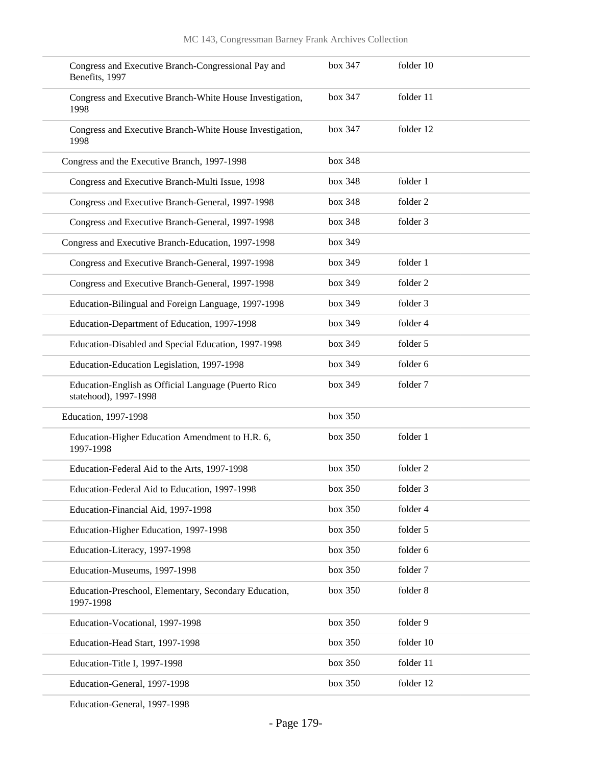| Congress and Executive Branch-Congressional Pay and<br>Benefits, 1997        | box 347 | folder 10 |
|------------------------------------------------------------------------------|---------|-----------|
| Congress and Executive Branch-White House Investigation,<br>1998             | box 347 | folder 11 |
| Congress and Executive Branch-White House Investigation,<br>1998             | box 347 | folder 12 |
| Congress and the Executive Branch, 1997-1998                                 | box 348 |           |
| Congress and Executive Branch-Multi Issue, 1998                              | box 348 | folder 1  |
| Congress and Executive Branch-General, 1997-1998                             | box 348 | folder 2  |
| Congress and Executive Branch-General, 1997-1998                             | box 348 | folder 3  |
| Congress and Executive Branch-Education, 1997-1998                           | box 349 |           |
| Congress and Executive Branch-General, 1997-1998                             | box 349 | folder 1  |
| Congress and Executive Branch-General, 1997-1998                             | box 349 | folder 2  |
| Education-Bilingual and Foreign Language, 1997-1998                          | box 349 | folder 3  |
| Education-Department of Education, 1997-1998                                 | box 349 | folder 4  |
| Education-Disabled and Special Education, 1997-1998                          | box 349 | folder 5  |
| Education-Education Legislation, 1997-1998                                   | box 349 | folder 6  |
| Education-English as Official Language (Puerto Rico<br>statehood), 1997-1998 | box 349 | folder 7  |
| Education, 1997-1998                                                         | box 350 |           |
| Education-Higher Education Amendment to H.R. 6,<br>1997-1998                 | box 350 | folder 1  |
| Education-Federal Aid to the Arts, 1997-1998                                 | box 350 | folder 2  |
| Education-Federal Aid to Education, 1997-1998                                | box~350 | folder 3  |
| Education-Financial Aid, 1997-1998                                           | box 350 | folder 4  |
| Education-Higher Education, 1997-1998                                        | box 350 | folder 5  |
| Education-Literacy, 1997-1998                                                | box 350 | folder 6  |
| Education-Museums, 1997-1998                                                 | box 350 | folder 7  |
| Education-Preschool, Elementary, Secondary Education,<br>1997-1998           | box 350 | folder 8  |
| Education-Vocational, 1997-1998                                              | box 350 | folder 9  |
| Education-Head Start, 1997-1998                                              | box 350 | folder 10 |
| Education-Title I, 1997-1998                                                 | box 350 | folder 11 |
| Education-General, 1997-1998                                                 | box 350 | folder 12 |
|                                                                              |         |           |

Education-General, 1997-1998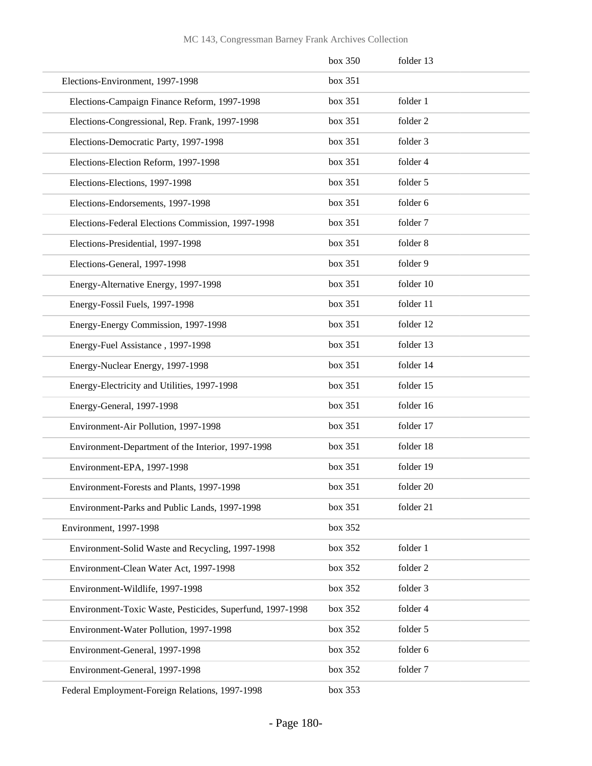|                                                           | box 350 | folder 13 |
|-----------------------------------------------------------|---------|-----------|
| Elections-Environment, 1997-1998                          | box 351 |           |
| Elections-Campaign Finance Reform, 1997-1998              | box 351 | folder 1  |
| Elections-Congressional, Rep. Frank, 1997-1998            | box 351 | folder 2  |
| Elections-Democratic Party, 1997-1998                     | box 351 | folder 3  |
| Elections-Election Reform, 1997-1998                      | box 351 | folder 4  |
| Elections-Elections, 1997-1998                            | box 351 | folder 5  |
| Elections-Endorsements, 1997-1998                         | box 351 | folder 6  |
| Elections-Federal Elections Commission, 1997-1998         | box~351 | folder 7  |
| Elections-Presidential, 1997-1998                         | box 351 | folder 8  |
| Elections-General, 1997-1998                              | box 351 | folder 9  |
| Energy-Alternative Energy, 1997-1998                      | box 351 | folder 10 |
| Energy-Fossil Fuels, 1997-1998                            | box 351 | folder 11 |
| Energy-Energy Commission, 1997-1998                       | box 351 | folder 12 |
| Energy-Fuel Assistance, 1997-1998                         | box 351 | folder 13 |
| Energy-Nuclear Energy, 1997-1998                          | box 351 | folder 14 |
| Energy-Electricity and Utilities, 1997-1998               | box 351 | folder 15 |
| Energy-General, 1997-1998                                 | box 351 | folder 16 |
| Environment-Air Pollution, 1997-1998                      | box 351 | folder 17 |
| Environment-Department of the Interior, 1997-1998         | box 351 | folder 18 |
| Environment-EPA, 1997-1998                                | box 351 | folder 19 |
| Environment-Forests and Plants, 1997-1998                 | box~351 | folder 20 |
| Environment-Parks and Public Lands, 1997-1998             | box 351 | folder 21 |
| Environment, 1997-1998                                    | box 352 |           |
| Environment-Solid Waste and Recycling, 1997-1998          | box 352 | folder 1  |
| Environment-Clean Water Act, 1997-1998                    | box 352 | folder 2  |
| Environment-Wildlife, 1997-1998                           | box 352 | folder 3  |
| Environment-Toxic Waste, Pesticides, Superfund, 1997-1998 | box 352 | folder 4  |
| Environment-Water Pollution, 1997-1998                    | box 352 | folder 5  |
| Environment-General, 1997-1998                            | box 352 | folder 6  |
| Environment-General, 1997-1998                            | box 352 | folder 7  |
| Federal Employment-Foreign Relations, 1997-1998           | box 353 |           |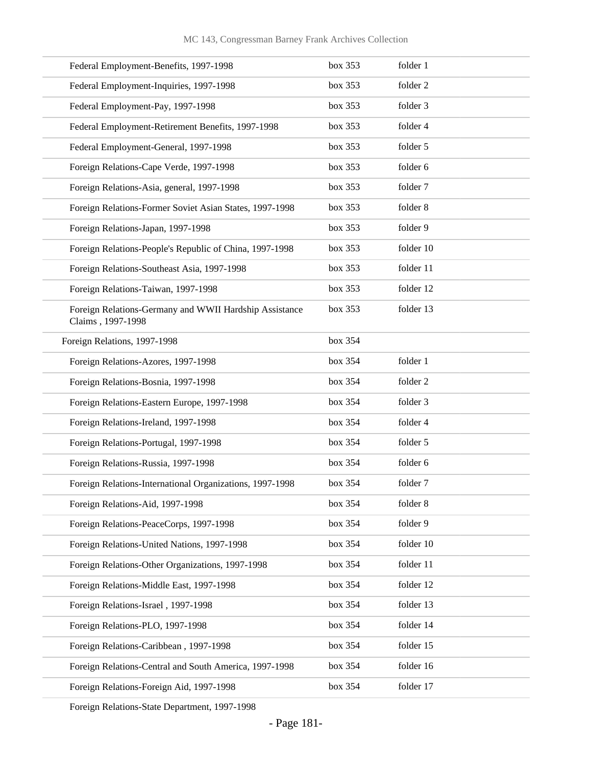| Federal Employment-Benefits, 1997-1998                                      | box 353 | folder 1  |
|-----------------------------------------------------------------------------|---------|-----------|
| Federal Employment-Inquiries, 1997-1998                                     | box 353 | folder 2  |
| Federal Employment-Pay, 1997-1998                                           | box 353 | folder 3  |
| Federal Employment-Retirement Benefits, 1997-1998                           | box 353 | folder 4  |
| Federal Employment-General, 1997-1998                                       | box 353 | folder 5  |
| Foreign Relations-Cape Verde, 1997-1998                                     | box 353 | folder 6  |
| Foreign Relations-Asia, general, 1997-1998                                  | box 353 | folder 7  |
| Foreign Relations-Former Soviet Asian States, 1997-1998                     | box 353 | folder 8  |
| Foreign Relations-Japan, 1997-1998                                          | box 353 | folder 9  |
| Foreign Relations-People's Republic of China, 1997-1998                     | box 353 | folder 10 |
| Foreign Relations-Southeast Asia, 1997-1998                                 | box 353 | folder 11 |
| Foreign Relations-Taiwan, 1997-1998                                         | box 353 | folder 12 |
| Foreign Relations-Germany and WWII Hardship Assistance<br>Claims, 1997-1998 | box 353 | folder 13 |
| Foreign Relations, 1997-1998                                                | box 354 |           |
| Foreign Relations-Azores, 1997-1998                                         | box 354 | folder 1  |
| Foreign Relations-Bosnia, 1997-1998                                         | box 354 | folder 2  |
| Foreign Relations-Eastern Europe, 1997-1998                                 | box 354 | folder 3  |
| Foreign Relations-Ireland, 1997-1998                                        | box 354 | folder 4  |
| Foreign Relations-Portugal, 1997-1998                                       | box 354 | folder 5  |
| Foreign Relations-Russia, 1997-1998                                         | box 354 | folder 6  |
| Foreign Relations-International Organizations, 1997-1998                    | box 354 | folder 7  |
| Foreign Relations-Aid, 1997-1998                                            | box 354 | folder 8  |
| Foreign Relations-PeaceCorps, 1997-1998                                     | box 354 | folder 9  |
| Foreign Relations-United Nations, 1997-1998                                 | box 354 | folder 10 |
| Foreign Relations-Other Organizations, 1997-1998                            | box 354 | folder 11 |
| Foreign Relations-Middle East, 1997-1998                                    | box 354 | folder 12 |
| Foreign Relations-Israel, 1997-1998                                         | box 354 | folder 13 |
| Foreign Relations-PLO, 1997-1998                                            | box 354 | folder 14 |
| Foreign Relations-Caribbean, 1997-1998                                      | box 354 | folder 15 |
| Foreign Relations-Central and South America, 1997-1998                      | box 354 | folder 16 |
| Foreign Relations-Foreign Aid, 1997-1998                                    | box 354 | folder 17 |

Foreign Relations-State Department, 1997-1998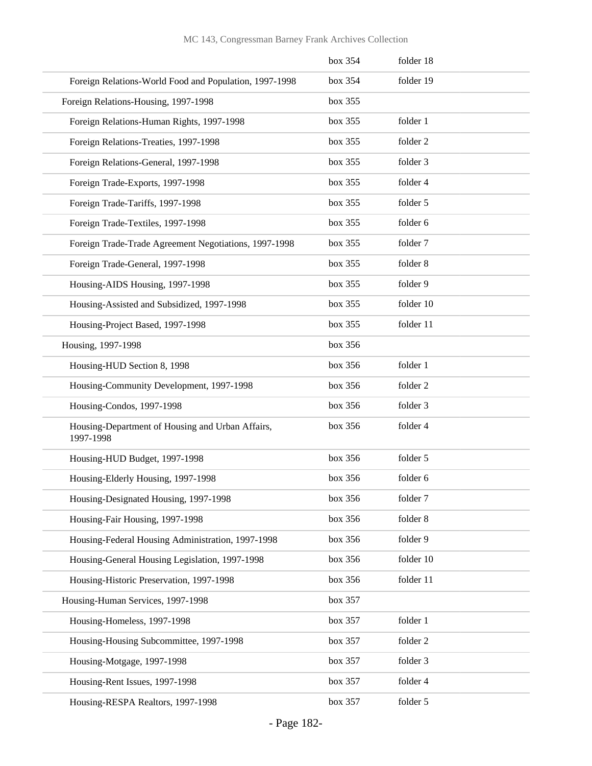|                                                               | box 354 | folder 18 |  |
|---------------------------------------------------------------|---------|-----------|--|
| Foreign Relations-World Food and Population, 1997-1998        | box 354 | folder 19 |  |
| Foreign Relations-Housing, 1997-1998                          | box 355 |           |  |
| Foreign Relations-Human Rights, 1997-1998                     | box 355 | folder 1  |  |
| Foreign Relations-Treaties, 1997-1998                         | box 355 | folder 2  |  |
| Foreign Relations-General, 1997-1998                          | box 355 | folder 3  |  |
| Foreign Trade-Exports, 1997-1998                              | box 355 | folder 4  |  |
| Foreign Trade-Tariffs, 1997-1998                              | box 355 | folder 5  |  |
| Foreign Trade-Textiles, 1997-1998                             | box 355 | folder 6  |  |
| Foreign Trade-Trade Agreement Negotiations, 1997-1998         | box 355 | folder 7  |  |
| Foreign Trade-General, 1997-1998                              | box 355 | folder 8  |  |
| Housing-AIDS Housing, 1997-1998                               | box 355 | folder 9  |  |
| Housing-Assisted and Subsidized, 1997-1998                    | box 355 | folder 10 |  |
| Housing-Project Based, 1997-1998                              | box 355 | folder 11 |  |
| Housing, 1997-1998                                            | box 356 |           |  |
| Housing-HUD Section 8, 1998                                   | box 356 | folder 1  |  |
| Housing-Community Development, 1997-1998                      | box 356 | folder 2  |  |
| Housing-Condos, 1997-1998                                     | box 356 | folder 3  |  |
| Housing-Department of Housing and Urban Affairs,<br>1997-1998 | box 356 | folder 4  |  |
| Housing-HUD Budget, 1997-1998                                 | box 356 | folder 5  |  |
| Housing-Elderly Housing, 1997-1998                            | box 356 | folder 6  |  |
| Housing-Designated Housing, 1997-1998                         | box 356 | folder 7  |  |
| Housing-Fair Housing, 1997-1998                               | box 356 | folder 8  |  |
| Housing-Federal Housing Administration, 1997-1998             | box 356 | folder 9  |  |
| Housing-General Housing Legislation, 1997-1998                | box 356 | folder 10 |  |
| Housing-Historic Preservation, 1997-1998                      | box 356 | folder 11 |  |
| Housing-Human Services, 1997-1998                             | box 357 |           |  |
| Housing-Homeless, 1997-1998                                   | box 357 | folder 1  |  |
| Housing-Housing Subcommittee, 1997-1998                       | box 357 | folder 2  |  |
| Housing-Motgage, 1997-1998                                    | box 357 | folder 3  |  |
| Housing-Rent Issues, 1997-1998                                | box 357 | folder 4  |  |
| Housing-RESPA Realtors, 1997-1998                             | box 357 | folder 5  |  |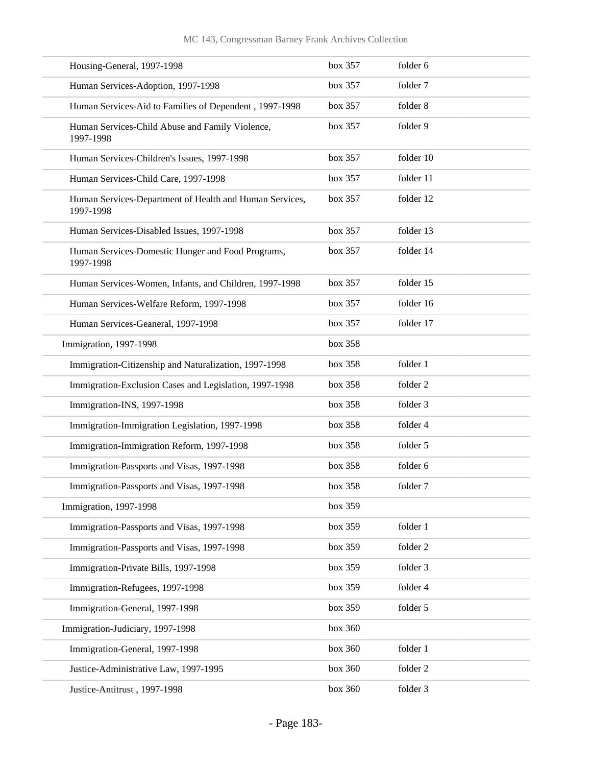| Housing-General, 1997-1998                                           | box 357 | folder 6  |
|----------------------------------------------------------------------|---------|-----------|
| Human Services-Adoption, 1997-1998                                   | box 357 | folder 7  |
| Human Services-Aid to Families of Dependent, 1997-1998               | box 357 | folder 8  |
| Human Services-Child Abuse and Family Violence,<br>1997-1998         | box 357 | folder 9  |
| Human Services-Children's Issues, 1997-1998                          | box 357 | folder 10 |
| Human Services-Child Care, 1997-1998                                 | box 357 | folder 11 |
| Human Services-Department of Health and Human Services,<br>1997-1998 | box 357 | folder 12 |
| Human Services-Disabled Issues, 1997-1998                            | box 357 | folder 13 |
| Human Services-Domestic Hunger and Food Programs,<br>1997-1998       | box 357 | folder 14 |
| Human Services-Women, Infants, and Children, 1997-1998               | box 357 | folder 15 |
| Human Services-Welfare Reform, 1997-1998                             | box 357 | folder 16 |
| Human Services-Geaneral, 1997-1998                                   | box 357 | folder 17 |
| Immigration, 1997-1998                                               | box 358 |           |
| Immigration-Citizenship and Naturalization, 1997-1998                | box 358 | folder 1  |
| Immigration-Exclusion Cases and Legislation, 1997-1998               | box 358 | folder 2  |
| Immigration-INS, 1997-1998                                           | box 358 | folder 3  |
| Immigration-Immigration Legislation, 1997-1998                       | box 358 | folder 4  |
| Immigration-Immigration Reform, 1997-1998                            | box 358 | folder 5  |
| Immigration-Passports and Visas, 1997-1998                           | box 358 | folder 6  |
| Immigration-Passports and Visas, 1997-1998                           | box~358 | folder 7  |
| Immigration, 1997-1998                                               | box 359 |           |
| Immigration-Passports and Visas, 1997-1998                           | box 359 | folder 1  |
| Immigration-Passports and Visas, 1997-1998                           | box 359 | folder 2  |
| Immigration-Private Bills, 1997-1998                                 | box 359 | folder 3  |
| Immigration-Refugees, 1997-1998                                      | box 359 | folder 4  |
| Immigration-General, 1997-1998                                       | box 359 | folder 5  |
| Immigration-Judiciary, 1997-1998                                     | box 360 |           |
| Immigration-General, 1997-1998                                       | box 360 | folder 1  |
| Justice-Administrative Law, 1997-1995                                | box 360 | folder 2  |
| Justice-Antitrust, 1997-1998                                         | box 360 | folder 3  |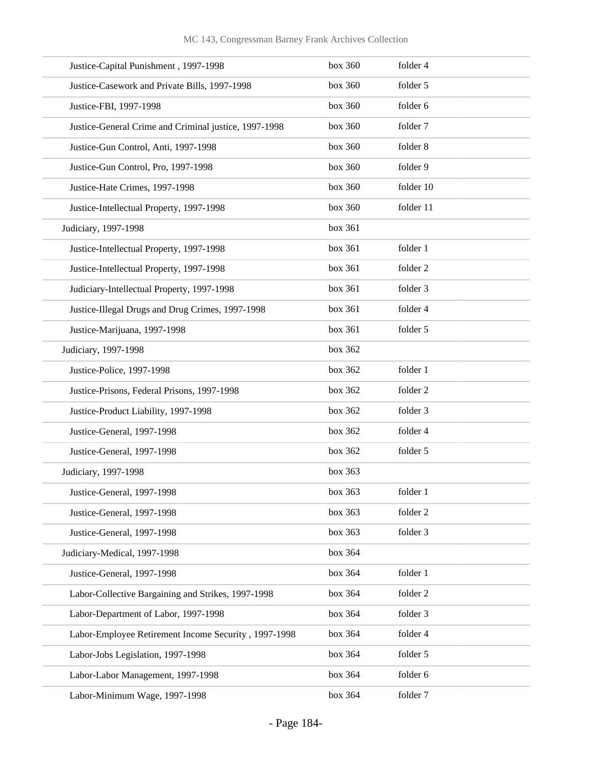| Justice-Capital Punishment, 1997-1998                 | box 360 | folder 4  |
|-------------------------------------------------------|---------|-----------|
| Justice-Casework and Private Bills, 1997-1998         | box 360 | folder 5  |
| Justice-FBI, 1997-1998                                | box 360 | folder 6  |
| Justice-General Crime and Criminal justice, 1997-1998 | box 360 | folder 7  |
| Justice-Gun Control, Anti, 1997-1998                  | box 360 | folder 8  |
| Justice-Gun Control, Pro, 1997-1998                   | box 360 | folder 9  |
| Justice-Hate Crimes, 1997-1998                        | box 360 | folder 10 |
| Justice-Intellectual Property, 1997-1998              | box 360 | folder 11 |
| Judiciary, 1997-1998                                  | box 361 |           |
| Justice-Intellectual Property, 1997-1998              | box 361 | folder 1  |
| Justice-Intellectual Property, 1997-1998              | box 361 | folder 2  |
| Judiciary-Intellectual Property, 1997-1998            | box 361 | folder 3  |
| Justice-Illegal Drugs and Drug Crimes, 1997-1998      | box 361 | folder 4  |
| Justice-Marijuana, 1997-1998                          | box 361 | folder 5  |
| Judiciary, 1997-1998                                  | box 362 |           |
| Justice-Police, 1997-1998                             | box 362 | folder 1  |
| Justice-Prisons, Federal Prisons, 1997-1998           | box 362 | folder 2  |
| Justice-Product Liability, 1997-1998                  | box 362 | folder 3  |
| Justice-General, 1997-1998                            | box 362 | folder 4  |
| Justice-General, 1997-1998                            | box 362 | folder 5  |
| Judiciary, 1997-1998                                  | box 363 |           |
| Justice-General, 1997-1998                            | box 363 | folder 1  |
| Justice-General, 1997-1998                            | box 363 | folder 2  |
| Justice-General, 1997-1998                            | box 363 | folder 3  |
| Judiciary-Medical, 1997-1998                          | box 364 |           |
| Justice-General, 1997-1998                            | box 364 | folder 1  |
| Labor-Collective Bargaining and Strikes, 1997-1998    | box 364 | folder 2  |
| Labor-Department of Labor, 1997-1998                  | box 364 | folder 3  |
| Labor-Employee Retirement Income Security, 1997-1998  | box 364 | folder 4  |
| Labor-Jobs Legislation, 1997-1998                     | box 364 | folder 5  |
| Labor-Labor Management, 1997-1998                     | box 364 | folder 6  |
| Labor-Minimum Wage, 1997-1998                         | box 364 | folder 7  |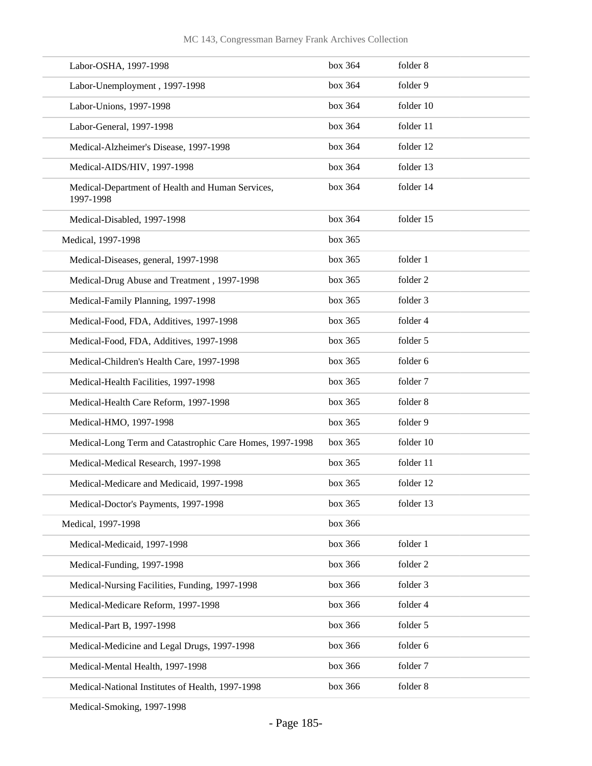| Labor-OSHA, 1997-1998                                         | box 364 | folder 8  |
|---------------------------------------------------------------|---------|-----------|
| Labor-Unemployment, 1997-1998                                 | box 364 | folder 9  |
| Labor-Unions, 1997-1998                                       | box 364 | folder 10 |
| Labor-General, 1997-1998                                      | box 364 | folder 11 |
| Medical-Alzheimer's Disease, 1997-1998                        | box 364 | folder 12 |
| Medical-AIDS/HIV, 1997-1998                                   | box 364 | folder 13 |
| Medical-Department of Health and Human Services,<br>1997-1998 | box 364 | folder 14 |
| Medical-Disabled, 1997-1998                                   | box 364 | folder 15 |
| Medical, 1997-1998                                            | box 365 |           |
| Medical-Diseases, general, 1997-1998                          | box 365 | folder 1  |
| Medical-Drug Abuse and Treatment, 1997-1998                   | box 365 | folder 2  |
| Medical-Family Planning, 1997-1998                            | box 365 | folder 3  |
| Medical-Food, FDA, Additives, 1997-1998                       | box 365 | folder 4  |
| Medical-Food, FDA, Additives, 1997-1998                       | box 365 | folder 5  |
| Medical-Children's Health Care, 1997-1998                     | box 365 | folder 6  |
| Medical-Health Facilities, 1997-1998                          | box 365 | folder 7  |
| Medical-Health Care Reform, 1997-1998                         | box 365 | folder 8  |
| Medical-HMO, 1997-1998                                        | box 365 | folder 9  |
| Medical-Long Term and Catastrophic Care Homes, 1997-1998      | box 365 | folder 10 |
| Medical-Medical Research, 1997-1998                           | box 365 | folder 11 |
| Medical-Medicare and Medicaid, 1997-1998                      | box 365 | folder 12 |
| Medical-Doctor's Payments, 1997-1998                          | box 365 | folder 13 |
| Medical, 1997-1998                                            | box 366 |           |
| Medical-Medicaid, 1997-1998                                   | box 366 | folder 1  |
| Medical-Funding, 1997-1998                                    | box 366 | folder 2  |
| Medical-Nursing Facilities, Funding, 1997-1998                | box 366 | folder 3  |
| Medical-Medicare Reform, 1997-1998                            | box 366 | folder 4  |
| Medical-Part B, 1997-1998                                     | box 366 | folder 5  |
| Medical-Medicine and Legal Drugs, 1997-1998                   | box 366 | folder 6  |
| Medical-Mental Health, 1997-1998                              | box 366 | folder 7  |
| Medical-National Institutes of Health, 1997-1998              | box 366 | folder 8  |
|                                                               |         |           |

Medical-Smoking, 1997-1998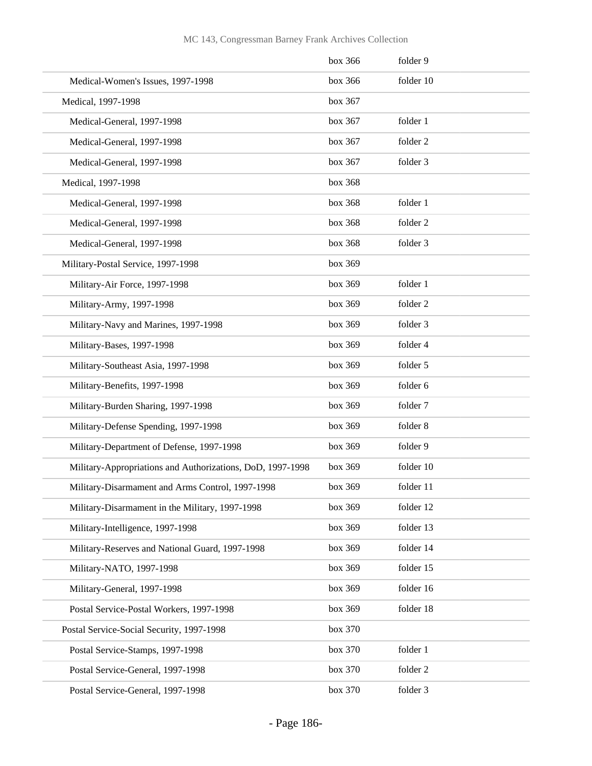|                                                            | box 366 | folder 9  |
|------------------------------------------------------------|---------|-----------|
| Medical-Women's Issues, 1997-1998                          | box 366 | folder 10 |
| Medical, 1997-1998                                         | box 367 |           |
| Medical-General, 1997-1998                                 | box 367 | folder 1  |
| Medical-General, 1997-1998                                 | box 367 | folder 2  |
| Medical-General, 1997-1998                                 | box 367 | folder 3  |
| Medical, 1997-1998                                         | box 368 |           |
| Medical-General, 1997-1998                                 | box 368 | folder 1  |
| Medical-General, 1997-1998                                 | box 368 | folder 2  |
| Medical-General, 1997-1998                                 | box 368 | folder 3  |
| Military-Postal Service, 1997-1998                         | box 369 |           |
| Military-Air Force, 1997-1998                              | box 369 | folder 1  |
| Military-Army, 1997-1998                                   | box 369 | folder 2  |
| Military-Navy and Marines, 1997-1998                       | box 369 | folder 3  |
| Military-Bases, 1997-1998                                  | box 369 | folder 4  |
| Military-Southeast Asia, 1997-1998                         | box 369 | folder 5  |
| Military-Benefits, 1997-1998                               | box 369 | folder 6  |
| Military-Burden Sharing, 1997-1998                         | box 369 | folder 7  |
| Military-Defense Spending, 1997-1998                       | box 369 | folder 8  |
| Military-Department of Defense, 1997-1998                  | box 369 | folder 9  |
| Military-Appropriations and Authorizations, DoD, 1997-1998 | box 369 | folder 10 |
| Military-Disarmament and Arms Control, 1997-1998           | box 369 | folder 11 |
| Military-Disarmament in the Military, 1997-1998            | box 369 | folder 12 |
| Military-Intelligence, 1997-1998                           | box 369 | folder 13 |
| Military-Reserves and National Guard, 1997-1998            | box 369 | folder 14 |
| Military-NATO, 1997-1998                                   | box 369 | folder 15 |
| Military-General, 1997-1998                                | box 369 | folder 16 |
| Postal Service-Postal Workers, 1997-1998                   | box 369 | folder 18 |
| Postal Service-Social Security, 1997-1998                  | box 370 |           |
| Postal Service-Stamps, 1997-1998                           | box 370 | folder 1  |
| Postal Service-General, 1997-1998                          | box 370 | folder 2  |
| Postal Service-General, 1997-1998                          | box 370 | folder 3  |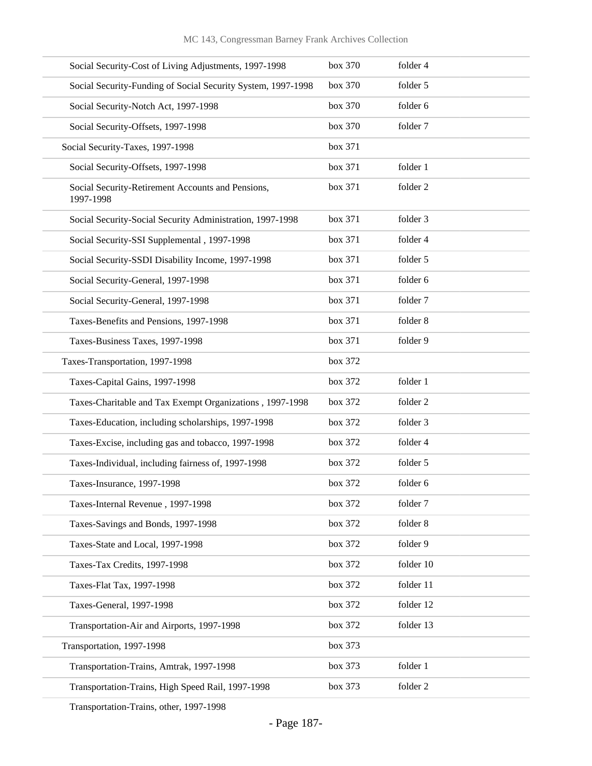| Social Security-Cost of Living Adjustments, 1997-1998          | box 370 | folder 4  |
|----------------------------------------------------------------|---------|-----------|
| Social Security-Funding of Social Security System, 1997-1998   | box 370 | folder 5  |
| Social Security-Notch Act, 1997-1998                           | box 370 | folder 6  |
| Social Security-Offsets, 1997-1998                             | box 370 | folder 7  |
| Social Security-Taxes, 1997-1998                               | box 371 |           |
| Social Security-Offsets, 1997-1998                             | box 371 | folder 1  |
| Social Security-Retirement Accounts and Pensions,<br>1997-1998 | box 371 | folder 2  |
| Social Security-Social Security Administration, 1997-1998      | box 371 | folder 3  |
| Social Security-SSI Supplemental, 1997-1998                    | box 371 | folder 4  |
| Social Security-SSDI Disability Income, 1997-1998              | box 371 | folder 5  |
| Social Security-General, 1997-1998                             | box 371 | folder 6  |
| Social Security-General, 1997-1998                             | box 371 | folder 7  |
| Taxes-Benefits and Pensions, 1997-1998                         | box 371 | folder 8  |
| Taxes-Business Taxes, 1997-1998                                | box 371 | folder 9  |
| Taxes-Transportation, 1997-1998                                | box 372 |           |
| Taxes-Capital Gains, 1997-1998                                 | box 372 | folder 1  |
| Taxes-Charitable and Tax Exempt Organizations, 1997-1998       | box 372 | folder 2  |
| Taxes-Education, including scholarships, 1997-1998             | box 372 | folder 3  |
| Taxes-Excise, including gas and tobacco, 1997-1998             | box 372 | folder 4  |
| Taxes-Individual, including fairness of, 1997-1998             | box 372 | folder 5  |
| Taxes-Insurance, 1997-1998                                     | box 372 | folder 6  |
| Taxes-Internal Revenue, 1997-1998                              | box 372 | folder 7  |
| Taxes-Savings and Bonds, 1997-1998                             | box 372 | folder 8  |
| Taxes-State and Local, 1997-1998                               | box 372 | folder 9  |
| Taxes-Tax Credits, 1997-1998                                   | box 372 | folder 10 |
| Taxes-Flat Tax, 1997-1998                                      | box 372 | folder 11 |
| Taxes-General, 1997-1998                                       | box 372 | folder 12 |
| Transportation-Air and Airports, 1997-1998                     | box 372 | folder 13 |
| Transportation, 1997-1998                                      | box 373 |           |
| Transportation-Trains, Amtrak, 1997-1998                       | box 373 | folder 1  |
| Transportation-Trains, High Speed Rail, 1997-1998              | box 373 | folder 2  |
|                                                                |         |           |

Transportation-Trains, other, 1997-1998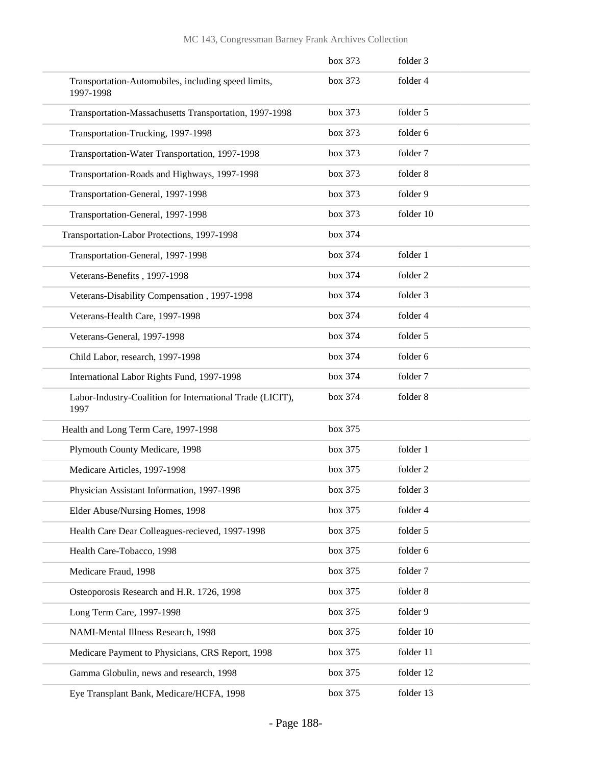|                                                                   | box 373 | folder 3  |
|-------------------------------------------------------------------|---------|-----------|
| Transportation-Automobiles, including speed limits,<br>1997-1998  | box 373 | folder 4  |
| Transportation-Massachusetts Transportation, 1997-1998            | box 373 | folder 5  |
| Transportation-Trucking, 1997-1998                                | box~373 | folder 6  |
| Transportation-Water Transportation, 1997-1998                    | box 373 | folder 7  |
| Transportation-Roads and Highways, 1997-1998                      | box 373 | folder 8  |
| Transportation-General, 1997-1998                                 | box 373 | folder 9  |
| Transportation-General, 1997-1998                                 | box 373 | folder 10 |
| Transportation-Labor Protections, 1997-1998                       | box 374 |           |
| Transportation-General, 1997-1998                                 | box 374 | folder 1  |
| Veterans-Benefits, 1997-1998                                      | box 374 | folder 2  |
| Veterans-Disability Compensation, 1997-1998                       | box 374 | folder 3  |
| Veterans-Health Care, 1997-1998                                   | box 374 | folder 4  |
| Veterans-General, 1997-1998                                       | box 374 | folder 5  |
| Child Labor, research, 1997-1998                                  | box 374 | folder 6  |
| International Labor Rights Fund, 1997-1998                        | box 374 | folder 7  |
| Labor-Industry-Coalition for International Trade (LICIT),<br>1997 | box 374 | folder 8  |
| Health and Long Term Care, 1997-1998                              | box 375 |           |
| Plymouth County Medicare, 1998                                    | box 375 | folder 1  |
| Medicare Articles, 1997-1998                                      | box 375 | folder 2  |
| Physician Assistant Information, 1997-1998                        | box 375 | folder 3  |
| Elder Abuse/Nursing Homes, 1998                                   | box 375 | folder 4  |
| Health Care Dear Colleagues-recieved, 1997-1998                   | box 375 | folder 5  |
| Health Care-Tobacco, 1998                                         | box 375 | folder 6  |
| Medicare Fraud, 1998                                              | box 375 | folder 7  |
| Osteoporosis Research and H.R. 1726, 1998                         | box 375 | folder 8  |
| Long Term Care, 1997-1998                                         | box 375 | folder 9  |
| NAMI-Mental Illness Research, 1998                                | box 375 | folder 10 |
| Medicare Payment to Physicians, CRS Report, 1998                  | box 375 | folder 11 |
| Gamma Globulin, news and research, 1998                           | box 375 | folder 12 |
| Eye Transplant Bank, Medicare/HCFA, 1998                          | box 375 | folder 13 |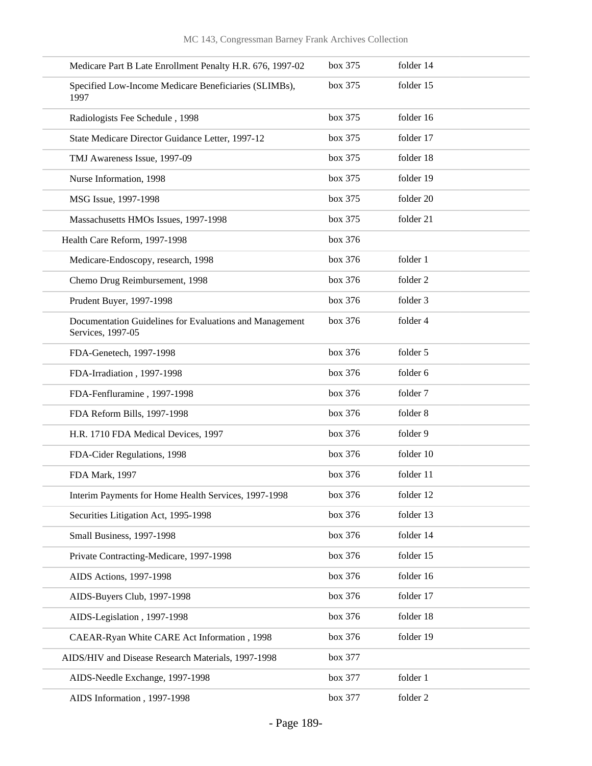| Medicare Part B Late Enrollment Penalty H.R. 676, 1997-02                    | box 375 | folder 14 |
|------------------------------------------------------------------------------|---------|-----------|
| Specified Low-Income Medicare Beneficiaries (SLIMBs),<br>1997                | box 375 | folder 15 |
| Radiologists Fee Schedule, 1998                                              | box 375 | folder 16 |
| State Medicare Director Guidance Letter, 1997-12                             | box 375 | folder 17 |
| TMJ Awareness Issue, 1997-09                                                 | box 375 | folder 18 |
| Nurse Information, 1998                                                      | box 375 | folder 19 |
| MSG Issue, 1997-1998                                                         | box 375 | folder 20 |
| Massachusetts HMOs Issues, 1997-1998                                         | box 375 | folder 21 |
| Health Care Reform, 1997-1998                                                | box 376 |           |
| Medicare-Endoscopy, research, 1998                                           | box 376 | folder 1  |
| Chemo Drug Reimbursement, 1998                                               | box 376 | folder 2  |
| Prudent Buyer, 1997-1998                                                     | box 376 | folder 3  |
| Documentation Guidelines for Evaluations and Management<br>Services, 1997-05 | box 376 | folder 4  |
| FDA-Genetech, 1997-1998                                                      | box 376 | folder 5  |
| FDA-Irradiation, 1997-1998                                                   | box 376 | folder 6  |
| FDA-Fenfluramine, 1997-1998                                                  | box 376 | folder 7  |
| FDA Reform Bills, 1997-1998                                                  | box 376 | folder 8  |
| H.R. 1710 FDA Medical Devices, 1997                                          | box 376 | folder 9  |
| FDA-Cider Regulations, 1998                                                  | box 376 | folder 10 |
| FDA Mark, 1997                                                               | box 376 | folder 11 |
| Interim Payments for Home Health Services, 1997-1998                         | box 376 | folder 12 |
| Securities Litigation Act, 1995-1998                                         | box 376 | folder 13 |
| Small Business, 1997-1998                                                    | box 376 | folder 14 |
| Private Contracting-Medicare, 1997-1998                                      | box 376 | folder 15 |
| AIDS Actions, 1997-1998                                                      | box 376 | folder 16 |
| AIDS-Buyers Club, 1997-1998                                                  | box 376 | folder 17 |
| AIDS-Legislation, 1997-1998                                                  | box 376 | folder 18 |
| CAEAR-Ryan White CARE Act Information, 1998                                  | box 376 | folder 19 |
| AIDS/HIV and Disease Research Materials, 1997-1998                           | box 377 |           |
| AIDS-Needle Exchange, 1997-1998                                              | box 377 | folder 1  |
| AIDS Information, 1997-1998                                                  | box 377 | folder 2  |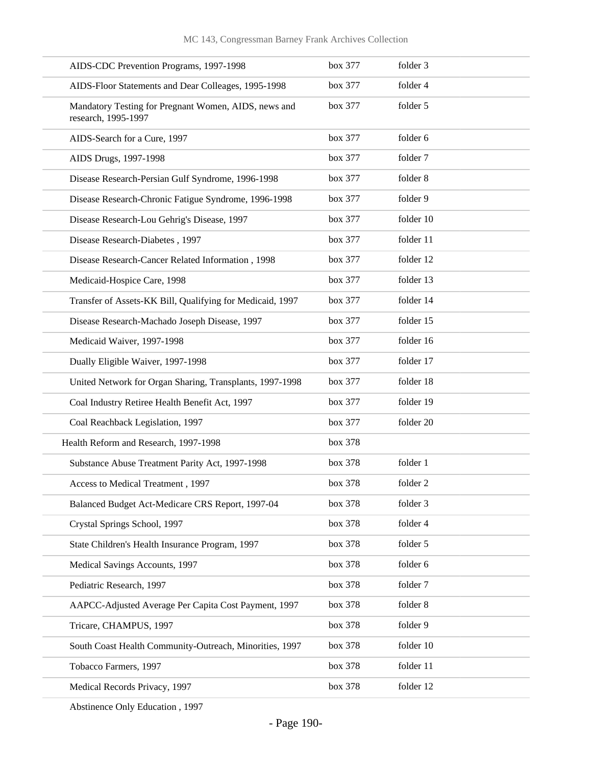| AIDS-CDC Prevention Programs, 1997-1998                                     | box 377 | folder 3  |
|-----------------------------------------------------------------------------|---------|-----------|
| AIDS-Floor Statements and Dear Colleages, 1995-1998                         | box 377 | folder 4  |
| Mandatory Testing for Pregnant Women, AIDS, news and<br>research, 1995-1997 | box 377 | folder 5  |
| AIDS-Search for a Cure, 1997                                                | box 377 | folder 6  |
| AIDS Drugs, 1997-1998                                                       | box 377 | folder 7  |
| Disease Research-Persian Gulf Syndrome, 1996-1998                           | box 377 | folder 8  |
| Disease Research-Chronic Fatigue Syndrome, 1996-1998                        | box 377 | folder 9  |
| Disease Research-Lou Gehrig's Disease, 1997                                 | box 377 | folder 10 |
| Disease Research-Diabetes, 1997                                             | box 377 | folder 11 |
| Disease Research-Cancer Related Information, 1998                           | box 377 | folder 12 |
| Medicaid-Hospice Care, 1998                                                 | box 377 | folder 13 |
| Transfer of Assets-KK Bill, Qualifying for Medicaid, 1997                   | box 377 | folder 14 |
| Disease Research-Machado Joseph Disease, 1997                               | box 377 | folder 15 |
| Medicaid Waiver, 1997-1998                                                  | box 377 | folder 16 |
| Dually Eligible Waiver, 1997-1998                                           | box 377 | folder 17 |
| United Network for Organ Sharing, Transplants, 1997-1998                    | box 377 | folder 18 |
| Coal Industry Retiree Health Benefit Act, 1997                              | box 377 | folder 19 |
| Coal Reachback Legislation, 1997                                            | box 377 | folder 20 |
| Health Reform and Research, 1997-1998                                       | box 378 |           |
| Substance Abuse Treatment Parity Act, 1997-1998                             | box 378 | folder 1  |
| Access to Medical Treatment, 1997                                           | box 378 | folder 2  |
| Balanced Budget Act-Medicare CRS Report, 1997-04                            | box 378 | folder 3  |
| Crystal Springs School, 1997                                                | box 378 | folder 4  |
| State Children's Health Insurance Program, 1997                             | box 378 | folder 5  |
| Medical Savings Accounts, 1997                                              | box 378 | folder 6  |
| Pediatric Research, 1997                                                    | box 378 | folder 7  |
| AAPCC-Adjusted Average Per Capita Cost Payment, 1997                        | box 378 | folder 8  |
| Tricare, CHAMPUS, 1997                                                      | box 378 | folder 9  |
| South Coast Health Community-Outreach, Minorities, 1997                     | box 378 | folder 10 |
| Tobacco Farmers, 1997                                                       | box 378 | folder 11 |
| Medical Records Privacy, 1997                                               | box 378 | folder 12 |
|                                                                             |         |           |

Abstinence Only Education , 1997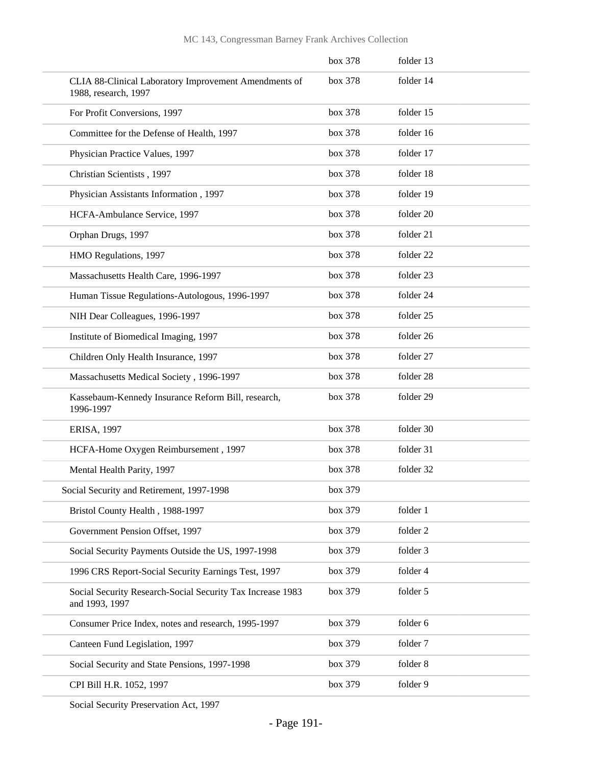|                                                                               | box 378 | folder 13 |
|-------------------------------------------------------------------------------|---------|-----------|
| CLIA 88-Clinical Laboratory Improvement Amendments of<br>1988, research, 1997 | box 378 | folder 14 |
| For Profit Conversions, 1997                                                  | box 378 | folder 15 |
| Committee for the Defense of Health, 1997                                     | box 378 | folder 16 |
| Physician Practice Values, 1997                                               | box 378 | folder 17 |
| Christian Scientists, 1997                                                    | box 378 | folder 18 |
| Physician Assistants Information, 1997                                        | box 378 | folder 19 |
| HCFA-Ambulance Service, 1997                                                  | box 378 | folder 20 |
| Orphan Drugs, 1997                                                            | box 378 | folder 21 |
| HMO Regulations, 1997                                                         | box 378 | folder 22 |
| Massachusetts Health Care, 1996-1997                                          | box 378 | folder 23 |
| Human Tissue Regulations-Autologous, 1996-1997                                | box 378 | folder 24 |
| NIH Dear Colleagues, 1996-1997                                                | box 378 | folder 25 |
| Institute of Biomedical Imaging, 1997                                         | box 378 | folder 26 |
| Children Only Health Insurance, 1997                                          | box 378 | folder 27 |
| Massachusetts Medical Society, 1996-1997                                      | box 378 | folder 28 |
| Kassebaum-Kennedy Insurance Reform Bill, research,<br>1996-1997               | box 378 | folder 29 |
| <b>ERISA, 1997</b>                                                            | box 378 | folder 30 |
| HCFA-Home Oxygen Reimbursement, 1997                                          | box 378 | folder 31 |
| Mental Health Parity, 1997                                                    | box 378 | folder 32 |
| Social Security and Retirement, 1997-1998                                     | box 379 |           |
| Bristol County Health, 1988-1997                                              | box 379 | folder 1  |
| Government Pension Offset, 1997                                               | box 379 | folder 2  |
| Social Security Payments Outside the US, 1997-1998                            | box 379 | folder 3  |
| 1996 CRS Report-Social Security Earnings Test, 1997                           | box 379 | folder 4  |
| Social Security Research-Social Security Tax Increase 1983<br>and 1993, 1997  | box 379 | folder 5  |
| Consumer Price Index, notes and research, 1995-1997                           | box 379 | folder 6  |
| Canteen Fund Legislation, 1997                                                | box 379 | folder 7  |
| Social Security and State Pensions, 1997-1998                                 | box 379 | folder 8  |
| CPI Bill H.R. 1052, 1997                                                      | box 379 | folder 9  |
|                                                                               |         |           |

Social Security Preservation Act, 1997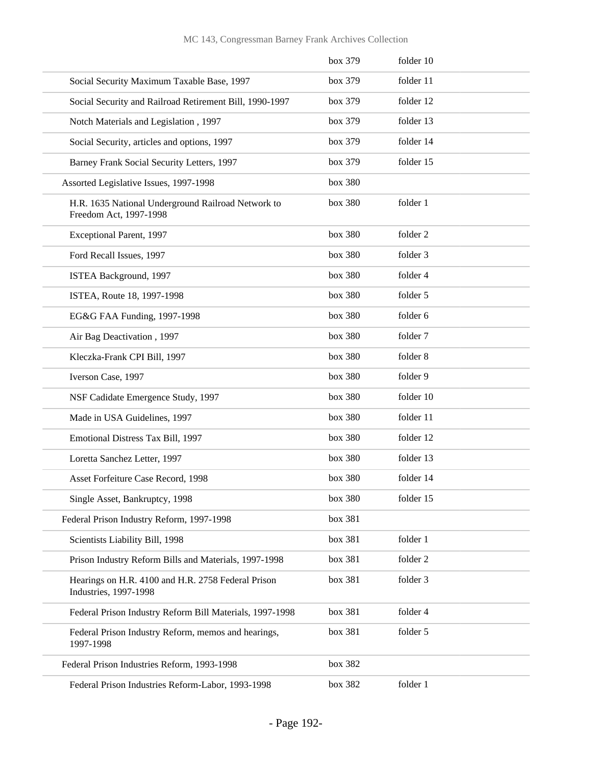|                                                                                     | box 379 | folder 10 |
|-------------------------------------------------------------------------------------|---------|-----------|
| Social Security Maximum Taxable Base, 1997                                          | box 379 | folder 11 |
| Social Security and Railroad Retirement Bill, 1990-1997                             | box 379 | folder 12 |
| Notch Materials and Legislation, 1997                                               | box 379 | folder 13 |
| Social Security, articles and options, 1997                                         | box 379 | folder 14 |
| Barney Frank Social Security Letters, 1997                                          | box 379 | folder 15 |
| Assorted Legislative Issues, 1997-1998                                              | box 380 |           |
| H.R. 1635 National Underground Railroad Network to<br>Freedom Act, 1997-1998        | box 380 | folder 1  |
| Exceptional Parent, 1997                                                            | box 380 | folder 2  |
| Ford Recall Issues, 1997                                                            | box 380 | folder 3  |
| ISTEA Background, 1997                                                              | box 380 | folder 4  |
| ISTEA, Route 18, 1997-1998                                                          | box 380 | folder 5  |
| EG&G FAA Funding, 1997-1998                                                         | box 380 | folder 6  |
| Air Bag Deactivation, 1997                                                          | box 380 | folder 7  |
| Kleczka-Frank CPI Bill, 1997                                                        | box 380 | folder 8  |
| Iverson Case, 1997                                                                  | box 380 | folder 9  |
| NSF Cadidate Emergence Study, 1997                                                  | box 380 | folder 10 |
| Made in USA Guidelines, 1997                                                        | box 380 | folder 11 |
| Emotional Distress Tax Bill, 1997                                                   | box 380 | folder 12 |
| Loretta Sanchez Letter, 1997                                                        | box 380 | folder 13 |
| Asset Forfeiture Case Record, 1998                                                  | box 380 | folder 14 |
| Single Asset, Bankruptcy, 1998                                                      | box 380 | folder 15 |
| Federal Prison Industry Reform, 1997-1998                                           | box 381 |           |
| Scientists Liability Bill, 1998                                                     | box 381 | folder 1  |
| Prison Industry Reform Bills and Materials, 1997-1998                               | box 381 | folder 2  |
| Hearings on H.R. 4100 and H.R. 2758 Federal Prison<br><b>Industries</b> , 1997-1998 | box 381 | folder 3  |
| Federal Prison Industry Reform Bill Materials, 1997-1998                            | box 381 | folder 4  |
| Federal Prison Industry Reform, memos and hearings,<br>1997-1998                    | box 381 | folder 5  |
| Federal Prison Industries Reform, 1993-1998                                         | box 382 |           |
| Federal Prison Industries Reform-Labor, 1993-1998                                   | box 382 | folder 1  |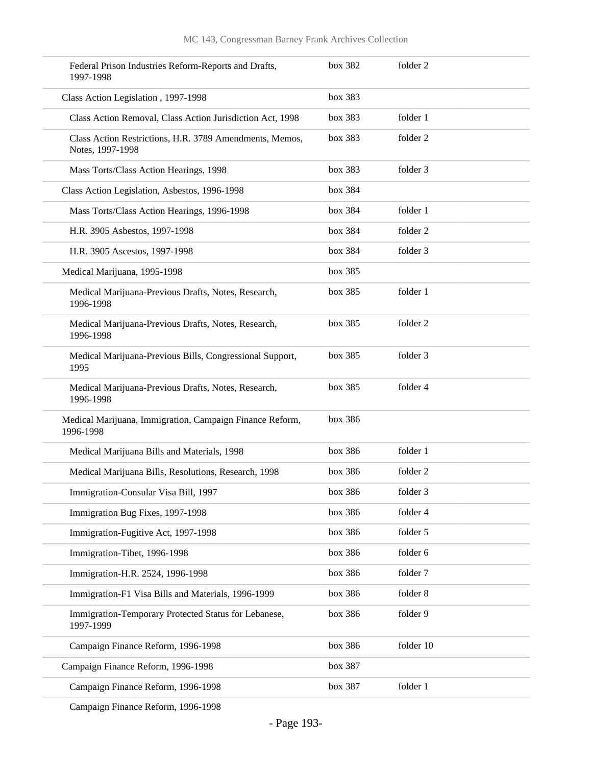| Federal Prison Industries Reform-Reports and Drafts,<br>1997-1998           | box 382 | folder 2  |
|-----------------------------------------------------------------------------|---------|-----------|
| Class Action Legislation, 1997-1998                                         | box 383 |           |
| Class Action Removal, Class Action Jurisdiction Act, 1998                   | box 383 | folder 1  |
| Class Action Restrictions, H.R. 3789 Amendments, Memos,<br>Notes, 1997-1998 | box 383 | folder 2  |
| Mass Torts/Class Action Hearings, 1998                                      | box 383 | folder 3  |
| Class Action Legislation, Asbestos, 1996-1998                               | box 384 |           |
| Mass Torts/Class Action Hearings, 1996-1998                                 | box 384 | folder 1  |
| H.R. 3905 Asbestos, 1997-1998                                               | box 384 | folder 2  |
| H.R. 3905 Ascestos, 1997-1998                                               | box 384 | folder 3  |
| Medical Marijuana, 1995-1998                                                | box 385 |           |
| Medical Marijuana-Previous Drafts, Notes, Research,<br>1996-1998            | box 385 | folder 1  |
| Medical Marijuana-Previous Drafts, Notes, Research,<br>1996-1998            | box 385 | folder 2  |
| Medical Marijuana-Previous Bills, Congressional Support,<br>1995            | box 385 | folder 3  |
| Medical Marijuana-Previous Drafts, Notes, Research,<br>1996-1998            | box 385 | folder 4  |
| Medical Marijuana, Immigration, Campaign Finance Reform,<br>1996-1998       | box 386 |           |
| Medical Marijuana Bills and Materials, 1998                                 | box 386 | folder 1  |
| Medical Marijuana Bills, Resolutions, Research, 1998                        | box 386 | folder 2  |
| Immigration-Consular Visa Bill, 1997                                        | box 386 | folder 3  |
| Immigration Bug Fixes, 1997-1998                                            | box 386 | folder 4  |
| Immigration-Fugitive Act, 1997-1998                                         | box 386 | folder 5  |
| Immigration-Tibet, 1996-1998                                                | box 386 | folder 6  |
| Immigration-H.R. 2524, 1996-1998                                            | box 386 | folder 7  |
| Immigration-F1 Visa Bills and Materials, 1996-1999                          | box 386 | folder 8  |
| Immigration-Temporary Protected Status for Lebanese,<br>1997-1999           | box 386 | folder 9  |
| Campaign Finance Reform, 1996-1998                                          | box 386 | folder 10 |
| Campaign Finance Reform, 1996-1998                                          | box 387 |           |
| Campaign Finance Reform, 1996-1998                                          | box 387 | folder 1  |
|                                                                             |         |           |

Campaign Finance Reform, 1996-1998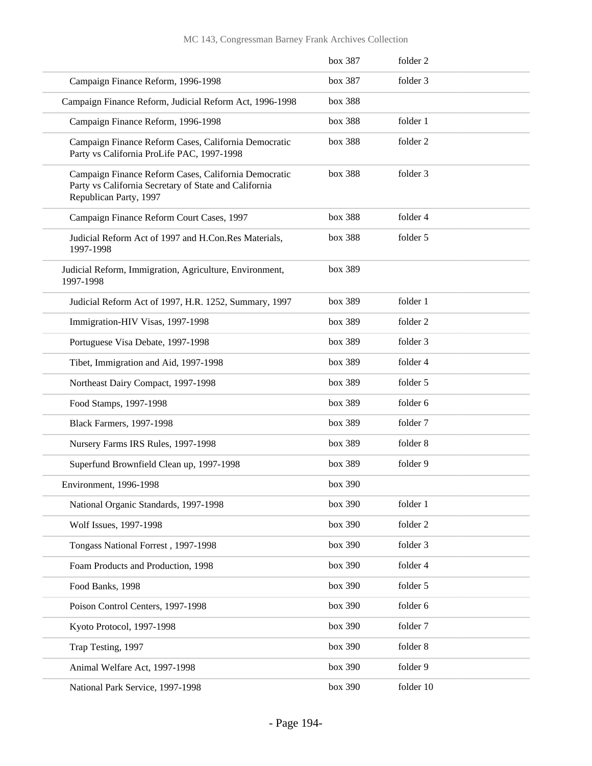|                                                                                                                                         | box 387 | folder <sub>2</sub> |
|-----------------------------------------------------------------------------------------------------------------------------------------|---------|---------------------|
| Campaign Finance Reform, 1996-1998                                                                                                      | box 387 | folder 3            |
| Campaign Finance Reform, Judicial Reform Act, 1996-1998                                                                                 | box 388 |                     |
| Campaign Finance Reform, 1996-1998                                                                                                      | box 388 | folder 1            |
| Campaign Finance Reform Cases, California Democratic<br>Party vs California ProLife PAC, 1997-1998                                      | box 388 | folder 2            |
| Campaign Finance Reform Cases, California Democratic<br>Party vs California Secretary of State and California<br>Republican Party, 1997 | box 388 | folder 3            |
| Campaign Finance Reform Court Cases, 1997                                                                                               | box 388 | folder 4            |
| Judicial Reform Act of 1997 and H.Con.Res Materials,<br>1997-1998                                                                       | box 388 | folder 5            |
| Judicial Reform, Immigration, Agriculture, Environment,<br>1997-1998                                                                    | box 389 |                     |
| Judicial Reform Act of 1997, H.R. 1252, Summary, 1997                                                                                   | box 389 | folder 1            |
| Immigration-HIV Visas, 1997-1998                                                                                                        | box 389 | folder 2            |
| Portuguese Visa Debate, 1997-1998                                                                                                       | box 389 | folder 3            |
| Tibet, Immigration and Aid, 1997-1998                                                                                                   | box 389 | folder 4            |
| Northeast Dairy Compact, 1997-1998                                                                                                      | box 389 | folder 5            |
| Food Stamps, 1997-1998                                                                                                                  | box 389 | folder 6            |
| <b>Black Farmers, 1997-1998</b>                                                                                                         | box 389 | folder 7            |
| Nursery Farms IRS Rules, 1997-1998                                                                                                      | box 389 | folder 8            |
| Superfund Brownfield Clean up, 1997-1998                                                                                                | box 389 | folder 9            |
| Environment, 1996-1998                                                                                                                  | box 390 |                     |
| National Organic Standards, 1997-1998                                                                                                   | box 390 | folder 1            |
| Wolf Issues, 1997-1998                                                                                                                  | box 390 | folder 2            |
| Tongass National Forrest, 1997-1998                                                                                                     | box 390 | folder 3            |
| Foam Products and Production, 1998                                                                                                      | box 390 | folder 4            |
| Food Banks, 1998                                                                                                                        | box 390 | folder 5            |
| Poison Control Centers, 1997-1998                                                                                                       | box 390 | folder 6            |
| Kyoto Protocol, 1997-1998                                                                                                               | box 390 | folder 7            |
| Trap Testing, 1997                                                                                                                      | box 390 | folder 8            |
| Animal Welfare Act, 1997-1998                                                                                                           | box 390 | folder 9            |
| National Park Service, 1997-1998                                                                                                        | box 390 | folder 10           |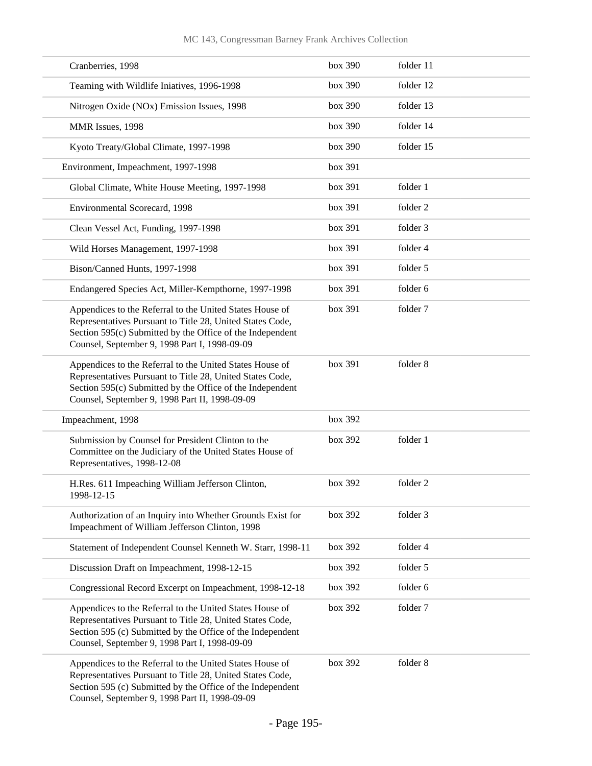| Cranberries, 1998                                                                                                                                                                                                                     | box 390 | folder 11 |
|---------------------------------------------------------------------------------------------------------------------------------------------------------------------------------------------------------------------------------------|---------|-----------|
| Teaming with Wildlife Iniatives, 1996-1998                                                                                                                                                                                            | box 390 | folder 12 |
| Nitrogen Oxide (NOx) Emission Issues, 1998                                                                                                                                                                                            | box 390 | folder 13 |
| MMR Issues, 1998                                                                                                                                                                                                                      | box 390 | folder 14 |
| Kyoto Treaty/Global Climate, 1997-1998                                                                                                                                                                                                | box 390 | folder 15 |
| Environment, Impeachment, 1997-1998                                                                                                                                                                                                   | box 391 |           |
| Global Climate, White House Meeting, 1997-1998                                                                                                                                                                                        | box 391 | folder 1  |
| Environmental Scorecard, 1998                                                                                                                                                                                                         | box 391 | folder 2  |
| Clean Vessel Act, Funding, 1997-1998                                                                                                                                                                                                  | box 391 | folder 3  |
| Wild Horses Management, 1997-1998                                                                                                                                                                                                     | box 391 | folder 4  |
| Bison/Canned Hunts, 1997-1998                                                                                                                                                                                                         | box 391 | folder 5  |
| Endangered Species Act, Miller-Kempthorne, 1997-1998                                                                                                                                                                                  | box 391 | folder 6  |
| Appendices to the Referral to the United States House of<br>Representatives Pursuant to Title 28, United States Code,<br>Section 595(c) Submitted by the Office of the Independent<br>Counsel, September 9, 1998 Part I, 1998-09-09   | box 391 | folder 7  |
| Appendices to the Referral to the United States House of<br>Representatives Pursuant to Title 28, United States Code,<br>Section 595(c) Submitted by the Office of the Independent<br>Counsel, September 9, 1998 Part II, 1998-09-09  | box 391 | folder 8  |
| Impeachment, 1998                                                                                                                                                                                                                     | box 392 |           |
| Submission by Counsel for President Clinton to the<br>Committee on the Judiciary of the United States House of<br>Representatives, 1998-12-08                                                                                         | box 392 | folder 1  |
| H.Res. 611 Impeaching William Jefferson Clinton,<br>1998-12-15                                                                                                                                                                        | box 392 | folder 2  |
| Authorization of an Inquiry into Whether Grounds Exist for<br>Impeachment of William Jefferson Clinton, 1998                                                                                                                          | box 392 | folder 3  |
| Statement of Independent Counsel Kenneth W. Starr, 1998-11                                                                                                                                                                            | box 392 | folder 4  |
| Discussion Draft on Impeachment, 1998-12-15                                                                                                                                                                                           | box 392 | folder 5  |
| Congressional Record Excerpt on Impeachment, 1998-12-18                                                                                                                                                                               | box 392 | folder 6  |
| Appendices to the Referral to the United States House of<br>Representatives Pursuant to Title 28, United States Code,<br>Section 595 (c) Submitted by the Office of the Independent<br>Counsel, September 9, 1998 Part I, 1998-09-09  | box 392 | folder 7  |
| Appendices to the Referral to the United States House of<br>Representatives Pursuant to Title 28, United States Code,<br>Section 595 (c) Submitted by the Office of the Independent<br>Counsel, September 9, 1998 Part II, 1998-09-09 | box 392 | folder 8  |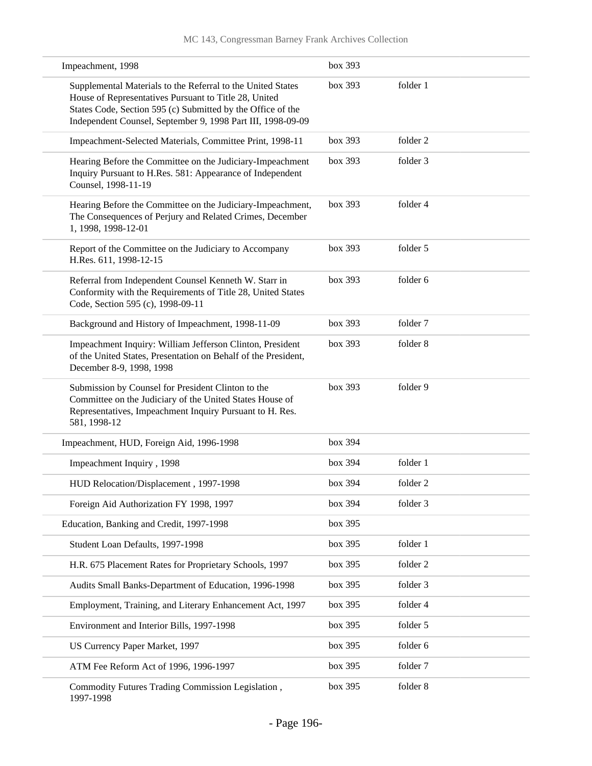| Impeachment, 1998                                                                                                                                                                                                                                  | box 393 |          |  |
|----------------------------------------------------------------------------------------------------------------------------------------------------------------------------------------------------------------------------------------------------|---------|----------|--|
| Supplemental Materials to the Referral to the United States<br>House of Representatives Pursuant to Title 28, United<br>States Code, Section 595 (c) Submitted by the Office of the<br>Independent Counsel, September 9, 1998 Part III, 1998-09-09 | box 393 | folder 1 |  |
| Impeachment-Selected Materials, Committee Print, 1998-11                                                                                                                                                                                           | box~393 | folder 2 |  |
| Hearing Before the Committee on the Judiciary-Impeachment<br>Inquiry Pursuant to H.Res. 581: Appearance of Independent<br>Counsel, 1998-11-19                                                                                                      | box 393 | folder 3 |  |
| Hearing Before the Committee on the Judiciary-Impeachment,<br>The Consequences of Perjury and Related Crimes, December<br>1, 1998, 1998-12-01                                                                                                      | box 393 | folder 4 |  |
| Report of the Committee on the Judiciary to Accompany<br>H.Res. 611, 1998-12-15                                                                                                                                                                    | box 393 | folder 5 |  |
| Referral from Independent Counsel Kenneth W. Starr in<br>Conformity with the Requirements of Title 28, United States<br>Code, Section 595 (c), 1998-09-11                                                                                          | box 393 | folder 6 |  |
| Background and History of Impeachment, 1998-11-09                                                                                                                                                                                                  | box 393 | folder 7 |  |
| Impeachment Inquiry: William Jefferson Clinton, President<br>of the United States, Presentation on Behalf of the President,<br>December 8-9, 1998, 1998                                                                                            | box 393 | folder 8 |  |
| Submission by Counsel for President Clinton to the<br>Committee on the Judiciary of the United States House of<br>Representatives, Impeachment Inquiry Pursuant to H. Res.<br>581, 1998-12                                                         | box 393 | folder 9 |  |
| Impeachment, HUD, Foreign Aid, 1996-1998                                                                                                                                                                                                           | box 394 |          |  |
| Impeachment Inquiry, 1998                                                                                                                                                                                                                          | box 394 | folder 1 |  |
| HUD Relocation/Displacement, 1997-1998                                                                                                                                                                                                             | box 394 | folder 2 |  |
| Foreign Aid Authorization FY 1998, 1997                                                                                                                                                                                                            | box 394 | folder 3 |  |
| Education, Banking and Credit, 1997-1998                                                                                                                                                                                                           | box 395 |          |  |
| Student Loan Defaults, 1997-1998                                                                                                                                                                                                                   | box 395 | folder 1 |  |
| H.R. 675 Placement Rates for Proprietary Schools, 1997                                                                                                                                                                                             | box 395 | folder 2 |  |
| Audits Small Banks-Department of Education, 1996-1998                                                                                                                                                                                              | box 395 | folder 3 |  |
| Employment, Training, and Literary Enhancement Act, 1997                                                                                                                                                                                           | box 395 | folder 4 |  |
| Environment and Interior Bills, 1997-1998                                                                                                                                                                                                          | box 395 | folder 5 |  |
| US Currency Paper Market, 1997                                                                                                                                                                                                                     | box 395 | folder 6 |  |
| ATM Fee Reform Act of 1996, 1996-1997                                                                                                                                                                                                              | box 395 | folder 7 |  |
| Commodity Futures Trading Commission Legislation,<br>1997-1998                                                                                                                                                                                     | box 395 | folder 8 |  |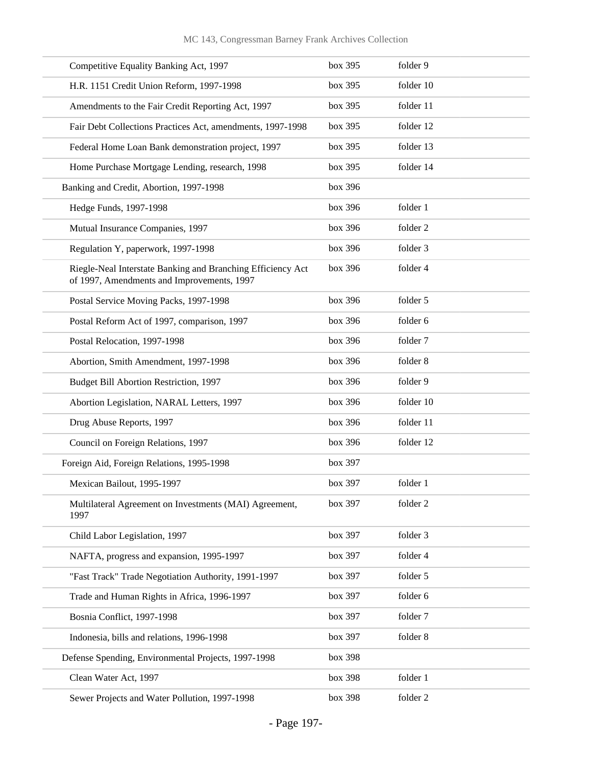| Competitive Equality Banking Act, 1997                                                                    | box 395 | folder 9  |
|-----------------------------------------------------------------------------------------------------------|---------|-----------|
| H.R. 1151 Credit Union Reform, 1997-1998                                                                  | box 395 | folder 10 |
| Amendments to the Fair Credit Reporting Act, 1997                                                         | box 395 | folder 11 |
| Fair Debt Collections Practices Act, amendments, 1997-1998                                                | box 395 | folder 12 |
| Federal Home Loan Bank demonstration project, 1997                                                        | box 395 | folder 13 |
| Home Purchase Mortgage Lending, research, 1998                                                            | box 395 | folder 14 |
| Banking and Credit, Abortion, 1997-1998                                                                   | box 396 |           |
| Hedge Funds, 1997-1998                                                                                    | box 396 | folder 1  |
| Mutual Insurance Companies, 1997                                                                          | box 396 | folder 2  |
| Regulation Y, paperwork, 1997-1998                                                                        | box 396 | folder 3  |
| Riegle-Neal Interstate Banking and Branching Efficiency Act<br>of 1997, Amendments and Improvements, 1997 | box 396 | folder 4  |
| Postal Service Moving Packs, 1997-1998                                                                    | box 396 | folder 5  |
| Postal Reform Act of 1997, comparison, 1997                                                               | box 396 | folder 6  |
| Postal Relocation, 1997-1998                                                                              | box 396 | folder 7  |
| Abortion, Smith Amendment, 1997-1998                                                                      | box 396 | folder 8  |
| Budget Bill Abortion Restriction, 1997                                                                    | box 396 | folder 9  |
| Abortion Legislation, NARAL Letters, 1997                                                                 | box 396 | folder 10 |
| Drug Abuse Reports, 1997                                                                                  | box 396 | folder 11 |
| Council on Foreign Relations, 1997                                                                        | box 396 | folder 12 |
| Foreign Aid, Foreign Relations, 1995-1998                                                                 | box 397 |           |
| Mexican Bailout, 1995-1997                                                                                | box 397 | folder 1  |
| Multilateral Agreement on Investments (MAI) Agreement,<br>1997                                            | box 397 | folder 2  |
| Child Labor Legislation, 1997                                                                             | box 397 | folder 3  |
| NAFTA, progress and expansion, 1995-1997                                                                  | box 397 | folder 4  |
| "Fast Track" Trade Negotiation Authority, 1991-1997                                                       | box 397 | folder 5  |
| Trade and Human Rights in Africa, 1996-1997                                                               | box 397 | folder 6  |
| Bosnia Conflict, 1997-1998                                                                                | box 397 | folder 7  |
| Indonesia, bills and relations, 1996-1998                                                                 | box 397 | folder 8  |
| Defense Spending, Environmental Projects, 1997-1998                                                       | box 398 |           |
| Clean Water Act, 1997                                                                                     | box 398 | folder 1  |
| Sewer Projects and Water Pollution, 1997-1998                                                             | box 398 | folder 2  |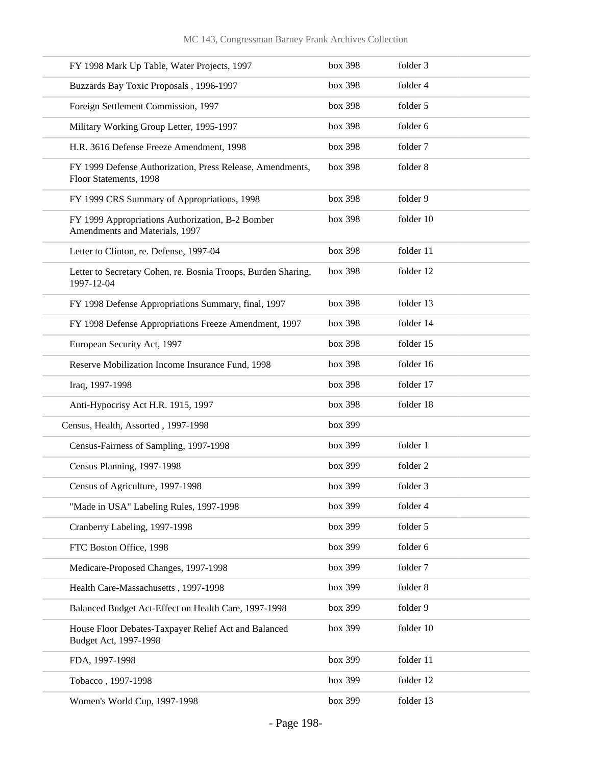| FY 1998 Mark Up Table, Water Projects, 1997                                         | box 398 | folder 3  |
|-------------------------------------------------------------------------------------|---------|-----------|
| Buzzards Bay Toxic Proposals, 1996-1997                                             | box 398 | folder 4  |
| Foreign Settlement Commission, 1997                                                 | box 398 | folder 5  |
| Military Working Group Letter, 1995-1997                                            | box 398 | folder 6  |
| H.R. 3616 Defense Freeze Amendment, 1998                                            | box 398 | folder 7  |
| FY 1999 Defense Authorization, Press Release, Amendments,<br>Floor Statements, 1998 | box 398 | folder 8  |
| FY 1999 CRS Summary of Appropriations, 1998                                         | box 398 | folder 9  |
| FY 1999 Appropriations Authorization, B-2 Bomber<br>Amendments and Materials, 1997  | box 398 | folder 10 |
| Letter to Clinton, re. Defense, 1997-04                                             | box 398 | folder 11 |
| Letter to Secretary Cohen, re. Bosnia Troops, Burden Sharing,<br>1997-12-04         | box 398 | folder 12 |
| FY 1998 Defense Appropriations Summary, final, 1997                                 | box 398 | folder 13 |
| FY 1998 Defense Appropriations Freeze Amendment, 1997                               | box 398 | folder 14 |
| European Security Act, 1997                                                         | box 398 | folder 15 |
| Reserve Mobilization Income Insurance Fund, 1998                                    | box 398 | folder 16 |
| Iraq, 1997-1998                                                                     | box 398 | folder 17 |
| Anti-Hypocrisy Act H.R. 1915, 1997                                                  | box 398 | folder 18 |
| Census, Health, Assorted, 1997-1998                                                 | box 399 |           |
| Census-Fairness of Sampling, 1997-1998                                              | box 399 | folder 1  |
| Census Planning, 1997-1998                                                          | box 399 | folder 2  |
| Census of Agriculture, 1997-1998                                                    | box 399 | folder 3  |
| "Made in USA" Labeling Rules, 1997-1998                                             | box 399 | folder 4  |
| Cranberry Labeling, 1997-1998                                                       | box 399 | folder 5  |
| FTC Boston Office, 1998                                                             | box 399 | folder 6  |
| Medicare-Proposed Changes, 1997-1998                                                | box 399 | folder 7  |
| Health Care-Massachusetts, 1997-1998                                                | box 399 | folder 8  |
| Balanced Budget Act-Effect on Health Care, 1997-1998                                | box 399 | folder 9  |
| House Floor Debates-Taxpayer Relief Act and Balanced<br>Budget Act, 1997-1998       | box 399 | folder 10 |
| FDA, 1997-1998                                                                      | box 399 | folder 11 |
| Tobacco, 1997-1998                                                                  | box 399 | folder 12 |
| Women's World Cup, 1997-1998                                                        | box 399 | folder 13 |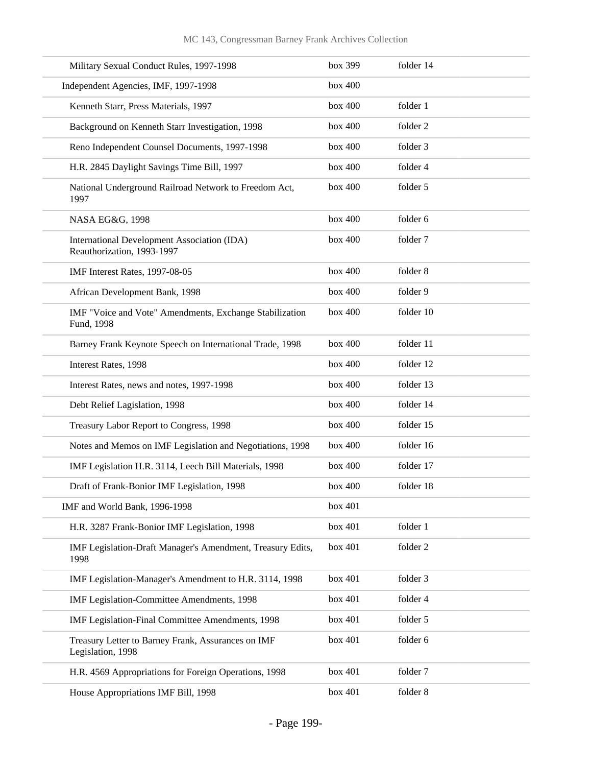| Military Sexual Conduct Rules, 1997-1998                                  | box 399 | folder 14 |
|---------------------------------------------------------------------------|---------|-----------|
| Independent Agencies, IMF, 1997-1998                                      | box 400 |           |
| Kenneth Starr, Press Materials, 1997                                      | box 400 | folder 1  |
| Background on Kenneth Starr Investigation, 1998                           | box 400 | folder 2  |
| Reno Independent Counsel Documents, 1997-1998                             | box 400 | folder 3  |
| H.R. 2845 Daylight Savings Time Bill, 1997                                | box 400 | folder 4  |
| National Underground Railroad Network to Freedom Act,<br>1997             | box 400 | folder 5  |
| NASA EG&G, 1998                                                           | box 400 | folder 6  |
| International Development Association (IDA)<br>Reauthorization, 1993-1997 | box 400 | folder 7  |
| IMF Interest Rates, 1997-08-05                                            | box 400 | folder 8  |
| African Development Bank, 1998                                            | box 400 | folder 9  |
| IMF "Voice and Vote" Amendments, Exchange Stabilization<br>Fund, 1998     | box 400 | folder 10 |
| Barney Frank Keynote Speech on International Trade, 1998                  | box 400 | folder 11 |
| Interest Rates, 1998                                                      | box 400 | folder 12 |
| Interest Rates, news and notes, 1997-1998                                 | box 400 | folder 13 |
| Debt Relief Lagislation, 1998                                             | box 400 | folder 14 |
| Treasury Labor Report to Congress, 1998                                   | box 400 | folder 15 |
| Notes and Memos on IMF Legislation and Negotiations, 1998                 | box 400 | folder 16 |
| IMF Legislation H.R. 3114, Leech Bill Materials, 1998                     | box 400 | folder 17 |
| Draft of Frank-Bonior IMF Legislation, 1998                               | box 400 | folder 18 |
| IMF and World Bank, 1996-1998                                             | box 401 |           |
| H.R. 3287 Frank-Bonior IMF Legislation, 1998                              | box 401 | folder 1  |
| IMF Legislation-Draft Manager's Amendment, Treasury Edits,<br>1998        | box 401 | folder 2  |
| IMF Legislation-Manager's Amendment to H.R. 3114, 1998                    | box 401 | folder 3  |
| IMF Legislation-Committee Amendments, 1998                                | box 401 | folder 4  |
| IMF Legislation-Final Committee Amendments, 1998                          | box 401 | folder 5  |
| Treasury Letter to Barney Frank, Assurances on IMF<br>Legislation, 1998   | box 401 | folder 6  |
| H.R. 4569 Appropriations for Foreign Operations, 1998                     | box 401 | folder 7  |
| House Appropriations IMF Bill, 1998                                       | box 401 | folder 8  |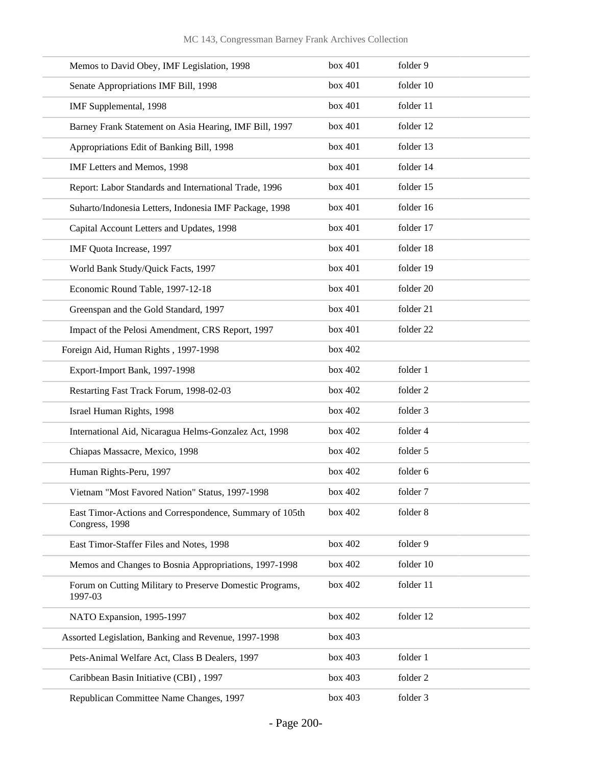| Memos to David Obey, IMF Legislation, 1998                                | box 401 | folder 9  |
|---------------------------------------------------------------------------|---------|-----------|
| Senate Appropriations IMF Bill, 1998                                      | box 401 | folder 10 |
| IMF Supplemental, 1998                                                    | box 401 | folder 11 |
| Barney Frank Statement on Asia Hearing, IMF Bill, 1997                    | box 401 | folder 12 |
| Appropriations Edit of Banking Bill, 1998                                 | box 401 | folder 13 |
| IMF Letters and Memos, 1998                                               | box 401 | folder 14 |
| Report: Labor Standards and International Trade, 1996                     | box 401 | folder 15 |
| Suharto/Indonesia Letters, Indonesia IMF Package, 1998                    | box 401 | folder 16 |
| Capital Account Letters and Updates, 1998                                 | box 401 | folder 17 |
| IMF Quota Increase, 1997                                                  | box 401 | folder 18 |
| World Bank Study/Quick Facts, 1997                                        | box 401 | folder 19 |
| Economic Round Table, 1997-12-18                                          | box 401 | folder 20 |
| Greenspan and the Gold Standard, 1997                                     | box 401 | folder 21 |
| Impact of the Pelosi Amendment, CRS Report, 1997                          | box 401 | folder 22 |
| Foreign Aid, Human Rights, 1997-1998                                      | box 402 |           |
| Export-Import Bank, 1997-1998                                             | box 402 | folder 1  |
| Restarting Fast Track Forum, 1998-02-03                                   | box 402 | folder 2  |
| Israel Human Rights, 1998                                                 | box 402 | folder 3  |
| International Aid, Nicaragua Helms-Gonzalez Act, 1998                     | box 402 | folder 4  |
| Chiapas Massacre, Mexico, 1998                                            | box 402 | folder 5  |
| Human Rights-Peru, 1997                                                   | box 402 | folder 6  |
| Vietnam "Most Favored Nation" Status, 1997-1998                           | box 402 | folder 7  |
| East Timor-Actions and Correspondence, Summary of 105th<br>Congress, 1998 | box 402 | folder 8  |
| East Timor-Staffer Files and Notes, 1998                                  | box 402 | folder 9  |
| Memos and Changes to Bosnia Appropriations, 1997-1998                     | box 402 | folder 10 |
| Forum on Cutting Military to Preserve Domestic Programs,<br>1997-03       | box 402 | folder 11 |
| NATO Expansion, 1995-1997                                                 | box 402 | folder 12 |
| Assorted Legislation, Banking and Revenue, 1997-1998                      | box 403 |           |
| Pets-Animal Welfare Act, Class B Dealers, 1997                            | box 403 | folder 1  |
| Caribbean Basin Initiative (CBI), 1997                                    | box 403 | folder 2  |
| Republican Committee Name Changes, 1997                                   | box 403 | folder 3  |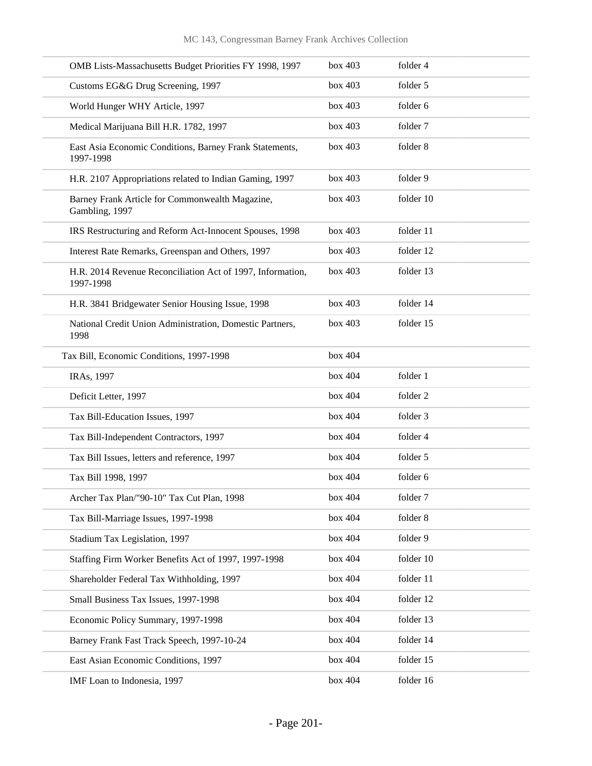| OMB Lists-Massachusetts Budget Priorities FY 1998, 1997                 | box 403 | folder 4  |
|-------------------------------------------------------------------------|---------|-----------|
| Customs EG&G Drug Screening, 1997                                       | box 403 | folder 5  |
| World Hunger WHY Article, 1997                                          | box 403 | folder 6  |
| Medical Marijuana Bill H.R. 1782, 1997                                  | box 403 | folder 7  |
| East Asia Economic Conditions, Barney Frank Statements,<br>1997-1998    | box 403 | folder 8  |
| H.R. 2107 Appropriations related to Indian Gaming, 1997                 | box 403 | folder 9  |
| Barney Frank Article for Commonwealth Magazine,<br>Gambling, 1997       | box 403 | folder 10 |
| IRS Restructuring and Reform Act-Innocent Spouses, 1998                 | box 403 | folder 11 |
| Interest Rate Remarks, Greenspan and Others, 1997                       | box 403 | folder 12 |
| H.R. 2014 Revenue Reconciliation Act of 1997, Information,<br>1997-1998 | box 403 | folder 13 |
| H.R. 3841 Bridgewater Senior Housing Issue, 1998                        | box 403 | folder 14 |
| National Credit Union Administration, Domestic Partners,<br>1998        | box 403 | folder 15 |
| Tax Bill, Economic Conditions, 1997-1998                                | box 404 |           |
| IRAs, 1997                                                              | box 404 | folder 1  |
| Deficit Letter, 1997                                                    | box 404 | folder 2  |
| Tax Bill-Education Issues, 1997                                         | box 404 | folder 3  |
| Tax Bill-Independent Contractors, 1997                                  | box 404 | folder 4  |
| Tax Bill Issues, letters and reference, 1997                            | box 404 | folder 5  |
| Tax Bill 1998, 1997                                                     | box 404 | folder 6  |
| Archer Tax Plan/"90-10" Tax Cut Plan, 1998                              | box 404 | folder 7  |
| Tax Bill-Marriage Issues, 1997-1998                                     | box 404 | folder 8  |
| Stadium Tax Legislation, 1997                                           | box 404 | folder 9  |
| Staffing Firm Worker Benefits Act of 1997, 1997-1998                    | box 404 | folder 10 |
| Shareholder Federal Tax Withholding, 1997                               | box 404 | folder 11 |
| Small Business Tax Issues, 1997-1998                                    | box 404 | folder 12 |
| Economic Policy Summary, 1997-1998                                      | box 404 | folder 13 |
| Barney Frank Fast Track Speech, 1997-10-24                              | box 404 | folder 14 |
| East Asian Economic Conditions, 1997                                    | box 404 | folder 15 |
| IMF Loan to Indonesia, 1997                                             | box 404 | folder 16 |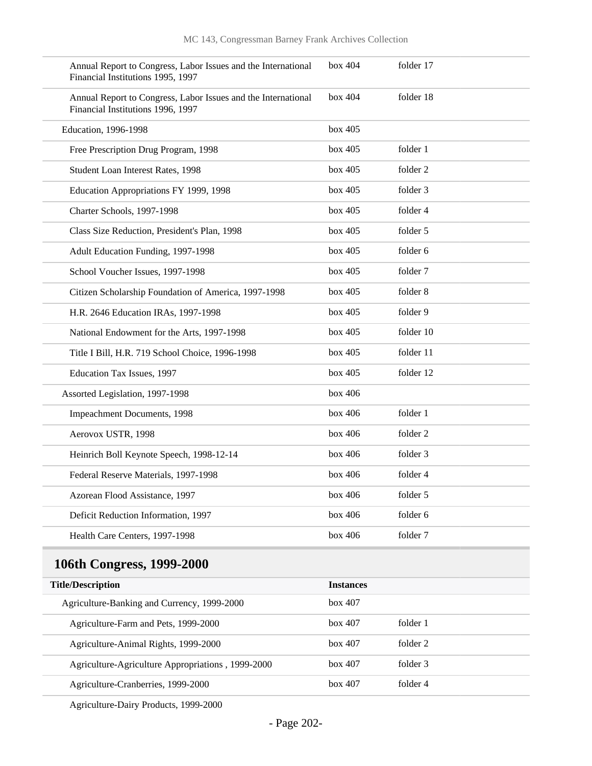| Annual Report to Congress, Labor Issues and the International<br>Financial Institutions 1995, 1997 | box 404 | folder 17 |
|----------------------------------------------------------------------------------------------------|---------|-----------|
| Annual Report to Congress, Labor Issues and the International<br>Financial Institutions 1996, 1997 | box 404 | folder 18 |
| Education, 1996-1998                                                                               | box~405 |           |
| Free Prescription Drug Program, 1998                                                               | box 405 | folder 1  |
| Student Loan Interest Rates, 1998                                                                  | box 405 | folder 2  |
| Education Appropriations FY 1999, 1998                                                             | box 405 | folder 3  |
| Charter Schools, 1997-1998                                                                         | box 405 | folder 4  |
| Class Size Reduction, President's Plan, 1998                                                       | box 405 | folder 5  |
| Adult Education Funding, 1997-1998                                                                 | box~405 | folder 6  |
| School Voucher Issues, 1997-1998                                                                   | box 405 | folder 7  |
| Citizen Scholarship Foundation of America, 1997-1998                                               | box 405 | folder 8  |
| H.R. 2646 Education IRAs, 1997-1998                                                                | box 405 | folder 9  |
| National Endowment for the Arts, 1997-1998                                                         | box 405 | folder 10 |
| Title I Bill, H.R. 719 School Choice, 1996-1998                                                    | box 405 | folder 11 |
| Education Tax Issues, 1997                                                                         | box~405 | folder 12 |
| Assorted Legislation, 1997-1998                                                                    | box~406 |           |
| Impeachment Documents, 1998                                                                        | box~406 | folder 1  |
| Aerovox USTR, 1998                                                                                 | box~406 | folder 2  |
| Heinrich Boll Keynote Speech, 1998-12-14                                                           | box~406 | folder 3  |
| Federal Reserve Materials, 1997-1998                                                               | box~406 | folder 4  |
| Azorean Flood Assistance, 1997                                                                     | box~406 | folder 5  |
| Deficit Reduction Information, 1997                                                                | box~406 | folder 6  |
| Health Care Centers, 1997-1998                                                                     | box 406 | folder 7  |

# **106th Congress, 1999-2000**

| <b>Title/Description</b>                          | <b>Instances</b> |          |
|---------------------------------------------------|------------------|----------|
| Agriculture-Banking and Currency, 1999-2000       | box~407          |          |
| Agriculture-Farm and Pets, 1999-2000              | box~407          | folder 1 |
| Agriculture-Animal Rights, 1999-2000              | box 407          | folder 2 |
| Agriculture-Agriculture Appropriations, 1999-2000 | box 407          | folder 3 |
| Agriculture-Cranberries, 1999-2000                | box~407          | folder 4 |

Agriculture-Dairy Products, 1999-2000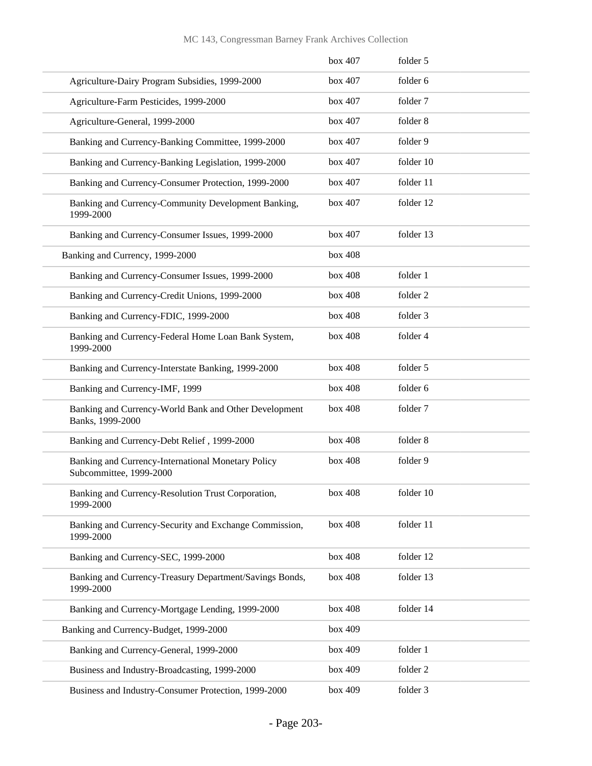|                                                                               | box 407 | folder 5  |
|-------------------------------------------------------------------------------|---------|-----------|
| Agriculture-Dairy Program Subsidies, 1999-2000                                | box 407 | folder 6  |
| Agriculture-Farm Pesticides, 1999-2000                                        | box 407 | folder 7  |
| Agriculture-General, 1999-2000                                                | box 407 | folder 8  |
| Banking and Currency-Banking Committee, 1999-2000                             | box 407 | folder 9  |
| Banking and Currency-Banking Legislation, 1999-2000                           | box 407 | folder 10 |
| Banking and Currency-Consumer Protection, 1999-2000                           | box 407 | folder 11 |
| Banking and Currency-Community Development Banking,<br>1999-2000              | box 407 | folder 12 |
| Banking and Currency-Consumer Issues, 1999-2000                               | box 407 | folder 13 |
| Banking and Currency, 1999-2000                                               | box 408 |           |
| Banking and Currency-Consumer Issues, 1999-2000                               | box 408 | folder 1  |
| Banking and Currency-Credit Unions, 1999-2000                                 | box 408 | folder 2  |
| Banking and Currency-FDIC, 1999-2000                                          | box 408 | folder 3  |
| Banking and Currency-Federal Home Loan Bank System,<br>1999-2000              | box 408 | folder 4  |
| Banking and Currency-Interstate Banking, 1999-2000                            | box 408 | folder 5  |
| Banking and Currency-IMF, 1999                                                | box 408 | folder 6  |
| Banking and Currency-World Bank and Other Development<br>Banks, 1999-2000     | box 408 | folder 7  |
| Banking and Currency-Debt Relief, 1999-2000                                   | box 408 | folder 8  |
| Banking and Currency-International Monetary Policy<br>Subcommittee, 1999-2000 | box 408 | folder 9  |
| Banking and Currency-Resolution Trust Corporation,<br>1999-2000               | box 408 | folder 10 |
| Banking and Currency-Security and Exchange Commission,<br>1999-2000           | box 408 | folder 11 |
| Banking and Currency-SEC, 1999-2000                                           | box 408 | folder 12 |
| Banking and Currency-Treasury Department/Savings Bonds,<br>1999-2000          | box 408 | folder 13 |
| Banking and Currency-Mortgage Lending, 1999-2000                              | box 408 | folder 14 |
| Banking and Currency-Budget, 1999-2000                                        | box 409 |           |
| Banking and Currency-General, 1999-2000                                       | box 409 | folder 1  |
| Business and Industry-Broadcasting, 1999-2000                                 | box 409 | folder 2  |
| Business and Industry-Consumer Protection, 1999-2000                          | box 409 | folder 3  |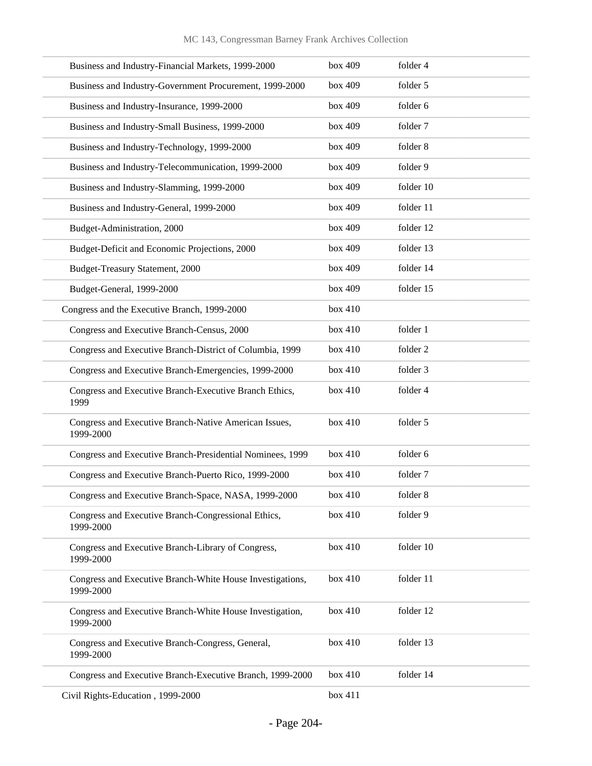| Business and Industry-Financial Markets, 1999-2000                     | box 409 | folder 4  |
|------------------------------------------------------------------------|---------|-----------|
| Business and Industry-Government Procurement, 1999-2000                | box 409 | folder 5  |
| Business and Industry-Insurance, 1999-2000                             | box 409 | folder 6  |
| Business and Industry-Small Business, 1999-2000                        | box 409 | folder 7  |
| Business and Industry-Technology, 1999-2000                            | box 409 | folder 8  |
| Business and Industry-Telecommunication, 1999-2000                     | box 409 | folder 9  |
| Business and Industry-Slamming, 1999-2000                              | box 409 | folder 10 |
| Business and Industry-General, 1999-2000                               | box 409 | folder 11 |
| Budget-Administration, 2000                                            | box 409 | folder 12 |
| Budget-Deficit and Economic Projections, 2000                          | box 409 | folder 13 |
| Budget-Treasury Statement, 2000                                        | box 409 | folder 14 |
| Budget-General, 1999-2000                                              | box 409 | folder 15 |
| Congress and the Executive Branch, 1999-2000                           | box 410 |           |
| Congress and Executive Branch-Census, 2000                             | box 410 | folder 1  |
| Congress and Executive Branch-District of Columbia, 1999               | box 410 | folder 2  |
| Congress and Executive Branch-Emergencies, 1999-2000                   | box 410 | folder 3  |
| Congress and Executive Branch-Executive Branch Ethics,<br>1999         | box 410 | folder 4  |
| Congress and Executive Branch-Native American Issues,<br>1999-2000     | box 410 | folder 5  |
| Congress and Executive Branch-Presidential Nominees, 1999              | box 410 | folder 6  |
| Congress and Executive Branch-Puerto Rico, 1999-2000                   | box 410 | folder 7  |
| Congress and Executive Branch-Space, NASA, 1999-2000                   | box 410 | folder 8  |
| Congress and Executive Branch-Congressional Ethics,<br>1999-2000       | box 410 | folder 9  |
| Congress and Executive Branch-Library of Congress,<br>1999-2000        | box 410 | folder 10 |
| Congress and Executive Branch-White House Investigations,<br>1999-2000 | box 410 | folder 11 |
| Congress and Executive Branch-White House Investigation,<br>1999-2000  | box 410 | folder 12 |
| Congress and Executive Branch-Congress, General,<br>1999-2000          | box 410 | folder 13 |
| Congress and Executive Branch-Executive Branch, 1999-2000              | box 410 | folder 14 |
| Civil Rights-Education, 1999-2000                                      | box 411 |           |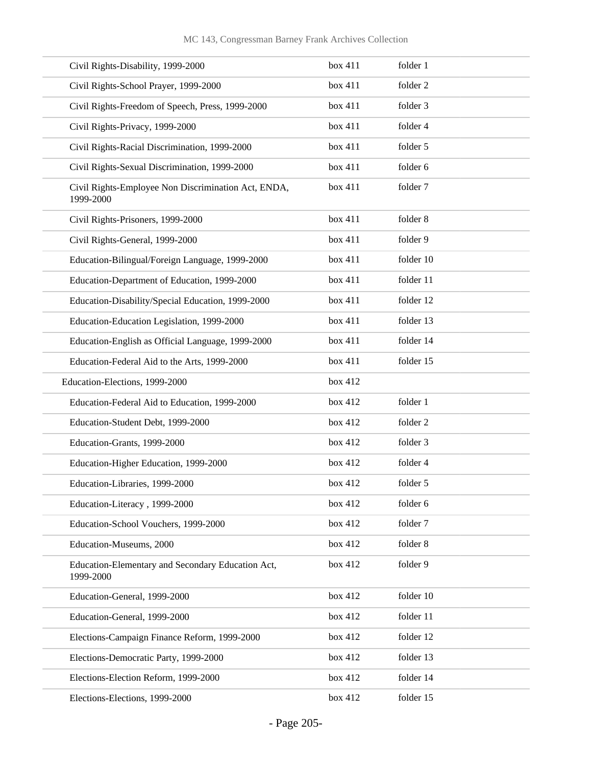| Civil Rights-Disability, 1999-2000                               | box 411 | folder 1  |
|------------------------------------------------------------------|---------|-----------|
| Civil Rights-School Prayer, 1999-2000                            | box 411 | folder 2  |
| Civil Rights-Freedom of Speech, Press, 1999-2000                 | box 411 | folder 3  |
| Civil Rights-Privacy, 1999-2000                                  | box 411 | folder 4  |
| Civil Rights-Racial Discrimination, 1999-2000                    | box 411 | folder 5  |
| Civil Rights-Sexual Discrimination, 1999-2000                    | box 411 | folder 6  |
| Civil Rights-Employee Non Discrimination Act, ENDA,<br>1999-2000 | box 411 | folder 7  |
| Civil Rights-Prisoners, 1999-2000                                | box 411 | folder 8  |
| Civil Rights-General, 1999-2000                                  | box 411 | folder 9  |
| Education-Bilingual/Foreign Language, 1999-2000                  | box 411 | folder 10 |
| Education-Department of Education, 1999-2000                     | box 411 | folder 11 |
| Education-Disability/Special Education, 1999-2000                | box 411 | folder 12 |
| Education-Education Legislation, 1999-2000                       | box 411 | folder 13 |
| Education-English as Official Language, 1999-2000                | box 411 | folder 14 |
| Education-Federal Aid to the Arts, 1999-2000                     | box 411 | folder 15 |
| Education-Elections, 1999-2000                                   | box 412 |           |
| Education-Federal Aid to Education, 1999-2000                    | box 412 | folder 1  |
| Education-Student Debt, 1999-2000                                | box 412 | folder 2  |
| Education-Grants, 1999-2000                                      | box 412 | folder 3  |
| Education-Higher Education, 1999-2000                            | box 412 | folder 4  |
| Education-Libraries, 1999-2000                                   | box 412 | folder 5  |
| Education-Literacy, 1999-2000                                    | box 412 | folder 6  |
| Education-School Vouchers, 1999-2000                             | box 412 | folder 7  |
| Education-Museums, 2000                                          | box 412 | folder 8  |
| Education-Elementary and Secondary Education Act,<br>1999-2000   | box 412 | folder 9  |
| Education-General, 1999-2000                                     | box 412 | folder 10 |
| Education-General, 1999-2000                                     | box 412 | folder 11 |
| Elections-Campaign Finance Reform, 1999-2000                     | box 412 | folder 12 |
| Elections-Democratic Party, 1999-2000                            | box 412 | folder 13 |
| Elections-Election Reform, 1999-2000                             | box 412 | folder 14 |
| Elections-Elections, 1999-2000                                   | box 412 | folder 15 |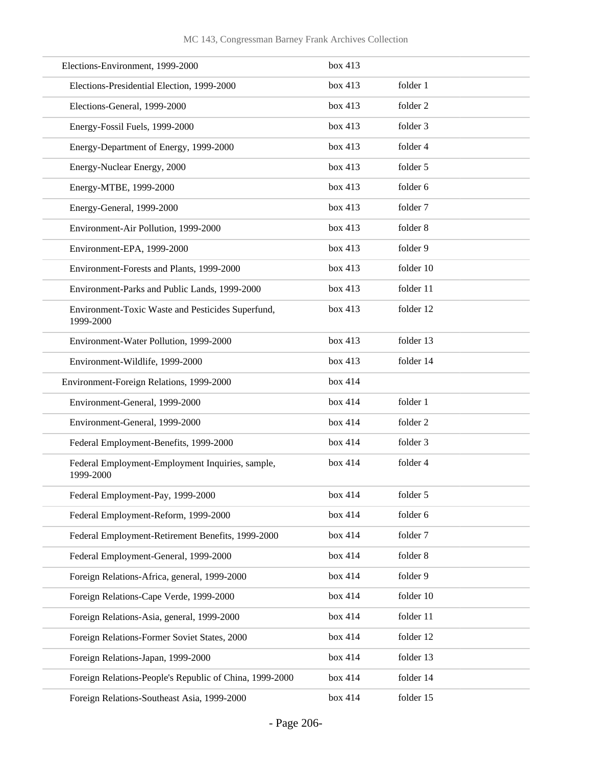| Elections-Environment, 1999-2000                               | box 413 |           |
|----------------------------------------------------------------|---------|-----------|
| Elections-Presidential Election, 1999-2000                     | box 413 | folder 1  |
| Elections-General, 1999-2000                                   | box 413 | folder 2  |
| Energy-Fossil Fuels, 1999-2000                                 | box 413 | folder 3  |
| Energy-Department of Energy, 1999-2000                         | box 413 | folder 4  |
| Energy-Nuclear Energy, 2000                                    | box 413 | folder 5  |
| Energy-MTBE, 1999-2000                                         | box 413 | folder 6  |
| Energy-General, 1999-2000                                      | box 413 | folder 7  |
| Environment-Air Pollution, 1999-2000                           | box 413 | folder 8  |
| Environment-EPA, 1999-2000                                     | box 413 | folder 9  |
| Environment-Forests and Plants, 1999-2000                      | box 413 | folder 10 |
| Environment-Parks and Public Lands, 1999-2000                  | box 413 | folder 11 |
| Environment-Toxic Waste and Pesticides Superfund,<br>1999-2000 | box 413 | folder 12 |
| Environment-Water Pollution, 1999-2000                         | box 413 | folder 13 |
| Environment-Wildlife, 1999-2000                                | box 413 | folder 14 |
| Environment-Foreign Relations, 1999-2000                       | box 414 |           |
| Environment-General, 1999-2000                                 | box 414 | folder 1  |
| Environment-General, 1999-2000                                 | box 414 | folder 2  |
| Federal Employment-Benefits, 1999-2000                         | box 414 | folder 3  |
| Federal Employment-Employment Inquiries, sample,<br>1999-2000  | box 414 | folder 4  |
| Federal Employment-Pay, 1999-2000                              | box 414 | folder 5  |
| Federal Employment-Reform, 1999-2000                           | box 414 | folder 6  |
| Federal Employment-Retirement Benefits, 1999-2000              | box 414 | folder 7  |
| Federal Employment-General, 1999-2000                          | box 414 | folder 8  |
| Foreign Relations-Africa, general, 1999-2000                   | box 414 | folder 9  |
| Foreign Relations-Cape Verde, 1999-2000                        | box 414 | folder 10 |
| Foreign Relations-Asia, general, 1999-2000                     | box 414 | folder 11 |
| Foreign Relations-Former Soviet States, 2000                   | box 414 | folder 12 |
| Foreign Relations-Japan, 1999-2000                             | box 414 | folder 13 |
| Foreign Relations-People's Republic of China, 1999-2000        | box 414 | folder 14 |
| Foreign Relations-Southeast Asia, 1999-2000                    | box 414 | folder 15 |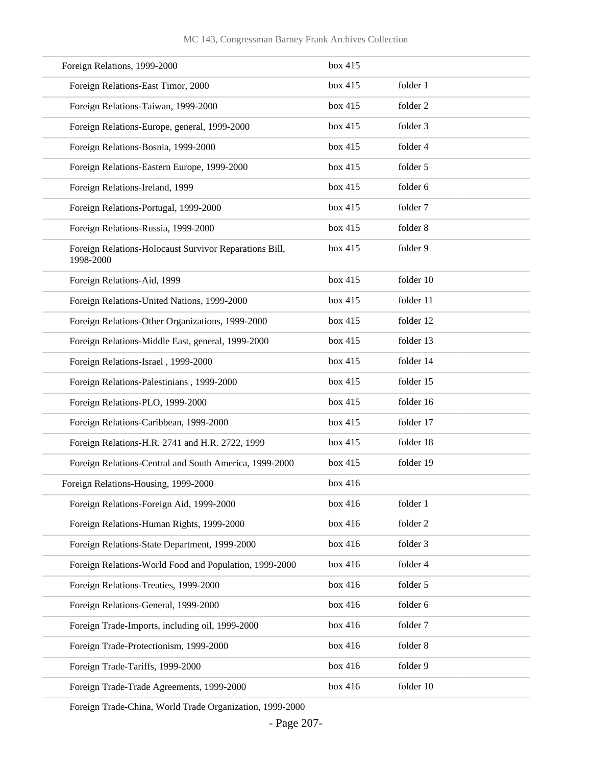| Foreign Relations, 1999-2000                                        | box 415 |           |
|---------------------------------------------------------------------|---------|-----------|
| Foreign Relations-East Timor, 2000                                  | box 415 | folder 1  |
| Foreign Relations-Taiwan, 1999-2000                                 | box 415 | folder 2  |
| Foreign Relations-Europe, general, 1999-2000                        | box 415 | folder 3  |
| Foreign Relations-Bosnia, 1999-2000                                 | box 415 | folder 4  |
| Foreign Relations-Eastern Europe, 1999-2000                         | box 415 | folder 5  |
| Foreign Relations-Ireland, 1999                                     | box 415 | folder 6  |
| Foreign Relations-Portugal, 1999-2000                               | box 415 | folder 7  |
| Foreign Relations-Russia, 1999-2000                                 | box 415 | folder 8  |
| Foreign Relations-Holocaust Survivor Reparations Bill,<br>1998-2000 | box 415 | folder 9  |
| Foreign Relations-Aid, 1999                                         | box 415 | folder 10 |
| Foreign Relations-United Nations, 1999-2000                         | box 415 | folder 11 |
| Foreign Relations-Other Organizations, 1999-2000                    | box 415 | folder 12 |
| Foreign Relations-Middle East, general, 1999-2000                   | box 415 | folder 13 |
| Foreign Relations-Israel, 1999-2000                                 | box 415 | folder 14 |
| Foreign Relations-Palestinians, 1999-2000                           | box 415 | folder 15 |
| Foreign Relations-PLO, 1999-2000                                    | box 415 | folder 16 |
| Foreign Relations-Caribbean, 1999-2000                              | box 415 | folder 17 |
| Foreign Relations-H.R. 2741 and H.R. 2722, 1999                     | box 415 | folder 18 |
| Foreign Relations-Central and South America, 1999-2000              | box 415 | folder 19 |
| Foreign Relations-Housing, 1999-2000                                | box 416 |           |
| Foreign Relations-Foreign Aid, 1999-2000                            | box 416 | folder 1  |
| Foreign Relations-Human Rights, 1999-2000                           | box 416 | folder 2  |
| Foreign Relations-State Department, 1999-2000                       | box 416 | folder 3  |
| Foreign Relations-World Food and Population, 1999-2000              | box 416 | folder 4  |
| Foreign Relations-Treaties, 1999-2000                               | box 416 | folder 5  |
| Foreign Relations-General, 1999-2000                                | box 416 | folder 6  |
| Foreign Trade-Imports, including oil, 1999-2000                     | box 416 | folder 7  |
| Foreign Trade-Protectionism, 1999-2000                              | box 416 | folder 8  |
| Foreign Trade-Tariffs, 1999-2000                                    | box 416 | folder 9  |
| Foreign Trade-Trade Agreements, 1999-2000                           | box 416 | folder 10 |

Foreign Trade-China, World Trade Organization, 1999-2000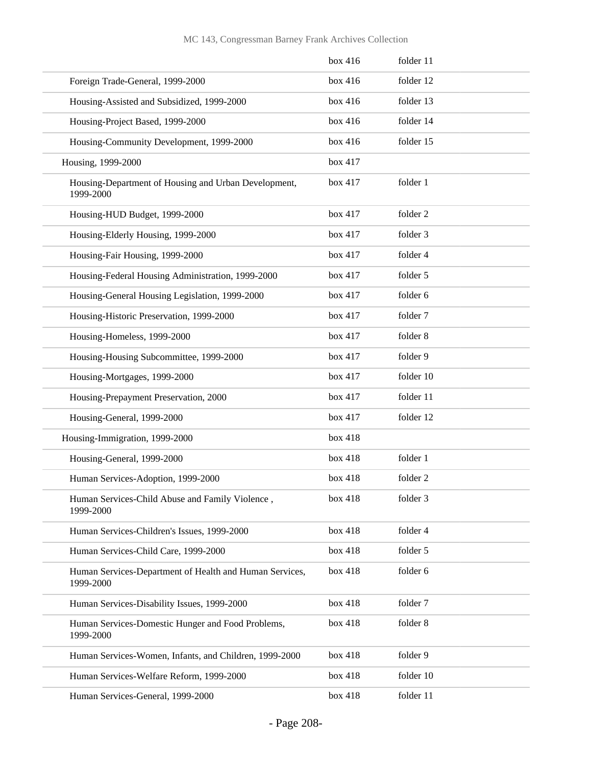|                                                                      | box 416 | folder 11 |
|----------------------------------------------------------------------|---------|-----------|
| Foreign Trade-General, 1999-2000                                     | box 416 | folder 12 |
| Housing-Assisted and Subsidized, 1999-2000                           | box 416 | folder 13 |
| Housing-Project Based, 1999-2000                                     | box 416 | folder 14 |
| Housing-Community Development, 1999-2000                             | box 416 | folder 15 |
| Housing, 1999-2000                                                   | box 417 |           |
| Housing-Department of Housing and Urban Development,<br>1999-2000    | box 417 | folder 1  |
| Housing-HUD Budget, 1999-2000                                        | box 417 | folder 2  |
| Housing-Elderly Housing, 1999-2000                                   | box 417 | folder 3  |
| Housing-Fair Housing, 1999-2000                                      | box 417 | folder 4  |
| Housing-Federal Housing Administration, 1999-2000                    | box 417 | folder 5  |
| Housing-General Housing Legislation, 1999-2000                       | box 417 | folder 6  |
| Housing-Historic Preservation, 1999-2000                             | box 417 | folder 7  |
| Housing-Homeless, 1999-2000                                          | box 417 | folder 8  |
| Housing-Housing Subcommittee, 1999-2000                              | box 417 | folder 9  |
| Housing-Mortgages, 1999-2000                                         | box 417 | folder 10 |
| Housing-Prepayment Preservation, 2000                                | box 417 | folder 11 |
| Housing-General, 1999-2000                                           | box 417 | folder 12 |
| Housing-Immigration, 1999-2000                                       | box 418 |           |
| Housing-General, 1999-2000                                           | box 418 | folder 1  |
| Human Services-Adoption, 1999-2000                                   | box 418 | folder 2  |
| Human Services-Child Abuse and Family Violence,<br>1999-2000         | box 418 | folder 3  |
| Human Services-Children's Issues, 1999-2000                          | box 418 | folder 4  |
| Human Services-Child Care, 1999-2000                                 | box 418 | folder 5  |
| Human Services-Department of Health and Human Services,<br>1999-2000 | box 418 | folder 6  |
| Human Services-Disability Issues, 1999-2000                          | box 418 | folder 7  |
| Human Services-Domestic Hunger and Food Problems,<br>1999-2000       | box 418 | folder 8  |
| Human Services-Women, Infants, and Children, 1999-2000               | box 418 | folder 9  |
| Human Services-Welfare Reform, 1999-2000                             | box 418 | folder 10 |
| Human Services-General, 1999-2000                                    | box 418 | folder 11 |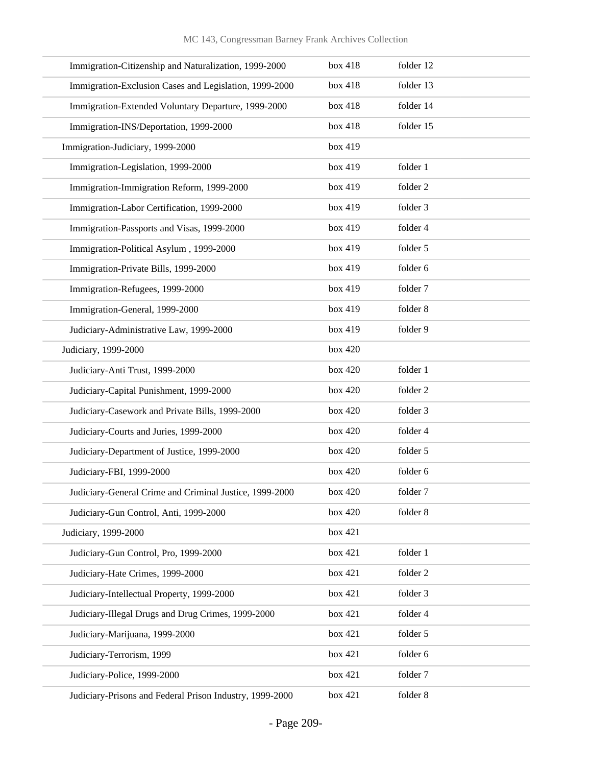| Immigration-Citizenship and Naturalization, 1999-2000    | box 418 | folder 12 |
|----------------------------------------------------------|---------|-----------|
| Immigration-Exclusion Cases and Legislation, 1999-2000   | box 418 | folder 13 |
| Immigration-Extended Voluntary Departure, 1999-2000      | box 418 | folder 14 |
| Immigration-INS/Deportation, 1999-2000                   | box 418 | folder 15 |
| Immigration-Judiciary, 1999-2000                         | box 419 |           |
| Immigration-Legislation, 1999-2000                       | box 419 | folder 1  |
| Immigration-Immigration Reform, 1999-2000                | box 419 | folder 2  |
| Immigration-Labor Certification, 1999-2000               | box 419 | folder 3  |
| Immigration-Passports and Visas, 1999-2000               | box 419 | folder 4  |
| Immigration-Political Asylum, 1999-2000                  | box 419 | folder 5  |
| Immigration-Private Bills, 1999-2000                     | box 419 | folder 6  |
| Immigration-Refugees, 1999-2000                          | box 419 | folder 7  |
| Immigration-General, 1999-2000                           | box 419 | folder 8  |
| Judiciary-Administrative Law, 1999-2000                  | box 419 | folder 9  |
| Judiciary, 1999-2000                                     | box 420 |           |
| Judiciary-Anti Trust, 1999-2000                          | box 420 | folder 1  |
| Judiciary-Capital Punishment, 1999-2000                  | box 420 | folder 2  |
| Judiciary-Casework and Private Bills, 1999-2000          | box 420 | folder 3  |
| Judiciary-Courts and Juries, 1999-2000                   | box 420 | folder 4  |
| Judiciary-Department of Justice, 1999-2000               | box 420 | folder 5  |
| Judiciary-FBI, 1999-2000                                 | box 420 | folder 6  |
| Judiciary-General Crime and Criminal Justice, 1999-2000  | box 420 | folder 7  |
| Judiciary-Gun Control, Anti, 1999-2000                   | box 420 | folder 8  |
| Judiciary, 1999-2000                                     | box 421 |           |
| Judiciary-Gun Control, Pro, 1999-2000                    | box 421 | folder 1  |
| Judiciary-Hate Crimes, 1999-2000                         | box 421 | folder 2  |
| Judiciary-Intellectual Property, 1999-2000               | box 421 | folder 3  |
| Judiciary-Illegal Drugs and Drug Crimes, 1999-2000       | box 421 | folder 4  |
| Judiciary-Marijuana, 1999-2000                           | box 421 | folder 5  |
| Judiciary-Terrorism, 1999                                | box 421 | folder 6  |
| Judiciary-Police, 1999-2000                              | box 421 | folder 7  |
| Judiciary-Prisons and Federal Prison Industry, 1999-2000 | box 421 | folder 8  |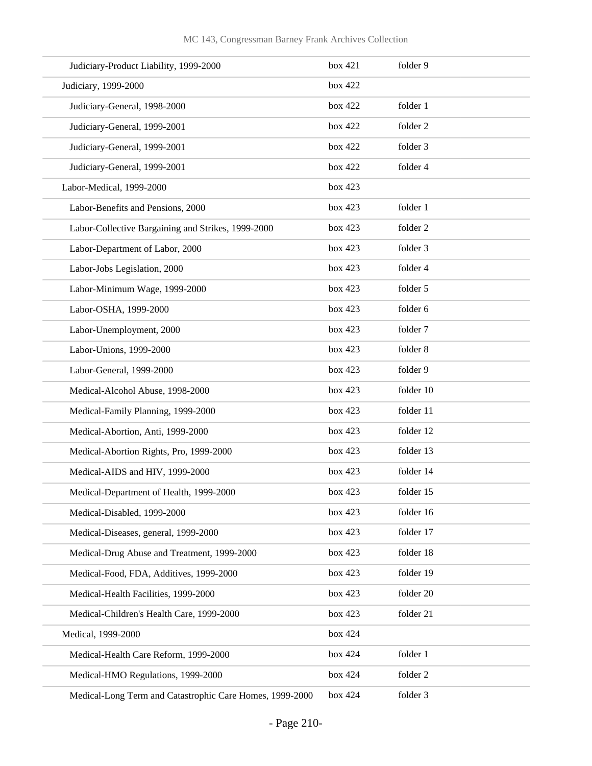| Judiciary-Product Liability, 1999-2000                   | box 421 | folder 9  |
|----------------------------------------------------------|---------|-----------|
| Judiciary, 1999-2000                                     | box 422 |           |
| Judiciary-General, 1998-2000                             | box 422 | folder 1  |
| Judiciary-General, 1999-2001                             | box 422 | folder 2  |
| Judiciary-General, 1999-2001                             | box 422 | folder 3  |
| Judiciary-General, 1999-2001                             | box 422 | folder 4  |
| Labor-Medical, 1999-2000                                 | box 423 |           |
| Labor-Benefits and Pensions, 2000                        | box 423 | folder 1  |
| Labor-Collective Bargaining and Strikes, 1999-2000       | box 423 | folder 2  |
| Labor-Department of Labor, 2000                          | box 423 | folder 3  |
| Labor-Jobs Legislation, 2000                             | box 423 | folder 4  |
| Labor-Minimum Wage, 1999-2000                            | box 423 | folder 5  |
| Labor-OSHA, 1999-2000                                    | box 423 | folder 6  |
| Labor-Unemployment, 2000                                 | box 423 | folder 7  |
| Labor-Unions, 1999-2000                                  | box 423 | folder 8  |
| Labor-General, 1999-2000                                 | box 423 | folder 9  |
| Medical-Alcohol Abuse, 1998-2000                         | box 423 | folder 10 |
| Medical-Family Planning, 1999-2000                       | box 423 | folder 11 |
| Medical-Abortion, Anti, 1999-2000                        | box 423 | folder 12 |
| Medical-Abortion Rights, Pro, 1999-2000                  | box 423 | folder 13 |
| Medical-AIDS and HIV, 1999-2000                          | box 423 | folder 14 |
| Medical-Department of Health, 1999-2000                  | box 423 | folder 15 |
| Medical-Disabled, 1999-2000                              | box 423 | folder 16 |
| Medical-Diseases, general, 1999-2000                     | box 423 | folder 17 |
| Medical-Drug Abuse and Treatment, 1999-2000              | box 423 | folder 18 |
| Medical-Food, FDA, Additives, 1999-2000                  | box 423 | folder 19 |
| Medical-Health Facilities, 1999-2000                     | box 423 | folder 20 |
| Medical-Children's Health Care, 1999-2000                | box 423 | folder 21 |
| Medical, 1999-2000                                       | box 424 |           |
| Medical-Health Care Reform, 1999-2000                    | box 424 | folder 1  |
| Medical-HMO Regulations, 1999-2000                       | box 424 | folder 2  |
| Medical-Long Term and Catastrophic Care Homes, 1999-2000 | box 424 | folder 3  |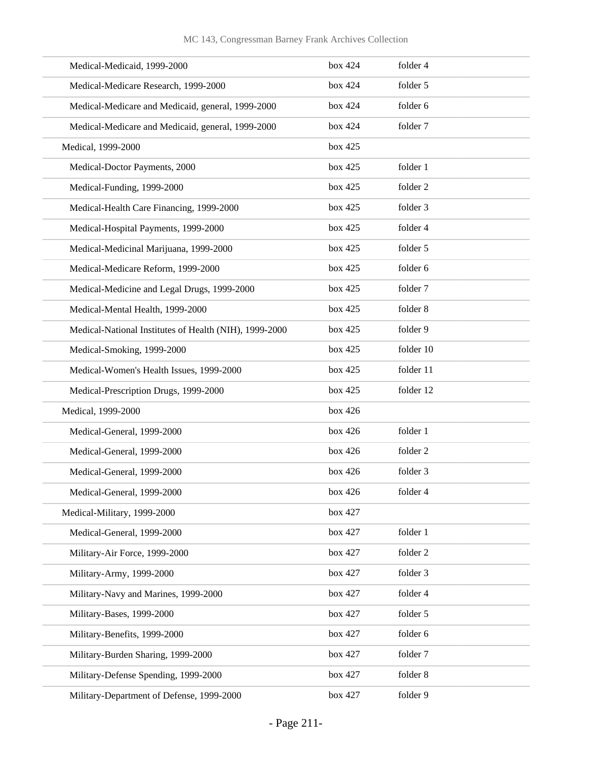| Medical-Medicaid, 1999-2000                            | box 424 | folder 4  |
|--------------------------------------------------------|---------|-----------|
| Medical-Medicare Research, 1999-2000                   | box 424 | folder 5  |
| Medical-Medicare and Medicaid, general, 1999-2000      | box 424 | folder 6  |
| Medical-Medicare and Medicaid, general, 1999-2000      | box 424 | folder 7  |
| Medical, 1999-2000                                     | box 425 |           |
| Medical-Doctor Payments, 2000                          | box 425 | folder 1  |
| Medical-Funding, 1999-2000                             | box 425 | folder 2  |
| Medical-Health Care Financing, 1999-2000               | box 425 | folder 3  |
| Medical-Hospital Payments, 1999-2000                   | box 425 | folder 4  |
| Medical-Medicinal Marijuana, 1999-2000                 | box 425 | folder 5  |
| Medical-Medicare Reform, 1999-2000                     | box 425 | folder 6  |
| Medical-Medicine and Legal Drugs, 1999-2000            | box 425 | folder 7  |
| Medical-Mental Health, 1999-2000                       | box 425 | folder 8  |
| Medical-National Institutes of Health (NIH), 1999-2000 | box 425 | folder 9  |
| Medical-Smoking, 1999-2000                             | box 425 | folder 10 |
| Medical-Women's Health Issues, 1999-2000               | box 425 | folder 11 |
| Medical-Prescription Drugs, 1999-2000                  | box 425 | folder 12 |
| Medical, 1999-2000                                     | box 426 |           |
| Medical-General, 1999-2000                             | box 426 | folder 1  |
| Medical-General, 1999-2000                             | box 426 | folder 2  |
| Medical-General, 1999-2000                             | box 426 | folder 3  |
| Medical-General, 1999-2000                             | box 426 | folder 4  |
| Medical-Military, 1999-2000                            | box 427 |           |
| Medical-General, 1999-2000                             | box 427 | folder 1  |
| Military-Air Force, 1999-2000                          | box 427 | folder 2  |
| Military-Army, 1999-2000                               | box 427 | folder 3  |
| Military-Navy and Marines, 1999-2000                   | box 427 | folder 4  |
| Military-Bases, 1999-2000                              | box 427 | folder 5  |
| Military-Benefits, 1999-2000                           | box 427 | folder 6  |
| Military-Burden Sharing, 1999-2000                     | box 427 | folder 7  |
| Military-Defense Spending, 1999-2000                   | box 427 | folder 8  |
| Military-Department of Defense, 1999-2000              | box 427 | folder 9  |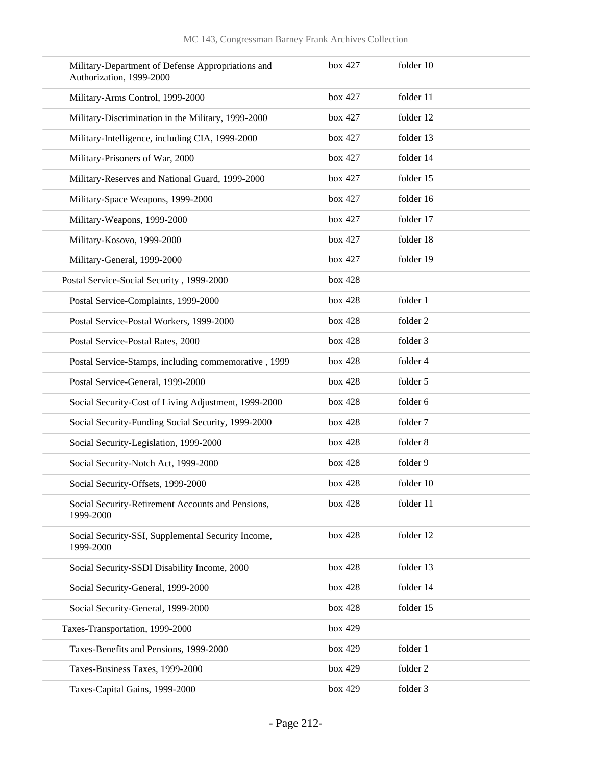| Military-Department of Defense Appropriations and<br>Authorization, 1999-2000 | box 427 | folder 10 |
|-------------------------------------------------------------------------------|---------|-----------|
| Military-Arms Control, 1999-2000                                              | box 427 | folder 11 |
| Military-Discrimination in the Military, 1999-2000                            | box 427 | folder 12 |
| Military-Intelligence, including CIA, 1999-2000                               | box 427 | folder 13 |
| Military-Prisoners of War, 2000                                               | box 427 | folder 14 |
| Military-Reserves and National Guard, 1999-2000                               | box 427 | folder 15 |
| Military-Space Weapons, 1999-2000                                             | box 427 | folder 16 |
| Military-Weapons, 1999-2000                                                   | box 427 | folder 17 |
| Military-Kosovo, 1999-2000                                                    | box 427 | folder 18 |
| Military-General, 1999-2000                                                   | box 427 | folder 19 |
| Postal Service-Social Security, 1999-2000                                     | box 428 |           |
| Postal Service-Complaints, 1999-2000                                          | box 428 | folder 1  |
| Postal Service-Postal Workers, 1999-2000                                      | box 428 | folder 2  |
| Postal Service-Postal Rates, 2000                                             | box 428 | folder 3  |
| Postal Service-Stamps, including commemorative, 1999                          | box 428 | folder 4  |
| Postal Service-General, 1999-2000                                             | box 428 | folder 5  |
| Social Security-Cost of Living Adjustment, 1999-2000                          | box 428 | folder 6  |
| Social Security-Funding Social Security, 1999-2000                            | box 428 | folder 7  |
| Social Security-Legislation, 1999-2000                                        | box 428 | folder 8  |
| Social Security-Notch Act, 1999-2000                                          | box 428 | folder 9  |
| Social Security-Offsets, 1999-2000                                            | box 428 | folder 10 |
| Social Security-Retirement Accounts and Pensions,<br>1999-2000                | box 428 | folder 11 |
| Social Security-SSI, Supplemental Security Income,<br>1999-2000               | box 428 | folder 12 |
| Social Security-SSDI Disability Income, 2000                                  | box 428 | folder 13 |
| Social Security-General, 1999-2000                                            | box 428 | folder 14 |
| Social Security-General, 1999-2000                                            | box 428 | folder 15 |
| Taxes-Transportation, 1999-2000                                               | box 429 |           |
| Taxes-Benefits and Pensions, 1999-2000                                        | box 429 | folder 1  |
| Taxes-Business Taxes, 1999-2000                                               | box 429 | folder 2  |
| Taxes-Capital Gains, 1999-2000                                                | box 429 | folder 3  |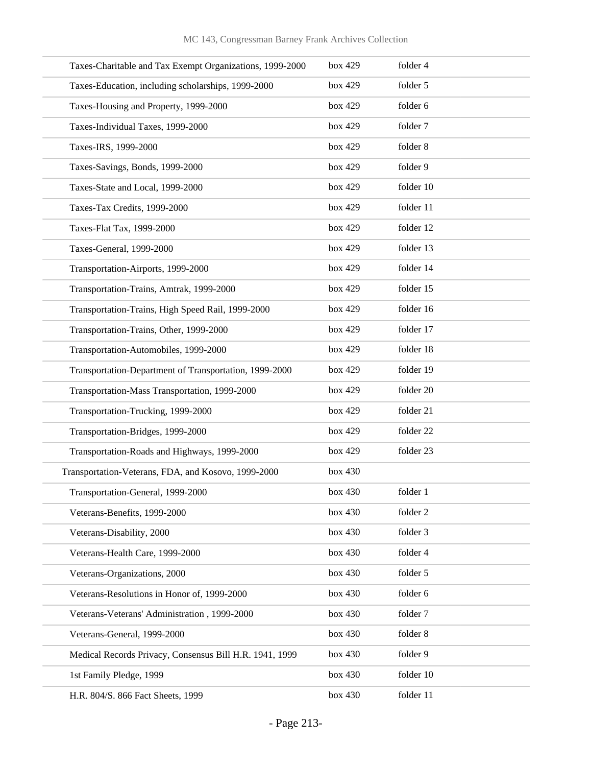| Taxes-Charitable and Tax Exempt Organizations, 1999-2000 | box 429 | folder 4  |
|----------------------------------------------------------|---------|-----------|
| Taxes-Education, including scholarships, 1999-2000       | box 429 | folder 5  |
| Taxes-Housing and Property, 1999-2000                    | box 429 | folder 6  |
| Taxes-Individual Taxes, 1999-2000                        | box 429 | folder 7  |
| Taxes-IRS, 1999-2000                                     | box 429 | folder 8  |
| Taxes-Savings, Bonds, 1999-2000                          | box 429 | folder 9  |
| Taxes-State and Local, 1999-2000                         | box 429 | folder 10 |
| Taxes-Tax Credits, 1999-2000                             | box 429 | folder 11 |
| Taxes-Flat Tax, 1999-2000                                | box 429 | folder 12 |
| Taxes-General, 1999-2000                                 | box 429 | folder 13 |
| Transportation-Airports, 1999-2000                       | box 429 | folder 14 |
| Transportation-Trains, Amtrak, 1999-2000                 | box 429 | folder 15 |
| Transportation-Trains, High Speed Rail, 1999-2000        | box 429 | folder 16 |
| Transportation-Trains, Other, 1999-2000                  | box 429 | folder 17 |
| Transportation-Automobiles, 1999-2000                    | box 429 | folder 18 |
| Transportation-Department of Transportation, 1999-2000   | box 429 | folder 19 |
| Transportation-Mass Transportation, 1999-2000            | box 429 | folder 20 |
| Transportation-Trucking, 1999-2000                       | box 429 | folder 21 |
| Transportation-Bridges, 1999-2000                        | box 429 | folder 22 |
| Transportation-Roads and Highways, 1999-2000             | box 429 | folder 23 |
| Transportation-Veterans, FDA, and Kosovo, 1999-2000      | box 430 |           |
| Transportation-General, 1999-2000                        | box 430 | folder 1  |
| Veterans-Benefits, 1999-2000                             | box 430 | folder 2  |
| Veterans-Disability, 2000                                | box 430 | folder 3  |
| Veterans-Health Care, 1999-2000                          | box 430 | folder 4  |
| Veterans-Organizations, 2000                             | box 430 | folder 5  |
| Veterans-Resolutions in Honor of, 1999-2000              | box 430 | folder 6  |
| Veterans-Veterans' Administration, 1999-2000             | box 430 | folder 7  |
| Veterans-General, 1999-2000                              | box 430 | folder 8  |
| Medical Records Privacy, Consensus Bill H.R. 1941, 1999  | box 430 | folder 9  |
| 1st Family Pledge, 1999                                  | box 430 | folder 10 |
| H.R. 804/S. 866 Fact Sheets, 1999                        | box 430 | folder 11 |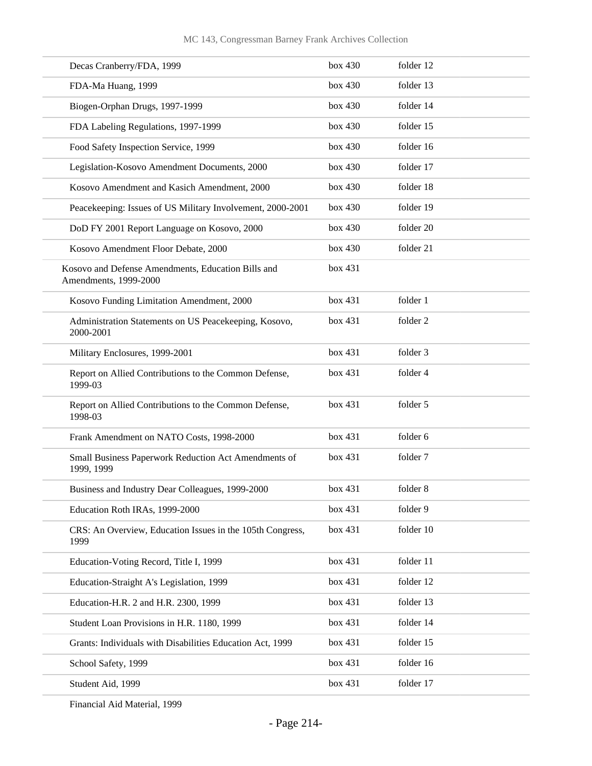| Decas Cranberry/FDA, 1999                                                   | box 430 | folder 12 |
|-----------------------------------------------------------------------------|---------|-----------|
| FDA-Ma Huang, 1999                                                          | box 430 | folder 13 |
| Biogen-Orphan Drugs, 1997-1999                                              | box 430 | folder 14 |
| FDA Labeling Regulations, 1997-1999                                         | box 430 | folder 15 |
| Food Safety Inspection Service, 1999                                        | box 430 | folder 16 |
| Legislation-Kosovo Amendment Documents, 2000                                | box 430 | folder 17 |
| Kosovo Amendment and Kasich Amendment, 2000                                 | box 430 | folder 18 |
| Peacekeeping: Issues of US Military Involvement, 2000-2001                  | box 430 | folder 19 |
| DoD FY 2001 Report Language on Kosovo, 2000                                 | box 430 | folder 20 |
| Kosovo Amendment Floor Debate, 2000                                         | box 430 | folder 21 |
| Kosovo and Defense Amendments, Education Bills and<br>Amendments, 1999-2000 | box 431 |           |
| Kosovo Funding Limitation Amendment, 2000                                   | box 431 | folder 1  |
| Administration Statements on US Peacekeeping, Kosovo,<br>2000-2001          | box 431 | folder 2  |
| Military Enclosures, 1999-2001                                              | box 431 | folder 3  |
| Report on Allied Contributions to the Common Defense,<br>1999-03            | box 431 | folder 4  |
| Report on Allied Contributions to the Common Defense,<br>1998-03            | box 431 | folder 5  |
| Frank Amendment on NATO Costs, 1998-2000                                    | box 431 | folder 6  |
| Small Business Paperwork Reduction Act Amendments of<br>1999, 1999          | box 431 | folder 7  |
| Business and Industry Dear Colleagues, 1999-2000                            | box 431 | folder 8  |
| Education Roth IRAs, 1999-2000                                              | box 431 | folder 9  |
| CRS: An Overview, Education Issues in the 105th Congress,<br>1999           | box 431 | folder 10 |
| Education-Voting Record, Title I, 1999                                      | box 431 | folder 11 |
| Education-Straight A's Legislation, 1999                                    | box 431 | folder 12 |
| Education-H.R. 2 and H.R. 2300, 1999                                        | box 431 | folder 13 |
| Student Loan Provisions in H.R. 1180, 1999                                  | box 431 | folder 14 |
| Grants: Individuals with Disabilities Education Act, 1999                   | box 431 | folder 15 |
| School Safety, 1999                                                         | box 431 | folder 16 |
| Student Aid, 1999                                                           | box 431 | folder 17 |
|                                                                             |         |           |

Financial Aid Material, 1999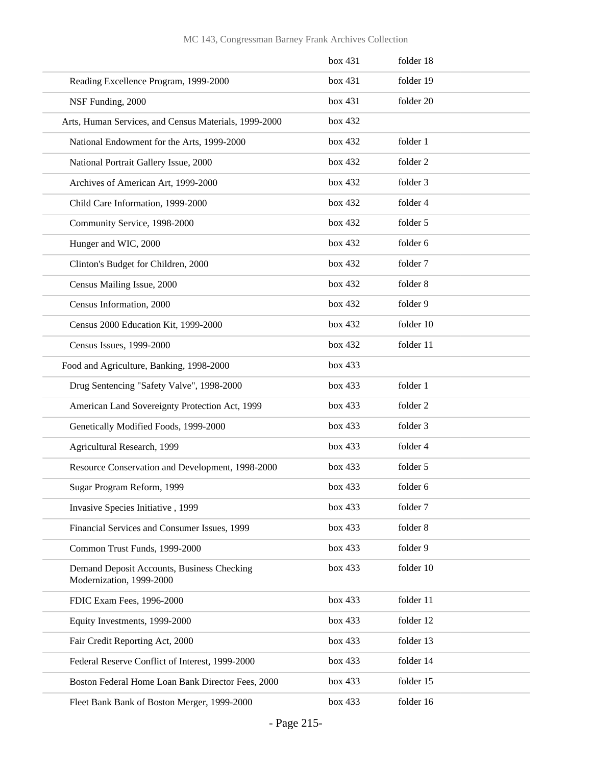|                                                                        | box 431 | folder 18 |
|------------------------------------------------------------------------|---------|-----------|
| Reading Excellence Program, 1999-2000                                  | box 431 | folder 19 |
| NSF Funding, 2000                                                      | box 431 | folder 20 |
| Arts, Human Services, and Census Materials, 1999-2000                  | box 432 |           |
| National Endowment for the Arts, 1999-2000                             | box 432 | folder 1  |
| National Portrait Gallery Issue, 2000                                  | box 432 | folder 2  |
| Archives of American Art, 1999-2000                                    | box 432 | folder 3  |
| Child Care Information, 1999-2000                                      | box 432 | folder 4  |
| Community Service, 1998-2000                                           | box 432 | folder 5  |
| Hunger and WIC, 2000                                                   | box 432 | folder 6  |
| Clinton's Budget for Children, 2000                                    | box 432 | folder 7  |
| Census Mailing Issue, 2000                                             | box 432 | folder 8  |
| Census Information, 2000                                               | box 432 | folder 9  |
| Census 2000 Education Kit, 1999-2000                                   | box 432 | folder 10 |
| Census Issues, 1999-2000                                               | box 432 | folder 11 |
| Food and Agriculture, Banking, 1998-2000                               | box 433 |           |
| Drug Sentencing "Safety Valve", 1998-2000                              | box 433 | folder 1  |
| American Land Sovereignty Protection Act, 1999                         | box 433 | folder 2  |
| Genetically Modified Foods, 1999-2000                                  | box 433 | folder 3  |
| Agricultural Research, 1999                                            | box 433 | folder 4  |
| Resource Conservation and Development, 1998-2000                       | box 433 | folder 5  |
| Sugar Program Reform, 1999                                             | box 433 | folder 6  |
| Invasive Species Initiative, 1999                                      | box 433 | folder 7  |
| Financial Services and Consumer Issues, 1999                           | box 433 | folder 8  |
| Common Trust Funds, 1999-2000                                          | box 433 | folder 9  |
| Demand Deposit Accounts, Business Checking<br>Modernization, 1999-2000 | box 433 | folder 10 |
| FDIC Exam Fees, 1996-2000                                              | box 433 | folder 11 |
| Equity Investments, 1999-2000                                          | box 433 | folder 12 |
| Fair Credit Reporting Act, 2000                                        | box 433 | folder 13 |
| Federal Reserve Conflict of Interest, 1999-2000                        | box 433 | folder 14 |
| Boston Federal Home Loan Bank Director Fees, 2000                      | box 433 | folder 15 |
| Fleet Bank Bank of Boston Merger, 1999-2000                            | box 433 | folder 16 |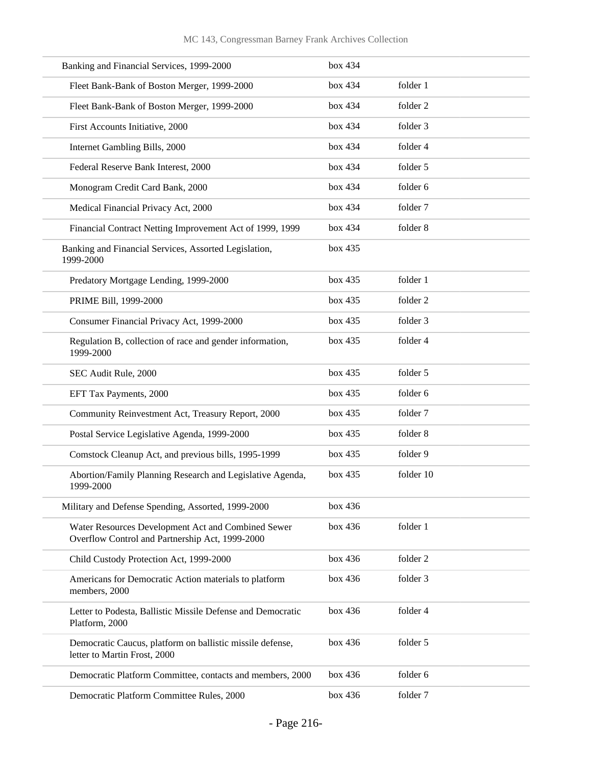| Banking and Financial Services, 1999-2000                                                             | box 434 |           |
|-------------------------------------------------------------------------------------------------------|---------|-----------|
| Fleet Bank-Bank of Boston Merger, 1999-2000                                                           | box 434 | folder 1  |
| Fleet Bank-Bank of Boston Merger, 1999-2000                                                           | box 434 | folder 2  |
| First Accounts Initiative, 2000                                                                       | box 434 | folder 3  |
| Internet Gambling Bills, 2000                                                                         | box 434 | folder 4  |
| Federal Reserve Bank Interest, 2000                                                                   | box 434 | folder 5  |
| Monogram Credit Card Bank, 2000                                                                       | box 434 | folder 6  |
| Medical Financial Privacy Act, 2000                                                                   | box 434 | folder 7  |
| Financial Contract Netting Improvement Act of 1999, 1999                                              | box 434 | folder 8  |
| Banking and Financial Services, Assorted Legislation,<br>1999-2000                                    | box 435 |           |
| Predatory Mortgage Lending, 1999-2000                                                                 | box 435 | folder 1  |
| PRIME Bill, 1999-2000                                                                                 | box 435 | folder 2  |
| Consumer Financial Privacy Act, 1999-2000                                                             | box 435 | folder 3  |
| Regulation B, collection of race and gender information,<br>1999-2000                                 | box 435 | folder 4  |
| SEC Audit Rule, 2000                                                                                  | box 435 | folder 5  |
| EFT Tax Payments, 2000                                                                                | box 435 | folder 6  |
| Community Reinvestment Act, Treasury Report, 2000                                                     | box 435 | folder 7  |
| Postal Service Legislative Agenda, 1999-2000                                                          | box 435 | folder 8  |
| Comstock Cleanup Act, and previous bills, 1995-1999                                                   | box 435 | folder 9  |
| Abortion/Family Planning Research and Legislative Agenda,<br>1999-2000                                | box 435 | folder 10 |
| Military and Defense Spending, Assorted, 1999-2000                                                    | box 436 |           |
| Water Resources Development Act and Combined Sewer<br>Overflow Control and Partnership Act, 1999-2000 | box 436 | folder 1  |
| Child Custody Protection Act, 1999-2000                                                               | box 436 | folder 2  |
| Americans for Democratic Action materials to platform<br>members, 2000                                | box 436 | folder 3  |
| Letter to Podesta, Ballistic Missile Defense and Democratic<br>Platform, 2000                         | box 436 | folder 4  |
| Democratic Caucus, platform on ballistic missile defense,<br>letter to Martin Frost, 2000             | box 436 | folder 5  |
| Democratic Platform Committee, contacts and members, 2000                                             | box 436 | folder 6  |
| Democratic Platform Committee Rules, 2000                                                             | box 436 | folder 7  |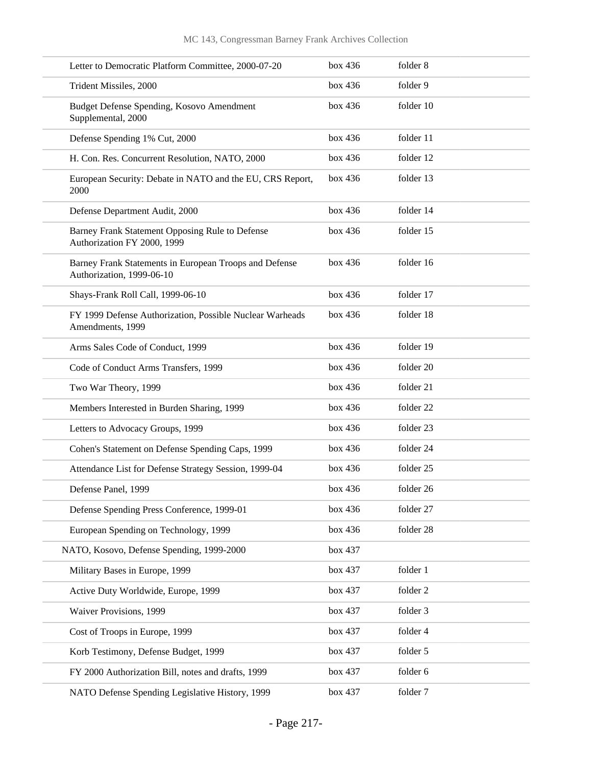| Letter to Democratic Platform Committee, 2000-07-20                                 | box 436 | folder 8  |
|-------------------------------------------------------------------------------------|---------|-----------|
| Trident Missiles, 2000                                                              | box 436 | folder 9  |
| Budget Defense Spending, Kosovo Amendment<br>Supplemental, 2000                     | box 436 | folder 10 |
| Defense Spending 1% Cut, 2000                                                       | box 436 | folder 11 |
| H. Con. Res. Concurrent Resolution, NATO, 2000                                      | box 436 | folder 12 |
| European Security: Debate in NATO and the EU, CRS Report,<br>2000                   | box 436 | folder 13 |
| Defense Department Audit, 2000                                                      | box 436 | folder 14 |
| Barney Frank Statement Opposing Rule to Defense<br>Authorization FY 2000, 1999      | box 436 | folder 15 |
| Barney Frank Statements in European Troops and Defense<br>Authorization, 1999-06-10 | box 436 | folder 16 |
| Shays-Frank Roll Call, 1999-06-10                                                   | box 436 | folder 17 |
| FY 1999 Defense Authorization, Possible Nuclear Warheads<br>Amendments, 1999        | box 436 | folder 18 |
| Arms Sales Code of Conduct, 1999                                                    | box 436 | folder 19 |
| Code of Conduct Arms Transfers, 1999                                                | box 436 | folder 20 |
| Two War Theory, 1999                                                                | box 436 | folder 21 |
| Members Interested in Burden Sharing, 1999                                          | box 436 | folder 22 |
| Letters to Advocacy Groups, 1999                                                    | box 436 | folder 23 |
| Cohen's Statement on Defense Spending Caps, 1999                                    | box 436 | folder 24 |
| Attendance List for Defense Strategy Session, 1999-04                               | box 436 | folder 25 |
| Defense Panel, 1999                                                                 | box~436 | folder 26 |
| Defense Spending Press Conference, 1999-01                                          | box 436 | folder 27 |
| European Spending on Technology, 1999                                               | box 436 | folder 28 |
| NATO, Kosovo, Defense Spending, 1999-2000                                           | box 437 |           |
| Military Bases in Europe, 1999                                                      | box 437 | folder 1  |
| Active Duty Worldwide, Europe, 1999                                                 | box 437 | folder 2  |
| Waiver Provisions, 1999                                                             | box 437 | folder 3  |
| Cost of Troops in Europe, 1999                                                      | box 437 | folder 4  |
| Korb Testimony, Defense Budget, 1999                                                | box 437 | folder 5  |
| FY 2000 Authorization Bill, notes and drafts, 1999                                  | box 437 | folder 6  |
| NATO Defense Spending Legislative History, 1999                                     | box 437 | folder 7  |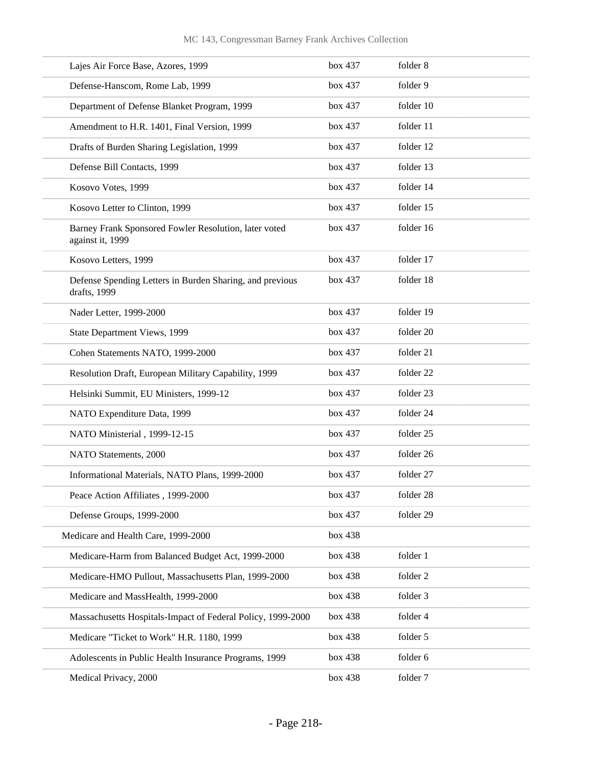| Lajes Air Force Base, Azores, 1999                                        | box 437 | folder 8  |
|---------------------------------------------------------------------------|---------|-----------|
| Defense-Hanscom, Rome Lab, 1999                                           | box 437 | folder 9  |
| Department of Defense Blanket Program, 1999                               | box 437 | folder 10 |
| Amendment to H.R. 1401, Final Version, 1999                               | box 437 | folder 11 |
| Drafts of Burden Sharing Legislation, 1999                                | box 437 | folder 12 |
| Defense Bill Contacts, 1999                                               | box 437 | folder 13 |
| Kosovo Votes, 1999                                                        | box 437 | folder 14 |
| Kosovo Letter to Clinton, 1999                                            | box 437 | folder 15 |
| Barney Frank Sponsored Fowler Resolution, later voted<br>against it, 1999 | box 437 | folder 16 |
| Kosovo Letters, 1999                                                      | box 437 | folder 17 |
| Defense Spending Letters in Burden Sharing, and previous<br>drafts, 1999  | box 437 | folder 18 |
| Nader Letter, 1999-2000                                                   | box 437 | folder 19 |
| State Department Views, 1999                                              | box 437 | folder 20 |
| Cohen Statements NATO, 1999-2000                                          | box 437 | folder 21 |
| Resolution Draft, European Military Capability, 1999                      | box 437 | folder 22 |
| Helsinki Summit, EU Ministers, 1999-12                                    | box 437 | folder 23 |
| NATO Expenditure Data, 1999                                               | box 437 | folder 24 |
| NATO Ministerial, 1999-12-15                                              | box 437 | folder 25 |
| NATO Statements, 2000                                                     | box 437 | folder 26 |
| Informational Materials, NATO Plans, 1999-2000                            | box 437 | folder 27 |
| Peace Action Affiliates, 1999-2000                                        | box 437 | folder 28 |
| Defense Groups, 1999-2000                                                 | box 437 | folder 29 |
| Medicare and Health Care, 1999-2000                                       | box 438 |           |
| Medicare-Harm from Balanced Budget Act, 1999-2000                         | box 438 | folder 1  |
| Medicare-HMO Pullout, Massachusetts Plan, 1999-2000                       | box 438 | folder 2  |
| Medicare and MassHealth, 1999-2000                                        | box 438 | folder 3  |
| Massachusetts Hospitals-Impact of Federal Policy, 1999-2000               | box 438 | folder 4  |
| Medicare "Ticket to Work" H.R. 1180, 1999                                 | box 438 | folder 5  |
| Adolescents in Public Health Insurance Programs, 1999                     | box 438 | folder 6  |
| Medical Privacy, 2000                                                     | box 438 | folder 7  |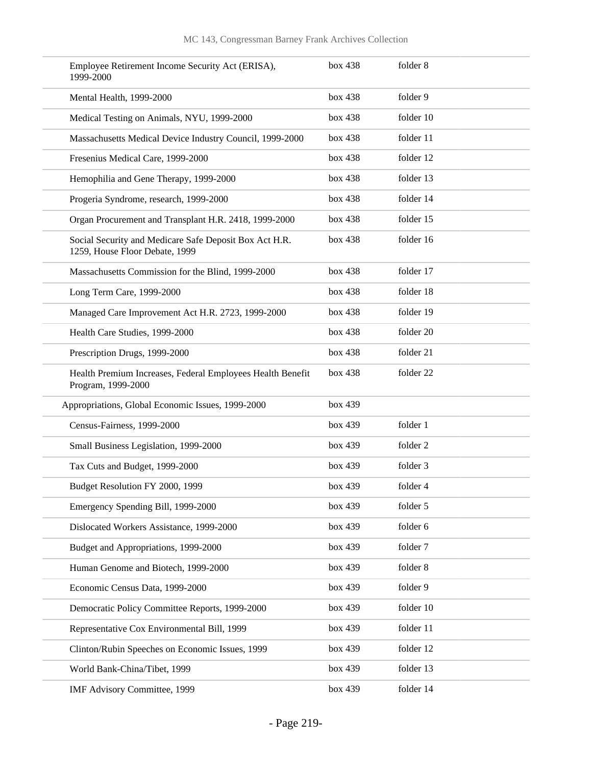| Employee Retirement Income Security Act (ERISA),<br>1999-2000                            | box 438 | folder 8  |
|------------------------------------------------------------------------------------------|---------|-----------|
| Mental Health, 1999-2000                                                                 | box 438 | folder 9  |
| Medical Testing on Animals, NYU, 1999-2000                                               | box 438 | folder 10 |
| Massachusetts Medical Device Industry Council, 1999-2000                                 | box 438 | folder 11 |
| Fresenius Medical Care, 1999-2000                                                        | box 438 | folder 12 |
| Hemophilia and Gene Therapy, 1999-2000                                                   | box 438 | folder 13 |
| Progeria Syndrome, research, 1999-2000                                                   | box 438 | folder 14 |
| Organ Procurement and Transplant H.R. 2418, 1999-2000                                    | box 438 | folder 15 |
| Social Security and Medicare Safe Deposit Box Act H.R.<br>1259, House Floor Debate, 1999 | box 438 | folder 16 |
| Massachusetts Commission for the Blind, 1999-2000                                        | box 438 | folder 17 |
| Long Term Care, 1999-2000                                                                | box 438 | folder 18 |
| Managed Care Improvement Act H.R. 2723, 1999-2000                                        | box 438 | folder 19 |
| Health Care Studies, 1999-2000                                                           | box 438 | folder 20 |
| Prescription Drugs, 1999-2000                                                            | box 438 | folder 21 |
| Health Premium Increases, Federal Employees Health Benefit<br>Program, 1999-2000         | box 438 | folder 22 |
| Appropriations, Global Economic Issues, 1999-2000                                        | box 439 |           |
| Census-Fairness, 1999-2000                                                               | box 439 | folder 1  |
| Small Business Legislation, 1999-2000                                                    | box 439 | folder 2  |
| Tax Cuts and Budget, 1999-2000                                                           | box 439 | folder 3  |
| Budget Resolution FY 2000, 1999                                                          | box 439 | folder 4  |
| Emergency Spending Bill, 1999-2000                                                       | box 439 | folder 5  |
| Dislocated Workers Assistance, 1999-2000                                                 | box 439 | folder 6  |
| Budget and Appropriations, 1999-2000                                                     | box 439 | folder 7  |
| Human Genome and Biotech, 1999-2000                                                      | box 439 | folder 8  |
| Economic Census Data, 1999-2000                                                          | box 439 | folder 9  |
| Democratic Policy Committee Reports, 1999-2000                                           | box 439 | folder 10 |
| Representative Cox Environmental Bill, 1999                                              | box 439 | folder 11 |
| Clinton/Rubin Speeches on Economic Issues, 1999                                          | box 439 | folder 12 |
| World Bank-China/Tibet, 1999                                                             | box 439 | folder 13 |
| IMF Advisory Committee, 1999                                                             | box 439 | folder 14 |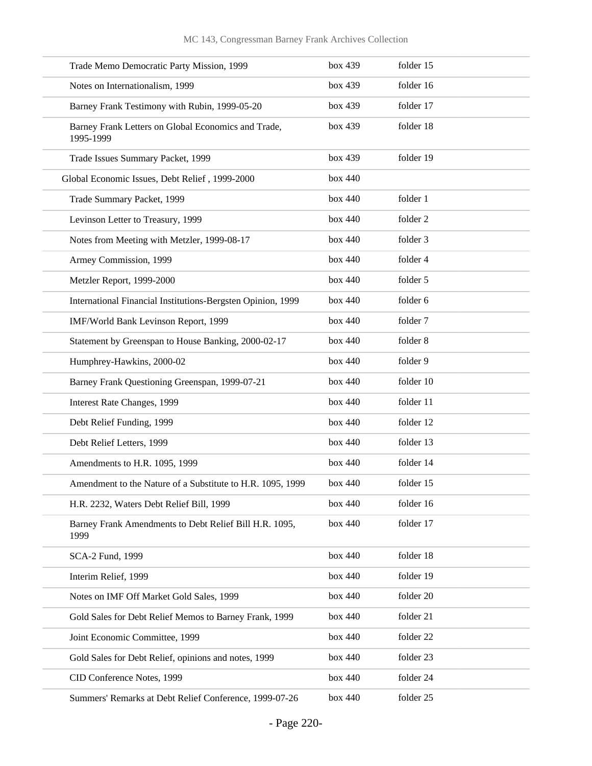| Trade Memo Democratic Party Mission, 1999                        | box 439 | folder 15 |
|------------------------------------------------------------------|---------|-----------|
| Notes on Internationalism, 1999                                  | box 439 | folder 16 |
| Barney Frank Testimony with Rubin, 1999-05-20                    | box 439 | folder 17 |
| Barney Frank Letters on Global Economics and Trade,<br>1995-1999 | box 439 | folder 18 |
| Trade Issues Summary Packet, 1999                                | box 439 | folder 19 |
| Global Economic Issues, Debt Relief, 1999-2000                   | box 440 |           |
| Trade Summary Packet, 1999                                       | box 440 | folder 1  |
| Levinson Letter to Treasury, 1999                                | box 440 | folder 2  |
| Notes from Meeting with Metzler, 1999-08-17                      | box 440 | folder 3  |
| Armey Commission, 1999                                           | box 440 | folder 4  |
| Metzler Report, 1999-2000                                        | box 440 | folder 5  |
| International Financial Institutions-Bergsten Opinion, 1999      | box 440 | folder 6  |
| IMF/World Bank Levinson Report, 1999                             | box 440 | folder 7  |
| Statement by Greenspan to House Banking, 2000-02-17              | box 440 | folder 8  |
| Humphrey-Hawkins, 2000-02                                        | box 440 | folder 9  |
| Barney Frank Questioning Greenspan, 1999-07-21                   | box 440 | folder 10 |
| Interest Rate Changes, 1999                                      | box 440 | folder 11 |
| Debt Relief Funding, 1999                                        | box 440 | folder 12 |
| Debt Relief Letters, 1999                                        | box 440 | folder 13 |
| Amendments to H.R. 1095, 1999                                    | box 440 | folder 14 |
| Amendment to the Nature of a Substitute to H.R. 1095, 1999       | box 440 | folder 15 |
| H.R. 2232, Waters Debt Relief Bill, 1999                         | box 440 | folder 16 |
| Barney Frank Amendments to Debt Relief Bill H.R. 1095,<br>1999   | box 440 | folder 17 |
| SCA-2 Fund, 1999                                                 | box 440 | folder 18 |
| Interim Relief, 1999                                             | box 440 | folder 19 |
| Notes on IMF Off Market Gold Sales, 1999                         | box 440 | folder 20 |
| Gold Sales for Debt Relief Memos to Barney Frank, 1999           | box 440 | folder 21 |
| Joint Economic Committee, 1999                                   | box 440 | folder 22 |
| Gold Sales for Debt Relief, opinions and notes, 1999             | box 440 | folder 23 |
| CID Conference Notes, 1999                                       | box 440 | folder 24 |
| Summers' Remarks at Debt Relief Conference, 1999-07-26           | box 440 | folder 25 |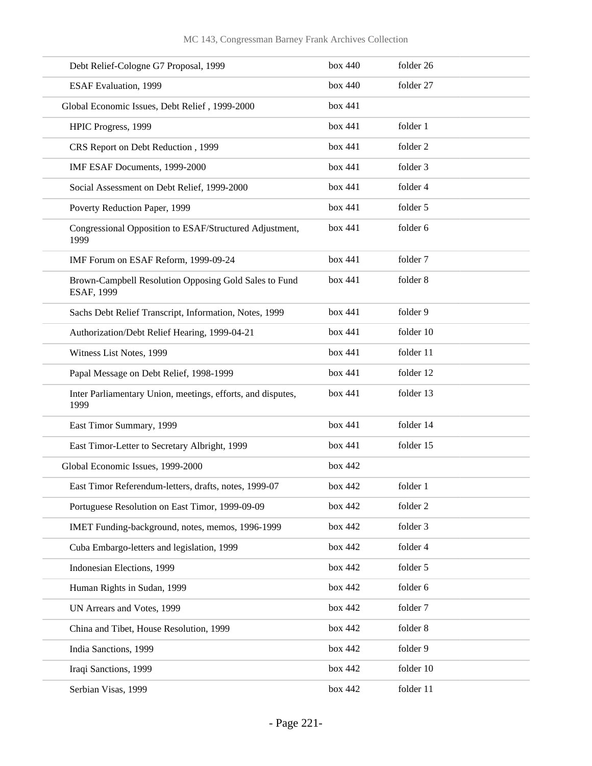|      | Debt Relief-Cologne G7 Proposal, 1999                               | box 440 | folder 26 |
|------|---------------------------------------------------------------------|---------|-----------|
|      | <b>ESAF Evaluation</b> , 1999                                       | box 440 | folder 27 |
|      | Global Economic Issues, Debt Relief, 1999-2000                      | box 441 |           |
|      | HPIC Progress, 1999                                                 | box 441 | folder 1  |
|      | CRS Report on Debt Reduction, 1999                                  | box 441 | folder 2  |
|      | IMF ESAF Documents, 1999-2000                                       | box 441 | folder 3  |
|      | Social Assessment on Debt Relief, 1999-2000                         | box 441 | folder 4  |
|      | Poverty Reduction Paper, 1999                                       | box 441 | folder 5  |
| 1999 | Congressional Opposition to ESAF/Structured Adjustment,             | box 441 | folder 6  |
|      | IMF Forum on ESAF Reform, 1999-09-24                                | box 441 | folder 7  |
|      | Brown-Campbell Resolution Opposing Gold Sales to Fund<br>ESAF, 1999 | box 441 | folder 8  |
|      | Sachs Debt Relief Transcript, Information, Notes, 1999              | box 441 | folder 9  |
|      | Authorization/Debt Relief Hearing, 1999-04-21                       | box 441 | folder 10 |
|      | Witness List Notes, 1999                                            | box 441 | folder 11 |
|      | Papal Message on Debt Relief, 1998-1999                             | box 441 | folder 12 |
| 1999 | Inter Parliamentary Union, meetings, efforts, and disputes,         | box 441 | folder 13 |
|      | East Timor Summary, 1999                                            | box 441 | folder 14 |
|      | East Timor-Letter to Secretary Albright, 1999                       | box 441 | folder 15 |
|      | Global Economic Issues, 1999-2000                                   | box 442 |           |
|      | East Timor Referendum-letters, drafts, notes, 1999-07               | box 442 | folder 1  |
|      | Portuguese Resolution on East Timor, 1999-09-09                     | box 442 | folder 2  |
|      | IMET Funding-background, notes, memos, 1996-1999                    | box 442 | folder 3  |
|      | Cuba Embargo-letters and legislation, 1999                          | box 442 | folder 4  |
|      | Indonesian Elections, 1999                                          | box 442 | folder 5  |
|      | Human Rights in Sudan, 1999                                         | box 442 | folder 6  |
|      | UN Arrears and Votes, 1999                                          | box 442 | folder 7  |
|      | China and Tibet, House Resolution, 1999                             | box 442 | folder 8  |
|      | India Sanctions, 1999                                               | box 442 | folder 9  |
|      | Iraqi Sanctions, 1999                                               | box 442 | folder 10 |
|      | Serbian Visas, 1999                                                 | box 442 | folder 11 |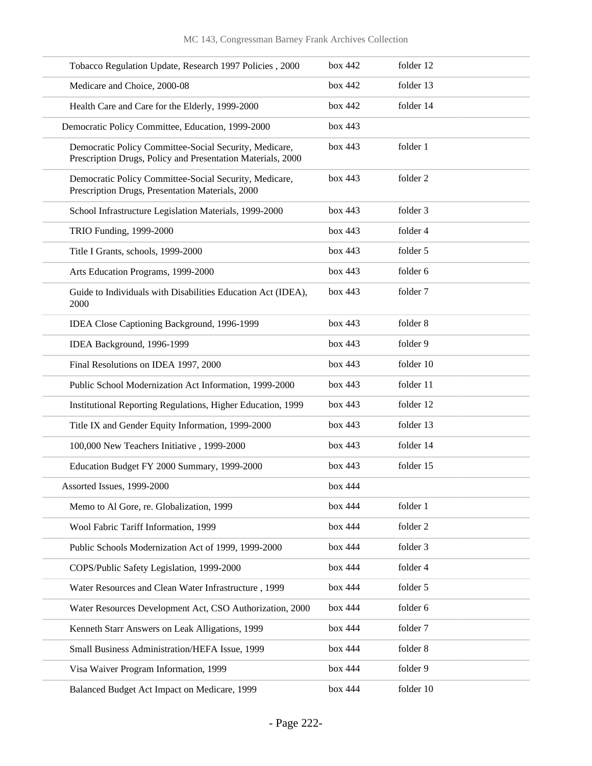| Tobacco Regulation Update, Research 1997 Policies, 2000                                                               | box 442 | folder 12 |
|-----------------------------------------------------------------------------------------------------------------------|---------|-----------|
| Medicare and Choice, 2000-08                                                                                          | box 442 | folder 13 |
| Health Care and Care for the Elderly, 1999-2000                                                                       | box 442 | folder 14 |
| Democratic Policy Committee, Education, 1999-2000                                                                     | box 443 |           |
| Democratic Policy Committee-Social Security, Medicare,<br>Prescription Drugs, Policy and Presentation Materials, 2000 | box 443 | folder 1  |
| Democratic Policy Committee-Social Security, Medicare,<br>Prescription Drugs, Presentation Materials, 2000            | box 443 | folder 2  |
| School Infrastructure Legislation Materials, 1999-2000                                                                | box 443 | folder 3  |
| TRIO Funding, 1999-2000                                                                                               | box 443 | folder 4  |
| Title I Grants, schools, 1999-2000                                                                                    | box 443 | folder 5  |
| Arts Education Programs, 1999-2000                                                                                    | box 443 | folder 6  |
| Guide to Individuals with Disabilities Education Act (IDEA),<br>2000                                                  | box 443 | folder 7  |
| IDEA Close Captioning Background, 1996-1999                                                                           | box 443 | folder 8  |
| IDEA Background, 1996-1999                                                                                            | box 443 | folder 9  |
| Final Resolutions on IDEA 1997, 2000                                                                                  | box 443 | folder 10 |
| Public School Modernization Act Information, 1999-2000                                                                | box 443 | folder 11 |
| Institutional Reporting Regulations, Higher Education, 1999                                                           | box 443 | folder 12 |
| Title IX and Gender Equity Information, 1999-2000                                                                     | box 443 | folder 13 |
| 100,000 New Teachers Initiative, 1999-2000                                                                            | box 443 | folder 14 |
| Education Budget FY 2000 Summary, 1999-2000                                                                           | box 443 | folder 15 |
| Assorted Issues, 1999-2000                                                                                            | box 444 |           |
| Memo to Al Gore, re. Globalization, 1999                                                                              | box 444 | folder 1  |
| Wool Fabric Tariff Information, 1999                                                                                  | box 444 | folder 2  |
| Public Schools Modernization Act of 1999, 1999-2000                                                                   | box 444 | folder 3  |
| COPS/Public Safety Legislation, 1999-2000                                                                             | box 444 | folder 4  |
| Water Resources and Clean Water Infrastructure, 1999                                                                  | box 444 | folder 5  |
| Water Resources Development Act, CSO Authorization, 2000                                                              | box 444 | folder 6  |
| Kenneth Starr Answers on Leak Alligations, 1999                                                                       | box 444 | folder 7  |
| Small Business Administration/HEFA Issue, 1999                                                                        | box 444 | folder 8  |
| Visa Waiver Program Information, 1999                                                                                 | box 444 | folder 9  |
| Balanced Budget Act Impact on Medicare, 1999                                                                          | box 444 | folder 10 |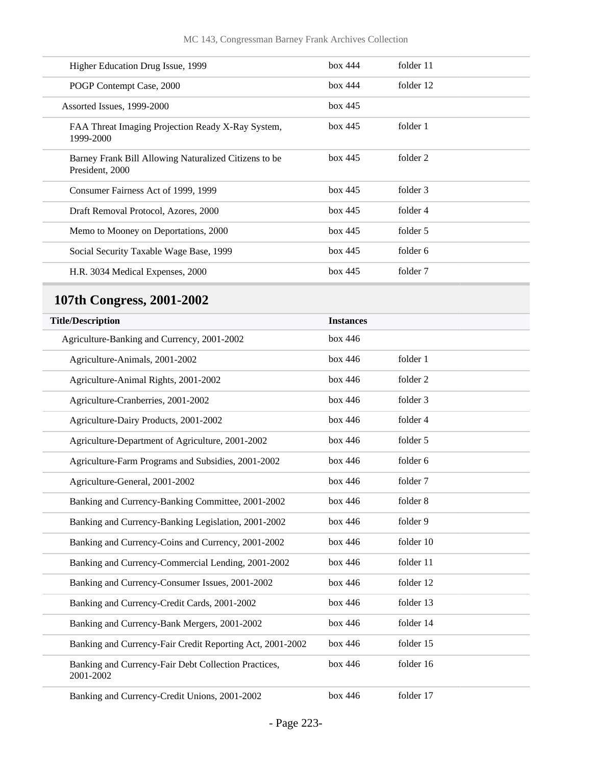| Higher Education Drug Issue, 1999                                        | box 444 | folder 11 |
|--------------------------------------------------------------------------|---------|-----------|
| POGP Contempt Case, 2000                                                 | box 444 | folder 12 |
| Assorted Issues, 1999-2000                                               | box 445 |           |
| FAA Threat Imaging Projection Ready X-Ray System,<br>1999-2000           | box 445 | folder 1  |
| Barney Frank Bill Allowing Naturalized Citizens to be<br>President. 2000 | box 445 | folder 2  |
| Consumer Fairness Act of 1999, 1999                                      | box 445 | folder 3  |
| Draft Removal Protocol, Azores, 2000                                     | box 445 | folder 4  |
| Memo to Mooney on Deportations, 2000                                     | box 445 | folder 5  |
| Social Security Taxable Wage Base, 1999                                  | box 445 | folder 6  |
| H.R. 3034 Medical Expenses, 2000                                         | box 445 | folder 7  |

## **107th Congress, 2001-2002**

| <b>Title/Description</b>                                          | <b>Instances</b> |           |
|-------------------------------------------------------------------|------------------|-----------|
| Agriculture-Banking and Currency, 2001-2002                       | box 446          |           |
| Agriculture-Animals, 2001-2002                                    | box 446          | folder 1  |
| Agriculture-Animal Rights, 2001-2002                              | box 446          | folder 2  |
| Agriculture-Cranberries, 2001-2002                                | box 446          | folder 3  |
| Agriculture-Dairy Products, 2001-2002                             | box 446          | folder 4  |
| Agriculture-Department of Agriculture, 2001-2002                  | box 446          | folder 5  |
| Agriculture-Farm Programs and Subsidies, 2001-2002                | box 446          | folder 6  |
| Agriculture-General, 2001-2002                                    | box 446          | folder 7  |
| Banking and Currency-Banking Committee, 2001-2002                 | box 446          | folder 8  |
| Banking and Currency-Banking Legislation, 2001-2002               | box 446          | folder 9  |
| Banking and Currency-Coins and Currency, 2001-2002                | box 446          | folder 10 |
| Banking and Currency-Commercial Lending, 2001-2002                | box 446          | folder 11 |
| Banking and Currency-Consumer Issues, 2001-2002                   | box 446          | folder 12 |
| Banking and Currency-Credit Cards, 2001-2002                      | box 446          | folder 13 |
| Banking and Currency-Bank Mergers, 2001-2002                      | box 446          | folder 14 |
| Banking and Currency-Fair Credit Reporting Act, 2001-2002         | box 446          | folder 15 |
| Banking and Currency-Fair Debt Collection Practices,<br>2001-2002 | box 446          | folder 16 |
| Banking and Currency-Credit Unions, 2001-2002                     | box 446          | folder 17 |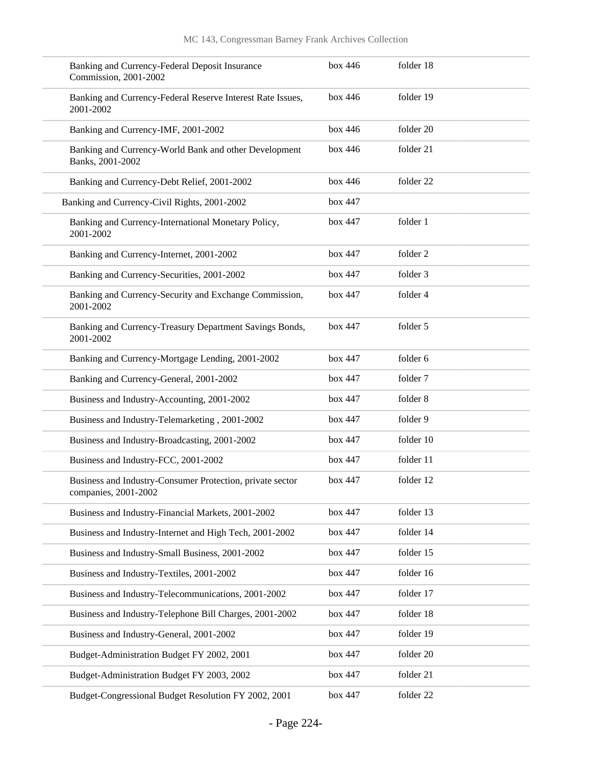| Banking and Currency-Federal Deposit Insurance<br>Commission, 2001-2002           | box 446 | folder 18 |
|-----------------------------------------------------------------------------------|---------|-----------|
| Banking and Currency-Federal Reserve Interest Rate Issues,<br>2001-2002           | box 446 | folder 19 |
| Banking and Currency-IMF, 2001-2002                                               | box 446 | folder 20 |
| Banking and Currency-World Bank and other Development<br>Banks, 2001-2002         | box 446 | folder 21 |
| Banking and Currency-Debt Relief, 2001-2002                                       | box 446 | folder 22 |
| Banking and Currency-Civil Rights, 2001-2002                                      | box 447 |           |
| Banking and Currency-International Monetary Policy,<br>2001-2002                  | box 447 | folder 1  |
| Banking and Currency-Internet, 2001-2002                                          | box 447 | folder 2  |
| Banking and Currency-Securities, 2001-2002                                        | box 447 | folder 3  |
| Banking and Currency-Security and Exchange Commission,<br>2001-2002               | box 447 | folder 4  |
| Banking and Currency-Treasury Department Savings Bonds,<br>2001-2002              | box 447 | folder 5  |
| Banking and Currency-Mortgage Lending, 2001-2002                                  | box 447 | folder 6  |
| Banking and Currency-General, 2001-2002                                           | box 447 | folder 7  |
| Business and Industry-Accounting, 2001-2002                                       | box 447 | folder 8  |
| Business and Industry-Telemarketing, 2001-2002                                    | box 447 | folder 9  |
| Business and Industry-Broadcasting, 2001-2002                                     | box 447 | folder 10 |
| Business and Industry-FCC, 2001-2002                                              | box 447 | folder 11 |
| Business and Industry-Consumer Protection, private sector<br>companies, 2001-2002 | box 447 | folder 12 |
| Business and Industry-Financial Markets, 2001-2002                                | box 447 | folder 13 |
| Business and Industry-Internet and High Tech, 2001-2002                           | box 447 | folder 14 |
| Business and Industry-Small Business, 2001-2002                                   | box 447 | folder 15 |
| Business and Industry-Textiles, 2001-2002                                         | box 447 | folder 16 |
| Business and Industry-Telecommunications, 2001-2002                               | box 447 | folder 17 |
| Business and Industry-Telephone Bill Charges, 2001-2002                           | box 447 | folder 18 |
| Business and Industry-General, 2001-2002                                          | box 447 | folder 19 |
| Budget-Administration Budget FY 2002, 2001                                        | box 447 | folder 20 |
| Budget-Administration Budget FY 2003, 2002                                        | box 447 | folder 21 |
| Budget-Congressional Budget Resolution FY 2002, 2001                              | box 447 | folder 22 |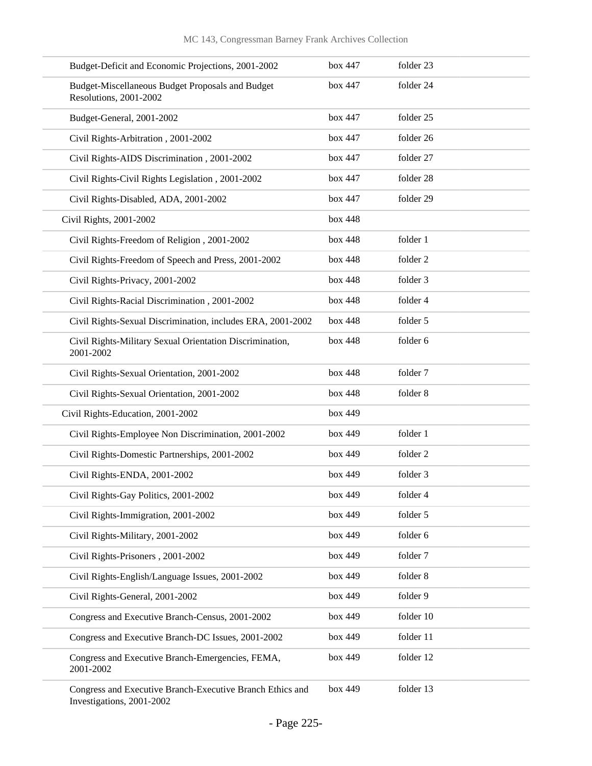| Budget-Deficit and Economic Projections, 2001-2002                                     | box 447 | folder 23 |
|----------------------------------------------------------------------------------------|---------|-----------|
| Budget-Miscellaneous Budget Proposals and Budget<br>Resolutions, 2001-2002             | box 447 | folder 24 |
| Budget-General, 2001-2002                                                              | box 447 | folder 25 |
| Civil Rights-Arbitration, 2001-2002                                                    | box 447 | folder 26 |
| Civil Rights-AIDS Discrimination, 2001-2002                                            | box 447 | folder 27 |
| Civil Rights-Civil Rights Legislation, 2001-2002                                       | box 447 | folder 28 |
| Civil Rights-Disabled, ADA, 2001-2002                                                  | box 447 | folder 29 |
| Civil Rights, 2001-2002                                                                | box 448 |           |
| Civil Rights-Freedom of Religion, 2001-2002                                            | box 448 | folder 1  |
| Civil Rights-Freedom of Speech and Press, 2001-2002                                    | box 448 | folder 2  |
| Civil Rights-Privacy, 2001-2002                                                        | box 448 | folder 3  |
| Civil Rights-Racial Discrimination, 2001-2002                                          | box 448 | folder 4  |
| Civil Rights-Sexual Discrimination, includes ERA, 2001-2002                            | box 448 | folder 5  |
| Civil Rights-Military Sexual Orientation Discrimination,<br>2001-2002                  | box 448 | folder 6  |
| Civil Rights-Sexual Orientation, 2001-2002                                             | box 448 | folder 7  |
| Civil Rights-Sexual Orientation, 2001-2002                                             | box 448 | folder 8  |
| Civil Rights-Education, 2001-2002                                                      | box 449 |           |
| Civil Rights-Employee Non Discrimination, 2001-2002                                    | box 449 | folder 1  |
| Civil Rights-Domestic Partnerships, 2001-2002                                          | box 449 | folder 2  |
| Civil Rights-ENDA, 2001-2002                                                           | box 449 | folder 3  |
| Civil Rights-Gay Politics, 2001-2002                                                   | box 449 | folder 4  |
| Civil Rights-Immigration, 2001-2002                                                    | box 449 | folder 5  |
| Civil Rights-Military, 2001-2002                                                       | box 449 | folder 6  |
| Civil Rights-Prisoners, 2001-2002                                                      | box 449 | folder 7  |
| Civil Rights-English/Language Issues, 2001-2002                                        | box 449 | folder 8  |
| Civil Rights-General, 2001-2002                                                        | box 449 | folder 9  |
| Congress and Executive Branch-Census, 2001-2002                                        | box 449 | folder 10 |
| Congress and Executive Branch-DC Issues, 2001-2002                                     | box 449 | folder 11 |
| Congress and Executive Branch-Emergencies, FEMA,<br>2001-2002                          | box 449 | folder 12 |
| Congress and Executive Branch-Executive Branch Ethics and<br>Investigations, 2001-2002 | box 449 | folder 13 |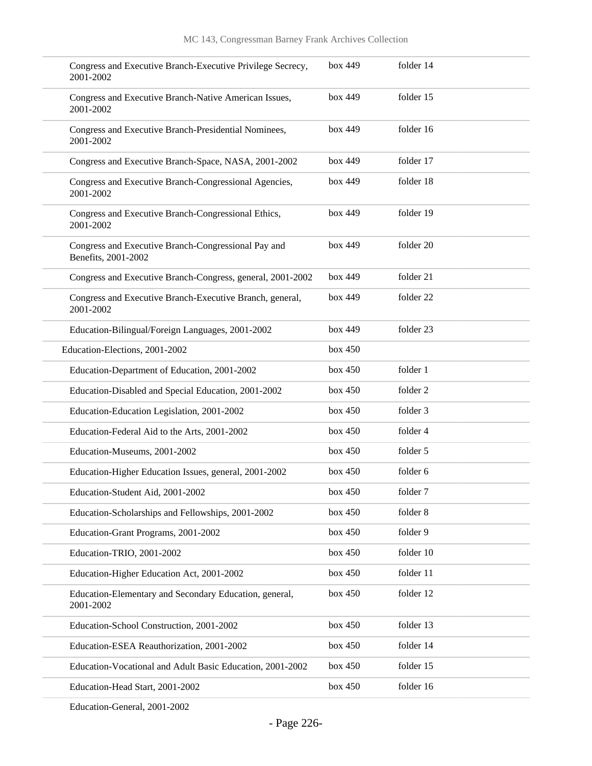| Congress and Executive Branch-Executive Privilege Secrecy,<br>2001-2002    | box 449 | folder 14 |
|----------------------------------------------------------------------------|---------|-----------|
| Congress and Executive Branch-Native American Issues,<br>2001-2002         | box 449 | folder 15 |
| Congress and Executive Branch-Presidential Nominees,<br>2001-2002          | box 449 | folder 16 |
| Congress and Executive Branch-Space, NASA, 2001-2002                       | box 449 | folder 17 |
| Congress and Executive Branch-Congressional Agencies,<br>2001-2002         | box 449 | folder 18 |
| Congress and Executive Branch-Congressional Ethics,<br>2001-2002           | box 449 | folder 19 |
| Congress and Executive Branch-Congressional Pay and<br>Benefits, 2001-2002 | box 449 | folder 20 |
| Congress and Executive Branch-Congress, general, 2001-2002                 | box 449 | folder 21 |
| Congress and Executive Branch-Executive Branch, general,<br>2001-2002      | box 449 | folder 22 |
| Education-Bilingual/Foreign Languages, 2001-2002                           | box 449 | folder 23 |
| Education-Elections, 2001-2002                                             | box 450 |           |
| Education-Department of Education, 2001-2002                               | box 450 | folder 1  |
| Education-Disabled and Special Education, 2001-2002                        | box 450 | folder 2  |
| Education-Education Legislation, 2001-2002                                 | box 450 | folder 3  |
| Education-Federal Aid to the Arts, 2001-2002                               | box 450 | folder 4  |
| Education-Museums, 2001-2002                                               | box 450 | folder 5  |
| Education-Higher Education Issues, general, 2001-2002                      | box 450 | folder 6  |
| Education-Student Aid, 2001-2002                                           | box 450 | folder 7  |
| Education-Scholarships and Fellowships, 2001-2002                          | box 450 | folder 8  |
| Education-Grant Programs, 2001-2002                                        | box 450 | folder 9  |
| Education-TRIO, 2001-2002                                                  | box 450 | folder 10 |
| Education-Higher Education Act, 2001-2002                                  | box 450 | folder 11 |
| Education-Elementary and Secondary Education, general,<br>2001-2002        | box 450 | folder 12 |
| Education-School Construction, 2001-2002                                   | box 450 | folder 13 |
| Education-ESEA Reauthorization, 2001-2002                                  | box 450 | folder 14 |
| Education-Vocational and Adult Basic Education, 2001-2002                  | box 450 | folder 15 |
| Education-Head Start, 2001-2002                                            | box 450 | folder 16 |
|                                                                            |         |           |

Education-General, 2001-2002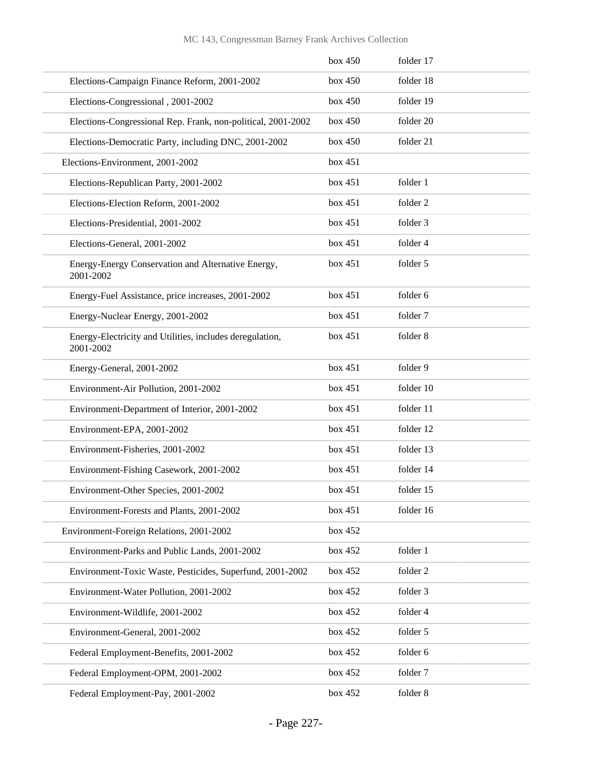|                                                                       | box 450 | folder 17 |
|-----------------------------------------------------------------------|---------|-----------|
| Elections-Campaign Finance Reform, 2001-2002                          | box 450 | folder 18 |
| Elections-Congressional, 2001-2002                                    | box 450 | folder 19 |
| Elections-Congressional Rep. Frank, non-political, 2001-2002          | box 450 | folder 20 |
| Elections-Democratic Party, including DNC, 2001-2002                  | box 450 | folder 21 |
| Elections-Environment, 2001-2002                                      | box 451 |           |
| Elections-Republican Party, 2001-2002                                 | box 451 | folder 1  |
| Elections-Election Reform, 2001-2002                                  | box 451 | folder 2  |
| Elections-Presidential, 2001-2002                                     | box 451 | folder 3  |
| Elections-General, 2001-2002                                          | box 451 | folder 4  |
| Energy-Energy Conservation and Alternative Energy,<br>2001-2002       | box 451 | folder 5  |
| Energy-Fuel Assistance, price increases, 2001-2002                    | box 451 | folder 6  |
| Energy-Nuclear Energy, 2001-2002                                      | box 451 | folder 7  |
| Energy-Electricity and Utilities, includes deregulation,<br>2001-2002 | box 451 | folder 8  |
| Energy-General, 2001-2002                                             | box 451 | folder 9  |
| Environment-Air Pollution, 2001-2002                                  | box 451 | folder 10 |
| Environment-Department of Interior, 2001-2002                         | box 451 | folder 11 |
| Environment-EPA, 2001-2002                                            | box 451 | folder 12 |
| Environment-Fisheries, 2001-2002                                      | box 451 | folder 13 |
| Environment-Fishing Casework, 2001-2002                               | box 451 | folder 14 |
| Environment-Other Species, 2001-2002                                  | box 451 | folder 15 |
| Environment-Forests and Plants, 2001-2002                             | box 451 | folder 16 |
| Environment-Foreign Relations, 2001-2002                              | box 452 |           |
| Environment-Parks and Public Lands, 2001-2002                         | box 452 | folder 1  |
| Environment-Toxic Waste, Pesticides, Superfund, 2001-2002             | box 452 | folder 2  |
| Environment-Water Pollution, 2001-2002                                | box 452 | folder 3  |
| Environment-Wildlife, 2001-2002                                       | box 452 | folder 4  |
| Environment-General, 2001-2002                                        | box 452 | folder 5  |
| Federal Employment-Benefits, 2001-2002                                | box 452 | folder 6  |
| Federal Employment-OPM, 2001-2002                                     | box 452 | folder 7  |
| Federal Employment-Pay, 2001-2002                                     | box 452 | folder 8  |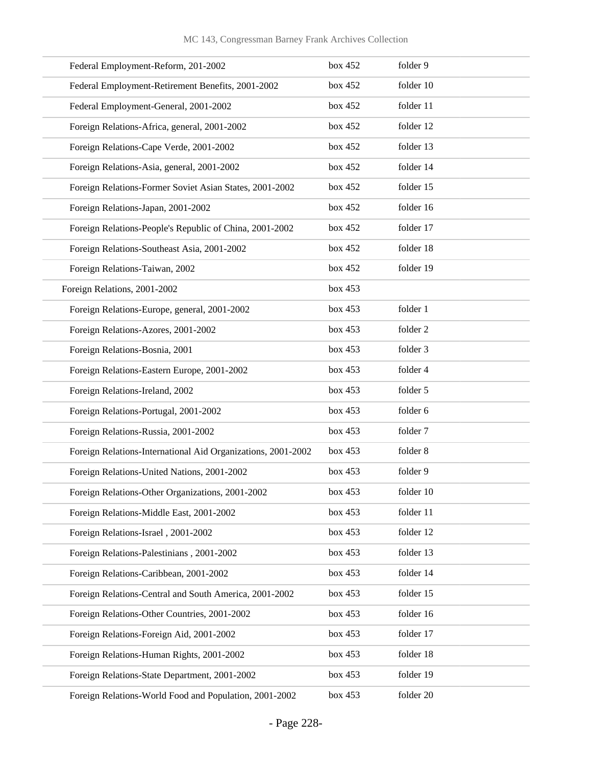| Federal Employment-Reform, 201-2002                          | box 452 | folder 9  |
|--------------------------------------------------------------|---------|-----------|
| Federal Employment-Retirement Benefits, 2001-2002            | box 452 | folder 10 |
| Federal Employment-General, 2001-2002                        | box 452 | folder 11 |
| Foreign Relations-Africa, general, 2001-2002                 | box 452 | folder 12 |
| Foreign Relations-Cape Verde, 2001-2002                      | box 452 | folder 13 |
| Foreign Relations-Asia, general, 2001-2002                   | box 452 | folder 14 |
| Foreign Relations-Former Soviet Asian States, 2001-2002      | box 452 | folder 15 |
| Foreign Relations-Japan, 2001-2002                           | box 452 | folder 16 |
| Foreign Relations-People's Republic of China, 2001-2002      | box 452 | folder 17 |
| Foreign Relations-Southeast Asia, 2001-2002                  | box 452 | folder 18 |
| Foreign Relations-Taiwan, 2002                               | box 452 | folder 19 |
| Foreign Relations, 2001-2002                                 | box 453 |           |
| Foreign Relations-Europe, general, 2001-2002                 | box 453 | folder 1  |
| Foreign Relations-Azores, 2001-2002                          | box 453 | folder 2  |
| Foreign Relations-Bosnia, 2001                               | box 453 | folder 3  |
| Foreign Relations-Eastern Europe, 2001-2002                  | box 453 | folder 4  |
| Foreign Relations-Ireland, 2002                              | box 453 | folder 5  |
| Foreign Relations-Portugal, 2001-2002                        | box 453 | folder 6  |
| Foreign Relations-Russia, 2001-2002                          | box 453 | folder 7  |
| Foreign Relations-International Aid Organizations, 2001-2002 | box 453 | folder 8  |
| Foreign Relations-United Nations, 2001-2002                  | box 453 | folder 9  |
| Foreign Relations-Other Organizations, 2001-2002             | box 453 | folder 10 |
| Foreign Relations-Middle East, 2001-2002                     | box 453 | folder 11 |
| Foreign Relations-Israel, 2001-2002                          | box 453 | folder 12 |
| Foreign Relations-Palestinians, 2001-2002                    | box 453 | folder 13 |
| Foreign Relations-Caribbean, 2001-2002                       | box 453 | folder 14 |
| Foreign Relations-Central and South America, 2001-2002       | box 453 | folder 15 |
| Foreign Relations-Other Countries, 2001-2002                 | box 453 | folder 16 |
| Foreign Relations-Foreign Aid, 2001-2002                     | box 453 | folder 17 |
| Foreign Relations-Human Rights, 2001-2002                    | box 453 | folder 18 |
| Foreign Relations-State Department, 2001-2002                | box 453 | folder 19 |
| Foreign Relations-World Food and Population, 2001-2002       | box 453 | folder 20 |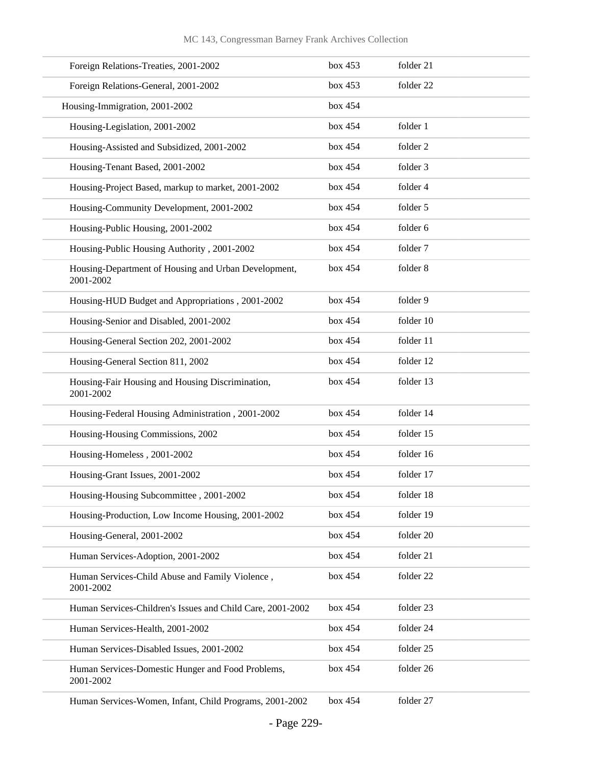| Foreign Relations-Treaties, 2001-2002                             | box 453 | folder 21 |
|-------------------------------------------------------------------|---------|-----------|
| Foreign Relations-General, 2001-2002                              | box 453 | folder 22 |
| Housing-Immigration, 2001-2002                                    | box 454 |           |
| Housing-Legislation, 2001-2002                                    | box 454 | folder 1  |
| Housing-Assisted and Subsidized, 2001-2002                        | box 454 | folder 2  |
| Housing-Tenant Based, 2001-2002                                   | box 454 | folder 3  |
| Housing-Project Based, markup to market, 2001-2002                | box 454 | folder 4  |
| Housing-Community Development, 2001-2002                          | box 454 | folder 5  |
| Housing-Public Housing, 2001-2002                                 | box 454 | folder 6  |
| Housing-Public Housing Authority, 2001-2002                       | box 454 | folder 7  |
| Housing-Department of Housing and Urban Development,<br>2001-2002 | box 454 | folder 8  |
| Housing-HUD Budget and Appropriations, 2001-2002                  | box 454 | folder 9  |
| Housing-Senior and Disabled, 2001-2002                            | box 454 | folder 10 |
| Housing-General Section 202, 2001-2002                            | box 454 | folder 11 |
| Housing-General Section 811, 2002                                 | box 454 | folder 12 |
| Housing-Fair Housing and Housing Discrimination,<br>2001-2002     | box 454 | folder 13 |
| Housing-Federal Housing Administration, 2001-2002                 | box 454 | folder 14 |
| Housing-Housing Commissions, 2002                                 | box 454 | folder 15 |
| Housing-Homeless, 2001-2002                                       | box 454 | folder 16 |
| Housing-Grant Issues, 2001-2002                                   | box 454 | folder 17 |
| Housing-Housing Subcommittee, 2001-2002                           | box 454 | folder 18 |
| Housing-Production, Low Income Housing, 2001-2002                 | box 454 | folder 19 |
| Housing-General, 2001-2002                                        | box 454 | folder 20 |
| Human Services-Adoption, 2001-2002                                | box 454 | folder 21 |
| Human Services-Child Abuse and Family Violence,<br>2001-2002      | box 454 | folder 22 |
| Human Services-Children's Issues and Child Care, 2001-2002        | box 454 | folder 23 |
| Human Services-Health, 2001-2002                                  | box 454 | folder 24 |
| Human Services-Disabled Issues, 2001-2002                         | box 454 | folder 25 |
| Human Services-Domestic Hunger and Food Problems,<br>2001-2002    | box 454 | folder 26 |
| Human Services-Women, Infant, Child Programs, 2001-2002           | box 454 | folder 27 |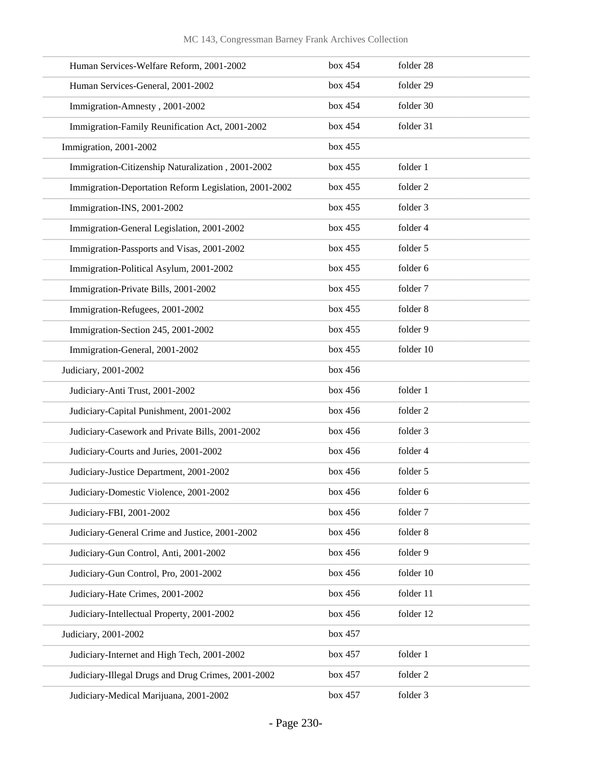| Human Services-Welfare Reform, 2001-2002              | box 454 | folder 28 |
|-------------------------------------------------------|---------|-----------|
| Human Services-General, 2001-2002                     | box 454 | folder 29 |
| Immigration-Amnesty, 2001-2002                        | box 454 | folder 30 |
| Immigration-Family Reunification Act, 2001-2002       | box 454 | folder 31 |
| Immigration, 2001-2002                                | box 455 |           |
| Immigration-Citizenship Naturalization, 2001-2002     | box 455 | folder 1  |
| Immigration-Deportation Reform Legislation, 2001-2002 | box 455 | folder 2  |
| Immigration-INS, 2001-2002                            | box 455 | folder 3  |
| Immigration-General Legislation, 2001-2002            | box 455 | folder 4  |
| Immigration-Passports and Visas, 2001-2002            | box 455 | folder 5  |
| Immigration-Political Asylum, 2001-2002               | box 455 | folder 6  |
| Immigration-Private Bills, 2001-2002                  | box 455 | folder 7  |
| Immigration-Refugees, 2001-2002                       | box 455 | folder 8  |
| Immigration-Section 245, 2001-2002                    | box 455 | folder 9  |
| Immigration-General, 2001-2002                        | box 455 | folder 10 |
| Judiciary, 2001-2002                                  | box 456 |           |
| Judiciary-Anti Trust, 2001-2002                       | box 456 | folder 1  |
| Judiciary-Capital Punishment, 2001-2002               | box 456 | folder 2  |
| Judiciary-Casework and Private Bills, 2001-2002       | box 456 | folder 3  |
| Judiciary-Courts and Juries, 2001-2002                | box 456 | folder 4  |
| Judiciary-Justice Department, 2001-2002               | box 456 | folder 5  |
| Judiciary-Domestic Violence, 2001-2002                | box 456 | folder 6  |
| Judiciary-FBI, 2001-2002                              | box 456 | folder 7  |
| Judiciary-General Crime and Justice, 2001-2002        | box 456 | folder 8  |
| Judiciary-Gun Control, Anti, 2001-2002                | box 456 | folder 9  |
| Judiciary-Gun Control, Pro, 2001-2002                 | box 456 | folder 10 |
| Judiciary-Hate Crimes, 2001-2002                      | box 456 | folder 11 |
| Judiciary-Intellectual Property, 2001-2002            | box 456 | folder 12 |
| Judiciary, 2001-2002                                  | box 457 |           |
| Judiciary-Internet and High Tech, 2001-2002           | box 457 | folder 1  |
| Judiciary-Illegal Drugs and Drug Crimes, 2001-2002    | box 457 | folder 2  |
| Judiciary-Medical Marijuana, 2001-2002                | box 457 | folder 3  |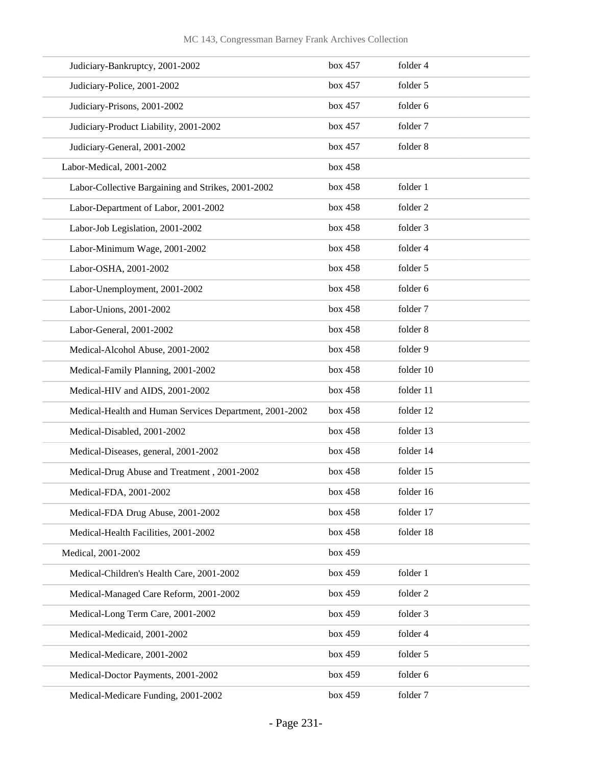| Judiciary-Bankruptcy, 2001-2002                         | box 457 | folder 4  |
|---------------------------------------------------------|---------|-----------|
| Judiciary-Police, 2001-2002                             | box 457 | folder 5  |
| Judiciary-Prisons, 2001-2002                            | box 457 | folder 6  |
| Judiciary-Product Liability, 2001-2002                  | box 457 | folder 7  |
| Judiciary-General, 2001-2002                            | box 457 | folder 8  |
| Labor-Medical, 2001-2002                                | box 458 |           |
| Labor-Collective Bargaining and Strikes, 2001-2002      | box 458 | folder 1  |
| Labor-Department of Labor, 2001-2002                    | box 458 | folder 2  |
| Labor-Job Legislation, 2001-2002                        | box 458 | folder 3  |
| Labor-Minimum Wage, 2001-2002                           | box 458 | folder 4  |
| Labor-OSHA, 2001-2002                                   | box 458 | folder 5  |
| Labor-Unemployment, 2001-2002                           | box 458 | folder 6  |
| Labor-Unions, 2001-2002                                 | box 458 | folder 7  |
| Labor-General, 2001-2002                                | box 458 | folder 8  |
| Medical-Alcohol Abuse, 2001-2002                        | box 458 | folder 9  |
| Medical-Family Planning, 2001-2002                      | box 458 | folder 10 |
| Medical-HIV and AIDS, 2001-2002                         | box 458 | folder 11 |
| Medical-Health and Human Services Department, 2001-2002 | box 458 | folder 12 |
| Medical-Disabled, 2001-2002                             | box 458 | folder 13 |
| Medical-Diseases, general, 2001-2002                    | box 458 | folder 14 |
| Medical-Drug Abuse and Treatment, 2001-2002             | box 458 | folder 15 |
| Medical-FDA, 2001-2002                                  | box 458 | folder 16 |
| Medical-FDA Drug Abuse, 2001-2002                       | box 458 | folder 17 |
| Medical-Health Facilities, 2001-2002                    | box 458 | folder 18 |
| Medical, 2001-2002                                      | box 459 |           |
| Medical-Children's Health Care, 2001-2002               | box 459 | folder 1  |
| Medical-Managed Care Reform, 2001-2002                  | box 459 | folder 2  |
| Medical-Long Term Care, 2001-2002                       | box 459 | folder 3  |
| Medical-Medicaid, 2001-2002                             | box 459 | folder 4  |
| Medical-Medicare, 2001-2002                             | box 459 | folder 5  |
| Medical-Doctor Payments, 2001-2002                      | box 459 | folder 6  |
| Medical-Medicare Funding, 2001-2002                     | box 459 | folder 7  |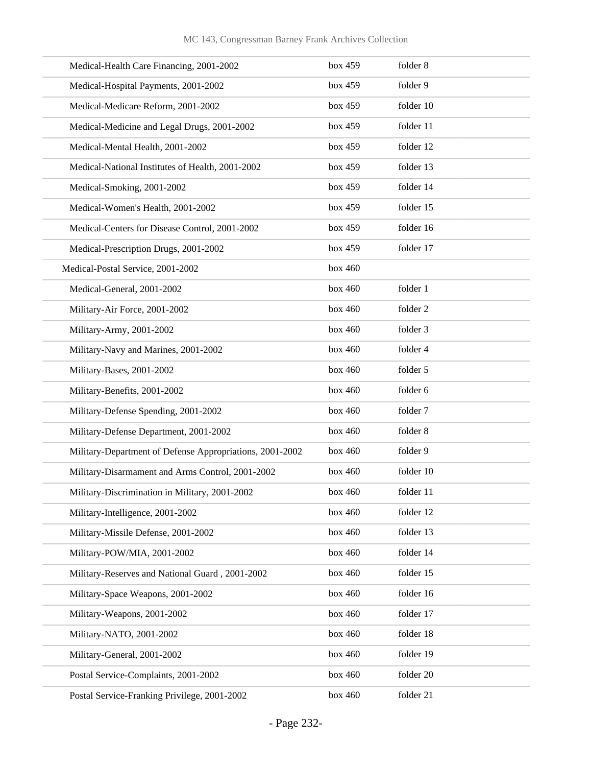| Medical-Health Care Financing, 2001-2002                 | box 459 | folder 8  |
|----------------------------------------------------------|---------|-----------|
| Medical-Hospital Payments, 2001-2002                     | box 459 | folder 9  |
| Medical-Medicare Reform, 2001-2002                       | box 459 | folder 10 |
| Medical-Medicine and Legal Drugs, 2001-2002              | box 459 | folder 11 |
| Medical-Mental Health, 2001-2002                         | box 459 | folder 12 |
| Medical-National Institutes of Health, 2001-2002         | box 459 | folder 13 |
| Medical-Smoking, 2001-2002                               | box 459 | folder 14 |
| Medical-Women's Health, 2001-2002                        | box 459 | folder 15 |
| Medical-Centers for Disease Control, 2001-2002           | box 459 | folder 16 |
| Medical-Prescription Drugs, 2001-2002                    | box 459 | folder 17 |
| Medical-Postal Service, 2001-2002                        | box 460 |           |
| Medical-General, 2001-2002                               | box 460 | folder 1  |
| Military-Air Force, 2001-2002                            | box 460 | folder 2  |
| Military-Army, 2001-2002                                 | box 460 | folder 3  |
| Military-Navy and Marines, 2001-2002                     | box 460 | folder 4  |
| Military-Bases, 2001-2002                                | box 460 | folder 5  |
| Military-Benefits, 2001-2002                             | box 460 | folder 6  |
| Military-Defense Spending, 2001-2002                     | box 460 | folder 7  |
| Military-Defense Department, 2001-2002                   | box~460 | folder 8  |
| Military-Department of Defense Appropriations, 2001-2002 | box 460 | folder 9  |
| Military-Disarmament and Arms Control, 2001-2002         | box 460 | folder 10 |
| Military-Discrimination in Military, 2001-2002           | box 460 | folder 11 |
| Military-Intelligence, 2001-2002                         | box 460 | folder 12 |
| Military-Missile Defense, 2001-2002                      | box 460 | folder 13 |
| Military-POW/MIA, 2001-2002                              | box 460 | folder 14 |
| Military-Reserves and National Guard, 2001-2002          | box 460 | folder 15 |
| Military-Space Weapons, 2001-2002                        | box 460 | folder 16 |
| Military-Weapons, 2001-2002                              | box 460 | folder 17 |
| Military-NATO, 2001-2002                                 | box 460 | folder 18 |
| Military-General, 2001-2002                              | box 460 | folder 19 |
| Postal Service-Complaints, 2001-2002                     | box 460 | folder 20 |
| Postal Service-Franking Privilege, 2001-2002             | box 460 | folder 21 |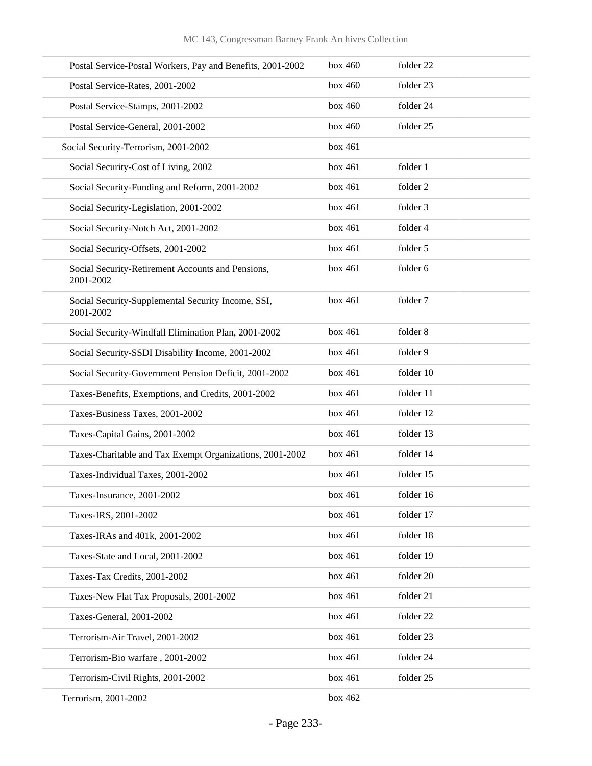| Postal Service-Postal Workers, Pay and Benefits, 2001-2002      | box 460 | folder 22 |
|-----------------------------------------------------------------|---------|-----------|
| Postal Service-Rates, 2001-2002                                 | box 460 | folder 23 |
| Postal Service-Stamps, 2001-2002                                | box 460 | folder 24 |
| Postal Service-General, 2001-2002                               | box 460 | folder 25 |
| Social Security-Terrorism, 2001-2002                            | box 461 |           |
| Social Security-Cost of Living, 2002                            | box 461 | folder 1  |
| Social Security-Funding and Reform, 2001-2002                   | box 461 | folder 2  |
| Social Security-Legislation, 2001-2002                          | box 461 | folder 3  |
| Social Security-Notch Act, 2001-2002                            | box 461 | folder 4  |
| Social Security-Offsets, 2001-2002                              | box 461 | folder 5  |
| Social Security-Retirement Accounts and Pensions,<br>2001-2002  | box 461 | folder 6  |
| Social Security-Supplemental Security Income, SSI,<br>2001-2002 | box 461 | folder 7  |
| Social Security-Windfall Elimination Plan, 2001-2002            | box 461 | folder 8  |
| Social Security-SSDI Disability Income, 2001-2002               | box 461 | folder 9  |
| Social Security-Government Pension Deficit, 2001-2002           | box 461 | folder 10 |
| Taxes-Benefits, Exemptions, and Credits, 2001-2002              | box 461 | folder 11 |
| Taxes-Business Taxes, 2001-2002                                 | box 461 | folder 12 |
| Taxes-Capital Gains, 2001-2002                                  | box 461 | folder 13 |
| Taxes-Charitable and Tax Exempt Organizations, 2001-2002        | box 461 | folder 14 |
| Taxes-Individual Taxes, 2001-2002                               | box 461 | folder 15 |
| Taxes-Insurance, 2001-2002                                      | box 461 | folder 16 |
| Taxes-IRS, 2001-2002                                            | box 461 | folder 17 |
| Taxes-IRAs and 401k, 2001-2002                                  | box 461 | folder 18 |
| Taxes-State and Local, 2001-2002                                | box 461 | folder 19 |
| Taxes-Tax Credits, 2001-2002                                    | box 461 | folder 20 |
| Taxes-New Flat Tax Proposals, 2001-2002                         | box 461 | folder 21 |
| Taxes-General, 2001-2002                                        | box 461 | folder 22 |
| Terrorism-Air Travel, 2001-2002                                 | box 461 | folder 23 |
| Terrorism-Bio warfare, 2001-2002                                | box 461 | folder 24 |
| Terrorism-Civil Rights, 2001-2002                               | box 461 | folder 25 |
| Terrorism, 2001-2002                                            | box 462 |           |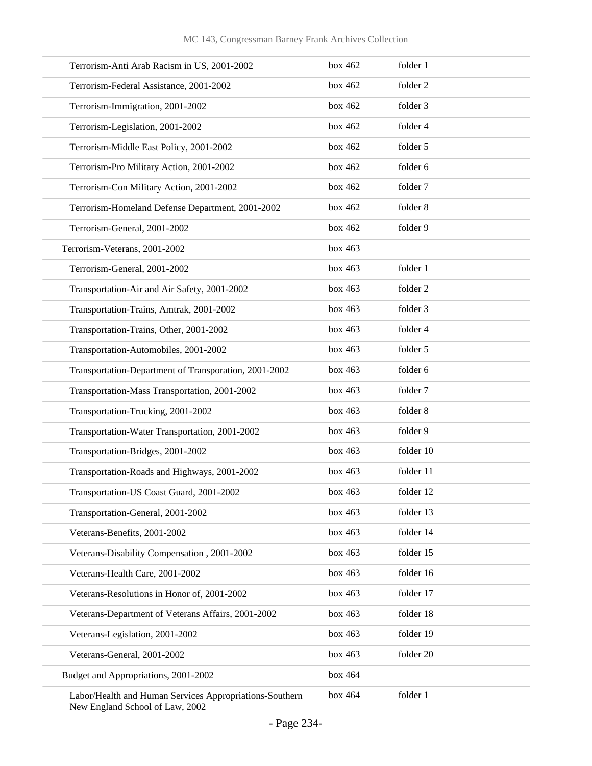| Terrorism-Anti Arab Racism in US, 2001-2002             | box $462$ | folder 1  |
|---------------------------------------------------------|-----------|-----------|
| Terrorism-Federal Assistance, 2001-2002                 | box 462   | folder 2  |
| Terrorism-Immigration, 2001-2002                        | box $462$ | folder 3  |
| Terrorism-Legislation, 2001-2002                        | box 462   | folder 4  |
| Terrorism-Middle East Policy, 2001-2002                 | box $462$ | folder 5  |
| Terrorism-Pro Military Action, 2001-2002                | box 462   | folder 6  |
| Terrorism-Con Military Action, 2001-2002                | box 462   | folder 7  |
| Terrorism-Homeland Defense Department, 2001-2002        | box 462   | folder 8  |
| Terrorism-General, 2001-2002                            | box $462$ | folder 9  |
| Terrorism-Veterans, 2001-2002                           | box~463   |           |
| Terrorism-General, 2001-2002                            | box~463   | folder 1  |
| Transportation-Air and Air Safety, 2001-2002            | box 463   | folder 2  |
| Transportation-Trains, Amtrak, 2001-2002                | box~463   | folder 3  |
| Transportation-Trains, Other, 2001-2002                 | box~463   | folder 4  |
| Transportation-Automobiles, 2001-2002                   | box~463   | folder 5  |
| Transportation-Department of Transporation, 2001-2002   | box 463   | folder 6  |
| Transportation-Mass Transportation, 2001-2002           | box~463   | folder 7  |
| Transportation-Trucking, 2001-2002                      | box~463   | folder 8  |
| Transportation-Water Transportation, 2001-2002          | box~463   | folder 9  |
| Transportation-Bridges, 2001-2002                       | box 463   | folder 10 |
| Transportation-Roads and Highways, 2001-2002            | box~463   | folder 11 |
| Transportation-US Coast Guard, 2001-2002                | box 463   | folder 12 |
| Transportation-General, 2001-2002                       | box 463   | folder 13 |
| Veterans-Benefits, 2001-2002                            | box 463   | folder 14 |
| Veterans-Disability Compensation, 2001-2002             | box 463   | folder 15 |
| Veterans-Health Care, 2001-2002                         | box 463   | folder 16 |
| Veterans-Resolutions in Honor of, 2001-2002             | box 463   | folder 17 |
| Veterans-Department of Veterans Affairs, 2001-2002      | box 463   | folder 18 |
| Veterans-Legislation, 2001-2002                         | box 463   | folder 19 |
| Veterans-General, 2001-2002                             | box 463   | folder 20 |
| Budget and Appropriations, 2001-2002                    | box 464   |           |
| Labor/Health and Human Services Appropriations-Southern | box 464   | folder 1  |

New England School of Law, 2002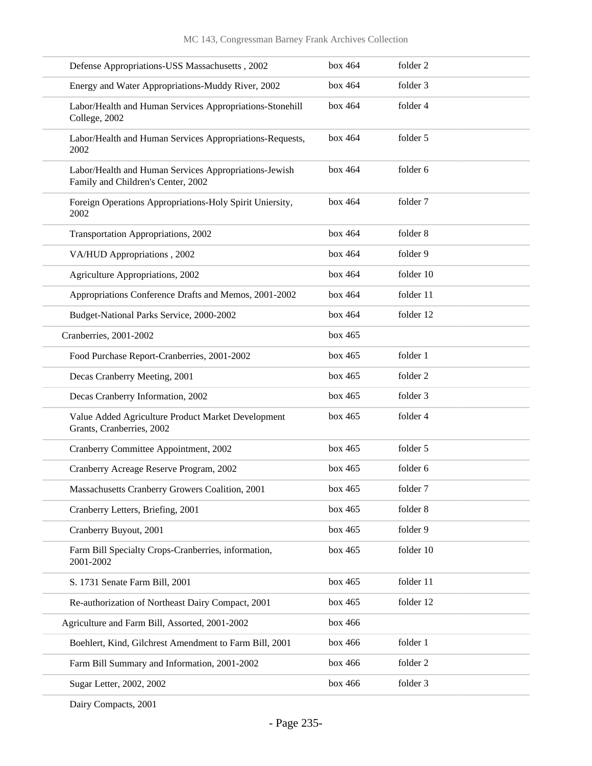| Defense Appropriations-USS Massachusetts, 2002                                              | box 464 | folder 2            |
|---------------------------------------------------------------------------------------------|---------|---------------------|
| Energy and Water Appropriations-Muddy River, 2002                                           | box~464 | folder 3            |
| Labor/Health and Human Services Appropriations-Stonehill<br>College, 2002                   | box 464 | folder 4            |
| Labor/Health and Human Services Appropriations-Requests,<br>2002                            | box 464 | folder 5            |
| Labor/Health and Human Services Appropriations-Jewish<br>Family and Children's Center, 2002 | box~464 | folder 6            |
| Foreign Operations Appropriations-Holy Spirit Uniersity,<br>2002                            | box 464 | folder 7            |
| Transportation Appropriations, 2002                                                         | box 464 | folder 8            |
| VA/HUD Appropriations, 2002                                                                 | box 464 | folder 9            |
| Agriculture Appropriations, 2002                                                            | box 464 | folder 10           |
| Appropriations Conference Drafts and Memos, 2001-2002                                       | box 464 | folder 11           |
| Budget-National Parks Service, 2000-2002                                                    | box 464 | folder 12           |
| Cranberries, 2001-2002                                                                      | box 465 |                     |
| Food Purchase Report-Cranberries, 2001-2002                                                 | box 465 | folder 1            |
| Decas Cranberry Meeting, 2001                                                               | box 465 | folder <sub>2</sub> |
| Decas Cranberry Information, 2002                                                           | box 465 | folder 3            |
| Value Added Agriculture Product Market Development<br>Grants, Cranberries, 2002             | box 465 | folder 4            |
| Cranberry Committee Appointment, 2002                                                       | box 465 | folder 5            |
| Cranberry Acreage Reserve Program, 2002                                                     | box 465 | folder 6            |
| Massachusetts Cranberry Growers Coalition, 2001                                             | box 465 | folder 7            |
| Cranberry Letters, Briefing, 2001                                                           | box 465 | folder 8            |
| Cranberry Buyout, 2001                                                                      | box 465 | folder 9            |
| Farm Bill Specialty Crops-Cranberries, information,<br>2001-2002                            | box 465 | folder 10           |
| S. 1731 Senate Farm Bill, 2001                                                              | box 465 | folder 11           |
| Re-authorization of Northeast Dairy Compact, 2001                                           | box 465 | folder 12           |
| Agriculture and Farm Bill, Assorted, 2001-2002                                              | box 466 |                     |
| Boehlert, Kind, Gilchrest Amendment to Farm Bill, 2001                                      | box 466 | folder 1            |
| Farm Bill Summary and Information, 2001-2002                                                | box 466 | folder 2            |
| Sugar Letter, 2002, 2002                                                                    | box 466 | folder 3            |
|                                                                                             |         |                     |

Dairy Compacts, 2001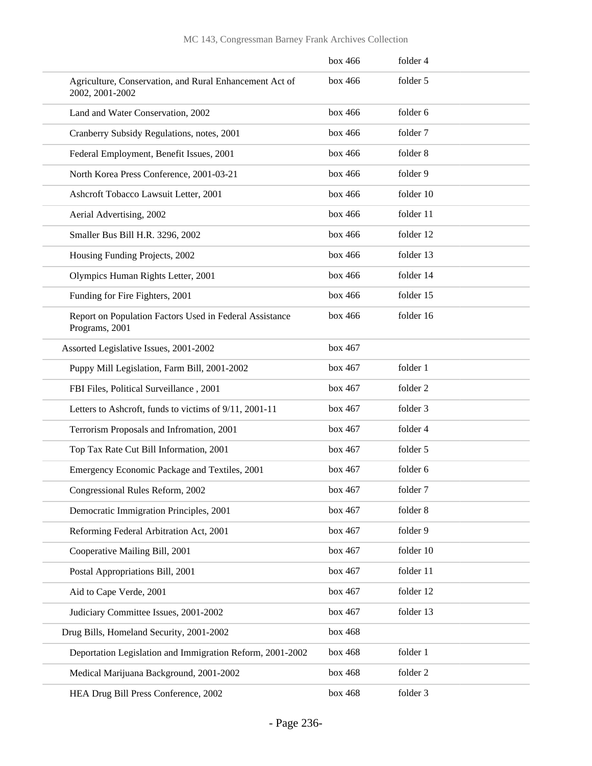|                                                                            | box 466 | folder 4  |
|----------------------------------------------------------------------------|---------|-----------|
| Agriculture, Conservation, and Rural Enhancement Act of<br>2002, 2001-2002 | box 466 | folder 5  |
| Land and Water Conservation, 2002                                          | box 466 | folder 6  |
| Cranberry Subsidy Regulations, notes, 2001                                 | box 466 | folder 7  |
| Federal Employment, Benefit Issues, 2001                                   | box 466 | folder 8  |
| North Korea Press Conference, 2001-03-21                                   | box 466 | folder 9  |
| Ashcroft Tobacco Lawsuit Letter, 2001                                      | box 466 | folder 10 |
| Aerial Advertising, 2002                                                   | box 466 | folder 11 |
| Smaller Bus Bill H.R. 3296, 2002                                           | box 466 | folder 12 |
| Housing Funding Projects, 2002                                             | box 466 | folder 13 |
| Olympics Human Rights Letter, 2001                                         | box 466 | folder 14 |
| Funding for Fire Fighters, 2001                                            | box 466 | folder 15 |
| Report on Population Factors Used in Federal Assistance<br>Programs, 2001  | box 466 | folder 16 |
| Assorted Legislative Issues, 2001-2002                                     | box 467 |           |
| Puppy Mill Legislation, Farm Bill, 2001-2002                               | box 467 | folder 1  |
| FBI Files, Political Surveillance, 2001                                    | box 467 | folder 2  |
| Letters to Ashcroft, funds to victims of 9/11, 2001-11                     | box 467 | folder 3  |
| Terrorism Proposals and Infromation, 2001                                  | box 467 | folder 4  |
| Top Tax Rate Cut Bill Information, 2001                                    | box 467 | folder 5  |
| Emergency Economic Package and Textiles, 2001                              | box 467 | folder 6  |
| Congressional Rules Reform, 2002                                           | box 467 | folder 7  |
| Democratic Immigration Principles, 2001                                    | box 467 | folder 8  |
| Reforming Federal Arbitration Act, 2001                                    | box 467 | folder 9  |
| Cooperative Mailing Bill, 2001                                             | box 467 | folder 10 |
| Postal Appropriations Bill, 2001                                           | box 467 | folder 11 |
| Aid to Cape Verde, 2001                                                    | box 467 | folder 12 |
| Judiciary Committee Issues, 2001-2002                                      | box 467 | folder 13 |
| Drug Bills, Homeland Security, 2001-2002                                   | box 468 |           |
| Deportation Legislation and Immigration Reform, 2001-2002                  | box 468 | folder 1  |
| Medical Marijuana Background, 2001-2002                                    | box 468 | folder 2  |
| HEA Drug Bill Press Conference, 2002                                       | box 468 | folder 3  |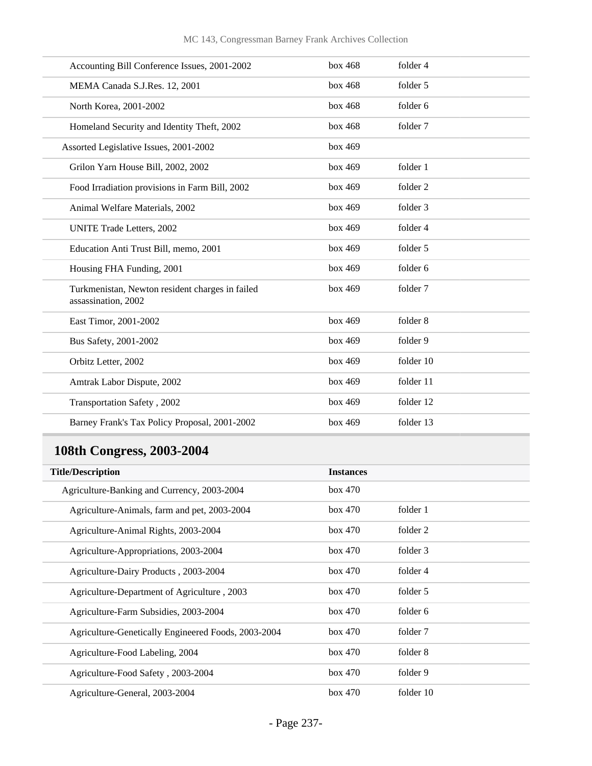| Accounting Bill Conference Issues, 2001-2002                           | box~468 | folder 4  |
|------------------------------------------------------------------------|---------|-----------|
| MEMA Canada S.J.Res. 12, 2001                                          | box 468 | folder 5  |
| North Korea, 2001-2002                                                 | box 468 | folder 6  |
| Homeland Security and Identity Theft, 2002                             | box 468 | folder 7  |
| Assorted Legislative Issues, 2001-2002                                 | box 469 |           |
| Grilon Yarn House Bill, 2002, 2002                                     | box 469 | folder 1  |
| Food Irradiation provisions in Farm Bill, 2002                         | box 469 | folder 2  |
| Animal Welfare Materials, 2002                                         | box 469 | folder 3  |
| <b>UNITE Trade Letters, 2002</b>                                       | box 469 | folder 4  |
| Education Anti Trust Bill, memo, 2001                                  | box 469 | folder 5  |
| Housing FHA Funding, 2001                                              | box~469 | folder 6  |
| Turkmenistan, Newton resident charges in failed<br>assassination, 2002 | box 469 | folder 7  |
| East Timor, 2001-2002                                                  | box~469 | folder 8  |
| Bus Safety, 2001-2002                                                  | box 469 | folder 9  |
| Orbitz Letter, 2002                                                    | box 469 | folder 10 |
| Amtrak Labor Dispute, 2002                                             | box 469 | folder 11 |
| Transportation Safety, 2002                                            | box 469 | folder 12 |
| Barney Frank's Tax Policy Proposal, 2001-2002                          | box 469 | folder 13 |

## **108th Congress, 2003-2004**

| <b>Title/Description</b>                            | <b>Instances</b> |           |
|-----------------------------------------------------|------------------|-----------|
| Agriculture-Banking and Currency, 2003-2004         | box 470          |           |
| Agriculture-Animals, farm and pet, 2003-2004        | box 470          | folder 1  |
| Agriculture-Animal Rights, 2003-2004                | box 470          | folder 2  |
| Agriculture-Appropriations, 2003-2004               | box 470          | folder 3  |
| Agriculture-Dairy Products, 2003-2004               | box 470          | folder 4  |
| Agriculture-Department of Agriculture, 2003         | box 470          | folder 5  |
| Agriculture-Farm Subsidies, 2003-2004               | box 470          | folder 6  |
| Agriculture-Genetically Engineered Foods, 2003-2004 | box 470          | folder 7  |
| Agriculture-Food Labeling, 2004                     | box 470          | folder 8  |
| Agriculture-Food Safety, 2003-2004                  | box 470          | folder 9  |
| Agriculture-General, 2003-2004                      | box 470          | folder 10 |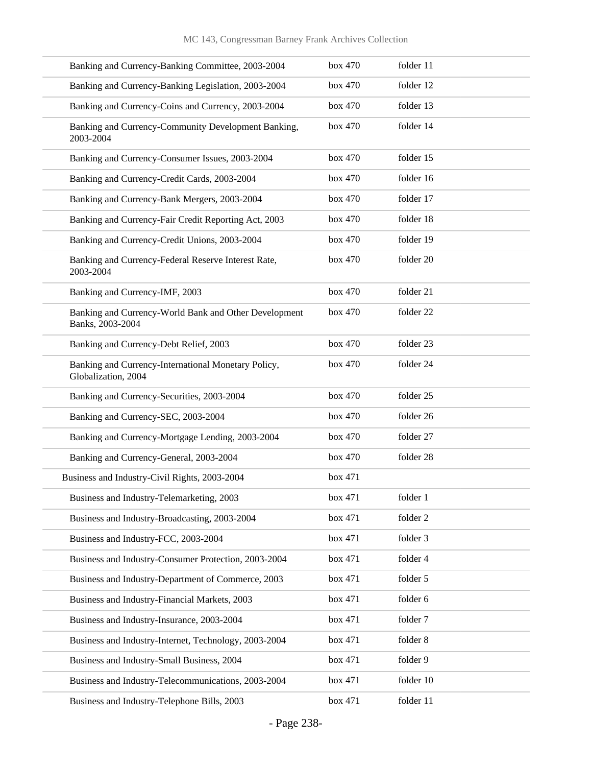| Banking and Currency-Banking Committee, 2003-2004                          | box 470 | folder 11 |
|----------------------------------------------------------------------------|---------|-----------|
| Banking and Currency-Banking Legislation, 2003-2004                        | box 470 | folder 12 |
| Banking and Currency-Coins and Currency, 2003-2004                         | box 470 | folder 13 |
| Banking and Currency-Community Development Banking,<br>2003-2004           | box 470 | folder 14 |
| Banking and Currency-Consumer Issues, 2003-2004                            | box 470 | folder 15 |
| Banking and Currency-Credit Cards, 2003-2004                               | box 470 | folder 16 |
| Banking and Currency-Bank Mergers, 2003-2004                               | box 470 | folder 17 |
| Banking and Currency-Fair Credit Reporting Act, 2003                       | box 470 | folder 18 |
| Banking and Currency-Credit Unions, 2003-2004                              | box 470 | folder 19 |
| Banking and Currency-Federal Reserve Interest Rate,<br>2003-2004           | box 470 | folder 20 |
| Banking and Currency-IMF, 2003                                             | box 470 | folder 21 |
| Banking and Currency-World Bank and Other Development<br>Banks, 2003-2004  | box 470 | folder 22 |
| Banking and Currency-Debt Relief, 2003                                     | box 470 | folder 23 |
| Banking and Currency-International Monetary Policy,<br>Globalization, 2004 | box 470 | folder 24 |
| Banking and Currency-Securities, 2003-2004                                 | box 470 | folder 25 |
| Banking and Currency-SEC, 2003-2004                                        | box 470 | folder 26 |
| Banking and Currency-Mortgage Lending, 2003-2004                           | box 470 | folder 27 |
| Banking and Currency-General, 2003-2004                                    | box 470 | folder 28 |
| Business and Industry-Civil Rights, 2003-2004                              | box 471 |           |
| Business and Industry-Telemarketing, 2003                                  | box 471 | folder 1  |
| Business and Industry-Broadcasting, 2003-2004                              | box 471 | folder 2  |
| Business and Industry-FCC, 2003-2004                                       | box 471 | folder 3  |
| Business and Industry-Consumer Protection, 2003-2004                       | box 471 | folder 4  |
| Business and Industry-Department of Commerce, 2003                         | box 471 | folder 5  |
| Business and Industry-Financial Markets, 2003                              | box 471 | folder 6  |
| Business and Industry-Insurance, 2003-2004                                 | box 471 | folder 7  |
| Business and Industry-Internet, Technology, 2003-2004                      | box 471 | folder 8  |
| Business and Industry-Small Business, 2004                                 | box 471 | folder 9  |
| Business and Industry-Telecommunications, 2003-2004                        | box 471 | folder 10 |
| Business and Industry-Telephone Bills, 2003                                | box 471 | folder 11 |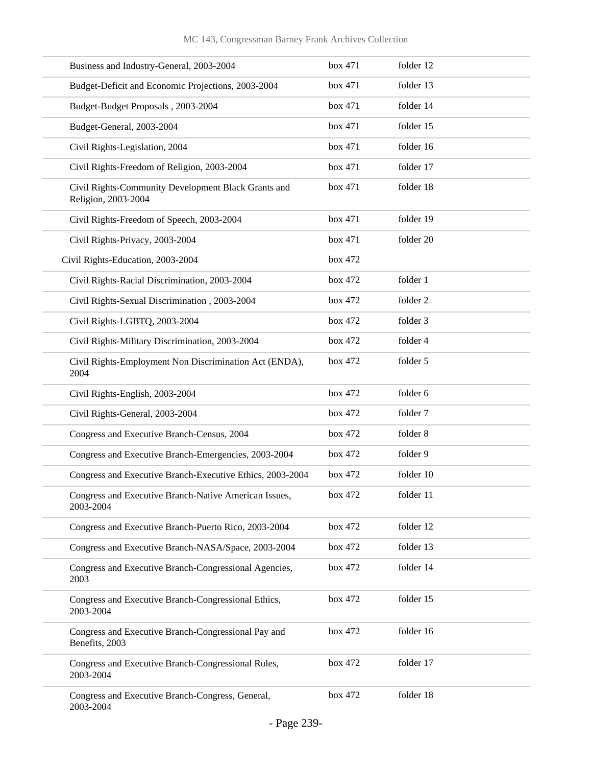| Business and Industry-General, 2003-2004                                   | box 471 | folder 12 |
|----------------------------------------------------------------------------|---------|-----------|
| Budget-Deficit and Economic Projections, 2003-2004                         | box 471 | folder 13 |
| Budget-Budget Proposals, 2003-2004                                         | box 471 | folder 14 |
| Budget-General, 2003-2004                                                  | box 471 | folder 15 |
| Civil Rights-Legislation, 2004                                             | box 471 | folder 16 |
| Civil Rights-Freedom of Religion, 2003-2004                                | box 471 | folder 17 |
| Civil Rights-Community Development Black Grants and<br>Religion, 2003-2004 | box 471 | folder 18 |
| Civil Rights-Freedom of Speech, 2003-2004                                  | box 471 | folder 19 |
| Civil Rights-Privacy, 2003-2004                                            | box 471 | folder 20 |
| Civil Rights-Education, 2003-2004                                          | box 472 |           |
| Civil Rights-Racial Discrimination, 2003-2004                              | box 472 | folder 1  |
| Civil Rights-Sexual Discrimination, 2003-2004                              | box 472 | folder 2  |
| Civil Rights-LGBTQ, 2003-2004                                              | box 472 | folder 3  |
| Civil Rights-Military Discrimination, 2003-2004                            | box 472 | folder 4  |
| Civil Rights-Employment Non Discrimination Act (ENDA),<br>2004             | box 472 | folder 5  |
| Civil Rights-English, 2003-2004                                            | box 472 | folder 6  |
| Civil Rights-General, 2003-2004                                            | box 472 | folder 7  |
| Congress and Executive Branch-Census, 2004                                 | box 472 | folder 8  |
| Congress and Executive Branch-Emergencies, 2003-2004                       | box 472 | folder 9  |
| Congress and Executive Branch-Executive Ethics, 2003-2004                  | box 472 | folder 10 |
| Congress and Executive Branch-Native American Issues,<br>2003-2004         | box 472 | folder 11 |
| Congress and Executive Branch-Puerto Rico, 2003-2004                       | box 472 | folder 12 |
| Congress and Executive Branch-NASA/Space, 2003-2004                        | box 472 | folder 13 |
| Congress and Executive Branch-Congressional Agencies,<br>2003              | box 472 | folder 14 |
| Congress and Executive Branch-Congressional Ethics,<br>2003-2004           | box 472 | folder 15 |
| Congress and Executive Branch-Congressional Pay and<br>Benefits, 2003      | box 472 | folder 16 |
| Congress and Executive Branch-Congressional Rules,<br>2003-2004            | box 472 | folder 17 |
| Congress and Executive Branch-Congress, General,<br>2003-2004              | box 472 | folder 18 |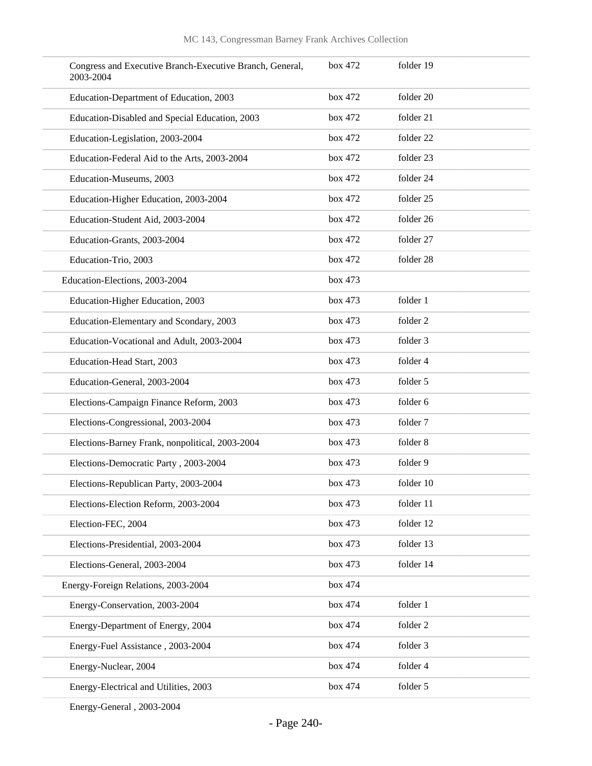| Congress and Executive Branch-Executive Branch, General,<br>2003-2004 | box 472 | folder 19 |
|-----------------------------------------------------------------------|---------|-----------|
| Education-Department of Education, 2003                               | box 472 | folder 20 |
| Education-Disabled and Special Education, 2003                        | box 472 | folder 21 |
| Education-Legislation, 2003-2004                                      | box 472 | folder 22 |
| Education-Federal Aid to the Arts, 2003-2004                          | box 472 | folder 23 |
| Education-Museums, 2003                                               | box 472 | folder 24 |
| Education-Higher Education, 2003-2004                                 | box 472 | folder 25 |
| Education-Student Aid, 2003-2004                                      | box 472 | folder 26 |
| Education-Grants, 2003-2004                                           | box 472 | folder 27 |
| Education-Trio, 2003                                                  | box 472 | folder 28 |
| Education-Elections, 2003-2004                                        | box 473 |           |
| Education-Higher Education, 2003                                      | box 473 | folder 1  |
| Education-Elementary and Scondary, 2003                               | box 473 | folder 2  |
| Education-Vocational and Adult, 2003-2004                             | box 473 | folder 3  |
| Education-Head Start, 2003                                            | box 473 | folder 4  |
| Education-General, 2003-2004                                          | box 473 | folder 5  |
| Elections-Campaign Finance Reform, 2003                               | box 473 | folder 6  |
| Elections-Congressional, 2003-2004                                    | box 473 | folder 7  |
| Elections-Barney Frank, nonpolitical, 2003-2004                       | box 473 | folder 8  |
| Elections-Democratic Party, 2003-2004                                 | box 473 | folder 9  |
| Elections-Republican Party, 2003-2004                                 | box 473 | folder 10 |
| Elections-Election Reform, 2003-2004                                  | box 473 | folder 11 |
| Election-FEC, 2004                                                    | box 473 | folder 12 |
| Elections-Presidential, 2003-2004                                     | box 473 | folder 13 |
| Elections-General, 2003-2004                                          | box 473 | folder 14 |
| Energy-Foreign Relations, 2003-2004                                   | box 474 |           |
| Energy-Conservation, 2003-2004                                        | box 474 | folder 1  |
| Energy-Department of Energy, 2004                                     | box 474 | folder 2  |
| Energy-Fuel Assistance, 2003-2004                                     | box 474 | folder 3  |
| Energy-Nuclear, 2004                                                  | box 474 | folder 4  |
| Energy-Electrical and Utilities, 2003                                 | box 474 | folder 5  |

Energy-General , 2003-2004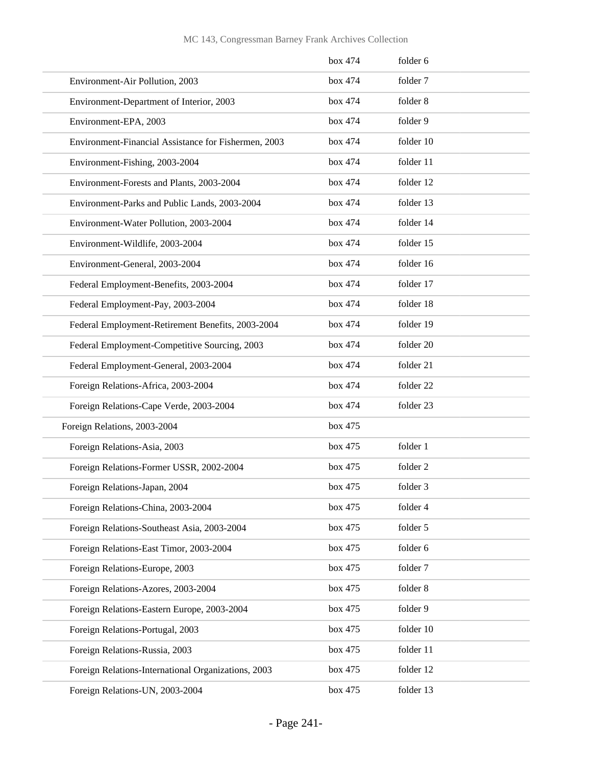|                                                      | box 474 | folder 6  |
|------------------------------------------------------|---------|-----------|
| Environment-Air Pollution, 2003                      | box 474 | folder 7  |
| Environment-Department of Interior, 2003             | box 474 | folder 8  |
| Environment-EPA, 2003                                | box 474 | folder 9  |
| Environment-Financial Assistance for Fishermen, 2003 | box 474 | folder 10 |
| Environment-Fishing, 2003-2004                       | box 474 | folder 11 |
| Environment-Forests and Plants, 2003-2004            | box 474 | folder 12 |
| Environment-Parks and Public Lands, 2003-2004        | box 474 | folder 13 |
| Environment-Water Pollution, 2003-2004               | box 474 | folder 14 |
| Environment-Wildlife, 2003-2004                      | box 474 | folder 15 |
| Environment-General, 2003-2004                       | box 474 | folder 16 |
| Federal Employment-Benefits, 2003-2004               | box 474 | folder 17 |
| Federal Employment-Pay, 2003-2004                    | box 474 | folder 18 |
| Federal Employment-Retirement Benefits, 2003-2004    | box 474 | folder 19 |
| Federal Employment-Competitive Sourcing, 2003        | box 474 | folder 20 |
| Federal Employment-General, 2003-2004                | box 474 | folder 21 |
| Foreign Relations-Africa, 2003-2004                  | box 474 | folder 22 |
| Foreign Relations-Cape Verde, 2003-2004              | box 474 | folder 23 |
| Foreign Relations, 2003-2004                         | box 475 |           |
| Foreign Relations-Asia, 2003                         | box 475 | folder 1  |
| Foreign Relations-Former USSR, 2002-2004             | box 475 | folder 2  |
| Foreign Relations-Japan, 2004                        | box 475 | folder 3  |
| Foreign Relations-China, 2003-2004                   | box 475 | folder 4  |
| Foreign Relations-Southeast Asia, 2003-2004          | box 475 | folder 5  |
| Foreign Relations-East Timor, 2003-2004              | box 475 | folder 6  |
| Foreign Relations-Europe, 2003                       | box 475 | folder 7  |
| Foreign Relations-Azores, 2003-2004                  | box 475 | folder 8  |
| Foreign Relations-Eastern Europe, 2003-2004          | box 475 | folder 9  |
| Foreign Relations-Portugal, 2003                     | box 475 | folder 10 |
| Foreign Relations-Russia, 2003                       | box 475 | folder 11 |
| Foreign Relations-International Organizations, 2003  | box 475 | folder 12 |
| Foreign Relations-UN, 2003-2004                      | box 475 | folder 13 |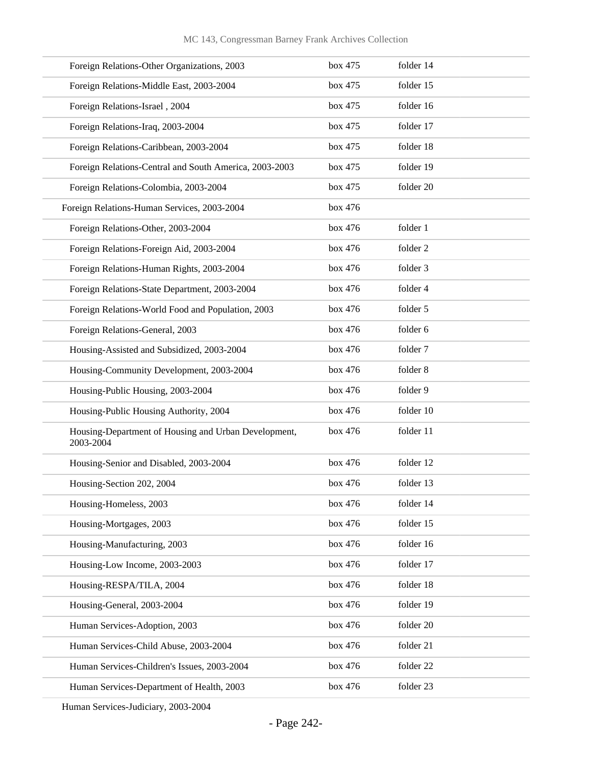| Foreign Relations-Other Organizations, 2003                       | box 475 | folder 14 |
|-------------------------------------------------------------------|---------|-----------|
| Foreign Relations-Middle East, 2003-2004                          | box 475 | folder 15 |
| Foreign Relations-Israel, 2004                                    | box 475 | folder 16 |
| Foreign Relations-Iraq, 2003-2004                                 | box 475 | folder 17 |
| Foreign Relations-Caribbean, 2003-2004                            | box 475 | folder 18 |
| Foreign Relations-Central and South America, 2003-2003            | box 475 | folder 19 |
| Foreign Relations-Colombia, 2003-2004                             | box 475 | folder 20 |
| Foreign Relations-Human Services, 2003-2004                       | box 476 |           |
| Foreign Relations-Other, 2003-2004                                | box 476 | folder 1  |
| Foreign Relations-Foreign Aid, 2003-2004                          | box 476 | folder 2  |
| Foreign Relations-Human Rights, 2003-2004                         | box 476 | folder 3  |
| Foreign Relations-State Department, 2003-2004                     | box 476 | folder 4  |
| Foreign Relations-World Food and Population, 2003                 | box 476 | folder 5  |
| Foreign Relations-General, 2003                                   | box 476 | folder 6  |
| Housing-Assisted and Subsidized, 2003-2004                        | box 476 | folder 7  |
| Housing-Community Development, 2003-2004                          | box 476 | folder 8  |
| Housing-Public Housing, 2003-2004                                 | box 476 | folder 9  |
| Housing-Public Housing Authority, 2004                            | box 476 | folder 10 |
| Housing-Department of Housing and Urban Development,<br>2003-2004 | box 476 | folder 11 |
| Housing-Senior and Disabled, 2003-2004                            | box 476 | folder 12 |
| Housing-Section 202, 2004                                         | box 476 | folder 13 |
| Housing-Homeless, 2003                                            | box 476 | folder 14 |
| Housing-Mortgages, 2003                                           | box 476 | folder 15 |
| Housing-Manufacturing, 2003                                       | box 476 | folder 16 |
| Housing-Low Income, 2003-2003                                     | box 476 | folder 17 |
| Housing-RESPA/TILA, 2004                                          | box 476 | folder 18 |
| Housing-General, 2003-2004                                        | box 476 | folder 19 |
| Human Services-Adoption, 2003                                     | box 476 | folder 20 |
| Human Services-Child Abuse, 2003-2004                             | box 476 | folder 21 |
| Human Services-Children's Issues, 2003-2004                       | box 476 | folder 22 |
| Human Services-Department of Health, 2003                         | box 476 | folder 23 |
|                                                                   |         |           |

Human Services-Judiciary, 2003-2004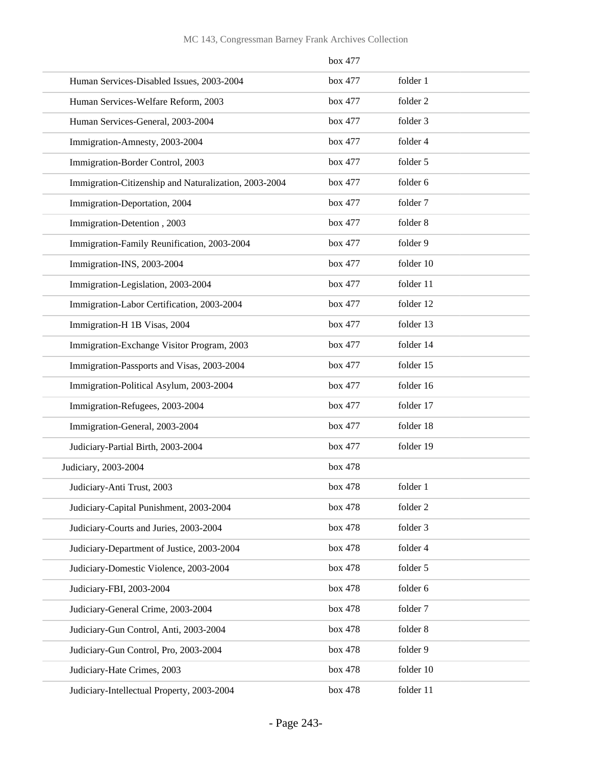|                                                       | box 477 |           |
|-------------------------------------------------------|---------|-----------|
| Human Services-Disabled Issues, 2003-2004             | box 477 | folder 1  |
| Human Services-Welfare Reform, 2003                   | box 477 | folder 2  |
| Human Services-General, 2003-2004                     | box 477 | folder 3  |
| Immigration-Amnesty, 2003-2004                        | box 477 | folder 4  |
| Immigration-Border Control, 2003                      | box 477 | folder 5  |
| Immigration-Citizenship and Naturalization, 2003-2004 | box 477 | folder 6  |
| Immigration-Deportation, 2004                         | box 477 | folder 7  |
| Immigration-Detention, 2003                           | box 477 | folder 8  |
| Immigration-Family Reunification, 2003-2004           | box 477 | folder 9  |
| Immigration-INS, 2003-2004                            | box 477 | folder 10 |
| Immigration-Legislation, 2003-2004                    | box 477 | folder 11 |
| Immigration-Labor Certification, 2003-2004            | box 477 | folder 12 |
| Immigration-H 1B Visas, 2004                          | box 477 | folder 13 |
| Immigration-Exchange Visitor Program, 2003            | box 477 | folder 14 |
| Immigration-Passports and Visas, 2003-2004            | box 477 | folder 15 |
| Immigration-Political Asylum, 2003-2004               | box 477 | folder 16 |
| Immigration-Refugees, 2003-2004                       | box 477 | folder 17 |
| Immigration-General, 2003-2004                        | box 477 | folder 18 |
| Judiciary-Partial Birth, 2003-2004                    | box 477 | folder 19 |
| Judiciary, 2003-2004                                  | box 478 |           |
| Judiciary-Anti Trust, 2003                            | box 478 | folder 1  |
| Judiciary-Capital Punishment, 2003-2004               | box 478 | folder 2  |
| Judiciary-Courts and Juries, 2003-2004                | box 478 | folder 3  |
| Judiciary-Department of Justice, 2003-2004            | box 478 | folder 4  |
| Judiciary-Domestic Violence, 2003-2004                | box 478 | folder 5  |
| Judiciary-FBI, 2003-2004                              | box 478 | folder 6  |
| Judiciary-General Crime, 2003-2004                    | box 478 | folder 7  |
| Judiciary-Gun Control, Anti, 2003-2004                | box 478 | folder 8  |
| Judiciary-Gun Control, Pro, 2003-2004                 | box 478 | folder 9  |
| Judiciary-Hate Crimes, 2003                           | box 478 | folder 10 |
| Judiciary-Intellectual Property, 2003-2004            | box 478 | folder 11 |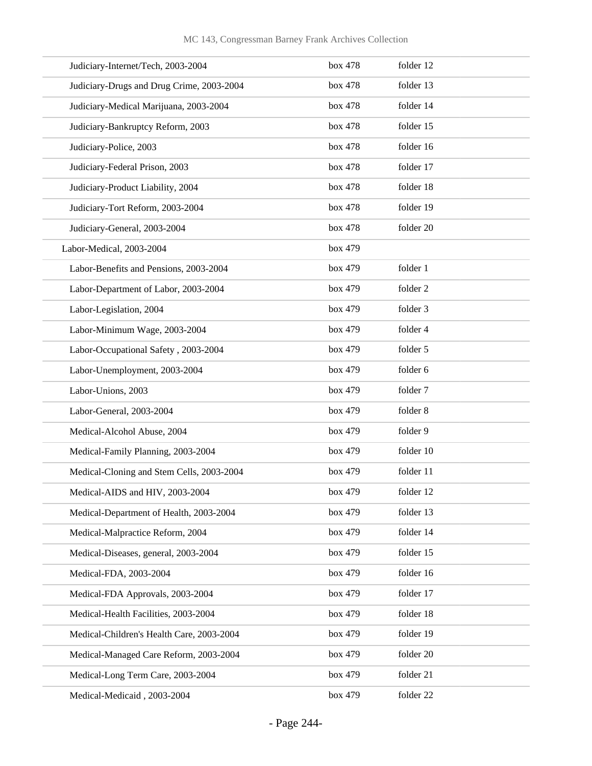| Judiciary-Internet/Tech, 2003-2004        | box 478 | folder 12 |
|-------------------------------------------|---------|-----------|
| Judiciary-Drugs and Drug Crime, 2003-2004 | box 478 | folder 13 |
| Judiciary-Medical Marijuana, 2003-2004    | box 478 | folder 14 |
| Judiciary-Bankruptcy Reform, 2003         | box 478 | folder 15 |
| Judiciary-Police, 2003                    | box 478 | folder 16 |
| Judiciary-Federal Prison, 2003            | box 478 | folder 17 |
| Judiciary-Product Liability, 2004         | box 478 | folder 18 |
| Judiciary-Tort Reform, 2003-2004          | box 478 | folder 19 |
| Judiciary-General, 2003-2004              | box 478 | folder 20 |
| Labor-Medical, 2003-2004                  | box 479 |           |
| Labor-Benefits and Pensions, 2003-2004    | box 479 | folder 1  |
| Labor-Department of Labor, 2003-2004      | box 479 | folder 2  |
| Labor-Legislation, 2004                   | box 479 | folder 3  |
| Labor-Minimum Wage, 2003-2004             | box 479 | folder 4  |
| Labor-Occupational Safety, 2003-2004      | box 479 | folder 5  |
| Labor-Unemployment, 2003-2004             | box 479 | folder 6  |
| Labor-Unions, 2003                        | box 479 | folder 7  |
| Labor-General, 2003-2004                  | box 479 | folder 8  |
| Medical-Alcohol Abuse, 2004               | box 479 | folder 9  |
| Medical-Family Planning, 2003-2004        | box 479 | folder 10 |
| Medical-Cloning and Stem Cells, 2003-2004 | box 479 | folder 11 |
| Medical-AIDS and HIV, 2003-2004           | box 479 | folder 12 |
| Medical-Department of Health, 2003-2004   | box 479 | folder 13 |
| Medical-Malpractice Reform, 2004          | box 479 | folder 14 |
| Medical-Diseases, general, 2003-2004      | box 479 | folder 15 |
| Medical-FDA, 2003-2004                    | box 479 | folder 16 |
| Medical-FDA Approvals, 2003-2004          | box 479 | folder 17 |
| Medical-Health Facilities, 2003-2004      | box 479 | folder 18 |
| Medical-Children's Health Care, 2003-2004 | box 479 | folder 19 |
| Medical-Managed Care Reform, 2003-2004    | box 479 | folder 20 |
| Medical-Long Term Care, 2003-2004         | box 479 | folder 21 |
| Medical-Medicaid, 2003-2004               | box 479 | folder 22 |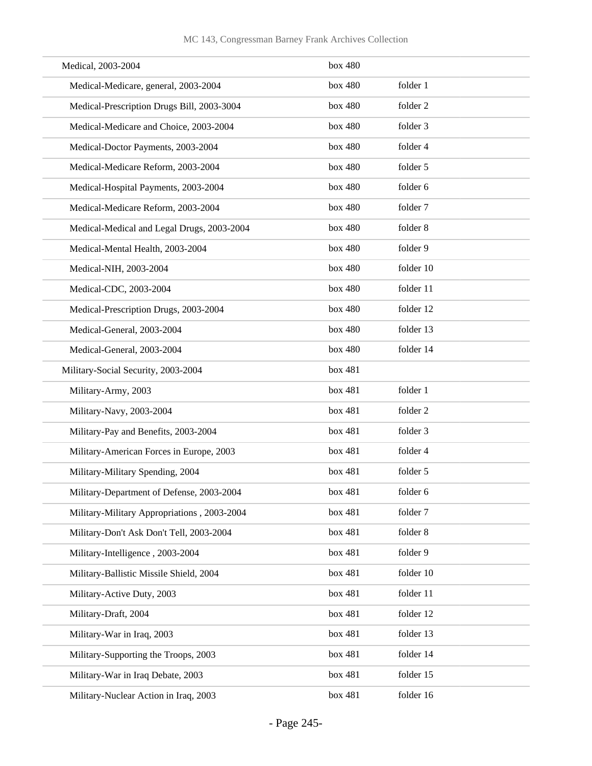| Medical, 2003-2004                          | box 480 |                     |
|---------------------------------------------|---------|---------------------|
| Medical-Medicare, general, 2003-2004        | box 480 | folder 1            |
| Medical-Prescription Drugs Bill, 2003-3004  | box 480 | folder 2            |
| Medical-Medicare and Choice, 2003-2004      | box 480 | folder 3            |
| Medical-Doctor Payments, 2003-2004          | box 480 | folder 4            |
| Medical-Medicare Reform, 2003-2004          | box 480 | folder 5            |
| Medical-Hospital Payments, 2003-2004        | box 480 | folder 6            |
| Medical-Medicare Reform, 2003-2004          | box 480 | folder 7            |
| Medical-Medical and Legal Drugs, 2003-2004  | box 480 | folder 8            |
| Medical-Mental Health, 2003-2004            | box 480 | folder 9            |
| Medical-NIH, 2003-2004                      | box 480 | folder 10           |
| Medical-CDC, 2003-2004                      | box 480 | folder 11           |
| Medical-Prescription Drugs, 2003-2004       | box 480 | folder 12           |
| Medical-General, 2003-2004                  | box 480 | folder 13           |
| Medical-General, 2003-2004                  | box 480 | folder 14           |
| Military-Social Security, 2003-2004         | box 481 |                     |
| Military-Army, 2003                         | box 481 | folder 1            |
| Military-Navy, 2003-2004                    | box 481 | folder <sub>2</sub> |
| Military-Pay and Benefits, 2003-2004        | box 481 | folder 3            |
| Military-American Forces in Europe, 2003    | box 481 | folder 4            |
| Military-Military Spending, 2004            | box 481 | folder 5            |
| Military-Department of Defense, 2003-2004   | box 481 | folder 6            |
| Military-Military Appropriations, 2003-2004 | box 481 | folder 7            |
| Military-Don't Ask Don't Tell, 2003-2004    | box 481 | folder 8            |
| Military-Intelligence, 2003-2004            | box 481 | folder 9            |
| Military-Ballistic Missile Shield, 2004     | box 481 | folder 10           |
| Military-Active Duty, 2003                  | box 481 | folder 11           |
| Military-Draft, 2004                        | box 481 | folder 12           |
| Military-War in Iraq, 2003                  | box 481 | folder 13           |
| Military-Supporting the Troops, 2003        | box 481 | folder 14           |
| Military-War in Iraq Debate, 2003           | box 481 | folder 15           |
| Military-Nuclear Action in Iraq, 2003       | box 481 | folder 16           |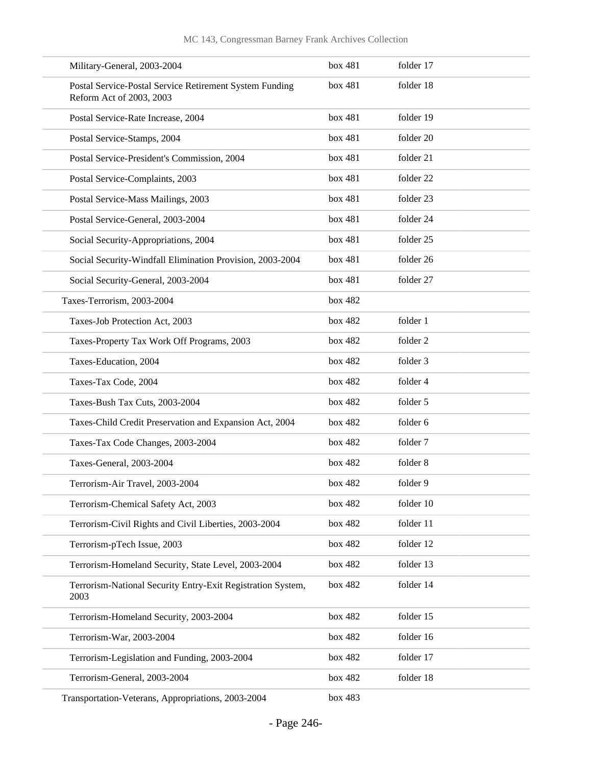| Military-General, 2003-2004                                                         | box 481 | folder 17 |
|-------------------------------------------------------------------------------------|---------|-----------|
| Postal Service-Postal Service Retirement System Funding<br>Reform Act of 2003, 2003 | box 481 | folder 18 |
| Postal Service-Rate Increase, 2004                                                  | box 481 | folder 19 |
| Postal Service-Stamps, 2004                                                         | box 481 | folder 20 |
| Postal Service-President's Commission, 2004                                         | box 481 | folder 21 |
| Postal Service-Complaints, 2003                                                     | box 481 | folder 22 |
| Postal Service-Mass Mailings, 2003                                                  | box 481 | folder 23 |
| Postal Service-General, 2003-2004                                                   | box 481 | folder 24 |
| Social Security-Appropriations, 2004                                                | box 481 | folder 25 |
| Social Security-Windfall Elimination Provision, 2003-2004                           | box 481 | folder 26 |
| Social Security-General, 2003-2004                                                  | box 481 | folder 27 |
| Taxes-Terrorism, 2003-2004                                                          | box 482 |           |
| Taxes-Job Protection Act, 2003                                                      | box 482 | folder 1  |
| Taxes-Property Tax Work Off Programs, 2003                                          | box 482 | folder 2  |
| Taxes-Education, 2004                                                               | box 482 | folder 3  |
| Taxes-Tax Code, 2004                                                                | box 482 | folder 4  |
| Taxes-Bush Tax Cuts, 2003-2004                                                      | box 482 | folder 5  |
| Taxes-Child Credit Preservation and Expansion Act, 2004                             | box 482 | folder 6  |
| Taxes-Tax Code Changes, 2003-2004                                                   | box 482 | folder 7  |
| Taxes-General, 2003-2004                                                            | box 482 | folder 8  |
| Terrorism-Air Travel, 2003-2004                                                     | box 482 | folder 9  |
| Terrorism-Chemical Safety Act, 2003                                                 | box 482 | folder 10 |
| Terrorism-Civil Rights and Civil Liberties, 2003-2004                               | box 482 | folder 11 |
| Terrorism-pTech Issue, 2003                                                         | box 482 | folder 12 |
| Terrorism-Homeland Security, State Level, 2003-2004                                 | box 482 | folder 13 |
| Terrorism-National Security Entry-Exit Registration System,<br>2003                 | box 482 | folder 14 |
| Terrorism-Homeland Security, 2003-2004                                              | box 482 | folder 15 |
| Terrorism-War, 2003-2004                                                            | box 482 | folder 16 |
| Terrorism-Legislation and Funding, 2003-2004                                        | box 482 | folder 17 |
| Terrorism-General, 2003-2004                                                        | box 482 | folder 18 |
| Transportation-Veterans, Appropriations, 2003-2004                                  | box 483 |           |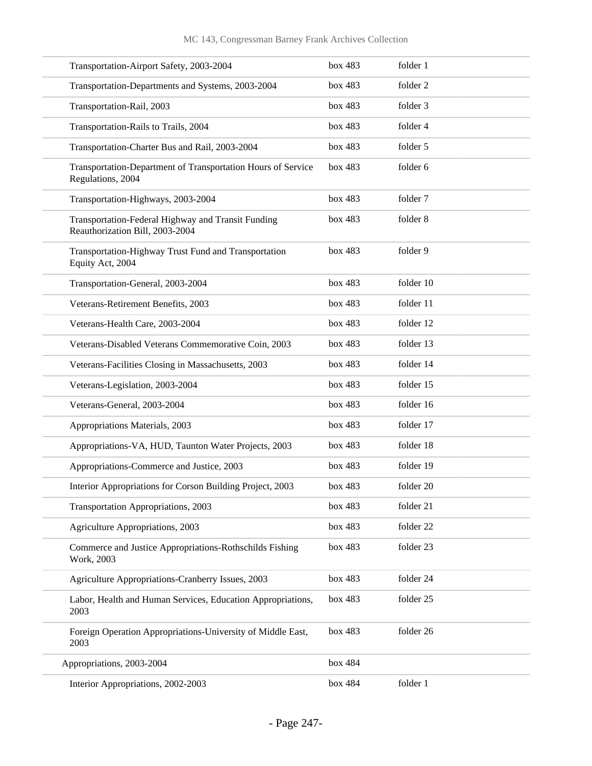| Transportation-Airport Safety, 2003-2004                                              | box 483 | folder 1  |
|---------------------------------------------------------------------------------------|---------|-----------|
| Transportation-Departments and Systems, 2003-2004                                     | box 483 | folder 2  |
| Transportation-Rail, 2003                                                             | box 483 | folder 3  |
| Transportation-Rails to Trails, 2004                                                  | box 483 | folder 4  |
| Transportation-Charter Bus and Rail, 2003-2004                                        | box 483 | folder 5  |
| Transportation-Department of Transportation Hours of Service<br>Regulations, 2004     | box 483 | folder 6  |
| Transportation-Highways, 2003-2004                                                    | box 483 | folder 7  |
| Transportation-Federal Highway and Transit Funding<br>Reauthorization Bill, 2003-2004 | box 483 | folder 8  |
| Transportation-Highway Trust Fund and Transportation<br>Equity Act, 2004              | box 483 | folder 9  |
| Transportation-General, 2003-2004                                                     | box 483 | folder 10 |
| Veterans-Retirement Benefits, 2003                                                    | box 483 | folder 11 |
| Veterans-Health Care, 2003-2004                                                       | box 483 | folder 12 |
| Veterans-Disabled Veterans Commemorative Coin, 2003                                   | box 483 | folder 13 |
| Veterans-Facilities Closing in Massachusetts, 2003                                    | box 483 | folder 14 |
| Veterans-Legislation, 2003-2004                                                       | box 483 | folder 15 |
| Veterans-General, 2003-2004                                                           | box 483 | folder 16 |
| Appropriations Materials, 2003                                                        | box 483 | folder 17 |
| Appropriations-VA, HUD, Taunton Water Projects, 2003                                  | box 483 | folder 18 |
| Appropriations-Commerce and Justice, 2003                                             | box 483 | folder 19 |
| Interior Appropriations for Corson Building Project, 2003                             | box 483 | folder 20 |
| Transportation Appropriations, 2003                                                   | box 483 | folder 21 |
| Agriculture Appropriations, 2003                                                      | box 483 | folder 22 |
| Commerce and Justice Appropriations-Rothschilds Fishing<br>Work, 2003                 | box 483 | folder 23 |
| Agriculture Appropriations-Cranberry Issues, 2003                                     | box 483 | folder 24 |
| Labor, Health and Human Services, Education Appropriations,<br>2003                   | box 483 | folder 25 |
| Foreign Operation Appropriations-University of Middle East,<br>2003                   | box 483 | folder 26 |
| Appropriations, 2003-2004                                                             | box 484 |           |
| Interior Appropriations, 2002-2003                                                    | box 484 | folder 1  |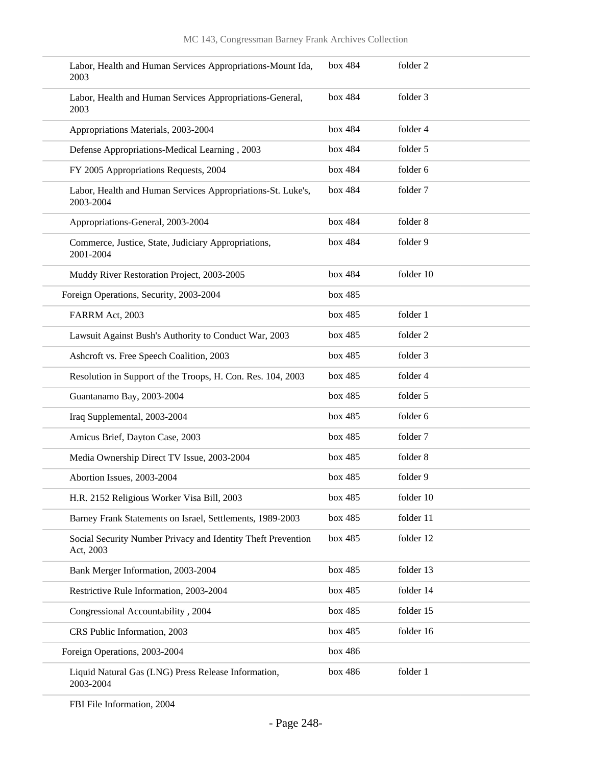| Labor, Health and Human Services Appropriations-Mount Ida,<br>2003        | box 484 | folder 2  |
|---------------------------------------------------------------------------|---------|-----------|
| Labor, Health and Human Services Appropriations-General,<br>2003          | box 484 | folder 3  |
| Appropriations Materials, 2003-2004                                       | box 484 | folder 4  |
| Defense Appropriations-Medical Learning, 2003                             | box 484 | folder 5  |
| FY 2005 Appropriations Requests, 2004                                     | box 484 | folder 6  |
| Labor, Health and Human Services Appropriations-St. Luke's,<br>2003-2004  | box 484 | folder 7  |
| Appropriations-General, 2003-2004                                         | box 484 | folder 8  |
| Commerce, Justice, State, Judiciary Appropriations,<br>2001-2004          | box 484 | folder 9  |
| Muddy River Restoration Project, 2003-2005                                | box 484 | folder 10 |
| Foreign Operations, Security, 2003-2004                                   | box 485 |           |
| FARRM Act, 2003                                                           | box 485 | folder 1  |
| Lawsuit Against Bush's Authority to Conduct War, 2003                     | box 485 | folder 2  |
| Ashcroft vs. Free Speech Coalition, 2003                                  | box 485 | folder 3  |
| Resolution in Support of the Troops, H. Con. Res. 104, 2003               | box 485 | folder 4  |
| Guantanamo Bay, 2003-2004                                                 | box 485 | folder 5  |
| Iraq Supplemental, 2003-2004                                              | box 485 | folder 6  |
| Amicus Brief, Dayton Case, 2003                                           | box 485 | folder 7  |
| Media Ownership Direct TV Issue, 2003-2004                                | box 485 | folder 8  |
| Abortion Issues, 2003-2004                                                | box 485 | folder 9  |
| H.R. 2152 Religious Worker Visa Bill, 2003                                | box 485 | folder 10 |
| Barney Frank Statements on Israel, Settlements, 1989-2003                 | box 485 | folder 11 |
| Social Security Number Privacy and Identity Theft Prevention<br>Act, 2003 | box 485 | folder 12 |
| Bank Merger Information, 2003-2004                                        | box 485 | folder 13 |
| Restrictive Rule Information, 2003-2004                                   | box 485 | folder 14 |
| Congressional Accountability, 2004                                        | box 485 | folder 15 |
| CRS Public Information, 2003                                              | box 485 | folder 16 |
| Foreign Operations, 2003-2004                                             | box 486 |           |
| Liquid Natural Gas (LNG) Press Release Information,<br>2003-2004          | box 486 | folder 1  |

FBI File Information, 2004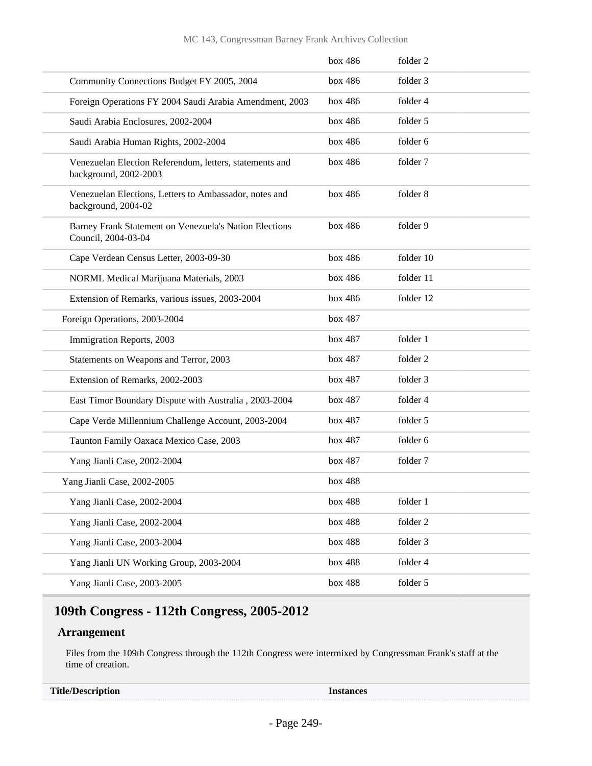|                                                                                  | box~486 | folder 2  |
|----------------------------------------------------------------------------------|---------|-----------|
| Community Connections Budget FY 2005, 2004                                       | box 486 | folder 3  |
| Foreign Operations FY 2004 Saudi Arabia Amendment, 2003                          | box 486 | folder 4  |
| Saudi Arabia Enclosures, 2002-2004                                               | box 486 | folder 5  |
| Saudi Arabia Human Rights, 2002-2004                                             | box 486 | folder 6  |
| Venezuelan Election Referendum, letters, statements and<br>background, 2002-2003 | box 486 | folder 7  |
| Venezuelan Elections, Letters to Ambassador, notes and<br>background, 2004-02    | box 486 | folder 8  |
| Barney Frank Statement on Venezuela's Nation Elections<br>Council, 2004-03-04    | box 486 | folder 9  |
| Cape Verdean Census Letter, 2003-09-30                                           | box 486 | folder 10 |
| NORML Medical Marijuana Materials, 2003                                          | box 486 | folder 11 |
| Extension of Remarks, various issues, 2003-2004                                  | box 486 | folder 12 |
| Foreign Operations, 2003-2004                                                    | box 487 |           |
| Immigration Reports, 2003                                                        | box 487 | folder 1  |
| Statements on Weapons and Terror, 2003                                           | box 487 | folder 2  |
| Extension of Remarks, 2002-2003                                                  | box 487 | folder 3  |
| East Timor Boundary Dispute with Australia, 2003-2004                            | box 487 | folder 4  |
| Cape Verde Millennium Challenge Account, 2003-2004                               | box 487 | folder 5  |
| Taunton Family Oaxaca Mexico Case, 2003                                          | box 487 | folder 6  |
| Yang Jianli Case, 2002-2004                                                      | box 487 | folder 7  |
| Yang Jianli Case, 2002-2005                                                      | box 488 |           |
| Yang Jianli Case, 2002-2004                                                      | box 488 | folder 1  |
| Yang Jianli Case, 2002-2004                                                      | box 488 | folder 2  |
| Yang Jianli Case, 2003-2004                                                      | box 488 | folder 3  |
| Yang Jianli UN Working Group, 2003-2004                                          | box 488 | folder 4  |
| Yang Jianli Case, 2003-2005                                                      | box 488 | folder 5  |

## **109th Congress - 112th Congress, 2005-2012**

## **Arrangement**

Files from the 109th Congress through the 112th Congress were intermixed by Congressman Frank's staff at the time of creation.

| <b>Title/Description</b> |  |
|--------------------------|--|
|                          |  |

**Title/Description Instances**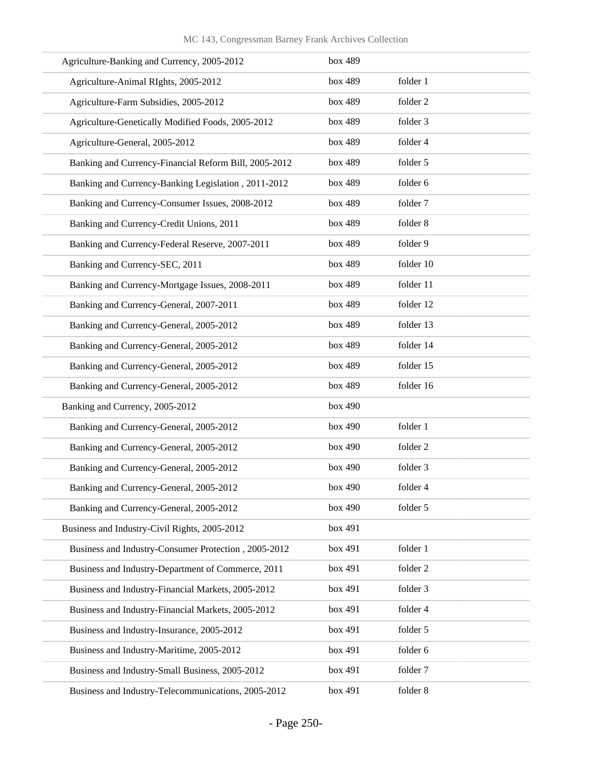| Agriculture-Banking and Currency, 2005-2012           | box 489 |           |
|-------------------------------------------------------|---------|-----------|
| Agriculture-Animal RIghts, 2005-2012                  | box 489 | folder 1  |
| Agriculture-Farm Subsidies, 2005-2012                 | box 489 | folder 2  |
| Agriculture-Genetically Modified Foods, 2005-2012     | box 489 | folder 3  |
| Agriculture-General, 2005-2012                        | box 489 | folder 4  |
| Banking and Currency-Financial Reform Bill, 2005-2012 | box 489 | folder 5  |
| Banking and Currency-Banking Legislation, 2011-2012   | box 489 | folder 6  |
| Banking and Currency-Consumer Issues, 2008-2012       | box 489 | folder 7  |
| Banking and Currency-Credit Unions, 2011              | box 489 | folder 8  |
| Banking and Currency-Federal Reserve, 2007-2011       | box 489 | folder 9  |
| Banking and Currency-SEC, 2011                        | box 489 | folder 10 |
| Banking and Currency-Mortgage Issues, 2008-2011       | box 489 | folder 11 |
| Banking and Currency-General, 2007-2011               | box 489 | folder 12 |
| Banking and Currency-General, 2005-2012               | box 489 | folder 13 |
| Banking and Currency-General, 2005-2012               | box 489 | folder 14 |
| Banking and Currency-General, 2005-2012               | box 489 | folder 15 |
| Banking and Currency-General, 2005-2012               | box 489 | folder 16 |
| Banking and Currency, 2005-2012                       | box 490 |           |
| Banking and Currency-General, 2005-2012               | box 490 | folder 1  |
| Banking and Currency-General, 2005-2012               | box 490 | folder 2  |
| Banking and Currency-General, 2005-2012               | box 490 | folder 3  |
| Banking and Currency-General, 2005-2012               | box 490 | folder 4  |
| Banking and Currency-General, 2005-2012               | box 490 | folder 5  |
| Business and Industry-Civil Rights, 2005-2012         | box 491 |           |
| Business and Industry-Consumer Protection, 2005-2012  | box 491 | folder 1  |
| Business and Industry-Department of Commerce, 2011    | box 491 | folder 2  |
| Business and Industry-Financial Markets, 2005-2012    | box 491 | folder 3  |
| Business and Industry-Financial Markets, 2005-2012    | box 491 | folder 4  |
| Business and Industry-Insurance, 2005-2012            | box 491 | folder 5  |
| Business and Industry-Maritime, 2005-2012             | box 491 | folder 6  |
| Business and Industry-Small Business, 2005-2012       | box 491 | folder 7  |
| Business and Industry-Telecommunications, 2005-2012   | box 491 | folder 8  |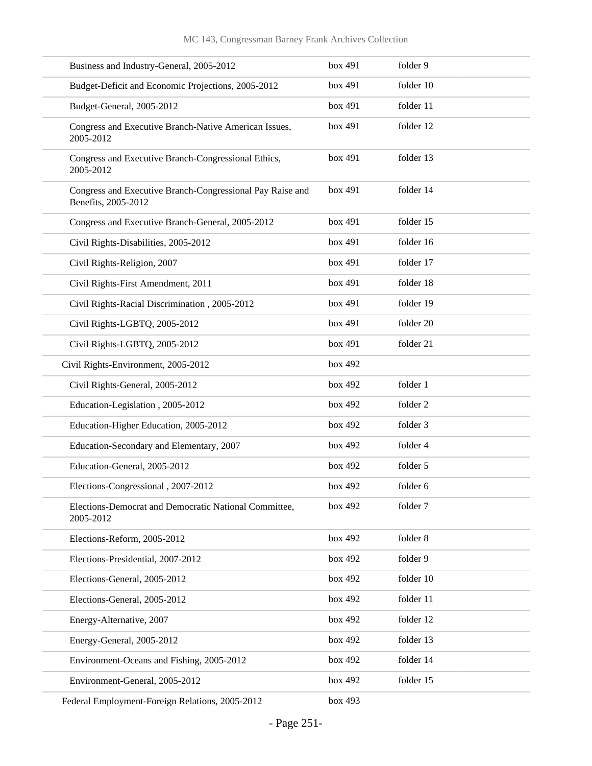| Business and Industry-General, 2005-2012                                         | box 491 | folder 9  |
|----------------------------------------------------------------------------------|---------|-----------|
| Budget-Deficit and Economic Projections, 2005-2012                               | box 491 | folder 10 |
| Budget-General, 2005-2012                                                        | box 491 | folder 11 |
| Congress and Executive Branch-Native American Issues,<br>2005-2012               | box 491 | folder 12 |
| Congress and Executive Branch-Congressional Ethics,<br>2005-2012                 | box 491 | folder 13 |
| Congress and Executive Branch-Congressional Pay Raise and<br>Benefits, 2005-2012 | box 491 | folder 14 |
| Congress and Executive Branch-General, 2005-2012                                 | box 491 | folder 15 |
| Civil Rights-Disabilities, 2005-2012                                             | box 491 | folder 16 |
| Civil Rights-Religion, 2007                                                      | box 491 | folder 17 |
| Civil Rights-First Amendment, 2011                                               | box 491 | folder 18 |
| Civil Rights-Racial Discrimination, 2005-2012                                    | box 491 | folder 19 |
| Civil Rights-LGBTQ, 2005-2012                                                    | box 491 | folder 20 |
| Civil Rights-LGBTQ, 2005-2012                                                    | box 491 | folder 21 |
| Civil Rights-Environment, 2005-2012                                              | box 492 |           |
| Civil Rights-General, 2005-2012                                                  | box 492 | folder 1  |
| Education-Legislation, 2005-2012                                                 | box 492 | folder 2  |
| Education-Higher Education, 2005-2012                                            | box 492 | folder 3  |
| Education-Secondary and Elementary, 2007                                         | box 492 | folder 4  |
| Education-General, 2005-2012                                                     | box 492 | folder 5  |
| Elections-Congressional, 2007-2012                                               | box 492 | folder 6  |
| Elections-Democrat and Democratic National Committee,<br>2005-2012               | box 492 | folder 7  |
| Elections-Reform, 2005-2012                                                      | box 492 | folder 8  |
| Elections-Presidential, 2007-2012                                                | box 492 | folder 9  |
| Elections-General, 2005-2012                                                     | box 492 | folder 10 |
| Elections-General, 2005-2012                                                     | box 492 | folder 11 |
| Energy-Alternative, 2007                                                         | box 492 | folder 12 |
| Energy-General, 2005-2012                                                        | box 492 | folder 13 |
| Environment-Oceans and Fishing, 2005-2012                                        | box 492 | folder 14 |
| Environment-General, 2005-2012                                                   | box 492 | folder 15 |
| Federal Employment-Foreign Relations, 2005-2012                                  | box 493 |           |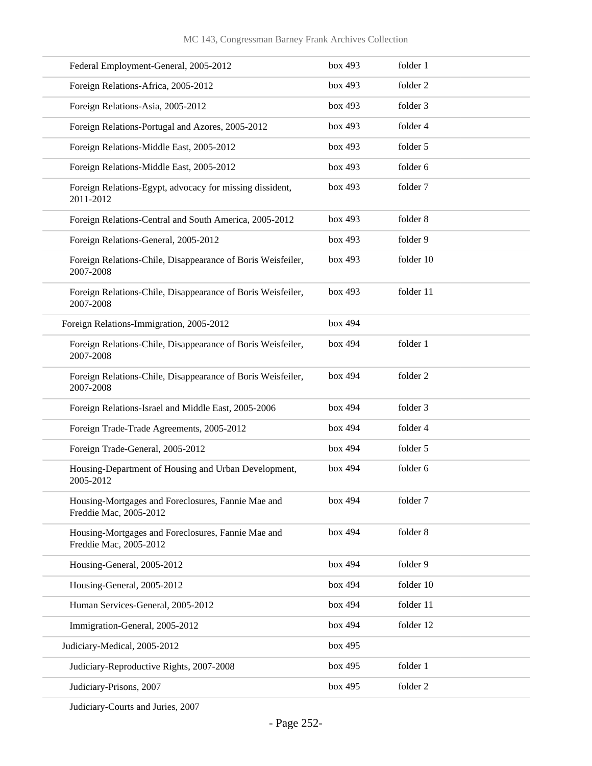| Federal Employment-General, 2005-2012                                        | box 493 | folder 1  |
|------------------------------------------------------------------------------|---------|-----------|
| Foreign Relations-Africa, 2005-2012                                          | box 493 | folder 2  |
| Foreign Relations-Asia, 2005-2012                                            | box 493 | folder 3  |
| Foreign Relations-Portugal and Azores, 2005-2012                             | box 493 | folder 4  |
| Foreign Relations-Middle East, 2005-2012                                     | box 493 | folder 5  |
| Foreign Relations-Middle East, 2005-2012                                     | box 493 | folder 6  |
| Foreign Relations-Egypt, advocacy for missing dissident,<br>2011-2012        | box 493 | folder 7  |
| Foreign Relations-Central and South America, 2005-2012                       | box 493 | folder 8  |
| Foreign Relations-General, 2005-2012                                         | box 493 | folder 9  |
| Foreign Relations-Chile, Disappearance of Boris Weisfeiler,<br>2007-2008     | box 493 | folder 10 |
| Foreign Relations-Chile, Disappearance of Boris Weisfeiler,<br>2007-2008     | box 493 | folder 11 |
| Foreign Relations-Immigration, 2005-2012                                     | box 494 |           |
| Foreign Relations-Chile, Disappearance of Boris Weisfeiler,<br>2007-2008     | box 494 | folder 1  |
| Foreign Relations-Chile, Disappearance of Boris Weisfeiler,<br>2007-2008     | box 494 | folder 2  |
| Foreign Relations-Israel and Middle East, 2005-2006                          | box 494 | folder 3  |
| Foreign Trade-Trade Agreements, 2005-2012                                    | box 494 | folder 4  |
| Foreign Trade-General, 2005-2012                                             | box 494 | folder 5  |
| Housing-Department of Housing and Urban Development,<br>2005-2012            | box 494 | folder 6  |
| Housing-Mortgages and Foreclosures, Fannie Mae and<br>Freddie Mac, 2005-2012 | box 494 | folder 7  |
| Housing-Mortgages and Foreclosures, Fannie Mae and<br>Freddie Mac, 2005-2012 | box 494 | folder 8  |
| Housing-General, 2005-2012                                                   | box 494 | folder 9  |
| Housing-General, 2005-2012                                                   | box 494 | folder 10 |
| Human Services-General, 2005-2012                                            | box 494 | folder 11 |
| Immigration-General, 2005-2012                                               | box 494 | folder 12 |
| Judiciary-Medical, 2005-2012                                                 | box 495 |           |
| Judiciary-Reproductive Rights, 2007-2008                                     | box 495 | folder 1  |
| Judiciary-Prisons, 2007                                                      | box 495 | folder 2  |

Judiciary-Courts and Juries, 2007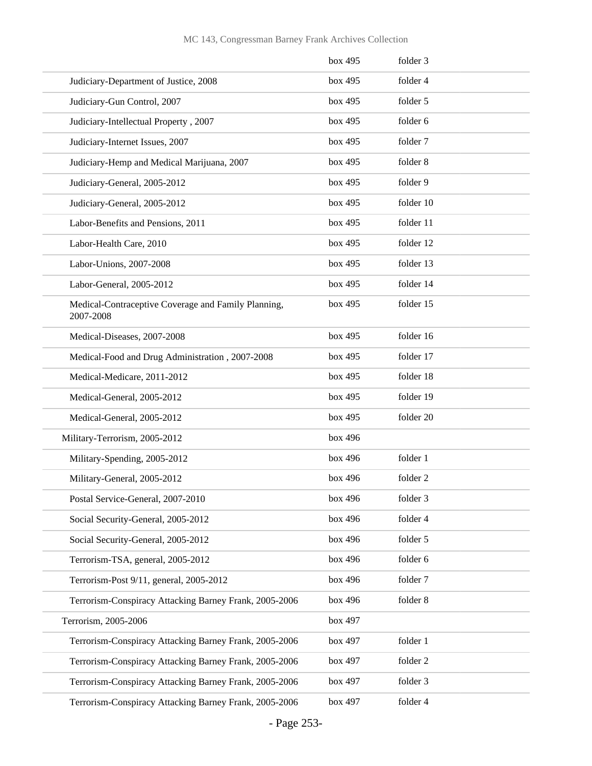|                                                                  | box 495 | folder 3  |
|------------------------------------------------------------------|---------|-----------|
| Judiciary-Department of Justice, 2008                            | box 495 | folder 4  |
| Judiciary-Gun Control, 2007                                      | box 495 | folder 5  |
| Judiciary-Intellectual Property, 2007                            | box 495 | folder 6  |
| Judiciary-Internet Issues, 2007                                  | box 495 | folder 7  |
| Judiciary-Hemp and Medical Marijuana, 2007                       | box 495 | folder 8  |
| Judiciary-General, 2005-2012                                     | box 495 | folder 9  |
| Judiciary-General, 2005-2012                                     | box 495 | folder 10 |
| Labor-Benefits and Pensions, 2011                                | box 495 | folder 11 |
| Labor-Health Care, 2010                                          | box 495 | folder 12 |
| Labor-Unions, 2007-2008                                          | box 495 | folder 13 |
| Labor-General, 2005-2012                                         | box 495 | folder 14 |
| Medical-Contraceptive Coverage and Family Planning,<br>2007-2008 | box 495 | folder 15 |
| Medical-Diseases, 2007-2008                                      | box 495 | folder 16 |
| Medical-Food and Drug Administration, 2007-2008                  | box 495 | folder 17 |
| Medical-Medicare, 2011-2012                                      | box 495 | folder 18 |
| Medical-General, 2005-2012                                       | box 495 | folder 19 |
| Medical-General, 2005-2012                                       | box 495 | folder 20 |
| Military-Terrorism, 2005-2012                                    | box 496 |           |
| Military-Spending, 2005-2012                                     | box 496 | folder 1  |
| Military-General, 2005-2012                                      | box 496 | folder 2  |
| Postal Service-General, 2007-2010                                | box 496 | folder 3  |
| Social Security-General, 2005-2012                               | box 496 | folder 4  |
| Social Security-General, 2005-2012                               | box 496 | folder 5  |
| Terrorism-TSA, general, 2005-2012                                | box 496 | folder 6  |
| Terrorism-Post 9/11, general, 2005-2012                          | box 496 | folder 7  |
| Terrorism-Conspiracy Attacking Barney Frank, 2005-2006           | box 496 | folder 8  |
| Terrorism, 2005-2006                                             | box 497 |           |
| Terrorism-Conspiracy Attacking Barney Frank, 2005-2006           | box 497 | folder 1  |
| Terrorism-Conspiracy Attacking Barney Frank, 2005-2006           | box 497 | folder 2  |
| Terrorism-Conspiracy Attacking Barney Frank, 2005-2006           | box 497 | folder 3  |
| Terrorism-Conspiracy Attacking Barney Frank, 2005-2006           | box 497 | folder 4  |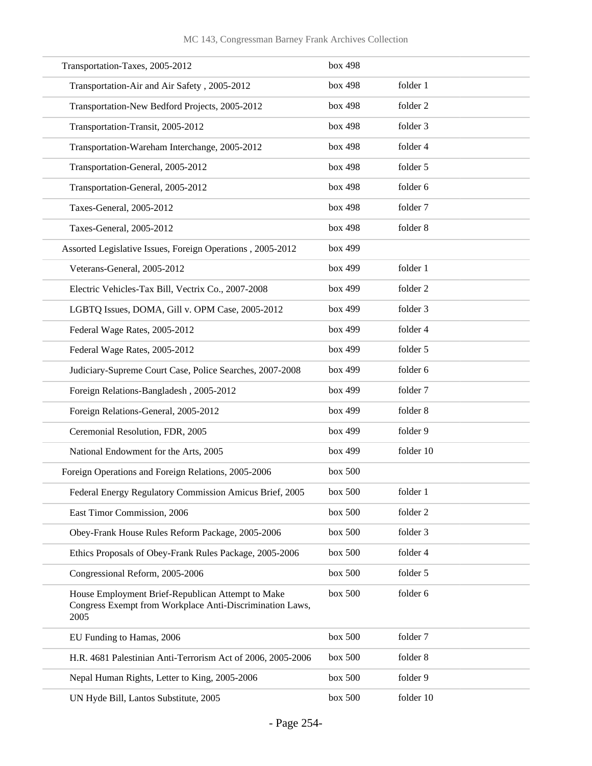| Transportation-Taxes, 2005-2012                                                                                       | box 498 |           |
|-----------------------------------------------------------------------------------------------------------------------|---------|-----------|
| Transportation-Air and Air Safety, 2005-2012                                                                          | box 498 | folder 1  |
| Transportation-New Bedford Projects, 2005-2012                                                                        | box 498 | folder 2  |
| Transportation-Transit, 2005-2012                                                                                     | box 498 | folder 3  |
| Transportation-Wareham Interchange, 2005-2012                                                                         | box 498 | folder 4  |
| Transportation-General, 2005-2012                                                                                     | box 498 | folder 5  |
| Transportation-General, 2005-2012                                                                                     | box 498 | folder 6  |
| Taxes-General, 2005-2012                                                                                              | box 498 | folder 7  |
| Taxes-General, 2005-2012                                                                                              | box 498 | folder 8  |
| Assorted Legislative Issues, Foreign Operations, 2005-2012                                                            | box 499 |           |
| Veterans-General, 2005-2012                                                                                           | box 499 | folder 1  |
| Electric Vehicles-Tax Bill, Vectrix Co., 2007-2008                                                                    | box 499 | folder 2  |
| LGBTQ Issues, DOMA, Gill v. OPM Case, 2005-2012                                                                       | box 499 | folder 3  |
| Federal Wage Rates, 2005-2012                                                                                         | box 499 | folder 4  |
| Federal Wage Rates, 2005-2012                                                                                         | box 499 | folder 5  |
| Judiciary-Supreme Court Case, Police Searches, 2007-2008                                                              | box 499 | folder 6  |
| Foreign Relations-Bangladesh, 2005-2012                                                                               | box 499 | folder 7  |
| Foreign Relations-General, 2005-2012                                                                                  | box 499 | folder 8  |
| Ceremonial Resolution, FDR, 2005                                                                                      | box 499 | folder 9  |
| National Endowment for the Arts, 2005                                                                                 | box 499 | folder 10 |
| Foreign Operations and Foreign Relations, 2005-2006                                                                   | box 500 |           |
| Federal Energy Regulatory Commission Amicus Brief, 2005                                                               | box 500 | folder 1  |
| East Timor Commission, 2006                                                                                           | box 500 | folder 2  |
| Obey-Frank House Rules Reform Package, 2005-2006                                                                      | box 500 | folder 3  |
| Ethics Proposals of Obey-Frank Rules Package, 2005-2006                                                               | box 500 | folder 4  |
| Congressional Reform, 2005-2006                                                                                       | box 500 | folder 5  |
| House Employment Brief-Republican Attempt to Make<br>Congress Exempt from Workplace Anti-Discrimination Laws,<br>2005 | box 500 | folder 6  |
| EU Funding to Hamas, 2006                                                                                             | box 500 | folder 7  |
| H.R. 4681 Palestinian Anti-Terrorism Act of 2006, 2005-2006                                                           | box 500 | folder 8  |
| Nepal Human Rights, Letter to King, 2005-2006                                                                         | box 500 | folder 9  |
| UN Hyde Bill, Lantos Substitute, 2005                                                                                 | box 500 | folder 10 |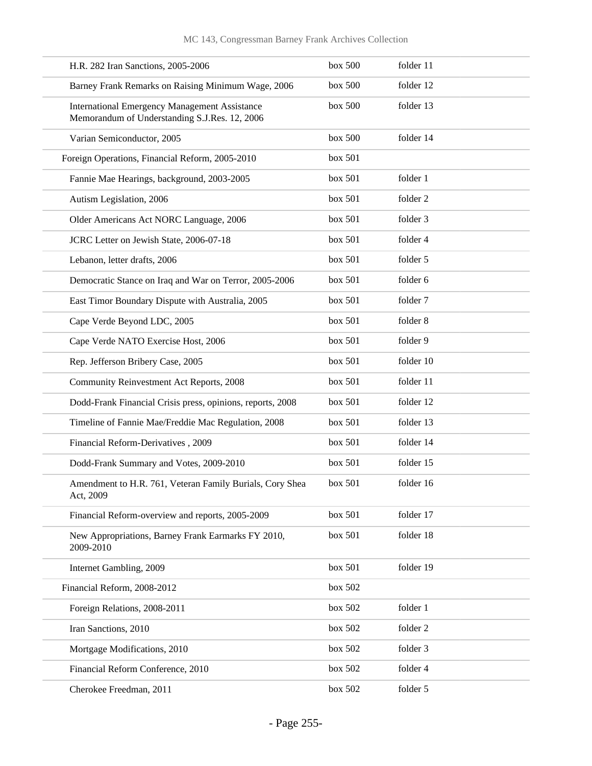| H.R. 282 Iran Sanctions, 2005-2006                                                                    | box 500 | folder 11 |
|-------------------------------------------------------------------------------------------------------|---------|-----------|
| Barney Frank Remarks on Raising Minimum Wage, 2006                                                    | box~500 | folder 12 |
| <b>International Emergency Management Assistance</b><br>Memorandum of Understanding S.J.Res. 12, 2006 | box 500 | folder 13 |
| Varian Semiconductor, 2005                                                                            | box 500 | folder 14 |
| Foreign Operations, Financial Reform, 2005-2010                                                       | box 501 |           |
| Fannie Mae Hearings, background, 2003-2005                                                            | box 501 | folder 1  |
| Autism Legislation, 2006                                                                              | box 501 | folder 2  |
| Older Americans Act NORC Language, 2006                                                               | box 501 | folder 3  |
| JCRC Letter on Jewish State, 2006-07-18                                                               | box 501 | folder 4  |
| Lebanon, letter drafts, 2006                                                                          | box 501 | folder 5  |
| Democratic Stance on Iraq and War on Terror, 2005-2006                                                | box 501 | folder 6  |
| East Timor Boundary Dispute with Australia, 2005                                                      | box 501 | folder 7  |
| Cape Verde Beyond LDC, 2005                                                                           | box 501 | folder 8  |
| Cape Verde NATO Exercise Host, 2006                                                                   | box 501 | folder 9  |
| Rep. Jefferson Bribery Case, 2005                                                                     | box 501 | folder 10 |
| Community Reinvestment Act Reports, 2008                                                              | box 501 | folder 11 |
| Dodd-Frank Financial Crisis press, opinions, reports, 2008                                            | box 501 | folder 12 |
| Timeline of Fannie Mae/Freddie Mac Regulation, 2008                                                   | box 501 | folder 13 |
| Financial Reform-Derivatives, 2009                                                                    | box 501 | folder 14 |
| Dodd-Frank Summary and Votes, 2009-2010                                                               | box 501 | folder 15 |
| Amendment to H.R. 761, Veteran Family Burials, Cory Shea<br>Act, 2009                                 | box 501 | folder 16 |
| Financial Reform-overview and reports, 2005-2009                                                      | box 501 | folder 17 |
| New Appropriations, Barney Frank Earmarks FY 2010,<br>2009-2010                                       | box 501 | folder 18 |
| Internet Gambling, 2009                                                                               | box 501 | folder 19 |
| Financial Reform, 2008-2012                                                                           | box 502 |           |
| Foreign Relations, 2008-2011                                                                          | box 502 | folder 1  |
| Iran Sanctions, 2010                                                                                  | box 502 | folder 2  |
| Mortgage Modifications, 2010                                                                          | box 502 | folder 3  |
| Financial Reform Conference, 2010                                                                     | box 502 | folder 4  |
| Cherokee Freedman, 2011                                                                               | box 502 | folder 5  |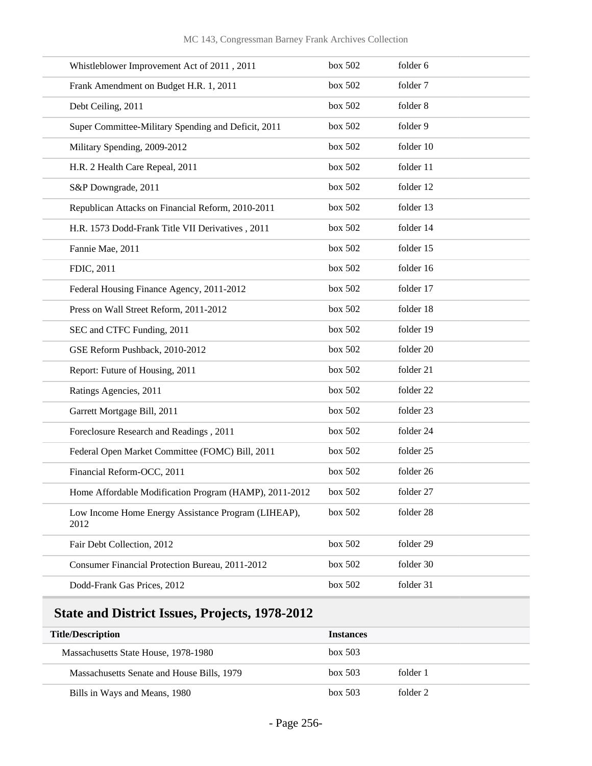| Whistleblower Improvement Act of 2011, 2011                 | box 502 | folder 6  |
|-------------------------------------------------------------|---------|-----------|
| Frank Amendment on Budget H.R. 1, 2011                      | box 502 | folder 7  |
| Debt Ceiling, 2011                                          | box 502 | folder 8  |
| Super Committee-Military Spending and Deficit, 2011         | box 502 | folder 9  |
| Military Spending, 2009-2012                                | box 502 | folder 10 |
| H.R. 2 Health Care Repeal, 2011                             | box 502 | folder 11 |
| S&P Downgrade, 2011                                         | box 502 | folder 12 |
| Republican Attacks on Financial Reform, 2010-2011           | box 502 | folder 13 |
| H.R. 1573 Dodd-Frank Title VII Derivatives, 2011            | box 502 | folder 14 |
| Fannie Mae, 2011                                            | box 502 | folder 15 |
| FDIC, 2011                                                  | box 502 | folder 16 |
| Federal Housing Finance Agency, 2011-2012                   | box 502 | folder 17 |
| Press on Wall Street Reform, 2011-2012                      | box 502 | folder 18 |
| SEC and CTFC Funding, 2011                                  | box 502 | folder 19 |
| GSE Reform Pushback, 2010-2012                              | box 502 | folder 20 |
| Report: Future of Housing, 2011                             | box 502 | folder 21 |
| Ratings Agencies, 2011                                      | box 502 | folder 22 |
| Garrett Mortgage Bill, 2011                                 | box 502 | folder 23 |
| Foreclosure Research and Readings, 2011                     | box 502 | folder 24 |
| Federal Open Market Committee (FOMC) Bill, 2011             | box 502 | folder 25 |
| Financial Reform-OCC, 2011                                  | box 502 | folder 26 |
| Home Affordable Modification Program (HAMP), 2011-2012      | box~502 | folder 27 |
| Low Income Home Energy Assistance Program (LIHEAP),<br>2012 | box 502 | folder 28 |
| Fair Debt Collection, 2012                                  | box 502 | folder 29 |
| Consumer Financial Protection Bureau, 2011-2012             | box 502 | folder 30 |
| Dodd-Frank Gas Prices, 2012                                 | box 502 | folder 31 |

## **State and District Issues, Projects, 1978-2012**

| <b>Title/Description</b>                   | <b>Instances</b>    |  |
|--------------------------------------------|---------------------|--|
| Massachusetts State House, 1978-1980       | box~503             |  |
| Massachusetts Senate and House Bills, 1979 | box~503<br>folder 1 |  |
| Bills in Ways and Means, 1980              | folder 2<br>box~503 |  |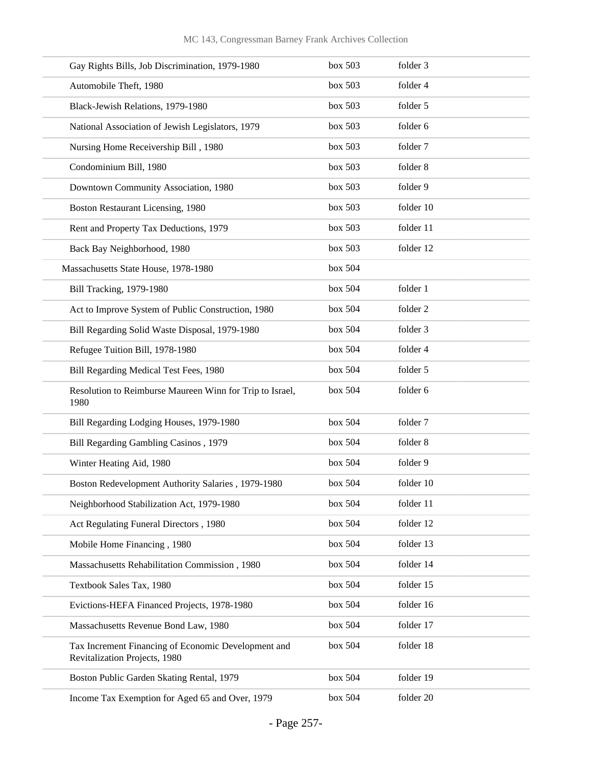| Gay Rights Bills, Job Discrimination, 1979-1980                                      | box 503 | folder 3  |
|--------------------------------------------------------------------------------------|---------|-----------|
| Automobile Theft, 1980                                                               | box 503 | folder 4  |
| Black-Jewish Relations, 1979-1980                                                    | box 503 | folder 5  |
| National Association of Jewish Legislators, 1979                                     | box 503 | folder 6  |
| Nursing Home Receivership Bill, 1980                                                 | box 503 | folder 7  |
| Condominium Bill, 1980                                                               | box 503 | folder 8  |
| Downtown Community Association, 1980                                                 | box 503 | folder 9  |
| Boston Restaurant Licensing, 1980                                                    | box 503 | folder 10 |
| Rent and Property Tax Deductions, 1979                                               | box 503 | folder 11 |
| Back Bay Neighborhood, 1980                                                          | box 503 | folder 12 |
| Massachusetts State House, 1978-1980                                                 | box 504 |           |
| Bill Tracking, 1979-1980                                                             | box 504 | folder 1  |
| Act to Improve System of Public Construction, 1980                                   | box 504 | folder 2  |
| Bill Regarding Solid Waste Disposal, 1979-1980                                       | box 504 | folder 3  |
| Refugee Tuition Bill, 1978-1980                                                      | box 504 | folder 4  |
| Bill Regarding Medical Test Fees, 1980                                               | box 504 | folder 5  |
| Resolution to Reimburse Maureen Winn for Trip to Israel,<br>1980                     | box 504 | folder 6  |
| Bill Regarding Lodging Houses, 1979-1980                                             | box 504 | folder 7  |
| Bill Regarding Gambling Casinos, 1979                                                | box 504 | folder 8  |
| Winter Heating Aid, 1980                                                             | box 504 | folder 9  |
| Boston Redevelopment Authority Salaries, 1979-1980                                   | box 504 | folder 10 |
| Neighborhood Stabilization Act, 1979-1980                                            | box 504 | folder 11 |
| Act Regulating Funeral Directors, 1980                                               | box 504 | folder 12 |
| Mobile Home Financing, 1980                                                          | box 504 | folder 13 |
| Massachusetts Rehabilitation Commission, 1980                                        | box 504 | folder 14 |
| Textbook Sales Tax, 1980                                                             | box 504 | folder 15 |
| Evictions-HEFA Financed Projects, 1978-1980                                          | box 504 | folder 16 |
| Massachusetts Revenue Bond Law, 1980                                                 | box 504 | folder 17 |
| Tax Increment Financing of Economic Development and<br>Revitalization Projects, 1980 | box 504 | folder 18 |
| Boston Public Garden Skating Rental, 1979                                            | box 504 | folder 19 |
| Income Tax Exemption for Aged 65 and Over, 1979                                      | box 504 | folder 20 |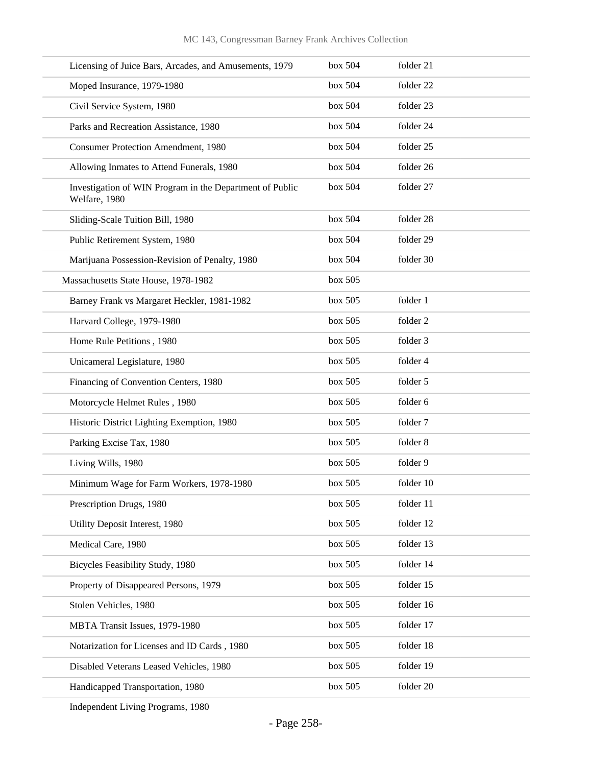| Licensing of Juice Bars, Arcades, and Amusements, 1979                    | box 504 | folder 21 |
|---------------------------------------------------------------------------|---------|-----------|
| Moped Insurance, 1979-1980                                                | box 504 | folder 22 |
| Civil Service System, 1980                                                | box 504 | folder 23 |
| Parks and Recreation Assistance, 1980                                     | box 504 | folder 24 |
| <b>Consumer Protection Amendment, 1980</b>                                | box 504 | folder 25 |
| Allowing Inmates to Attend Funerals, 1980                                 | box 504 | folder 26 |
| Investigation of WIN Program in the Department of Public<br>Welfare, 1980 | box 504 | folder 27 |
| Sliding-Scale Tuition Bill, 1980                                          | box 504 | folder 28 |
| Public Retirement System, 1980                                            | box 504 | folder 29 |
| Marijuana Possession-Revision of Penalty, 1980                            | box 504 | folder 30 |
| Massachusetts State House, 1978-1982                                      | box 505 |           |
| Barney Frank vs Margaret Heckler, 1981-1982                               | box 505 | folder 1  |
| Harvard College, 1979-1980                                                | box 505 | folder 2  |
| Home Rule Petitions, 1980                                                 | box 505 | folder 3  |
| Unicameral Legislature, 1980                                              | box 505 | folder 4  |
| Financing of Convention Centers, 1980                                     | box 505 | folder 5  |
| Motorcycle Helmet Rules, 1980                                             | box 505 | folder 6  |
| Historic District Lighting Exemption, 1980                                | box 505 | folder 7  |
| Parking Excise Tax, 1980                                                  | box 505 | folder 8  |
| Living Wills, 1980                                                        | box 505 | folder 9  |
| Minimum Wage for Farm Workers, 1978-1980                                  | box 505 | folder 10 |
| Prescription Drugs, 1980                                                  | box 505 | folder 11 |
| Utility Deposit Interest, 1980                                            | box 505 | folder 12 |
| Medical Care, 1980                                                        | box 505 | folder 13 |
| Bicycles Feasibility Study, 1980                                          | box 505 | folder 14 |
| Property of Disappeared Persons, 1979                                     | box 505 | folder 15 |
| Stolen Vehicles, 1980                                                     | box 505 | folder 16 |
| MBTA Transit Issues, 1979-1980                                            | box 505 | folder 17 |
| Notarization for Licenses and ID Cards, 1980                              | box 505 | folder 18 |
| Disabled Veterans Leased Vehicles, 1980                                   | box 505 | folder 19 |
| Handicapped Transportation, 1980                                          | box 505 | folder 20 |
|                                                                           |         |           |

Independent Living Programs, 1980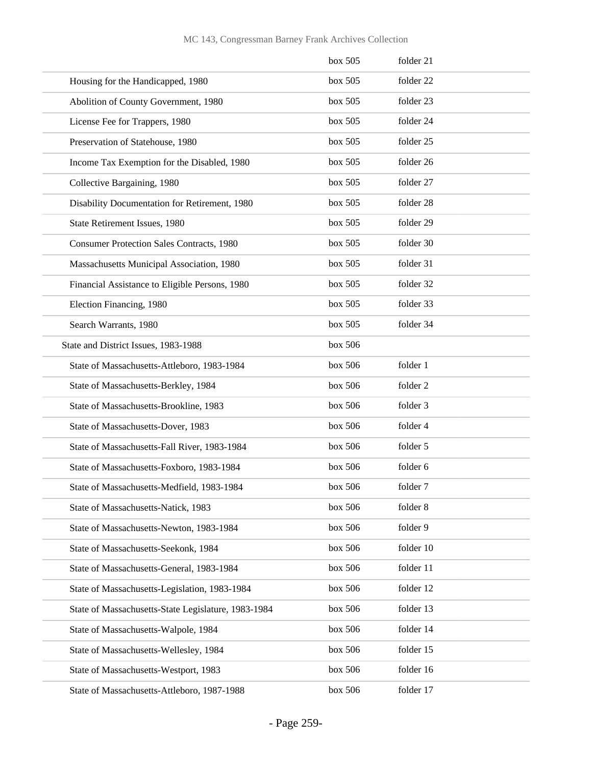|                                                     | box 505 | folder 21 |
|-----------------------------------------------------|---------|-----------|
| Housing for the Handicapped, 1980                   | box 505 | folder 22 |
| Abolition of County Government, 1980                | box 505 | folder 23 |
| License Fee for Trappers, 1980                      | box 505 | folder 24 |
| Preservation of Statehouse, 1980                    | box 505 | folder 25 |
| Income Tax Exemption for the Disabled, 1980         | box 505 | folder 26 |
| Collective Bargaining, 1980                         | box 505 | folder 27 |
| Disability Documentation for Retirement, 1980       | box 505 | folder 28 |
| State Retirement Issues, 1980                       | box 505 | folder 29 |
| <b>Consumer Protection Sales Contracts, 1980</b>    | box 505 | folder 30 |
| Massachusetts Municipal Association, 1980           | box 505 | folder 31 |
| Financial Assistance to Eligible Persons, 1980      | box 505 | folder 32 |
| Election Financing, 1980                            | box 505 | folder 33 |
| Search Warrants, 1980                               | box 505 | folder 34 |
| State and District Issues, 1983-1988                | box 506 |           |
| State of Massachusetts-Attleboro, 1983-1984         | box 506 | folder 1  |
| State of Massachusetts-Berkley, 1984                | box 506 | folder 2  |
| State of Massachusetts-Brookline, 1983              | box 506 | folder 3  |
| State of Massachusetts-Dover, 1983                  | box 506 | folder 4  |
| State of Massachusetts-Fall River, 1983-1984        | box 506 | folder 5  |
| State of Massachusetts-Foxboro, 1983-1984           | box 506 | folder 6  |
| State of Massachusetts-Medfield, 1983-1984          | box~506 | folder 7  |
| State of Massachusetts-Natick, 1983                 | box 506 | folder 8  |
| State of Massachusetts-Newton, 1983-1984            | box 506 | folder 9  |
| State of Massachusetts-Seekonk, 1984                | box 506 | folder 10 |
| State of Massachusetts-General, 1983-1984           | box 506 | folder 11 |
| State of Massachusetts-Legislation, 1983-1984       | box 506 | folder 12 |
| State of Massachusetts-State Legislature, 1983-1984 | box 506 | folder 13 |
| State of Massachusetts-Walpole, 1984                | box 506 | folder 14 |
| State of Massachusetts-Wellesley, 1984              | box 506 | folder 15 |
| State of Massachusetts-Westport, 1983               | box 506 | folder 16 |
| State of Massachusetts-Attleboro, 1987-1988         | box 506 | folder 17 |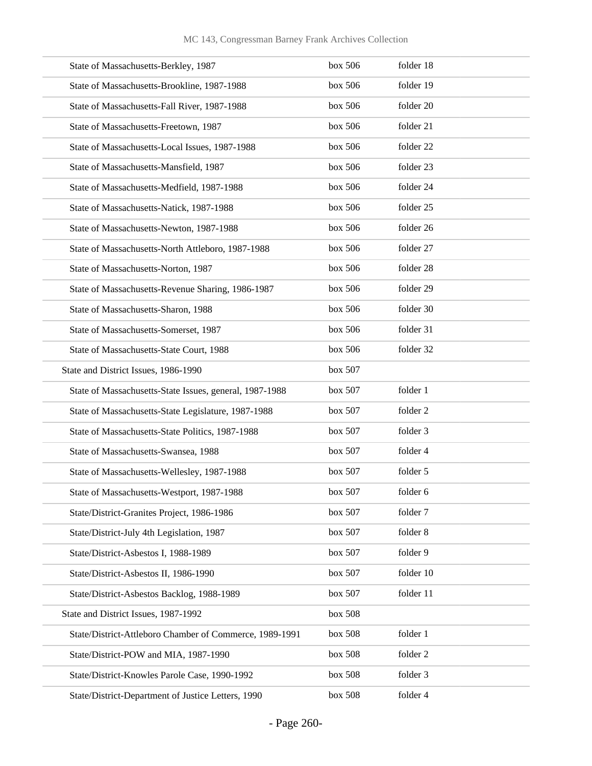| State of Massachusetts-Berkley, 1987                    | box 506 | folder 18 |
|---------------------------------------------------------|---------|-----------|
| State of Massachusetts-Brookline, 1987-1988             | box 506 | folder 19 |
| State of Massachusetts-Fall River, 1987-1988            | box 506 | folder 20 |
| State of Massachusetts-Freetown, 1987                   | box 506 | folder 21 |
| State of Massachusetts-Local Issues, 1987-1988          | box 506 | folder 22 |
| State of Massachusetts-Mansfield, 1987                  | box 506 | folder 23 |
| State of Massachusetts-Medfield, 1987-1988              | box 506 | folder 24 |
| State of Massachusetts-Natick, 1987-1988                | box 506 | folder 25 |
| State of Massachusetts-Newton, 1987-1988                | box 506 | folder 26 |
| State of Massachusetts-North Attleboro, 1987-1988       | box 506 | folder 27 |
| State of Massachusetts-Norton, 1987                     | box 506 | folder 28 |
| State of Massachusetts-Revenue Sharing, 1986-1987       | box 506 | folder 29 |
| State of Massachusetts-Sharon, 1988                     | box 506 | folder 30 |
| State of Massachusetts-Somerset, 1987                   | box 506 | folder 31 |
| State of Massachusetts-State Court, 1988                | box 506 | folder 32 |
| State and District Issues, 1986-1990                    | box 507 |           |
| State of Massachusetts-State Issues, general, 1987-1988 | box 507 | folder 1  |
| State of Massachusetts-State Legislature, 1987-1988     | box 507 | folder 2  |
| State of Massachusetts-State Politics, 1987-1988        | box 507 | folder 3  |
| State of Massachusetts-Swansea, 1988                    | box 507 | folder 4  |
| State of Massachusetts-Wellesley, 1987-1988             | box 507 | folder 5  |
| State of Massachusetts-Westport, 1987-1988              | box 507 | folder 6  |
| State/District-Granites Project, 1986-1986              | box 507 | folder 7  |
| State/District-July 4th Legislation, 1987               | box 507 | folder 8  |
| State/District-Asbestos I, 1988-1989                    | box 507 | folder 9  |
| State/District-Asbestos II, 1986-1990                   | box 507 | folder 10 |
| State/District-Asbestos Backlog, 1988-1989              | box 507 | folder 11 |
| State and District Issues, 1987-1992                    | box 508 |           |
| State/District-Attleboro Chamber of Commerce, 1989-1991 | box 508 | folder 1  |
| State/District-POW and MIA, 1987-1990                   | box 508 | folder 2  |
| State/District-Knowles Parole Case, 1990-1992           | box 508 | folder 3  |
| State/District-Department of Justice Letters, 1990      | box 508 | folder 4  |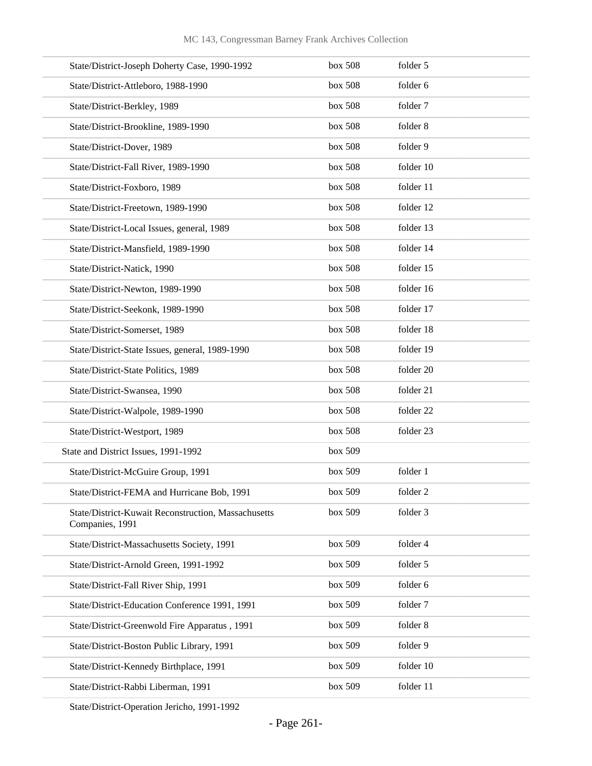| State/District-Joseph Doherty Case, 1990-1992                          | box 508 | folder 5  |
|------------------------------------------------------------------------|---------|-----------|
| State/District-Attleboro, 1988-1990                                    | box 508 | folder 6  |
| State/District-Berkley, 1989                                           | box 508 | folder 7  |
| State/District-Brookline, 1989-1990                                    | box 508 | folder 8  |
| State/District-Dover, 1989                                             | box 508 | folder 9  |
| State/District-Fall River, 1989-1990                                   | box 508 | folder 10 |
| State/District-Foxboro, 1989                                           | box 508 | folder 11 |
| State/District-Freetown, 1989-1990                                     | box 508 | folder 12 |
| State/District-Local Issues, general, 1989                             | box 508 | folder 13 |
| State/District-Mansfield, 1989-1990                                    | box 508 | folder 14 |
| State/District-Natick, 1990                                            | box 508 | folder 15 |
| State/District-Newton, 1989-1990                                       | box 508 | folder 16 |
| State/District-Seekonk, 1989-1990                                      | box 508 | folder 17 |
| State/District-Somerset, 1989                                          | box 508 | folder 18 |
| State/District-State Issues, general, 1989-1990                        | box 508 | folder 19 |
| State/District-State Politics, 1989                                    | box 508 | folder 20 |
| State/District-Swansea, 1990                                           | box 508 | folder 21 |
| State/District-Walpole, 1989-1990                                      | box 508 | folder 22 |
| State/District-Westport, 1989                                          | box 508 | folder 23 |
| State and District Issues, 1991-1992                                   | box 509 |           |
| State/District-McGuire Group, 1991                                     | box 509 | folder 1  |
| State/District-FEMA and Hurricane Bob, 1991                            | box 509 | folder 2  |
| State/District-Kuwait Reconstruction, Massachusetts<br>Companies, 1991 | box 509 | folder 3  |
| State/District-Massachusetts Society, 1991                             | box 509 | folder 4  |
| State/District-Arnold Green, 1991-1992                                 | box 509 | folder 5  |
| State/District-Fall River Ship, 1991                                   | box 509 | folder 6  |
| State/District-Education Conference 1991, 1991                         | box 509 | folder 7  |
| State/District-Greenwold Fire Apparatus, 1991                          | box 509 | folder 8  |
| State/District-Boston Public Library, 1991                             | box 509 | folder 9  |
| State/District-Kennedy Birthplace, 1991                                | box 509 | folder 10 |
| State/District-Rabbi Liberman, 1991                                    | box 509 | folder 11 |
|                                                                        |         |           |

State/District-Operation Jericho, 1991-1992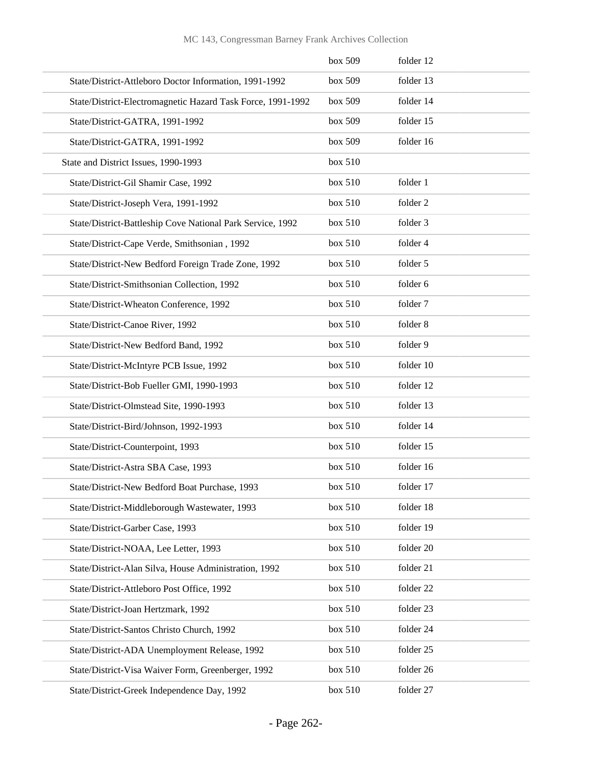|  |  |  | MC 143, Congressman Barney Frank Archives Collection |  |
|--|--|--|------------------------------------------------------|--|
|--|--|--|------------------------------------------------------|--|

|                                                             | box 509 | folder 12 |
|-------------------------------------------------------------|---------|-----------|
| State/District-Attleboro Doctor Information, 1991-1992      | box 509 | folder 13 |
| State/District-Electromagnetic Hazard Task Force, 1991-1992 | box 509 | folder 14 |
| State/District-GATRA, 1991-1992                             | box 509 | folder 15 |
| State/District-GATRA, 1991-1992                             | box 509 | folder 16 |
| State and District Issues, 1990-1993                        | box 510 |           |
| State/District-Gil Shamir Case, 1992                        | box 510 | folder 1  |
| State/District-Joseph Vera, 1991-1992                       | box 510 | folder 2  |
| State/District-Battleship Cove National Park Service, 1992  | box 510 | folder 3  |
| State/District-Cape Verde, Smithsonian, 1992                | box 510 | folder 4  |
| State/District-New Bedford Foreign Trade Zone, 1992         | box 510 | folder 5  |
| State/District-Smithsonian Collection, 1992                 | box 510 | folder 6  |
| State/District-Wheaton Conference, 1992                     | box 510 | folder 7  |
| State/District-Canoe River, 1992                            | box 510 | folder 8  |
| State/District-New Bedford Band, 1992                       | box 510 | folder 9  |
| State/District-McIntyre PCB Issue, 1992                     | box 510 | folder 10 |
| State/District-Bob Fueller GMI, 1990-1993                   | box 510 | folder 12 |
| State/District-Olmstead Site, 1990-1993                     | box 510 | folder 13 |
| State/District-Bird/Johnson, 1992-1993                      | box 510 | folder 14 |
| State/District-Counterpoint, 1993                           | box 510 | folder 15 |
| State/District-Astra SBA Case, 1993                         | box 510 | folder 16 |
| State/District-New Bedford Boat Purchase, 1993              | box 510 | folder 17 |
| State/District-Middleborough Wastewater, 1993               | box 510 | folder 18 |
| State/District-Garber Case, 1993                            | box 510 | folder 19 |
| State/District-NOAA, Lee Letter, 1993                       | box 510 | folder 20 |
| State/District-Alan Silva, House Administration, 1992       | box 510 | folder 21 |
| State/District-Attleboro Post Office, 1992                  | box 510 | folder 22 |
| State/District-Joan Hertzmark, 1992                         | box 510 | folder 23 |
| State/District-Santos Christo Church, 1992                  | box 510 | folder 24 |
| State/District-ADA Unemployment Release, 1992               | box 510 | folder 25 |
| State/District-Visa Waiver Form, Greenberger, 1992          | box 510 | folder 26 |
| State/District-Greek Independence Day, 1992                 | box 510 | folder 27 |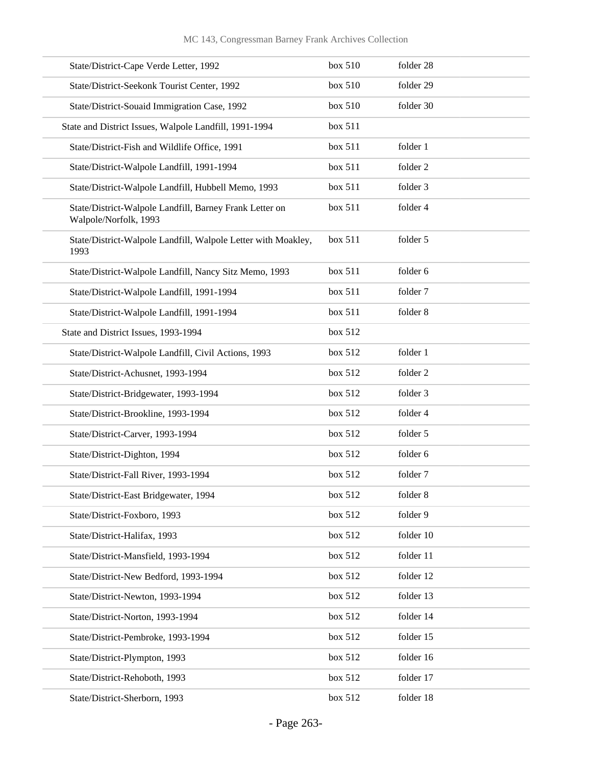| State/District-Cape Verde Letter, 1992                                           | box 510 | folder 28 |
|----------------------------------------------------------------------------------|---------|-----------|
| State/District-Seekonk Tourist Center, 1992                                      | box 510 | folder 29 |
| State/District-Souaid Immigration Case, 1992                                     | box 510 | folder 30 |
| State and District Issues, Walpole Landfill, 1991-1994                           | box 511 |           |
| State/District-Fish and Wildlife Office, 1991                                    | box 511 | folder 1  |
| State/District-Walpole Landfill, 1991-1994                                       | box 511 | folder 2  |
| State/District-Walpole Landfill, Hubbell Memo, 1993                              | box 511 | folder 3  |
| State/District-Walpole Landfill, Barney Frank Letter on<br>Walpole/Norfolk, 1993 | box 511 | folder 4  |
| State/District-Walpole Landfill, Walpole Letter with Moakley,<br>1993            | box 511 | folder 5  |
| State/District-Walpole Landfill, Nancy Sitz Memo, 1993                           | box 511 | folder 6  |
| State/District-Walpole Landfill, 1991-1994                                       | box 511 | folder 7  |
| State/District-Walpole Landfill, 1991-1994                                       | box 511 | folder 8  |
| State and District Issues, 1993-1994                                             | box 512 |           |
| State/District-Walpole Landfill, Civil Actions, 1993                             | box 512 | folder 1  |
| State/District-Achusnet, 1993-1994                                               | box 512 | folder 2  |
| State/District-Bridgewater, 1993-1994                                            | box 512 | folder 3  |
| State/District-Brookline, 1993-1994                                              | box 512 | folder 4  |
| State/District-Carver, 1993-1994                                                 | box 512 | folder 5  |
| State/District-Dighton, 1994                                                     | box 512 | folder 6  |
| State/District-Fall River, 1993-1994                                             | box 512 | folder 7  |
| State/District-East Bridgewater, 1994                                            | box 512 | folder 8  |
| State/District-Foxboro, 1993                                                     | box 512 | folder 9  |
| State/District-Halifax, 1993                                                     | box 512 | folder 10 |
| State/District-Mansfield, 1993-1994                                              | box 512 | folder 11 |
| State/District-New Bedford, 1993-1994                                            | box 512 | folder 12 |
| State/District-Newton, 1993-1994                                                 | box 512 | folder 13 |
| State/District-Norton, 1993-1994                                                 | box 512 | folder 14 |
| State/District-Pembroke, 1993-1994                                               | box 512 | folder 15 |
| State/District-Plympton, 1993                                                    | box 512 | folder 16 |
| State/District-Rehoboth, 1993                                                    | box 512 | folder 17 |
| State/District-Sherborn, 1993                                                    | box 512 | folder 18 |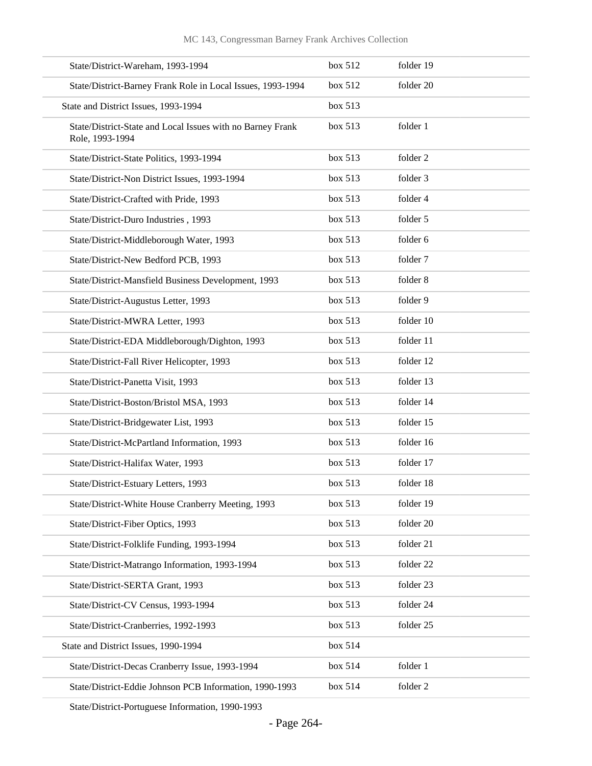| State/District-Wareham, 1993-1994                                             | box 512 | folder 19 |
|-------------------------------------------------------------------------------|---------|-----------|
| State/District-Barney Frank Role in Local Issues, 1993-1994                   | box~512 | folder 20 |
| State and District Issues, 1993-1994                                          | box 513 |           |
| State/District-State and Local Issues with no Barney Frank<br>Role, 1993-1994 | box 513 | folder 1  |
| State/District-State Politics, 1993-1994                                      | box 513 | folder 2  |
| State/District-Non District Issues, 1993-1994                                 | box 513 | folder 3  |
| State/District-Crafted with Pride, 1993                                       | box 513 | folder 4  |
| State/District-Duro Industries, 1993                                          | box 513 | folder 5  |
| State/District-Middleborough Water, 1993                                      | box 513 | folder 6  |
| State/District-New Bedford PCB, 1993                                          | box 513 | folder 7  |
| State/District-Mansfield Business Development, 1993                           | box 513 | folder 8  |
| State/District-Augustus Letter, 1993                                          | box 513 | folder 9  |
| State/District-MWRA Letter, 1993                                              | box 513 | folder 10 |
| State/District-EDA Middleborough/Dighton, 1993                                | box 513 | folder 11 |
| State/District-Fall River Helicopter, 1993                                    | box 513 | folder 12 |
| State/District-Panetta Visit, 1993                                            | box 513 | folder 13 |
| State/District-Boston/Bristol MSA, 1993                                       | box 513 | folder 14 |
| State/District-Bridgewater List, 1993                                         | box 513 | folder 15 |
| State/District-McPartland Information, 1993                                   | box 513 | folder 16 |
| State/District-Halifax Water, 1993                                            | box 513 | folder 17 |
| State/District-Estuary Letters, 1993                                          | box 513 | folder 18 |
| State/District-White House Cranberry Meeting, 1993                            | box 513 | folder 19 |
| State/District-Fiber Optics, 1993                                             | box 513 | folder 20 |
| State/District-Folklife Funding, 1993-1994                                    | box 513 | folder 21 |
| State/District-Matrango Information, 1993-1994                                | box 513 | folder 22 |
| State/District-SERTA Grant, 1993                                              | box 513 | folder 23 |
| State/District-CV Census, 1993-1994                                           | box 513 | folder 24 |
| State/District-Cranberries, 1992-1993                                         | box 513 | folder 25 |
| State and District Issues, 1990-1994                                          | box 514 |           |
| State/District-Decas Cranberry Issue, 1993-1994                               | box 514 | folder 1  |
| State/District-Eddie Johnson PCB Information, 1990-1993                       | box 514 | folder 2  |

State/District-Portuguese Information, 1990-1993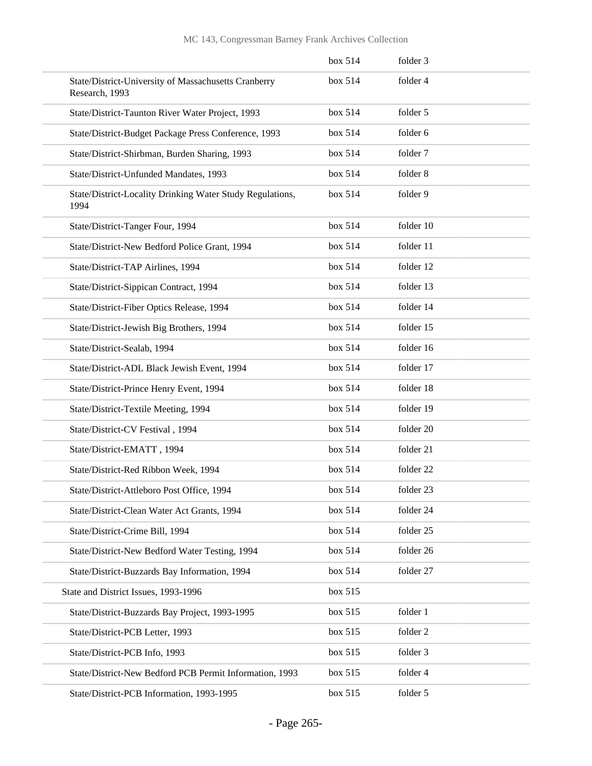|                                                                        | box 514 | folder 3  |
|------------------------------------------------------------------------|---------|-----------|
| State/District-University of Massachusetts Cranberry<br>Research, 1993 | box~514 | folder 4  |
| State/District-Taunton River Water Project, 1993                       | box 514 | folder 5  |
| State/District-Budget Package Press Conference, 1993                   | box 514 | folder 6  |
| State/District-Shirbman, Burden Sharing, 1993                          | box 514 | folder 7  |
| State/District-Unfunded Mandates, 1993                                 | box 514 | folder 8  |
| State/District-Locality Drinking Water Study Regulations,<br>1994      | box~514 | folder 9  |
| State/District-Tanger Four, 1994                                       | box 514 | folder 10 |
| State/District-New Bedford Police Grant, 1994                          | box~514 | folder 11 |
| State/District-TAP Airlines, 1994                                      | box 514 | folder 12 |
| State/District-Sippican Contract, 1994                                 | box 514 | folder 13 |
| State/District-Fiber Optics Release, 1994                              | box 514 | folder 14 |
| State/District-Jewish Big Brothers, 1994                               | box~514 | folder 15 |
| State/District-Sealab, 1994                                            | box 514 | folder 16 |
| State/District-ADL Black Jewish Event, 1994                            | box 514 | folder 17 |
| State/District-Prince Henry Event, 1994                                | box 514 | folder 18 |
| State/District-Textile Meeting, 1994                                   | box~514 | folder 19 |
| State/District-CV Festival, 1994                                       | box 514 | folder 20 |
| State/District-EMATT, 1994                                             | box 514 | folder 21 |
| State/District-Red Ribbon Week, 1994                                   | box 514 | folder 22 |
| State/District-Attleboro Post Office, 1994                             | box 514 | folder 23 |
| State/District-Clean Water Act Grants, 1994                            | box 514 | folder 24 |
| State/District-Crime Bill, 1994                                        | box 514 | folder 25 |
| State/District-New Bedford Water Testing, 1994                         | box 514 | folder 26 |
| State/District-Buzzards Bay Information, 1994                          | box 514 | folder 27 |
| State and District Issues, 1993-1996                                   | box 515 |           |
| State/District-Buzzards Bay Project, 1993-1995                         | box 515 | folder 1  |
| State/District-PCB Letter, 1993                                        | box 515 | folder 2  |
| State/District-PCB Info, 1993                                          | box 515 | folder 3  |
| State/District-New Bedford PCB Permit Information, 1993                | box 515 | folder 4  |
| State/District-PCB Information, 1993-1995                              | box 515 | folder 5  |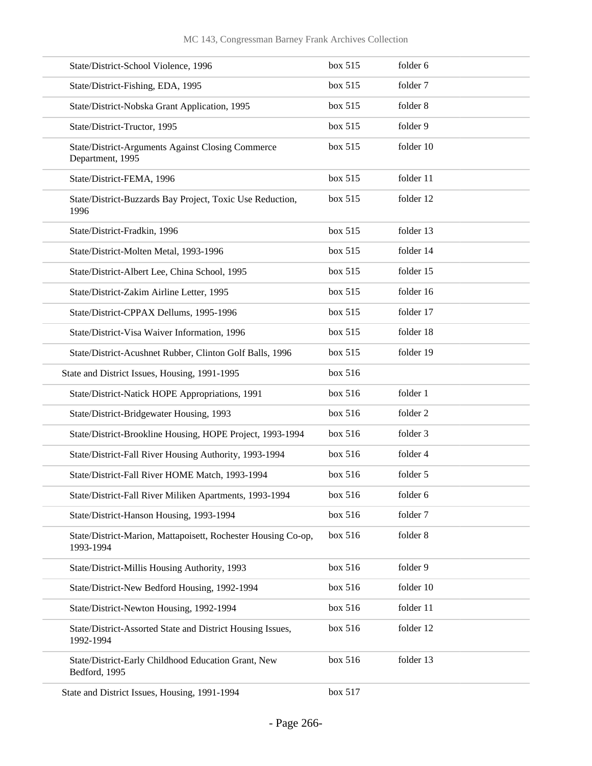| State/District-School Violence, 1996                                         | box 515 | folder 6  |
|------------------------------------------------------------------------------|---------|-----------|
| State/District-Fishing, EDA, 1995                                            | box 515 | folder 7  |
| State/District-Nobska Grant Application, 1995                                | box 515 | folder 8  |
| State/District-Tructor, 1995                                                 | box 515 | folder 9  |
| <b>State/District-Arguments Against Closing Commerce</b><br>Department, 1995 | box 515 | folder 10 |
| State/District-FEMA, 1996                                                    | box 515 | folder 11 |
| State/District-Buzzards Bay Project, Toxic Use Reduction,<br>1996            | box 515 | folder 12 |
| State/District-Fradkin, 1996                                                 | box 515 | folder 13 |
| State/District-Molten Metal, 1993-1996                                       | box 515 | folder 14 |
| State/District-Albert Lee, China School, 1995                                | box 515 | folder 15 |
| State/District-Zakim Airline Letter, 1995                                    | box 515 | folder 16 |
| State/District-CPPAX Dellums, 1995-1996                                      | box 515 | folder 17 |
| State/District-Visa Waiver Information, 1996                                 | box 515 | folder 18 |
| State/District-Acushnet Rubber, Clinton Golf Balls, 1996                     | box 515 | folder 19 |
| State and District Issues, Housing, 1991-1995                                | box 516 |           |
| State/District-Natick HOPE Appropriations, 1991                              | box 516 | folder 1  |
| State/District-Bridgewater Housing, 1993                                     | box 516 | folder 2  |
| State/District-Brookline Housing, HOPE Project, 1993-1994                    | box 516 | folder 3  |
| State/District-Fall River Housing Authority, 1993-1994                       | box 516 | folder 4  |
| State/District-Fall River HOME Match, 1993-1994                              | box 516 | folder 5  |
| State/District-Fall River Miliken Apartments, 1993-1994                      | box 516 | folder 6  |
| State/District-Hanson Housing, 1993-1994                                     | box 516 | folder 7  |
| State/District-Marion, Mattapoisett, Rochester Housing Co-op,<br>1993-1994   | box 516 | folder 8  |
| State/District-Millis Housing Authority, 1993                                | box 516 | folder 9  |
| State/District-New Bedford Housing, 1992-1994                                | box 516 | folder 10 |
| State/District-Newton Housing, 1992-1994                                     | box 516 | folder 11 |
| State/District-Assorted State and District Housing Issues,<br>1992-1994      | box 516 | folder 12 |
| State/District-Early Childhood Education Grant, New<br>Bedford, 1995         | box 516 | folder 13 |
| State and District Issues, Housing, 1991-1994                                | box 517 |           |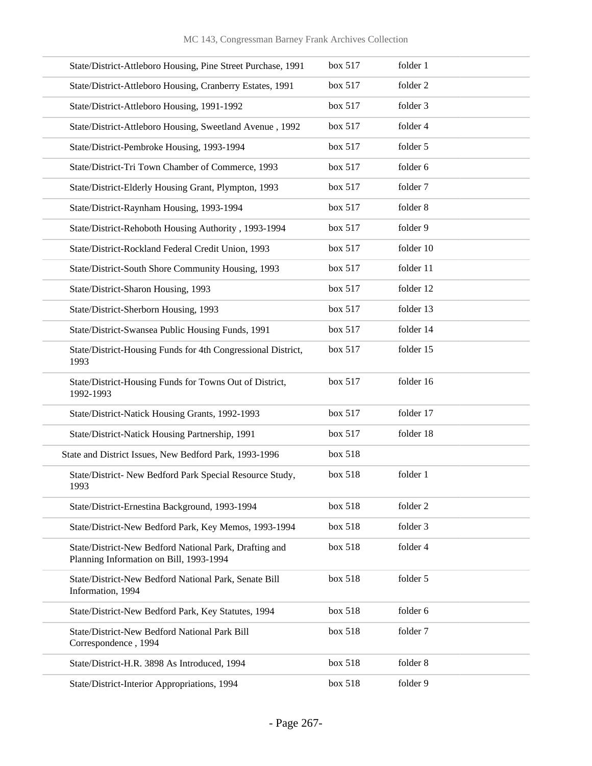| State/District-Attleboro Housing, Pine Street Purchase, 1991                                      | box 517 | folder 1  |
|---------------------------------------------------------------------------------------------------|---------|-----------|
| State/District-Attleboro Housing, Cranberry Estates, 1991                                         | box 517 | folder 2  |
| State/District-Attleboro Housing, 1991-1992                                                       | box 517 | folder 3  |
| State/District-Attleboro Housing, Sweetland Avenue, 1992                                          | box 517 | folder 4  |
| State/District-Pembroke Housing, 1993-1994                                                        | box 517 | folder 5  |
| State/District-Tri Town Chamber of Commerce, 1993                                                 | box 517 | folder 6  |
| State/District-Elderly Housing Grant, Plympton, 1993                                              | box 517 | folder 7  |
| State/District-Raynham Housing, 1993-1994                                                         | box 517 | folder 8  |
| State/District-Rehoboth Housing Authority, 1993-1994                                              | box 517 | folder 9  |
| State/District-Rockland Federal Credit Union, 1993                                                | box 517 | folder 10 |
| State/District-South Shore Community Housing, 1993                                                | box 517 | folder 11 |
| State/District-Sharon Housing, 1993                                                               | box 517 | folder 12 |
| State/District-Sherborn Housing, 1993                                                             | box 517 | folder 13 |
| State/District-Swansea Public Housing Funds, 1991                                                 | box 517 | folder 14 |
| State/District-Housing Funds for 4th Congressional District,<br>1993                              | box 517 | folder 15 |
| State/District-Housing Funds for Towns Out of District,<br>1992-1993                              | box 517 | folder 16 |
| State/District-Natick Housing Grants, 1992-1993                                                   | box 517 | folder 17 |
| State/District-Natick Housing Partnership, 1991                                                   | box 517 | folder 18 |
| State and District Issues, New Bedford Park, 1993-1996                                            | box 518 |           |
| State/District- New Bedford Park Special Resource Study,<br>1993                                  | box 518 | folder 1  |
| State/District-Ernestina Background, 1993-1994                                                    | box 518 | folder 2  |
| State/District-New Bedford Park, Key Memos, 1993-1994                                             | box 518 | folder 3  |
| State/District-New Bedford National Park, Drafting and<br>Planning Information on Bill, 1993-1994 | box 518 | folder 4  |
| State/District-New Bedford National Park, Senate Bill<br>Information, 1994                        | box 518 | folder 5  |
| State/District-New Bedford Park, Key Statutes, 1994                                               | box 518 | folder 6  |
| State/District-New Bedford National Park Bill<br>Correspondence, 1994                             | box 518 | folder 7  |
| State/District-H.R. 3898 As Introduced, 1994                                                      | box 518 | folder 8  |
| State/District-Interior Appropriations, 1994                                                      | box 518 | folder 9  |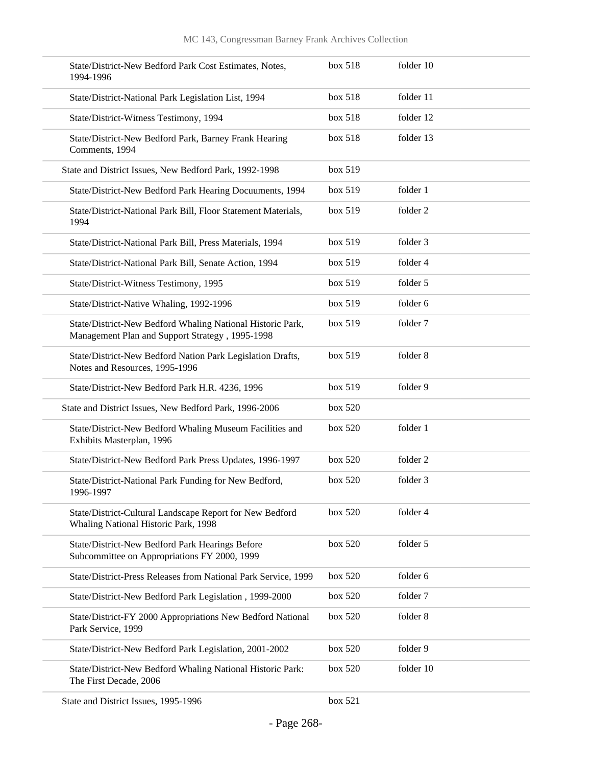| State/District-New Bedford Park Cost Estimates, Notes,<br>1994-1996                                           | box 518 | folder 10 |
|---------------------------------------------------------------------------------------------------------------|---------|-----------|
| State/District-National Park Legislation List, 1994                                                           | box 518 | folder 11 |
| State/District-Witness Testimony, 1994                                                                        | box 518 | folder 12 |
| State/District-New Bedford Park, Barney Frank Hearing<br>Comments, 1994                                       | box 518 | folder 13 |
| State and District Issues, New Bedford Park, 1992-1998                                                        | box 519 |           |
| State/District-New Bedford Park Hearing Docuuments, 1994                                                      | box~519 | folder 1  |
| State/District-National Park Bill, Floor Statement Materials,<br>1994                                         | box 519 | folder 2  |
| State/District-National Park Bill, Press Materials, 1994                                                      | box 519 | folder 3  |
| State/District-National Park Bill, Senate Action, 1994                                                        | box 519 | folder 4  |
| State/District-Witness Testimony, 1995                                                                        | box 519 | folder 5  |
| State/District-Native Whaling, 1992-1996                                                                      | box 519 | folder 6  |
| State/District-New Bedford Whaling National Historic Park,<br>Management Plan and Support Strategy, 1995-1998 | box 519 | folder 7  |
| State/District-New Bedford Nation Park Legislation Drafts,<br>Notes and Resources, 1995-1996                  | box 519 | folder 8  |
| State/District-New Bedford Park H.R. 4236, 1996                                                               | box 519 | folder 9  |
| State and District Issues, New Bedford Park, 1996-2006                                                        | box 520 |           |
| State/District-New Bedford Whaling Museum Facilities and<br>Exhibits Masterplan, 1996                         | box 520 | folder 1  |
| State/District-New Bedford Park Press Updates, 1996-1997                                                      | box~520 | folder 2  |
| State/District-National Park Funding for New Bedford,<br>1996-1997                                            | box~520 | folder 3  |
| State/District-Cultural Landscape Report for New Bedford<br>Whaling National Historic Park, 1998              | box 520 | folder 4  |
| State/District-New Bedford Park Hearings Before<br>Subcommittee on Appropriations FY 2000, 1999               | box 520 | folder 5  |
| State/District-Press Releases from National Park Service, 1999                                                | box~520 | folder 6  |
| State/District-New Bedford Park Legislation, 1999-2000                                                        | box 520 | folder 7  |
| State/District-FY 2000 Appropriations New Bedford National<br>Park Service, 1999                              | box 520 | folder 8  |
| State/District-New Bedford Park Legislation, 2001-2002                                                        | box 520 | folder 9  |
| State/District-New Bedford Whaling National Historic Park:<br>The First Decade, 2006                          | box 520 | folder 10 |
| State and District Issues, 1995-1996                                                                          | box 521 |           |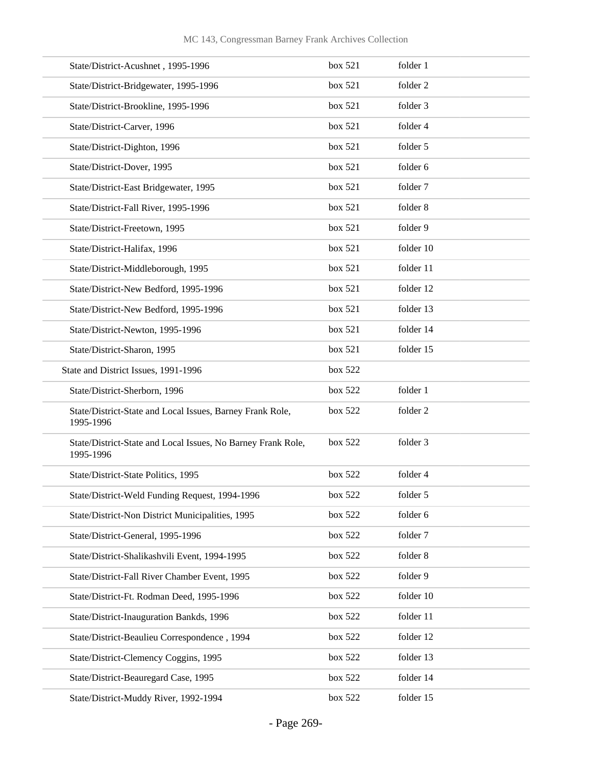| State/District-Acushnet, 1995-1996                                        | box 521 | folder 1  |
|---------------------------------------------------------------------------|---------|-----------|
| State/District-Bridgewater, 1995-1996                                     | box 521 | folder 2  |
| State/District-Brookline, 1995-1996                                       | box 521 | folder 3  |
| State/District-Carver, 1996                                               | box 521 | folder 4  |
| State/District-Dighton, 1996                                              | box 521 | folder 5  |
| State/District-Dover, 1995                                                | box 521 | folder 6  |
| State/District-East Bridgewater, 1995                                     | box 521 | folder 7  |
| State/District-Fall River, 1995-1996                                      | box 521 | folder 8  |
| State/District-Freetown, 1995                                             | box 521 | folder 9  |
| State/District-Halifax, 1996                                              | box 521 | folder 10 |
| State/District-Middleborough, 1995                                        | box 521 | folder 11 |
| State/District-New Bedford, 1995-1996                                     | box 521 | folder 12 |
| State/District-New Bedford, 1995-1996                                     | box 521 | folder 13 |
| State/District-Newton, 1995-1996                                          | box 521 | folder 14 |
| State/District-Sharon, 1995                                               | box 521 | folder 15 |
| State and District Issues, 1991-1996                                      | box 522 |           |
| State/District-Sherborn, 1996                                             | box 522 | folder 1  |
| State/District-State and Local Issues, Barney Frank Role,<br>1995-1996    | box 522 | folder 2  |
| State/District-State and Local Issues, No Barney Frank Role,<br>1995-1996 | box 522 | folder 3  |
| State/District-State Politics, 1995                                       | box 522 | folder 4  |
| State/District-Weld Funding Request, 1994-1996                            | box 522 | folder 5  |
| State/District-Non District Municipalities, 1995                          | box 522 | folder 6  |
| State/District-General, 1995-1996                                         | box 522 | folder 7  |
| State/District-Shalikashvili Event, 1994-1995                             | box 522 | folder 8  |
| State/District-Fall River Chamber Event, 1995                             | box 522 | folder 9  |
| State/District-Ft. Rodman Deed, 1995-1996                                 | box 522 | folder 10 |
| State/District-Inauguration Bankds, 1996                                  | box 522 | folder 11 |
| State/District-Beaulieu Correspondence, 1994                              | box 522 | folder 12 |
| State/District-Clemency Coggins, 1995                                     | box 522 | folder 13 |
| State/District-Beauregard Case, 1995                                      | box 522 | folder 14 |
| State/District-Muddy River, 1992-1994                                     | box 522 | folder 15 |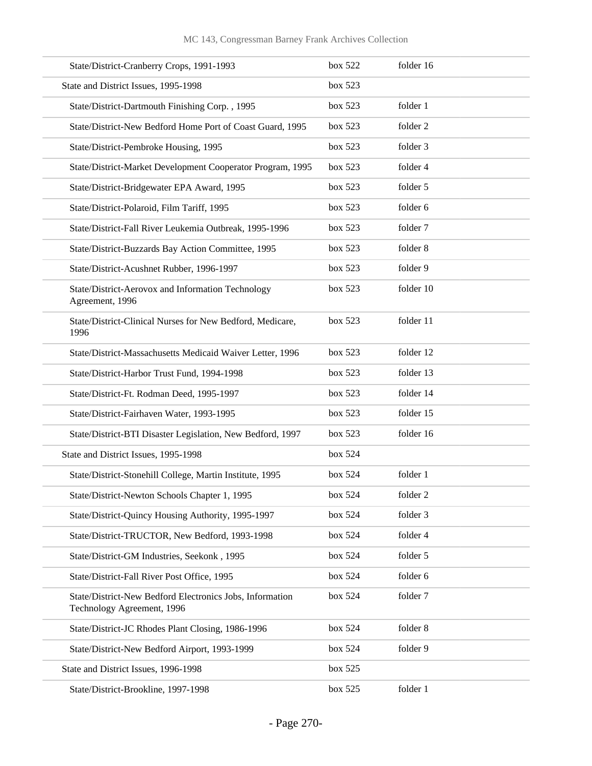## MC 143, Congressman Barney Frank Archives Collection

| State/District-Cranberry Crops, 1991-1993                                              | box 522 | folder 16 |
|----------------------------------------------------------------------------------------|---------|-----------|
| State and District Issues, 1995-1998                                                   | box 523 |           |
| State/District-Dartmouth Finishing Corp., 1995                                         | box 523 | folder 1  |
| State/District-New Bedford Home Port of Coast Guard, 1995                              | box 523 | folder 2  |
| State/District-Pembroke Housing, 1995                                                  | box 523 | folder 3  |
| State/District-Market Development Cooperator Program, 1995                             | box~523 | folder 4  |
| State/District-Bridgewater EPA Award, 1995                                             | box 523 | folder 5  |
| State/District-Polaroid, Film Tariff, 1995                                             | box 523 | folder 6  |
| State/District-Fall River Leukemia Outbreak, 1995-1996                                 | box 523 | folder 7  |
| State/District-Buzzards Bay Action Committee, 1995                                     | box 523 | folder 8  |
| State/District-Acushnet Rubber, 1996-1997                                              | box 523 | folder 9  |
| State/District-Aerovox and Information Technology<br>Agreement, 1996                   | box 523 | folder 10 |
| State/District-Clinical Nurses for New Bedford, Medicare,<br>1996                      | box 523 | folder 11 |
| State/District-Massachusetts Medicaid Waiver Letter, 1996                              | box 523 | folder 12 |
| State/District-Harbor Trust Fund, 1994-1998                                            | box 523 | folder 13 |
| State/District-Ft. Rodman Deed, 1995-1997                                              | box 523 | folder 14 |
| State/District-Fairhaven Water, 1993-1995                                              | box 523 | folder 15 |
| State/District-BTI Disaster Legislation, New Bedford, 1997                             | box 523 | folder 16 |
| State and District Issues, 1995-1998                                                   | box 524 |           |
| State/District-Stonehill College, Martin Institute, 1995                               | box 524 | folder 1  |
| State/District-Newton Schools Chapter 1, 1995                                          | box 524 | folder 2  |
| State/District-Quincy Housing Authority, 1995-1997                                     | box 524 | folder 3  |
| State/District-TRUCTOR, New Bedford, 1993-1998                                         | box 524 | folder 4  |
| State/District-GM Industries, Seekonk, 1995                                            | box 524 | folder 5  |
| State/District-Fall River Post Office, 1995                                            | box 524 | folder 6  |
| State/District-New Bedford Electronics Jobs, Information<br>Technology Agreement, 1996 | box 524 | folder 7  |
| State/District-JC Rhodes Plant Closing, 1986-1996                                      | box 524 | folder 8  |
| State/District-New Bedford Airport, 1993-1999                                          | box 524 | folder 9  |
| State and District Issues, 1996-1998                                                   | box 525 |           |
| State/District-Brookline, 1997-1998                                                    | box 525 | folder 1  |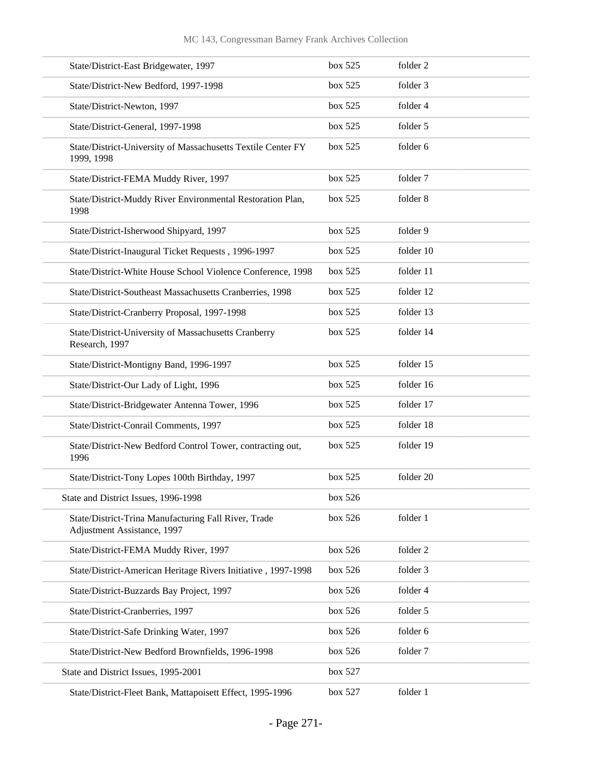| State/District-East Bridgewater, 1997                                               | box 525 | folder 2  |
|-------------------------------------------------------------------------------------|---------|-----------|
| State/District-New Bedford, 1997-1998                                               | box 525 | folder 3  |
| State/District-Newton, 1997                                                         | box 525 | folder 4  |
| State/District-General, 1997-1998                                                   | box 525 | folder 5  |
| State/District-University of Massachusetts Textile Center FY<br>1999, 1998          | box 525 | folder 6  |
| State/District-FEMA Muddy River, 1997                                               | box 525 | folder 7  |
| State/District-Muddy River Environmental Restoration Plan,<br>1998                  | box 525 | folder 8  |
| State/District-Isherwood Shipyard, 1997                                             | box 525 | folder 9  |
| State/District-Inaugural Ticket Requests, 1996-1997                                 | box 525 | folder 10 |
| State/District-White House School Violence Conference, 1998                         | box 525 | folder 11 |
| State/District-Southeast Massachusetts Cranberries, 1998                            | box 525 | folder 12 |
| State/District-Cranberry Proposal, 1997-1998                                        | box 525 | folder 13 |
| State/District-University of Massachusetts Cranberry<br>Research, 1997              | box 525 | folder 14 |
| State/District-Montigny Band, 1996-1997                                             | box 525 | folder 15 |
| State/District-Our Lady of Light, 1996                                              | box 525 | folder 16 |
| State/District-Bridgewater Antenna Tower, 1996                                      | box 525 | folder 17 |
| State/District-Conrail Comments, 1997                                               | box 525 | folder 18 |
| State/District-New Bedford Control Tower, contracting out,<br>1996                  | box 525 | folder 19 |
| State/District-Tony Lopes 100th Birthday, 1997                                      | box 525 | folder 20 |
| State and District Issues, 1996-1998                                                | box 526 |           |
| State/District-Trina Manufacturing Fall River, Trade<br>Adjustment Assistance, 1997 | box 526 | folder 1  |
| State/District-FEMA Muddy River, 1997                                               | box 526 | folder 2  |
| State/District-American Heritage Rivers Initiative, 1997-1998                       | box 526 | folder 3  |
| State/District-Buzzards Bay Project, 1997                                           | box 526 | folder 4  |
| State/District-Cranberries, 1997                                                    | box 526 | folder 5  |
| State/District-Safe Drinking Water, 1997                                            | box 526 | folder 6  |
| State/District-New Bedford Brownfields, 1996-1998                                   | box 526 | folder 7  |
| State and District Issues, 1995-2001                                                | box 527 |           |
| State/District-Fleet Bank, Mattapoisett Effect, 1995-1996                           | box 527 | folder 1  |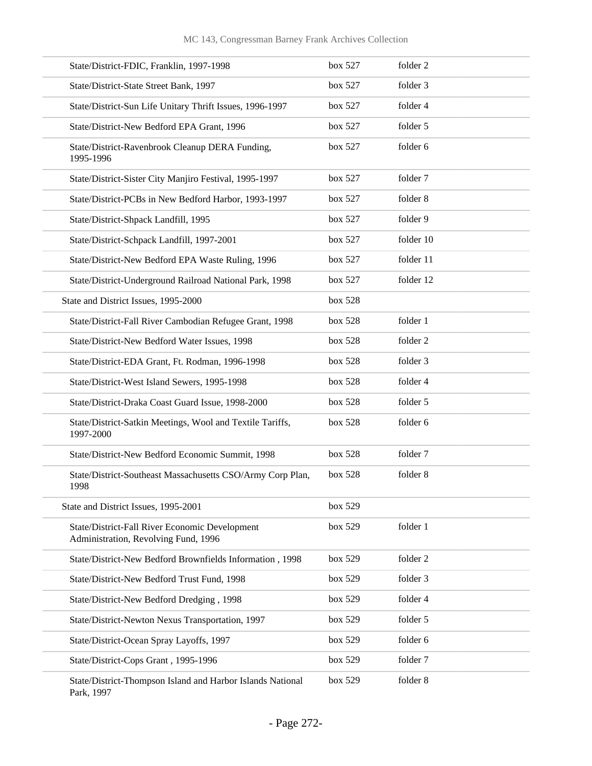| State/District-FDIC, Franklin, 1997-1998                                               | box 527 | folder 2  |
|----------------------------------------------------------------------------------------|---------|-----------|
| State/District-State Street Bank, 1997                                                 | box 527 | folder 3  |
| State/District-Sun Life Unitary Thrift Issues, 1996-1997                               | box 527 | folder 4  |
| State/District-New Bedford EPA Grant, 1996                                             | box 527 | folder 5  |
| State/District-Ravenbrook Cleanup DERA Funding,<br>1995-1996                           | box 527 | folder 6  |
| State/District-Sister City Manjiro Festival, 1995-1997                                 | box 527 | folder 7  |
| State/District-PCBs in New Bedford Harbor, 1993-1997                                   | box 527 | folder 8  |
| State/District-Shpack Landfill, 1995                                                   | box 527 | folder 9  |
| State/District-Schpack Landfill, 1997-2001                                             | box 527 | folder 10 |
| State/District-New Bedford EPA Waste Ruling, 1996                                      | box 527 | folder 11 |
| State/District-Underground Railroad National Park, 1998                                | box 527 | folder 12 |
| State and District Issues, 1995-2000                                                   | box 528 |           |
| State/District-Fall River Cambodian Refugee Grant, 1998                                | box 528 | folder 1  |
| State/District-New Bedford Water Issues, 1998                                          | box 528 | folder 2  |
| State/District-EDA Grant, Ft. Rodman, 1996-1998                                        | box 528 | folder 3  |
| State/District-West Island Sewers, 1995-1998                                           | box 528 | folder 4  |
| State/District-Draka Coast Guard Issue, 1998-2000                                      | box 528 | folder 5  |
| State/District-Satkin Meetings, Wool and Textile Tariffs,<br>1997-2000                 | box 528 | folder 6  |
| State/District-New Bedford Economic Summit, 1998                                       | box 528 | folder 7  |
| State/District-Southeast Massachusetts CSO/Army Corp Plan,<br>1998                     | box 528 | folder 8  |
| State and District Issues, 1995-2001                                                   | box 529 |           |
| State/District-Fall River Economic Development<br>Administration, Revolving Fund, 1996 | box 529 | folder 1  |
| State/District-New Bedford Brownfields Information, 1998                               | box 529 | folder 2  |
| State/District-New Bedford Trust Fund, 1998                                            | box 529 | folder 3  |
| State/District-New Bedford Dredging, 1998                                              | box 529 | folder 4  |
| State/District-Newton Nexus Transportation, 1997                                       | box 529 | folder 5  |
| State/District-Ocean Spray Layoffs, 1997                                               | box 529 | folder 6  |
| State/District-Cops Grant, 1995-1996                                                   | box 529 | folder 7  |
| State/District-Thompson Island and Harbor Islands National<br>Park, 1997               | box 529 | folder 8  |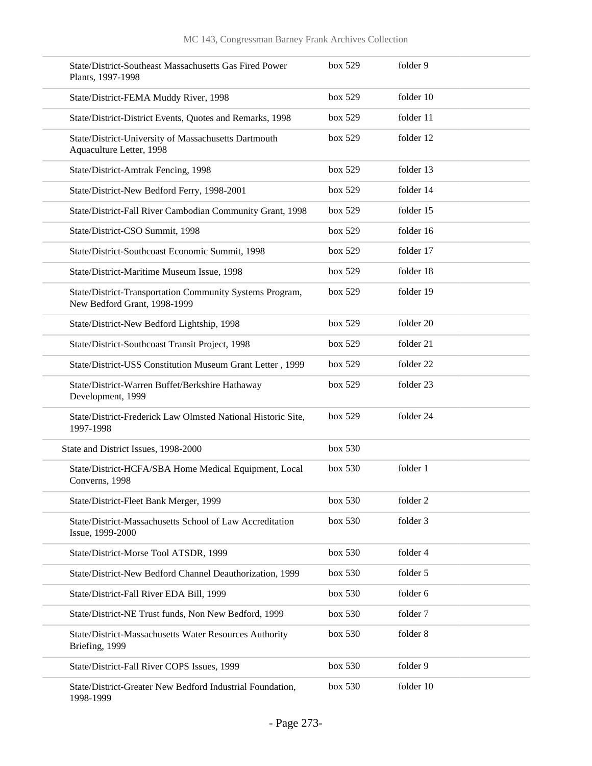| Plants, 1997-1998                    | State/District-Southeast Massachusetts Gas Fired Power       | box 529 | folder 9  |
|--------------------------------------|--------------------------------------------------------------|---------|-----------|
|                                      | State/District-FEMA Muddy River, 1998                        | box 529 | folder 10 |
|                                      | State/District-District Events, Quotes and Remarks, 1998     | box 529 | folder 11 |
| Aquaculture Letter, 1998             | State/District-University of Massachusetts Dartmouth         | box 529 | folder 12 |
|                                      | State/District-Amtrak Fencing, 1998                          | box 529 | folder 13 |
|                                      | State/District-New Bedford Ferry, 1998-2001                  | box 529 | folder 14 |
|                                      | State/District-Fall River Cambodian Community Grant, 1998    | box 529 | folder 15 |
|                                      | State/District-CSO Summit, 1998                              | box 529 | folder 16 |
|                                      | State/District-Southcoast Economic Summit, 1998              | box 529 | folder 17 |
|                                      | State/District-Maritime Museum Issue, 1998                   | box 529 | folder 18 |
| New Bedford Grant, 1998-1999         | State/District-Transportation Community Systems Program,     | box 529 | folder 19 |
|                                      | State/District-New Bedford Lightship, 1998                   | box 529 | folder 20 |
|                                      | State/District-Southcoast Transit Project, 1998              | box 529 | folder 21 |
|                                      | State/District-USS Constitution Museum Grant Letter, 1999    | box 529 | folder 22 |
| Development, 1999                    | State/District-Warren Buffet/Berkshire Hathaway              | box 529 | folder 23 |
| 1997-1998                            | State/District-Frederick Law Olmsted National Historic Site, | box 529 | folder 24 |
| State and District Issues, 1998-2000 |                                                              | box 530 |           |
| Converns, 1998                       | State/District-HCFA/SBA Home Medical Equipment, Local        | box 530 | folder 1  |
|                                      | State/District-Fleet Bank Merger, 1999                       | box 530 | folder 2  |
| Issue, 1999-2000                     | State/District-Massachusetts School of Law Accreditation     | box 530 | folder 3  |
|                                      | State/District-Morse Tool ATSDR, 1999                        | box 530 | folder 4  |
|                                      | State/District-New Bedford Channel Deauthorization, 1999     | box 530 | folder 5  |
|                                      | State/District-Fall River EDA Bill, 1999                     | box 530 | folder 6  |
|                                      | State/District-NE Trust funds, Non New Bedford, 1999         | box 530 | folder 7  |
| Briefing, 1999                       | State/District-Massachusetts Water Resources Authority       | box 530 | folder 8  |
|                                      | State/District-Fall River COPS Issues, 1999                  | box 530 | folder 9  |
| 1998-1999                            | State/District-Greater New Bedford Industrial Foundation,    | box 530 | folder 10 |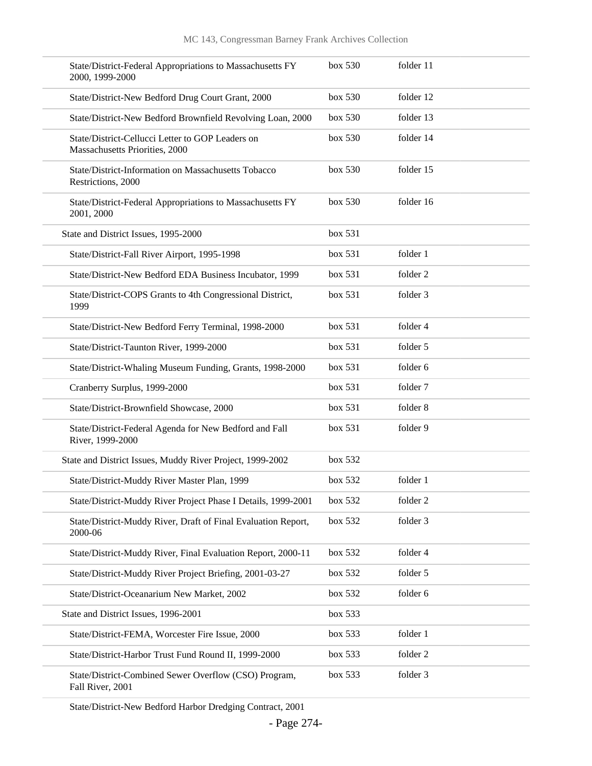| State/District-Federal Appropriations to Massachusetts FY<br>2000, 1999-2000       | box 530 | folder 11           |
|------------------------------------------------------------------------------------|---------|---------------------|
| State/District-New Bedford Drug Court Grant, 2000                                  | box 530 | folder 12           |
| State/District-New Bedford Brownfield Revolving Loan, 2000                         | box 530 | folder 13           |
| State/District-Cellucci Letter to GOP Leaders on<br>Massachusetts Priorities, 2000 | box 530 | folder 14           |
| State/District-Information on Massachusetts Tobacco<br>Restrictions, 2000          | box 530 | folder 15           |
| State/District-Federal Appropriations to Massachusetts FY<br>2001, 2000            | box~530 | folder 16           |
| State and District Issues, 1995-2000                                               | box 531 |                     |
| State/District-Fall River Airport, 1995-1998                                       | box 531 | folder 1            |
| State/District-New Bedford EDA Business Incubator, 1999                            | box 531 | folder <sub>2</sub> |
| State/District-COPS Grants to 4th Congressional District,<br>1999                  | box 531 | folder 3            |
| State/District-New Bedford Ferry Terminal, 1998-2000                               | box 531 | folder 4            |
| State/District-Taunton River, 1999-2000                                            | box 531 | folder 5            |
| State/District-Whaling Museum Funding, Grants, 1998-2000                           | box 531 | folder 6            |
| Cranberry Surplus, 1999-2000                                                       | box 531 | folder 7            |
| State/District-Brownfield Showcase, 2000                                           | box 531 | folder 8            |
| State/District-Federal Agenda for New Bedford and Fall<br>River, 1999-2000         | box 531 | folder 9            |
| State and District Issues, Muddy River Project, 1999-2002                          | box 532 |                     |
| State/District-Muddy River Master Plan, 1999                                       | box 532 | folder 1            |
| State/District-Muddy River Project Phase I Details, 1999-2001                      | box 532 | folder 2            |
| State/District-Muddy River, Draft of Final Evaluation Report,<br>2000-06           | box 532 | folder 3            |
| State/District-Muddy River, Final Evaluation Report, 2000-11                       | box 532 | folder 4            |
| State/District-Muddy River Project Briefing, 2001-03-27                            | box 532 | folder 5            |
| State/District-Oceanarium New Market, 2002                                         | box 532 | folder 6            |
| State and District Issues, 1996-2001                                               | box 533 |                     |
| State/District-FEMA, Worcester Fire Issue, 2000                                    | box 533 | folder 1            |
| State/District-Harbor Trust Fund Round II, 1999-2000                               | box 533 | folder 2            |
| State/District-Combined Sewer Overflow (CSO) Program,<br>Fall River, 2001          | box 533 | folder 3            |

State/District-New Bedford Harbor Dredging Contract, 2001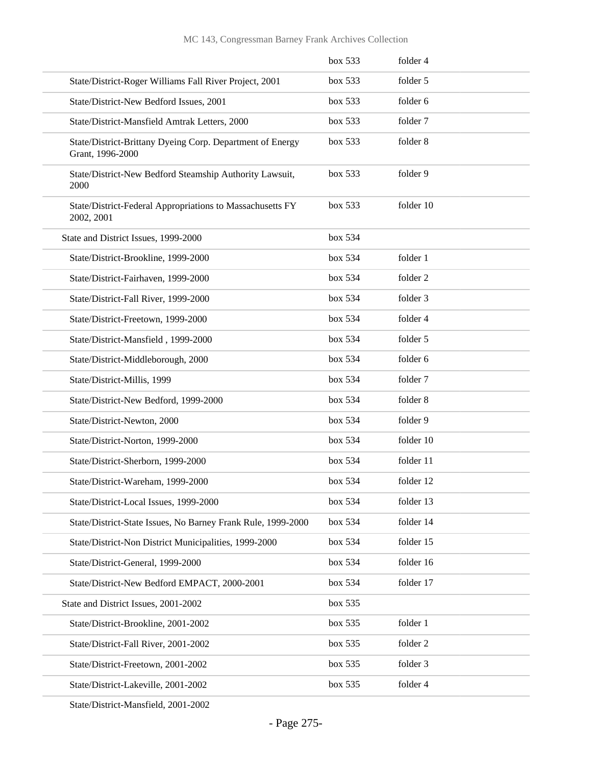|                                                                               | box 533 | folder 4  |
|-------------------------------------------------------------------------------|---------|-----------|
| State/District-Roger Williams Fall River Project, 2001                        | box 533 | folder 5  |
| State/District-New Bedford Issues, 2001                                       | box 533 | folder 6  |
| State/District-Mansfield Amtrak Letters, 2000                                 | box 533 | folder 7  |
| State/District-Brittany Dyeing Corp. Department of Energy<br>Grant, 1996-2000 | box 533 | folder 8  |
| State/District-New Bedford Steamship Authority Lawsuit,<br>2000               | box 533 | folder 9  |
| State/District-Federal Appropriations to Massachusetts FY<br>2002, 2001       | box 533 | folder 10 |
| State and District Issues, 1999-2000                                          | box 534 |           |
| State/District-Brookline, 1999-2000                                           | box 534 | folder 1  |
| State/District-Fairhaven, 1999-2000                                           | box 534 | folder 2  |
| State/District-Fall River, 1999-2000                                          | box 534 | folder 3  |
| State/District-Freetown, 1999-2000                                            | box 534 | folder 4  |
| State/District-Mansfield, 1999-2000                                           | box 534 | folder 5  |
| State/District-Middleborough, 2000                                            | box 534 | folder 6  |
| State/District-Millis, 1999                                                   | box 534 | folder 7  |
| State/District-New Bedford, 1999-2000                                         | box 534 | folder 8  |
| State/District-Newton, 2000                                                   | box 534 | folder 9  |
| State/District-Norton, 1999-2000                                              | box 534 | folder 10 |
| State/District-Sherborn, 1999-2000                                            | box 534 | folder 11 |
| State/District-Wareham, 1999-2000                                             | box 534 | folder 12 |
| State/District-Local Issues, 1999-2000                                        | box 534 | folder 13 |
| State/District-State Issues, No Barney Frank Rule, 1999-2000                  | box 534 | folder 14 |
| State/District-Non District Municipalities, 1999-2000                         | box 534 | folder 15 |
| State/District-General, 1999-2000                                             | box 534 | folder 16 |
| State/District-New Bedford EMPACT, 2000-2001                                  | box 534 | folder 17 |
| State and District Issues, 2001-2002                                          | box 535 |           |
| State/District-Brookline, 2001-2002                                           | box 535 | folder 1  |
| State/District-Fall River, 2001-2002                                          | box 535 | folder 2  |
| State/District-Freetown, 2001-2002                                            | box 535 | folder 3  |
| State/District-Lakeville, 2001-2002                                           | box 535 | folder 4  |
|                                                                               |         |           |

State/District-Mansfield, 2001-2002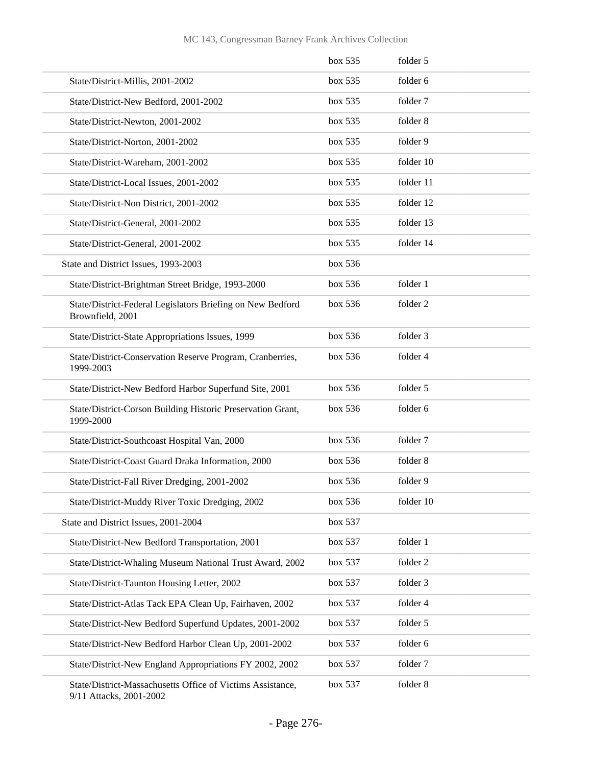|                                                                                       | box 535 | folder 5  |
|---------------------------------------------------------------------------------------|---------|-----------|
| State/District-Millis, 2001-2002                                                      | box~535 | folder 6  |
| State/District-New Bedford, 2001-2002                                                 | box 535 | folder 7  |
| State/District-Newton, 2001-2002                                                      | box~535 | folder 8  |
| State/District-Norton, 2001-2002                                                      | box 535 | folder 9  |
| State/District-Wareham, 2001-2002                                                     | box 535 | folder 10 |
| State/District-Local Issues, 2001-2002                                                | box 535 | folder 11 |
| State/District-Non District, 2001-2002                                                | box 535 | folder 12 |
| State/District-General, 2001-2002                                                     | box 535 | folder 13 |
| State/District-General, 2001-2002                                                     | box 535 | folder 14 |
| State and District Issues, 1993-2003                                                  | box 536 |           |
| State/District-Brightman Street Bridge, 1993-2000                                     | box 536 | folder 1  |
| State/District-Federal Legislators Briefing on New Bedford<br>Brownfield, 2001        | box 536 | folder 2  |
| State/District-State Appropriations Issues, 1999                                      | box 536 | folder 3  |
| State/District-Conservation Reserve Program, Cranberries,<br>1999-2003                | box 536 | folder 4  |
| State/District-New Bedford Harbor Superfund Site, 2001                                | box 536 | folder 5  |
| State/District-Corson Building Historic Preservation Grant,<br>1999-2000              | box 536 | folder 6  |
| State/District-Southcoast Hospital Van, 2000                                          | box 536 | folder 7  |
| State/District-Coast Guard Draka Information, 2000                                    | box 536 | folder 8  |
| State/District-Fall River Dredging, 2001-2002                                         | box 536 | folder 9  |
| State/District-Muddy River Toxic Dredging, 2002                                       | box 536 | folder 10 |
| State and District Issues, 2001-2004                                                  | box 537 |           |
| State/District-New Bedford Transportation, 2001                                       | box 537 | folder 1  |
| State/District-Whaling Museum National Trust Award, 2002                              | box 537 | folder 2  |
| State/District-Taunton Housing Letter, 2002                                           | box 537 | folder 3  |
| State/District-Atlas Tack EPA Clean Up, Fairhaven, 2002                               | box 537 | folder 4  |
| State/District-New Bedford Superfund Updates, 2001-2002                               | box 537 | folder 5  |
| State/District-New Bedford Harbor Clean Up, 2001-2002                                 | box 537 | folder 6  |
| State/District-New England Appropriations FY 2002, 2002                               | box 537 | folder 7  |
| State/District-Massachusetts Office of Victims Assistance,<br>9/11 Attacks, 2001-2002 | box 537 | folder 8  |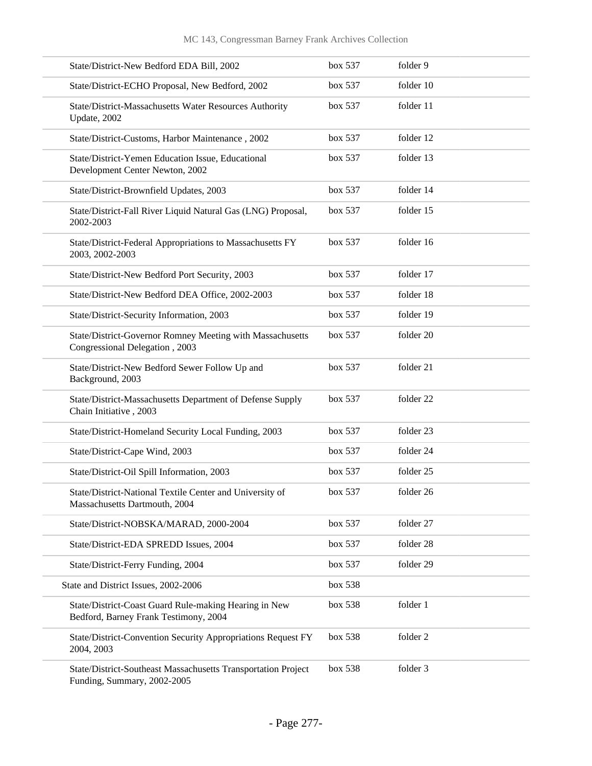| State/District-New Bedford EDA Bill, 2002                                                      | box 537 | folder 9  |
|------------------------------------------------------------------------------------------------|---------|-----------|
| State/District-ECHO Proposal, New Bedford, 2002                                                | box 537 | folder 10 |
| State/District-Massachusetts Water Resources Authority<br>Update, 2002                         | box 537 | folder 11 |
| State/District-Customs, Harbor Maintenance, 2002                                               | box 537 | folder 12 |
| State/District-Yemen Education Issue, Educational<br>Development Center Newton, 2002           | box 537 | folder 13 |
| State/District-Brownfield Updates, 2003                                                        | box 537 | folder 14 |
| State/District-Fall River Liquid Natural Gas (LNG) Proposal,<br>2002-2003                      | box 537 | folder 15 |
| State/District-Federal Appropriations to Massachusetts FY<br>2003, 2002-2003                   | box 537 | folder 16 |
| State/District-New Bedford Port Security, 2003                                                 | box 537 | folder 17 |
| State/District-New Bedford DEA Office, 2002-2003                                               | box 537 | folder 18 |
| State/District-Security Information, 2003                                                      | box 537 | folder 19 |
| State/District-Governor Romney Meeting with Massachusetts<br>Congressional Delegation, 2003    | box 537 | folder 20 |
| State/District-New Bedford Sewer Follow Up and<br>Background, 2003                             | box 537 | folder 21 |
| State/District-Massachusetts Department of Defense Supply<br>Chain Initiative, 2003            | box 537 | folder 22 |
| State/District-Homeland Security Local Funding, 2003                                           | box 537 | folder 23 |
| State/District-Cape Wind, 2003                                                                 | box 537 | folder 24 |
| State/District-Oil Spill Information, 2003                                                     | box 537 | folder 25 |
| State/District-National Textile Center and University of<br>Massachusetts Dartmouth, 2004      | box 537 | folder 26 |
| State/District-NOBSKA/MARAD, 2000-2004                                                         | box 537 | folder 27 |
| State/District-EDA SPREDD Issues, 2004                                                         | box 537 | folder 28 |
| State/District-Ferry Funding, 2004                                                             | box 537 | folder 29 |
| State and District Issues, 2002-2006                                                           | box 538 |           |
| State/District-Coast Guard Rule-making Hearing in New<br>Bedford, Barney Frank Testimony, 2004 | box 538 | folder 1  |
| State/District-Convention Security Appropriations Request FY<br>2004, 2003                     | box 538 | folder 2  |
| State/District-Southeast Massachusetts Transportation Project<br>Funding, Summary, 2002-2005   | box 538 | folder 3  |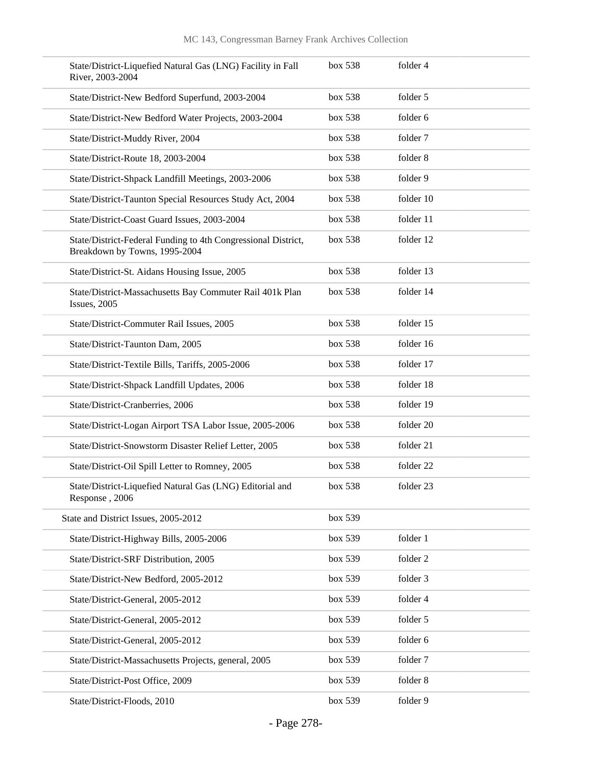| State/District-Liquefied Natural Gas (LNG) Facility in Fall<br>River, 2003-2004                | box 538 | folder 4  |
|------------------------------------------------------------------------------------------------|---------|-----------|
| State/District-New Bedford Superfund, 2003-2004                                                | box 538 | folder 5  |
| State/District-New Bedford Water Projects, 2003-2004                                           | box 538 | folder 6  |
| State/District-Muddy River, 2004                                                               | box 538 | folder 7  |
| State/District-Route 18, 2003-2004                                                             | box 538 | folder 8  |
| State/District-Shpack Landfill Meetings, 2003-2006                                             | box 538 | folder 9  |
| State/District-Taunton Special Resources Study Act, 2004                                       | box 538 | folder 10 |
| State/District-Coast Guard Issues, 2003-2004                                                   | box 538 | folder 11 |
| State/District-Federal Funding to 4th Congressional District,<br>Breakdown by Towns, 1995-2004 | box 538 | folder 12 |
| State/District-St. Aidans Housing Issue, 2005                                                  | box 538 | folder 13 |
| State/District-Massachusetts Bay Commuter Rail 401k Plan<br>Issues, 2005                       | box 538 | folder 14 |
| State/District-Commuter Rail Issues, 2005                                                      | box 538 | folder 15 |
| State/District-Taunton Dam, 2005                                                               | box 538 | folder 16 |
| State/District-Textile Bills, Tariffs, 2005-2006                                               | box 538 | folder 17 |
| State/District-Shpack Landfill Updates, 2006                                                   | box 538 | folder 18 |
| State/District-Cranberries, 2006                                                               | box 538 | folder 19 |
| State/District-Logan Airport TSA Labor Issue, 2005-2006                                        | box 538 | folder 20 |
| State/District-Snowstorm Disaster Relief Letter, 2005                                          | box 538 | folder 21 |
| State/District-Oil Spill Letter to Romney, 2005                                                | box 538 | folder 22 |
| State/District-Liquefied Natural Gas (LNG) Editorial and<br>Response, 2006                     | box 538 | folder 23 |
| State and District Issues, 2005-2012                                                           | box 539 |           |
| State/District-Highway Bills, 2005-2006                                                        | box 539 | folder 1  |
| State/District-SRF Distribution, 2005                                                          | box 539 | folder 2  |
| State/District-New Bedford, 2005-2012                                                          | box 539 | folder 3  |
| State/District-General, 2005-2012                                                              | box 539 | folder 4  |
| State/District-General, 2005-2012                                                              | box 539 | folder 5  |
| State/District-General, 2005-2012                                                              | box 539 | folder 6  |
| State/District-Massachusetts Projects, general, 2005                                           | box 539 | folder 7  |
| State/District-Post Office, 2009                                                               | box 539 | folder 8  |
| State/District-Floods, 2010                                                                    | box 539 | folder 9  |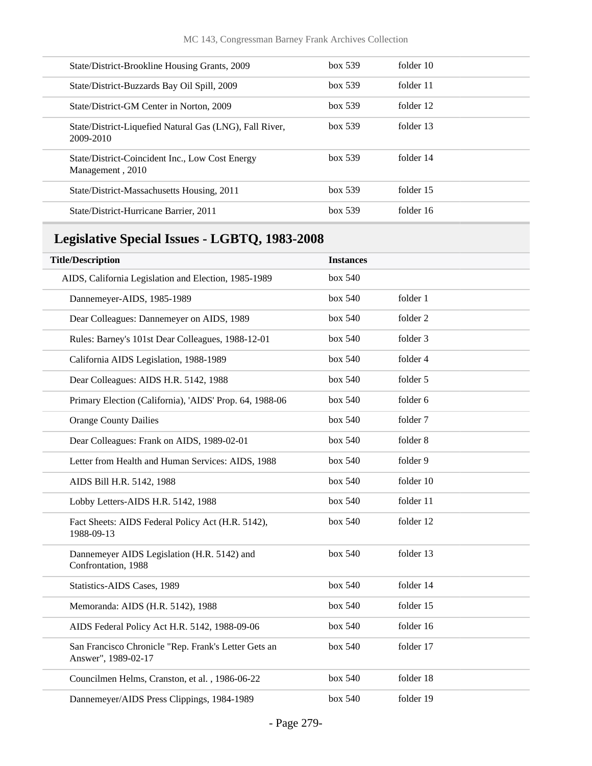| State/District-Brookline Housing Grants, 2009                        | box~539 | folder 10 |
|----------------------------------------------------------------------|---------|-----------|
| State/District-Buzzards Bay Oil Spill, 2009                          | box~539 | folder 11 |
| State/District-GM Center in Norton, 2009                             | box~539 | folder 12 |
| State/District-Liquefied Natural Gas (LNG), Fall River,<br>2009-2010 | box~539 | folder 13 |
| State/District-Coincident Inc., Low Cost Energy<br>Management, 2010  | box~539 | folder 14 |
| State/District-Massachusetts Housing, 2011                           | box~539 | folder 15 |
| State/District-Hurricane Barrier, 2011                               | box~539 | folder 16 |
|                                                                      |         |           |

## **Legislative Special Issues - LGBTQ, 1983-2008**

| <b>Title/Description</b>                                                    | <b>Instances</b> |           |  |
|-----------------------------------------------------------------------------|------------------|-----------|--|
| AIDS, California Legislation and Election, 1985-1989                        | box 540          |           |  |
| Dannemeyer-AIDS, 1985-1989                                                  | box 540          | folder 1  |  |
| Dear Colleagues: Dannemeyer on AIDS, 1989                                   | box 540          | folder 2  |  |
| Rules: Barney's 101st Dear Colleagues, 1988-12-01                           | box 540          | folder 3  |  |
| California AIDS Legislation, 1988-1989                                      | box 540          | folder 4  |  |
| Dear Colleagues: AIDS H.R. 5142, 1988                                       | box 540          | folder 5  |  |
| Primary Election (California), 'AIDS' Prop. 64, 1988-06                     | box 540          | folder 6  |  |
| <b>Orange County Dailies</b>                                                | box 540          | folder 7  |  |
| Dear Colleagues: Frank on AIDS, 1989-02-01                                  | box 540          | folder 8  |  |
| Letter from Health and Human Services: AIDS, 1988                           | box 540          | folder 9  |  |
| AIDS Bill H.R. 5142, 1988                                                   | box 540          | folder 10 |  |
| Lobby Letters-AIDS H.R. 5142, 1988                                          | box 540          | folder 11 |  |
| Fact Sheets: AIDS Federal Policy Act (H.R. 5142),<br>1988-09-13             | box 540          | folder 12 |  |
| Dannemeyer AIDS Legislation (H.R. 5142) and<br>Confrontation, 1988          | box 540          | folder 13 |  |
| Statistics-AIDS Cases, 1989                                                 | box 540          | folder 14 |  |
| Memoranda: AIDS (H.R. 5142), 1988                                           | box 540          | folder 15 |  |
| AIDS Federal Policy Act H.R. 5142, 1988-09-06                               | box 540          | folder 16 |  |
| San Francisco Chronicle "Rep. Frank's Letter Gets an<br>Answer", 1989-02-17 | box 540          | folder 17 |  |
| Councilmen Helms, Cranston, et al., 1986-06-22                              | box 540          | folder 18 |  |
| Dannemeyer/AIDS Press Clippings, 1984-1989                                  | box 540          | folder 19 |  |
|                                                                             |                  |           |  |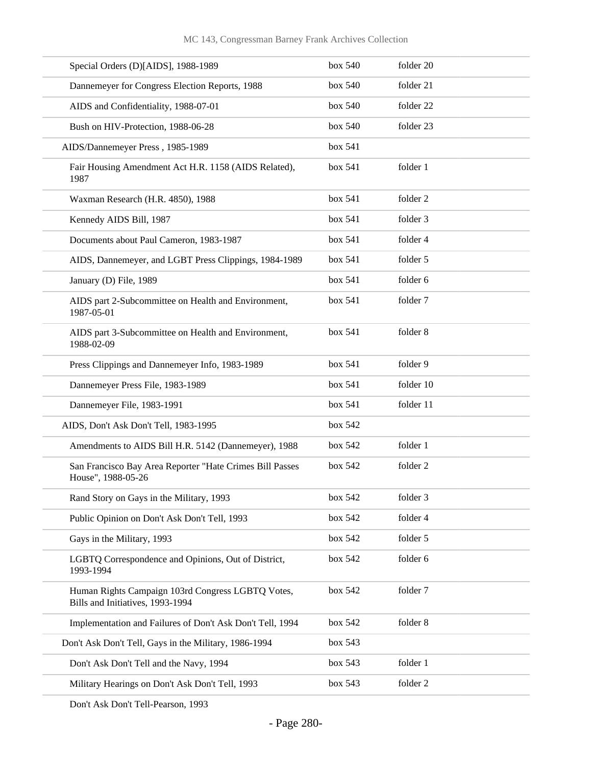| Special Orders (D)[AIDS], 1988-1989                                                   | box 540 | folder 20 |
|---------------------------------------------------------------------------------------|---------|-----------|
| Dannemeyer for Congress Election Reports, 1988                                        | box 540 | folder 21 |
| AIDS and Confidentiality, 1988-07-01                                                  | box 540 | folder 22 |
| Bush on HIV-Protection, 1988-06-28                                                    | box 540 | folder 23 |
| AIDS/Dannemeyer Press, 1985-1989                                                      | box 541 |           |
| Fair Housing Amendment Act H.R. 1158 (AIDS Related),<br>1987                          | box 541 | folder 1  |
| Waxman Research (H.R. 4850), 1988                                                     | box 541 | folder 2  |
| Kennedy AIDS Bill, 1987                                                               | box 541 | folder 3  |
| Documents about Paul Cameron, 1983-1987                                               | box 541 | folder 4  |
| AIDS, Dannemeyer, and LGBT Press Clippings, 1984-1989                                 | box 541 | folder 5  |
| January (D) File, 1989                                                                | box 541 | folder 6  |
| AIDS part 2-Subcommittee on Health and Environment,<br>1987-05-01                     | box 541 | folder 7  |
| AIDS part 3-Subcommittee on Health and Environment,<br>1988-02-09                     | box 541 | folder 8  |
| Press Clippings and Dannemeyer Info, 1983-1989                                        | box 541 | folder 9  |
| Dannemeyer Press File, 1983-1989                                                      | box 541 | folder 10 |
| Dannemeyer File, 1983-1991                                                            | box 541 | folder 11 |
| AIDS, Don't Ask Don't Tell, 1983-1995                                                 | box 542 |           |
| Amendments to AIDS Bill H.R. 5142 (Dannemeyer), 1988                                  | box 542 | folder 1  |
| San Francisco Bay Area Reporter "Hate Crimes Bill Passes<br>House", 1988-05-26        | box 542 | folder 2  |
| Rand Story on Gays in the Military, 1993                                              | box 542 | folder 3  |
| Public Opinion on Don't Ask Don't Tell, 1993                                          | box 542 | folder 4  |
| Gays in the Military, 1993                                                            | box 542 | folder 5  |
| LGBTQ Correspondence and Opinions, Out of District,<br>1993-1994                      | box 542 | folder 6  |
| Human Rights Campaign 103rd Congress LGBTQ Votes,<br>Bills and Initiatives, 1993-1994 | box 542 | folder 7  |
| Implementation and Failures of Don't Ask Don't Tell, 1994                             | box 542 | folder 8  |
| Don't Ask Don't Tell, Gays in the Military, 1986-1994                                 | box 543 |           |
| Don't Ask Don't Tell and the Navy, 1994                                               | box 543 | folder 1  |
| Military Hearings on Don't Ask Don't Tell, 1993                                       | box 543 | folder 2  |
|                                                                                       |         |           |

Don't Ask Don't Tell-Pearson, 1993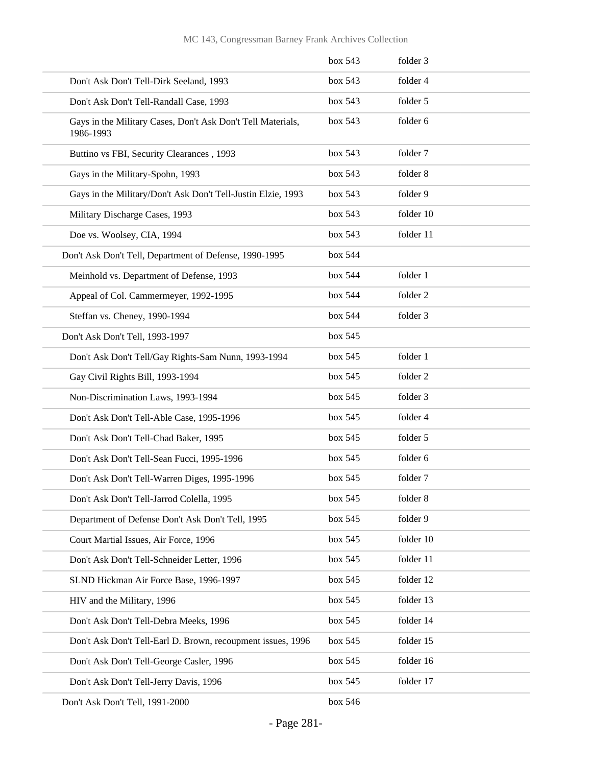|                                                                          | box 543 | folder 3  |
|--------------------------------------------------------------------------|---------|-----------|
| Don't Ask Don't Tell-Dirk Seeland, 1993                                  | box 543 | folder 4  |
| Don't Ask Don't Tell-Randall Case, 1993                                  | box 543 | folder 5  |
| Gays in the Military Cases, Don't Ask Don't Tell Materials,<br>1986-1993 | box 543 | folder 6  |
| Buttino vs FBI, Security Clearances, 1993                                | box 543 | folder 7  |
| Gays in the Military-Spohn, 1993                                         | box 543 | folder 8  |
| Gays in the Military/Don't Ask Don't Tell-Justin Elzie, 1993             | box 543 | folder 9  |
| Military Discharge Cases, 1993                                           | box 543 | folder 10 |
| Doe vs. Woolsey, CIA, 1994                                               | box 543 | folder 11 |
| Don't Ask Don't Tell, Department of Defense, 1990-1995                   | box 544 |           |
| Meinhold vs. Department of Defense, 1993                                 | box 544 | folder 1  |
| Appeal of Col. Cammermeyer, 1992-1995                                    | box 544 | folder 2  |
| Steffan vs. Cheney, 1990-1994                                            | box 544 | folder 3  |
| Don't Ask Don't Tell, 1993-1997                                          | box 545 |           |
| Don't Ask Don't Tell/Gay Rights-Sam Nunn, 1993-1994                      | box 545 | folder 1  |
| Gay Civil Rights Bill, 1993-1994                                         | box 545 | folder 2  |
| Non-Discrimination Laws, 1993-1994                                       | box 545 | folder 3  |
| Don't Ask Don't Tell-Able Case, 1995-1996                                | box 545 | folder 4  |
| Don't Ask Don't Tell-Chad Baker, 1995                                    | box 545 | folder 5  |
| Don't Ask Don't Tell-Sean Fucci, 1995-1996                               | box 545 | folder 6  |
| Don't Ask Don't Tell-Warren Diges, 1995-1996                             | box 545 | folder 7  |
| Don't Ask Don't Tell-Jarrod Colella, 1995                                | box 545 | folder 8  |
| Department of Defense Don't Ask Don't Tell, 1995                         | box 545 | folder 9  |
| Court Martial Issues, Air Force, 1996                                    | box 545 | folder 10 |
| Don't Ask Don't Tell-Schneider Letter, 1996                              | box 545 | folder 11 |
| SLND Hickman Air Force Base, 1996-1997                                   | box 545 | folder 12 |
| HIV and the Military, 1996                                               | box 545 | folder 13 |
| Don't Ask Don't Tell-Debra Meeks, 1996                                   | box 545 | folder 14 |
| Don't Ask Don't Tell-Earl D. Brown, recoupment issues, 1996              | box 545 | folder 15 |
| Don't Ask Don't Tell-George Casler, 1996                                 | box 545 | folder 16 |
| Don't Ask Don't Tell-Jerry Davis, 1996                                   | box 545 | folder 17 |
| Don't Ask Don't Tell, 1991-2000                                          | box 546 |           |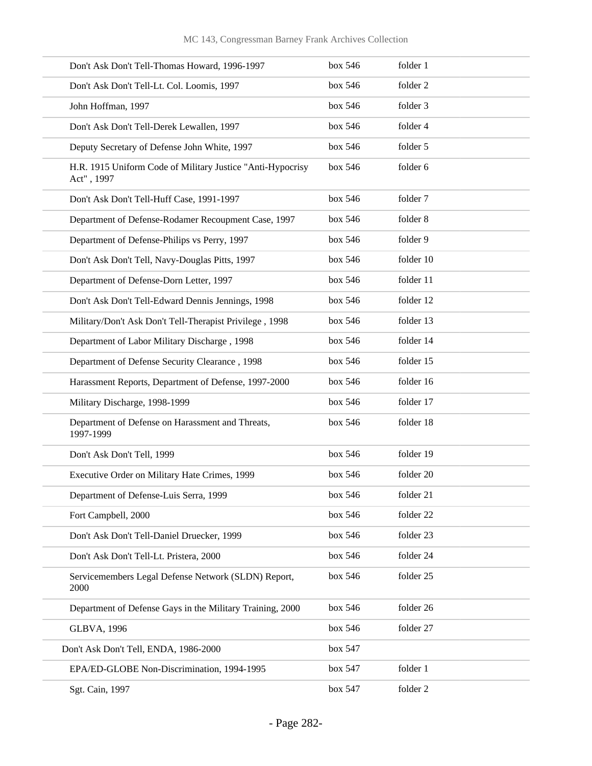| Don't Ask Don't Tell-Thomas Howard, 1996-1997                            | box 546 | folder 1  |
|--------------------------------------------------------------------------|---------|-----------|
| Don't Ask Don't Tell-Lt. Col. Loomis, 1997                               | box 546 | folder 2  |
| John Hoffman, 1997                                                       | box 546 | folder 3  |
| Don't Ask Don't Tell-Derek Lewallen, 1997                                | box 546 | folder 4  |
| Deputy Secretary of Defense John White, 1997                             | box 546 | folder 5  |
| H.R. 1915 Uniform Code of Military Justice "Anti-Hypocrisy<br>Act", 1997 | box 546 | folder 6  |
| Don't Ask Don't Tell-Huff Case, 1991-1997                                | box 546 | folder 7  |
| Department of Defense-Rodamer Recoupment Case, 1997                      | box 546 | folder 8  |
| Department of Defense-Philips vs Perry, 1997                             | box 546 | folder 9  |
| Don't Ask Don't Tell, Navy-Douglas Pitts, 1997                           | box 546 | folder 10 |
| Department of Defense-Dorn Letter, 1997                                  | box 546 | folder 11 |
| Don't Ask Don't Tell-Edward Dennis Jennings, 1998                        | box 546 | folder 12 |
| Military/Don't Ask Don't Tell-Therapist Privilege, 1998                  | box 546 | folder 13 |
| Department of Labor Military Discharge, 1998                             | box 546 | folder 14 |
| Department of Defense Security Clearance, 1998                           | box 546 | folder 15 |
| Harassment Reports, Department of Defense, 1997-2000                     | box 546 | folder 16 |
| Military Discharge, 1998-1999                                            | box 546 | folder 17 |
| Department of Defense on Harassment and Threats,<br>1997-1999            | box 546 | folder 18 |
| Don't Ask Don't Tell, 1999                                               | box 546 | folder 19 |
| Executive Order on Military Hate Crimes, 1999                            | box 546 | folder 20 |
| Department of Defense-Luis Serra, 1999                                   | box 546 | folder 21 |
| Fort Campbell, 2000                                                      | box 546 | folder 22 |
| Don't Ask Don't Tell-Daniel Druecker, 1999                               | box 546 | folder 23 |
| Don't Ask Don't Tell-Lt. Pristera, 2000                                  | box 546 | folder 24 |
| Servicemembers Legal Defense Network (SLDN) Report,<br>2000              | box 546 | folder 25 |
| Department of Defense Gays in the Military Training, 2000                | box 546 | folder 26 |
| <b>GLBVA, 1996</b>                                                       | box 546 | folder 27 |
| Don't Ask Don't Tell, ENDA, 1986-2000                                    | box 547 |           |
| EPA/ED-GLOBE Non-Discrimination, 1994-1995                               | box 547 | folder 1  |
| Sgt. Cain, 1997                                                          | box 547 | folder 2  |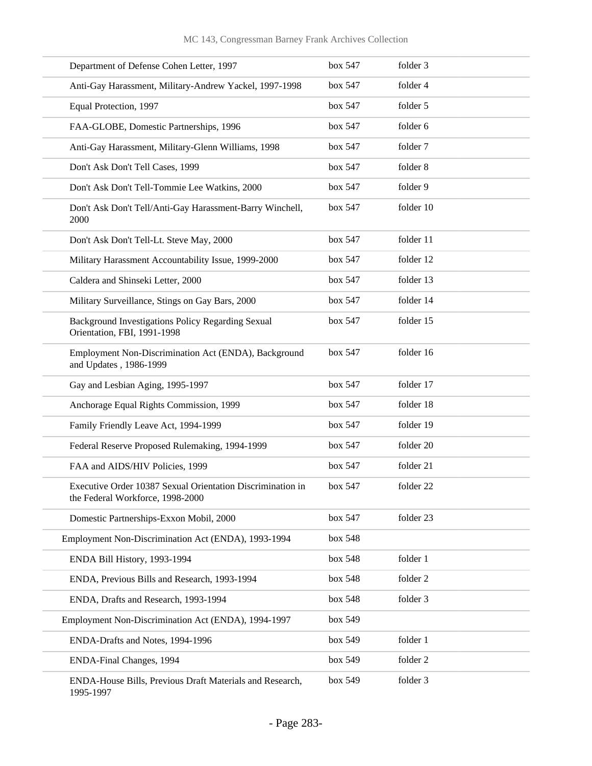| Department of Defense Cohen Letter, 1997                                                       | box 547 | folder 3  |
|------------------------------------------------------------------------------------------------|---------|-----------|
| Anti-Gay Harassment, Military-Andrew Yackel, 1997-1998                                         | box 547 | folder 4  |
| Equal Protection, 1997                                                                         | box 547 | folder 5  |
| FAA-GLOBE, Domestic Partnerships, 1996                                                         | box 547 | folder 6  |
| Anti-Gay Harassment, Military-Glenn Williams, 1998                                             | box 547 | folder 7  |
| Don't Ask Don't Tell Cases, 1999                                                               | box 547 | folder 8  |
| Don't Ask Don't Tell-Tommie Lee Watkins, 2000                                                  | box 547 | folder 9  |
| Don't Ask Don't Tell/Anti-Gay Harassment-Barry Winchell,<br>2000                               | box 547 | folder 10 |
| Don't Ask Don't Tell-Lt. Steve May, 2000                                                       | box 547 | folder 11 |
| Military Harassment Accountability Issue, 1999-2000                                            | box 547 | folder 12 |
| Caldera and Shinseki Letter, 2000                                                              | box 547 | folder 13 |
| Military Surveillance, Stings on Gay Bars, 2000                                                | box 547 | folder 14 |
| Background Investigations Policy Regarding Sexual<br>Orientation, FBI, 1991-1998               | box 547 | folder 15 |
| Employment Non-Discrimination Act (ENDA), Background<br>and Updates, 1986-1999                 | box 547 | folder 16 |
| Gay and Lesbian Aging, 1995-1997                                                               | box 547 | folder 17 |
| Anchorage Equal Rights Commission, 1999                                                        | box 547 | folder 18 |
| Family Friendly Leave Act, 1994-1999                                                           | box 547 | folder 19 |
| Federal Reserve Proposed Rulemaking, 1994-1999                                                 | box 547 | folder 20 |
| FAA and AIDS/HIV Policies, 1999                                                                | box 547 | folder 21 |
| Executive Order 10387 Sexual Orientation Discrimination in<br>the Federal Workforce, 1998-2000 | box~547 | folder 22 |
| Domestic Partnerships-Exxon Mobil, 2000                                                        | box 547 | folder 23 |
| Employment Non-Discrimination Act (ENDA), 1993-1994                                            | box 548 |           |
| ENDA Bill History, 1993-1994                                                                   | box 548 | folder 1  |
| ENDA, Previous Bills and Research, 1993-1994                                                   | box 548 | folder 2  |
| ENDA, Drafts and Research, 1993-1994                                                           | box 548 | folder 3  |
| Employment Non-Discrimination Act (ENDA), 1994-1997                                            | box 549 |           |
| ENDA-Drafts and Notes, 1994-1996                                                               | box 549 | folder 1  |
| ENDA-Final Changes, 1994                                                                       | box 549 | folder 2  |
| ENDA-House Bills, Previous Draft Materials and Research,<br>1995-1997                          | box 549 | folder 3  |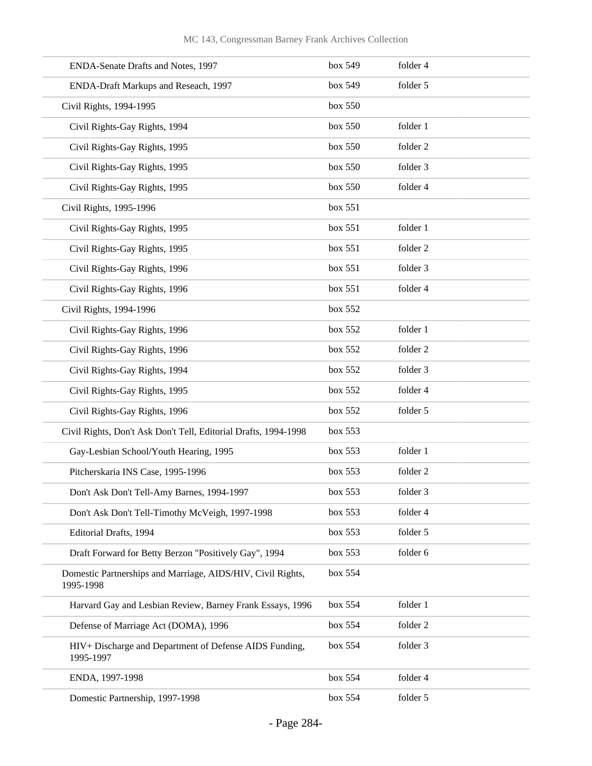| ENDA-Senate Drafts and Notes, 1997                                       | box 549 | folder 4 |
|--------------------------------------------------------------------------|---------|----------|
| ENDA-Draft Markups and Reseach, 1997                                     | box 549 | folder 5 |
| Civil Rights, 1994-1995                                                  | box 550 |          |
| Civil Rights-Gay Rights, 1994                                            | box 550 | folder 1 |
| Civil Rights-Gay Rights, 1995                                            | box 550 | folder 2 |
| Civil Rights-Gay Rights, 1995                                            | box 550 | folder 3 |
| Civil Rights-Gay Rights, 1995                                            | box 550 | folder 4 |
| Civil Rights, 1995-1996                                                  | box 551 |          |
| Civil Rights-Gay Rights, 1995                                            | box 551 | folder 1 |
| Civil Rights-Gay Rights, 1995                                            | box 551 | folder 2 |
| Civil Rights-Gay Rights, 1996                                            | box 551 | folder 3 |
| Civil Rights-Gay Rights, 1996                                            | box 551 | folder 4 |
| Civil Rights, 1994-1996                                                  | box 552 |          |
| Civil Rights-Gay Rights, 1996                                            | box 552 | folder 1 |
| Civil Rights-Gay Rights, 1996                                            | box 552 | folder 2 |
| Civil Rights-Gay Rights, 1994                                            | box 552 | folder 3 |
| Civil Rights-Gay Rights, 1995                                            | box 552 | folder 4 |
| Civil Rights-Gay Rights, 1996                                            | box 552 | folder 5 |
| Civil Rights, Don't Ask Don't Tell, Editorial Drafts, 1994-1998          | box 553 |          |
| Gay-Lesbian School/Youth Hearing, 1995                                   | box 553 | folder 1 |
| Pitcherskaria INS Case, 1995-1996                                        | box 553 | folder 2 |
| Don't Ask Don't Tell-Amy Barnes, 1994-1997                               | box 553 | folder 3 |
| Don't Ask Don't Tell-Timothy McVeigh, 1997-1998                          | box 553 | folder 4 |
| Editorial Drafts, 1994                                                   | box 553 | folder 5 |
| Draft Forward for Betty Berzon "Positively Gay", 1994                    | box 553 | folder 6 |
| Domestic Partnerships and Marriage, AIDS/HIV, Civil Rights,<br>1995-1998 | box 554 |          |
| Harvard Gay and Lesbian Review, Barney Frank Essays, 1996                | box 554 | folder 1 |
| Defense of Marriage Act (DOMA), 1996                                     | box 554 | folder 2 |
| HIV+ Discharge and Department of Defense AIDS Funding,<br>1995-1997      | box 554 | folder 3 |
| ENDA, 1997-1998                                                          | box 554 | folder 4 |
| Domestic Partnership, 1997-1998                                          | box 554 | folder 5 |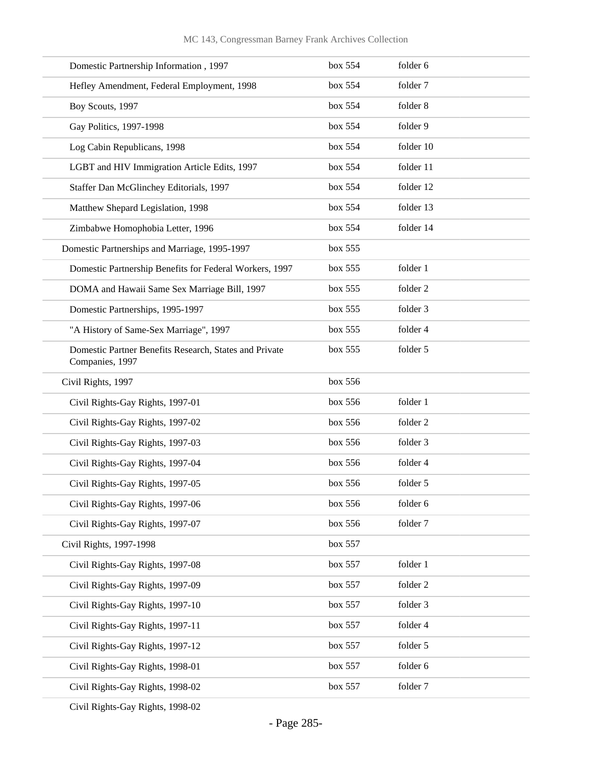| Domestic Partnership Information, 1997                                    | box 554 | folder 6  |
|---------------------------------------------------------------------------|---------|-----------|
| Hefley Amendment, Federal Employment, 1998                                | box 554 | folder 7  |
| Boy Scouts, 1997                                                          | box 554 | folder 8  |
| Gay Politics, 1997-1998                                                   | box 554 | folder 9  |
| Log Cabin Republicans, 1998                                               | box 554 | folder 10 |
| LGBT and HIV Immigration Article Edits, 1997                              | box 554 | folder 11 |
| Staffer Dan McGlinchey Editorials, 1997                                   | box 554 | folder 12 |
| Matthew Shepard Legislation, 1998                                         | box 554 | folder 13 |
| Zimbabwe Homophobia Letter, 1996                                          | box 554 | folder 14 |
| Domestic Partnerships and Marriage, 1995-1997                             | box 555 |           |
| Domestic Partnership Benefits for Federal Workers, 1997                   | box 555 | folder 1  |
| DOMA and Hawaii Same Sex Marriage Bill, 1997                              | box 555 | folder 2  |
| Domestic Partnerships, 1995-1997                                          | box 555 | folder 3  |
| "A History of Same-Sex Marriage", 1997                                    | box 555 | folder 4  |
| Domestic Partner Benefits Research, States and Private<br>Companies, 1997 | box 555 | folder 5  |
| Civil Rights, 1997                                                        | box 556 |           |
| Civil Rights-Gay Rights, 1997-01                                          | box 556 | folder 1  |
| Civil Rights-Gay Rights, 1997-02                                          | box 556 | folder 2  |
| Civil Rights-Gay Rights, 1997-03                                          | box 556 | folder 3  |
| Civil Rights-Gay Rights, 1997-04                                          | box 556 | folder 4  |
| Civil Rights-Gay Rights, 1997-05                                          | box 556 | folder 5  |
| Civil Rights-Gay Rights, 1997-06                                          | box 556 | folder 6  |
| Civil Rights-Gay Rights, 1997-07                                          | box 556 | folder 7  |
| Civil Rights, 1997-1998                                                   | box 557 |           |
| Civil Rights-Gay Rights, 1997-08                                          | box 557 | folder 1  |
| Civil Rights-Gay Rights, 1997-09                                          | box 557 | folder 2  |
| Civil Rights-Gay Rights, 1997-10                                          | box 557 | folder 3  |
| Civil Rights-Gay Rights, 1997-11                                          | box 557 | folder 4  |
| Civil Rights-Gay Rights, 1997-12                                          | box 557 | folder 5  |
| Civil Rights-Gay Rights, 1998-01                                          | box 557 | folder 6  |
| Civil Rights-Gay Rights, 1998-02                                          | box 557 | folder 7  |
|                                                                           |         |           |

Civil Rights-Gay Rights, 1998-02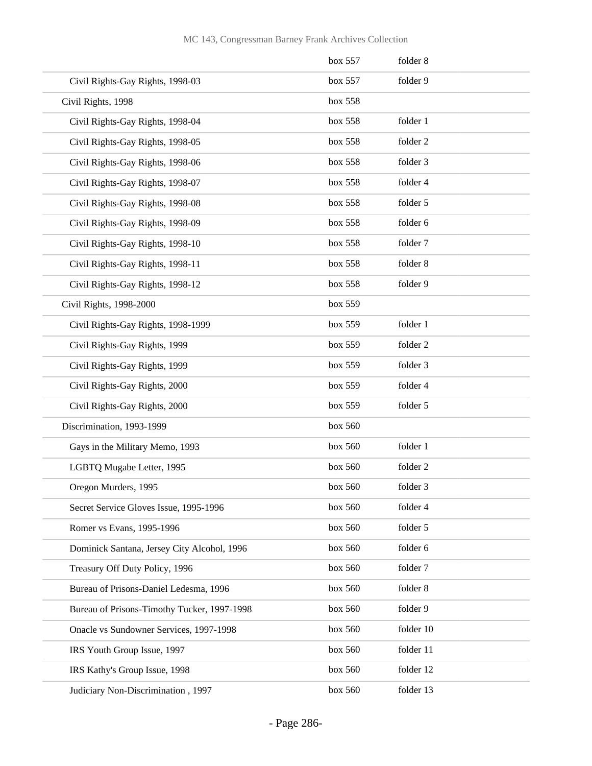|                                             | box 557 | folder 8  |
|---------------------------------------------|---------|-----------|
| Civil Rights-Gay Rights, 1998-03            | box 557 | folder 9  |
| Civil Rights, 1998                          | box 558 |           |
| Civil Rights-Gay Rights, 1998-04            | box 558 | folder 1  |
| Civil Rights-Gay Rights, 1998-05            | box 558 | folder 2  |
| Civil Rights-Gay Rights, 1998-06            | box 558 | folder 3  |
| Civil Rights-Gay Rights, 1998-07            | box 558 | folder 4  |
| Civil Rights-Gay Rights, 1998-08            | box 558 | folder 5  |
| Civil Rights-Gay Rights, 1998-09            | box 558 | folder 6  |
| Civil Rights-Gay Rights, 1998-10            | box 558 | folder 7  |
| Civil Rights-Gay Rights, 1998-11            | box 558 | folder 8  |
| Civil Rights-Gay Rights, 1998-12            | box 558 | folder 9  |
| Civil Rights, 1998-2000                     | box 559 |           |
| Civil Rights-Gay Rights, 1998-1999          | box 559 | folder 1  |
| Civil Rights-Gay Rights, 1999               | box 559 | folder 2  |
| Civil Rights-Gay Rights, 1999               | box 559 | folder 3  |
| Civil Rights-Gay Rights, 2000               | box 559 | folder 4  |
| Civil Rights-Gay Rights, 2000               | box 559 | folder 5  |
| Discrimination, 1993-1999                   | box 560 |           |
| Gays in the Military Memo, 1993             | box 560 | folder 1  |
| LGBTQ Mugabe Letter, 1995                   | box 560 | folder 2  |
| Oregon Murders, 1995                        | box 560 | folder 3  |
| Secret Service Gloves Issue, 1995-1996      | box 560 | folder 4  |
| Romer vs Evans, 1995-1996                   | box 560 | folder 5  |
| Dominick Santana, Jersey City Alcohol, 1996 | box 560 | folder 6  |
| Treasury Off Duty Policy, 1996              | box 560 | folder 7  |
| Bureau of Prisons-Daniel Ledesma, 1996      | box 560 | folder 8  |
| Bureau of Prisons-Timothy Tucker, 1997-1998 | box 560 | folder 9  |
| Onacle vs Sundowner Services, 1997-1998     | box 560 | folder 10 |
| IRS Youth Group Issue, 1997                 | box 560 | folder 11 |
| IRS Kathy's Group Issue, 1998               | box 560 | folder 12 |
| Judiciary Non-Discrimination, 1997          | box 560 | folder 13 |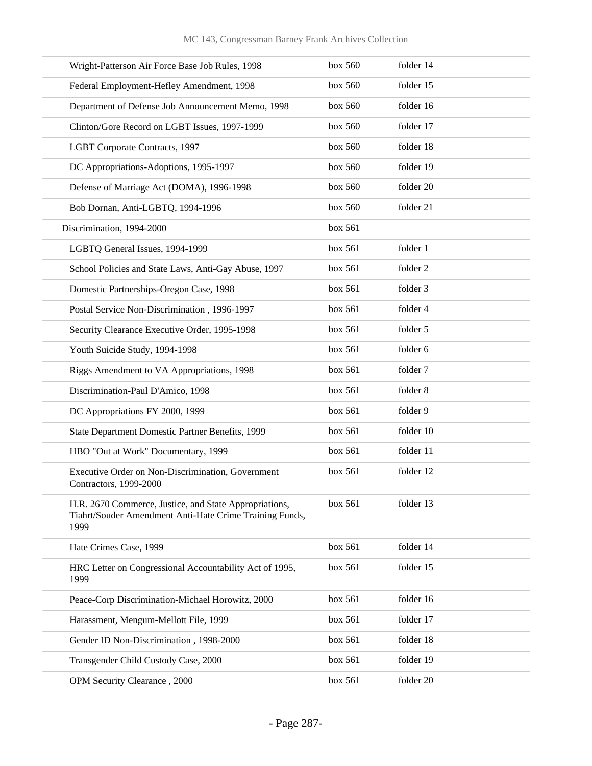| Wright-Patterson Air Force Base Job Rules, 1998                                                                           | box 560 | folder 14 |
|---------------------------------------------------------------------------------------------------------------------------|---------|-----------|
| Federal Employment-Hefley Amendment, 1998                                                                                 | box 560 | folder 15 |
| Department of Defense Job Announcement Memo, 1998                                                                         | box 560 | folder 16 |
| Clinton/Gore Record on LGBT Issues, 1997-1999                                                                             | box 560 | folder 17 |
| LGBT Corporate Contracts, 1997                                                                                            | box 560 | folder 18 |
| DC Appropriations-Adoptions, 1995-1997                                                                                    | box 560 | folder 19 |
| Defense of Marriage Act (DOMA), 1996-1998                                                                                 | box 560 | folder 20 |
| Bob Dornan, Anti-LGBTQ, 1994-1996                                                                                         | box 560 | folder 21 |
| Discrimination, 1994-2000                                                                                                 | box 561 |           |
| LGBTQ General Issues, 1994-1999                                                                                           | box 561 | folder 1  |
| School Policies and State Laws, Anti-Gay Abuse, 1997                                                                      | box 561 | folder 2  |
| Domestic Partnerships-Oregon Case, 1998                                                                                   | box 561 | folder 3  |
| Postal Service Non-Discrimination, 1996-1997                                                                              | box 561 | folder 4  |
| Security Clearance Executive Order, 1995-1998                                                                             | box 561 | folder 5  |
| Youth Suicide Study, 1994-1998                                                                                            | box 561 | folder 6  |
| Riggs Amendment to VA Appropriations, 1998                                                                                | box 561 | folder 7  |
| Discrimination-Paul D'Amico, 1998                                                                                         | box 561 | folder 8  |
| DC Appropriations FY 2000, 1999                                                                                           | box 561 | folder 9  |
| State Department Domestic Partner Benefits, 1999                                                                          | box 561 | folder 10 |
| HBO "Out at Work" Documentary, 1999                                                                                       | box 561 | folder 11 |
| Executive Order on Non-Discrimination, Government<br>Contractors, 1999-2000                                               | box 561 | folder 12 |
| H.R. 2670 Commerce, Justice, and State Appropriations,<br>Tiahrt/Souder Amendment Anti-Hate Crime Training Funds,<br>1999 | box 561 | folder 13 |
| Hate Crimes Case, 1999                                                                                                    | box 561 | folder 14 |
| HRC Letter on Congressional Accountability Act of 1995,<br>1999                                                           | box 561 | folder 15 |
| Peace-Corp Discrimination-Michael Horowitz, 2000                                                                          | box 561 | folder 16 |
| Harassment, Mengum-Mellott File, 1999                                                                                     | box 561 | folder 17 |
| Gender ID Non-Discrimination, 1998-2000                                                                                   | box 561 | folder 18 |
| Transgender Child Custody Case, 2000                                                                                      | box 561 | folder 19 |
| OPM Security Clearance, 2000                                                                                              | box 561 | folder 20 |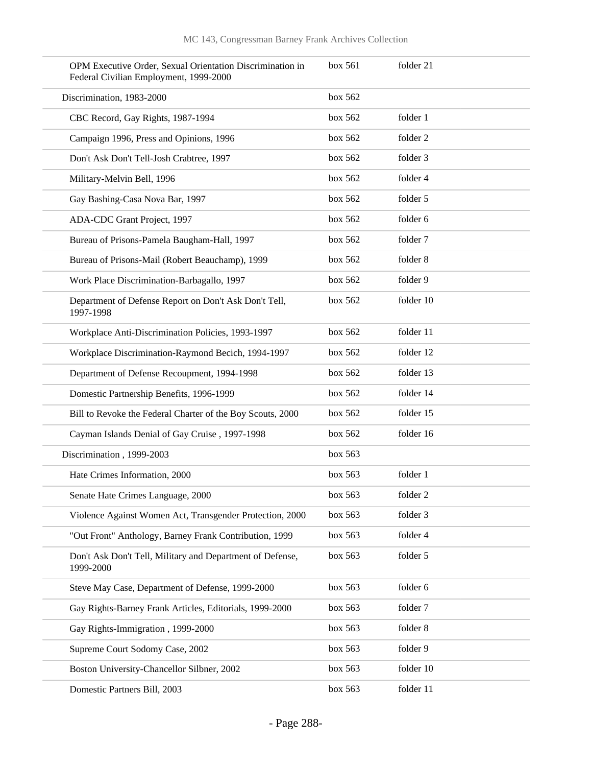| OPM Executive Order, Sexual Orientation Discrimination in<br>Federal Civilian Employment, 1999-2000 | box 561 | folder 21 |
|-----------------------------------------------------------------------------------------------------|---------|-----------|
| Discrimination, 1983-2000                                                                           | box 562 |           |
| CBC Record, Gay Rights, 1987-1994                                                                   | box 562 | folder 1  |
| Campaign 1996, Press and Opinions, 1996                                                             | box 562 | folder 2  |
| Don't Ask Don't Tell-Josh Crabtree, 1997                                                            | box 562 | folder 3  |
| Military-Melvin Bell, 1996                                                                          | box 562 | folder 4  |
| Gay Bashing-Casa Nova Bar, 1997                                                                     | box 562 | folder 5  |
| ADA-CDC Grant Project, 1997                                                                         | box 562 | folder 6  |
| Bureau of Prisons-Pamela Baugham-Hall, 1997                                                         | box 562 | folder 7  |
| Bureau of Prisons-Mail (Robert Beauchamp), 1999                                                     | box 562 | folder 8  |
| Work Place Discrimination-Barbagallo, 1997                                                          | box 562 | folder 9  |
| Department of Defense Report on Don't Ask Don't Tell,<br>1997-1998                                  | box 562 | folder 10 |
| Workplace Anti-Discrimination Policies, 1993-1997                                                   | box 562 | folder 11 |
| Workplace Discrimination-Raymond Becich, 1994-1997                                                  | box 562 | folder 12 |
| Department of Defense Recoupment, 1994-1998                                                         | box 562 | folder 13 |
| Domestic Partnership Benefits, 1996-1999                                                            | box 562 | folder 14 |
| Bill to Revoke the Federal Charter of the Boy Scouts, 2000                                          | box 562 | folder 15 |
| Cayman Islands Denial of Gay Cruise, 1997-1998                                                      | box 562 | folder 16 |
| Discrimination, 1999-2003                                                                           | box 563 |           |
| Hate Crimes Information, 2000                                                                       | box 563 | folder 1  |
| Senate Hate Crimes Language, 2000                                                                   | box 563 | folder 2  |
| Violence Against Women Act, Transgender Protection, 2000                                            | box 563 | folder 3  |
| "Out Front" Anthology, Barney Frank Contribution, 1999                                              | box 563 | folder 4  |
| Don't Ask Don't Tell, Military and Department of Defense,<br>1999-2000                              | box 563 | folder 5  |
| Steve May Case, Department of Defense, 1999-2000                                                    | box 563 | folder 6  |
| Gay Rights-Barney Frank Articles, Editorials, 1999-2000                                             | box 563 | folder 7  |
| Gay Rights-Immigration, 1999-2000                                                                   | box 563 | folder 8  |
| Supreme Court Sodomy Case, 2002                                                                     | box 563 | folder 9  |
| Boston University-Chancellor Silbner, 2002                                                          | box 563 | folder 10 |
| Domestic Partners Bill, 2003                                                                        | box 563 | folder 11 |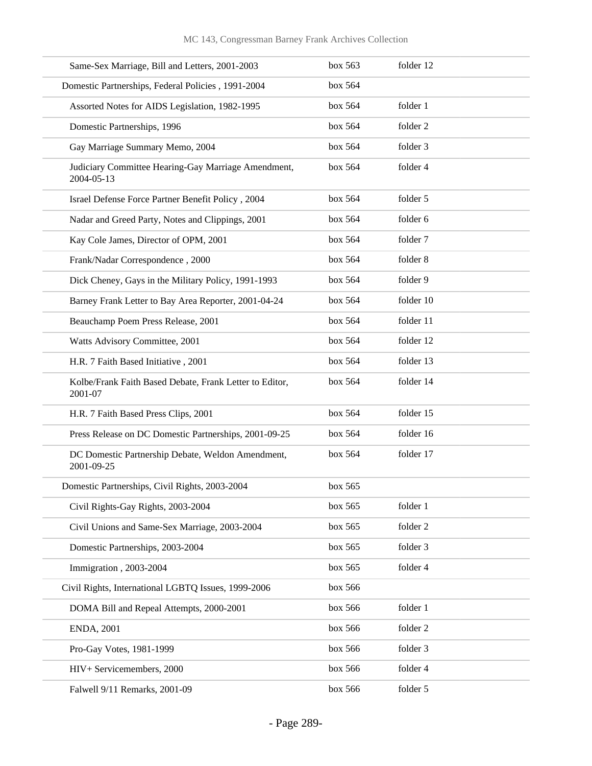| Same-Sex Marriage, Bill and Letters, 2001-2003                     | box 563 | folder 12 |
|--------------------------------------------------------------------|---------|-----------|
| Domestic Partnerships, Federal Policies, 1991-2004                 | box 564 |           |
| Assorted Notes for AIDS Legislation, 1982-1995                     | box 564 | folder 1  |
| Domestic Partnerships, 1996                                        | box 564 | folder 2  |
| Gay Marriage Summary Memo, 2004                                    | box 564 | folder 3  |
| Judiciary Committee Hearing-Gay Marriage Amendment,<br>2004-05-13  | box 564 | folder 4  |
| Israel Defense Force Partner Benefit Policy, 2004                  | box 564 | folder 5  |
| Nadar and Greed Party, Notes and Clippings, 2001                   | box 564 | folder 6  |
| Kay Cole James, Director of OPM, 2001                              | box 564 | folder 7  |
| Frank/Nadar Correspondence, 2000                                   | box 564 | folder 8  |
| Dick Cheney, Gays in the Military Policy, 1991-1993                | box 564 | folder 9  |
| Barney Frank Letter to Bay Area Reporter, 2001-04-24               | box 564 | folder 10 |
| Beauchamp Poem Press Release, 2001                                 | box 564 | folder 11 |
| Watts Advisory Committee, 2001                                     | box 564 | folder 12 |
| H.R. 7 Faith Based Initiative, 2001                                | box 564 | folder 13 |
| Kolbe/Frank Faith Based Debate, Frank Letter to Editor,<br>2001-07 | box 564 | folder 14 |
| H.R. 7 Faith Based Press Clips, 2001                               | box 564 | folder 15 |
| Press Release on DC Domestic Partnerships, 2001-09-25              | box 564 | folder 16 |
| DC Domestic Partnership Debate, Weldon Amendment,<br>2001-09-25    | box 564 | folder 17 |
| Domestic Partnerships, Civil Rights, 2003-2004                     | box~565 |           |
| Civil Rights-Gay Rights, 2003-2004                                 | box 565 | folder 1  |
| Civil Unions and Same-Sex Marriage, 2003-2004                      | box 565 | folder 2  |
| Domestic Partnerships, 2003-2004                                   | box 565 | folder 3  |
| Immigration, 2003-2004                                             | box 565 | folder 4  |
| Civil Rights, International LGBTQ Issues, 1999-2006                | box 566 |           |
| DOMA Bill and Repeal Attempts, 2000-2001                           | box 566 | folder 1  |
| <b>ENDA, 2001</b>                                                  | box 566 | folder 2  |
| Pro-Gay Votes, 1981-1999                                           | box 566 | folder 3  |
| HIV+ Servicemembers, 2000                                          | box 566 | folder 4  |
| Falwell 9/11 Remarks, 2001-09                                      | box 566 | folder 5  |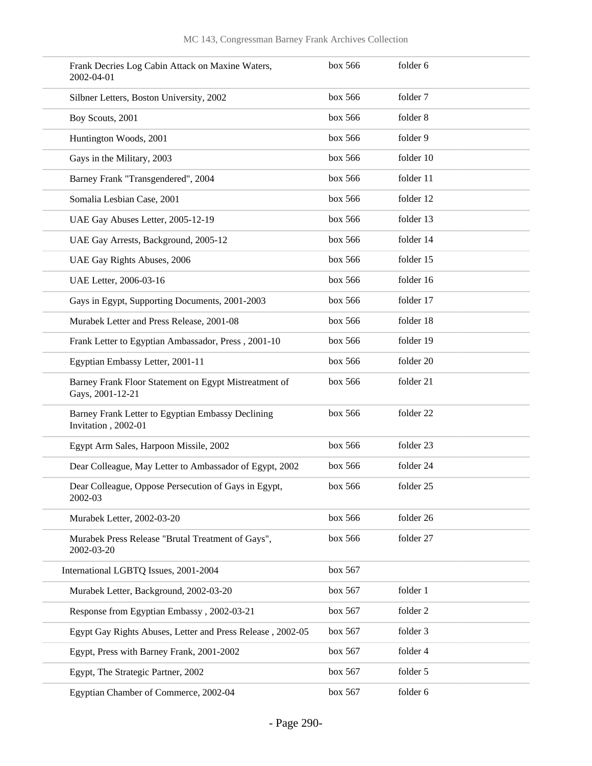| Frank Decries Log Cabin Attack on Maxine Waters,<br>2002-04-01            | box 566 | folder 6  |
|---------------------------------------------------------------------------|---------|-----------|
| Silbner Letters, Boston University, 2002                                  | box 566 | folder 7  |
| Boy Scouts, 2001                                                          | box 566 | folder 8  |
| Huntington Woods, 2001                                                    | box 566 | folder 9  |
| Gays in the Military, 2003                                                | box 566 | folder 10 |
| Barney Frank "Transgendered", 2004                                        | box 566 | folder 11 |
| Somalia Lesbian Case, 2001                                                | box 566 | folder 12 |
| UAE Gay Abuses Letter, 2005-12-19                                         | box 566 | folder 13 |
| UAE Gay Arrests, Background, 2005-12                                      | box 566 | folder 14 |
| UAE Gay Rights Abuses, 2006                                               | box 566 | folder 15 |
| UAE Letter, 2006-03-16                                                    | box 566 | folder 16 |
| Gays in Egypt, Supporting Documents, 2001-2003                            | box 566 | folder 17 |
| Murabek Letter and Press Release, 2001-08                                 | box 566 | folder 18 |
| Frank Letter to Egyptian Ambassador, Press, 2001-10                       | box 566 | folder 19 |
| Egyptian Embassy Letter, 2001-11                                          | box 566 | folder 20 |
| Barney Frank Floor Statement on Egypt Mistreatment of<br>Gays, 2001-12-21 | box 566 | folder 21 |
| Barney Frank Letter to Egyptian Embassy Declining<br>Invitation, 2002-01  | box 566 | folder 22 |
| Egypt Arm Sales, Harpoon Missile, 2002                                    | box 566 | folder 23 |
| Dear Colleague, May Letter to Ambassador of Egypt, 2002                   | box 566 | folder 24 |
| Dear Colleague, Oppose Persecution of Gays in Egypt,<br>2002-03           | box~566 | folder 25 |
| Murabek Letter, 2002-03-20                                                | box 566 | folder 26 |
| Murabek Press Release "Brutal Treatment of Gays",<br>2002-03-20           | box 566 | folder 27 |
| International LGBTQ Issues, 2001-2004                                     | box 567 |           |
| Murabek Letter, Background, 2002-03-20                                    | box 567 | folder 1  |
| Response from Egyptian Embassy, 2002-03-21                                | box 567 | folder 2  |
| Egypt Gay Rights Abuses, Letter and Press Release, 2002-05                | box 567 | folder 3  |
| Egypt, Press with Barney Frank, 2001-2002                                 | box 567 | folder 4  |
| Egypt, The Strategic Partner, 2002                                        | box 567 | folder 5  |
| Egyptian Chamber of Commerce, 2002-04                                     | box 567 | folder 6  |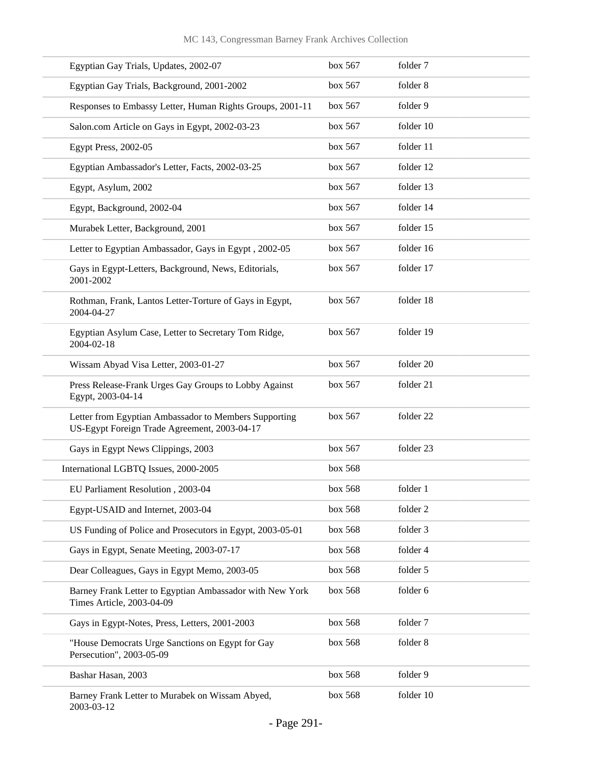| Egyptian Gay Trials, Updates, 2002-07                                                                 | box 567 | folder 7  |
|-------------------------------------------------------------------------------------------------------|---------|-----------|
| Egyptian Gay Trials, Background, 2001-2002                                                            | box 567 | folder 8  |
| Responses to Embassy Letter, Human Rights Groups, 2001-11                                             | box 567 | folder 9  |
| Salon.com Article on Gays in Egypt, 2002-03-23                                                        | box 567 | folder 10 |
| Egypt Press, 2002-05                                                                                  | box 567 | folder 11 |
| Egyptian Ambassador's Letter, Facts, 2002-03-25                                                       | box 567 | folder 12 |
| Egypt, Asylum, 2002                                                                                   | box 567 | folder 13 |
| Egypt, Background, 2002-04                                                                            | box 567 | folder 14 |
| Murabek Letter, Background, 2001                                                                      | box 567 | folder 15 |
| Letter to Egyptian Ambassador, Gays in Egypt, 2002-05                                                 | box 567 | folder 16 |
| Gays in Egypt-Letters, Background, News, Editorials,<br>2001-2002                                     | box 567 | folder 17 |
| Rothman, Frank, Lantos Letter-Torture of Gays in Egypt,<br>2004-04-27                                 | box 567 | folder 18 |
| Egyptian Asylum Case, Letter to Secretary Tom Ridge,<br>2004-02-18                                    | box 567 | folder 19 |
| Wissam Abyad Visa Letter, 2003-01-27                                                                  | box 567 | folder 20 |
| Press Release-Frank Urges Gay Groups to Lobby Against<br>Egypt, 2003-04-14                            | box 567 | folder 21 |
| Letter from Egyptian Ambassador to Members Supporting<br>US-Egypt Foreign Trade Agreement, 2003-04-17 | box 567 | folder 22 |
| Gays in Egypt News Clippings, 2003                                                                    | box 567 | folder 23 |
| International LGBTQ Issues, 2000-2005                                                                 | box 568 |           |
| EU Parliament Resolution, 2003-04                                                                     | box 568 | folder 1  |
| Egypt-USAID and Internet, 2003-04                                                                     | box 568 | folder 2  |
| US Funding of Police and Prosecutors in Egypt, 2003-05-01                                             | box 568 | folder 3  |
| Gays in Egypt, Senate Meeting, 2003-07-17                                                             | box 568 | folder 4  |
| Dear Colleagues, Gays in Egypt Memo, 2003-05                                                          | box 568 | folder 5  |
| Barney Frank Letter to Egyptian Ambassador with New York<br>Times Article, 2003-04-09                 | box 568 | folder 6  |
| Gays in Egypt-Notes, Press, Letters, 2001-2003                                                        | box 568 | folder 7  |
| "House Democrats Urge Sanctions on Egypt for Gay<br>Persecution", 2003-05-09                          | box 568 | folder 8  |
| Bashar Hasan, 2003                                                                                    | box 568 | folder 9  |
| Barney Frank Letter to Murabek on Wissam Abyed,<br>2003-03-12                                         | box 568 | folder 10 |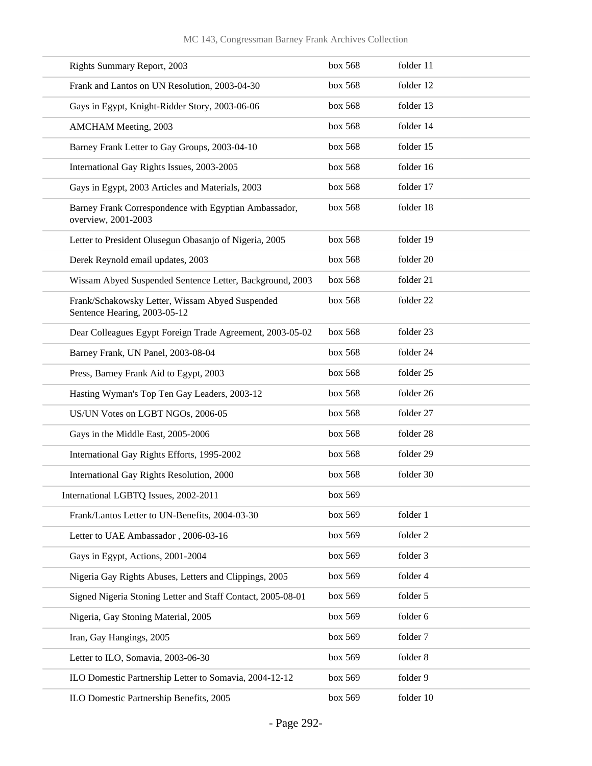| <b>Rights Summary Report, 2003</b>                                              | box 568 | folder 11 |
|---------------------------------------------------------------------------------|---------|-----------|
| Frank and Lantos on UN Resolution, 2003-04-30                                   | box 568 | folder 12 |
| Gays in Egypt, Knight-Ridder Story, 2003-06-06                                  | box 568 | folder 13 |
| <b>AMCHAM Meeting, 2003</b>                                                     | box 568 | folder 14 |
| Barney Frank Letter to Gay Groups, 2003-04-10                                   | box 568 | folder 15 |
| International Gay Rights Issues, 2003-2005                                      | box 568 | folder 16 |
| Gays in Egypt, 2003 Articles and Materials, 2003                                | box 568 | folder 17 |
| Barney Frank Correspondence with Egyptian Ambassador,<br>overview, 2001-2003    | box 568 | folder 18 |
| Letter to President Olusegun Obasanjo of Nigeria, 2005                          | box 568 | folder 19 |
| Derek Reynold email updates, 2003                                               | box 568 | folder 20 |
| Wissam Abyed Suspended Sentence Letter, Background, 2003                        | box 568 | folder 21 |
| Frank/Schakowsky Letter, Wissam Abyed Suspended<br>Sentence Hearing, 2003-05-12 | box 568 | folder 22 |
| Dear Colleagues Egypt Foreign Trade Agreement, 2003-05-02                       | box 568 | folder 23 |
| Barney Frank, UN Panel, 2003-08-04                                              | box 568 | folder 24 |
| Press, Barney Frank Aid to Egypt, 2003                                          | box 568 | folder 25 |
| Hasting Wyman's Top Ten Gay Leaders, 2003-12                                    | box 568 | folder 26 |
| US/UN Votes on LGBT NGOs, 2006-05                                               | box 568 | folder 27 |
| Gays in the Middle East, 2005-2006                                              | box 568 | folder 28 |
| International Gay Rights Efforts, 1995-2002                                     | box 568 | folder 29 |
| International Gay Rights Resolution, 2000                                       | box 568 | folder 30 |
| International LGBTQ Issues, 2002-2011                                           | box 569 |           |
| Frank/Lantos Letter to UN-Benefits, 2004-03-30                                  | box 569 | folder 1  |
| Letter to UAE Ambassador, 2006-03-16                                            | box 569 | folder 2  |
| Gays in Egypt, Actions, 2001-2004                                               | box 569 | folder 3  |
| Nigeria Gay Rights Abuses, Letters and Clippings, 2005                          | box 569 | folder 4  |
| Signed Nigeria Stoning Letter and Staff Contact, 2005-08-01                     | box 569 | folder 5  |
| Nigeria, Gay Stoning Material, 2005                                             | box 569 | folder 6  |
| Iran, Gay Hangings, 2005                                                        | box 569 | folder 7  |
| Letter to ILO, Somavia, 2003-06-30                                              | box 569 | folder 8  |
| ILO Domestic Partnership Letter to Somavia, 2004-12-12                          | box 569 | folder 9  |
| ILO Domestic Partnership Benefits, 2005                                         | box 569 | folder 10 |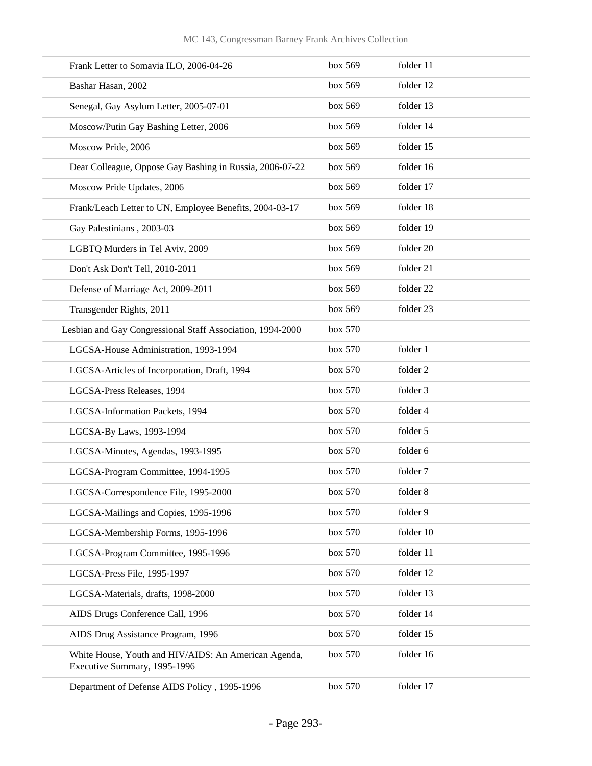| Frank Letter to Somavia ILO, 2006-04-26                                              | box 569 | folder 11 |
|--------------------------------------------------------------------------------------|---------|-----------|
| Bashar Hasan, 2002                                                                   | box 569 | folder 12 |
| Senegal, Gay Asylum Letter, 2005-07-01                                               | box 569 | folder 13 |
| Moscow/Putin Gay Bashing Letter, 2006                                                | box 569 | folder 14 |
| Moscow Pride, 2006                                                                   | box 569 | folder 15 |
| Dear Colleague, Oppose Gay Bashing in Russia, 2006-07-22                             | box 569 | folder 16 |
| Moscow Pride Updates, 2006                                                           | box 569 | folder 17 |
| Frank/Leach Letter to UN, Employee Benefits, 2004-03-17                              | box 569 | folder 18 |
| Gay Palestinians, 2003-03                                                            | box 569 | folder 19 |
| LGBTQ Murders in Tel Aviv, 2009                                                      | box 569 | folder 20 |
| Don't Ask Don't Tell, 2010-2011                                                      | box 569 | folder 21 |
| Defense of Marriage Act, 2009-2011                                                   | box 569 | folder 22 |
| Transgender Rights, 2011                                                             | box 569 | folder 23 |
| Lesbian and Gay Congressional Staff Association, 1994-2000                           | box 570 |           |
| LGCSA-House Administration, 1993-1994                                                | box 570 | folder 1  |
| LGCSA-Articles of Incorporation, Draft, 1994                                         | box 570 | folder 2  |
| LGCSA-Press Releases, 1994                                                           | box 570 | folder 3  |
| LGCSA-Information Packets, 1994                                                      | box 570 | folder 4  |
| LGCSA-By Laws, 1993-1994                                                             | box 570 | folder 5  |
| LGCSA-Minutes, Agendas, 1993-1995                                                    | box 570 | folder 6  |
| LGCSA-Program Committee, 1994-1995                                                   | box 570 | folder 7  |
| LGCSA-Correspondence File, 1995-2000                                                 | box 570 | folder 8  |
| LGCSA-Mailings and Copies, 1995-1996                                                 | box 570 | folder 9  |
| LGCSA-Membership Forms, 1995-1996                                                    | box 570 | folder 10 |
| LGCSA-Program Committee, 1995-1996                                                   | box 570 | folder 11 |
| LGCSA-Press File, 1995-1997                                                          | box 570 | folder 12 |
| LGCSA-Materials, drafts, 1998-2000                                                   | box 570 | folder 13 |
| AIDS Drugs Conference Call, 1996                                                     | box 570 | folder 14 |
| AIDS Drug Assistance Program, 1996                                                   | box 570 | folder 15 |
| White House, Youth and HIV/AIDS: An American Agenda,<br>Executive Summary, 1995-1996 | box 570 | folder 16 |
| Department of Defense AIDS Policy, 1995-1996                                         | box 570 | folder 17 |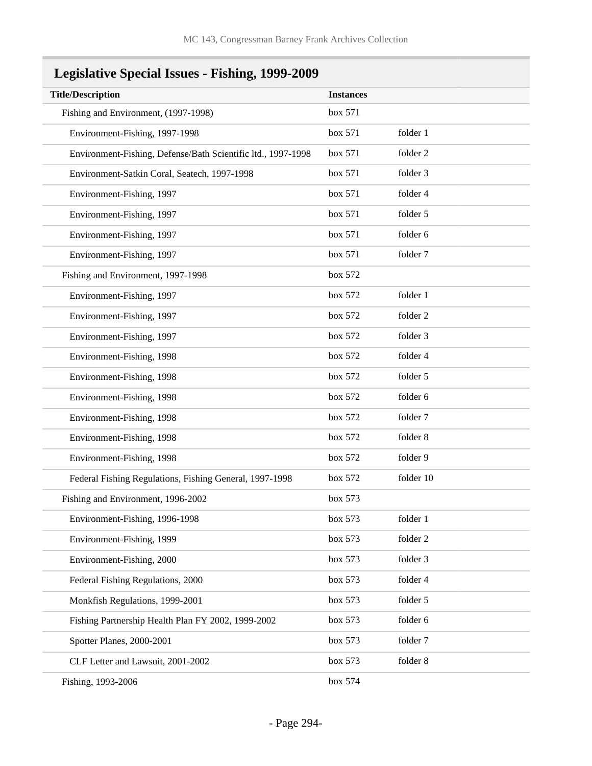| Legislative Special Issues - Fishing, 1999-2009 |  |
|-------------------------------------------------|--|
|                                                 |  |

| <b>Title/Description</b>                                     | <b>Instances</b> |           |
|--------------------------------------------------------------|------------------|-----------|
| Fishing and Environment, (1997-1998)                         | box 571          |           |
| Environment-Fishing, 1997-1998                               | box 571          | folder 1  |
| Environment-Fishing, Defense/Bath Scientific ltd., 1997-1998 | box 571          | folder 2  |
| Environment-Satkin Coral, Seatech, 1997-1998                 | box 571          | folder 3  |
| Environment-Fishing, 1997                                    | box 571          | folder 4  |
| Environment-Fishing, 1997                                    | box 571          | folder 5  |
| Environment-Fishing, 1997                                    | box 571          | folder 6  |
| Environment-Fishing, 1997                                    | box 571          | folder 7  |
| Fishing and Environment, 1997-1998                           | box 572          |           |
| Environment-Fishing, 1997                                    | box 572          | folder 1  |
| Environment-Fishing, 1997                                    | box 572          | folder 2  |
| Environment-Fishing, 1997                                    | box 572          | folder 3  |
| Environment-Fishing, 1998                                    | box 572          | folder 4  |
| Environment-Fishing, 1998                                    | box 572          | folder 5  |
| Environment-Fishing, 1998                                    | box 572          | folder 6  |
| Environment-Fishing, 1998                                    | box 572          | folder 7  |
| Environment-Fishing, 1998                                    | box 572          | folder 8  |
| Environment-Fishing, 1998                                    | box 572          | folder 9  |
| Federal Fishing Regulations, Fishing General, 1997-1998      | box 572          | folder 10 |
| Fishing and Environment, 1996-2002                           | box 573          |           |
| Environment-Fishing, 1996-1998                               | box 573          | folder 1  |
| Environment-Fishing, 1999                                    | box 573          | folder 2  |
| Environment-Fishing, 2000                                    | box 573          | folder 3  |
| Federal Fishing Regulations, 2000                            | box 573          | folder 4  |
| Monkfish Regulations, 1999-2001                              | box 573          | folder 5  |
| Fishing Partnership Health Plan FY 2002, 1999-2002           | box 573          | folder 6  |
| Spotter Planes, 2000-2001                                    | box 573          | folder 7  |
| CLF Letter and Lawsuit, 2001-2002                            | box 573          | folder 8  |
| Fishing, 1993-2006                                           | box 574          |           |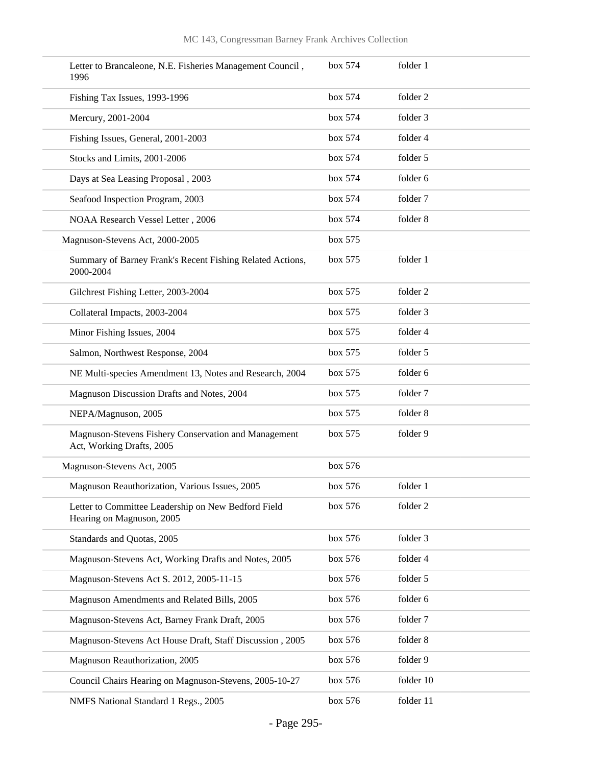| Letter to Brancaleone, N.E. Fisheries Management Council,<br>1996                 | box 574 | folder 1  |
|-----------------------------------------------------------------------------------|---------|-----------|
| Fishing Tax Issues, 1993-1996                                                     | box 574 | folder 2  |
| Mercury, 2001-2004                                                                | box 574 | folder 3  |
| Fishing Issues, General, 2001-2003                                                | box 574 | folder 4  |
| Stocks and Limits, 2001-2006                                                      | box 574 | folder 5  |
| Days at Sea Leasing Proposal, 2003                                                | box 574 | folder 6  |
| Seafood Inspection Program, 2003                                                  | box 574 | folder 7  |
| NOAA Research Vessel Letter, 2006                                                 | box 574 | folder 8  |
| Magnuson-Stevens Act, 2000-2005                                                   | box 575 |           |
| Summary of Barney Frank's Recent Fishing Related Actions,<br>2000-2004            | box 575 | folder 1  |
| Gilchrest Fishing Letter, 2003-2004                                               | box 575 | folder 2  |
| Collateral Impacts, 2003-2004                                                     | box 575 | folder 3  |
| Minor Fishing Issues, 2004                                                        | box 575 | folder 4  |
| Salmon, Northwest Response, 2004                                                  | box 575 | folder 5  |
| NE Multi-species Amendment 13, Notes and Research, 2004                           | box 575 | folder 6  |
| Magnuson Discussion Drafts and Notes, 2004                                        | box 575 | folder 7  |
| NEPA/Magnuson, 2005                                                               | box 575 | folder 8  |
| Magnuson-Stevens Fishery Conservation and Management<br>Act, Working Drafts, 2005 | box 575 | folder 9  |
| Magnuson-Stevens Act, 2005                                                        | box 576 |           |
| Magnuson Reauthorization, Various Issues, 2005                                    | box~576 | folder 1  |
| Letter to Committee Leadership on New Bedford Field<br>Hearing on Magnuson, 2005  | box 576 | folder 2  |
| Standards and Quotas, 2005                                                        | box 576 | folder 3  |
| Magnuson-Stevens Act, Working Drafts and Notes, 2005                              | box 576 | folder 4  |
| Magnuson-Stevens Act S. 2012, 2005-11-15                                          | box 576 | folder 5  |
| Magnuson Amendments and Related Bills, 2005                                       | box 576 | folder 6  |
| Magnuson-Stevens Act, Barney Frank Draft, 2005                                    | box 576 | folder 7  |
| Magnuson-Stevens Act House Draft, Staff Discussion, 2005                          | box 576 | folder 8  |
| Magnuson Reauthorization, 2005                                                    | box 576 | folder 9  |
| Council Chairs Hearing on Magnuson-Stevens, 2005-10-27                            | box 576 | folder 10 |
| NMFS National Standard 1 Regs., 2005                                              | box 576 | folder 11 |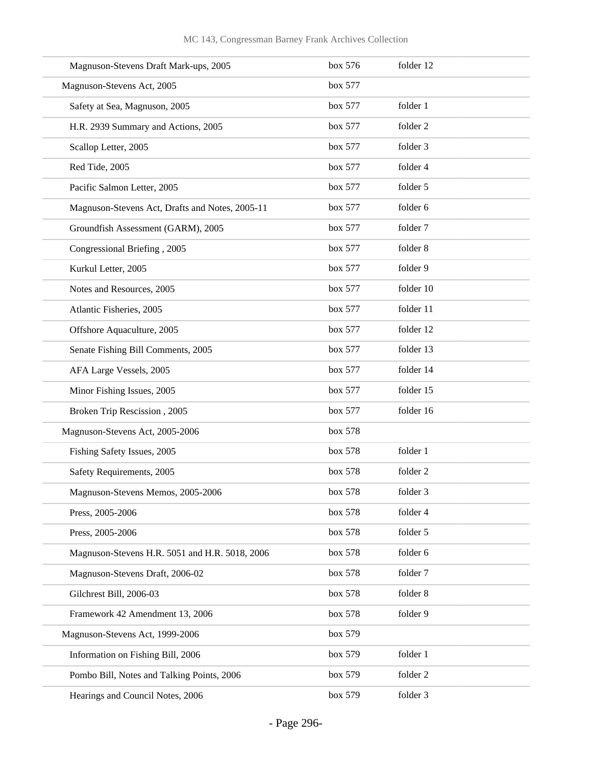| Magnuson-Stevens Draft Mark-ups, 2005           | box 576 | folder 12 |
|-------------------------------------------------|---------|-----------|
| Magnuson-Stevens Act, 2005                      | box 577 |           |
| Safety at Sea, Magnuson, 2005                   | box 577 | folder 1  |
| H.R. 2939 Summary and Actions, 2005             | box 577 | folder 2  |
| Scallop Letter, 2005                            | box 577 | folder 3  |
| Red Tide, 2005                                  | box 577 | folder 4  |
| Pacific Salmon Letter, 2005                     | box 577 | folder 5  |
| Magnuson-Stevens Act, Drafts and Notes, 2005-11 | box 577 | folder 6  |
| Groundfish Assessment (GARM), 2005              | box 577 | folder 7  |
| Congressional Briefing, 2005                    | box 577 | folder 8  |
| Kurkul Letter, 2005                             | box 577 | folder 9  |
| Notes and Resources, 2005                       | box 577 | folder 10 |
| Atlantic Fisheries, 2005                        | box 577 | folder 11 |
| Offshore Aquaculture, 2005                      | box 577 | folder 12 |
| Senate Fishing Bill Comments, 2005              | box 577 | folder 13 |
| AFA Large Vessels, 2005                         | box 577 | folder 14 |
| Minor Fishing Issues, 2005                      | box 577 | folder 15 |
| Broken Trip Rescission, 2005                    | box 577 | folder 16 |
| Magnuson-Stevens Act, 2005-2006                 | box 578 |           |
| Fishing Safety Issues, 2005                     | box 578 | folder 1  |
| Safety Requirements, 2005                       | box 578 | folder 2  |
| Magnuson-Stevens Memos, 2005-2006               | box 578 | folder 3  |
| Press, 2005-2006                                | box 578 | folder 4  |
| Press, 2005-2006                                | box 578 | folder 5  |
| Magnuson-Stevens H.R. 5051 and H.R. 5018, 2006  | box 578 | folder 6  |
| Magnuson-Stevens Draft, 2006-02                 | box 578 | folder 7  |
| Gilchrest Bill, 2006-03                         | box 578 | folder 8  |
| Framework 42 Amendment 13, 2006                 | box 578 | folder 9  |
| Magnuson-Stevens Act, 1999-2006                 | box 579 |           |
| Information on Fishing Bill, 2006               | box 579 | folder 1  |
| Pombo Bill, Notes and Talking Points, 2006      | box 579 | folder 2  |
| Hearings and Council Notes, 2006                | box 579 | folder 3  |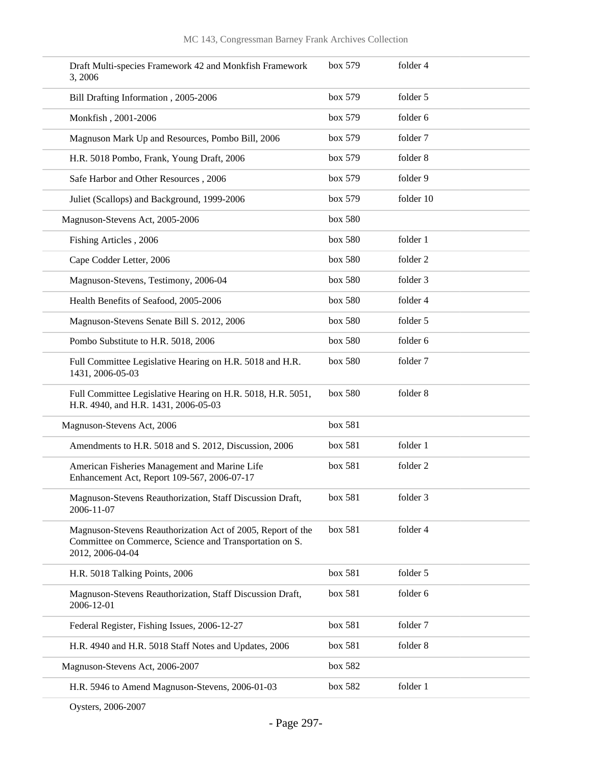| Draft Multi-species Framework 42 and Monkfish Framework<br>3, 2006                                                                         | box 579 | folder 4  |
|--------------------------------------------------------------------------------------------------------------------------------------------|---------|-----------|
| Bill Drafting Information, 2005-2006                                                                                                       | box 579 | folder 5  |
| Monkfish, 2001-2006                                                                                                                        | box 579 | folder 6  |
| Magnuson Mark Up and Resources, Pombo Bill, 2006                                                                                           | box 579 | folder 7  |
| H.R. 5018 Pombo, Frank, Young Draft, 2006                                                                                                  | box 579 | folder 8  |
| Safe Harbor and Other Resources, 2006                                                                                                      | box 579 | folder 9  |
| Juliet (Scallops) and Background, 1999-2006                                                                                                | box 579 | folder 10 |
| Magnuson-Stevens Act, 2005-2006                                                                                                            | box 580 |           |
| Fishing Articles, 2006                                                                                                                     | box 580 | folder 1  |
| Cape Codder Letter, 2006                                                                                                                   | box 580 | folder 2  |
| Magnuson-Stevens, Testimony, 2006-04                                                                                                       | box 580 | folder 3  |
| Health Benefits of Seafood, 2005-2006                                                                                                      | box 580 | folder 4  |
| Magnuson-Stevens Senate Bill S. 2012, 2006                                                                                                 | box 580 | folder 5  |
| Pombo Substitute to H.R. 5018, 2006                                                                                                        | box 580 | folder 6  |
| Full Committee Legislative Hearing on H.R. 5018 and H.R.<br>1431, 2006-05-03                                                               | box 580 | folder 7  |
| Full Committee Legislative Hearing on H.R. 5018, H.R. 5051,<br>H.R. 4940, and H.R. 1431, 2006-05-03                                        | box 580 | folder 8  |
| Magnuson-Stevens Act, 2006                                                                                                                 | box 581 |           |
| Amendments to H.R. 5018 and S. 2012, Discussion, 2006                                                                                      | box 581 | folder 1  |
| American Fisheries Management and Marine Life<br>Enhancement Act, Report 109-567, 2006-07-17                                               | box 581 | folder 2  |
| Magnuson-Stevens Reauthorization, Staff Discussion Draft,<br>2006-11-07                                                                    | box 581 | folder 3  |
| Magnuson-Stevens Reauthorization Act of 2005, Report of the<br>Committee on Commerce, Science and Transportation on S.<br>2012, 2006-04-04 | box 581 | folder 4  |
| H.R. 5018 Talking Points, 2006                                                                                                             | box 581 | folder 5  |
| Magnuson-Stevens Reauthorization, Staff Discussion Draft,<br>2006-12-01                                                                    | box 581 | folder 6  |
| Federal Register, Fishing Issues, 2006-12-27                                                                                               | box 581 | folder 7  |
| H.R. 4940 and H.R. 5018 Staff Notes and Updates, 2006                                                                                      | box 581 | folder 8  |
| Magnuson-Stevens Act, 2006-2007                                                                                                            | box 582 |           |
| H.R. 5946 to Amend Magnuson-Stevens, 2006-01-03                                                                                            | box 582 | folder 1  |
|                                                                                                                                            |         |           |

Oysters, 2006-2007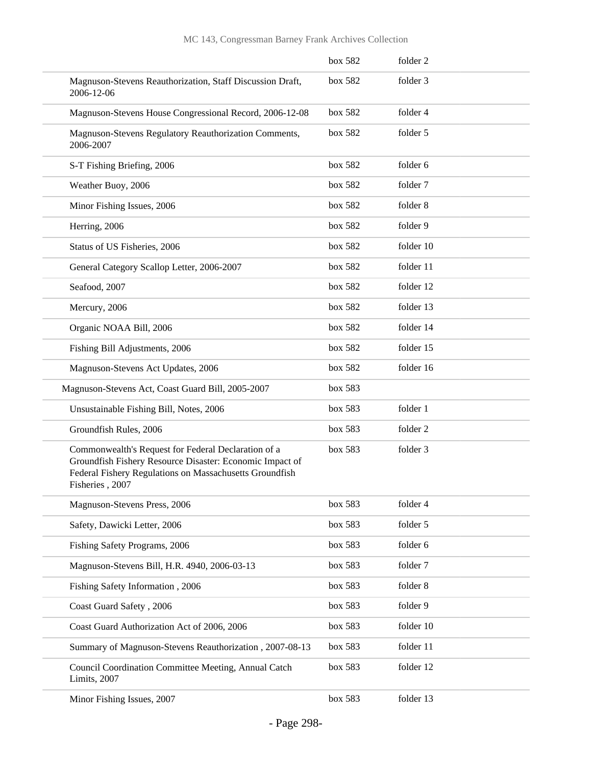|                                                                                                                                                                                               | box 582 | folder 2  |
|-----------------------------------------------------------------------------------------------------------------------------------------------------------------------------------------------|---------|-----------|
| Magnuson-Stevens Reauthorization, Staff Discussion Draft,<br>2006-12-06                                                                                                                       | box 582 | folder 3  |
| Magnuson-Stevens House Congressional Record, 2006-12-08                                                                                                                                       | box 582 | folder 4  |
| Magnuson-Stevens Regulatory Reauthorization Comments,<br>2006-2007                                                                                                                            | box 582 | folder 5  |
| S-T Fishing Briefing, 2006                                                                                                                                                                    | box 582 | folder 6  |
| Weather Buoy, 2006                                                                                                                                                                            | box 582 | folder 7  |
| Minor Fishing Issues, 2006                                                                                                                                                                    | box 582 | folder 8  |
| Herring, 2006                                                                                                                                                                                 | box 582 | folder 9  |
| Status of US Fisheries, 2006                                                                                                                                                                  | box 582 | folder 10 |
| General Category Scallop Letter, 2006-2007                                                                                                                                                    | box 582 | folder 11 |
| Seafood, 2007                                                                                                                                                                                 | box 582 | folder 12 |
| Mercury, 2006                                                                                                                                                                                 | box 582 | folder 13 |
| Organic NOAA Bill, 2006                                                                                                                                                                       | box 582 | folder 14 |
| Fishing Bill Adjustments, 2006                                                                                                                                                                | box 582 | folder 15 |
| Magnuson-Stevens Act Updates, 2006                                                                                                                                                            | box 582 | folder 16 |
| Magnuson-Stevens Act, Coast Guard Bill, 2005-2007                                                                                                                                             | box 583 |           |
| Unsustainable Fishing Bill, Notes, 2006                                                                                                                                                       | box 583 | folder 1  |
| Groundfish Rules, 2006                                                                                                                                                                        | box 583 | folder 2  |
| Commonwealth's Request for Federal Declaration of a<br>Groundfish Fishery Resource Disaster: Economic Impact of<br>Federal Fishery Regulations on Massachusetts Groundfish<br>Fisheries, 2007 | box 583 | folder 3  |
| Magnuson-Stevens Press, 2006                                                                                                                                                                  | box 583 | folder 4  |
| Safety, Dawicki Letter, 2006                                                                                                                                                                  | box 583 | folder 5  |
| Fishing Safety Programs, 2006                                                                                                                                                                 | box 583 | folder 6  |
| Magnuson-Stevens Bill, H.R. 4940, 2006-03-13                                                                                                                                                  | box 583 | folder 7  |
| Fishing Safety Information, 2006                                                                                                                                                              | box 583 | folder 8  |
| Coast Guard Safety, 2006                                                                                                                                                                      | box 583 | folder 9  |
| Coast Guard Authorization Act of 2006, 2006                                                                                                                                                   | box 583 | folder 10 |
| Summary of Magnuson-Stevens Reauthorization, 2007-08-13                                                                                                                                       | box 583 | folder 11 |
| Council Coordination Committee Meeting, Annual Catch<br>Limits, 2007                                                                                                                          | box 583 | folder 12 |
| Minor Fishing Issues, 2007                                                                                                                                                                    | box 583 | folder 13 |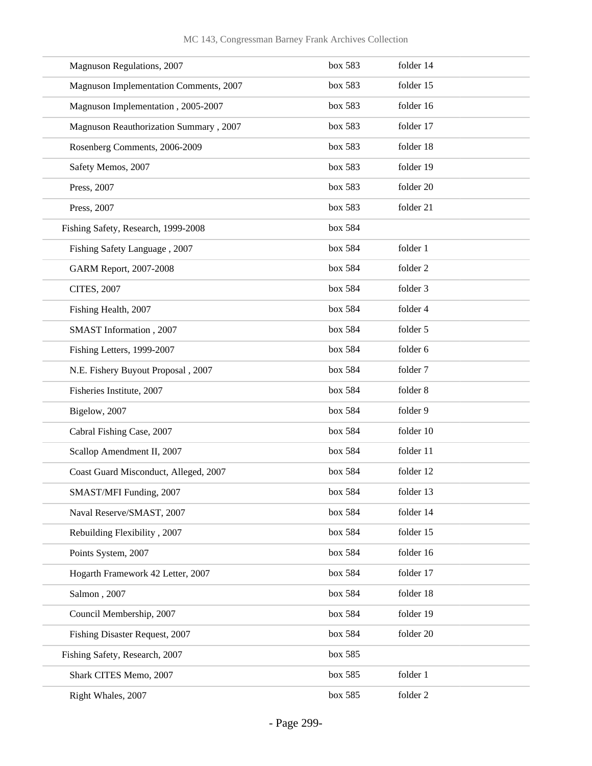| Magnuson Regulations, 2007             | box 583 | folder 14 |
|----------------------------------------|---------|-----------|
| Magnuson Implementation Comments, 2007 | box 583 | folder 15 |
| Magnuson Implementation, 2005-2007     | box 583 | folder 16 |
| Magnuson Reauthorization Summary, 2007 | box 583 | folder 17 |
| Rosenberg Comments, 2006-2009          | box 583 | folder 18 |
| Safety Memos, 2007                     | box 583 | folder 19 |
| Press, 2007                            | box 583 | folder 20 |
| Press, 2007                            | box 583 | folder 21 |
| Fishing Safety, Research, 1999-2008    | box 584 |           |
| Fishing Safety Language, 2007          | box 584 | folder 1  |
| GARM Report, 2007-2008                 | box 584 | folder 2  |
| <b>CITES, 2007</b>                     | box 584 | folder 3  |
| Fishing Health, 2007                   | box 584 | folder 4  |
| SMAST Information, 2007                | box 584 | folder 5  |
| Fishing Letters, 1999-2007             | box 584 | folder 6  |
| N.E. Fishery Buyout Proposal, 2007     | box 584 | folder 7  |
| Fisheries Institute, 2007              | box 584 | folder 8  |
| Bigelow, 2007                          | box 584 | folder 9  |
| Cabral Fishing Case, 2007              | box 584 | folder 10 |
| Scallop Amendment II, 2007             | box 584 | folder 11 |
| Coast Guard Misconduct, Alleged, 2007  | box 584 | folder 12 |
| SMAST/MFI Funding, 2007                | box~584 | folder 13 |
| Naval Reserve/SMAST, 2007              | box 584 | folder 14 |
| Rebuilding Flexibility, 2007           | box 584 | folder 15 |
| Points System, 2007                    | box 584 | folder 16 |
| Hogarth Framework 42 Letter, 2007      | box 584 | folder 17 |
| Salmon, 2007                           | box 584 | folder 18 |
| Council Membership, 2007               | box 584 | folder 19 |
| Fishing Disaster Request, 2007         | box 584 | folder 20 |
| Fishing Safety, Research, 2007         | box 585 |           |
| Shark CITES Memo, 2007                 | box 585 | folder 1  |
| Right Whales, 2007                     | box 585 | folder 2  |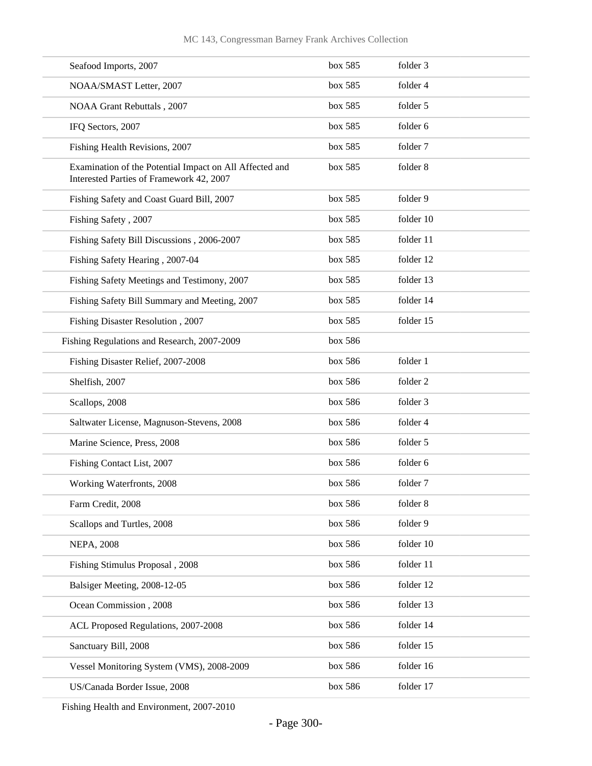| Seafood Imports, 2007                                                                               | box 585 | folder 3  |
|-----------------------------------------------------------------------------------------------------|---------|-----------|
| NOAA/SMAST Letter, 2007                                                                             | box 585 | folder 4  |
| NOAA Grant Rebuttals, 2007                                                                          | box 585 | folder 5  |
| IFQ Sectors, 2007                                                                                   | box 585 | folder 6  |
| Fishing Health Revisions, 2007                                                                      | box 585 | folder 7  |
| Examination of the Potential Impact on All Affected and<br>Interested Parties of Framework 42, 2007 | box 585 | folder 8  |
| Fishing Safety and Coast Guard Bill, 2007                                                           | box 585 | folder 9  |
| Fishing Safety, 2007                                                                                | box 585 | folder 10 |
| Fishing Safety Bill Discussions, 2006-2007                                                          | box 585 | folder 11 |
| Fishing Safety Hearing, 2007-04                                                                     | box 585 | folder 12 |
| Fishing Safety Meetings and Testimony, 2007                                                         | box 585 | folder 13 |
| Fishing Safety Bill Summary and Meeting, 2007                                                       | box 585 | folder 14 |
| Fishing Disaster Resolution, 2007                                                                   | box 585 | folder 15 |
| Fishing Regulations and Research, 2007-2009                                                         | box 586 |           |
| Fishing Disaster Relief, 2007-2008                                                                  | box 586 | folder 1  |
| Shelfish, 2007                                                                                      | box 586 | folder 2  |
| Scallops, 2008                                                                                      | box 586 | folder 3  |
| Saltwater License, Magnuson-Stevens, 2008                                                           | box 586 | folder 4  |
| Marine Science, Press, 2008                                                                         | box 586 | folder 5  |
| Fishing Contact List, 2007                                                                          | box 586 | folder 6  |
| Working Waterfronts, 2008                                                                           | box 586 | folder 7  |
| Farm Credit, 2008                                                                                   | box 586 | folder 8  |
| Scallops and Turtles, 2008                                                                          | box 586 | folder 9  |
| <b>NEPA, 2008</b>                                                                                   | box 586 | folder 10 |
| Fishing Stimulus Proposal, 2008                                                                     | box 586 | folder 11 |
| Balsiger Meeting, 2008-12-05                                                                        | box 586 | folder 12 |
| Ocean Commission, 2008                                                                              | box 586 | folder 13 |
| ACL Proposed Regulations, 2007-2008                                                                 | box 586 | folder 14 |
| Sanctuary Bill, 2008                                                                                | box 586 | folder 15 |
| Vessel Monitoring System (VMS), 2008-2009                                                           | box 586 | folder 16 |
| US/Canada Border Issue, 2008                                                                        | box 586 | folder 17 |

Fishing Health and Environment, 2007-2010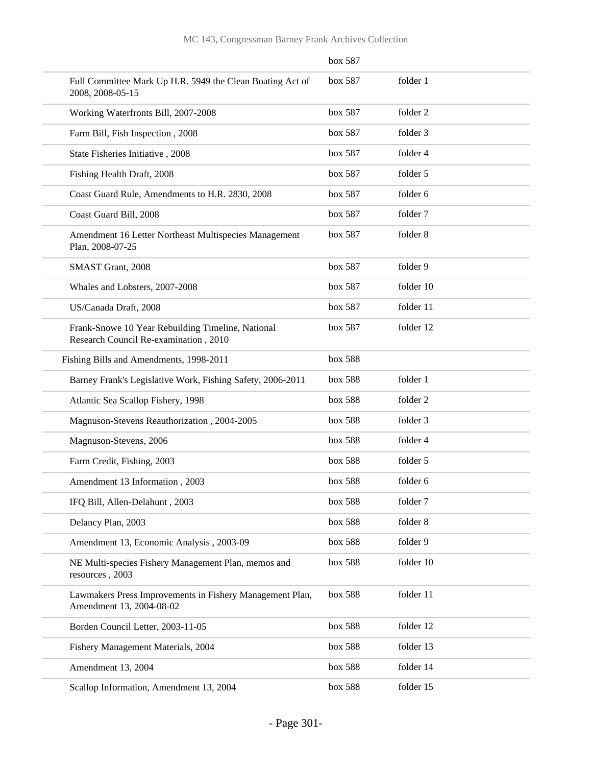|                                                                                            | $60X$ $58/$ |           |
|--------------------------------------------------------------------------------------------|-------------|-----------|
| Full Committee Mark Up H.R. 5949 the Clean Boating Act of<br>2008, 2008-05-15              | box 587     | folder 1  |
| Working Waterfronts Bill, 2007-2008                                                        | box 587     | folder 2  |
| Farm Bill, Fish Inspection, 2008                                                           | box 587     | folder 3  |
| State Fisheries Initiative, 2008                                                           | box 587     | folder 4  |
| Fishing Health Draft, 2008                                                                 | box 587     | folder 5  |
| Coast Guard Rule, Amendments to H.R. 2830, 2008                                            | box 587     | folder 6  |
| Coast Guard Bill, 2008                                                                     | box 587     | folder 7  |
| Amendment 16 Letter Northeast Multispecies Management<br>Plan, 2008-07-25                  | box 587     | folder 8  |
| SMAST Grant, 2008                                                                          | box 587     | folder 9  |
| Whales and Lobsters, 2007-2008                                                             | box 587     | folder 10 |
| US/Canada Draft, 2008                                                                      | box 587     | folder 11 |
| Frank-Snowe 10 Year Rebuilding Timeline, National<br>Research Council Re-examination, 2010 | box 587     | folder 12 |
| Fishing Bills and Amendments, 1998-2011                                                    | box 588     |           |
| Barney Frank's Legislative Work, Fishing Safety, 2006-2011                                 | box 588     | folder 1  |
| Atlantic Sea Scallop Fishery, 1998                                                         | box 588     | folder 2  |
| Magnuson-Stevens Reauthorization, 2004-2005                                                | box 588     | folder 3  |
| Magnuson-Stevens, 2006                                                                     | box 588     | folder 4  |
| Farm Credit, Fishing, 2003                                                                 | box 588     | folder 5  |
| Amendment 13 Information, 2003                                                             | box 588     | folder 6  |
| IFQ Bill, Allen-Delahunt, 2003                                                             | box 588     | folder 7  |
| Delancy Plan, 2003                                                                         | box 588     | folder 8  |
| Amendment 13, Economic Analysis, 2003-09                                                   | box 588     | folder 9  |
| NE Multi-species Fishery Management Plan, memos and<br>resources, 2003                     | box 588     | folder 10 |
| Lawmakers Press Improvements in Fishery Management Plan,<br>Amendment 13, 2004-08-02       | box 588     | folder 11 |
| Borden Council Letter, 2003-11-05                                                          | box 588     | folder 12 |
| Fishery Management Materials, 2004                                                         | box 588     | folder 13 |
| Amendment 13, 2004                                                                         | box 588     | folder 14 |
| Scallop Information, Amendment 13, 2004                                                    | box 588     | folder 15 |

### box 587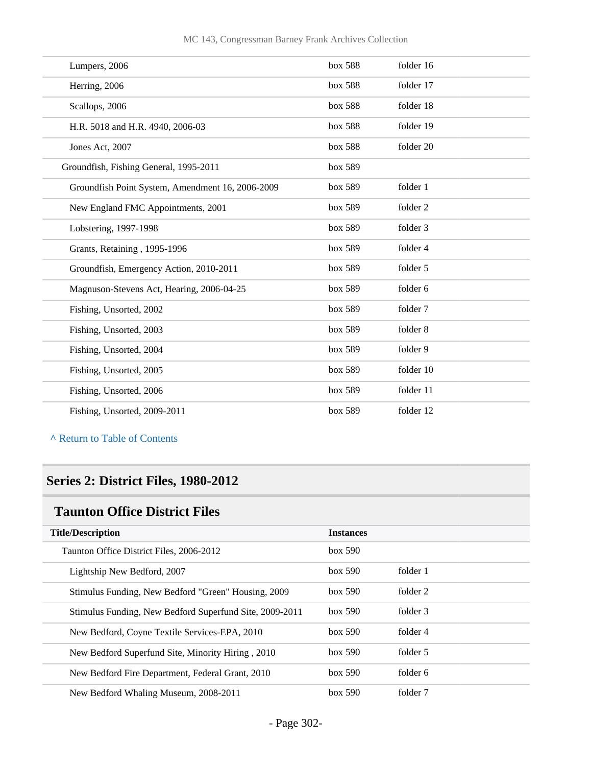| Lumpers, 2006                                    | box 588 | folder 16           |
|--------------------------------------------------|---------|---------------------|
| Herring, 2006                                    | box 588 | folder 17           |
| Scallops, 2006                                   | box 588 | folder 18           |
| H.R. 5018 and H.R. 4940, 2006-03                 | box 588 | folder 19           |
| Jones Act, 2007                                  | box 588 | folder 20           |
| Groundfish, Fishing General, 1995-2011           | box 589 |                     |
| Groundfish Point System, Amendment 16, 2006-2009 | box 589 | folder 1            |
| New England FMC Appointments, 2001               | box 589 | folder <sub>2</sub> |
| Lobstering, 1997-1998                            | box 589 | folder 3            |
| Grants, Retaining, 1995-1996                     | box 589 | folder 4            |
| Groundfish, Emergency Action, 2010-2011          | box 589 | folder 5            |
| Magnuson-Stevens Act, Hearing, 2006-04-25        | box 589 | folder 6            |
| Fishing, Unsorted, 2002                          | box 589 | folder 7            |
| Fishing, Unsorted, 2003                          | box 589 | folder 8            |
| Fishing, Unsorted, 2004                          | box 589 | folder 9            |
| Fishing, Unsorted, 2005                          | box 589 | folder 10           |
| Fishing, Unsorted, 2006                          | box 589 | folder 11           |
| Fishing, Unsorted, 2009-2011                     | box 589 | folder 12           |

**^** [Return to Table of Contents](#page-1-0)

## **Series 2: District Files, 1980-2012**

### **Taunton Office District Files**

| <b>Title/Description</b>                                | <b>Instances</b> |          |  |
|---------------------------------------------------------|------------------|----------|--|
| Taunton Office District Files, 2006-2012                | box~590          |          |  |
| Lightship New Bedford, 2007                             | box~590          | folder 1 |  |
| Stimulus Funding, New Bedford "Green" Housing, 2009     | box~590          | folder 2 |  |
| Stimulus Funding, New Bedford Superfund Site, 2009-2011 | box~590          | folder 3 |  |
| New Bedford, Coyne Textile Services-EPA, 2010           | box~590          | folder 4 |  |
| New Bedford Superfund Site, Minority Hiring, 2010       | box~590          | folder 5 |  |
| New Bedford Fire Department, Federal Grant, 2010        | box~590          | folder 6 |  |
| New Bedford Whaling Museum, 2008-2011                   | box~590          | folder 7 |  |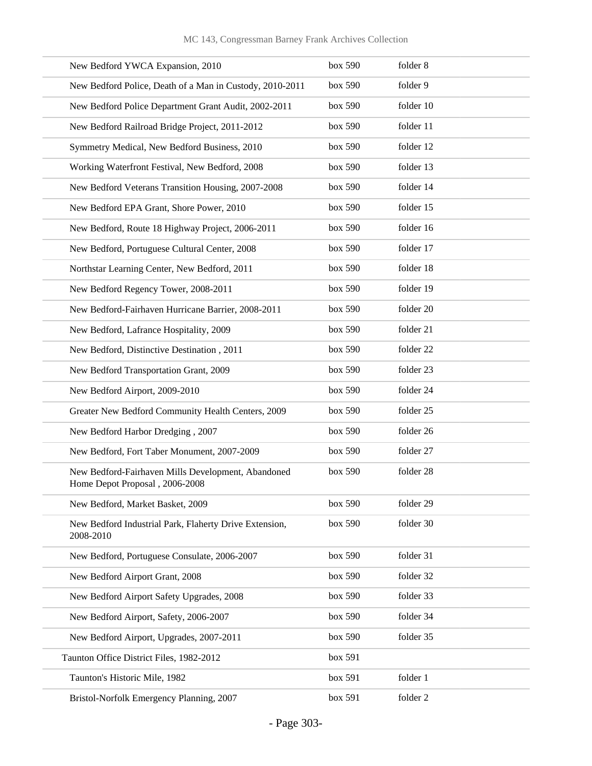| New Bedford YWCA Expansion, 2010                                                     | box 590 | folder 8  |
|--------------------------------------------------------------------------------------|---------|-----------|
| New Bedford Police, Death of a Man in Custody, 2010-2011                             | box 590 | folder 9  |
| New Bedford Police Department Grant Audit, 2002-2011                                 | box 590 | folder 10 |
| New Bedford Railroad Bridge Project, 2011-2012                                       | box 590 | folder 11 |
| Symmetry Medical, New Bedford Business, 2010                                         | box 590 | folder 12 |
| Working Waterfront Festival, New Bedford, 2008                                       | box 590 | folder 13 |
| New Bedford Veterans Transition Housing, 2007-2008                                   | box 590 | folder 14 |
| New Bedford EPA Grant, Shore Power, 2010                                             | box 590 | folder 15 |
| New Bedford, Route 18 Highway Project, 2006-2011                                     | box 590 | folder 16 |
| New Bedford, Portuguese Cultural Center, 2008                                        | box 590 | folder 17 |
| Northstar Learning Center, New Bedford, 2011                                         | box 590 | folder 18 |
| New Bedford Regency Tower, 2008-2011                                                 | box 590 | folder 19 |
| New Bedford-Fairhaven Hurricane Barrier, 2008-2011                                   | box 590 | folder 20 |
| New Bedford, Lafrance Hospitality, 2009                                              | box 590 | folder 21 |
| New Bedford, Distinctive Destination, 2011                                           | box 590 | folder 22 |
| New Bedford Transportation Grant, 2009                                               | box 590 | folder 23 |
| New Bedford Airport, 2009-2010                                                       | box 590 | folder 24 |
| Greater New Bedford Community Health Centers, 2009                                   | box 590 | folder 25 |
| New Bedford Harbor Dredging, 2007                                                    | box 590 | folder 26 |
| New Bedford, Fort Taber Monument, 2007-2009                                          | box 590 | folder 27 |
| New Bedford-Fairhaven Mills Development, Abandoned<br>Home Depot Proposal, 2006-2008 | box 590 | folder 28 |
| New Bedford, Market Basket, 2009                                                     | box 590 | folder 29 |
| New Bedford Industrial Park, Flaherty Drive Extension,<br>2008-2010                  | box 590 | folder 30 |
| New Bedford, Portuguese Consulate, 2006-2007                                         | box 590 | folder 31 |
| New Bedford Airport Grant, 2008                                                      | box 590 | folder 32 |
| New Bedford Airport Safety Upgrades, 2008                                            | box 590 | folder 33 |
| New Bedford Airport, Safety, 2006-2007                                               | box 590 | folder 34 |
| New Bedford Airport, Upgrades, 2007-2011                                             | box 590 | folder 35 |
| Taunton Office District Files, 1982-2012                                             | box 591 |           |
| Taunton's Historic Mile, 1982                                                        | box 591 | folder 1  |
| Bristol-Norfolk Emergency Planning, 2007                                             | box 591 | folder 2  |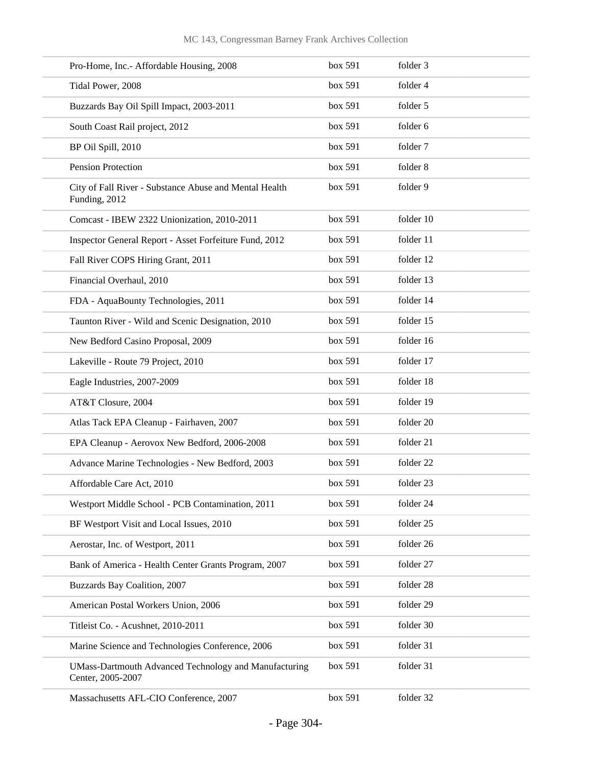| Pro-Home, Inc.- Affordable Housing, 2008                                          | box 591 | folder 3  |
|-----------------------------------------------------------------------------------|---------|-----------|
| Tidal Power, 2008                                                                 | box 591 | folder 4  |
| Buzzards Bay Oil Spill Impact, 2003-2011                                          | box 591 | folder 5  |
| South Coast Rail project, 2012                                                    | box 591 | folder 6  |
| BP Oil Spill, 2010                                                                | box 591 | folder 7  |
| Pension Protection                                                                | box 591 | folder 8  |
| City of Fall River - Substance Abuse and Mental Health<br>Funding, 2012           | box 591 | folder 9  |
| Comcast - IBEW 2322 Unionization, 2010-2011                                       | box 591 | folder 10 |
| Inspector General Report - Asset Forfeiture Fund, 2012                            | box 591 | folder 11 |
| Fall River COPS Hiring Grant, 2011                                                | box 591 | folder 12 |
| Financial Overhaul, 2010                                                          | box 591 | folder 13 |
| FDA - AquaBounty Technologies, 2011                                               | box 591 | folder 14 |
| Taunton River - Wild and Scenic Designation, 2010                                 | box 591 | folder 15 |
| New Bedford Casino Proposal, 2009                                                 | box 591 | folder 16 |
| Lakeville - Route 79 Project, 2010                                                | box 591 | folder 17 |
| Eagle Industries, 2007-2009                                                       | box 591 | folder 18 |
| AT&T Closure, 2004                                                                | box 591 | folder 19 |
| Atlas Tack EPA Cleanup - Fairhaven, 2007                                          | box 591 | folder 20 |
| EPA Cleanup - Aerovox New Bedford, 2006-2008                                      | box 591 | folder 21 |
| Advance Marine Technologies - New Bedford, 2003                                   | box 591 | folder 22 |
| Affordable Care Act, 2010                                                         | box 591 | folder 23 |
| Westport Middle School - PCB Contamination, 2011                                  | box 591 | folder 24 |
| BF Westport Visit and Local Issues, 2010                                          | box 591 | folder 25 |
| Aerostar, Inc. of Westport, 2011                                                  | box 591 | folder 26 |
| Bank of America - Health Center Grants Program, 2007                              | box 591 | folder 27 |
| Buzzards Bay Coalition, 2007                                                      | box 591 | folder 28 |
| American Postal Workers Union, 2006                                               | box 591 | folder 29 |
| Titleist Co. - Acushnet, 2010-2011                                                | box 591 | folder 30 |
| Marine Science and Technologies Conference, 2006                                  | box 591 | folder 31 |
| <b>UMass-Dartmouth Advanced Technology and Manufacturing</b><br>Center, 2005-2007 | box 591 | folder 31 |
| Massachusetts AFL-CIO Conference, 2007                                            | box 591 | folder 32 |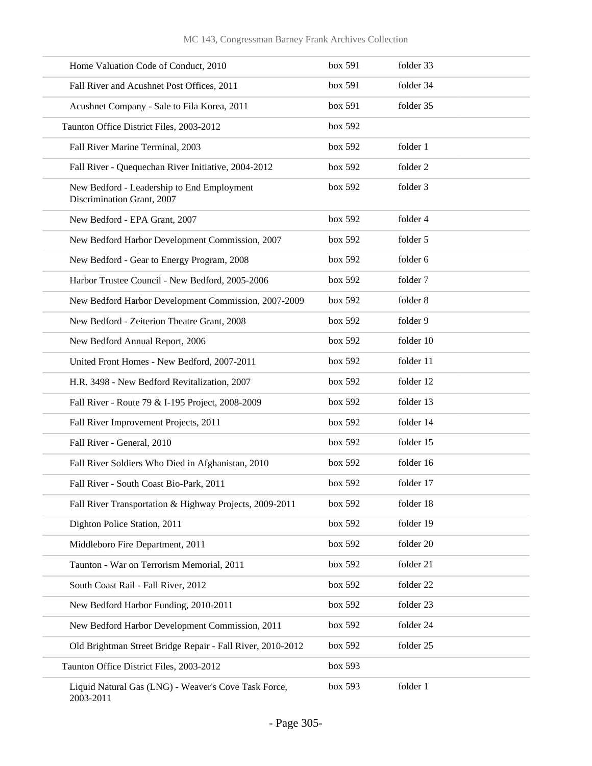| Home Valuation Code of Conduct, 2010                                     | box 591 | folder 33 |
|--------------------------------------------------------------------------|---------|-----------|
| Fall River and Acushnet Post Offices, 2011                               | box 591 | folder 34 |
| Acushnet Company - Sale to Fila Korea, 2011                              | box 591 | folder 35 |
| Taunton Office District Files, 2003-2012                                 | box 592 |           |
| Fall River Marine Terminal, 2003                                         | box 592 | folder 1  |
| Fall River - Quequechan River Initiative, 2004-2012                      | box 592 | folder 2  |
| New Bedford - Leadership to End Employment<br>Discrimination Grant, 2007 | box 592 | folder 3  |
| New Bedford - EPA Grant, 2007                                            | box 592 | folder 4  |
| New Bedford Harbor Development Commission, 2007                          | box 592 | folder 5  |
| New Bedford - Gear to Energy Program, 2008                               | box 592 | folder 6  |
| Harbor Trustee Council - New Bedford, 2005-2006                          | box 592 | folder 7  |
| New Bedford Harbor Development Commission, 2007-2009                     | box 592 | folder 8  |
| New Bedford - Zeiterion Theatre Grant, 2008                              | box 592 | folder 9  |
| New Bedford Annual Report, 2006                                          | box 592 | folder 10 |
| United Front Homes - New Bedford, 2007-2011                              | box 592 | folder 11 |
| H.R. 3498 - New Bedford Revitalization, 2007                             | box 592 | folder 12 |
| Fall River - Route 79 & I-195 Project, 2008-2009                         | box 592 | folder 13 |
| Fall River Improvement Projects, 2011                                    | box 592 | folder 14 |
| Fall River - General, 2010                                               | box 592 | folder 15 |
| Fall River Soldiers Who Died in Afghanistan, 2010                        | box 592 | folder 16 |
| Fall River - South Coast Bio-Park, 2011                                  | box 592 | folder 17 |
| Fall River Transportation & Highway Projects, 2009-2011                  | box 592 | folder 18 |
| Dighton Police Station, 2011                                             | box 592 | folder 19 |
| Middleboro Fire Department, 2011                                         | box 592 | folder 20 |
| Taunton - War on Terrorism Memorial, 2011                                | box 592 | folder 21 |
| South Coast Rail - Fall River, 2012                                      | box 592 | folder 22 |
| New Bedford Harbor Funding, 2010-2011                                    | box 592 | folder 23 |
| New Bedford Harbor Development Commission, 2011                          | box 592 | folder 24 |
| Old Brightman Street Bridge Repair - Fall River, 2010-2012               | box 592 | folder 25 |
| Taunton Office District Files, 2003-2012                                 | box 593 |           |
| Liquid Natural Gas (LNG) - Weaver's Cove Task Force,<br>2003-2011        | box 593 | folder 1  |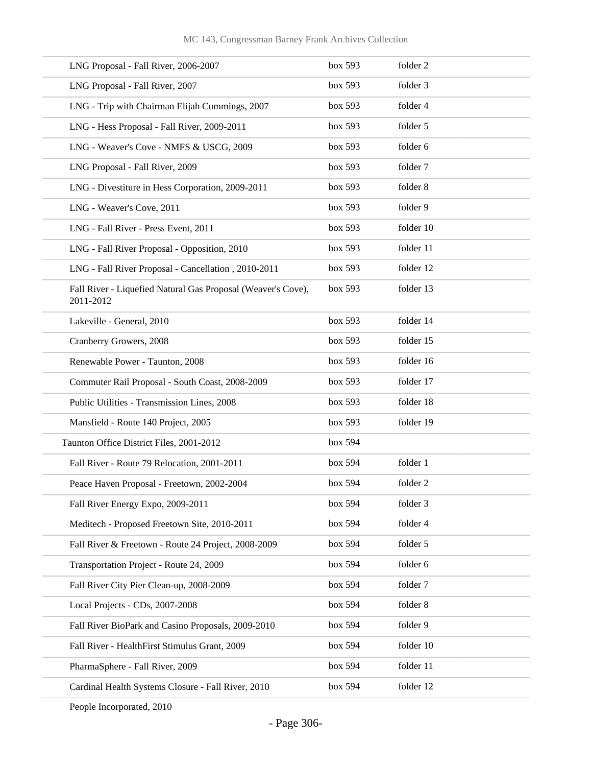| LNG Proposal - Fall River, 2006-2007                                      | box 593 | folder 2  |
|---------------------------------------------------------------------------|---------|-----------|
| LNG Proposal - Fall River, 2007                                           | box 593 | folder 3  |
| LNG - Trip with Chairman Elijah Cummings, 2007                            | box 593 | folder 4  |
| LNG - Hess Proposal - Fall River, 2009-2011                               | box 593 | folder 5  |
| LNG - Weaver's Cove - NMFS & USCG, 2009                                   | box 593 | folder 6  |
| LNG Proposal - Fall River, 2009                                           | box 593 | folder 7  |
| LNG - Divestiture in Hess Corporation, 2009-2011                          | box 593 | folder 8  |
| LNG - Weaver's Cove, 2011                                                 | box 593 | folder 9  |
| LNG - Fall River - Press Event, 2011                                      | box 593 | folder 10 |
| LNG - Fall River Proposal - Opposition, 2010                              | box 593 | folder 11 |
| LNG - Fall River Proposal - Cancellation, 2010-2011                       | box 593 | folder 12 |
| Fall River - Liquefied Natural Gas Proposal (Weaver's Cove),<br>2011-2012 | box 593 | folder 13 |
| Lakeville - General, 2010                                                 | box 593 | folder 14 |
| Cranberry Growers, 2008                                                   | box 593 | folder 15 |
| Renewable Power - Taunton, 2008                                           | box 593 | folder 16 |
| Commuter Rail Proposal - South Coast, 2008-2009                           | box 593 | folder 17 |
| Public Utilities - Transmission Lines, 2008                               | box 593 | folder 18 |
| Mansfield - Route 140 Project, 2005                                       | box 593 | folder 19 |
| Taunton Office District Files, 2001-2012                                  | box 594 |           |
| Fall River - Route 79 Relocation, 2001-2011                               | box 594 | folder 1  |
| Peace Haven Proposal - Freetown, 2002-2004                                | box 594 | folder 2  |
| Fall River Energy Expo, 2009-2011                                         | box 594 | folder 3  |
| Meditech - Proposed Freetown Site, 2010-2011                              | box 594 | folder 4  |
| Fall River & Freetown - Route 24 Project, 2008-2009                       | box 594 | folder 5  |
| Transportation Project - Route 24, 2009                                   | box 594 | folder 6  |
| Fall River City Pier Clean-up, 2008-2009                                  | box 594 | folder 7  |
| Local Projects - CDs, 2007-2008                                           | box 594 | folder 8  |
| Fall River BioPark and Casino Proposals, 2009-2010                        | box 594 | folder 9  |
| Fall River - HealthFirst Stimulus Grant, 2009                             | box 594 | folder 10 |
| PharmaSphere - Fall River, 2009                                           | box 594 | folder 11 |
| Cardinal Health Systems Closure - Fall River, 2010                        | box 594 | folder 12 |
|                                                                           |         |           |

People Incorporated, 2010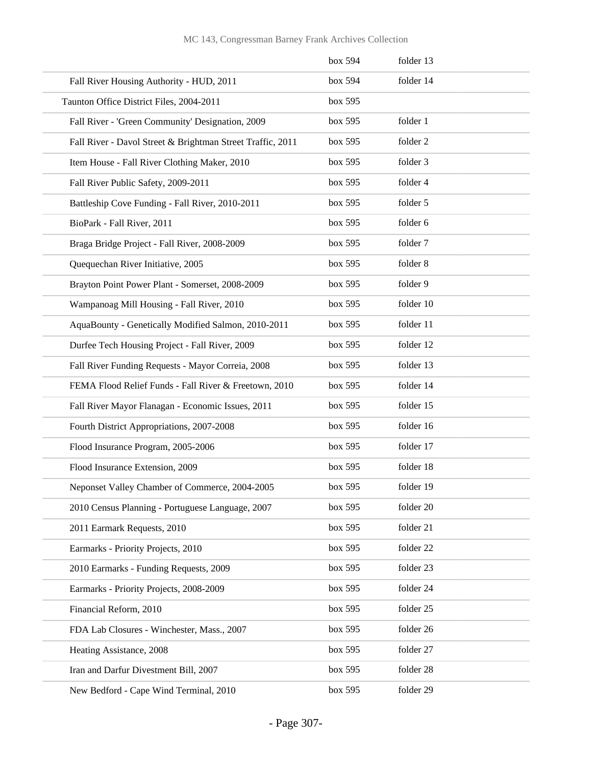#### MC 143, Congressman Barney Frank Archives Collection

|                                                            | box 594 | folder 13 |
|------------------------------------------------------------|---------|-----------|
| Fall River Housing Authority - HUD, 2011                   | box 594 | folder 14 |
| Taunton Office District Files, 2004-2011                   | box 595 |           |
| Fall River - 'Green Community' Designation, 2009           | box 595 | folder 1  |
| Fall River - Davol Street & Brightman Street Traffic, 2011 | box 595 | folder 2  |
| Item House - Fall River Clothing Maker, 2010               | box 595 | folder 3  |
| Fall River Public Safety, 2009-2011                        | box 595 | folder 4  |
| Battleship Cove Funding - Fall River, 2010-2011            | box 595 | folder 5  |
| BioPark - Fall River, 2011                                 | box 595 | folder 6  |
| Braga Bridge Project - Fall River, 2008-2009               | box 595 | folder 7  |
| Quequechan River Initiative, 2005                          | box 595 | folder 8  |
| Brayton Point Power Plant - Somerset, 2008-2009            | box 595 | folder 9  |
| Wampanoag Mill Housing - Fall River, 2010                  | box 595 | folder 10 |
| AquaBounty - Genetically Modified Salmon, 2010-2011        | box 595 | folder 11 |
| Durfee Tech Housing Project - Fall River, 2009             | box 595 | folder 12 |
| Fall River Funding Requests - Mayor Correia, 2008          | box 595 | folder 13 |
| FEMA Flood Relief Funds - Fall River & Freetown, 2010      | box 595 | folder 14 |
| Fall River Mayor Flanagan - Economic Issues, 2011          | box 595 | folder 15 |
| Fourth District Appropriations, 2007-2008                  | box 595 | folder 16 |
| Flood Insurance Program, 2005-2006                         | box 595 | folder 17 |
| Flood Insurance Extension, 2009                            | box 595 | folder 18 |
| Neponset Valley Chamber of Commerce, 2004-2005             | box~595 | folder 19 |
| 2010 Census Planning - Portuguese Language, 2007           | box 595 | folder 20 |
| 2011 Earmark Requests, 2010                                | box 595 | folder 21 |
| Earmarks - Priority Projects, 2010                         | box 595 | folder 22 |
| 2010 Earmarks - Funding Requests, 2009                     | box 595 | folder 23 |
| Earmarks - Priority Projects, 2008-2009                    | box 595 | folder 24 |
| Financial Reform, 2010                                     | box 595 | folder 25 |
| FDA Lab Closures - Winchester, Mass., 2007                 | box 595 | folder 26 |
| Heating Assistance, 2008                                   | box 595 | folder 27 |
| Iran and Darfur Divestment Bill, 2007                      | box 595 | folder 28 |
| New Bedford - Cape Wind Terminal, 2010                     | box 595 | folder 29 |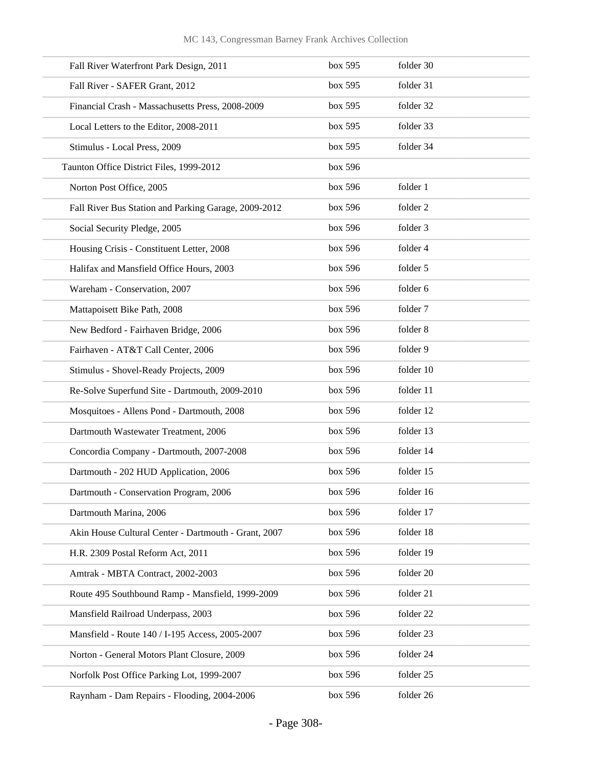| Fall River Waterfront Park Design, 2011              | box 595 | folder 30 |
|------------------------------------------------------|---------|-----------|
| Fall River - SAFER Grant, 2012                       | box 595 | folder 31 |
| Financial Crash - Massachusetts Press, 2008-2009     | box 595 | folder 32 |
| Local Letters to the Editor, 2008-2011               | box 595 | folder 33 |
| Stimulus - Local Press, 2009                         | box 595 | folder 34 |
| Taunton Office District Files, 1999-2012             | box 596 |           |
| Norton Post Office, 2005                             | box 596 | folder 1  |
| Fall River Bus Station and Parking Garage, 2009-2012 | box 596 | folder 2  |
| Social Security Pledge, 2005                         | box 596 | folder 3  |
| Housing Crisis - Constituent Letter, 2008            | box 596 | folder 4  |
| Halifax and Mansfield Office Hours, 2003             | box 596 | folder 5  |
| Wareham - Conservation, 2007                         | box 596 | folder 6  |
| Mattapoisett Bike Path, 2008                         | box 596 | folder 7  |
| New Bedford - Fairhaven Bridge, 2006                 | box 596 | folder 8  |
| Fairhaven - AT&T Call Center, 2006                   | box 596 | folder 9  |
| Stimulus - Shovel-Ready Projects, 2009               | box 596 | folder 10 |
| Re-Solve Superfund Site - Dartmouth, 2009-2010       | box 596 | folder 11 |
| Mosquitoes - Allens Pond - Dartmouth, 2008           | box 596 | folder 12 |
| Dartmouth Wastewater Treatment, 2006                 | box 596 | folder 13 |
| Concordia Company - Dartmouth, 2007-2008             | box 596 | folder 14 |
| Dartmouth - 202 HUD Application, 2006                | box 596 | folder 15 |
| Dartmouth - Conservation Program, 2006               | box 596 | folder 16 |
| Dartmouth Marina, 2006                               | box 596 | folder 17 |
| Akin House Cultural Center - Dartmouth - Grant, 2007 | box 596 | folder 18 |
| H.R. 2309 Postal Reform Act, 2011                    | box 596 | folder 19 |
| Amtrak - MBTA Contract, 2002-2003                    | box 596 | folder 20 |
| Route 495 Southbound Ramp - Mansfield, 1999-2009     | box 596 | folder 21 |
| Mansfield Railroad Underpass, 2003                   | box 596 | folder 22 |
| Mansfield - Route 140 / I-195 Access, 2005-2007      | box 596 | folder 23 |
| Norton - General Motors Plant Closure, 2009          | box 596 | folder 24 |
| Norfolk Post Office Parking Lot, 1999-2007           | box 596 | folder 25 |
| Raynham - Dam Repairs - Flooding, 2004-2006          | box 596 | folder 26 |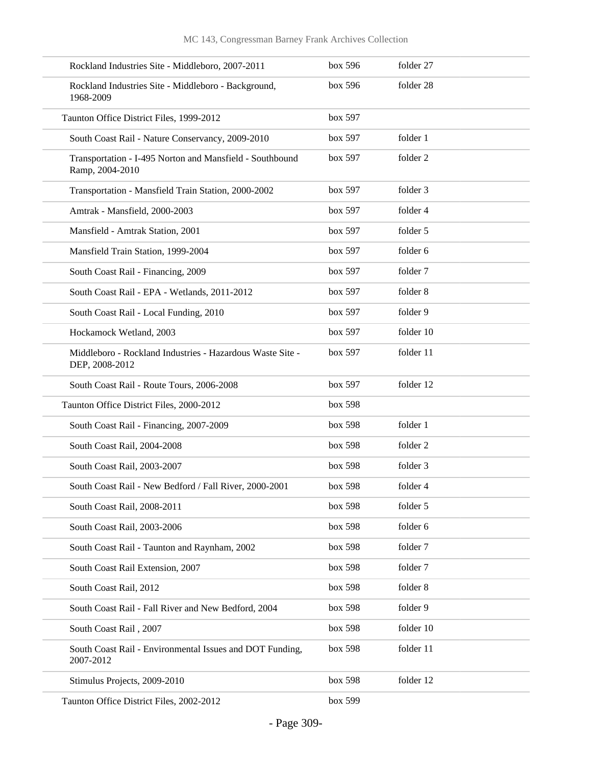| Rockland Industries Site - Middleboro, 2007-2011                            | box 596 | folder 27 |
|-----------------------------------------------------------------------------|---------|-----------|
| Rockland Industries Site - Middleboro - Background,<br>1968-2009            | box 596 | folder 28 |
| Taunton Office District Files, 1999-2012                                    | box 597 |           |
| South Coast Rail - Nature Conservancy, 2009-2010                            | box 597 | folder 1  |
| Transportation - I-495 Norton and Mansfield - Southbound<br>Ramp, 2004-2010 | box 597 | folder 2  |
| Transportation - Mansfield Train Station, 2000-2002                         | box 597 | folder 3  |
| Amtrak - Mansfield, 2000-2003                                               | box 597 | folder 4  |
| Mansfield - Amtrak Station, 2001                                            | box 597 | folder 5  |
| Mansfield Train Station, 1999-2004                                          | box 597 | folder 6  |
| South Coast Rail - Financing, 2009                                          | box 597 | folder 7  |
| South Coast Rail - EPA - Wetlands, 2011-2012                                | box 597 | folder 8  |
| South Coast Rail - Local Funding, 2010                                      | box 597 | folder 9  |
| Hockamock Wetland, 2003                                                     | box 597 | folder 10 |
| Middleboro - Rockland Industries - Hazardous Waste Site -<br>DEP, 2008-2012 | box 597 | folder 11 |
| South Coast Rail - Route Tours, 2006-2008                                   | box 597 | folder 12 |
| Taunton Office District Files, 2000-2012                                    | box 598 |           |
| South Coast Rail - Financing, 2007-2009                                     | box 598 | folder 1  |
| South Coast Rail, 2004-2008                                                 | box 598 | folder 2  |
| South Coast Rail, 2003-2007                                                 | box 598 | folder 3  |
| South Coast Rail - New Bedford / Fall River, 2000-2001                      | box~598 | folder 4  |
| South Coast Rail, 2008-2011                                                 | box 598 | folder 5  |
| South Coast Rail, 2003-2006                                                 | box 598 | folder 6  |
| South Coast Rail - Taunton and Raynham, 2002                                | box 598 | folder 7  |
| South Coast Rail Extension, 2007                                            | box 598 | folder 7  |
| South Coast Rail, 2012                                                      | box 598 | folder 8  |
| South Coast Rail - Fall River and New Bedford, 2004                         | box 598 | folder 9  |
| South Coast Rail, 2007                                                      | box 598 | folder 10 |
| South Coast Rail - Environmental Issues and DOT Funding,<br>2007-2012       | box 598 | folder 11 |
| Stimulus Projects, 2009-2010                                                | box 598 | folder 12 |
| Taunton Office District Files, 2002-2012                                    | box 599 |           |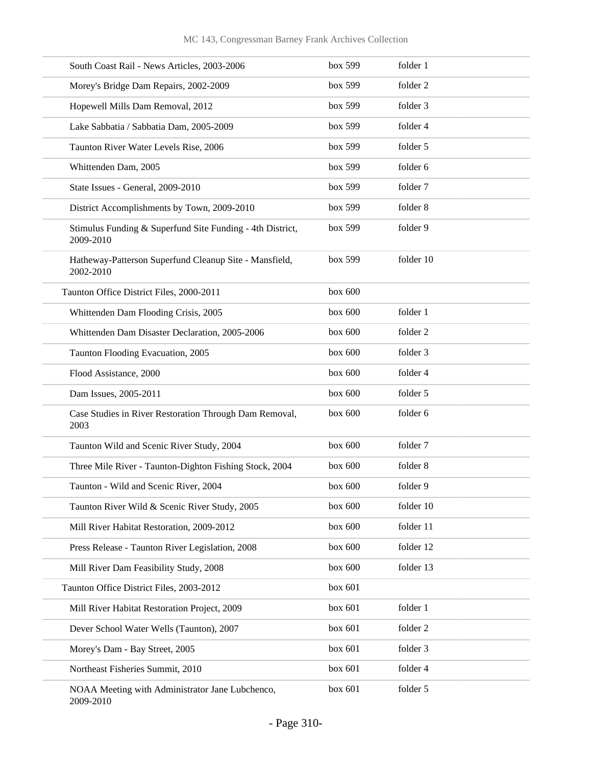| South Coast Rail - News Articles, 2003-2006                            | box 599   | folder 1  |
|------------------------------------------------------------------------|-----------|-----------|
| Morey's Bridge Dam Repairs, 2002-2009                                  | box 599   | folder 2  |
| Hopewell Mills Dam Removal, 2012                                       | box 599   | folder 3  |
| Lake Sabbatia / Sabbatia Dam, 2005-2009                                | box 599   | folder 4  |
| Taunton River Water Levels Rise, 2006                                  | box 599   | folder 5  |
| Whittenden Dam, 2005                                                   | box 599   | folder 6  |
| State Issues - General, 2009-2010                                      | box 599   | folder 7  |
| District Accomplishments by Town, 2009-2010                            | box 599   | folder 8  |
| Stimulus Funding & Superfund Site Funding - 4th District,<br>2009-2010 | box 599   | folder 9  |
| Hatheway-Patterson Superfund Cleanup Site - Mansfield,<br>2002-2010    | box 599   | folder 10 |
| Taunton Office District Files, 2000-2011                               | box 600   |           |
| Whittenden Dam Flooding Crisis, 2005                                   | box 600   | folder 1  |
| Whittenden Dam Disaster Declaration, 2005-2006                         | box 600   | folder 2  |
| Taunton Flooding Evacuation, 2005                                      | box 600   | folder 3  |
| Flood Assistance, 2000                                                 | box 600   | folder 4  |
| Dam Issues, 2005-2011                                                  | box 600   | folder 5  |
| Case Studies in River Restoration Through Dam Removal,<br>2003         | box $600$ | folder 6  |
| Taunton Wild and Scenic River Study, 2004                              | box 600   | folder 7  |
| Three Mile River - Taunton-Dighton Fishing Stock, 2004                 | box 600   | folder 8  |
| Taunton - Wild and Scenic River, 2004                                  | box 600   | folder 9  |
| Taunton River Wild & Scenic River Study, 2005                          | box 600   | folder 10 |
| Mill River Habitat Restoration, 2009-2012                              | box 600   | folder 11 |
| Press Release - Taunton River Legislation, 2008                        | box 600   | folder 12 |
| Mill River Dam Feasibility Study, 2008                                 | box 600   | folder 13 |
| Taunton Office District Files, 2003-2012                               | box 601   |           |
| Mill River Habitat Restoration Project, 2009                           | box 601   | folder 1  |
| Dever School Water Wells (Taunton), 2007                               | box 601   | folder 2  |
| Morey's Dam - Bay Street, 2005                                         | box 601   | folder 3  |
| Northeast Fisheries Summit, 2010                                       | box 601   | folder 4  |
| NOAA Meeting with Administrator Jane Lubchenco,<br>2009-2010           | box 601   | folder 5  |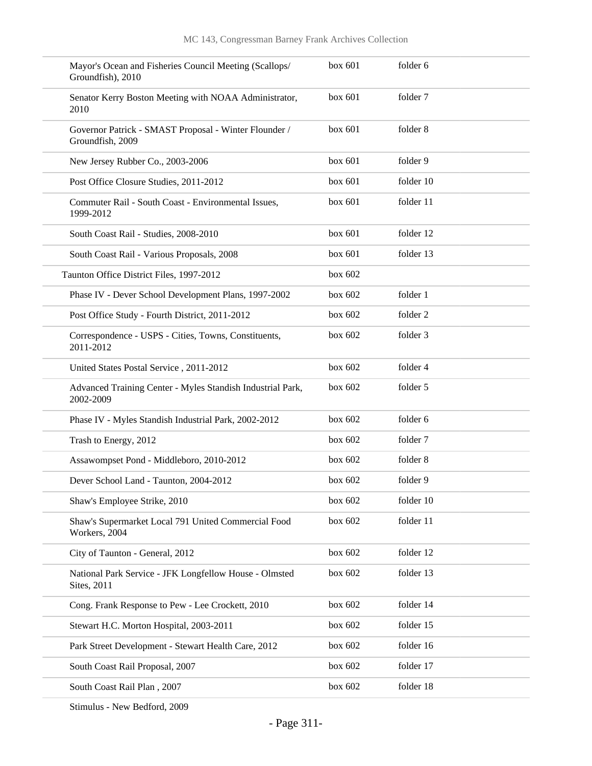| Mayor's Ocean and Fisheries Council Meeting (Scallops/<br>Groundfish), 2010 | box 601   | folder 6  |
|-----------------------------------------------------------------------------|-----------|-----------|
| Senator Kerry Boston Meeting with NOAA Administrator,<br>2010               | box 601   | folder 7  |
| Governor Patrick - SMAST Proposal - Winter Flounder /<br>Groundfish, 2009   | box 601   | folder 8  |
| New Jersey Rubber Co., 2003-2006                                            | box 601   | folder 9  |
| Post Office Closure Studies, 2011-2012                                      | box 601   | folder 10 |
| Commuter Rail - South Coast - Environmental Issues,<br>1999-2012            | box 601   | folder 11 |
| South Coast Rail - Studies, 2008-2010                                       | box 601   | folder 12 |
| South Coast Rail - Various Proposals, 2008                                  | box 601   | folder 13 |
| Taunton Office District Files, 1997-2012                                    | box 602   |           |
| Phase IV - Dever School Development Plans, 1997-2002                        | box $602$ | folder 1  |
| Post Office Study - Fourth District, 2011-2012                              | box $602$ | folder 2  |
| Correspondence - USPS - Cities, Towns, Constituents,<br>2011-2012           | box 602   | folder 3  |
| United States Postal Service, 2011-2012                                     | box $602$ | folder 4  |
| Advanced Training Center - Myles Standish Industrial Park,<br>2002-2009     | box $602$ | folder 5  |
| Phase IV - Myles Standish Industrial Park, 2002-2012                        | box $602$ | folder 6  |
| Trash to Energy, 2012                                                       | box $602$ | folder 7  |
| Assawompset Pond - Middleboro, 2010-2012                                    | box $602$ | folder 8  |
| Dever School Land - Taunton, 2004-2012                                      | box 602   | folder 9  |
| Shaw's Employee Strike, 2010                                                | box 602   | folder 10 |
| Shaw's Supermarket Local 791 United Commercial Food<br>Workers, 2004        | box 602   | folder 11 |
| City of Taunton - General, 2012                                             | box 602   | folder 12 |
| National Park Service - JFK Longfellow House - Olmsted<br>Sites, 2011       | box 602   | folder 13 |
| Cong. Frank Response to Pew - Lee Crockett, 2010                            | box 602   | folder 14 |
| Stewart H.C. Morton Hospital, 2003-2011                                     | box 602   | folder 15 |
| Park Street Development - Stewart Health Care, 2012                         | box 602   | folder 16 |
| South Coast Rail Proposal, 2007                                             | box 602   | folder 17 |
| South Coast Rail Plan, 2007                                                 | box 602   | folder 18 |
|                                                                             |           |           |

Stimulus - New Bedford, 2009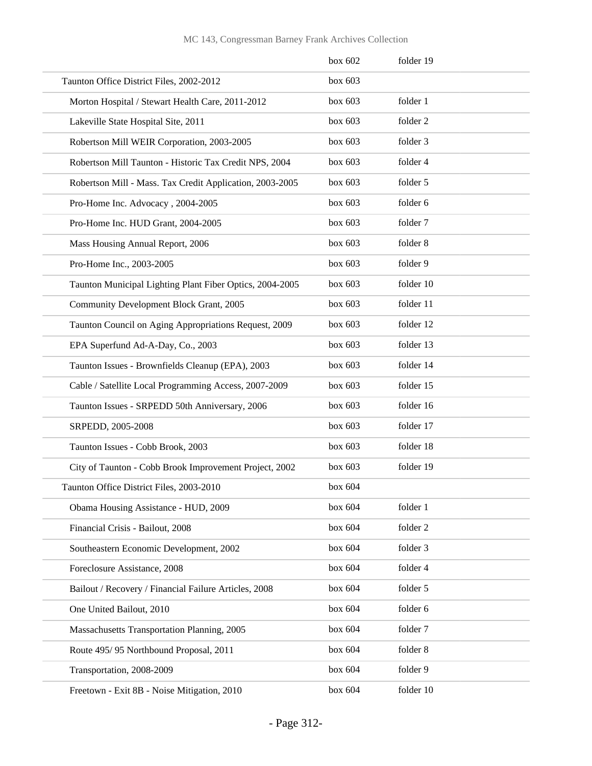#### MC 143, Congressman Barney Frank Archives Collection

|                                                          | box 602 | folder 19 |
|----------------------------------------------------------|---------|-----------|
| Taunton Office District Files, 2002-2012                 | box 603 |           |
| Morton Hospital / Stewart Health Care, 2011-2012         | box 603 | folder 1  |
| Lakeville State Hospital Site, 2011                      | box 603 | folder 2  |
| Robertson Mill WEIR Corporation, 2003-2005               | box 603 | folder 3  |
| Robertson Mill Taunton - Historic Tax Credit NPS, 2004   | box~603 | folder 4  |
| Robertson Mill - Mass. Tax Credit Application, 2003-2005 | box 603 | folder 5  |
| Pro-Home Inc. Advocacy, 2004-2005                        | box 603 | folder 6  |
| Pro-Home Inc. HUD Grant, 2004-2005                       | box 603 | folder 7  |
| Mass Housing Annual Report, 2006                         | box 603 | folder 8  |
| Pro-Home Inc., 2003-2005                                 | box 603 | folder 9  |
| Taunton Municipal Lighting Plant Fiber Optics, 2004-2005 | box~603 | folder 10 |
| Community Development Block Grant, 2005                  | box~603 | folder 11 |
| Taunton Council on Aging Appropriations Request, 2009    | box 603 | folder 12 |
| EPA Superfund Ad-A-Day, Co., 2003                        | box 603 | folder 13 |
| Taunton Issues - Brownfields Cleanup (EPA), 2003         | box~603 | folder 14 |
| Cable / Satellite Local Programming Access, 2007-2009    | box~603 | folder 15 |
| Taunton Issues - SRPEDD 50th Anniversary, 2006           | box 603 | folder 16 |
| SRPEDD, 2005-2008                                        | box 603 | folder 17 |
| Taunton Issues - Cobb Brook, 2003                        | box 603 | folder 18 |
| City of Taunton - Cobb Brook Improvement Project, 2002   | box~603 | folder 19 |
| Taunton Office District Files, 2003-2010                 | box~604 |           |
| Obama Housing Assistance - HUD, 2009                     | box 604 | folder 1  |
| Financial Crisis - Bailout, 2008                         | box 604 | folder 2  |
| Southeastern Economic Development, 2002                  | box 604 | folder 3  |
| Foreclosure Assistance, 2008                             | box 604 | folder 4  |
| Bailout / Recovery / Financial Failure Articles, 2008    | box 604 | folder 5  |
| One United Bailout, 2010                                 | box 604 | folder 6  |
| Massachusetts Transportation Planning, 2005              | box 604 | folder 7  |
| Route 495/95 Northbound Proposal, 2011                   | box 604 | folder 8  |
| Transportation, 2008-2009                                | box 604 | folder 9  |
| Freetown - Exit 8B - Noise Mitigation, 2010              | box 604 | folder 10 |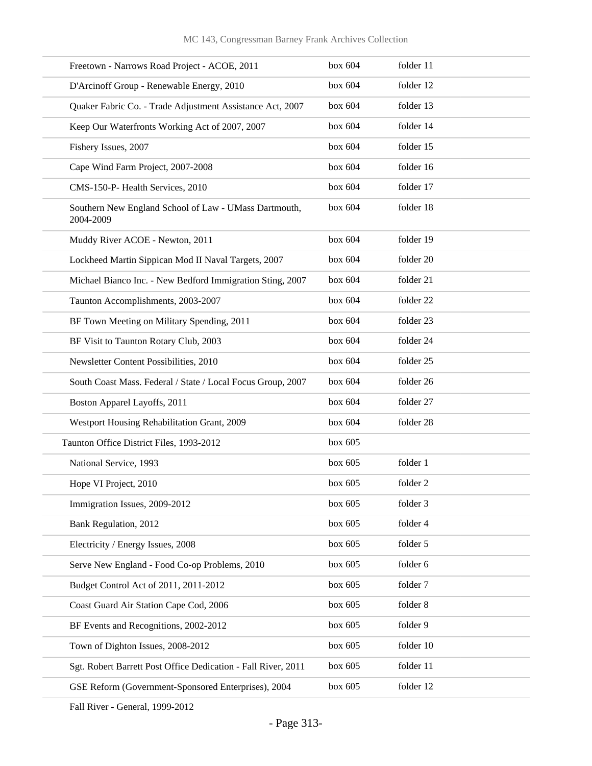| Freetown - Narrows Road Project - ACOE, 2011                       | box 604 | folder 11 |
|--------------------------------------------------------------------|---------|-----------|
| D'Arcinoff Group - Renewable Energy, 2010                          | box 604 | folder 12 |
| Quaker Fabric Co. - Trade Adjustment Assistance Act, 2007          | box 604 | folder 13 |
| Keep Our Waterfronts Working Act of 2007, 2007                     | box 604 | folder 14 |
| Fishery Issues, 2007                                               | box 604 | folder 15 |
| Cape Wind Farm Project, 2007-2008                                  | box 604 | folder 16 |
| CMS-150-P- Health Services, 2010                                   | box 604 | folder 17 |
| Southern New England School of Law - UMass Dartmouth,<br>2004-2009 | box 604 | folder 18 |
| Muddy River ACOE - Newton, 2011                                    | box 604 | folder 19 |
| Lockheed Martin Sippican Mod II Naval Targets, 2007                | box 604 | folder 20 |
| Michael Bianco Inc. - New Bedford Immigration Sting, 2007          | box 604 | folder 21 |
| Taunton Accomplishments, 2003-2007                                 | box 604 | folder 22 |
| BF Town Meeting on Military Spending, 2011                         | box 604 | folder 23 |
| BF Visit to Taunton Rotary Club, 2003                              | box 604 | folder 24 |
| Newsletter Content Possibilities, 2010                             | box 604 | folder 25 |
| South Coast Mass. Federal / State / Local Focus Group, 2007        | box 604 | folder 26 |
| Boston Apparel Layoffs, 2011                                       | box 604 | folder 27 |
| Westport Housing Rehabilitation Grant, 2009                        | box 604 | folder 28 |
| Taunton Office District Files, 1993-2012                           | box~605 |           |
| National Service, 1993                                             | box 605 | folder 1  |
| Hope VI Project, 2010                                              | box 605 | folder 2  |
| Immigration Issues, 2009-2012                                      | box 605 | folder 3  |
| Bank Regulation, 2012                                              | box 605 | folder 4  |
| Electricity / Energy Issues, 2008                                  | box 605 | folder 5  |
| Serve New England - Food Co-op Problems, 2010                      | box 605 | folder 6  |
| Budget Control Act of 2011, 2011-2012                              | box 605 | folder 7  |
| Coast Guard Air Station Cape Cod, 2006                             | box 605 | folder 8  |
| BF Events and Recognitions, 2002-2012                              | box 605 | folder 9  |
| Town of Dighton Issues, 2008-2012                                  | box 605 | folder 10 |
| Sgt. Robert Barrett Post Office Dedication - Fall River, 2011      | box 605 | folder 11 |
| GSE Reform (Government-Sponsored Enterprises), 2004                | box 605 | folder 12 |

Fall River - General, 1999-2012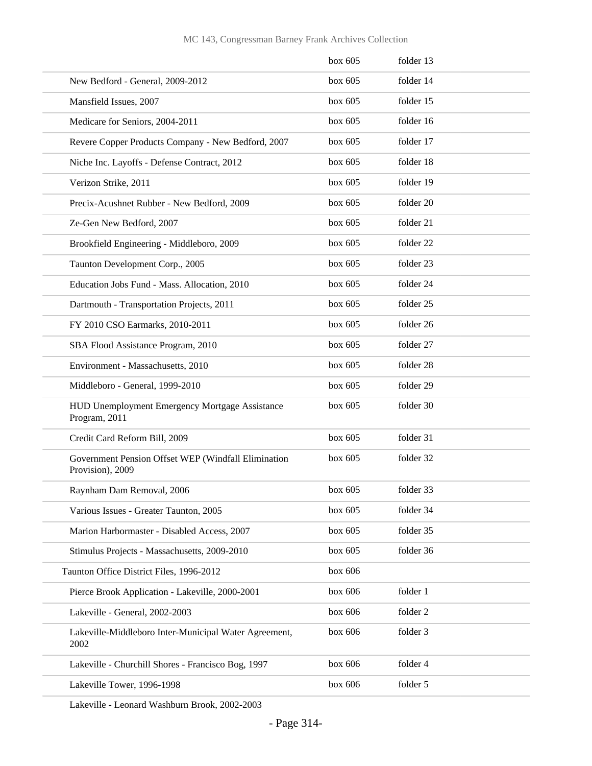| box 605   | folder 13 |
|-----------|-----------|
| box $605$ | folder 14 |
| box $605$ | folder 15 |
| box $605$ | folder 16 |
| box $605$ | folder 17 |
| box 605   | folder 18 |
| box $605$ | folder 19 |
| box $605$ | folder 20 |
| box $605$ | folder 21 |
| box $605$ | folder 22 |
| box $605$ | folder 23 |
| box 605   | folder 24 |
| box $605$ | folder 25 |
| box $605$ | folder 26 |
| box 605   | folder 27 |
| box $605$ | folder 28 |
| box $605$ | folder 29 |
| box $605$ | folder 30 |
| box 605   | folder 31 |
| box $605$ | folder 32 |
| box 605   | folder 33 |
| box 605   | folder 34 |
| box 605   | folder 35 |
| box 605   | folder 36 |
| box 606   |           |
| box 606   | folder 1  |
| box 606   | folder 2  |
| box 606   | folder 3  |
| box 606   | folder 4  |
| box 606   | folder 5  |
|           |           |

Lakeville - Leonard Washburn Brook, 2002-2003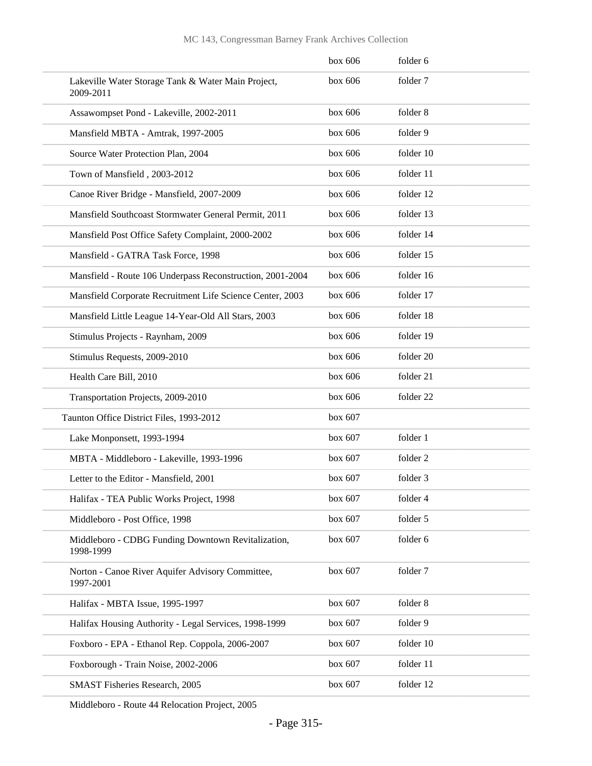|                                                                 | box 606 | folder 6  |
|-----------------------------------------------------------------|---------|-----------|
| Lakeville Water Storage Tank & Water Main Project,<br>2009-2011 | box 606 | folder 7  |
| Assawompset Pond - Lakeville, 2002-2011                         | box 606 | folder 8  |
| Mansfield MBTA - Amtrak, 1997-2005                              | box 606 | folder 9  |
| Source Water Protection Plan, 2004                              | box 606 | folder 10 |
| Town of Mansfield, 2003-2012                                    | box 606 | folder 11 |
| Canoe River Bridge - Mansfield, 2007-2009                       | box 606 | folder 12 |
| Mansfield Southcoast Stormwater General Permit, 2011            | box 606 | folder 13 |
| Mansfield Post Office Safety Complaint, 2000-2002               | box 606 | folder 14 |
| Mansfield - GATRA Task Force, 1998                              | box 606 | folder 15 |
| Mansfield - Route 106 Underpass Reconstruction, 2001-2004       | box 606 | folder 16 |
| Mansfield Corporate Recruitment Life Science Center, 2003       | box 606 | folder 17 |
| Mansfield Little League 14-Year-Old All Stars, 2003             | box 606 | folder 18 |
| Stimulus Projects - Raynham, 2009                               | box 606 | folder 19 |
| Stimulus Requests, 2009-2010                                    | box 606 | folder 20 |
| Health Care Bill, 2010                                          | box 606 | folder 21 |
| Transportation Projects, 2009-2010                              | box 606 | folder 22 |
| Taunton Office District Files, 1993-2012                        | box 607 |           |
| Lake Monponsett, 1993-1994                                      | box 607 | folder 1  |
| MBTA - Middleboro - Lakeville, 1993-1996                        | box 607 | folder 2  |
| Letter to the Editor - Mansfield, 2001                          | box 607 | folder 3  |
| Halifax - TEA Public Works Project, 1998                        | box 607 | folder 4  |
| Middleboro - Post Office, 1998                                  | box 607 | folder 5  |
| Middleboro - CDBG Funding Downtown Revitalization,<br>1998-1999 | box 607 | folder 6  |
| Norton - Canoe River Aquifer Advisory Committee,<br>1997-2001   | box 607 | folder 7  |
| Halifax - MBTA Issue, 1995-1997                                 | box 607 | folder 8  |
| Halifax Housing Authority - Legal Services, 1998-1999           | box 607 | folder 9  |
| Foxboro - EPA - Ethanol Rep. Coppola, 2006-2007                 | box 607 | folder 10 |
| Foxborough - Train Noise, 2002-2006                             | box 607 | folder 11 |
| SMAST Fisheries Research, 2005                                  | box 607 | folder 12 |

Middleboro - Route 44 Relocation Project, 2005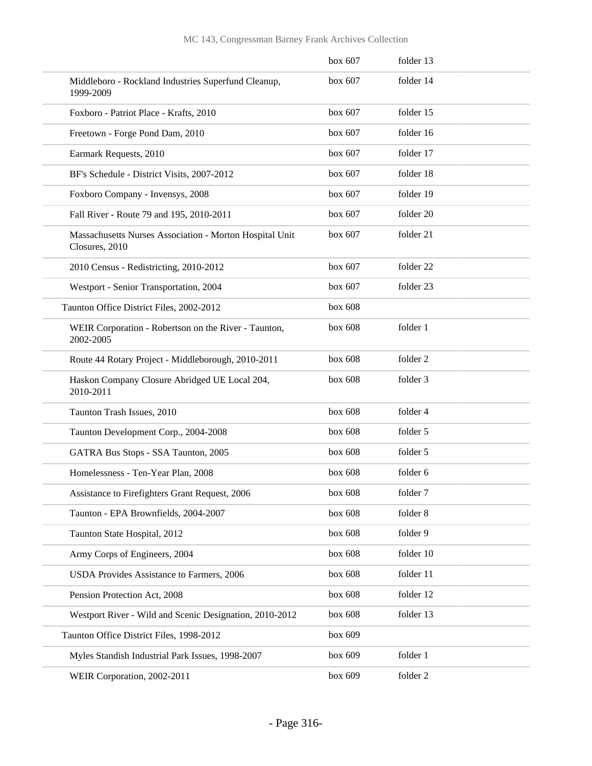|                                                                           | box 607 | folder 13           |
|---------------------------------------------------------------------------|---------|---------------------|
| Middleboro - Rockland Industries Superfund Cleanup,<br>1999-2009          | box 607 | folder 14           |
| Foxboro - Patriot Place - Krafts, 2010                                    | box 607 | folder 15           |
| Freetown - Forge Pond Dam, 2010                                           | box 607 | folder 16           |
| Earmark Requests, 2010                                                    | box 607 | folder 17           |
| BF's Schedule - District Visits, 2007-2012                                | box 607 | folder 18           |
| Foxboro Company - Invensys, 2008                                          | box 607 | folder 19           |
| Fall River - Route 79 and 195, 2010-2011                                  | box 607 | folder 20           |
| Massachusetts Nurses Association - Morton Hospital Unit<br>Closures, 2010 | box 607 | folder 21           |
| 2010 Census - Redistricting, 2010-2012                                    | box 607 | folder 22           |
| Westport - Senior Transportation, 2004                                    | box 607 | folder 23           |
| Taunton Office District Files, 2002-2012                                  | box 608 |                     |
| WEIR Corporation - Robertson on the River - Taunton,<br>2002-2005         | box 608 | folder 1            |
| Route 44 Rotary Project - Middleborough, 2010-2011                        | box 608 | folder <sub>2</sub> |
| Haskon Company Closure Abridged UE Local 204,<br>2010-2011                | box 608 | folder 3            |
| Taunton Trash Issues, 2010                                                | box 608 | folder 4            |
| Taunton Development Corp., 2004-2008                                      | box 608 | folder 5            |
| GATRA Bus Stops - SSA Taunton, 2005                                       | box 608 | folder 5            |
| Homelessness - Ten-Year Plan, 2008                                        | box 608 | folder 6            |
| Assistance to Firefighters Grant Request, 2006                            | box 608 | folder 7            |
| Taunton - EPA Brownfields, 2004-2007                                      | box 608 | folder 8            |
| Taunton State Hospital, 2012                                              | box 608 | folder 9            |
| Army Corps of Engineers, 2004                                             | box 608 | folder 10           |
| USDA Provides Assistance to Farmers, 2006                                 | box 608 | folder 11           |
| Pension Protection Act, 2008                                              | box 608 | folder 12           |
| Westport River - Wild and Scenic Designation, 2010-2012                   | box 608 | folder 13           |
| Taunton Office District Files, 1998-2012                                  | box 609 |                     |
| Myles Standish Industrial Park Issues, 1998-2007                          | box 609 | folder 1            |
| WEIR Corporation, 2002-2011                                               | box 609 | folder 2            |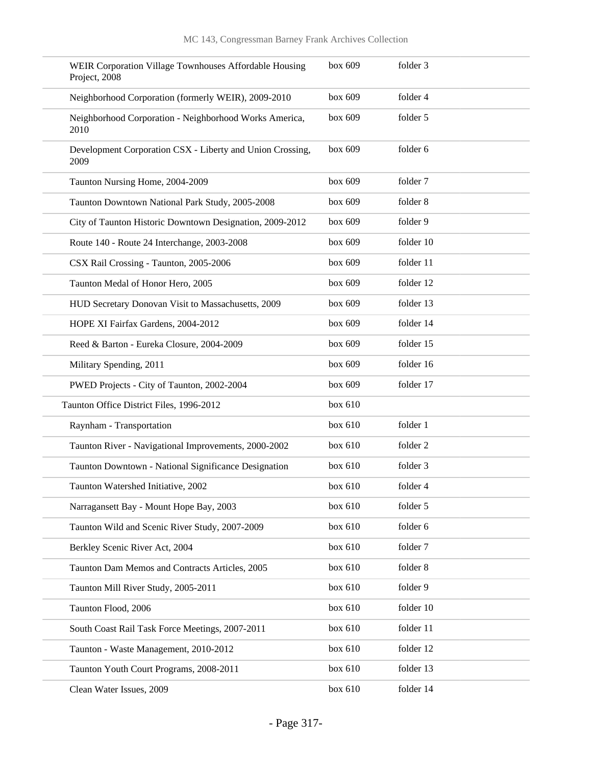| WEIR Corporation Village Townhouses Affordable Housing<br>Project, 2008 | box 609 | folder 3  |
|-------------------------------------------------------------------------|---------|-----------|
| Neighborhood Corporation (formerly WEIR), 2009-2010                     | box 609 | folder 4  |
| Neighborhood Corporation - Neighborhood Works America,<br>2010          | box 609 | folder 5  |
| Development Corporation CSX - Liberty and Union Crossing,<br>2009       | box 609 | folder 6  |
| Taunton Nursing Home, 2004-2009                                         | box 609 | folder 7  |
| Taunton Downtown National Park Study, 2005-2008                         | box 609 | folder 8  |
| City of Taunton Historic Downtown Designation, 2009-2012                | box 609 | folder 9  |
| Route 140 - Route 24 Interchange, 2003-2008                             | box 609 | folder 10 |
| CSX Rail Crossing - Taunton, 2005-2006                                  | box 609 | folder 11 |
| Taunton Medal of Honor Hero, 2005                                       | box 609 | folder 12 |
| HUD Secretary Donovan Visit to Massachusetts, 2009                      | box 609 | folder 13 |
| HOPE XI Fairfax Gardens, 2004-2012                                      | box 609 | folder 14 |
| Reed & Barton - Eureka Closure, 2004-2009                               | box 609 | folder 15 |
| Military Spending, 2011                                                 | box 609 | folder 16 |
| PWED Projects - City of Taunton, 2002-2004                              | box 609 | folder 17 |
| Taunton Office District Files, 1996-2012                                | box 610 |           |
| Raynham - Transportation                                                | box 610 | folder 1  |
| Taunton River - Navigational Improvements, 2000-2002                    | box 610 | folder 2  |
| Taunton Downtown - National Significance Designation                    | box 610 | folder 3  |
| Taunton Watershed Initiative, 2002                                      | box 610 | folder 4  |
| Narragansett Bay - Mount Hope Bay, 2003                                 | box 610 | folder 5  |
| Taunton Wild and Scenic River Study, 2007-2009                          | box 610 | folder 6  |
| Berkley Scenic River Act, 2004                                          | box 610 | folder 7  |
| Taunton Dam Memos and Contracts Articles, 2005                          | box 610 | folder 8  |
| Taunton Mill River Study, 2005-2011                                     | box 610 | folder 9  |
| Taunton Flood, 2006                                                     | box 610 | folder 10 |
| South Coast Rail Task Force Meetings, 2007-2011                         | box 610 | folder 11 |
| Taunton - Waste Management, 2010-2012                                   | box 610 | folder 12 |
| Taunton Youth Court Programs, 2008-2011                                 | box 610 | folder 13 |
| Clean Water Issues, 2009                                                | box 610 | folder 14 |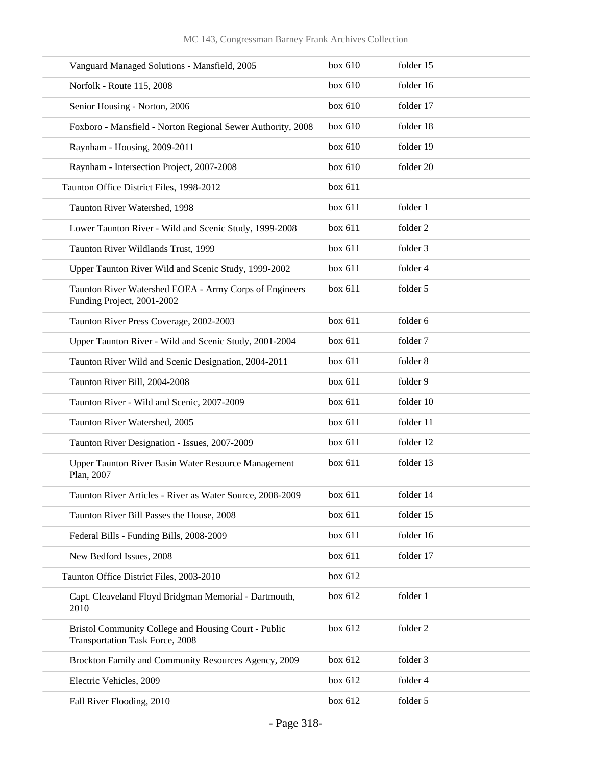| Vanguard Managed Solutions - Mansfield, 2005                                                   | box 610 | folder 15 |
|------------------------------------------------------------------------------------------------|---------|-----------|
| Norfolk - Route 115, 2008                                                                      | box 610 | folder 16 |
| Senior Housing - Norton, 2006                                                                  | box 610 | folder 17 |
| Foxboro - Mansfield - Norton Regional Sewer Authority, 2008                                    | box 610 | folder 18 |
| Raynham - Housing, 2009-2011                                                                   | box 610 | folder 19 |
| Raynham - Intersection Project, 2007-2008                                                      | box 610 | folder 20 |
| Taunton Office District Files, 1998-2012                                                       | box 611 |           |
| Taunton River Watershed, 1998                                                                  | box 611 | folder 1  |
| Lower Taunton River - Wild and Scenic Study, 1999-2008                                         | box 611 | folder 2  |
| Taunton River Wildlands Trust, 1999                                                            | box 611 | folder 3  |
| Upper Taunton River Wild and Scenic Study, 1999-2002                                           | box 611 | folder 4  |
| Taunton River Watershed EOEA - Army Corps of Engineers<br>Funding Project, 2001-2002           | box 611 | folder 5  |
| Taunton River Press Coverage, 2002-2003                                                        | box 611 | folder 6  |
| Upper Taunton River - Wild and Scenic Study, 2001-2004                                         | box 611 | folder 7  |
| Taunton River Wild and Scenic Designation, 2004-2011                                           | box 611 | folder 8  |
| Taunton River Bill, 2004-2008                                                                  | box 611 | folder 9  |
| Taunton River - Wild and Scenic, 2007-2009                                                     | box 611 | folder 10 |
| Taunton River Watershed, 2005                                                                  | box 611 | folder 11 |
| Taunton River Designation - Issues, 2007-2009                                                  | box 611 | folder 12 |
| Upper Taunton River Basin Water Resource Management<br>Plan, 2007                              | box 611 | folder 13 |
| Taunton River Articles - River as Water Source, 2008-2009                                      | box 611 | folder 14 |
| Taunton River Bill Passes the House, 2008                                                      | box 611 | folder 15 |
| Federal Bills - Funding Bills, 2008-2009                                                       | box 611 | folder 16 |
| New Bedford Issues, 2008                                                                       | box 611 | folder 17 |
| Taunton Office District Files, 2003-2010                                                       | box 612 |           |
| Capt. Cleaveland Floyd Bridgman Memorial - Dartmouth,<br>2010                                  | box 612 | folder 1  |
| Bristol Community College and Housing Court - Public<br><b>Transportation Task Force, 2008</b> | box 612 | folder 2  |
| Brockton Family and Community Resources Agency, 2009                                           | box 612 | folder 3  |
| Electric Vehicles, 2009                                                                        | box 612 | folder 4  |
| Fall River Flooding, 2010                                                                      | box 612 | folder 5  |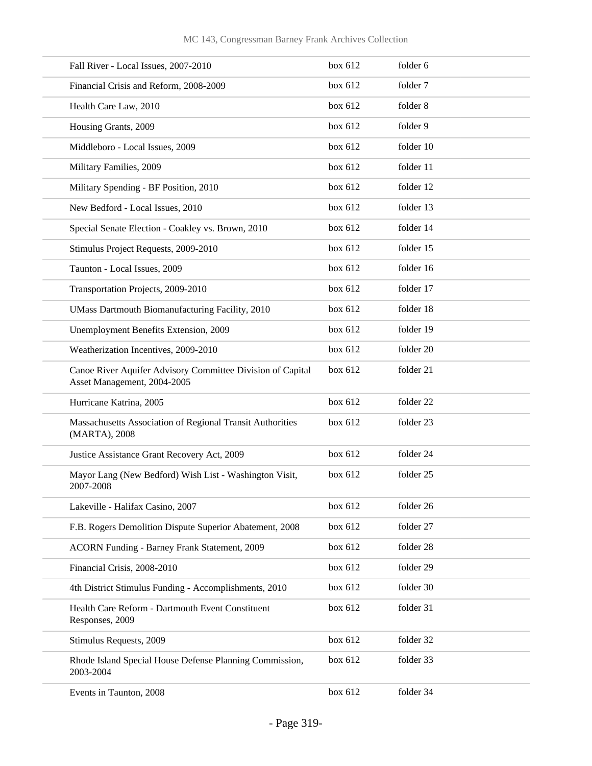| Fall River - Local Issues, 2007-2010                                                      | box 612 | folder 6  |
|-------------------------------------------------------------------------------------------|---------|-----------|
| Financial Crisis and Reform, 2008-2009                                                    | box 612 | folder 7  |
| Health Care Law, 2010                                                                     | box 612 | folder 8  |
| Housing Grants, 2009                                                                      | box 612 | folder 9  |
| Middleboro - Local Issues, 2009                                                           | box 612 | folder 10 |
| Military Families, 2009                                                                   | box 612 | folder 11 |
| Military Spending - BF Position, 2010                                                     | box 612 | folder 12 |
| New Bedford - Local Issues, 2010                                                          | box 612 | folder 13 |
| Special Senate Election - Coakley vs. Brown, 2010                                         | box 612 | folder 14 |
| Stimulus Project Requests, 2009-2010                                                      | box 612 | folder 15 |
| Taunton - Local Issues, 2009                                                              | box 612 | folder 16 |
| Transportation Projects, 2009-2010                                                        | box 612 | folder 17 |
| UMass Dartmouth Biomanufacturing Facility, 2010                                           | box 612 | folder 18 |
| Unemployment Benefits Extension, 2009                                                     | box 612 | folder 19 |
| Weatherization Incentives, 2009-2010                                                      | box 612 | folder 20 |
| Canoe River Aquifer Advisory Committee Division of Capital<br>Asset Management, 2004-2005 | box 612 | folder 21 |
| Hurricane Katrina, 2005                                                                   | box 612 | folder 22 |
| Massachusetts Association of Regional Transit Authorities<br>(MARTA), 2008                | box 612 | folder 23 |
| Justice Assistance Grant Recovery Act, 2009                                               | box 612 | folder 24 |
| Mayor Lang (New Bedford) Wish List - Washington Visit,<br>2007-2008                       | box 612 | folder 25 |
| Lakeville - Halifax Casino, 2007                                                          | box 612 | folder 26 |
| F.B. Rogers Demolition Dispute Superior Abatement, 2008                                   | box 612 | folder 27 |
| <b>ACORN Funding - Barney Frank Statement, 2009</b>                                       | box 612 | folder 28 |
| Financial Crisis, 2008-2010                                                               | box 612 | folder 29 |
| 4th District Stimulus Funding - Accomplishments, 2010                                     | box 612 | folder 30 |
| Health Care Reform - Dartmouth Event Constituent<br>Responses, 2009                       | box 612 | folder 31 |
| Stimulus Requests, 2009                                                                   | box 612 | folder 32 |
| Rhode Island Special House Defense Planning Commission,<br>2003-2004                      | box 612 | folder 33 |
| Events in Taunton, 2008                                                                   | box 612 | folder 34 |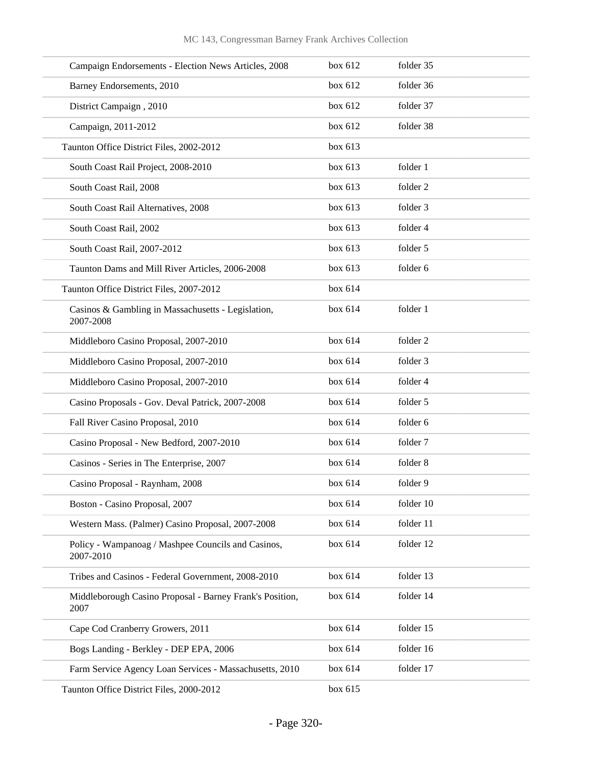| Campaign Endorsements - Election News Articles, 2008             | box 612 | folder 35 |
|------------------------------------------------------------------|---------|-----------|
| Barney Endorsements, 2010                                        | box 612 | folder 36 |
| District Campaign, 2010                                          | box 612 | folder 37 |
| Campaign, 2011-2012                                              | box 612 | folder 38 |
| Taunton Office District Files, 2002-2012                         | box 613 |           |
| South Coast Rail Project, 2008-2010                              | box 613 | folder 1  |
| South Coast Rail, 2008                                           | box 613 | folder 2  |
| South Coast Rail Alternatives, 2008                              | box 613 | folder 3  |
| South Coast Rail, 2002                                           | box 613 | folder 4  |
| South Coast Rail, 2007-2012                                      | box 613 | folder 5  |
| Taunton Dams and Mill River Articles, 2006-2008                  | box 613 | folder 6  |
| Taunton Office District Files, 2007-2012                         | box 614 |           |
| Casinos & Gambling in Massachusetts - Legislation,<br>2007-2008  | box 614 | folder 1  |
| Middleboro Casino Proposal, 2007-2010                            | box 614 | folder 2  |
| Middleboro Casino Proposal, 2007-2010                            | box 614 | folder 3  |
| Middleboro Casino Proposal, 2007-2010                            | box 614 | folder 4  |
| Casino Proposals - Gov. Deval Patrick, 2007-2008                 | box 614 | folder 5  |
| Fall River Casino Proposal, 2010                                 | box 614 | folder 6  |
| Casino Proposal - New Bedford, 2007-2010                         | box 614 | folder 7  |
| Casinos - Series in The Enterprise, 2007                         | box 614 | folder 8  |
| Casino Proposal - Raynham, 2008                                  | box 614 | folder 9  |
| Boston - Casino Proposal, 2007                                   | box 614 | folder 10 |
| Western Mass. (Palmer) Casino Proposal, 2007-2008                | box 614 | folder 11 |
| Policy - Wampanoag / Mashpee Councils and Casinos,<br>2007-2010  | box 614 | folder 12 |
| Tribes and Casinos - Federal Government, 2008-2010               | box 614 | folder 13 |
| Middleborough Casino Proposal - Barney Frank's Position,<br>2007 | box 614 | folder 14 |
| Cape Cod Cranberry Growers, 2011                                 | box 614 | folder 15 |
| Bogs Landing - Berkley - DEP EPA, 2006                           | box 614 | folder 16 |
| Farm Service Agency Loan Services - Massachusetts, 2010          | box 614 | folder 17 |
| Taunton Office District Files, 2000-2012                         | box 615 |           |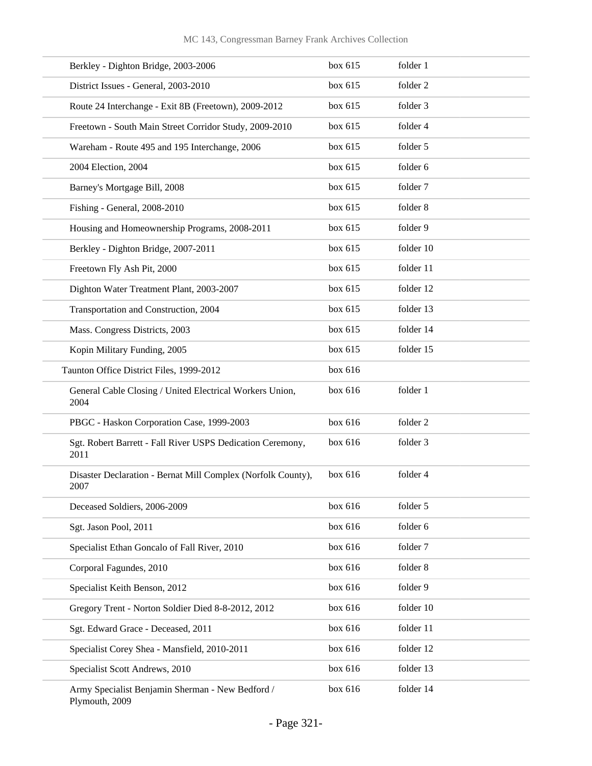| Berkley - Dighton Bridge, 2003-2006                                  | box 615 | folder 1  |
|----------------------------------------------------------------------|---------|-----------|
| District Issues - General, 2003-2010                                 | box 615 | folder 2  |
| Route 24 Interchange - Exit 8B (Freetown), 2009-2012                 | box 615 | folder 3  |
| Freetown - South Main Street Corridor Study, 2009-2010               | box 615 | folder 4  |
| Wareham - Route 495 and 195 Interchange, 2006                        | box 615 | folder 5  |
| 2004 Election, 2004                                                  | box 615 | folder 6  |
| Barney's Mortgage Bill, 2008                                         | box 615 | folder 7  |
| Fishing - General, 2008-2010                                         | box 615 | folder 8  |
| Housing and Homeownership Programs, 2008-2011                        | box 615 | folder 9  |
| Berkley - Dighton Bridge, 2007-2011                                  | box 615 | folder 10 |
| Freetown Fly Ash Pit, 2000                                           | box 615 | folder 11 |
| Dighton Water Treatment Plant, 2003-2007                             | box 615 | folder 12 |
| Transportation and Construction, 2004                                | box 615 | folder 13 |
| Mass. Congress Districts, 2003                                       | box 615 | folder 14 |
| Kopin Military Funding, 2005                                         | box 615 | folder 15 |
| Taunton Office District Files, 1999-2012                             | box 616 |           |
| General Cable Closing / United Electrical Workers Union,<br>2004     | box 616 | folder 1  |
| PBGC - Haskon Corporation Case, 1999-2003                            | box 616 | folder 2  |
| Sgt. Robert Barrett - Fall River USPS Dedication Ceremony,<br>2011   | box 616 | folder 3  |
| Disaster Declaration - Bernat Mill Complex (Norfolk County),<br>2007 | box 616 | folder 4  |
| Deceased Soldiers, 2006-2009                                         | box 616 | folder 5  |
| Sgt. Jason Pool, 2011                                                | box 616 | folder 6  |
| Specialist Ethan Goncalo of Fall River, 2010                         | box 616 | folder 7  |
| Corporal Fagundes, 2010                                              | box 616 | folder 8  |
| Specialist Keith Benson, 2012                                        | box 616 | folder 9  |
| Gregory Trent - Norton Soldier Died 8-8-2012, 2012                   | box 616 | folder 10 |
| Sgt. Edward Grace - Deceased, 2011                                   | box 616 | folder 11 |
| Specialist Corey Shea - Mansfield, 2010-2011                         | box 616 | folder 12 |
| Specialist Scott Andrews, 2010                                       | box 616 | folder 13 |
| Army Specialist Benjamin Sherman - New Bedford /<br>Plymouth, 2009   | box 616 | folder 14 |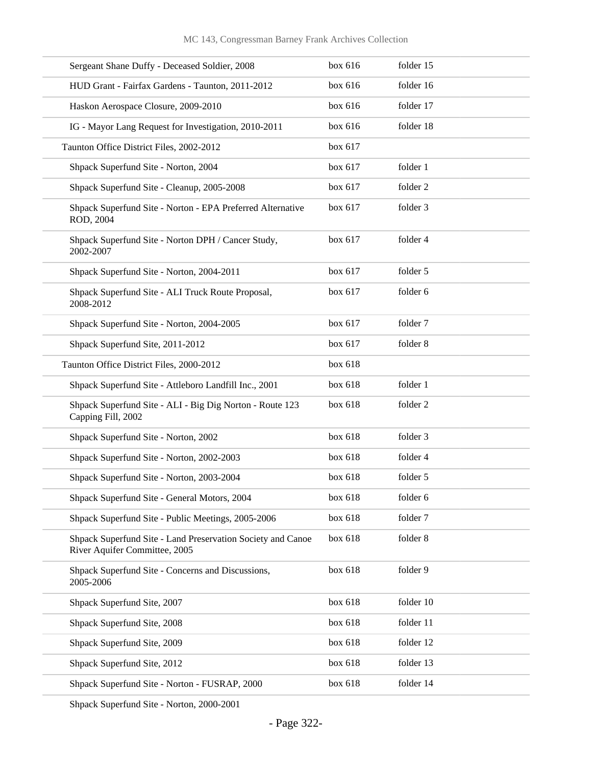| Sergeant Shane Duffy - Deceased Soldier, 2008                                                | box 616 | folder 15 |
|----------------------------------------------------------------------------------------------|---------|-----------|
| HUD Grant - Fairfax Gardens - Taunton, 2011-2012                                             | box 616 | folder 16 |
| Haskon Aerospace Closure, 2009-2010                                                          | box 616 | folder 17 |
| IG - Mayor Lang Request for Investigation, 2010-2011                                         | box 616 | folder 18 |
| Taunton Office District Files, 2002-2012                                                     | box 617 |           |
| Shpack Superfund Site - Norton, 2004                                                         | box 617 | folder 1  |
| Shpack Superfund Site - Cleanup, 2005-2008                                                   | box 617 | folder 2  |
| Shpack Superfund Site - Norton - EPA Preferred Alternative<br>ROD, 2004                      | box 617 | folder 3  |
| Shpack Superfund Site - Norton DPH / Cancer Study,<br>2002-2007                              | box 617 | folder 4  |
| Shpack Superfund Site - Norton, 2004-2011                                                    | box 617 | folder 5  |
| Shpack Superfund Site - ALI Truck Route Proposal,<br>2008-2012                               | box 617 | folder 6  |
| Shpack Superfund Site - Norton, 2004-2005                                                    | box 617 | folder 7  |
| Shpack Superfund Site, 2011-2012                                                             | box 617 | folder 8  |
| Taunton Office District Files, 2000-2012                                                     | box 618 |           |
| Shpack Superfund Site - Attleboro Landfill Inc., 2001                                        | box 618 | folder 1  |
| Shpack Superfund Site - ALI - Big Dig Norton - Route 123<br>Capping Fill, 2002               | box 618 | folder 2  |
| Shpack Superfund Site - Norton, 2002                                                         | box 618 | folder 3  |
| Shpack Superfund Site - Norton, 2002-2003                                                    | box 618 | folder 4  |
| Shpack Superfund Site - Norton, 2003-2004                                                    | box 618 | folder 5  |
| Shpack Superfund Site - General Motors, 2004                                                 | box 618 | folder 6  |
| Shpack Superfund Site - Public Meetings, 2005-2006                                           | box 618 | folder 7  |
| Shpack Superfund Site - Land Preservation Society and Canoe<br>River Aquifer Committee, 2005 | box 618 | folder 8  |
| Shpack Superfund Site - Concerns and Discussions,<br>2005-2006                               | box 618 | folder 9  |
| Shpack Superfund Site, 2007                                                                  | box 618 | folder 10 |
| Shpack Superfund Site, 2008                                                                  | box 618 | folder 11 |
| Shpack Superfund Site, 2009                                                                  | box 618 | folder 12 |
| Shpack Superfund Site, 2012                                                                  | box 618 | folder 13 |
| Shpack Superfund Site - Norton - FUSRAP, 2000                                                | box 618 | folder 14 |
|                                                                                              |         |           |

Shpack Superfund Site - Norton, 2000-2001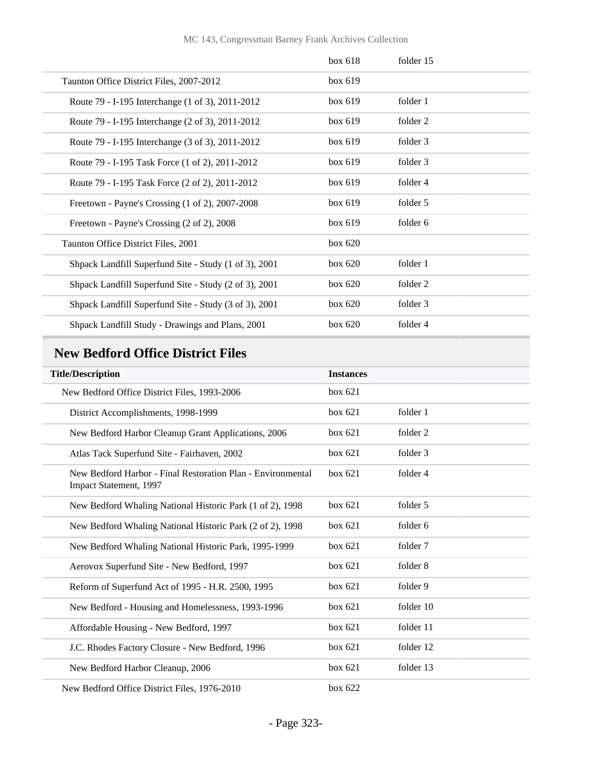#### MC 143, Congressman Barney Frank Archives Collection

|                                                       | box 618   | folder 15 |
|-------------------------------------------------------|-----------|-----------|
| Taunton Office District Files, 2007-2012              | box 619   |           |
| Route 79 - I-195 Interchange (1 of 3), 2011-2012      | box 619   | folder 1  |
| Route 79 - I-195 Interchange (2 of 3), 2011-2012      | box 619   | folder 2  |
| Route 79 - I-195 Interchange (3 of 3), 2011-2012      | box 619   | folder 3  |
| Route 79 - I-195 Task Force (1 of 2), 2011-2012       | box 619   | folder 3  |
| Route 79 - I-195 Task Force (2 of 2), 2011-2012       | box 619   | folder 4  |
| Freetown - Payne's Crossing (1 of 2), 2007-2008       | box 619   | folder 5  |
| Freetown - Payne's Crossing (2 of 2), 2008            | box 619   | folder 6  |
| Taunton Office District Files, 2001                   | box 620   |           |
| Shpack Landfill Superfund Site - Study (1 of 3), 2001 | box 620   | folder 1  |
| Shpack Landfill Superfund Site - Study (2 of 3), 2001 | box $620$ | folder 2  |
| Shpack Landfill Superfund Site - Study (3 of 3), 2001 | box 620   | folder 3  |
| Shpack Landfill Study - Drawings and Plans, 2001      | box 620   | folder 4  |

# **New Bedford Office District Files**

| <b>Title/Description</b>                                                              | <b>Instances</b> |           |
|---------------------------------------------------------------------------------------|------------------|-----------|
| New Bedford Office District Files, 1993-2006                                          | box 621          |           |
| District Accomplishments, 1998-1999                                                   | box 621          | folder 1  |
| New Bedford Harbor Cleanup Grant Applications, 2006                                   | box 621          | folder 2  |
| Atlas Tack Superfund Site - Fairhaven, 2002                                           | box 621          | folder 3  |
| New Bedford Harbor - Final Restoration Plan - Environmental<br>Impact Statement, 1997 | box 621          | folder 4  |
| New Bedford Whaling National Historic Park (1 of 2), 1998                             | box 621          | folder 5  |
| New Bedford Whaling National Historic Park (2 of 2), 1998                             | box 621          | folder 6  |
| New Bedford Whaling National Historic Park, 1995-1999                                 | box $621$        | folder 7  |
| Aerovox Superfund Site - New Bedford, 1997                                            | box 621          | folder 8  |
| Reform of Superfund Act of 1995 - H.R. 2500, 1995                                     | box 621          | folder 9  |
| New Bedford - Housing and Homelessness, 1993-1996                                     | box 621          | folder 10 |
| Affordable Housing - New Bedford, 1997                                                | box 621          | folder 11 |
| J.C. Rhodes Factory Closure - New Bedford, 1996                                       | box 621          | folder 12 |
| New Bedford Harbor Cleanup, 2006                                                      | box 621          | folder 13 |
| New Bedford Office District Files, 1976-2010                                          | box 622          |           |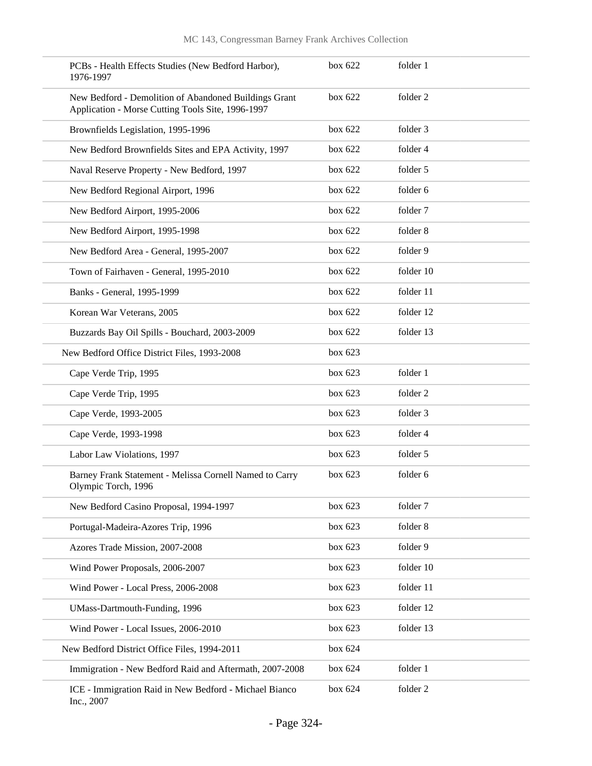| PCBs - Health Effects Studies (New Bedford Harbor),<br>1976-1997                                           | box 622   | folder 1  |
|------------------------------------------------------------------------------------------------------------|-----------|-----------|
| New Bedford - Demolition of Abandoned Buildings Grant<br>Application - Morse Cutting Tools Site, 1996-1997 | box $622$ | folder 2  |
| Brownfields Legislation, 1995-1996                                                                         | box 622   | folder 3  |
| New Bedford Brownfields Sites and EPA Activity, 1997                                                       | box 622   | folder 4  |
| Naval Reserve Property - New Bedford, 1997                                                                 | box $622$ | folder 5  |
| New Bedford Regional Airport, 1996                                                                         | box 622   | folder 6  |
| New Bedford Airport, 1995-2006                                                                             | box $622$ | folder 7  |
| New Bedford Airport, 1995-1998                                                                             | box 622   | folder 8  |
| New Bedford Area - General, 1995-2007                                                                      | box $622$ | folder 9  |
| Town of Fairhaven - General, 1995-2010                                                                     | box 622   | folder 10 |
| Banks - General, 1995-1999                                                                                 | box 622   | folder 11 |
| Korean War Veterans, 2005                                                                                  | box 622   | folder 12 |
| Buzzards Bay Oil Spills - Bouchard, 2003-2009                                                              | box $622$ | folder 13 |
| New Bedford Office District Files, 1993-2008                                                               | box $623$ |           |
| Cape Verde Trip, 1995                                                                                      | box $623$ | folder 1  |
| Cape Verde Trip, 1995                                                                                      | box 623   | folder 2  |
| Cape Verde, 1993-2005                                                                                      | box $623$ | folder 3  |
| Cape Verde, 1993-1998                                                                                      | box 623   | folder 4  |
| Labor Law Violations, 1997                                                                                 | box $623$ | folder 5  |
| Barney Frank Statement - Melissa Cornell Named to Carry<br>Olympic Torch, 1996                             | box $623$ | folder 6  |
| New Bedford Casino Proposal, 1994-1997                                                                     | box 623   | folder 7  |
| Portugal-Madeira-Azores Trip, 1996                                                                         | box 623   | folder 8  |
| Azores Trade Mission, 2007-2008                                                                            | box 623   | folder 9  |
| Wind Power Proposals, 2006-2007                                                                            | box 623   | folder 10 |
| Wind Power - Local Press, 2006-2008                                                                        | box 623   | folder 11 |
| <b>UMass-Dartmouth-Funding</b> , 1996                                                                      | box 623   | folder 12 |
| Wind Power - Local Issues, 2006-2010                                                                       | box 623   | folder 13 |
| New Bedford District Office Files, 1994-2011                                                               | box 624   |           |
| Immigration - New Bedford Raid and Aftermath, 2007-2008                                                    | box 624   | folder 1  |
| ICE - Immigration Raid in New Bedford - Michael Bianco<br>Inc., 2007                                       | box 624   | folder 2  |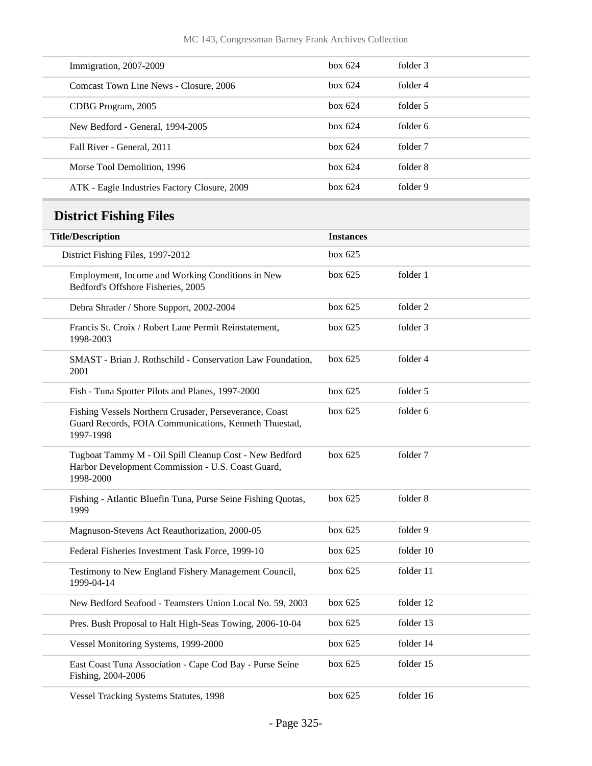| Immigration, 2007-2009                       | box 624 | folder 3 |
|----------------------------------------------|---------|----------|
| Comcast Town Line News - Closure, 2006       | box 624 | folder 4 |
| CDBG Program, 2005                           | box 624 | folder 5 |
| New Bedford - General, 1994-2005             | box 624 | folder 6 |
| Fall River - General, 2011                   | box 624 | folder 7 |
| Morse Tool Demolition, 1996                  | box 624 | folder 8 |
| ATK - Eagle Industries Factory Closure, 2009 | box 624 | folder 9 |
|                                              |         |          |

# **District Fishing Files**

| <b>Title/Description</b>                                                                                                     | <b>Instances</b> |           |
|------------------------------------------------------------------------------------------------------------------------------|------------------|-----------|
| District Fishing Files, 1997-2012                                                                                            | box 625          |           |
| Employment, Income and Working Conditions in New<br>Bedford's Offshore Fisheries, 2005                                       | box 625          | folder 1  |
| Debra Shrader / Shore Support, 2002-2004                                                                                     | box 625          | folder 2  |
| Francis St. Croix / Robert Lane Permit Reinstatement,<br>1998-2003                                                           | box 625          | folder 3  |
| SMAST - Brian J. Rothschild - Conservation Law Foundation,<br>2001                                                           | box 625          | folder 4  |
| Fish - Tuna Spotter Pilots and Planes, 1997-2000                                                                             | box 625          | folder 5  |
| Fishing Vessels Northern Crusader, Perseverance, Coast<br>Guard Records, FOIA Communications, Kenneth Thuestad,<br>1997-1998 | box 625          | folder 6  |
| Tugboat Tammy M - Oil Spill Cleanup Cost - New Bedford<br>Harbor Development Commission - U.S. Coast Guard,<br>1998-2000     | box 625          | folder 7  |
| Fishing - Atlantic Bluefin Tuna, Purse Seine Fishing Quotas,<br>1999                                                         | box~625          | folder 8  |
| Magnuson-Stevens Act Reauthorization, 2000-05                                                                                | box 625          | folder 9  |
| Federal Fisheries Investment Task Force, 1999-10                                                                             | box 625          | folder 10 |
| Testimony to New England Fishery Management Council,<br>1999-04-14                                                           | box 625          | folder 11 |
| New Bedford Seafood - Teamsters Union Local No. 59, 2003                                                                     | box~625          | folder 12 |
| Pres. Bush Proposal to Halt High-Seas Towing, 2006-10-04                                                                     | box 625          | folder 13 |
| Vessel Monitoring Systems, 1999-2000                                                                                         | box 625          | folder 14 |
| East Coast Tuna Association - Cape Cod Bay - Purse Seine<br>Fishing, 2004-2006                                               | box 625          | folder 15 |
| <b>Vessel Tracking Systems Statutes, 1998</b>                                                                                | box~625          | folder 16 |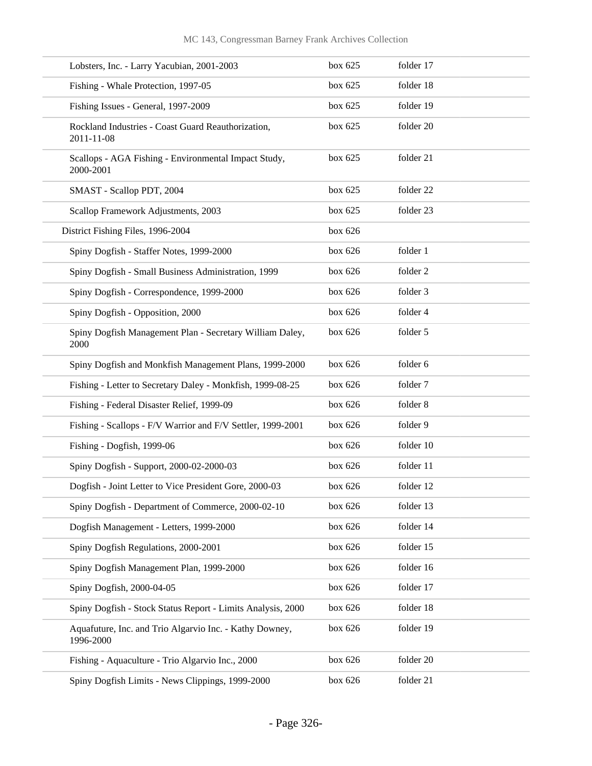| Lobsters, Inc. - Larry Yacubian, 2001-2003                           | box 625 | folder 17 |
|----------------------------------------------------------------------|---------|-----------|
| Fishing - Whale Protection, 1997-05                                  | box 625 | folder 18 |
| Fishing Issues - General, 1997-2009                                  | box 625 | folder 19 |
| Rockland Industries - Coast Guard Reauthorization,<br>2011-11-08     | box 625 | folder 20 |
| Scallops - AGA Fishing - Environmental Impact Study,<br>2000-2001    | box 625 | folder 21 |
| SMAST - Scallop PDT, 2004                                            | box 625 | folder 22 |
| Scallop Framework Adjustments, 2003                                  | box 625 | folder 23 |
| District Fishing Files, 1996-2004                                    | box 626 |           |
| Spiny Dogfish - Staffer Notes, 1999-2000                             | box 626 | folder 1  |
| Spiny Dogfish - Small Business Administration, 1999                  | box 626 | folder 2  |
| Spiny Dogfish - Correspondence, 1999-2000                            | box 626 | folder 3  |
| Spiny Dogfish - Opposition, 2000                                     | box 626 | folder 4  |
| Spiny Dogfish Management Plan - Secretary William Daley,<br>2000     | box 626 | folder 5  |
| Spiny Dogfish and Monkfish Management Plans, 1999-2000               | box 626 | folder 6  |
| Fishing - Letter to Secretary Daley - Monkfish, 1999-08-25           | box 626 | folder 7  |
| Fishing - Federal Disaster Relief, 1999-09                           | box 626 | folder 8  |
| Fishing - Scallops - F/V Warrior and F/V Settler, 1999-2001          | box 626 | folder 9  |
| Fishing - Dogfish, 1999-06                                           | box 626 | folder 10 |
| Spiny Dogfish - Support, 2000-02-2000-03                             | box 626 | folder 11 |
| Dogfish - Joint Letter to Vice President Gore, 2000-03               | box 626 | folder 12 |
| Spiny Dogfish - Department of Commerce, 2000-02-10                   | box 626 | folder 13 |
| Dogfish Management - Letters, 1999-2000                              | box 626 | folder 14 |
| Spiny Dogfish Regulations, 2000-2001                                 | box 626 | folder 15 |
| Spiny Dogfish Management Plan, 1999-2000                             | box 626 | folder 16 |
| Spiny Dogfish, 2000-04-05                                            | box 626 | folder 17 |
| Spiny Dogfish - Stock Status Report - Limits Analysis, 2000          | box 626 | folder 18 |
| Aquafuture, Inc. and Trio Algarvio Inc. - Kathy Downey,<br>1996-2000 | box 626 | folder 19 |
| Fishing - Aquaculture - Trio Algarvio Inc., 2000                     | box 626 | folder 20 |
| Spiny Dogfish Limits - News Clippings, 1999-2000                     | box 626 | folder 21 |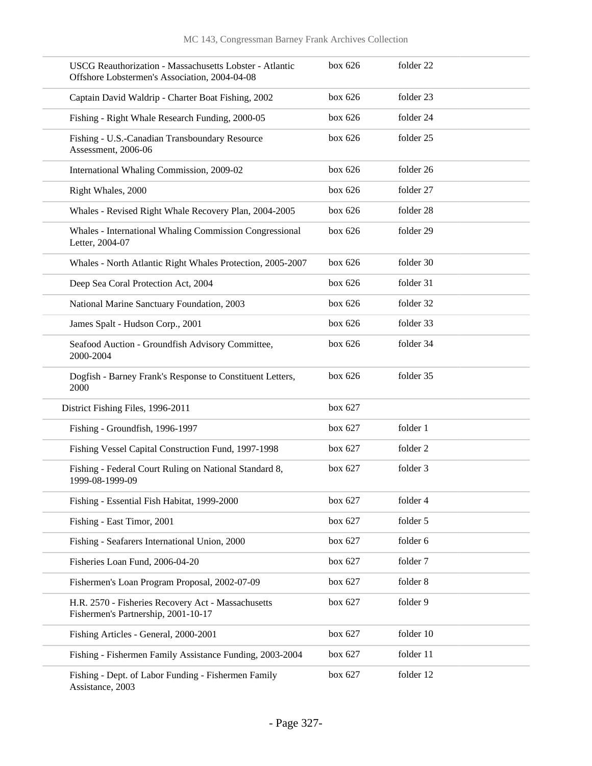| <b>USCG Reauthorization - Massachusetts Lobster - Atlantic</b><br>Offshore Lobstermen's Association, 2004-04-08 | box 626   | folder 22 |
|-----------------------------------------------------------------------------------------------------------------|-----------|-----------|
| Captain David Waldrip - Charter Boat Fishing, 2002                                                              | box 626   | folder 23 |
| Fishing - Right Whale Research Funding, 2000-05                                                                 | box 626   | folder 24 |
| Fishing - U.S.-Canadian Transboundary Resource<br>Assessment, 2006-06                                           | box 626   | folder 25 |
| International Whaling Commission, 2009-02                                                                       | box 626   | folder 26 |
| Right Whales, 2000                                                                                              | box 626   | folder 27 |
| Whales - Revised Right Whale Recovery Plan, 2004-2005                                                           | box 626   | folder 28 |
| Whales - International Whaling Commission Congressional<br>Letter, 2004-07                                      | box 626   | folder 29 |
| Whales - North Atlantic Right Whales Protection, 2005-2007                                                      | box 626   | folder 30 |
| Deep Sea Coral Protection Act, 2004                                                                             | box $626$ | folder 31 |
| National Marine Sanctuary Foundation, 2003                                                                      | box 626   | folder 32 |
| James Spalt - Hudson Corp., 2001                                                                                | box 626   | folder 33 |
| Seafood Auction - Groundfish Advisory Committee,<br>2000-2004                                                   | box 626   | folder 34 |
| Dogfish - Barney Frank's Response to Constituent Letters,<br>2000                                               | box 626   | folder 35 |
| District Fishing Files, 1996-2011                                                                               | box 627   |           |
| Fishing - Groundfish, 1996-1997                                                                                 | box 627   | folder 1  |
| Fishing Vessel Capital Construction Fund, 1997-1998                                                             | box 627   | folder 2  |
| Fishing - Federal Court Ruling on National Standard 8,<br>1999-08-1999-09                                       | box 627   | folder 3  |
| Fishing - Essential Fish Habitat, 1999-2000                                                                     | box 627   | folder 4  |
| Fishing - East Timor, 2001                                                                                      | box 627   | folder 5  |
| Fishing - Seafarers International Union, 2000                                                                   | box 627   | folder 6  |
| Fisheries Loan Fund, 2006-04-20                                                                                 | box 627   | folder 7  |
| Fishermen's Loan Program Proposal, 2002-07-09                                                                   | box 627   | folder 8  |
| H.R. 2570 - Fisheries Recovery Act - Massachusetts<br>Fishermen's Partnership, 2001-10-17                       | box 627   | folder 9  |
| Fishing Articles - General, 2000-2001                                                                           | box 627   | folder 10 |
| Fishing - Fishermen Family Assistance Funding, 2003-2004                                                        | box 627   | folder 11 |
| Fishing - Dept. of Labor Funding - Fishermen Family<br>Assistance, 2003                                         | box 627   | folder 12 |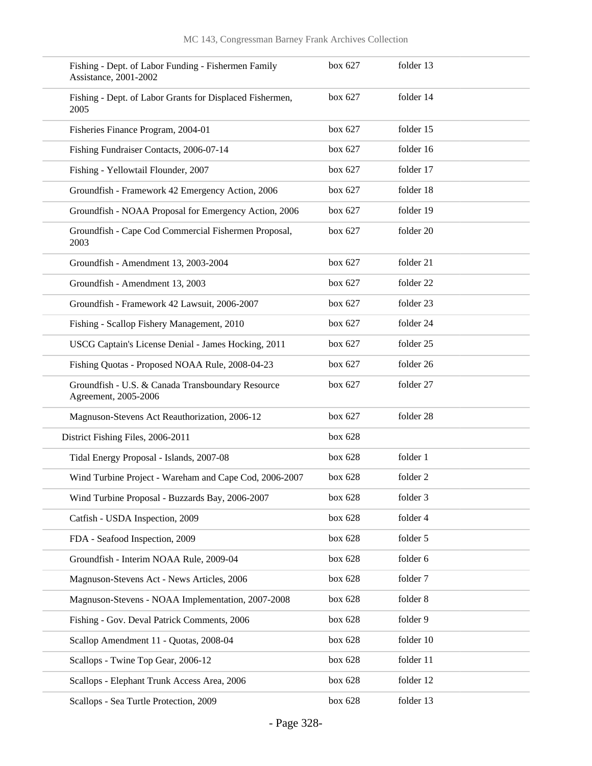| Fishing - Dept. of Labor Funding - Fishermen Family<br>Assistance, 2001-2002 | box 627 | folder 13 |
|------------------------------------------------------------------------------|---------|-----------|
| Fishing - Dept. of Labor Grants for Displaced Fishermen,<br>2005             | box 627 | folder 14 |
| Fisheries Finance Program, 2004-01                                           | box 627 | folder 15 |
| Fishing Fundraiser Contacts, 2006-07-14                                      | box 627 | folder 16 |
| Fishing - Yellowtail Flounder, 2007                                          | box 627 | folder 17 |
| Groundfish - Framework 42 Emergency Action, 2006                             | box 627 | folder 18 |
| Groundfish - NOAA Proposal for Emergency Action, 2006                        | box 627 | folder 19 |
| Groundfish - Cape Cod Commercial Fishermen Proposal,<br>2003                 | box 627 | folder 20 |
| Groundfish - Amendment 13, 2003-2004                                         | box 627 | folder 21 |
| Groundfish - Amendment 13, 2003                                              | box 627 | folder 22 |
| Groundfish - Framework 42 Lawsuit, 2006-2007                                 | box 627 | folder 23 |
| Fishing - Scallop Fishery Management, 2010                                   | box 627 | folder 24 |
| USCG Captain's License Denial - James Hocking, 2011                          | box 627 | folder 25 |
| Fishing Quotas - Proposed NOAA Rule, 2008-04-23                              | box 627 | folder 26 |
| Groundfish - U.S. & Canada Transboundary Resource<br>Agreement, 2005-2006    | box 627 | folder 27 |
| Magnuson-Stevens Act Reauthorization, 2006-12                                | box 627 | folder 28 |
| District Fishing Files, 2006-2011                                            | box 628 |           |
| Tidal Energy Proposal - Islands, 2007-08                                     | box 628 | folder 1  |
| Wind Turbine Project - Wareham and Cape Cod, 2006-2007                       | box 628 | folder 2  |
| Wind Turbine Proposal - Buzzards Bay, 2006-2007                              | box 628 | folder 3  |
| Catfish - USDA Inspection, 2009                                              | box 628 | folder 4  |
| FDA - Seafood Inspection, 2009                                               | box 628 | folder 5  |
| Groundfish - Interim NOAA Rule, 2009-04                                      | box 628 | folder 6  |
| Magnuson-Stevens Act - News Articles, 2006                                   | box 628 | folder 7  |
| Magnuson-Stevens - NOAA Implementation, 2007-2008                            | box 628 | folder 8  |
| Fishing - Gov. Deval Patrick Comments, 2006                                  | box 628 | folder 9  |
| Scallop Amendment 11 - Quotas, 2008-04                                       | box 628 | folder 10 |
| Scallops - Twine Top Gear, 2006-12                                           | box 628 | folder 11 |
| Scallops - Elephant Trunk Access Area, 2006                                  | box 628 | folder 12 |
| Scallops - Sea Turtle Protection, 2009                                       | box 628 | folder 13 |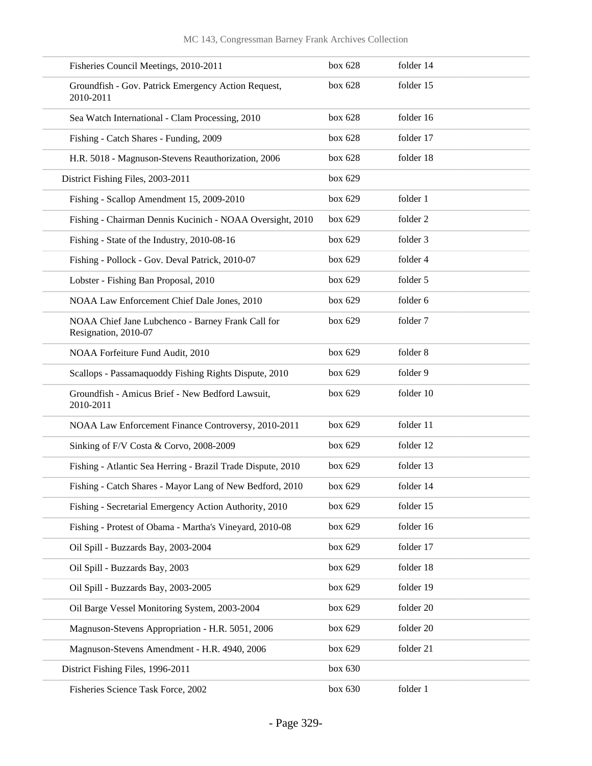| Fisheries Council Meetings, 2010-2011                                     | box 628 | folder 14 |
|---------------------------------------------------------------------------|---------|-----------|
| Groundfish - Gov. Patrick Emergency Action Request,<br>2010-2011          | box 628 | folder 15 |
| Sea Watch International - Clam Processing, 2010                           | box 628 | folder 16 |
| Fishing - Catch Shares - Funding, 2009                                    | box 628 | folder 17 |
| H.R. 5018 - Magnuson-Stevens Reauthorization, 2006                        | box 628 | folder 18 |
| District Fishing Files, 2003-2011                                         | box 629 |           |
| Fishing - Scallop Amendment 15, 2009-2010                                 | box 629 | folder 1  |
| Fishing - Chairman Dennis Kucinich - NOAA Oversight, 2010                 | box 629 | folder 2  |
| Fishing - State of the Industry, 2010-08-16                               | box 629 | folder 3  |
| Fishing - Pollock - Gov. Deval Patrick, 2010-07                           | box 629 | folder 4  |
| Lobster - Fishing Ban Proposal, 2010                                      | box 629 | folder 5  |
| NOAA Law Enforcement Chief Dale Jones, 2010                               | box 629 | folder 6  |
| NOAA Chief Jane Lubchenco - Barney Frank Call for<br>Resignation, 2010-07 | box 629 | folder 7  |
| NOAA Forfeiture Fund Audit, 2010                                          | box 629 | folder 8  |
| Scallops - Passamaquoddy Fishing Rights Dispute, 2010                     | box 629 | folder 9  |
| Groundfish - Amicus Brief - New Bedford Lawsuit,<br>2010-2011             | box 629 | folder 10 |
| NOAA Law Enforcement Finance Controversy, 2010-2011                       | box 629 | folder 11 |
| Sinking of F/V Costa & Corvo, 2008-2009                                   | box 629 | folder 12 |
| Fishing - Atlantic Sea Herring - Brazil Trade Dispute, 2010               | box 629 | folder 13 |
| Fishing - Catch Shares - Mayor Lang of New Bedford, 2010                  | box 629 | folder 14 |
| Fishing - Secretarial Emergency Action Authority, 2010                    | box 629 | folder 15 |
| Fishing - Protest of Obama - Martha's Vineyard, 2010-08                   | box 629 | folder 16 |
| Oil Spill - Buzzards Bay, 2003-2004                                       | box 629 | folder 17 |
| Oil Spill - Buzzards Bay, 2003                                            | box 629 | folder 18 |
| Oil Spill - Buzzards Bay, 2003-2005                                       | box 629 | folder 19 |
| Oil Barge Vessel Monitoring System, 2003-2004                             | box 629 | folder 20 |
| Magnuson-Stevens Appropriation - H.R. 5051, 2006                          | box 629 | folder 20 |
| Magnuson-Stevens Amendment - H.R. 4940, 2006                              | box 629 | folder 21 |
| District Fishing Files, 1996-2011                                         | box 630 |           |
| Fisheries Science Task Force, 2002                                        | box 630 | folder 1  |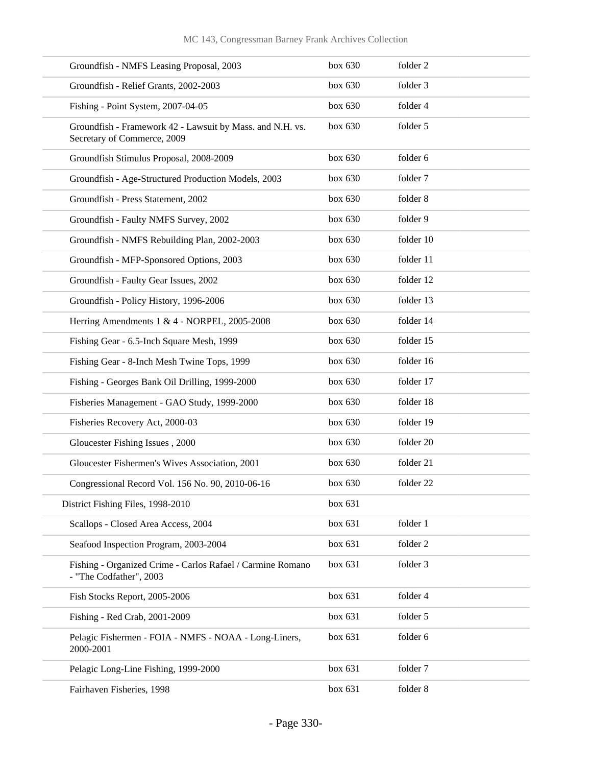| Groundfish - NMFS Leasing Proposal, 2003                                                 | box 630 | folder 2  |
|------------------------------------------------------------------------------------------|---------|-----------|
| Groundfish - Relief Grants, 2002-2003                                                    | box 630 | folder 3  |
| Fishing - Point System, 2007-04-05                                                       | box 630 | folder 4  |
| Groundfish - Framework 42 - Lawsuit by Mass. and N.H. vs.<br>Secretary of Commerce, 2009 | box 630 | folder 5  |
| Groundfish Stimulus Proposal, 2008-2009                                                  | box 630 | folder 6  |
| Groundfish - Age-Structured Production Models, 2003                                      | box 630 | folder 7  |
| Groundfish - Press Statement, 2002                                                       | box 630 | folder 8  |
| Groundfish - Faulty NMFS Survey, 2002                                                    | box 630 | folder 9  |
| Groundfish - NMFS Rebuilding Plan, 2002-2003                                             | box 630 | folder 10 |
| Groundfish - MFP-Sponsored Options, 2003                                                 | box 630 | folder 11 |
| Groundfish - Faulty Gear Issues, 2002                                                    | box 630 | folder 12 |
| Groundfish - Policy History, 1996-2006                                                   | box 630 | folder 13 |
| Herring Amendments 1 & 4 - NORPEL, 2005-2008                                             | box 630 | folder 14 |
| Fishing Gear - 6.5-Inch Square Mesh, 1999                                                | box 630 | folder 15 |
| Fishing Gear - 8-Inch Mesh Twine Tops, 1999                                              | box 630 | folder 16 |
| Fishing - Georges Bank Oil Drilling, 1999-2000                                           | box 630 | folder 17 |
| Fisheries Management - GAO Study, 1999-2000                                              | box 630 | folder 18 |
| Fisheries Recovery Act, 2000-03                                                          | box 630 | folder 19 |
| Gloucester Fishing Issues, 2000                                                          | box 630 | folder 20 |
| Gloucester Fishermen's Wives Association, 2001                                           | box 630 | folder 21 |
| Congressional Record Vol. 156 No. 90, 2010-06-16                                         | box 630 | folder 22 |
| District Fishing Files, 1998-2010                                                        | box 631 |           |
| Scallops - Closed Area Access, 2004                                                      | box 631 | folder 1  |
| Seafood Inspection Program, 2003-2004                                                    | box 631 | folder 2  |
| Fishing - Organized Crime - Carlos Rafael / Carmine Romano<br>- "The Codfather", 2003    | box 631 | folder 3  |
| Fish Stocks Report, 2005-2006                                                            | box 631 | folder 4  |
| Fishing - Red Crab, 2001-2009                                                            | box 631 | folder 5  |
| Pelagic Fishermen - FOIA - NMFS - NOAA - Long-Liners,<br>2000-2001                       | box 631 | folder 6  |
| Pelagic Long-Line Fishing, 1999-2000                                                     | box 631 | folder 7  |
| Fairhaven Fisheries, 1998                                                                | box 631 | folder 8  |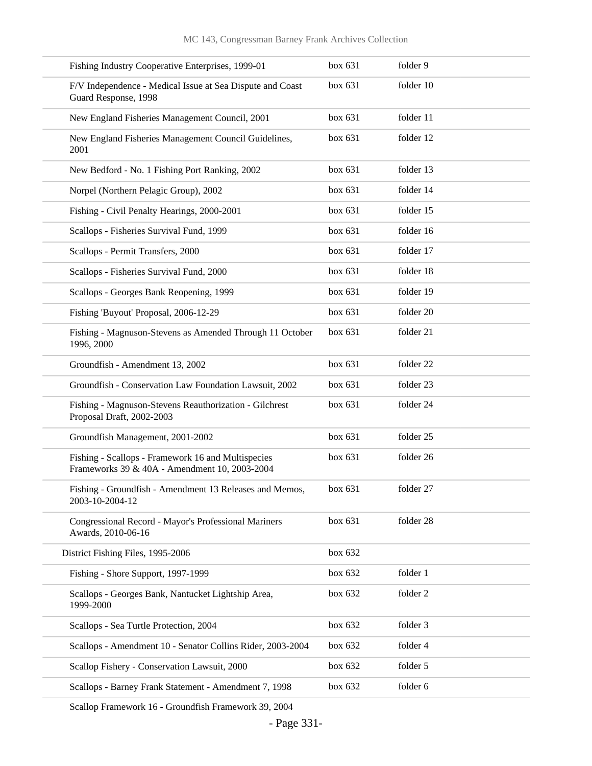| Fishing Industry Cooperative Enterprises, 1999-01                                                   | box 631   | folder 9  |
|-----------------------------------------------------------------------------------------------------|-----------|-----------|
| F/V Independence - Medical Issue at Sea Dispute and Coast<br>Guard Response, 1998                   | box 631   | folder 10 |
| New England Fisheries Management Council, 2001                                                      | box 631   | folder 11 |
| New England Fisheries Management Council Guidelines,<br>2001                                        | box 631   | folder 12 |
| New Bedford - No. 1 Fishing Port Ranking, 2002                                                      | box 631   | folder 13 |
| Norpel (Northern Pelagic Group), 2002                                                               | box 631   | folder 14 |
| Fishing - Civil Penalty Hearings, 2000-2001                                                         | box $631$ | folder 15 |
| Scallops - Fisheries Survival Fund, 1999                                                            | box 631   | folder 16 |
| Scallops - Permit Transfers, 2000                                                                   | box 631   | folder 17 |
| Scallops - Fisheries Survival Fund, 2000                                                            | box 631   | folder 18 |
| Scallops - Georges Bank Reopening, 1999                                                             | box 631   | folder 19 |
| Fishing 'Buyout' Proposal, 2006-12-29                                                               | box $631$ | folder 20 |
| Fishing - Magnuson-Stevens as Amended Through 11 October<br>1996, 2000                              | box 631   | folder 21 |
| Groundfish - Amendment 13, 2002                                                                     | box 631   | folder 22 |
| Groundfish - Conservation Law Foundation Lawsuit, 2002                                              | box 631   | folder 23 |
| Fishing - Magnuson-Stevens Reauthorization - Gilchrest<br>Proposal Draft, 2002-2003                 | box 631   | folder 24 |
| Groundfish Management, 2001-2002                                                                    | box 631   | folder 25 |
| Fishing - Scallops - Framework 16 and Multispecies<br>Frameworks 39 & 40A - Amendment 10, 2003-2004 | box 631   | folder 26 |
| Fishing - Groundfish - Amendment 13 Releases and Memos,<br>2003-10-2004-12                          | box 631   | folder 27 |
| Congressional Record - Mayor's Professional Mariners<br>Awards, 2010-06-16                          | box 631   | folder 28 |
| District Fishing Files, 1995-2006                                                                   | box 632   |           |
| Fishing - Shore Support, 1997-1999                                                                  | box 632   | folder 1  |
| Scallops - Georges Bank, Nantucket Lightship Area,<br>1999-2000                                     | box 632   | folder 2  |
| Scallops - Sea Turtle Protection, 2004                                                              | box 632   | folder 3  |
| Scallops - Amendment 10 - Senator Collins Rider, 2003-2004                                          | box 632   | folder 4  |
| Scallop Fishery - Conservation Lawsuit, 2000                                                        | box 632   | folder 5  |
| Scallops - Barney Frank Statement - Amendment 7, 1998                                               | box 632   | folder 6  |
|                                                                                                     |           |           |

Scallop Framework 16 - Groundfish Framework 39, 2004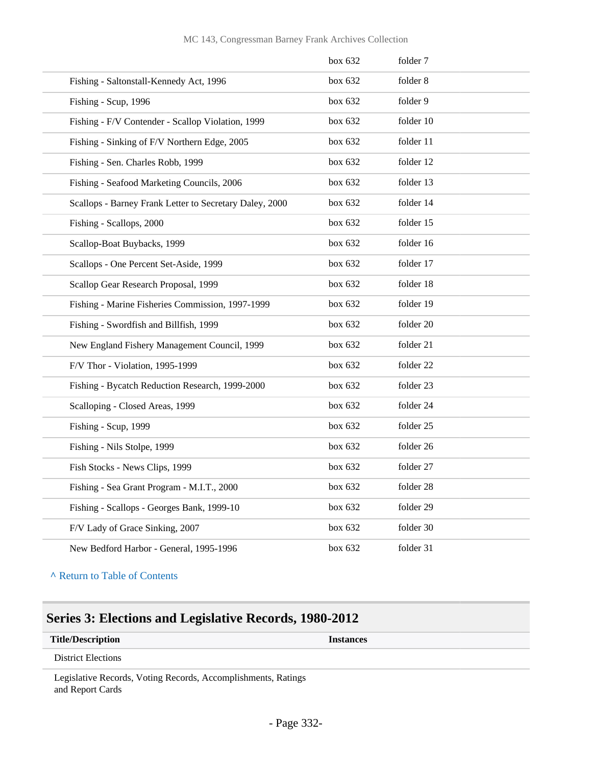|  | MC 143, Congressman Barney Frank Archives Collection |  |  |  |  |
|--|------------------------------------------------------|--|--|--|--|
|--|------------------------------------------------------|--|--|--|--|

|                                                         | box 632 | folder 7  |  |
|---------------------------------------------------------|---------|-----------|--|
| Fishing - Saltonstall-Kennedy Act, 1996                 | box 632 | folder 8  |  |
| Fishing - Scup, 1996                                    | box 632 | folder 9  |  |
| Fishing - F/V Contender - Scallop Violation, 1999       | box 632 | folder 10 |  |
| Fishing - Sinking of F/V Northern Edge, 2005            | box 632 | folder 11 |  |
| Fishing - Sen. Charles Robb, 1999                       | box 632 | folder 12 |  |
| Fishing - Seafood Marketing Councils, 2006              | box 632 | folder 13 |  |
| Scallops - Barney Frank Letter to Secretary Daley, 2000 | box 632 | folder 14 |  |
| Fishing - Scallops, 2000                                | box 632 | folder 15 |  |
| Scallop-Boat Buybacks, 1999                             | box 632 | folder 16 |  |
| Scallops - One Percent Set-Aside, 1999                  | box 632 | folder 17 |  |
| Scallop Gear Research Proposal, 1999                    | box 632 | folder 18 |  |
| Fishing - Marine Fisheries Commission, 1997-1999        | box 632 | folder 19 |  |
| Fishing - Swordfish and Billfish, 1999                  | box 632 | folder 20 |  |
| New England Fishery Management Council, 1999            | box 632 | folder 21 |  |
| F/V Thor - Violation, 1995-1999                         | box 632 | folder 22 |  |
| Fishing - Bycatch Reduction Research, 1999-2000         | box 632 | folder 23 |  |
| Scalloping - Closed Areas, 1999                         | box 632 | folder 24 |  |
| Fishing - Scup, 1999                                    | box 632 | folder 25 |  |
| Fishing - Nils Stolpe, 1999                             | box 632 | folder 26 |  |
| Fish Stocks - News Clips, 1999                          | box 632 | folder 27 |  |
| Fishing - Sea Grant Program - M.I.T., 2000              | box 632 | folder 28 |  |
| Fishing - Scallops - Georges Bank, 1999-10              | box 632 | folder 29 |  |
| F/V Lady of Grace Sinking, 2007                         | box~632 | folder 30 |  |
| New Bedford Harbor - General, 1995-1996                 | box 632 | folder 31 |  |

**^** [Return to Table of Contents](#page-1-0)

## **Series 3: Elections and Legislative Records, 1980-2012**

#### **Title/Description Instances**

District Elections

Legislative Records, Voting Records, Accomplishments, Ratings and Report Cards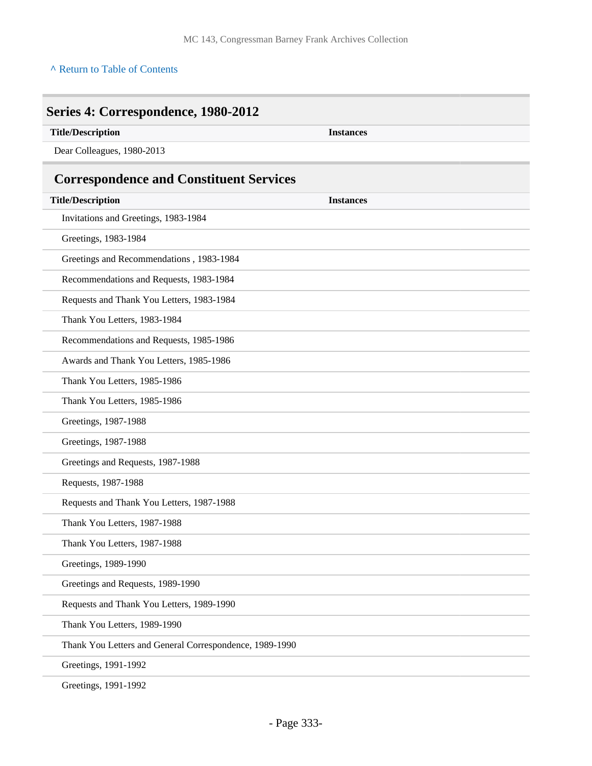### **^** [Return to Table of Contents](#page-1-0)

| <b>Title/Description</b>                                | <b>Instances</b> |  |
|---------------------------------------------------------|------------------|--|
| Dear Colleagues, 1980-2013                              |                  |  |
| <b>Correspondence and Constituent Services</b>          |                  |  |
| <b>Title/Description</b>                                | <b>Instances</b> |  |
| Invitations and Greetings, 1983-1984                    |                  |  |
| Greetings, 1983-1984                                    |                  |  |
| Greetings and Recommendations, 1983-1984                |                  |  |
| Recommendations and Requests, 1983-1984                 |                  |  |
| Requests and Thank You Letters, 1983-1984               |                  |  |
| Thank You Letters, 1983-1984                            |                  |  |
| Recommendations and Requests, 1985-1986                 |                  |  |
| Awards and Thank You Letters, 1985-1986                 |                  |  |
| Thank You Letters, 1985-1986                            |                  |  |
| Thank You Letters, 1985-1986                            |                  |  |
| Greetings, 1987-1988                                    |                  |  |
| Greetings, 1987-1988                                    |                  |  |
| Greetings and Requests, 1987-1988                       |                  |  |
| Requests, 1987-1988                                     |                  |  |
| Requests and Thank You Letters, 1987-1988               |                  |  |
| Thank You Letters, 1987-1988                            |                  |  |
| Thank You Letters, 1987-1988                            |                  |  |
| Greetings, 1989-1990                                    |                  |  |
| Greetings and Requests, 1989-1990                       |                  |  |
| Requests and Thank You Letters, 1989-1990               |                  |  |
| Thank You Letters, 1989-1990                            |                  |  |
| Thank You Letters and General Correspondence, 1989-1990 |                  |  |
| Greetings, 1991-1992                                    |                  |  |

Greetings, 1991-1992